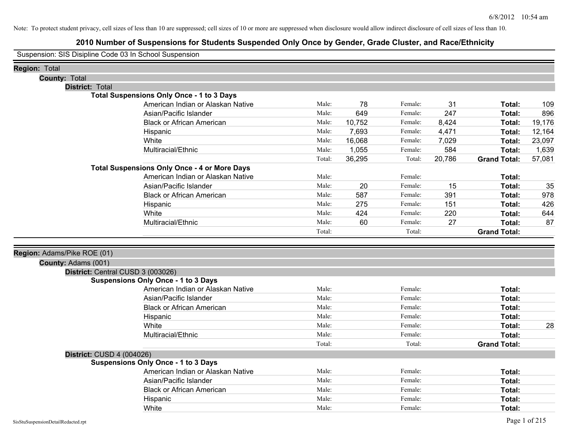## **2010 Number of Suspensions for Students Suspended Only Once by Gender, Grade Cluster, and Race/Ethnicity**

Suspension: SIS Disipline Code 03 In School Suspension

| <b>Region: Total</b>        |                                                     |        |        |         |        |                     |        |
|-----------------------------|-----------------------------------------------------|--------|--------|---------|--------|---------------------|--------|
| <b>County: Total</b>        |                                                     |        |        |         |        |                     |        |
| <b>District: Total</b>      |                                                     |        |        |         |        |                     |        |
|                             | <b>Total Suspensions Only Once - 1 to 3 Days</b>    |        |        |         |        |                     |        |
|                             | American Indian or Alaskan Native                   | Male:  | 78     | Female: | 31     | Total:              | 109    |
|                             | Asian/Pacific Islander                              | Male:  | 649    | Female: | 247    | Total:              | 896    |
|                             | <b>Black or African American</b>                    | Male:  | 10,752 | Female: | 8,424  | Total:              | 19,176 |
|                             | Hispanic                                            | Male:  | 7,693  | Female: | 4,471  | Total:              | 12,164 |
|                             | White                                               | Male:  | 16,068 | Female: | 7,029  | Total:              | 23,097 |
|                             | Multiracial/Ethnic                                  | Male:  | 1,055  | Female: | 584    | Total:              | 1,639  |
|                             |                                                     | Total: | 36,295 | Total:  | 20,786 | <b>Grand Total:</b> | 57,081 |
|                             | <b>Total Suspensions Only Once - 4 or More Days</b> |        |        |         |        |                     |        |
|                             | American Indian or Alaskan Native                   | Male:  |        | Female: |        | Total:              |        |
|                             | Asian/Pacific Islander                              | Male:  | 20     | Female: | 15     | Total:              | 35     |
|                             | <b>Black or African American</b>                    | Male:  | 587    | Female: | 391    | Total:              | 978    |
|                             | Hispanic                                            | Male:  | 275    | Female: | 151    | Total:              | 426    |
|                             | White                                               | Male:  | 424    | Female: | 220    | Total:              | 644    |
|                             | Multiracial/Ethnic                                  | Male:  | 60     | Female: | 27     | Total:              | 87     |
|                             |                                                     | Total: |        | Total:  |        | <b>Grand Total:</b> |        |
|                             |                                                     |        |        |         |        |                     |        |
| Region: Adams/Pike ROE (01) |                                                     |        |        |         |        |                     |        |
| County: Adams (001)         |                                                     |        |        |         |        |                     |        |
|                             | District: Central CUSD 3 (003026)                   |        |        |         |        |                     |        |
|                             | <b>Suspensions Only Once - 1 to 3 Days</b>          |        |        |         |        |                     |        |
|                             | American Indian or Alaskan Native                   | Male:  |        | Female: |        | Total:              |        |
|                             | Asian/Pacific Islander                              | Male:  |        | Female: |        | Total:              |        |
|                             | <b>Black or African American</b>                    | Male:  |        | Female: |        | Total:              |        |
|                             | Hispanic                                            | Male:  |        | Female: |        | Total:              |        |
|                             | White                                               | Male:  |        | Female: |        | Total:              | 28     |
|                             | Multiracial/Ethnic                                  | Male:  |        | Female: |        | Total:              |        |
|                             |                                                     | Total: |        | Total:  |        | <b>Grand Total:</b> |        |
| District: CUSD 4 (004026)   |                                                     |        |        |         |        |                     |        |
|                             | <b>Suspensions Only Once - 1 to 3 Days</b>          |        |        |         |        |                     |        |
|                             | American Indian or Alaskan Native                   | Male:  |        | Female: |        | Total:              |        |
|                             | Asian/Pacific Islander                              | Male:  |        | Female: |        | Total:              |        |
|                             | <b>Black or African American</b>                    | Male:  |        | Female: |        | Total:              |        |
|                             | Hispanic                                            | Male:  |        | Female: |        | <b>Total:</b>       |        |
|                             | White                                               | Male:  |        | Female: |        | Total:              |        |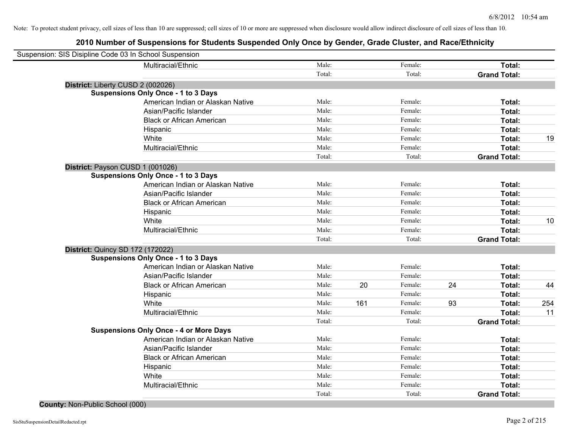## **2010 Number of Suspensions for Students Suspended Only Once by Gender, Grade Cluster, and Race/Ethnicity**

| Suspension: SIS Disipline Code 03 In School Suspension |                                   |        |     |         |    |                     |     |
|--------------------------------------------------------|-----------------------------------|--------|-----|---------|----|---------------------|-----|
| Multiracial/Ethnic                                     |                                   | Male:  |     | Female: |    | Total:              |     |
|                                                        |                                   | Total: |     | Total:  |    | <b>Grand Total:</b> |     |
| District: Liberty CUSD 2 (002026)                      |                                   |        |     |         |    |                     |     |
| <b>Suspensions Only Once - 1 to 3 Days</b>             |                                   |        |     |         |    |                     |     |
|                                                        | American Indian or Alaskan Native | Male:  |     | Female: |    | Total:              |     |
| Asian/Pacific Islander                                 |                                   | Male:  |     | Female: |    | Total:              |     |
| <b>Black or African American</b>                       |                                   | Male:  |     | Female: |    | Total:              |     |
| Hispanic                                               |                                   | Male:  |     | Female: |    | Total:              |     |
| White                                                  |                                   | Male:  |     | Female: |    | Total:              | 19  |
| Multiracial/Ethnic                                     |                                   | Male:  |     | Female: |    | Total:              |     |
|                                                        |                                   | Total: |     | Total:  |    | <b>Grand Total:</b> |     |
| District: Payson CUSD 1 (001026)                       |                                   |        |     |         |    |                     |     |
| <b>Suspensions Only Once - 1 to 3 Days</b>             |                                   |        |     |         |    |                     |     |
|                                                        | American Indian or Alaskan Native | Male:  |     | Female: |    | Total:              |     |
| Asian/Pacific Islander                                 |                                   | Male:  |     | Female: |    | Total:              |     |
| <b>Black or African American</b>                       |                                   | Male:  |     | Female: |    | Total:              |     |
| Hispanic                                               |                                   | Male:  |     | Female: |    | Total:              |     |
| White                                                  |                                   | Male:  |     | Female: |    | Total:              | 10  |
| Multiracial/Ethnic                                     |                                   | Male:  |     | Female: |    | Total:              |     |
|                                                        |                                   | Total: |     | Total:  |    | <b>Grand Total:</b> |     |
| <b>District: Quincy SD 172 (172022)</b>                |                                   |        |     |         |    |                     |     |
| <b>Suspensions Only Once - 1 to 3 Days</b>             |                                   |        |     |         |    |                     |     |
|                                                        | American Indian or Alaskan Native | Male:  |     | Female: |    | Total:              |     |
| Asian/Pacific Islander                                 |                                   | Male:  |     | Female: |    | Total:              |     |
| <b>Black or African American</b>                       |                                   | Male:  | 20  | Female: | 24 | Total:              | 44  |
| Hispanic                                               |                                   | Male:  |     | Female: |    | Total:              |     |
| White                                                  |                                   | Male:  | 161 | Female: | 93 | Total:              | 254 |
| Multiracial/Ethnic                                     |                                   | Male:  |     | Female: |    | Total:              | 11  |
|                                                        |                                   | Total: |     | Total:  |    | <b>Grand Total:</b> |     |
| <b>Suspensions Only Once - 4 or More Days</b>          |                                   |        |     |         |    |                     |     |
|                                                        | American Indian or Alaskan Native | Male:  |     | Female: |    | Total:              |     |
| Asian/Pacific Islander                                 |                                   | Male:  |     | Female: |    | Total:              |     |
| <b>Black or African American</b>                       |                                   | Male:  |     | Female: |    | Total:              |     |
| Hispanic                                               |                                   | Male:  |     | Female: |    | Total:              |     |
| White                                                  |                                   | Male:  |     | Female: |    | Total:              |     |
| Multiracial/Ethnic                                     |                                   | Male:  |     | Female: |    | Total:              |     |
|                                                        |                                   | Total: |     | Total:  |    | <b>Grand Total:</b> |     |

# **County:** Non-Public School (000)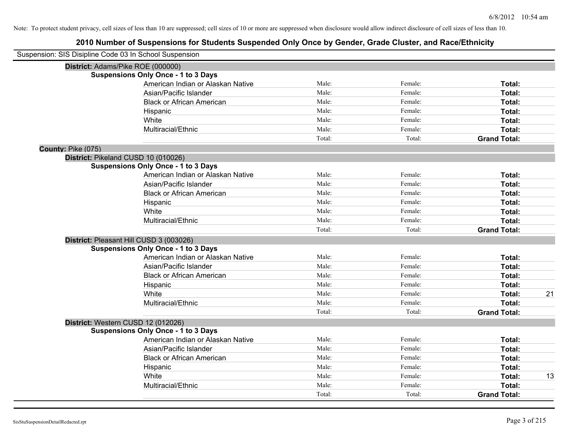| Suspension: SIS Disipline Code 03 In School Suspension |                                            |        |         |                     |    |
|--------------------------------------------------------|--------------------------------------------|--------|---------|---------------------|----|
| District: Adams/Pike ROE (000000)                      |                                            |        |         |                     |    |
|                                                        | <b>Suspensions Only Once - 1 to 3 Days</b> |        |         |                     |    |
|                                                        | American Indian or Alaskan Native          | Male:  | Female: | Total:              |    |
|                                                        | Asian/Pacific Islander                     | Male:  | Female: | Total:              |    |
|                                                        | <b>Black or African American</b>           | Male:  | Female: | Total:              |    |
|                                                        | Hispanic                                   | Male:  | Female: | Total:              |    |
|                                                        | White                                      | Male:  | Female: | Total:              |    |
|                                                        | Multiracial/Ethnic                         | Male:  | Female: | Total:              |    |
|                                                        |                                            | Total: | Total:  | <b>Grand Total:</b> |    |
| County: Pike (075)                                     |                                            |        |         |                     |    |
| District: Pikeland CUSD 10 (010026)                    |                                            |        |         |                     |    |
|                                                        | <b>Suspensions Only Once - 1 to 3 Days</b> |        |         |                     |    |
|                                                        | American Indian or Alaskan Native          | Male:  | Female: | Total:              |    |
|                                                        | Asian/Pacific Islander                     | Male:  | Female: | Total:              |    |
|                                                        | <b>Black or African American</b>           | Male:  | Female: | Total:              |    |
|                                                        | Hispanic                                   | Male:  | Female: | Total:              |    |
|                                                        | White                                      | Male:  | Female: | Total:              |    |
|                                                        | Multiracial/Ethnic                         | Male:  | Female: | Total:              |    |
|                                                        |                                            | Total: | Total:  | <b>Grand Total:</b> |    |
| District: Pleasant Hill CUSD 3 (003026)                |                                            |        |         |                     |    |
|                                                        | <b>Suspensions Only Once - 1 to 3 Days</b> |        |         |                     |    |
|                                                        | American Indian or Alaskan Native          | Male:  | Female: | Total:              |    |
|                                                        | Asian/Pacific Islander                     | Male:  | Female: | Total:              |    |
|                                                        | <b>Black or African American</b>           | Male:  | Female: | Total:              |    |
|                                                        | Hispanic                                   | Male:  | Female: | Total:              |    |
|                                                        | White                                      | Male:  | Female: | Total:              | 21 |
|                                                        | Multiracial/Ethnic                         | Male:  | Female: | Total:              |    |
|                                                        |                                            | Total: | Total:  | <b>Grand Total:</b> |    |
| District: Western CUSD 12 (012026)                     |                                            |        |         |                     |    |
|                                                        | <b>Suspensions Only Once - 1 to 3 Days</b> |        |         |                     |    |
|                                                        | American Indian or Alaskan Native          | Male:  | Female: | Total:              |    |
|                                                        | Asian/Pacific Islander                     | Male:  | Female: | Total:              |    |
|                                                        | <b>Black or African American</b>           | Male:  | Female: | Total:              |    |
|                                                        | Hispanic                                   | Male:  | Female: | Total:              |    |
|                                                        | White                                      | Male:  | Female: | Total:              | 13 |
|                                                        | Multiracial/Ethnic                         | Male:  | Female: | Total:              |    |
|                                                        |                                            | Total: | Total:  | <b>Grand Total:</b> |    |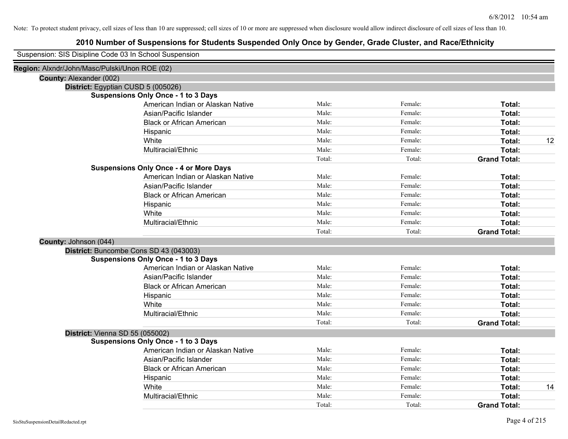## **2010 Number of Suspensions for Students Suspended Only Once by Gender, Grade Cluster, and Race/Ethnicity**

|                                               | Suspension: SIS Disipline Code 03 In School Suspension |        |         |                     |    |
|-----------------------------------------------|--------------------------------------------------------|--------|---------|---------------------|----|
| Region: Alxndr/John/Masc/Pulski/Unon ROE (02) |                                                        |        |         |                     |    |
| County: Alexander (002)                       |                                                        |        |         |                     |    |
|                                               | District: Egyptian CUSD 5 (005026)                     |        |         |                     |    |
|                                               | <b>Suspensions Only Once - 1 to 3 Days</b>             |        |         |                     |    |
|                                               | American Indian or Alaskan Native                      | Male:  | Female: | Total:              |    |
|                                               | Asian/Pacific Islander                                 | Male:  | Female: | Total:              |    |
|                                               | <b>Black or African American</b>                       | Male:  | Female: | Total:              |    |
|                                               | Hispanic                                               | Male:  | Female: | Total:              |    |
|                                               | White                                                  | Male:  | Female: | Total:              | 12 |
|                                               | Multiracial/Ethnic                                     | Male:  | Female: | Total:              |    |
|                                               |                                                        | Total: | Total:  | <b>Grand Total:</b> |    |
|                                               | <b>Suspensions Only Once - 4 or More Days</b>          |        |         |                     |    |
|                                               | American Indian or Alaskan Native                      | Male:  | Female: | Total:              |    |
|                                               | Asian/Pacific Islander                                 | Male:  | Female: | Total:              |    |
|                                               | <b>Black or African American</b>                       | Male:  | Female: | Total:              |    |
|                                               | Hispanic                                               | Male:  | Female: | Total:              |    |
|                                               | White                                                  | Male:  | Female: | Total:              |    |
|                                               | Multiracial/Ethnic                                     | Male:  | Female: | Total:              |    |
|                                               |                                                        | Total: | Total:  | <b>Grand Total:</b> |    |
| County: Johnson (044)                         |                                                        |        |         |                     |    |
|                                               | District: Buncombe Cons SD 43 (043003)                 |        |         |                     |    |
|                                               | <b>Suspensions Only Once - 1 to 3 Days</b>             |        |         |                     |    |
|                                               | American Indian or Alaskan Native                      | Male:  | Female: | Total:              |    |
|                                               | Asian/Pacific Islander                                 | Male:  | Female: | Total:              |    |
|                                               | <b>Black or African American</b>                       | Male:  | Female: | Total:              |    |
|                                               | Hispanic                                               | Male:  | Female: | Total:              |    |
|                                               | White                                                  | Male:  | Female: | Total:              |    |
|                                               | Multiracial/Ethnic                                     | Male:  | Female: | <b>Total:</b>       |    |
|                                               |                                                        | Total: | Total:  | <b>Grand Total:</b> |    |
|                                               | District: Vienna SD 55 (055002)                        |        |         |                     |    |
|                                               | <b>Suspensions Only Once - 1 to 3 Days</b>             |        |         |                     |    |
|                                               | American Indian or Alaskan Native                      | Male:  | Female: | Total:              |    |
|                                               | Asian/Pacific Islander                                 | Male:  | Female: | Total:              |    |
|                                               | <b>Black or African American</b>                       | Male:  | Female: | Total:              |    |
|                                               | Hispanic                                               | Male:  | Female: | Total:              |    |
|                                               | White                                                  | Male:  | Female: | Total:              | 14 |
|                                               | Multiracial/Ethnic                                     | Male:  | Female: | <b>Total:</b>       |    |
|                                               |                                                        | Total: | Total:  | <b>Grand Total:</b> |    |

 $\overline{\phantom{0}}$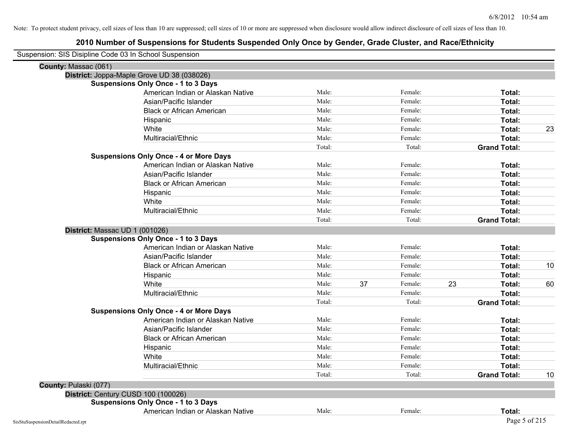| Suspension: SIS Disipline Code 03 In School Suspension |                                               |        |    |         |    |                     |    |
|--------------------------------------------------------|-----------------------------------------------|--------|----|---------|----|---------------------|----|
| County: Massac (061)                                   |                                               |        |    |         |    |                     |    |
|                                                        | District: Joppa-Maple Grove UD 38 (038026)    |        |    |         |    |                     |    |
|                                                        | <b>Suspensions Only Once - 1 to 3 Days</b>    |        |    |         |    |                     |    |
|                                                        | American Indian or Alaskan Native             | Male:  |    | Female: |    | Total:              |    |
|                                                        | Asian/Pacific Islander                        | Male:  |    | Female: |    | Total:              |    |
|                                                        | <b>Black or African American</b>              | Male:  |    | Female: |    | Total:              |    |
|                                                        | Hispanic                                      | Male:  |    | Female: |    | Total:              |    |
|                                                        | White                                         | Male:  |    | Female: |    | Total:              | 23 |
|                                                        | Multiracial/Ethnic                            | Male:  |    | Female: |    | Total:              |    |
|                                                        |                                               | Total: |    | Total:  |    | <b>Grand Total:</b> |    |
|                                                        | <b>Suspensions Only Once - 4 or More Days</b> |        |    |         |    |                     |    |
|                                                        | American Indian or Alaskan Native             | Male:  |    | Female: |    | Total:              |    |
|                                                        | Asian/Pacific Islander                        | Male:  |    | Female: |    | Total:              |    |
|                                                        | <b>Black or African American</b>              | Male:  |    | Female: |    | Total:              |    |
|                                                        | Hispanic                                      | Male:  |    | Female: |    | Total:              |    |
|                                                        | White                                         | Male:  |    | Female: |    | Total:              |    |
|                                                        | Multiracial/Ethnic                            | Male:  |    | Female: |    | Total:              |    |
|                                                        |                                               | Total: |    | Total:  |    | <b>Grand Total:</b> |    |
| District: Massac UD 1 (001026)                         |                                               |        |    |         |    |                     |    |
|                                                        | <b>Suspensions Only Once - 1 to 3 Days</b>    |        |    |         |    |                     |    |
|                                                        | American Indian or Alaskan Native             | Male:  |    | Female: |    | Total:              |    |
|                                                        | Asian/Pacific Islander                        | Male:  |    | Female: |    | Total:              |    |
|                                                        | <b>Black or African American</b>              | Male:  |    | Female: |    | Total:              | 10 |
|                                                        | Hispanic                                      | Male:  |    | Female: |    | Total:              |    |
|                                                        | White                                         | Male:  | 37 | Female: | 23 | Total:              | 60 |
|                                                        | Multiracial/Ethnic                            | Male:  |    | Female: |    | Total:              |    |
|                                                        |                                               | Total: |    | Total:  |    | <b>Grand Total:</b> |    |
|                                                        | <b>Suspensions Only Once - 4 or More Days</b> |        |    |         |    |                     |    |
|                                                        | American Indian or Alaskan Native             | Male:  |    | Female: |    | Total:              |    |
|                                                        | Asian/Pacific Islander                        | Male:  |    | Female: |    | Total:              |    |
|                                                        | <b>Black or African American</b>              | Male:  |    | Female: |    | Total:              |    |
|                                                        | Hispanic                                      | Male:  |    | Female: |    | Total:              |    |
|                                                        | White                                         | Male:  |    | Female: |    | Total:              |    |
|                                                        | Multiracial/Ethnic                            | Male:  |    | Female: |    | Total:              |    |
|                                                        |                                               | Total: |    | Total:  |    | <b>Grand Total:</b> | 10 |
| County: Pulaski (077)                                  |                                               |        |    |         |    |                     |    |
| District: Century CUSD 100 (100026)                    |                                               |        |    |         |    |                     |    |
|                                                        | <b>Suspensions Only Once - 1 to 3 Days</b>    |        |    |         |    |                     |    |
|                                                        | American Indian or Alaskan Native             | Male:  |    | Female: |    | Total:              |    |
| SisStuSuspensionDetailRedacted.rpt                     |                                               |        |    |         |    | Page 5 of 215       |    |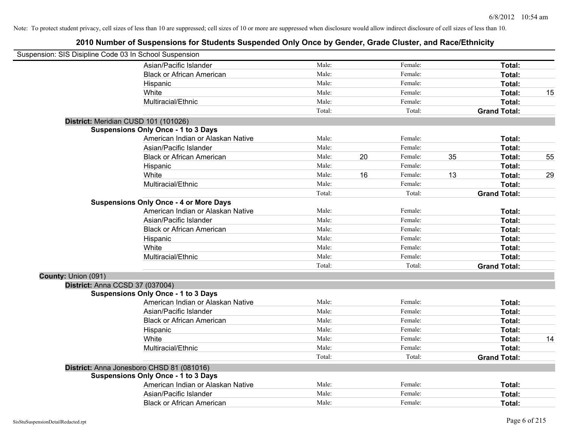| Suspension: SIS Disipline Code 03 In School Suspension |                                               |        |    |         |    |                     |    |
|--------------------------------------------------------|-----------------------------------------------|--------|----|---------|----|---------------------|----|
|                                                        | Asian/Pacific Islander                        | Male:  |    | Female: |    | Total:              |    |
|                                                        | <b>Black or African American</b>              | Male:  |    | Female: |    | Total:              |    |
|                                                        | Hispanic                                      | Male:  |    | Female: |    | <b>Total:</b>       |    |
|                                                        | White                                         | Male:  |    | Female: |    | Total:              | 15 |
|                                                        | Multiracial/Ethnic                            | Male:  |    | Female: |    | Total:              |    |
|                                                        |                                               | Total: |    | Total:  |    | <b>Grand Total:</b> |    |
|                                                        | District: Meridian CUSD 101 (101026)          |        |    |         |    |                     |    |
|                                                        | <b>Suspensions Only Once - 1 to 3 Days</b>    |        |    |         |    |                     |    |
|                                                        | American Indian or Alaskan Native             | Male:  |    | Female: |    | Total:              |    |
|                                                        | Asian/Pacific Islander                        | Male:  |    | Female: |    | Total:              |    |
|                                                        | <b>Black or African American</b>              | Male:  | 20 | Female: | 35 | Total:              | 55 |
|                                                        | Hispanic                                      | Male:  |    | Female: |    | Total:              |    |
|                                                        | White                                         | Male:  | 16 | Female: | 13 | Total:              | 29 |
|                                                        | Multiracial/Ethnic                            | Male:  |    | Female: |    | Total:              |    |
|                                                        |                                               | Total: |    | Total:  |    | <b>Grand Total:</b> |    |
|                                                        | <b>Suspensions Only Once - 4 or More Days</b> |        |    |         |    |                     |    |
|                                                        | American Indian or Alaskan Native             | Male:  |    | Female: |    | Total:              |    |
|                                                        | Asian/Pacific Islander                        | Male:  |    | Female: |    | Total:              |    |
|                                                        | <b>Black or African American</b>              | Male:  |    | Female: |    | Total:              |    |
|                                                        | Hispanic                                      | Male:  |    | Female: |    | Total:              |    |
|                                                        | White                                         | Male:  |    | Female: |    | Total:              |    |
|                                                        | Multiracial/Ethnic                            | Male:  |    | Female: |    | Total:              |    |
|                                                        |                                               | Total: |    | Total:  |    | <b>Grand Total:</b> |    |
| County: Union (091)                                    |                                               |        |    |         |    |                     |    |
| District: Anna CCSD 37 (037004)                        |                                               |        |    |         |    |                     |    |
|                                                        | <b>Suspensions Only Once - 1 to 3 Days</b>    |        |    |         |    |                     |    |
|                                                        | American Indian or Alaskan Native             | Male:  |    | Female: |    | Total:              |    |
|                                                        | Asian/Pacific Islander                        | Male:  |    | Female: |    | Total:              |    |
|                                                        | <b>Black or African American</b>              | Male:  |    | Female: |    | Total:              |    |
|                                                        | Hispanic                                      | Male:  |    | Female: |    | Total:              |    |
|                                                        | White                                         | Male:  |    | Female: |    | Total:              | 14 |
|                                                        | Multiracial/Ethnic                            | Male:  |    | Female: |    | Total:              |    |
|                                                        |                                               | Total: |    | Total:  |    | <b>Grand Total:</b> |    |
|                                                        | District: Anna Jonesboro CHSD 81 (081016)     |        |    |         |    |                     |    |
|                                                        | <b>Suspensions Only Once - 1 to 3 Days</b>    |        |    |         |    |                     |    |
|                                                        | American Indian or Alaskan Native             | Male:  |    | Female: |    | Total:              |    |
|                                                        | Asian/Pacific Islander                        | Male:  |    | Female: |    | Total:              |    |
|                                                        | <b>Black or African American</b>              | Male:  |    | Female: |    | Total:              |    |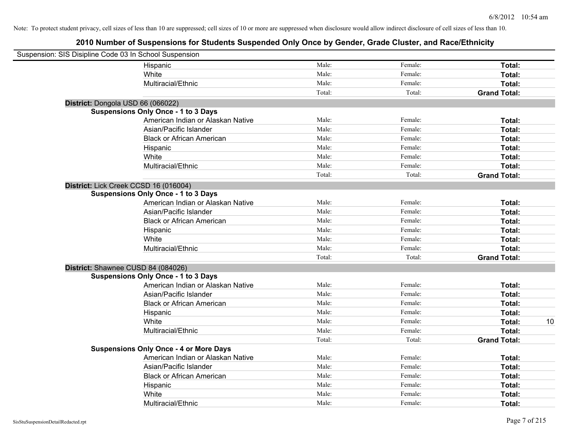| Suspension: SIS Disipline Code 03 In School Suspension |                                               |        |         |                     |    |
|--------------------------------------------------------|-----------------------------------------------|--------|---------|---------------------|----|
|                                                        | Hispanic                                      | Male:  | Female: | Total:              |    |
|                                                        | White                                         | Male:  | Female: | Total:              |    |
|                                                        | Multiracial/Ethnic                            | Male:  | Female: | Total:              |    |
|                                                        |                                               | Total: | Total:  | <b>Grand Total:</b> |    |
| District: Dongola USD 66 (066022)                      |                                               |        |         |                     |    |
|                                                        | <b>Suspensions Only Once - 1 to 3 Days</b>    |        |         |                     |    |
|                                                        | American Indian or Alaskan Native             | Male:  | Female: | Total:              |    |
|                                                        | Asian/Pacific Islander                        | Male:  | Female: | Total:              |    |
|                                                        | <b>Black or African American</b>              | Male:  | Female: | Total:              |    |
|                                                        | Hispanic                                      | Male:  | Female: | Total:              |    |
|                                                        | White                                         | Male:  | Female: | Total:              |    |
|                                                        | Multiracial/Ethnic                            | Male:  | Female: | Total:              |    |
|                                                        |                                               | Total: | Total:  | <b>Grand Total:</b> |    |
| District: Lick Creek CCSD 16 (016004)                  |                                               |        |         |                     |    |
|                                                        | <b>Suspensions Only Once - 1 to 3 Days</b>    |        |         |                     |    |
|                                                        | American Indian or Alaskan Native             | Male:  | Female: | Total:              |    |
|                                                        | Asian/Pacific Islander                        | Male:  | Female: | Total:              |    |
|                                                        | <b>Black or African American</b>              | Male:  | Female: | Total:              |    |
|                                                        | Hispanic                                      | Male:  | Female: | Total:              |    |
|                                                        | White                                         | Male:  | Female: | Total:              |    |
|                                                        | Multiracial/Ethnic                            | Male:  | Female: | Total:              |    |
|                                                        |                                               | Total: | Total:  | <b>Grand Total:</b> |    |
| District: Shawnee CUSD 84 (084026)                     |                                               |        |         |                     |    |
|                                                        | <b>Suspensions Only Once - 1 to 3 Days</b>    |        |         |                     |    |
|                                                        | American Indian or Alaskan Native             | Male:  | Female: | Total:              |    |
|                                                        | Asian/Pacific Islander                        | Male:  | Female: | Total:              |    |
|                                                        | <b>Black or African American</b>              | Male:  | Female: | Total:              |    |
|                                                        | Hispanic                                      | Male:  | Female: | Total:              |    |
|                                                        | White                                         | Male:  | Female: | Total:              | 10 |
|                                                        | Multiracial/Ethnic                            | Male:  | Female: | Total:              |    |
|                                                        |                                               | Total: | Total:  | <b>Grand Total:</b> |    |
|                                                        | <b>Suspensions Only Once - 4 or More Days</b> |        |         |                     |    |
|                                                        | American Indian or Alaskan Native             | Male:  | Female: | Total:              |    |
|                                                        | Asian/Pacific Islander                        | Male:  | Female: | Total:              |    |
|                                                        | <b>Black or African American</b>              | Male:  | Female: | Total:              |    |
|                                                        | Hispanic                                      | Male:  | Female: | Total:              |    |
|                                                        | White                                         | Male:  | Female: | Total:              |    |
|                                                        | Multiracial/Ethnic                            | Male:  | Female: | Total:              |    |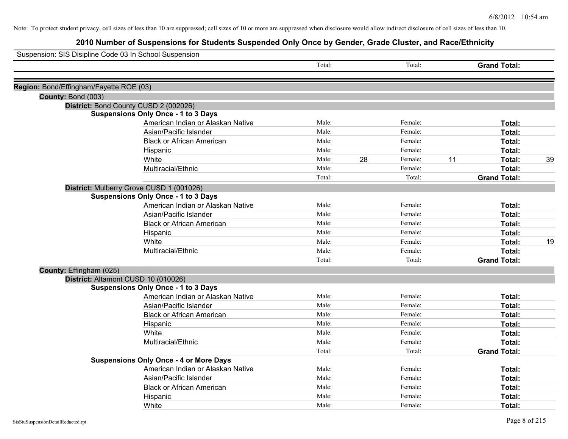| Suspension: SIS Disipline Code 03 In School Suspension |                                               |        |    |         |    |                     |    |
|--------------------------------------------------------|-----------------------------------------------|--------|----|---------|----|---------------------|----|
|                                                        |                                               | Total: |    | Total:  |    | <b>Grand Total:</b> |    |
| Region: Bond/Effingham/Fayette ROE (03)                |                                               |        |    |         |    |                     |    |
| County: Bond (003)                                     |                                               |        |    |         |    |                     |    |
|                                                        | District: Bond County CUSD 2 (002026)         |        |    |         |    |                     |    |
|                                                        | <b>Suspensions Only Once - 1 to 3 Days</b>    |        |    |         |    |                     |    |
|                                                        | American Indian or Alaskan Native             | Male:  |    | Female: |    | Total:              |    |
|                                                        | Asian/Pacific Islander                        | Male:  |    | Female: |    | Total:              |    |
|                                                        | <b>Black or African American</b>              | Male:  |    | Female: |    | <b>Total:</b>       |    |
|                                                        | Hispanic                                      | Male:  |    | Female: |    | Total:              |    |
|                                                        | White                                         | Male:  | 28 | Female: | 11 | Total:              | 39 |
|                                                        | Multiracial/Ethnic                            | Male:  |    | Female: |    | Total:              |    |
|                                                        |                                               | Total: |    | Total:  |    | <b>Grand Total:</b> |    |
|                                                        | District: Mulberry Grove CUSD 1 (001026)      |        |    |         |    |                     |    |
|                                                        | <b>Suspensions Only Once - 1 to 3 Days</b>    |        |    |         |    |                     |    |
|                                                        | American Indian or Alaskan Native             | Male:  |    | Female: |    | Total:              |    |
|                                                        | Asian/Pacific Islander                        | Male:  |    | Female: |    | Total:              |    |
|                                                        | <b>Black or African American</b>              | Male:  |    | Female: |    | Total:              |    |
|                                                        | Hispanic                                      | Male:  |    | Female: |    | Total:              |    |
|                                                        | White                                         | Male:  |    | Female: |    | Total:              | 19 |
|                                                        | Multiracial/Ethnic                            | Male:  |    | Female: |    | Total:              |    |
|                                                        |                                               | Total: |    | Total:  |    | <b>Grand Total:</b> |    |
| County: Effingham (025)                                |                                               |        |    |         |    |                     |    |
|                                                        | District: Altamont CUSD 10 (010026)           |        |    |         |    |                     |    |
|                                                        | <b>Suspensions Only Once - 1 to 3 Days</b>    |        |    |         |    |                     |    |
|                                                        | American Indian or Alaskan Native             | Male:  |    | Female: |    | Total:              |    |
|                                                        | Asian/Pacific Islander                        | Male:  |    | Female: |    | Total:              |    |
|                                                        | <b>Black or African American</b>              | Male:  |    | Female: |    | Total:              |    |
|                                                        | Hispanic                                      | Male:  |    | Female: |    | Total:              |    |
|                                                        | White                                         | Male:  |    | Female: |    | Total:              |    |
|                                                        | Multiracial/Ethnic                            | Male:  |    | Female: |    | Total:              |    |
|                                                        |                                               | Total: |    | Total:  |    | <b>Grand Total:</b> |    |
|                                                        | <b>Suspensions Only Once - 4 or More Days</b> |        |    |         |    |                     |    |
|                                                        | American Indian or Alaskan Native             | Male:  |    | Female: |    | Total:              |    |
|                                                        | Asian/Pacific Islander                        | Male:  |    | Female: |    | Total:              |    |
|                                                        | <b>Black or African American</b>              | Male:  |    | Female: |    | <b>Total:</b>       |    |
|                                                        | Hispanic                                      | Male:  |    | Female: |    | <b>Total:</b>       |    |
|                                                        | White                                         | Male:  |    | Female: |    | Total:              |    |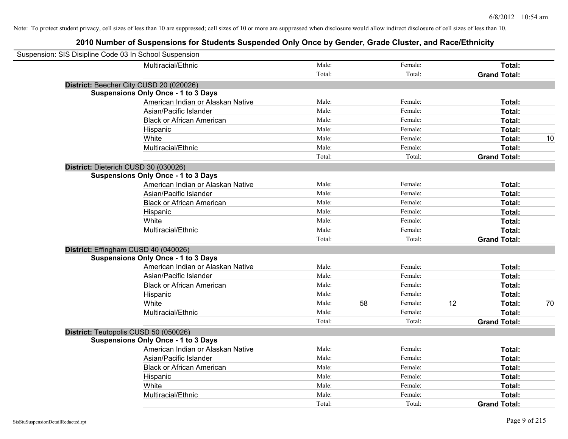| Suspension: SIS Disipline Code 03 In School Suspension |                                            |        |               |    |                     |    |
|--------------------------------------------------------|--------------------------------------------|--------|---------------|----|---------------------|----|
|                                                        | Multiracial/Ethnic                         | Male:  | Female:       |    | Total:              |    |
|                                                        |                                            | Total: | Total:        |    | <b>Grand Total:</b> |    |
| District: Beecher City CUSD 20 (020026)                |                                            |        |               |    |                     |    |
|                                                        | <b>Suspensions Only Once - 1 to 3 Days</b> |        |               |    |                     |    |
|                                                        | American Indian or Alaskan Native          | Male:  | Female:       |    | Total:              |    |
|                                                        | Asian/Pacific Islander                     | Male:  | Female:       |    | Total:              |    |
|                                                        | <b>Black or African American</b>           | Male:  | Female:       |    | Total:              |    |
|                                                        | Hispanic                                   | Male:  | Female:       |    | Total:              |    |
|                                                        | White                                      | Male:  | Female:       |    | Total:              | 10 |
|                                                        | Multiracial/Ethnic                         | Male:  | Female:       |    | Total:              |    |
|                                                        |                                            | Total: | Total:        |    | <b>Grand Total:</b> |    |
| District: Dieterich CUSD 30 (030026)                   |                                            |        |               |    |                     |    |
|                                                        | <b>Suspensions Only Once - 1 to 3 Days</b> |        |               |    |                     |    |
|                                                        | American Indian or Alaskan Native          | Male:  | Female:       |    | Total:              |    |
|                                                        | Asian/Pacific Islander                     | Male:  | Female:       |    | Total:              |    |
|                                                        | <b>Black or African American</b>           | Male:  | Female:       |    | Total:              |    |
|                                                        | Hispanic                                   | Male:  | Female:       |    | Total:              |    |
|                                                        | White                                      | Male:  | Female:       |    | Total:              |    |
|                                                        | Multiracial/Ethnic                         | Male:  | Female:       |    | Total:              |    |
|                                                        |                                            | Total: | Total:        |    | <b>Grand Total:</b> |    |
| District: Effingham CUSD 40 (040026)                   |                                            |        |               |    |                     |    |
|                                                        | <b>Suspensions Only Once - 1 to 3 Days</b> |        |               |    |                     |    |
|                                                        | American Indian or Alaskan Native          | Male:  | Female:       |    | Total:              |    |
|                                                        | Asian/Pacific Islander                     | Male:  | Female:       |    | Total:              |    |
|                                                        | <b>Black or African American</b>           | Male:  | Female:       |    | Total:              |    |
|                                                        | Hispanic                                   | Male:  | Female:       |    | Total:              |    |
|                                                        | White                                      | Male:  | 58<br>Female: | 12 | Total:              | 70 |
|                                                        | Multiracial/Ethnic                         | Male:  | Female:       |    | Total:              |    |
|                                                        |                                            | Total: | Total:        |    | <b>Grand Total:</b> |    |
| District: Teutopolis CUSD 50 (050026)                  |                                            |        |               |    |                     |    |
|                                                        | <b>Suspensions Only Once - 1 to 3 Days</b> |        |               |    |                     |    |
|                                                        | American Indian or Alaskan Native          | Male:  | Female:       |    | Total:              |    |
|                                                        | Asian/Pacific Islander                     | Male:  | Female:       |    | Total:              |    |
|                                                        | <b>Black or African American</b>           | Male:  | Female:       |    | Total:              |    |
|                                                        | Hispanic                                   | Male:  | Female:       |    | Total:              |    |
|                                                        | White                                      | Male:  | Female:       |    | Total:              |    |
|                                                        | Multiracial/Ethnic                         | Male:  | Female:       |    | Total:              |    |
|                                                        |                                            | Total: | Total:        |    | <b>Grand Total:</b> |    |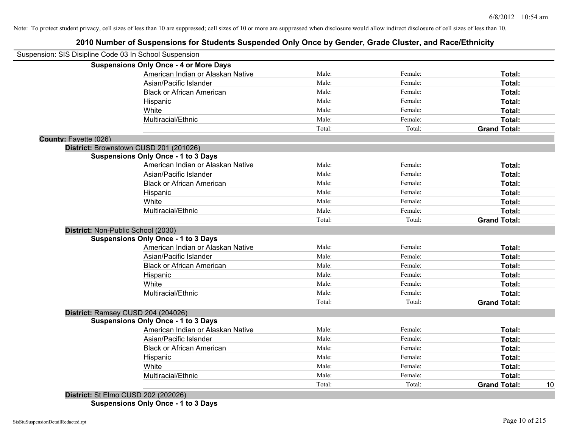## **2010 Number of Suspensions for Students Suspended Only Once by Gender, Grade Cluster, and Race/Ethnicity**

| Suspension: SIS Disipline Code 03 In School Suspension |                                                                                                                                                                                                                                                                                       |        |         |                     |    |
|--------------------------------------------------------|---------------------------------------------------------------------------------------------------------------------------------------------------------------------------------------------------------------------------------------------------------------------------------------|--------|---------|---------------------|----|
|                                                        | <b>Suspensions Only Once - 4 or More Days</b>                                                                                                                                                                                                                                         |        |         |                     |    |
|                                                        | American Indian or Alaskan Native                                                                                                                                                                                                                                                     | Male:  | Female: | Total:              |    |
|                                                        | Asian/Pacific Islander                                                                                                                                                                                                                                                                | Male:  | Female: | Total:              |    |
|                                                        | <b>Black or African American</b>                                                                                                                                                                                                                                                      | Male:  | Female: | Total:              |    |
|                                                        | Hispanic                                                                                                                                                                                                                                                                              | Male:  | Female: | Total:              |    |
|                                                        | White                                                                                                                                                                                                                                                                                 | Male:  | Female: | Total:              |    |
|                                                        | Multiracial/Ethnic                                                                                                                                                                                                                                                                    | Male:  | Female: | Total:              |    |
|                                                        |                                                                                                                                                                                                                                                                                       | Total: | Total:  | <b>Grand Total:</b> |    |
| County: Fayette (026)                                  |                                                                                                                                                                                                                                                                                       |        |         |                     |    |
|                                                        | District: Brownstown CUSD 201 (201026)                                                                                                                                                                                                                                                |        |         |                     |    |
|                                                        | <b>Suspensions Only Once - 1 to 3 Days</b>                                                                                                                                                                                                                                            |        |         |                     |    |
|                                                        | American Indian or Alaskan Native                                                                                                                                                                                                                                                     | Male:  | Female: | Total:              |    |
|                                                        | Asian/Pacific Islander                                                                                                                                                                                                                                                                | Male:  | Female: | Total:              |    |
|                                                        | <b>Black or African American</b>                                                                                                                                                                                                                                                      | Male:  | Female: | Total:              |    |
|                                                        | Hispanic                                                                                                                                                                                                                                                                              | Male:  | Female: | Total:              |    |
|                                                        | White                                                                                                                                                                                                                                                                                 | Male:  | Female: | Total:              |    |
|                                                        | Multiracial/Ethnic                                                                                                                                                                                                                                                                    | Male:  | Female: | Total:              |    |
|                                                        |                                                                                                                                                                                                                                                                                       | Total: | Total:  | <b>Grand Total:</b> |    |
|                                                        | District: Non-Public School (2030)                                                                                                                                                                                                                                                    |        |         |                     |    |
|                                                        | <b>Suspensions Only Once - 1 to 3 Days</b>                                                                                                                                                                                                                                            |        |         |                     |    |
|                                                        | American Indian or Alaskan Native                                                                                                                                                                                                                                                     | Male:  | Female: | Total:              |    |
|                                                        | Asian/Pacific Islander                                                                                                                                                                                                                                                                | Male:  | Female: | Total:              |    |
|                                                        | <b>Black or African American</b>                                                                                                                                                                                                                                                      | Male:  | Female: | Total:              |    |
|                                                        | Hispanic                                                                                                                                                                                                                                                                              | Male:  | Female: | Total:              |    |
|                                                        | White                                                                                                                                                                                                                                                                                 | Male:  | Female: | Total:              |    |
|                                                        | Multiracial/Ethnic                                                                                                                                                                                                                                                                    | Male:  | Female: | Total:              |    |
|                                                        |                                                                                                                                                                                                                                                                                       | Total: | Total:  | <b>Grand Total:</b> |    |
|                                                        | District: Ramsey CUSD 204 (204026)                                                                                                                                                                                                                                                    |        |         |                     |    |
|                                                        | <b>Suspensions Only Once - 1 to 3 Days</b>                                                                                                                                                                                                                                            |        |         |                     |    |
|                                                        | American Indian or Alaskan Native                                                                                                                                                                                                                                                     | Male:  | Female: | <b>Total:</b>       |    |
|                                                        | Asian/Pacific Islander                                                                                                                                                                                                                                                                | Male:  | Female: | Total:              |    |
|                                                        | <b>Black or African American</b>                                                                                                                                                                                                                                                      | Male:  | Female: | Total:              |    |
|                                                        | Hispanic                                                                                                                                                                                                                                                                              | Male:  | Female: | Total:              |    |
|                                                        | White                                                                                                                                                                                                                                                                                 | Male:  | Female: | Total:              |    |
|                                                        | Multiracial/Ethnic                                                                                                                                                                                                                                                                    | Male:  | Female: | Total:              |    |
|                                                        |                                                                                                                                                                                                                                                                                       | Total: | Total:  | <b>Grand Total:</b> | 10 |
|                                                        | $D_{i}$ $\sim$ $L_{i}$ $\sim$ $L_{i}$ $\sim$ $L_{i}$ $\sim$ $L_{i}$ $\sim$ $L_{i}$ $\sim$ $L_{i}$ $\sim$ $L_{i}$ $\sim$ $L_{i}$ $\sim$ $L_{i}$ $\sim$ $L_{i}$ $\sim$ $L_{i}$ $\sim$ $L_{i}$ $\sim$ $L_{i}$ $\sim$ $L_{i}$ $\sim$ $L_{i}$ $\sim$ $L_{i}$ $\sim$ $L_{i}$ $\sim$ $L_{i}$ |        |         |                     |    |

**District:** St Elmo CUSD 202 (202026) **Suspensions Only Once - 1 to 3 Days**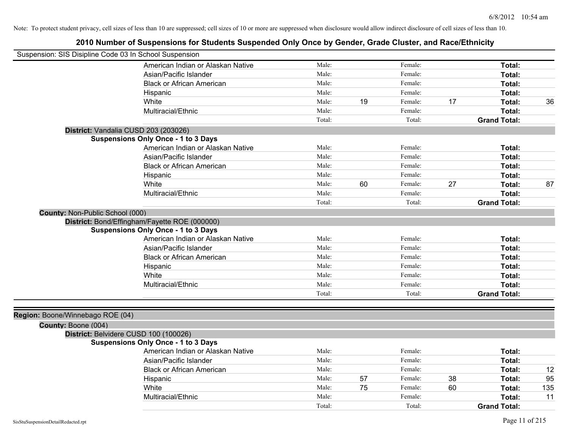| Suspension: SIS Disipline Code 03 In School Suspension |                                               |        |    |         |    |                     |     |
|--------------------------------------------------------|-----------------------------------------------|--------|----|---------|----|---------------------|-----|
|                                                        | American Indian or Alaskan Native             | Male:  |    | Female: |    | Total:              |     |
|                                                        | Asian/Pacific Islander                        | Male:  |    | Female: |    | Total:              |     |
|                                                        | <b>Black or African American</b>              | Male:  |    | Female: |    | Total:              |     |
|                                                        | Hispanic                                      | Male:  |    | Female: |    | Total:              |     |
|                                                        | White                                         | Male:  | 19 | Female: | 17 | Total:              | 36  |
|                                                        | Multiracial/Ethnic                            | Male:  |    | Female: |    | Total:              |     |
|                                                        |                                               | Total: |    | Total:  |    | <b>Grand Total:</b> |     |
| District: Vandalia CUSD 203 (203026)                   |                                               |        |    |         |    |                     |     |
|                                                        | <b>Suspensions Only Once - 1 to 3 Days</b>    |        |    |         |    |                     |     |
|                                                        | American Indian or Alaskan Native             | Male:  |    | Female: |    | Total:              |     |
|                                                        | Asian/Pacific Islander                        | Male:  |    | Female: |    | Total:              |     |
|                                                        | <b>Black or African American</b>              | Male:  |    | Female: |    | Total:              |     |
|                                                        | Hispanic                                      | Male:  |    | Female: |    | Total:              |     |
|                                                        | White                                         | Male:  | 60 | Female: | 27 | Total:              | 87  |
|                                                        | Multiracial/Ethnic                            | Male:  |    | Female: |    | Total:              |     |
|                                                        |                                               | Total: |    | Total:  |    | <b>Grand Total:</b> |     |
| County: Non-Public School (000)                        |                                               |        |    |         |    |                     |     |
|                                                        | District: Bond/Effingham/Fayette ROE (000000) |        |    |         |    |                     |     |
|                                                        | <b>Suspensions Only Once - 1 to 3 Days</b>    |        |    |         |    |                     |     |
|                                                        | American Indian or Alaskan Native             | Male:  |    | Female: |    | Total:              |     |
|                                                        | Asian/Pacific Islander                        | Male:  |    | Female: |    | Total:              |     |
|                                                        | <b>Black or African American</b>              | Male:  |    | Female: |    | Total:              |     |
|                                                        | Hispanic                                      | Male:  |    | Female: |    | Total:              |     |
|                                                        | White                                         | Male:  |    | Female: |    | Total:              |     |
|                                                        | Multiracial/Ethnic                            | Male:  |    | Female: |    | Total:              |     |
|                                                        |                                               | Total: |    | Total:  |    | <b>Grand Total:</b> |     |
|                                                        |                                               |        |    |         |    |                     |     |
| Region: Boone/Winnebago ROE (04)                       |                                               |        |    |         |    |                     |     |
| County: Boone (004)                                    |                                               |        |    |         |    |                     |     |
| District: Belvidere CUSD 100 (100026)                  |                                               |        |    |         |    |                     |     |
|                                                        | <b>Suspensions Only Once - 1 to 3 Days</b>    |        |    |         |    |                     |     |
|                                                        | American Indian or Alaskan Native             | Male:  |    | Female: |    | Total:              |     |
|                                                        | Asian/Pacific Islander                        | Male:  |    | Female: |    | Total:              |     |
|                                                        | <b>Black or African American</b>              | Male:  |    | Female: |    | Total:              | 12  |
|                                                        | Hispanic                                      | Male:  | 57 | Female: | 38 | Total:              | 95  |
|                                                        | White                                         | Male:  | 75 | Female: | 60 | Total:              | 135 |
|                                                        | Multiracial/Ethnic                            | Male:  |    | Female: |    | Total:              | 11  |
|                                                        |                                               | Total: |    | Total:  |    | <b>Grand Total:</b> |     |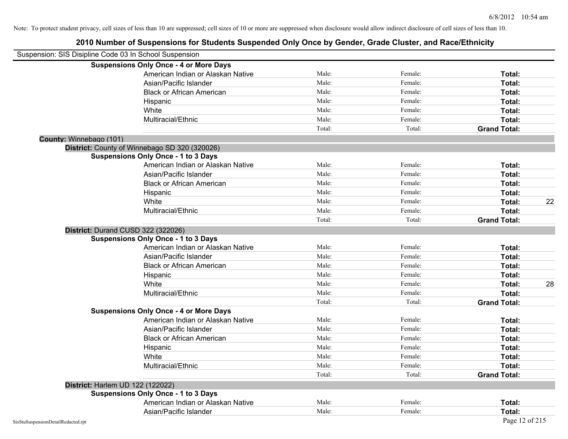|                                    | Suspension: SIS Disipline Code 03 In School Suspension |        |         |                     |    |
|------------------------------------|--------------------------------------------------------|--------|---------|---------------------|----|
|                                    | <b>Suspensions Only Once - 4 or More Days</b>          |        |         |                     |    |
|                                    | American Indian or Alaskan Native                      | Male:  | Female: | Total:              |    |
|                                    | Asian/Pacific Islander                                 | Male:  | Female: | Total:              |    |
|                                    | <b>Black or African American</b>                       | Male:  | Female: | Total:              |    |
|                                    | Hispanic                                               | Male:  | Female: | Total:              |    |
|                                    | White                                                  | Male:  | Female: | Total:              |    |
|                                    | Multiracial/Ethnic                                     | Male:  | Female: | Total:              |    |
|                                    |                                                        | Total: | Total:  | <b>Grand Total:</b> |    |
| County: Winnebago (101)            |                                                        |        |         |                     |    |
|                                    | District: County of Winnebago SD 320 (320026)          |        |         |                     |    |
|                                    | <b>Suspensions Only Once - 1 to 3 Days</b>             |        |         |                     |    |
|                                    | American Indian or Alaskan Native                      | Male:  | Female: | Total:              |    |
|                                    | Asian/Pacific Islander                                 | Male:  | Female: | Total:              |    |
|                                    | <b>Black or African American</b>                       | Male:  | Female: | Total:              |    |
|                                    | Hispanic                                               | Male:  | Female: | Total:              |    |
|                                    | White                                                  | Male:  | Female: | Total:              | 22 |
|                                    | Multiracial/Ethnic                                     | Male:  | Female: | Total:              |    |
|                                    |                                                        | Total: | Total:  | <b>Grand Total:</b> |    |
|                                    | District: Durand CUSD 322 (322026)                     |        |         |                     |    |
|                                    | <b>Suspensions Only Once - 1 to 3 Days</b>             |        |         |                     |    |
|                                    | American Indian or Alaskan Native                      | Male:  | Female: | Total:              |    |
|                                    | Asian/Pacific Islander                                 | Male:  | Female: | Total:              |    |
|                                    | <b>Black or African American</b>                       | Male:  | Female: | Total:              |    |
|                                    | Hispanic                                               | Male:  | Female: | Total:              |    |
|                                    | White                                                  | Male:  | Female: | Total:              | 28 |
|                                    | Multiracial/Ethnic                                     | Male:  | Female: | Total:              |    |
|                                    |                                                        | Total: | Total:  | <b>Grand Total:</b> |    |
|                                    | <b>Suspensions Only Once - 4 or More Days</b>          |        |         |                     |    |
|                                    | American Indian or Alaskan Native                      | Male:  | Female: | Total:              |    |
|                                    | Asian/Pacific Islander                                 | Male:  | Female: | Total:              |    |
|                                    | <b>Black or African American</b>                       | Male:  | Female: | Total:              |    |
|                                    | Hispanic                                               | Male:  | Female: | Total:              |    |
|                                    | White                                                  | Male:  | Female: | Total:              |    |
|                                    | Multiracial/Ethnic                                     | Male:  | Female: | Total:              |    |
|                                    |                                                        | Total: | Total:  | <b>Grand Total:</b> |    |
|                                    | District: Harlem UD 122 (122022)                       |        |         |                     |    |
|                                    | <b>Suspensions Only Once - 1 to 3 Days</b>             |        |         |                     |    |
|                                    | American Indian or Alaskan Native                      | Male:  | Female: | Total:              |    |
|                                    | Asian/Pacific Islander                                 | Male:  | Female: | Total:              |    |
| SisStuSuspensionDetailRedacted.rpt |                                                        |        |         | Page 12 of 215      |    |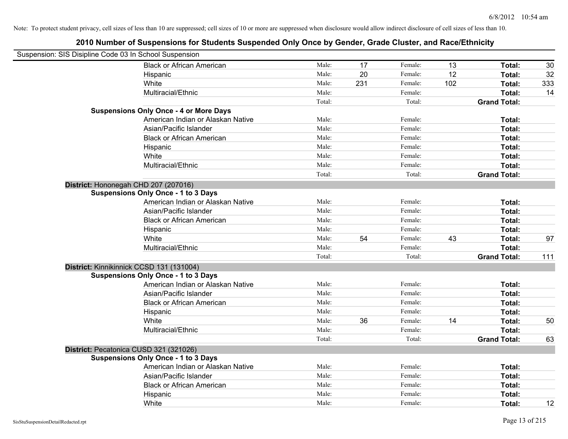| Suspension: SIS Disipline Code 03 In School Suspension |        |     |         |     |                     |     |
|--------------------------------------------------------|--------|-----|---------|-----|---------------------|-----|
| <b>Black or African American</b>                       | Male:  | 17  | Female: | 13  | Total:              | 30  |
| Hispanic                                               | Male:  | 20  | Female: | 12  | Total:              | 32  |
| White                                                  | Male:  | 231 | Female: | 102 | Total:              | 333 |
| Multiracial/Ethnic                                     | Male:  |     | Female: |     | Total:              | 14  |
|                                                        | Total: |     | Total:  |     | <b>Grand Total:</b> |     |
| <b>Suspensions Only Once - 4 or More Days</b>          |        |     |         |     |                     |     |
| American Indian or Alaskan Native                      | Male:  |     | Female: |     | Total:              |     |
| Asian/Pacific Islander                                 | Male:  |     | Female: |     | Total:              |     |
| <b>Black or African American</b>                       | Male:  |     | Female: |     | Total:              |     |
| Hispanic                                               | Male:  |     | Female: |     | Total:              |     |
| White                                                  | Male:  |     | Female: |     | Total:              |     |
| Multiracial/Ethnic                                     | Male:  |     | Female: |     | Total:              |     |
|                                                        | Total: |     | Total:  |     | <b>Grand Total:</b> |     |
| District: Hononegah CHD 207 (207016)                   |        |     |         |     |                     |     |
| <b>Suspensions Only Once - 1 to 3 Days</b>             |        |     |         |     |                     |     |
| American Indian or Alaskan Native                      | Male:  |     | Female: |     | Total:              |     |
| Asian/Pacific Islander                                 | Male:  |     | Female: |     | Total:              |     |
| <b>Black or African American</b>                       | Male:  |     | Female: |     | Total:              |     |
| Hispanic                                               | Male:  |     | Female: |     | Total:              |     |
| White                                                  | Male:  | 54  | Female: | 43  | Total:              | 97  |
| Multiracial/Ethnic                                     | Male:  |     | Female: |     | Total:              |     |
|                                                        | Total: |     | Total:  |     | <b>Grand Total:</b> | 111 |
| District: Kinnikinnick CCSD 131 (131004)               |        |     |         |     |                     |     |
| <b>Suspensions Only Once - 1 to 3 Days</b>             |        |     |         |     |                     |     |
| American Indian or Alaskan Native                      | Male:  |     | Female: |     | Total:              |     |
| Asian/Pacific Islander                                 | Male:  |     | Female: |     | Total:              |     |
| <b>Black or African American</b>                       | Male:  |     | Female: |     | Total:              |     |
| Hispanic                                               | Male:  |     | Female: |     | Total:              |     |
| White                                                  | Male:  | 36  | Female: | 14  | Total:              | 50  |
| Multiracial/Ethnic                                     | Male:  |     | Female: |     | Total:              |     |
|                                                        | Total: |     | Total:  |     | <b>Grand Total:</b> | 63  |
| District: Pecatonica CUSD 321 (321026)                 |        |     |         |     |                     |     |
| <b>Suspensions Only Once - 1 to 3 Days</b>             |        |     |         |     |                     |     |
| American Indian or Alaskan Native                      | Male:  |     | Female: |     | Total:              |     |
| Asian/Pacific Islander                                 | Male:  |     | Female: |     | Total:              |     |
| <b>Black or African American</b>                       | Male:  |     | Female: |     | Total:              |     |
| Hispanic                                               | Male:  |     | Female: |     | Total:              |     |
| White                                                  | Male:  |     | Female: |     | Total:              | 12  |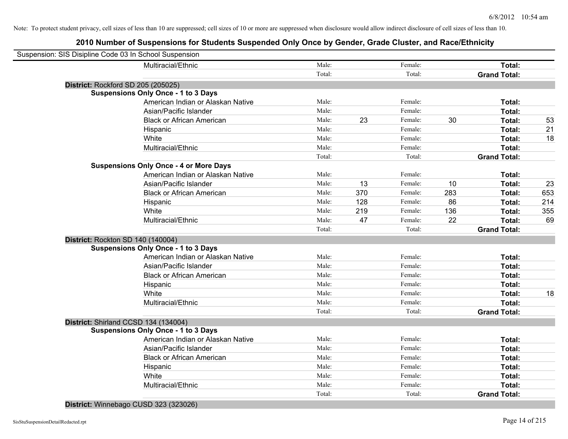## **2010 Number of Suspensions for Students Suspended Only Once by Gender, Grade Cluster, and Race/Ethnicity**

| Suspension: SIS Disipline Code 03 In School Suspension |        |     |         |     |                     |     |
|--------------------------------------------------------|--------|-----|---------|-----|---------------------|-----|
| Multiracial/Ethnic                                     | Male:  |     | Female: |     | Total:              |     |
|                                                        | Total: |     | Total:  |     | <b>Grand Total:</b> |     |
| District: Rockford SD 205 (205025)                     |        |     |         |     |                     |     |
| <b>Suspensions Only Once - 1 to 3 Days</b>             |        |     |         |     |                     |     |
| American Indian or Alaskan Native                      | Male:  |     | Female: |     | Total:              |     |
| Asian/Pacific Islander                                 | Male:  |     | Female: |     | Total:              |     |
| <b>Black or African American</b>                       | Male:  | 23  | Female: | 30  | Total:              | 53  |
| Hispanic                                               | Male:  |     | Female: |     | Total:              | 21  |
| White                                                  | Male:  |     | Female: |     | Total:              | 18  |
| Multiracial/Ethnic                                     | Male:  |     | Female: |     | Total:              |     |
|                                                        | Total: |     | Total:  |     | <b>Grand Total:</b> |     |
| <b>Suspensions Only Once - 4 or More Days</b>          |        |     |         |     |                     |     |
| American Indian or Alaskan Native                      | Male:  |     | Female: |     | Total:              |     |
| Asian/Pacific Islander                                 | Male:  | 13  | Female: | 10  | Total:              | 23  |
| <b>Black or African American</b>                       | Male:  | 370 | Female: | 283 | Total:              | 653 |
| Hispanic                                               | Male:  | 128 | Female: | 86  | Total:              | 214 |
| White                                                  | Male:  | 219 | Female: | 136 | Total:              | 355 |
| Multiracial/Ethnic                                     | Male:  | 47  | Female: | 22  | Total:              | 69  |
|                                                        | Total: |     | Total:  |     | <b>Grand Total:</b> |     |
| District: Rockton SD 140 (140004)                      |        |     |         |     |                     |     |
| <b>Suspensions Only Once - 1 to 3 Days</b>             |        |     |         |     |                     |     |
| American Indian or Alaskan Native                      | Male:  |     | Female: |     | Total:              |     |
| Asian/Pacific Islander                                 | Male:  |     | Female: |     | Total:              |     |
| <b>Black or African American</b>                       | Male:  |     | Female: |     | Total:              |     |
| Hispanic                                               | Male:  |     | Female: |     | Total:              |     |
| White                                                  | Male:  |     | Female: |     | Total:              | 18  |
| Multiracial/Ethnic                                     | Male:  |     | Female: |     | Total:              |     |
|                                                        | Total: |     | Total:  |     | <b>Grand Total:</b> |     |
| District: Shirland CCSD 134 (134004)                   |        |     |         |     |                     |     |
| <b>Suspensions Only Once - 1 to 3 Days</b>             |        |     |         |     |                     |     |
| American Indian or Alaskan Native                      | Male:  |     | Female: |     | Total:              |     |
| Asian/Pacific Islander                                 | Male:  |     | Female: |     | Total:              |     |
| <b>Black or African American</b>                       | Male:  |     | Female: |     | Total:              |     |
| Hispanic                                               | Male:  |     | Female: |     | Total:              |     |
| White                                                  | Male:  |     | Female: |     | Total:              |     |
| Multiracial/Ethnic                                     | Male:  |     | Female: |     | Total:              |     |
|                                                        | Total: |     | Total:  |     | <b>Grand Total:</b> |     |
|                                                        |        |     |         |     |                     |     |

**District:** Winnebago CUSD 323 (323026)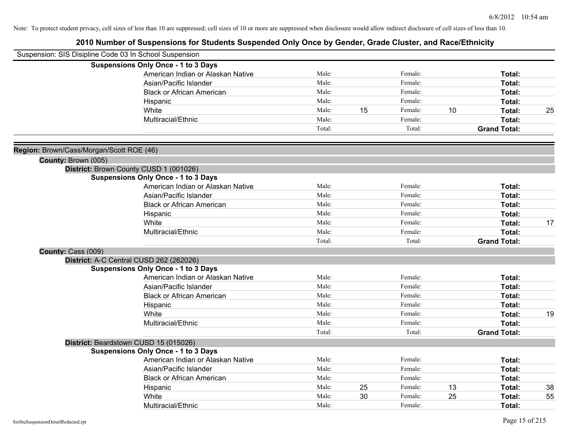| Suspension: SIS Disipline Code 03 In School Suspension          |                                            |        |    |         |    |                     |    |
|-----------------------------------------------------------------|--------------------------------------------|--------|----|---------|----|---------------------|----|
|                                                                 | <b>Suspensions Only Once - 1 to 3 Days</b> |        |    |         |    |                     |    |
|                                                                 | American Indian or Alaskan Native          | Male:  |    | Female: |    | Total:              |    |
|                                                                 | Asian/Pacific Islander                     | Male:  |    | Female: |    | Total:              |    |
|                                                                 | <b>Black or African American</b>           | Male:  |    | Female: |    | Total:              |    |
|                                                                 | Hispanic                                   | Male:  |    | Female: |    | Total:              |    |
|                                                                 | White                                      | Male:  | 15 | Female: | 10 | Total:              | 25 |
|                                                                 | Multiracial/Ethnic                         | Male:  |    | Female: |    | Total:              |    |
|                                                                 |                                            | Total: |    | Total:  |    | <b>Grand Total:</b> |    |
|                                                                 |                                            |        |    |         |    |                     |    |
| Region: Brown/Cass/Morgan/Scott ROE (46)<br>County: Brown (005) |                                            |        |    |         |    |                     |    |
|                                                                 | District: Brown County CUSD 1 (001026)     |        |    |         |    |                     |    |
|                                                                 | <b>Suspensions Only Once - 1 to 3 Days</b> |        |    |         |    |                     |    |
|                                                                 | American Indian or Alaskan Native          | Male:  |    | Female: |    | Total:              |    |
|                                                                 | Asian/Pacific Islander                     | Male:  |    | Female: |    | Total:              |    |
|                                                                 | <b>Black or African American</b>           | Male:  |    | Female: |    | Total:              |    |
|                                                                 | Hispanic                                   | Male:  |    | Female: |    | Total:              |    |
|                                                                 | White                                      | Male:  |    | Female: |    | Total:              | 17 |
|                                                                 | Multiracial/Ethnic                         | Male:  |    | Female: |    | Total:              |    |
|                                                                 |                                            | Total: |    | Total:  |    | <b>Grand Total:</b> |    |
| County: Cass (009)                                              |                                            |        |    |         |    |                     |    |
|                                                                 | District: A-C Central CUSD 262 (262026)    |        |    |         |    |                     |    |
|                                                                 | <b>Suspensions Only Once - 1 to 3 Days</b> |        |    |         |    |                     |    |
|                                                                 | American Indian or Alaskan Native          | Male:  |    | Female: |    | Total:              |    |
|                                                                 | Asian/Pacific Islander                     | Male:  |    | Female: |    | Total:              |    |
|                                                                 | <b>Black or African American</b>           | Male:  |    | Female: |    | Total:              |    |
|                                                                 | Hispanic                                   | Male:  |    | Female: |    | <b>Total:</b>       |    |
|                                                                 | White                                      | Male:  |    | Female: |    | Total:              | 19 |
|                                                                 | Multiracial/Ethnic                         | Male:  |    | Female: |    | Total:              |    |
|                                                                 |                                            | Total: |    | Total:  |    | <b>Grand Total:</b> |    |
|                                                                 | District: Beardstown CUSD 15 (015026)      |        |    |         |    |                     |    |
|                                                                 | <b>Suspensions Only Once - 1 to 3 Days</b> |        |    |         |    |                     |    |
|                                                                 | American Indian or Alaskan Native          | Male:  |    | Female: |    | Total:              |    |
|                                                                 | Asian/Pacific Islander                     | Male:  |    | Female: |    | Total:              |    |
|                                                                 | <b>Black or African American</b>           | Male:  |    | Female: |    | Total:              |    |
|                                                                 | Hispanic                                   | Male:  | 25 | Female: | 13 | <b>Total:</b>       | 38 |
|                                                                 | White                                      | Male:  | 30 | Female: | 25 | <b>Total:</b>       | 55 |
|                                                                 | Multiracial/Ethnic                         | Male:  |    | Female: |    | Total:              |    |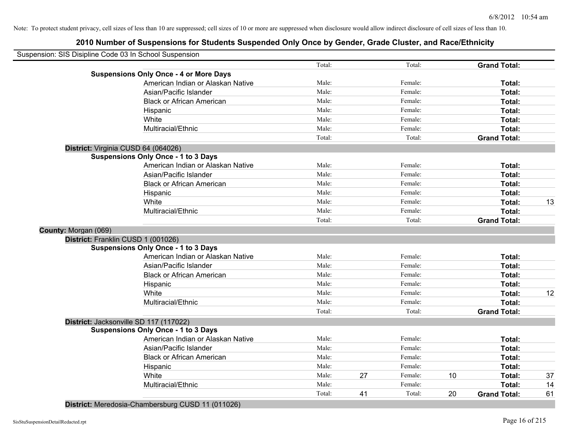## **2010 Number of Suspensions for Students Suspended Only Once by Gender, Grade Cluster, and Race/Ethnicity**

| Suspension: SIS Disipline Code 03 In School Suspension |                                               |        |    |         |    |                     |    |
|--------------------------------------------------------|-----------------------------------------------|--------|----|---------|----|---------------------|----|
|                                                        |                                               | Total: |    | Total:  |    | <b>Grand Total:</b> |    |
|                                                        | <b>Suspensions Only Once - 4 or More Days</b> |        |    |         |    |                     |    |
|                                                        | American Indian or Alaskan Native             | Male:  |    | Female: |    | Total:              |    |
|                                                        | Asian/Pacific Islander                        | Male:  |    | Female: |    | Total:              |    |
|                                                        | <b>Black or African American</b>              | Male:  |    | Female: |    | <b>Total:</b>       |    |
|                                                        | Hispanic                                      | Male:  |    | Female: |    | Total:              |    |
|                                                        | White                                         | Male:  |    | Female: |    | Total:              |    |
|                                                        | Multiracial/Ethnic                            | Male:  |    | Female: |    | Total:              |    |
|                                                        |                                               | Total: |    | Total:  |    | <b>Grand Total:</b> |    |
|                                                        | District: Virginia CUSD 64 (064026)           |        |    |         |    |                     |    |
|                                                        | <b>Suspensions Only Once - 1 to 3 Days</b>    |        |    |         |    |                     |    |
|                                                        | American Indian or Alaskan Native             | Male:  |    | Female: |    | Total:              |    |
|                                                        | Asian/Pacific Islander                        | Male:  |    | Female: |    | Total:              |    |
|                                                        | <b>Black or African American</b>              | Male:  |    | Female: |    | Total:              |    |
|                                                        | Hispanic                                      | Male:  |    | Female: |    | Total:              |    |
|                                                        | White                                         | Male:  |    | Female: |    | Total:              | 13 |
|                                                        | Multiracial/Ethnic                            | Male:  |    | Female: |    | Total:              |    |
|                                                        |                                               | Total: |    | Total:  |    | <b>Grand Total:</b> |    |
| County: Morgan (069)                                   |                                               |        |    |         |    |                     |    |
|                                                        | District: Franklin CUSD 1 (001026)            |        |    |         |    |                     |    |
|                                                        | <b>Suspensions Only Once - 1 to 3 Days</b>    |        |    |         |    |                     |    |
|                                                        | American Indian or Alaskan Native             | Male:  |    | Female: |    | Total:              |    |
|                                                        | Asian/Pacific Islander                        | Male:  |    | Female: |    | Total:              |    |
|                                                        | <b>Black or African American</b>              | Male:  |    | Female: |    | Total:              |    |
|                                                        | Hispanic                                      | Male:  |    | Female: |    | Total:              |    |
|                                                        | White                                         | Male:  |    | Female: |    | Total:              | 12 |
|                                                        | Multiracial/Ethnic                            | Male:  |    | Female: |    | Total:              |    |
|                                                        |                                               | Total: |    | Total:  |    | <b>Grand Total:</b> |    |
|                                                        | District: Jacksonville SD 117 (117022)        |        |    |         |    |                     |    |
|                                                        | <b>Suspensions Only Once - 1 to 3 Days</b>    |        |    |         |    |                     |    |
|                                                        | American Indian or Alaskan Native             | Male:  |    | Female: |    | Total:              |    |
|                                                        | Asian/Pacific Islander                        | Male:  |    | Female: |    | Total:              |    |
|                                                        | <b>Black or African American</b>              | Male:  |    | Female: |    | Total:              |    |
|                                                        | Hispanic                                      | Male:  |    | Female: |    | Total:              |    |
|                                                        | White                                         | Male:  | 27 | Female: | 10 | Total:              | 37 |
|                                                        | Multiracial/Ethnic                            | Male:  |    | Female: |    | <b>Total:</b>       | 14 |
|                                                        |                                               | Total: | 41 | Total:  | 20 | <b>Grand Total:</b> | 61 |
|                                                        |                                               |        |    |         |    |                     |    |

**District:** Meredosia-Chambersburg CUSD 11 (011026)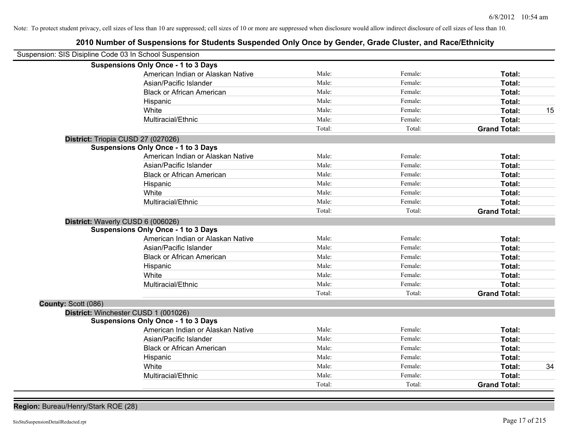## **2010 Number of Suspensions for Students Suspended Only Once by Gender, Grade Cluster, and Race/Ethnicity**

| Suspension: SIS Disipline Code 03 In School Suspension |                                            |        |         |                     |    |
|--------------------------------------------------------|--------------------------------------------|--------|---------|---------------------|----|
|                                                        | <b>Suspensions Only Once - 1 to 3 Days</b> |        |         |                     |    |
|                                                        | American Indian or Alaskan Native          | Male:  | Female: | Total:              |    |
|                                                        | Asian/Pacific Islander                     | Male:  | Female: | Total:              |    |
|                                                        | <b>Black or African American</b>           | Male:  | Female: | Total:              |    |
|                                                        | Hispanic                                   | Male:  | Female: | Total:              |    |
|                                                        | White                                      | Male:  | Female: | Total:              | 15 |
|                                                        | Multiracial/Ethnic                         | Male:  | Female: | Total:              |    |
|                                                        |                                            | Total: | Total:  | <b>Grand Total:</b> |    |
| District: Triopia CUSD 27 (027026)                     |                                            |        |         |                     |    |
|                                                        | <b>Suspensions Only Once - 1 to 3 Days</b> |        |         |                     |    |
|                                                        | American Indian or Alaskan Native          | Male:  | Female: | Total:              |    |
|                                                        | Asian/Pacific Islander                     | Male:  | Female: | Total:              |    |
|                                                        | <b>Black or African American</b>           | Male:  | Female: | Total:              |    |
|                                                        | Hispanic                                   | Male:  | Female: | Total:              |    |
|                                                        | White                                      | Male:  | Female: | Total:              |    |
|                                                        | Multiracial/Ethnic                         | Male:  | Female: | Total:              |    |
|                                                        |                                            | Total: | Total:  | <b>Grand Total:</b> |    |
| District: Waverly CUSD 6 (006026)                      |                                            |        |         |                     |    |
|                                                        | <b>Suspensions Only Once - 1 to 3 Days</b> |        |         |                     |    |
|                                                        | American Indian or Alaskan Native          | Male:  | Female: | Total:              |    |
|                                                        | Asian/Pacific Islander                     | Male:  | Female: | Total:              |    |
|                                                        | <b>Black or African American</b>           | Male:  | Female: | Total:              |    |
|                                                        | Hispanic                                   | Male:  | Female: | Total:              |    |
|                                                        | White                                      | Male:  | Female: | Total:              |    |
|                                                        | Multiracial/Ethnic                         | Male:  | Female: | Total:              |    |
|                                                        |                                            | Total: | Total:  | <b>Grand Total:</b> |    |
| County: Scott (086)                                    |                                            |        |         |                     |    |
| District: Winchester CUSD 1 (001026)                   |                                            |        |         |                     |    |
|                                                        | <b>Suspensions Only Once - 1 to 3 Days</b> |        |         |                     |    |
|                                                        | American Indian or Alaskan Native          | Male:  | Female: | Total:              |    |
|                                                        | Asian/Pacific Islander                     | Male:  | Female: | Total:              |    |
|                                                        | <b>Black or African American</b>           | Male:  | Female: | Total:              |    |
|                                                        | Hispanic                                   | Male:  | Female: | Total:              |    |
|                                                        | White                                      | Male:  | Female: | Total:              | 34 |
|                                                        | Multiracial/Ethnic                         | Male:  | Female: | Total:              |    |
|                                                        |                                            | Total: | Total:  | <b>Grand Total:</b> |    |

**Region:** Bureau/Henry/Stark ROE (28)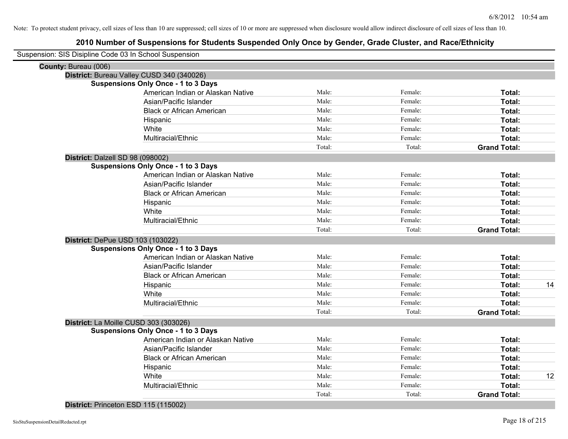|                                  | Suspension: SIS Disipline Code 03 In School Suspension |        |         |                     |    |
|----------------------------------|--------------------------------------------------------|--------|---------|---------------------|----|
| County: Bureau (006)             |                                                        |        |         |                     |    |
|                                  | District: Bureau Valley CUSD 340 (340026)              |        |         |                     |    |
|                                  | <b>Suspensions Only Once - 1 to 3 Days</b>             |        |         |                     |    |
|                                  | American Indian or Alaskan Native                      | Male:  | Female: | Total:              |    |
|                                  | Asian/Pacific Islander                                 | Male:  | Female: | Total:              |    |
|                                  | <b>Black or African American</b>                       | Male:  | Female: | Total:              |    |
|                                  | Hispanic                                               | Male:  | Female: | Total:              |    |
|                                  | White                                                  | Male:  | Female: | Total:              |    |
|                                  | Multiracial/Ethnic                                     | Male:  | Female: | Total:              |    |
|                                  |                                                        | Total: | Total:  | <b>Grand Total:</b> |    |
| District: Dalzell SD 98 (098002) |                                                        |        |         |                     |    |
|                                  | <b>Suspensions Only Once - 1 to 3 Days</b>             |        |         |                     |    |
|                                  | American Indian or Alaskan Native                      | Male:  | Female: | Total:              |    |
|                                  | Asian/Pacific Islander                                 | Male:  | Female: | Total:              |    |
|                                  | <b>Black or African American</b>                       | Male:  | Female: | Total:              |    |
|                                  | Hispanic                                               | Male:  | Female: | Total:              |    |
|                                  | White                                                  | Male:  | Female: | Total:              |    |
|                                  | Multiracial/Ethnic                                     | Male:  | Female: | Total:              |    |
|                                  |                                                        | Total: | Total:  | <b>Grand Total:</b> |    |
|                                  | District: DePue USD 103 (103022)                       |        |         |                     |    |
|                                  | <b>Suspensions Only Once - 1 to 3 Days</b>             |        |         |                     |    |
|                                  | American Indian or Alaskan Native                      | Male:  | Female: | Total:              |    |
|                                  | Asian/Pacific Islander                                 | Male:  | Female: | Total:              |    |
|                                  | <b>Black or African American</b>                       | Male:  | Female: | Total:              |    |
|                                  | Hispanic                                               | Male:  | Female: | Total:              | 14 |
|                                  | White                                                  | Male:  | Female: | Total:              |    |
|                                  | Multiracial/Ethnic                                     | Male:  | Female: | Total:              |    |
|                                  |                                                        | Total: | Total:  | <b>Grand Total:</b> |    |
|                                  | District: La Moille CUSD 303 (303026)                  |        |         |                     |    |
|                                  | <b>Suspensions Only Once - 1 to 3 Days</b>             |        |         |                     |    |
|                                  | American Indian or Alaskan Native                      | Male:  | Female: | Total:              |    |
|                                  | Asian/Pacific Islander                                 | Male:  | Female: | Total:              |    |
|                                  | <b>Black or African American</b>                       | Male:  | Female: | Total:              |    |
|                                  | Hispanic                                               | Male:  | Female: | Total:              |    |
|                                  | White                                                  | Male:  | Female: | Total:              | 12 |
|                                  | Multiracial/Ethnic                                     | Male:  | Female: | Total:              |    |
|                                  |                                                        | Total: | Total:  | <b>Grand Total:</b> |    |
|                                  |                                                        |        |         |                     |    |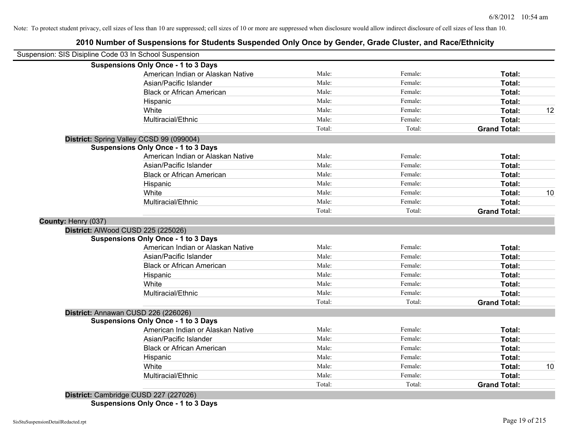## **2010 Number of Suspensions for Students Suspended Only Once by Gender, Grade Cluster, and Race/Ethnicity**

| Suspension: SIS Disipline Code 03 In School Suspension |                                            |        |         |                     |    |
|--------------------------------------------------------|--------------------------------------------|--------|---------|---------------------|----|
|                                                        | <b>Suspensions Only Once - 1 to 3 Days</b> |        |         |                     |    |
|                                                        | American Indian or Alaskan Native          | Male:  | Female: | Total:              |    |
|                                                        | Asian/Pacific Islander                     | Male:  | Female: | Total:              |    |
|                                                        | <b>Black or African American</b>           | Male:  | Female: | Total:              |    |
|                                                        | Hispanic                                   | Male:  | Female: | Total:              |    |
|                                                        | White                                      | Male:  | Female: | Total:              | 12 |
|                                                        | Multiracial/Ethnic                         | Male:  | Female: | Total:              |    |
|                                                        |                                            | Total: | Total:  | <b>Grand Total:</b> |    |
|                                                        | District: Spring Valley CCSD 99 (099004)   |        |         |                     |    |
|                                                        | <b>Suspensions Only Once - 1 to 3 Days</b> |        |         |                     |    |
|                                                        | American Indian or Alaskan Native          | Male:  | Female: | Total:              |    |
|                                                        | Asian/Pacific Islander                     | Male:  | Female: | Total:              |    |
|                                                        | <b>Black or African American</b>           | Male:  | Female: | Total:              |    |
|                                                        | Hispanic                                   | Male:  | Female: | Total:              |    |
|                                                        | White                                      | Male:  | Female: | Total:              | 10 |
|                                                        | Multiracial/Ethnic                         | Male:  | Female: | Total:              |    |
|                                                        |                                            | Total: | Total:  | <b>Grand Total:</b> |    |
| County: Henry (037)                                    |                                            |        |         |                     |    |
|                                                        | District: AlWood CUSD 225 (225026)         |        |         |                     |    |
|                                                        | <b>Suspensions Only Once - 1 to 3 Days</b> |        |         |                     |    |
|                                                        | American Indian or Alaskan Native          | Male:  | Female: | Total:              |    |
|                                                        | Asian/Pacific Islander                     | Male:  | Female: | Total:              |    |
|                                                        | <b>Black or African American</b>           | Male:  | Female: | Total:              |    |
|                                                        | Hispanic                                   | Male:  | Female: | Total:              |    |
|                                                        | White                                      | Male:  | Female: | Total:              |    |
|                                                        | Multiracial/Ethnic                         | Male:  | Female: | Total:              |    |
|                                                        |                                            | Total: | Total:  | <b>Grand Total:</b> |    |
|                                                        | District: Annawan CUSD 226 (226026)        |        |         |                     |    |
|                                                        | <b>Suspensions Only Once - 1 to 3 Days</b> |        |         |                     |    |
|                                                        | American Indian or Alaskan Native          | Male:  | Female: | Total:              |    |
|                                                        | Asian/Pacific Islander                     | Male:  | Female: | Total:              |    |
|                                                        | <b>Black or African American</b>           | Male:  | Female: | Total:              |    |
|                                                        | Hispanic                                   | Male:  | Female: | Total:              |    |
|                                                        | White                                      | Male:  | Female: | <b>Total:</b>       | 10 |
|                                                        | Multiracial/Ethnic                         | Male:  | Female: | <b>Total:</b>       |    |
|                                                        |                                            | Total: | Total:  | <b>Grand Total:</b> |    |
| ------                                                 |                                            |        |         |                     |    |

**District:** Cambridge CUSD 227 (227026) **Suspensions Only Once - 1 to 3 Days**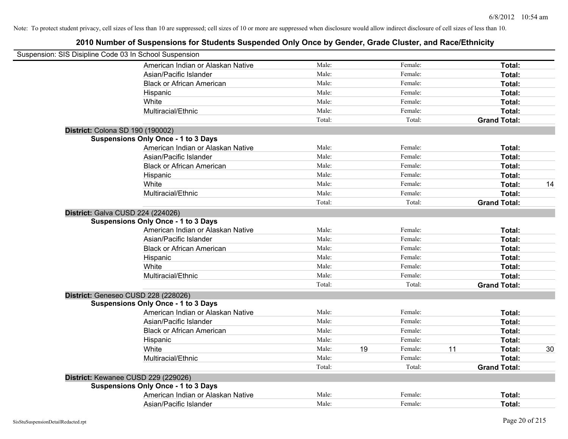| Suspension: SIS Disipline Code 03 In School Suspension |        |    |         |    |                     |    |
|--------------------------------------------------------|--------|----|---------|----|---------------------|----|
| American Indian or Alaskan Native                      | Male:  |    | Female: |    | Total:              |    |
| Asian/Pacific Islander                                 | Male:  |    | Female: |    | Total:              |    |
| <b>Black or African American</b>                       | Male:  |    | Female: |    | Total:              |    |
| Hispanic                                               | Male:  |    | Female: |    | Total:              |    |
| White                                                  | Male:  |    | Female: |    | Total:              |    |
| Multiracial/Ethnic                                     | Male:  |    | Female: |    | Total:              |    |
|                                                        | Total: |    | Total:  |    | <b>Grand Total:</b> |    |
| District: Colona SD 190 (190002)                       |        |    |         |    |                     |    |
| <b>Suspensions Only Once - 1 to 3 Days</b>             |        |    |         |    |                     |    |
| American Indian or Alaskan Native                      | Male:  |    | Female: |    | Total:              |    |
| Asian/Pacific Islander                                 | Male:  |    | Female: |    | Total:              |    |
| <b>Black or African American</b>                       | Male:  |    | Female: |    | Total:              |    |
| Hispanic                                               | Male:  |    | Female: |    | Total:              |    |
| White                                                  | Male:  |    | Female: |    | Total:              | 14 |
| Multiracial/Ethnic                                     | Male:  |    | Female: |    | Total:              |    |
|                                                        | Total: |    | Total:  |    | <b>Grand Total:</b> |    |
| District: Galva CUSD 224 (224026)                      |        |    |         |    |                     |    |
| <b>Suspensions Only Once - 1 to 3 Days</b>             |        |    |         |    |                     |    |
| American Indian or Alaskan Native                      | Male:  |    | Female: |    | Total:              |    |
| Asian/Pacific Islander                                 | Male:  |    | Female: |    | Total:              |    |
| <b>Black or African American</b>                       | Male:  |    | Female: |    | Total:              |    |
| Hispanic                                               | Male:  |    | Female: |    | Total:              |    |
| White                                                  | Male:  |    | Female: |    | Total:              |    |
| Multiracial/Ethnic                                     | Male:  |    | Female: |    | Total:              |    |
|                                                        | Total: |    | Total:  |    | <b>Grand Total:</b> |    |
| District: Geneseo CUSD 228 (228026)                    |        |    |         |    |                     |    |
| <b>Suspensions Only Once - 1 to 3 Days</b>             |        |    |         |    |                     |    |
| American Indian or Alaskan Native                      | Male:  |    | Female: |    | Total:              |    |
| Asian/Pacific Islander                                 | Male:  |    | Female: |    | Total:              |    |
| <b>Black or African American</b>                       | Male:  |    | Female: |    | Total:              |    |
| Hispanic                                               | Male:  |    | Female: |    | Total:              |    |
| White                                                  | Male:  | 19 | Female: | 11 | Total:              | 30 |
| Multiracial/Ethnic                                     | Male:  |    | Female: |    | Total:              |    |
|                                                        | Total: |    | Total:  |    | <b>Grand Total:</b> |    |
| District: Kewanee CUSD 229 (229026)                    |        |    |         |    |                     |    |
| <b>Suspensions Only Once - 1 to 3 Days</b>             |        |    |         |    |                     |    |
| American Indian or Alaskan Native                      | Male:  |    | Female: |    | Total:              |    |
| Asian/Pacific Islander                                 | Male:  |    | Female: |    | Total:              |    |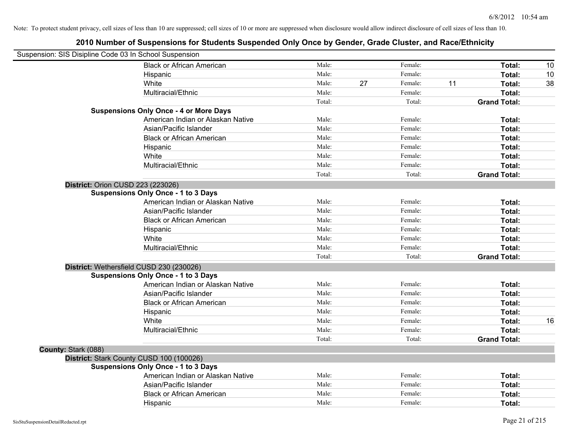| Suspension: SIS Disipline Code 03 In School Suspension |                                               |        |    |         |    |                     |    |
|--------------------------------------------------------|-----------------------------------------------|--------|----|---------|----|---------------------|----|
|                                                        | <b>Black or African American</b>              | Male:  |    | Female: |    | Total:              | 10 |
|                                                        | Hispanic                                      | Male:  |    | Female: |    | Total:              | 10 |
|                                                        | White                                         | Male:  | 27 | Female: | 11 | Total:              | 38 |
|                                                        | Multiracial/Ethnic                            | Male:  |    | Female: |    | Total:              |    |
|                                                        |                                               | Total: |    | Total:  |    | <b>Grand Total:</b> |    |
|                                                        | <b>Suspensions Only Once - 4 or More Days</b> |        |    |         |    |                     |    |
|                                                        | American Indian or Alaskan Native             | Male:  |    | Female: |    | Total:              |    |
|                                                        | Asian/Pacific Islander                        | Male:  |    | Female: |    | Total:              |    |
|                                                        | <b>Black or African American</b>              | Male:  |    | Female: |    | Total:              |    |
|                                                        | Hispanic                                      | Male:  |    | Female: |    | Total:              |    |
|                                                        | White                                         | Male:  |    | Female: |    | Total:              |    |
|                                                        | Multiracial/Ethnic                            | Male:  |    | Female: |    | Total:              |    |
|                                                        |                                               | Total: |    | Total:  |    | <b>Grand Total:</b> |    |
| District: Orion CUSD 223 (223026)                      |                                               |        |    |         |    |                     |    |
|                                                        | <b>Suspensions Only Once - 1 to 3 Days</b>    |        |    |         |    |                     |    |
|                                                        | American Indian or Alaskan Native             | Male:  |    | Female: |    | Total:              |    |
|                                                        | Asian/Pacific Islander                        | Male:  |    | Female: |    | Total:              |    |
|                                                        | <b>Black or African American</b>              | Male:  |    | Female: |    | Total:              |    |
|                                                        | Hispanic                                      | Male:  |    | Female: |    | Total:              |    |
|                                                        | White                                         | Male:  |    | Female: |    | Total:              |    |
|                                                        | Multiracial/Ethnic                            | Male:  |    | Female: |    | Total:              |    |
|                                                        |                                               | Total: |    | Total:  |    | <b>Grand Total:</b> |    |
|                                                        | District: Wethersfield CUSD 230 (230026)      |        |    |         |    |                     |    |
|                                                        | <b>Suspensions Only Once - 1 to 3 Days</b>    |        |    |         |    |                     |    |
|                                                        | American Indian or Alaskan Native             | Male:  |    | Female: |    | Total:              |    |
|                                                        | Asian/Pacific Islander                        | Male:  |    | Female: |    | Total:              |    |
|                                                        | <b>Black or African American</b>              | Male:  |    | Female: |    | Total:              |    |
|                                                        | Hispanic                                      | Male:  |    | Female: |    | Total:              |    |
|                                                        | White                                         | Male:  |    | Female: |    | Total:              | 16 |
|                                                        | Multiracial/Ethnic                            | Male:  |    | Female: |    | Total:              |    |
|                                                        |                                               | Total: |    | Total:  |    | <b>Grand Total:</b> |    |
| County: Stark (088)                                    |                                               |        |    |         |    |                     |    |
|                                                        | District: Stark County CUSD 100 (100026)      |        |    |         |    |                     |    |
|                                                        | <b>Suspensions Only Once - 1 to 3 Days</b>    |        |    |         |    |                     |    |
|                                                        | American Indian or Alaskan Native             | Male:  |    | Female: |    | Total:              |    |
|                                                        | Asian/Pacific Islander                        | Male:  |    | Female: |    | Total:              |    |
|                                                        | <b>Black or African American</b>              | Male:  |    | Female: |    | <b>Total:</b>       |    |
|                                                        | Hispanic                                      | Male:  |    | Female: |    | Total:              |    |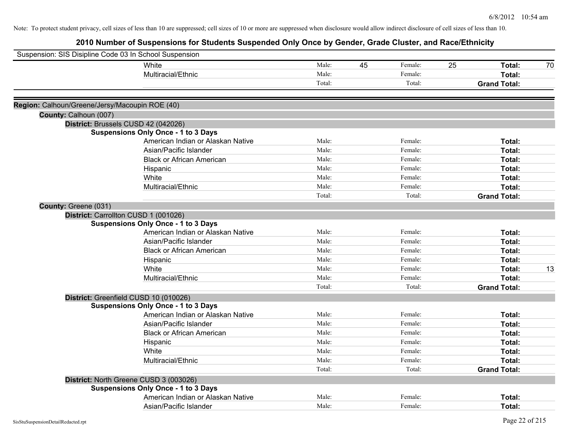| Suspension: SIS Disipline Code 03 In School Suspension |                                            |        |    |         |    |                     |    |
|--------------------------------------------------------|--------------------------------------------|--------|----|---------|----|---------------------|----|
|                                                        | White                                      | Male:  | 45 | Female: | 25 | Total:              | 70 |
|                                                        | Multiracial/Ethnic                         | Male:  |    | Female: |    | Total:              |    |
|                                                        |                                            | Total: |    | Total:  |    | <b>Grand Total:</b> |    |
| Region: Calhoun/Greene/Jersy/Macoupin ROE (40)         |                                            |        |    |         |    |                     |    |
| County: Calhoun (007)                                  |                                            |        |    |         |    |                     |    |
|                                                        | District: Brussels CUSD 42 (042026)        |        |    |         |    |                     |    |
|                                                        | <b>Suspensions Only Once - 1 to 3 Days</b> |        |    |         |    |                     |    |
|                                                        | American Indian or Alaskan Native          | Male:  |    | Female: |    | Total:              |    |
|                                                        | Asian/Pacific Islander                     | Male:  |    | Female: |    | Total:              |    |
|                                                        | <b>Black or African American</b>           | Male:  |    | Female: |    | Total:              |    |
|                                                        | Hispanic                                   | Male:  |    | Female: |    | Total:              |    |
|                                                        | White                                      | Male:  |    | Female: |    | Total:              |    |
|                                                        | Multiracial/Ethnic                         | Male:  |    | Female: |    | Total:              |    |
|                                                        |                                            | Total: |    | Total:  |    | <b>Grand Total:</b> |    |
| County: Greene (031)                                   |                                            |        |    |         |    |                     |    |
|                                                        | District: Carrollton CUSD 1 (001026)       |        |    |         |    |                     |    |
|                                                        | <b>Suspensions Only Once - 1 to 3 Days</b> |        |    |         |    |                     |    |
|                                                        | American Indian or Alaskan Native          | Male:  |    | Female: |    | Total:              |    |
|                                                        | Asian/Pacific Islander                     | Male:  |    | Female: |    | Total:              |    |
|                                                        | <b>Black or African American</b>           | Male:  |    | Female: |    | Total:              |    |
|                                                        | Hispanic                                   | Male:  |    | Female: |    | Total:              |    |
|                                                        | White                                      | Male:  |    | Female: |    | Total:              | 13 |
|                                                        | Multiracial/Ethnic                         | Male:  |    | Female: |    | Total:              |    |
|                                                        |                                            | Total: |    | Total:  |    | <b>Grand Total:</b> |    |
|                                                        | District: Greenfield CUSD 10 (010026)      |        |    |         |    |                     |    |
|                                                        | <b>Suspensions Only Once - 1 to 3 Days</b> |        |    |         |    |                     |    |
|                                                        | American Indian or Alaskan Native          | Male:  |    | Female: |    | Total:              |    |
|                                                        | Asian/Pacific Islander                     | Male:  |    | Female: |    | Total:              |    |
|                                                        | <b>Black or African American</b>           | Male:  |    | Female: |    | Total:              |    |
|                                                        | Hispanic                                   | Male:  |    | Female: |    | Total:              |    |
|                                                        | White                                      | Male:  |    | Female: |    | Total:              |    |
|                                                        | Multiracial/Ethnic                         | Male:  |    | Female: |    | Total:              |    |
|                                                        |                                            | Total: |    | Total:  |    | <b>Grand Total:</b> |    |
|                                                        | District: North Greene CUSD 3 (003026)     |        |    |         |    |                     |    |
|                                                        | <b>Suspensions Only Once - 1 to 3 Days</b> |        |    |         |    |                     |    |
|                                                        | American Indian or Alaskan Native          | Male:  |    | Female: |    | Total:              |    |
|                                                        | Asian/Pacific Islander                     | Male:  |    | Female: |    | Total:              |    |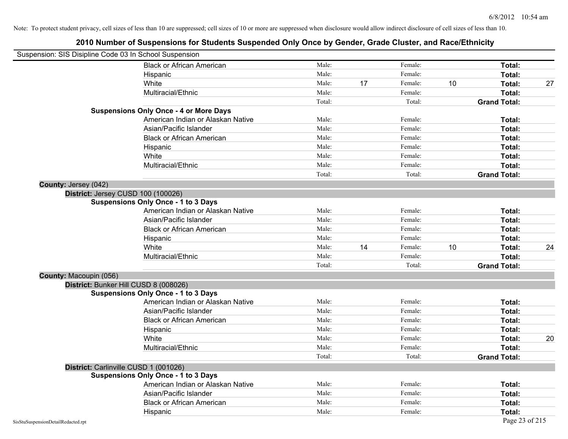| Suspension: SIS Disipline Code 03 In School Suspension |                                               |        |    |         |    |                     |    |
|--------------------------------------------------------|-----------------------------------------------|--------|----|---------|----|---------------------|----|
|                                                        | <b>Black or African American</b>              | Male:  |    | Female: |    | Total:              |    |
|                                                        | Hispanic                                      | Male:  |    | Female: |    | Total:              |    |
|                                                        | White                                         | Male:  | 17 | Female: | 10 | Total:              | 27 |
|                                                        | Multiracial/Ethnic                            | Male:  |    | Female: |    | Total:              |    |
|                                                        |                                               | Total: |    | Total:  |    | <b>Grand Total:</b> |    |
|                                                        | <b>Suspensions Only Once - 4 or More Days</b> |        |    |         |    |                     |    |
|                                                        | American Indian or Alaskan Native             | Male:  |    | Female: |    | Total:              |    |
|                                                        | Asian/Pacific Islander                        | Male:  |    | Female: |    | Total:              |    |
|                                                        | <b>Black or African American</b>              | Male:  |    | Female: |    | Total:              |    |
|                                                        | Hispanic                                      | Male:  |    | Female: |    | Total:              |    |
|                                                        | White                                         | Male:  |    | Female: |    | Total:              |    |
|                                                        | Multiracial/Ethnic                            | Male:  |    | Female: |    | Total:              |    |
|                                                        |                                               | Total: |    | Total:  |    | <b>Grand Total:</b> |    |
| County: Jersey (042)                                   |                                               |        |    |         |    |                     |    |
|                                                        | District: Jersey CUSD 100 (100026)            |        |    |         |    |                     |    |
|                                                        | <b>Suspensions Only Once - 1 to 3 Days</b>    |        |    |         |    |                     |    |
|                                                        | American Indian or Alaskan Native             | Male:  |    | Female: |    | Total:              |    |
|                                                        | Asian/Pacific Islander                        | Male:  |    | Female: |    | Total:              |    |
|                                                        | <b>Black or African American</b>              | Male:  |    | Female: |    | Total:              |    |
|                                                        | Hispanic                                      | Male:  |    | Female: |    | Total:              |    |
|                                                        | White                                         | Male:  | 14 | Female: | 10 | Total:              | 24 |
|                                                        | Multiracial/Ethnic                            | Male:  |    | Female: |    | Total:              |    |
|                                                        |                                               | Total: |    | Total:  |    | <b>Grand Total:</b> |    |
| County: Macoupin (056)                                 |                                               |        |    |         |    |                     |    |
|                                                        | District: Bunker Hill CUSD 8 (008026)         |        |    |         |    |                     |    |
|                                                        | <b>Suspensions Only Once - 1 to 3 Days</b>    |        |    |         |    |                     |    |
|                                                        | American Indian or Alaskan Native             | Male:  |    | Female: |    | Total:              |    |
|                                                        | Asian/Pacific Islander                        | Male:  |    | Female: |    | Total:              |    |
|                                                        | <b>Black or African American</b>              | Male:  |    | Female: |    | Total:              |    |
|                                                        | Hispanic                                      | Male:  |    | Female: |    | Total:              |    |
|                                                        | White                                         | Male:  |    | Female: |    | Total:              | 20 |
|                                                        | Multiracial/Ethnic                            | Male:  |    | Female: |    | Total:              |    |
|                                                        |                                               | Total: |    | Total:  |    | <b>Grand Total:</b> |    |
|                                                        | District: Carlinville CUSD 1 (001026)         |        |    |         |    |                     |    |
|                                                        | <b>Suspensions Only Once - 1 to 3 Days</b>    |        |    |         |    |                     |    |
|                                                        | American Indian or Alaskan Native             | Male:  |    | Female: |    | Total:              |    |
|                                                        | Asian/Pacific Islander                        | Male:  |    | Female: |    | Total:              |    |
|                                                        | <b>Black or African American</b>              | Male:  |    | Female: |    | Total:              |    |
|                                                        | Hispanic                                      | Male:  |    | Female: |    | Total:              |    |
| SisStuSuspensionDetailRedacted.rpt                     |                                               |        |    |         |    | Page 23 of 215      |    |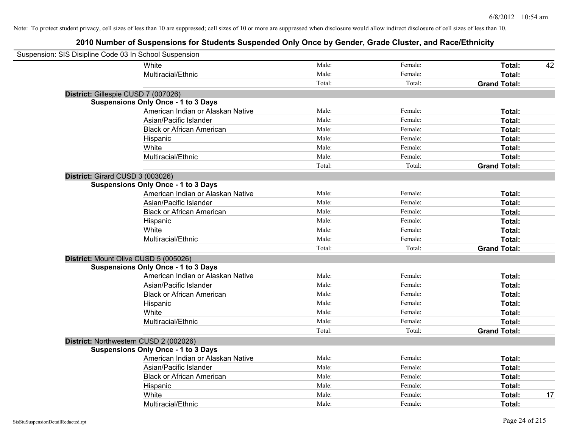| Suspension: SIS Disipline Code 03 In School Suspension |                                            |        |         |                     |    |
|--------------------------------------------------------|--------------------------------------------|--------|---------|---------------------|----|
|                                                        | White                                      | Male:  | Female: | Total:              | 42 |
|                                                        | Multiracial/Ethnic                         | Male:  | Female: | <b>Total:</b>       |    |
|                                                        |                                            | Total: | Total:  | <b>Grand Total:</b> |    |
| District: Gillespie CUSD 7 (007026)                    |                                            |        |         |                     |    |
|                                                        | <b>Suspensions Only Once - 1 to 3 Days</b> |        |         |                     |    |
|                                                        | American Indian or Alaskan Native          | Male:  | Female: | Total:              |    |
|                                                        | Asian/Pacific Islander                     | Male:  | Female: | Total:              |    |
|                                                        | <b>Black or African American</b>           | Male:  | Female: | Total:              |    |
|                                                        | Hispanic                                   | Male:  | Female: | Total:              |    |
|                                                        | White                                      | Male:  | Female: | Total:              |    |
|                                                        | Multiracial/Ethnic                         | Male:  | Female: | Total:              |    |
|                                                        |                                            | Total: | Total:  | <b>Grand Total:</b> |    |
| District: Girard CUSD 3 (003026)                       |                                            |        |         |                     |    |
|                                                        | <b>Suspensions Only Once - 1 to 3 Days</b> |        |         |                     |    |
|                                                        | American Indian or Alaskan Native          | Male:  | Female: | Total:              |    |
|                                                        | Asian/Pacific Islander                     | Male:  | Female: | Total:              |    |
|                                                        | <b>Black or African American</b>           | Male:  | Female: | Total:              |    |
|                                                        | Hispanic                                   | Male:  | Female: | Total:              |    |
|                                                        | White                                      | Male:  | Female: | Total:              |    |
|                                                        | Multiracial/Ethnic                         | Male:  | Female: | Total:              |    |
|                                                        |                                            | Total: | Total:  | <b>Grand Total:</b> |    |
| District: Mount Olive CUSD 5 (005026)                  |                                            |        |         |                     |    |
|                                                        | <b>Suspensions Only Once - 1 to 3 Days</b> |        |         |                     |    |
|                                                        | American Indian or Alaskan Native          | Male:  | Female: | Total:              |    |
|                                                        | Asian/Pacific Islander                     | Male:  | Female: | Total:              |    |
|                                                        | <b>Black or African American</b>           | Male:  | Female: | Total:              |    |
|                                                        | Hispanic                                   | Male:  | Female: | Total:              |    |
|                                                        | White                                      | Male:  | Female: | Total:              |    |
|                                                        | Multiracial/Ethnic                         | Male:  | Female: | Total:              |    |
|                                                        |                                            | Total: | Total:  | <b>Grand Total:</b> |    |
|                                                        | District: Northwestern CUSD 2 (002026)     |        |         |                     |    |
|                                                        | <b>Suspensions Only Once - 1 to 3 Days</b> |        |         |                     |    |
|                                                        | American Indian or Alaskan Native          | Male:  | Female: | Total:              |    |
|                                                        | Asian/Pacific Islander                     | Male:  | Female: | Total:              |    |
|                                                        | <b>Black or African American</b>           | Male:  | Female: | Total:              |    |
|                                                        | Hispanic                                   | Male:  | Female: | Total:              |    |
|                                                        | White                                      | Male:  | Female: | Total:              | 17 |
|                                                        | Multiracial/Ethnic                         | Male:  | Female: | Total:              |    |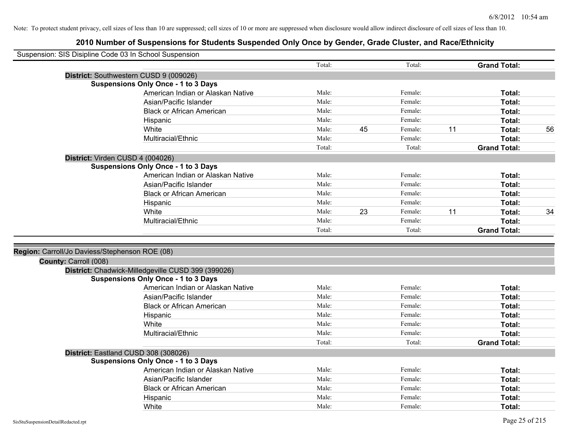|                                                | Suspension: SIS Disipline Code 03 In School Suspension |        |    |         |    |                     |    |
|------------------------------------------------|--------------------------------------------------------|--------|----|---------|----|---------------------|----|
|                                                |                                                        | Total: |    | Total:  |    | <b>Grand Total:</b> |    |
|                                                | District: Southwestern CUSD 9 (009026)                 |        |    |         |    |                     |    |
|                                                | <b>Suspensions Only Once - 1 to 3 Days</b>             |        |    |         |    |                     |    |
|                                                | American Indian or Alaskan Native                      | Male:  |    | Female: |    | Total:              |    |
|                                                | Asian/Pacific Islander                                 | Male:  |    | Female: |    | Total:              |    |
|                                                | <b>Black or African American</b>                       | Male:  |    | Female: |    | Total:              |    |
|                                                | Hispanic                                               | Male:  |    | Female: |    | Total:              |    |
|                                                | White                                                  | Male:  | 45 | Female: | 11 | Total:              | 56 |
|                                                | Multiracial/Ethnic                                     | Male:  |    | Female: |    | Total:              |    |
|                                                |                                                        | Total: |    | Total:  |    | <b>Grand Total:</b> |    |
|                                                | District: Virden CUSD 4 (004026)                       |        |    |         |    |                     |    |
|                                                | <b>Suspensions Only Once - 1 to 3 Days</b>             |        |    |         |    |                     |    |
|                                                | American Indian or Alaskan Native                      | Male:  |    | Female: |    | Total:              |    |
|                                                | Asian/Pacific Islander                                 | Male:  |    | Female: |    | Total:              |    |
|                                                | <b>Black or African American</b>                       | Male:  |    | Female: |    | Total:              |    |
|                                                | Hispanic                                               | Male:  |    | Female: |    | Total:              |    |
|                                                | White                                                  | Male:  | 23 | Female: | 11 | Total:              | 34 |
|                                                | Multiracial/Ethnic                                     | Male:  |    | Female: |    | Total:              |    |
|                                                |                                                        | Total: |    | Total:  |    | <b>Grand Total:</b> |    |
|                                                |                                                        |        |    |         |    |                     |    |
| Region: Carroll/Jo Daviess/Stephenson ROE (08) |                                                        |        |    |         |    |                     |    |
| County: Carroll (008)                          |                                                        |        |    |         |    |                     |    |
|                                                | District: Chadwick-Milledgeville CUSD 399 (399026)     |        |    |         |    |                     |    |
|                                                | <b>Suspensions Only Once - 1 to 3 Days</b>             |        |    |         |    |                     |    |
|                                                | American Indian or Alaskan Native                      | Male:  |    | Female: |    | Total:              |    |
|                                                | Asian/Pacific Islander                                 | Male:  |    | Female: |    | Total:              |    |
|                                                | <b>Black or African American</b>                       | Male:  |    | Female: |    | Total:              |    |
|                                                | Hispanic                                               | Male:  |    | Female: |    | Total:              |    |
|                                                | White                                                  | Male:  |    | Female: |    | Total:              |    |
|                                                | Multiracial/Ethnic                                     | Male:  |    | Female: |    | Total:              |    |
|                                                |                                                        | Total: |    | Total:  |    | <b>Grand Total:</b> |    |
|                                                | District: Eastland CUSD 308 (308026)                   |        |    |         |    |                     |    |
|                                                | <b>Suspensions Only Once - 1 to 3 Days</b>             |        |    |         |    |                     |    |
|                                                | American Indian or Alaskan Native                      | Male:  |    | Female: |    | Total:              |    |
|                                                | Asian/Pacific Islander                                 | Male:  |    | Female: |    | Total:              |    |
|                                                | <b>Black or African American</b>                       | Male:  |    | Female: |    | Total:              |    |
|                                                | Hispanic                                               | Male:  |    | Female: |    | Total:              |    |
|                                                | White                                                  | Male:  |    | Female: |    | Total:              |    |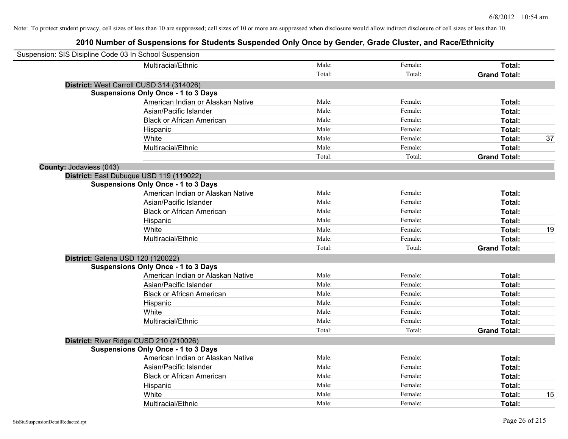| Suspension: SIS Disipline Code 03 In School Suspension |                                            |        |         |                     |    |
|--------------------------------------------------------|--------------------------------------------|--------|---------|---------------------|----|
|                                                        | Multiracial/Ethnic                         | Male:  | Female: | Total:              |    |
|                                                        |                                            | Total: | Total:  | <b>Grand Total:</b> |    |
|                                                        | District: West Carroll CUSD 314 (314026)   |        |         |                     |    |
|                                                        | <b>Suspensions Only Once - 1 to 3 Days</b> |        |         |                     |    |
|                                                        | American Indian or Alaskan Native          | Male:  | Female: | Total:              |    |
|                                                        | Asian/Pacific Islander                     | Male:  | Female: | Total:              |    |
|                                                        | <b>Black or African American</b>           | Male:  | Female: | Total:              |    |
|                                                        | Hispanic                                   | Male:  | Female: | Total:              |    |
|                                                        | White                                      | Male:  | Female: | Total:              | 37 |
|                                                        | Multiracial/Ethnic                         | Male:  | Female: | Total:              |    |
|                                                        |                                            | Total: | Total:  | <b>Grand Total:</b> |    |
| <b>County: Jodaviess (043)</b>                         |                                            |        |         |                     |    |
|                                                        | District: East Dubuque USD 119 (119022)    |        |         |                     |    |
|                                                        | <b>Suspensions Only Once - 1 to 3 Days</b> |        |         |                     |    |
|                                                        | American Indian or Alaskan Native          | Male:  | Female: | Total:              |    |
|                                                        | Asian/Pacific Islander                     | Male:  | Female: | Total:              |    |
|                                                        | <b>Black or African American</b>           | Male:  | Female: | Total:              |    |
|                                                        | Hispanic                                   | Male:  | Female: | Total:              |    |
|                                                        | White                                      | Male:  | Female: | Total:              | 19 |
|                                                        | Multiracial/Ethnic                         | Male:  | Female: | Total:              |    |
|                                                        |                                            | Total: | Total:  | <b>Grand Total:</b> |    |
|                                                        | District: Galena USD 120 (120022)          |        |         |                     |    |
|                                                        | <b>Suspensions Only Once - 1 to 3 Days</b> |        |         |                     |    |
|                                                        | American Indian or Alaskan Native          | Male:  | Female: | Total:              |    |
|                                                        | Asian/Pacific Islander                     | Male:  | Female: | Total:              |    |
|                                                        | <b>Black or African American</b>           | Male:  | Female: | Total:              |    |
|                                                        | Hispanic                                   | Male:  | Female: | Total:              |    |
|                                                        | White                                      | Male:  | Female: | Total:              |    |
|                                                        | Multiracial/Ethnic                         | Male:  | Female: | Total:              |    |
|                                                        |                                            | Total: | Total:  | <b>Grand Total:</b> |    |
|                                                        | District: River Ridge CUSD 210 (210026)    |        |         |                     |    |
|                                                        | <b>Suspensions Only Once - 1 to 3 Days</b> |        |         |                     |    |
|                                                        | American Indian or Alaskan Native          | Male:  | Female: | Total:              |    |
|                                                        | Asian/Pacific Islander                     | Male:  | Female: | Total:              |    |
|                                                        | <b>Black or African American</b>           | Male:  | Female: | Total:              |    |
|                                                        | Hispanic                                   | Male:  | Female: | Total:              |    |
|                                                        | White                                      | Male:  | Female: | Total:              | 15 |
|                                                        | Multiracial/Ethnic                         | Male:  | Female: | Total:              |    |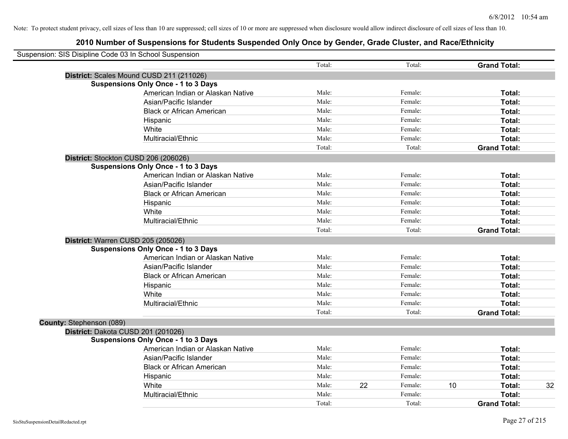| Suspension: SIS Disipline Code 03 In School Suspension |        |    |         |    |                     |    |
|--------------------------------------------------------|--------|----|---------|----|---------------------|----|
|                                                        | Total: |    | Total:  |    | <b>Grand Total:</b> |    |
| District: Scales Mound CUSD 211 (211026)               |        |    |         |    |                     |    |
| <b>Suspensions Only Once - 1 to 3 Days</b>             |        |    |         |    |                     |    |
| American Indian or Alaskan Native                      | Male:  |    | Female: |    | Total:              |    |
| Asian/Pacific Islander                                 | Male:  |    | Female: |    | Total:              |    |
| <b>Black or African American</b>                       | Male:  |    | Female: |    | Total:              |    |
| Hispanic                                               | Male:  |    | Female: |    | Total:              |    |
| White                                                  | Male:  |    | Female: |    | Total:              |    |
| Multiracial/Ethnic                                     | Male:  |    | Female: |    | Total:              |    |
|                                                        | Total: |    | Total:  |    | <b>Grand Total:</b> |    |
| District: Stockton CUSD 206 (206026)                   |        |    |         |    |                     |    |
| <b>Suspensions Only Once - 1 to 3 Days</b>             |        |    |         |    |                     |    |
| American Indian or Alaskan Native                      | Male:  |    | Female: |    | Total:              |    |
| Asian/Pacific Islander                                 | Male:  |    | Female: |    | Total:              |    |
| <b>Black or African American</b>                       | Male:  |    | Female: |    | Total:              |    |
| Hispanic                                               | Male:  |    | Female: |    | Total:              |    |
| White                                                  | Male:  |    | Female: |    | Total:              |    |
| Multiracial/Ethnic                                     | Male:  |    | Female: |    | Total:              |    |
|                                                        | Total: |    | Total:  |    | <b>Grand Total:</b> |    |
| District: Warren CUSD 205 (205026)                     |        |    |         |    |                     |    |
| <b>Suspensions Only Once - 1 to 3 Days</b>             |        |    |         |    |                     |    |
| American Indian or Alaskan Native                      | Male:  |    | Female: |    | Total:              |    |
| Asian/Pacific Islander                                 | Male:  |    | Female: |    | Total:              |    |
| <b>Black or African American</b>                       | Male:  |    | Female: |    | Total:              |    |
| Hispanic                                               | Male:  |    | Female: |    | Total:              |    |
| White                                                  | Male:  |    | Female: |    | Total:              |    |
| Multiracial/Ethnic                                     | Male:  |    | Female: |    | Total:              |    |
|                                                        | Total: |    | Total:  |    | <b>Grand Total:</b> |    |
| County: Stephenson (089)                               |        |    |         |    |                     |    |
| District: Dakota CUSD 201 (201026)                     |        |    |         |    |                     |    |
| <b>Suspensions Only Once - 1 to 3 Days</b>             |        |    |         |    |                     |    |
| American Indian or Alaskan Native                      | Male:  |    | Female: |    | Total:              |    |
| Asian/Pacific Islander                                 | Male:  |    | Female: |    | Total:              |    |
| <b>Black or African American</b>                       | Male:  |    | Female: |    | Total:              |    |
| Hispanic                                               | Male:  |    | Female: |    | Total:              |    |
| White                                                  | Male:  | 22 | Female: | 10 | Total:              | 32 |
| Multiracial/Ethnic                                     | Male:  |    | Female: |    | Total:              |    |
|                                                        | Total: |    | Total:  |    | <b>Grand Total:</b> |    |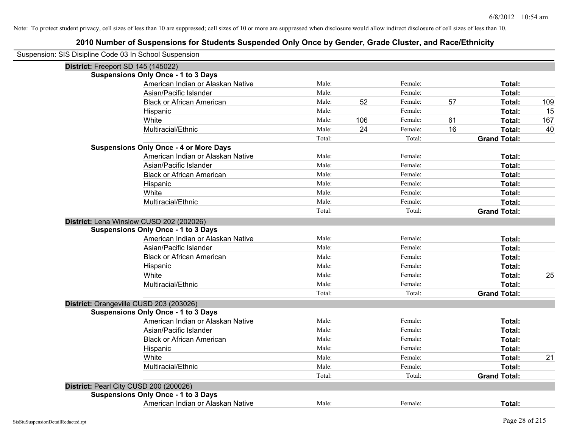| Suspension: SIS Disipline Code 03 In School Suspension |                                               |        |     |         |    |                     |     |
|--------------------------------------------------------|-----------------------------------------------|--------|-----|---------|----|---------------------|-----|
| District: Freeport SD 145 (145022)                     |                                               |        |     |         |    |                     |     |
|                                                        | <b>Suspensions Only Once - 1 to 3 Days</b>    |        |     |         |    |                     |     |
|                                                        | American Indian or Alaskan Native             | Male:  |     | Female: |    | Total:              |     |
|                                                        | Asian/Pacific Islander                        | Male:  |     | Female: |    | Total:              |     |
|                                                        | <b>Black or African American</b>              | Male:  | 52  | Female: | 57 | Total:              | 109 |
|                                                        | Hispanic                                      | Male:  |     | Female: |    | Total:              | 15  |
|                                                        | White                                         | Male:  | 106 | Female: | 61 | Total:              | 167 |
|                                                        | Multiracial/Ethnic                            | Male:  | 24  | Female: | 16 | Total:              | 40  |
|                                                        |                                               | Total: |     | Total:  |    | <b>Grand Total:</b> |     |
|                                                        | <b>Suspensions Only Once - 4 or More Days</b> |        |     |         |    |                     |     |
|                                                        | American Indian or Alaskan Native             | Male:  |     | Female: |    | Total:              |     |
|                                                        | Asian/Pacific Islander                        | Male:  |     | Female: |    | Total:              |     |
|                                                        | <b>Black or African American</b>              | Male:  |     | Female: |    | Total:              |     |
|                                                        | Hispanic                                      | Male:  |     | Female: |    | Total:              |     |
|                                                        | White                                         | Male:  |     | Female: |    | Total:              |     |
|                                                        | Multiracial/Ethnic                            | Male:  |     | Female: |    | Total:              |     |
|                                                        |                                               | Total: |     | Total:  |    | <b>Grand Total:</b> |     |
|                                                        | District: Lena Winslow CUSD 202 (202026)      |        |     |         |    |                     |     |
|                                                        | <b>Suspensions Only Once - 1 to 3 Days</b>    |        |     |         |    |                     |     |
|                                                        | American Indian or Alaskan Native             | Male:  |     | Female: |    | Total:              |     |
|                                                        | Asian/Pacific Islander                        | Male:  |     | Female: |    | Total:              |     |
|                                                        | <b>Black or African American</b>              | Male:  |     | Female: |    | Total:              |     |
|                                                        | Hispanic                                      | Male:  |     | Female: |    | Total:              |     |
|                                                        | White                                         | Male:  |     | Female: |    | Total:              | 25  |
|                                                        | Multiracial/Ethnic                            | Male:  |     | Female: |    | Total:              |     |
|                                                        |                                               | Total: |     | Total:  |    | <b>Grand Total:</b> |     |
|                                                        | District: Orangeville CUSD 203 (203026)       |        |     |         |    |                     |     |
|                                                        | <b>Suspensions Only Once - 1 to 3 Days</b>    |        |     |         |    |                     |     |
|                                                        | American Indian or Alaskan Native             | Male:  |     | Female: |    | Total:              |     |
|                                                        | Asian/Pacific Islander                        | Male:  |     | Female: |    | Total:              |     |
|                                                        | <b>Black or African American</b>              | Male:  |     | Female: |    | Total:              |     |
|                                                        | Hispanic                                      | Male:  |     | Female: |    | Total:              |     |
|                                                        | White                                         | Male:  |     | Female: |    | Total:              | 21  |
|                                                        | Multiracial/Ethnic                            | Male:  |     | Female: |    | Total:              |     |
|                                                        |                                               | Total: |     | Total:  |    | <b>Grand Total:</b> |     |
|                                                        | District: Pearl City CUSD 200 (200026)        |        |     |         |    |                     |     |
|                                                        | <b>Suspensions Only Once - 1 to 3 Days</b>    |        |     |         |    |                     |     |
|                                                        | American Indian or Alaskan Native             | Male:  |     | Female: |    | Total:              |     |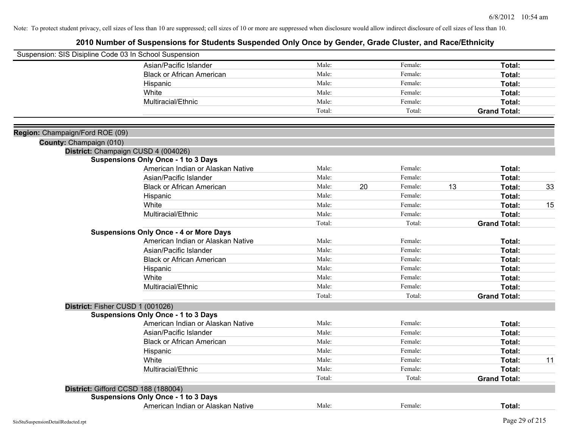| Suspension: SIS Disipline Code 03 In School Suspension |                                               |        |    |         |    |                     |    |
|--------------------------------------------------------|-----------------------------------------------|--------|----|---------|----|---------------------|----|
|                                                        | Asian/Pacific Islander                        | Male:  |    | Female: |    | Total:              |    |
|                                                        | <b>Black or African American</b>              | Male:  |    | Female: |    | Total:              |    |
|                                                        | Hispanic                                      | Male:  |    | Female: |    | Total:              |    |
|                                                        | White                                         | Male:  |    | Female: |    | Total:              |    |
|                                                        | Multiracial/Ethnic                            | Male:  |    | Female: |    | Total:              |    |
|                                                        |                                               | Total: |    | Total:  |    | <b>Grand Total:</b> |    |
|                                                        |                                               |        |    |         |    |                     |    |
| Region: Champaign/Ford ROE (09)                        |                                               |        |    |         |    |                     |    |
| County: Champaign (010)                                |                                               |        |    |         |    |                     |    |
|                                                        | District: Champaign CUSD 4 (004026)           |        |    |         |    |                     |    |
|                                                        | <b>Suspensions Only Once - 1 to 3 Days</b>    |        |    |         |    |                     |    |
|                                                        | American Indian or Alaskan Native             | Male:  |    | Female: |    | Total:              |    |
|                                                        | Asian/Pacific Islander                        | Male:  |    | Female: |    | Total:              |    |
|                                                        | <b>Black or African American</b>              | Male:  | 20 | Female: | 13 | Total:              | 33 |
|                                                        | Hispanic                                      | Male:  |    | Female: |    | Total:              |    |
|                                                        | White                                         | Male:  |    | Female: |    | Total:              | 15 |
|                                                        | Multiracial/Ethnic                            | Male:  |    | Female: |    | Total:              |    |
|                                                        |                                               | Total: |    | Total:  |    | <b>Grand Total:</b> |    |
|                                                        | <b>Suspensions Only Once - 4 or More Days</b> |        |    |         |    |                     |    |
|                                                        | American Indian or Alaskan Native             | Male:  |    | Female: |    | Total:              |    |
|                                                        | Asian/Pacific Islander                        | Male:  |    | Female: |    | Total:              |    |
|                                                        | <b>Black or African American</b>              | Male:  |    | Female: |    | Total:              |    |
|                                                        | Hispanic                                      | Male:  |    | Female: |    | Total:              |    |
|                                                        | White                                         | Male:  |    | Female: |    | Total:              |    |
|                                                        | Multiracial/Ethnic                            | Male:  |    | Female: |    | Total:              |    |
|                                                        |                                               | Total: |    | Total:  |    | <b>Grand Total:</b> |    |
|                                                        | District: Fisher CUSD 1 (001026)              |        |    |         |    |                     |    |
|                                                        | <b>Suspensions Only Once - 1 to 3 Days</b>    |        |    |         |    |                     |    |
|                                                        | American Indian or Alaskan Native             | Male:  |    | Female: |    | Total:              |    |
|                                                        | Asian/Pacific Islander                        | Male:  |    | Female: |    | Total:              |    |
|                                                        | <b>Black or African American</b>              | Male:  |    | Female: |    | Total:              |    |
|                                                        | Hispanic                                      | Male:  |    | Female: |    | Total:              |    |
|                                                        | White                                         | Male:  |    | Female: |    | Total:              | 11 |
|                                                        | Multiracial/Ethnic                            | Male:  |    | Female: |    | Total:              |    |
|                                                        |                                               | Total: |    | Total:  |    | <b>Grand Total:</b> |    |
|                                                        | District: Gifford CCSD 188 (188004)           |        |    |         |    |                     |    |
|                                                        | <b>Suspensions Only Once - 1 to 3 Days</b>    |        |    |         |    |                     |    |
|                                                        | American Indian or Alaskan Native             | Male:  |    | Female: |    | Total:              |    |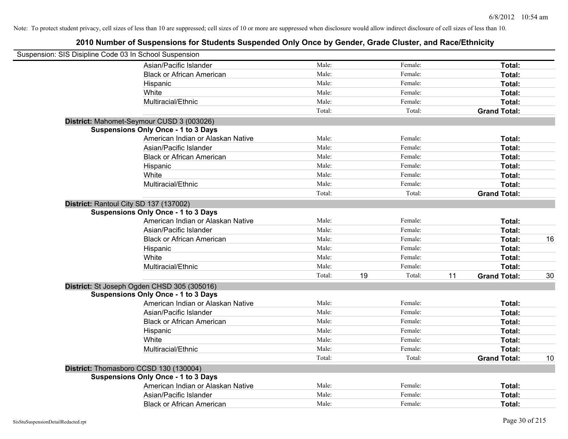| Suspension: SIS Disipline Code 03 In School Suspension |        |              |                           |    |
|--------------------------------------------------------|--------|--------------|---------------------------|----|
| Asian/Pacific Islander                                 | Male:  | Female:      | Total:                    |    |
| <b>Black or African American</b>                       | Male:  | Female:      | Total:                    |    |
| Hispanic                                               | Male:  | Female:      | Total:                    |    |
| White                                                  | Male:  | Female:      | Total:                    |    |
| Multiracial/Ethnic                                     | Male:  | Female:      | Total:                    |    |
|                                                        | Total: | Total:       | <b>Grand Total:</b>       |    |
| District: Mahomet-Seymour CUSD 3 (003026)              |        |              |                           |    |
| <b>Suspensions Only Once - 1 to 3 Days</b>             |        |              |                           |    |
| American Indian or Alaskan Native                      | Male:  | Female:      | Total:                    |    |
| Asian/Pacific Islander                                 | Male:  | Female:      | Total:                    |    |
| <b>Black or African American</b>                       | Male:  | Female:      | Total:                    |    |
| Hispanic                                               | Male:  | Female:      | Total:                    |    |
| White                                                  | Male:  | Female:      | Total:                    |    |
| Multiracial/Ethnic                                     | Male:  | Female:      | Total:                    |    |
|                                                        | Total: | Total:       | <b>Grand Total:</b>       |    |
| District: Rantoul City SD 137 (137002)                 |        |              |                           |    |
| <b>Suspensions Only Once - 1 to 3 Days</b>             |        |              |                           |    |
| American Indian or Alaskan Native                      | Male:  | Female:      | Total:                    |    |
| Asian/Pacific Islander                                 | Male:  | Female:      | Total:                    |    |
| <b>Black or African American</b>                       | Male:  | Female:      | Total:                    | 16 |
| Hispanic                                               | Male:  | Female:      | Total:                    |    |
| White                                                  | Male:  | Female:      | Total:                    |    |
| Multiracial/Ethnic                                     | Male:  | Female:      | Total:                    |    |
|                                                        | Total: | 19<br>Total: | 11<br><b>Grand Total:</b> | 30 |
| District: St Joseph Ogden CHSD 305 (305016)            |        |              |                           |    |
| <b>Suspensions Only Once - 1 to 3 Days</b>             |        |              |                           |    |
| American Indian or Alaskan Native                      | Male:  | Female:      | Total:                    |    |
| Asian/Pacific Islander                                 | Male:  | Female:      | Total:                    |    |
| <b>Black or African American</b>                       | Male:  | Female:      | Total:                    |    |
| Hispanic                                               | Male:  | Female:      | Total:                    |    |
| White                                                  | Male:  | Female:      | Total:                    |    |
| Multiracial/Ethnic                                     | Male:  | Female:      | Total:                    |    |
|                                                        | Total: | Total:       | <b>Grand Total:</b>       | 10 |
| District: Thomasboro CCSD 130 (130004)                 |        |              |                           |    |
| <b>Suspensions Only Once - 1 to 3 Days</b>             |        |              |                           |    |
| American Indian or Alaskan Native                      | Male:  | Female:      | Total:                    |    |
| Asian/Pacific Islander                                 | Male:  | Female:      | Total:                    |    |
| <b>Black or African American</b>                       | Male:  | Female:      | Total:                    |    |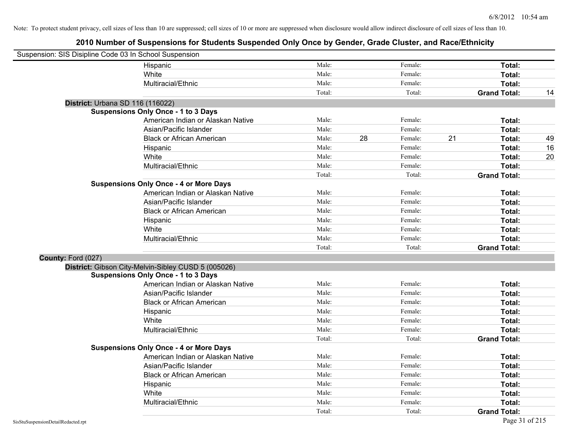| Suspension: SIS Disipline Code 03 In School Suspension |                                                     |        |    |         |    |                     |    |
|--------------------------------------------------------|-----------------------------------------------------|--------|----|---------|----|---------------------|----|
|                                                        | Hispanic                                            | Male:  |    | Female: |    | Total:              |    |
|                                                        | White                                               | Male:  |    | Female: |    | Total:              |    |
|                                                        | Multiracial/Ethnic                                  | Male:  |    | Female: |    | Total:              |    |
|                                                        |                                                     | Total: |    | Total:  |    | <b>Grand Total:</b> | 14 |
| District: Urbana SD 116 (116022)                       |                                                     |        |    |         |    |                     |    |
|                                                        | <b>Suspensions Only Once - 1 to 3 Days</b>          |        |    |         |    |                     |    |
|                                                        | American Indian or Alaskan Native                   | Male:  |    | Female: |    | Total:              |    |
|                                                        | Asian/Pacific Islander                              | Male:  |    | Female: |    | Total:              |    |
|                                                        | <b>Black or African American</b>                    | Male:  | 28 | Female: | 21 | Total:              | 49 |
|                                                        | Hispanic                                            | Male:  |    | Female: |    | Total:              | 16 |
|                                                        | White                                               | Male:  |    | Female: |    | Total:              | 20 |
|                                                        | Multiracial/Ethnic                                  | Male:  |    | Female: |    | Total:              |    |
|                                                        |                                                     | Total: |    | Total:  |    | <b>Grand Total:</b> |    |
|                                                        | <b>Suspensions Only Once - 4 or More Days</b>       |        |    |         |    |                     |    |
|                                                        | American Indian or Alaskan Native                   | Male:  |    | Female: |    | Total:              |    |
|                                                        | Asian/Pacific Islander                              | Male:  |    | Female: |    | Total:              |    |
|                                                        | <b>Black or African American</b>                    | Male:  |    | Female: |    | Total:              |    |
|                                                        | Hispanic                                            | Male:  |    | Female: |    | Total:              |    |
|                                                        | White                                               | Male:  |    | Female: |    | Total:              |    |
|                                                        | Multiracial/Ethnic                                  | Male:  |    | Female: |    | Total:              |    |
|                                                        |                                                     | Total: |    | Total:  |    | <b>Grand Total:</b> |    |
| County: Ford (027)                                     |                                                     |        |    |         |    |                     |    |
|                                                        | District: Gibson City-Melvin-Sibley CUSD 5 (005026) |        |    |         |    |                     |    |
|                                                        | <b>Suspensions Only Once - 1 to 3 Days</b>          |        |    |         |    |                     |    |
|                                                        | American Indian or Alaskan Native                   | Male:  |    | Female: |    | Total:              |    |
|                                                        | Asian/Pacific Islander                              | Male:  |    | Female: |    | Total:              |    |
|                                                        | <b>Black or African American</b>                    | Male:  |    | Female: |    | Total:              |    |
|                                                        | Hispanic                                            | Male:  |    | Female: |    | Total:              |    |
|                                                        | White                                               | Male:  |    | Female: |    | Total:              |    |
|                                                        | Multiracial/Ethnic                                  | Male:  |    | Female: |    | Total:              |    |
|                                                        |                                                     | Total: |    | Total:  |    | <b>Grand Total:</b> |    |
|                                                        | <b>Suspensions Only Once - 4 or More Days</b>       |        |    |         |    |                     |    |
|                                                        | American Indian or Alaskan Native                   | Male:  |    | Female: |    | Total:              |    |
|                                                        | Asian/Pacific Islander                              | Male:  |    | Female: |    | Total:              |    |
|                                                        | <b>Black or African American</b>                    | Male:  |    | Female: |    | Total:              |    |
|                                                        | Hispanic                                            | Male:  |    | Female: |    | Total:              |    |
|                                                        | White                                               | Male:  |    | Female: |    | Total:              |    |
|                                                        | Multiracial/Ethnic                                  | Male:  |    | Female: |    | Total:              |    |
|                                                        |                                                     | Total: |    | Total:  |    | <b>Grand Total:</b> |    |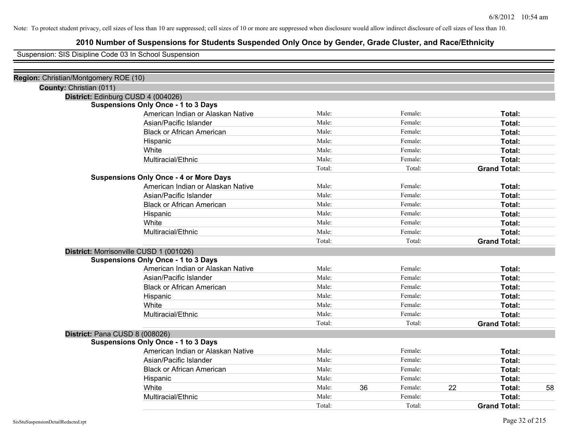## **2010 Number of Suspensions for Students Suspended Only Once by Gender, Grade Cluster, and Race/Ethnicity**

Suspension: SIS Disipline Code 03 In School Suspension

| Region: Christian/Montgomery ROE (10) |                                               |        |    |         |    |                     |    |
|---------------------------------------|-----------------------------------------------|--------|----|---------|----|---------------------|----|
| County: Christian (011)               |                                               |        |    |         |    |                     |    |
| District: Edinburg CUSD 4 (004026)    |                                               |        |    |         |    |                     |    |
|                                       | <b>Suspensions Only Once - 1 to 3 Days</b>    |        |    |         |    |                     |    |
|                                       | American Indian or Alaskan Native             | Male:  |    | Female: |    | Total:              |    |
|                                       | Asian/Pacific Islander                        | Male:  |    | Female: |    | <b>Total:</b>       |    |
|                                       | <b>Black or African American</b>              | Male:  |    | Female: |    | Total:              |    |
|                                       | Hispanic                                      | Male:  |    | Female: |    | Total:              |    |
|                                       | White                                         | Male:  |    | Female: |    | Total:              |    |
|                                       | Multiracial/Ethnic                            | Male:  |    | Female: |    | Total:              |    |
|                                       |                                               | Total: |    | Total:  |    | <b>Grand Total:</b> |    |
|                                       | <b>Suspensions Only Once - 4 or More Days</b> |        |    |         |    |                     |    |
|                                       | American Indian or Alaskan Native             | Male:  |    | Female: |    | Total:              |    |
|                                       | Asian/Pacific Islander                        | Male:  |    | Female: |    | Total:              |    |
|                                       | <b>Black or African American</b>              | Male:  |    | Female: |    | Total:              |    |
|                                       | Hispanic                                      | Male:  |    | Female: |    | Total:              |    |
|                                       | White                                         | Male:  |    | Female: |    | Total:              |    |
|                                       | Multiracial/Ethnic                            | Male:  |    | Female: |    | Total:              |    |
|                                       |                                               | Total: |    | Total:  |    | <b>Grand Total:</b> |    |
|                                       | District: Morrisonville CUSD 1 (001026)       |        |    |         |    |                     |    |
|                                       | <b>Suspensions Only Once - 1 to 3 Days</b>    |        |    |         |    |                     |    |
|                                       | American Indian or Alaskan Native             | Male:  |    | Female: |    | Total:              |    |
|                                       | Asian/Pacific Islander                        | Male:  |    | Female: |    | Total:              |    |
|                                       | <b>Black or African American</b>              | Male:  |    | Female: |    | Total:              |    |
|                                       | Hispanic                                      | Male:  |    | Female: |    | Total:              |    |
|                                       | White                                         | Male:  |    | Female: |    | Total:              |    |
|                                       | Multiracial/Ethnic                            | Male:  |    | Female: |    | Total:              |    |
|                                       |                                               | Total: |    | Total:  |    | <b>Grand Total:</b> |    |
| District: Pana CUSD 8 (008026)        |                                               |        |    |         |    |                     |    |
|                                       | <b>Suspensions Only Once - 1 to 3 Days</b>    |        |    |         |    |                     |    |
|                                       | American Indian or Alaskan Native             | Male:  |    | Female: |    | Total:              |    |
|                                       | Asian/Pacific Islander                        | Male:  |    | Female: |    | Total:              |    |
|                                       | <b>Black or African American</b>              | Male:  |    | Female: |    | Total:              |    |
|                                       | Hispanic                                      | Male:  |    | Female: |    | Total:              |    |
|                                       | White                                         | Male:  | 36 | Female: | 22 | Total:              | 58 |
|                                       | Multiracial/Ethnic                            | Male:  |    | Female: |    | Total:              |    |
|                                       |                                               | Total: |    | Total:  |    | <b>Grand Total:</b> |    |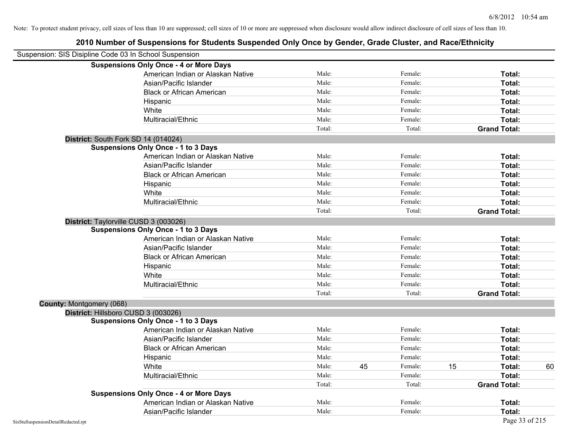| Suspension: SIS Disipline Code 03 In School Suspension |                                               |        |               |    |                     |    |
|--------------------------------------------------------|-----------------------------------------------|--------|---------------|----|---------------------|----|
|                                                        | <b>Suspensions Only Once - 4 or More Days</b> |        |               |    |                     |    |
|                                                        | American Indian or Alaskan Native             | Male:  | Female:       |    | Total:              |    |
|                                                        | Asian/Pacific Islander                        | Male:  | Female:       |    | Total:              |    |
|                                                        | <b>Black or African American</b>              | Male:  | Female:       |    | Total:              |    |
|                                                        | Hispanic                                      | Male:  | Female:       |    | Total:              |    |
|                                                        | White                                         | Male:  | Female:       |    | Total:              |    |
|                                                        | Multiracial/Ethnic                            | Male:  | Female:       |    | Total:              |    |
|                                                        |                                               | Total: | Total:        |    | <b>Grand Total:</b> |    |
| District: South Fork SD 14 (014024)                    |                                               |        |               |    |                     |    |
|                                                        | <b>Suspensions Only Once - 1 to 3 Days</b>    |        |               |    |                     |    |
|                                                        | American Indian or Alaskan Native             | Male:  | Female:       |    | Total:              |    |
|                                                        | Asian/Pacific Islander                        | Male:  | Female:       |    | Total:              |    |
|                                                        | <b>Black or African American</b>              | Male:  | Female:       |    | Total:              |    |
|                                                        | Hispanic                                      | Male:  | Female:       |    | Total:              |    |
|                                                        | White                                         | Male:  | Female:       |    | Total:              |    |
|                                                        | Multiracial/Ethnic                            | Male:  | Female:       |    | Total:              |    |
|                                                        |                                               | Total: | Total:        |    | <b>Grand Total:</b> |    |
| District: Taylorville CUSD 3 (003026)                  |                                               |        |               |    |                     |    |
|                                                        | <b>Suspensions Only Once - 1 to 3 Days</b>    |        |               |    |                     |    |
|                                                        | American Indian or Alaskan Native             | Male:  | Female:       |    | Total:              |    |
|                                                        | Asian/Pacific Islander                        | Male:  | Female:       |    | Total:              |    |
|                                                        | <b>Black or African American</b>              | Male:  | Female:       |    | Total:              |    |
|                                                        | Hispanic                                      | Male:  | Female:       |    | Total:              |    |
|                                                        | White                                         | Male:  | Female:       |    | Total:              |    |
|                                                        | Multiracial/Ethnic                            | Male:  | Female:       |    | Total:              |    |
|                                                        |                                               | Total: | Total:        |    | <b>Grand Total:</b> |    |
| County: Montgomery (068)                               |                                               |        |               |    |                     |    |
| District: Hillsboro CUSD 3 (003026)                    |                                               |        |               |    |                     |    |
|                                                        | <b>Suspensions Only Once - 1 to 3 Days</b>    |        |               |    |                     |    |
|                                                        | American Indian or Alaskan Native             | Male:  | Female:       |    | Total:              |    |
|                                                        | Asian/Pacific Islander                        | Male:  | Female:       |    | Total:              |    |
|                                                        | <b>Black or African American</b>              | Male:  | Female:       |    | Total:              |    |
|                                                        | Hispanic                                      | Male:  | Female:       |    | Total:              |    |
|                                                        | White                                         | Male:  | 45<br>Female: | 15 | Total:              | 60 |
|                                                        | Multiracial/Ethnic                            | Male:  | Female:       |    | Total:              |    |
|                                                        |                                               | Total: | Total:        |    | <b>Grand Total:</b> |    |
|                                                        | <b>Suspensions Only Once - 4 or More Days</b> |        |               |    |                     |    |
|                                                        | American Indian or Alaskan Native             | Male:  | Female:       |    | Total:              |    |
|                                                        | Asian/Pacific Islander                        | Male:  | Female:       |    | Total:              |    |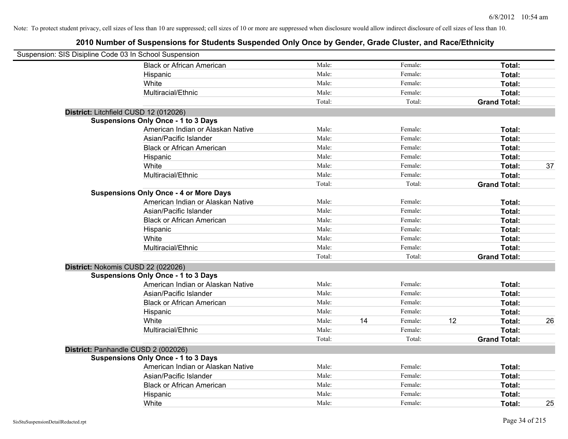| Suspension: SIS Disipline Code 03 In School Suspension |                                               |        |    |         |    |                     |    |
|--------------------------------------------------------|-----------------------------------------------|--------|----|---------|----|---------------------|----|
|                                                        | <b>Black or African American</b>              | Male:  |    | Female: |    | Total:              |    |
|                                                        | Hispanic                                      | Male:  |    | Female: |    | Total:              |    |
|                                                        | White                                         | Male:  |    | Female: |    | Total:              |    |
|                                                        | Multiracial/Ethnic                            | Male:  |    | Female: |    | Total:              |    |
|                                                        |                                               | Total: |    | Total:  |    | <b>Grand Total:</b> |    |
|                                                        | District: Litchfield CUSD 12 (012026)         |        |    |         |    |                     |    |
|                                                        | <b>Suspensions Only Once - 1 to 3 Days</b>    |        |    |         |    |                     |    |
|                                                        | American Indian or Alaskan Native             | Male:  |    | Female: |    | Total:              |    |
|                                                        | Asian/Pacific Islander                        | Male:  |    | Female: |    | Total:              |    |
|                                                        | <b>Black or African American</b>              | Male:  |    | Female: |    | Total:              |    |
|                                                        | Hispanic                                      | Male:  |    | Female: |    | Total:              |    |
|                                                        | White                                         | Male:  |    | Female: |    | Total:              | 37 |
|                                                        | Multiracial/Ethnic                            | Male:  |    | Female: |    | Total:              |    |
|                                                        |                                               | Total: |    | Total:  |    | <b>Grand Total:</b> |    |
|                                                        | <b>Suspensions Only Once - 4 or More Days</b> |        |    |         |    |                     |    |
|                                                        | American Indian or Alaskan Native             | Male:  |    | Female: |    | Total:              |    |
|                                                        | Asian/Pacific Islander                        | Male:  |    | Female: |    | Total:              |    |
|                                                        | <b>Black or African American</b>              | Male:  |    | Female: |    | Total:              |    |
|                                                        | Hispanic                                      | Male:  |    | Female: |    | Total:              |    |
|                                                        | White                                         | Male:  |    | Female: |    | Total:              |    |
|                                                        | Multiracial/Ethnic                            | Male:  |    | Female: |    | Total:              |    |
|                                                        |                                               | Total: |    | Total:  |    | <b>Grand Total:</b> |    |
|                                                        | District: Nokomis CUSD 22 (022026)            |        |    |         |    |                     |    |
|                                                        | <b>Suspensions Only Once - 1 to 3 Days</b>    |        |    |         |    |                     |    |
|                                                        | American Indian or Alaskan Native             | Male:  |    | Female: |    | Total:              |    |
|                                                        | Asian/Pacific Islander                        | Male:  |    | Female: |    | Total:              |    |
|                                                        | <b>Black or African American</b>              | Male:  |    | Female: |    | Total:              |    |
|                                                        | Hispanic                                      | Male:  |    | Female: |    | Total:              |    |
|                                                        | White                                         | Male:  | 14 | Female: | 12 | Total:              | 26 |
|                                                        | Multiracial/Ethnic                            | Male:  |    | Female: |    | Total:              |    |
|                                                        |                                               | Total: |    | Total:  |    | <b>Grand Total:</b> |    |
|                                                        | District: Panhandle CUSD 2 (002026)           |        |    |         |    |                     |    |
|                                                        | <b>Suspensions Only Once - 1 to 3 Days</b>    |        |    |         |    |                     |    |
|                                                        | American Indian or Alaskan Native             | Male:  |    | Female: |    | Total:              |    |
|                                                        | Asian/Pacific Islander                        | Male:  |    | Female: |    | Total:              |    |
|                                                        | <b>Black or African American</b>              | Male:  |    | Female: |    | Total:              |    |
|                                                        | Hispanic                                      | Male:  |    | Female: |    | Total:              |    |
|                                                        | White                                         | Male:  |    | Female: |    | Total:              | 25 |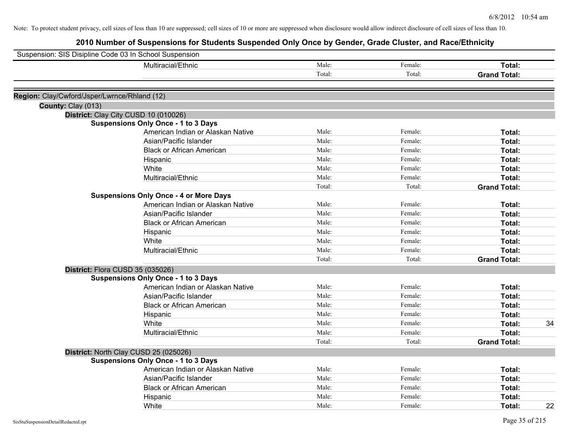| Suspension: SIS Disipline Code 03 In School Suspension |                                                                                    |        |                    |                     |    |
|--------------------------------------------------------|------------------------------------------------------------------------------------|--------|--------------------|---------------------|----|
|                                                        | Multiracial/Ethnic                                                                 | Male:  | Female:            | Total:              |    |
|                                                        |                                                                                    | Total: | Total:             | <b>Grand Total:</b> |    |
|                                                        |                                                                                    |        |                    |                     |    |
| Region: Clay/Cwford/Jsper/Lwrnce/Rhland (12)           |                                                                                    |        |                    |                     |    |
| County: Clay (013)                                     |                                                                                    |        |                    |                     |    |
|                                                        | District: Clay City CUSD 10 (010026)<br><b>Suspensions Only Once - 1 to 3 Days</b> |        |                    |                     |    |
|                                                        | American Indian or Alaskan Native                                                  | Male:  | Female:            | Total:              |    |
|                                                        | Asian/Pacific Islander                                                             | Male:  | Female:            | Total:              |    |
|                                                        |                                                                                    | Male:  |                    |                     |    |
|                                                        | <b>Black or African American</b>                                                   | Male:  | Female:<br>Female: | Total:              |    |
|                                                        | Hispanic                                                                           |        |                    | Total:              |    |
|                                                        | White                                                                              | Male:  | Female:            | Total:              |    |
|                                                        | Multiracial/Ethnic                                                                 | Male:  | Female:            | Total:              |    |
|                                                        |                                                                                    | Total: | Total:             | <b>Grand Total:</b> |    |
|                                                        | <b>Suspensions Only Once - 4 or More Days</b>                                      |        |                    |                     |    |
|                                                        | American Indian or Alaskan Native                                                  | Male:  | Female:            | Total:              |    |
|                                                        | Asian/Pacific Islander                                                             | Male:  | Female:            | Total:              |    |
|                                                        | <b>Black or African American</b>                                                   | Male:  | Female:            | Total:              |    |
|                                                        | Hispanic                                                                           | Male:  | Female:            | Total:              |    |
|                                                        | White                                                                              | Male:  | Female:            | Total:              |    |
|                                                        | Multiracial/Ethnic                                                                 | Male:  | Female:            | Total:              |    |
|                                                        |                                                                                    | Total: | Total:             | <b>Grand Total:</b> |    |
| District: Flora CUSD 35 (035026)                       |                                                                                    |        |                    |                     |    |
|                                                        | <b>Suspensions Only Once - 1 to 3 Days</b>                                         |        |                    |                     |    |
|                                                        | American Indian or Alaskan Native                                                  | Male:  | Female:            | Total:              |    |
|                                                        | Asian/Pacific Islander                                                             | Male:  | Female:            | Total:              |    |
|                                                        | <b>Black or African American</b>                                                   | Male:  | Female:            | Total:              |    |
|                                                        | Hispanic                                                                           | Male:  | Female:            | Total:              |    |
|                                                        | White                                                                              | Male:  | Female:            | Total:              | 34 |
|                                                        | Multiracial/Ethnic                                                                 | Male:  | Female:            | Total:              |    |
|                                                        |                                                                                    | Total: | Total:             | <b>Grand Total:</b> |    |
|                                                        | District: North Clay CUSD 25 (025026)                                              |        |                    |                     |    |
|                                                        | <b>Suspensions Only Once - 1 to 3 Days</b>                                         |        |                    |                     |    |
|                                                        | American Indian or Alaskan Native                                                  | Male:  | Female:            | Total:              |    |
|                                                        | Asian/Pacific Islander                                                             | Male:  | Female:            | Total:              |    |
|                                                        | <b>Black or African American</b>                                                   | Male:  | Female:            | Total:              |    |
|                                                        | Hispanic                                                                           | Male:  | Female:            | Total:              |    |
|                                                        | White                                                                              | Male:  | Female:            | Total:              | 22 |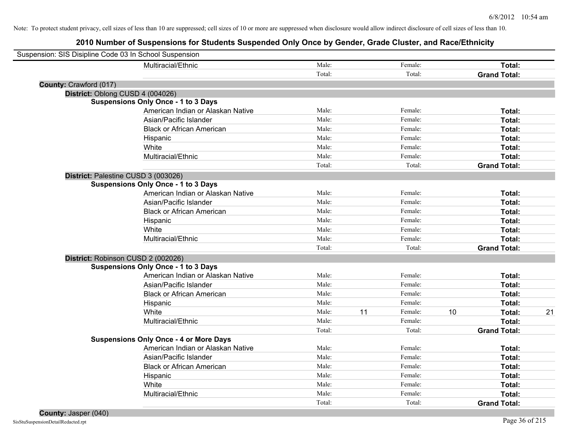| Suspension: SIS Disipline Code 03 In School Suspension |                                               |        |    |         |    |                     |    |
|--------------------------------------------------------|-----------------------------------------------|--------|----|---------|----|---------------------|----|
|                                                        | Multiracial/Ethnic                            | Male:  |    | Female: |    | Total:              |    |
|                                                        |                                               | Total: |    | Total:  |    | <b>Grand Total:</b> |    |
| County: Crawford (017)                                 |                                               |        |    |         |    |                     |    |
| District: Oblong CUSD 4 (004026)                       |                                               |        |    |         |    |                     |    |
|                                                        | <b>Suspensions Only Once - 1 to 3 Days</b>    |        |    |         |    |                     |    |
|                                                        | American Indian or Alaskan Native             | Male:  |    | Female: |    | Total:              |    |
|                                                        | Asian/Pacific Islander                        | Male:  |    | Female: |    | Total:              |    |
|                                                        | <b>Black or African American</b>              | Male:  |    | Female: |    | Total:              |    |
|                                                        | Hispanic                                      | Male:  |    | Female: |    | Total:              |    |
|                                                        | White                                         | Male:  |    | Female: |    | Total:              |    |
|                                                        | Multiracial/Ethnic                            | Male:  |    | Female: |    | Total:              |    |
|                                                        |                                               | Total: |    | Total:  |    | <b>Grand Total:</b> |    |
| District: Palestine CUSD 3 (003026)                    |                                               |        |    |         |    |                     |    |
|                                                        | <b>Suspensions Only Once - 1 to 3 Days</b>    |        |    |         |    |                     |    |
|                                                        | American Indian or Alaskan Native             | Male:  |    | Female: |    | Total:              |    |
|                                                        | Asian/Pacific Islander                        | Male:  |    | Female: |    | Total:              |    |
|                                                        | <b>Black or African American</b>              | Male:  |    | Female: |    | Total:              |    |
|                                                        | Hispanic                                      | Male:  |    | Female: |    | Total:              |    |
|                                                        | White                                         | Male:  |    | Female: |    | Total:              |    |
|                                                        | Multiracial/Ethnic                            | Male:  |    | Female: |    | Total:              |    |
|                                                        |                                               | Total: |    | Total:  |    | <b>Grand Total:</b> |    |
| District: Robinson CUSD 2 (002026)                     |                                               |        |    |         |    |                     |    |
|                                                        | <b>Suspensions Only Once - 1 to 3 Days</b>    |        |    |         |    |                     |    |
|                                                        | American Indian or Alaskan Native             | Male:  |    | Female: |    | Total:              |    |
|                                                        | Asian/Pacific Islander                        | Male:  |    | Female: |    | Total:              |    |
|                                                        | <b>Black or African American</b>              | Male:  |    | Female: |    | Total:              |    |
|                                                        | Hispanic                                      | Male:  |    | Female: |    | Total:              |    |
|                                                        | White                                         | Male:  | 11 | Female: | 10 | Total:              | 21 |
|                                                        | Multiracial/Ethnic                            | Male:  |    | Female: |    | Total:              |    |
|                                                        |                                               | Total: |    | Total:  |    | <b>Grand Total:</b> |    |
|                                                        | <b>Suspensions Only Once - 4 or More Days</b> |        |    |         |    |                     |    |
|                                                        | American Indian or Alaskan Native             | Male:  |    | Female: |    | Total:              |    |
|                                                        | Asian/Pacific Islander                        | Male:  |    | Female: |    | Total:              |    |
|                                                        | <b>Black or African American</b>              | Male:  |    | Female: |    | Total:              |    |
|                                                        | Hispanic                                      | Male:  |    | Female: |    | Total:              |    |
|                                                        | White                                         | Male:  |    | Female: |    | Total:              |    |
|                                                        | Multiracial/Ethnic                            | Male:  |    | Female: |    | Total:              |    |
|                                                        |                                               | Total: |    | Total:  |    | <b>Grand Total:</b> |    |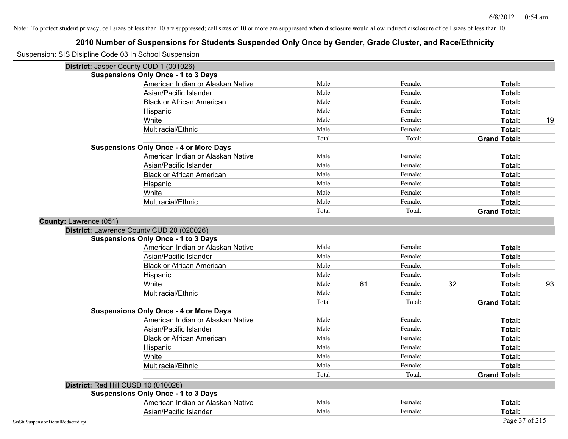| Suspension: SIS Disipline Code 03 In School Suspension |                                               |        |    |         |    |                     |    |
|--------------------------------------------------------|-----------------------------------------------|--------|----|---------|----|---------------------|----|
|                                                        | District: Jasper County CUD 1 (001026)        |        |    |         |    |                     |    |
|                                                        | <b>Suspensions Only Once - 1 to 3 Days</b>    |        |    |         |    |                     |    |
|                                                        | American Indian or Alaskan Native             | Male:  |    | Female: |    | Total:              |    |
|                                                        | Asian/Pacific Islander                        | Male:  |    | Female: |    | Total:              |    |
|                                                        | <b>Black or African American</b>              | Male:  |    | Female: |    | Total:              |    |
|                                                        | Hispanic                                      | Male:  |    | Female: |    | Total:              |    |
|                                                        | White                                         | Male:  |    | Female: |    | Total:              | 19 |
|                                                        | Multiracial/Ethnic                            | Male:  |    | Female: |    | Total:              |    |
|                                                        |                                               | Total: |    | Total:  |    | <b>Grand Total:</b> |    |
|                                                        | <b>Suspensions Only Once - 4 or More Days</b> |        |    |         |    |                     |    |
|                                                        | American Indian or Alaskan Native             | Male:  |    | Female: |    | Total:              |    |
|                                                        | Asian/Pacific Islander                        | Male:  |    | Female: |    | Total:              |    |
|                                                        | <b>Black or African American</b>              | Male:  |    | Female: |    | Total:              |    |
|                                                        | Hispanic                                      | Male:  |    | Female: |    | Total:              |    |
|                                                        | White                                         | Male:  |    | Female: |    | Total:              |    |
|                                                        | Multiracial/Ethnic                            | Male:  |    | Female: |    | Total:              |    |
|                                                        |                                               | Total: |    | Total:  |    | <b>Grand Total:</b> |    |
| County: Lawrence (051)                                 |                                               |        |    |         |    |                     |    |
|                                                        | District: Lawrence County CUD 20 (020026)     |        |    |         |    |                     |    |
|                                                        | <b>Suspensions Only Once - 1 to 3 Days</b>    |        |    |         |    |                     |    |
|                                                        | American Indian or Alaskan Native             | Male:  |    | Female: |    | Total:              |    |
|                                                        | Asian/Pacific Islander                        | Male:  |    | Female: |    | Total:              |    |
|                                                        | <b>Black or African American</b>              | Male:  |    | Female: |    | Total:              |    |
|                                                        | Hispanic                                      | Male:  |    | Female: |    | Total:              |    |
|                                                        | White                                         | Male:  | 61 | Female: | 32 | Total:              | 93 |
|                                                        | Multiracial/Ethnic                            | Male:  |    | Female: |    | Total:              |    |
|                                                        |                                               | Total: |    | Total:  |    | <b>Grand Total:</b> |    |
|                                                        | <b>Suspensions Only Once - 4 or More Days</b> |        |    |         |    |                     |    |
|                                                        | American Indian or Alaskan Native             | Male:  |    | Female: |    | Total:              |    |
|                                                        | Asian/Pacific Islander                        | Male:  |    | Female: |    | Total:              |    |
|                                                        | <b>Black or African American</b>              | Male:  |    | Female: |    | Total:              |    |
|                                                        | Hispanic                                      | Male:  |    | Female: |    | Total:              |    |
|                                                        | White                                         | Male:  |    | Female: |    | Total:              |    |
|                                                        | Multiracial/Ethnic                            | Male:  |    | Female: |    | Total:              |    |
|                                                        |                                               | Total: |    | Total:  |    | <b>Grand Total:</b> |    |
|                                                        | District: Red Hill CUSD 10 (010026)           |        |    |         |    |                     |    |
|                                                        | <b>Suspensions Only Once - 1 to 3 Days</b>    |        |    |         |    |                     |    |
|                                                        | American Indian or Alaskan Native             | Male:  |    | Female: |    | Total:              |    |
|                                                        | Asian/Pacific Islander                        | Male:  |    | Female: |    | Total:              |    |
| SisStuSuspensionDetailRedacted.rpt                     |                                               |        |    |         |    | Page 37 of 215      |    |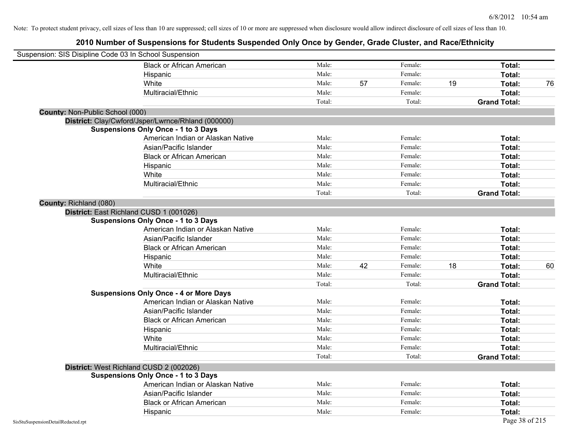| Suspension: SIS Disipline Code 03 In School Suspension |                                                    |        |    |         |    |                     |    |
|--------------------------------------------------------|----------------------------------------------------|--------|----|---------|----|---------------------|----|
|                                                        | <b>Black or African American</b>                   | Male:  |    | Female: |    | Total:              |    |
|                                                        | Hispanic                                           | Male:  |    | Female: |    | Total:              |    |
|                                                        | White                                              | Male:  | 57 | Female: | 19 | Total:              | 76 |
|                                                        | Multiracial/Ethnic                                 | Male:  |    | Female: |    | Total:              |    |
|                                                        |                                                    | Total: |    | Total:  |    | <b>Grand Total:</b> |    |
| <b>County: Non-Public School (000)</b>                 |                                                    |        |    |         |    |                     |    |
|                                                        | District: Clay/Cwford/Jsper/Lwrnce/Rhland (000000) |        |    |         |    |                     |    |
|                                                        | <b>Suspensions Only Once - 1 to 3 Days</b>         |        |    |         |    |                     |    |
|                                                        | American Indian or Alaskan Native                  | Male:  |    | Female: |    | Total:              |    |
|                                                        | Asian/Pacific Islander                             | Male:  |    | Female: |    | Total:              |    |
|                                                        | <b>Black or African American</b>                   | Male:  |    | Female: |    | Total:              |    |
|                                                        | Hispanic                                           | Male:  |    | Female: |    | Total:              |    |
|                                                        | White                                              | Male:  |    | Female: |    | Total:              |    |
|                                                        | Multiracial/Ethnic                                 | Male:  |    | Female: |    | Total:              |    |
|                                                        |                                                    | Total: |    | Total:  |    | <b>Grand Total:</b> |    |
| County: Richland (080)                                 |                                                    |        |    |         |    |                     |    |
|                                                        | District: East Richland CUSD 1 (001026)            |        |    |         |    |                     |    |
|                                                        | <b>Suspensions Only Once - 1 to 3 Days</b>         |        |    |         |    |                     |    |
|                                                        | American Indian or Alaskan Native                  | Male:  |    | Female: |    | Total:              |    |
|                                                        | Asian/Pacific Islander                             | Male:  |    | Female: |    | Total:              |    |
|                                                        | <b>Black or African American</b>                   | Male:  |    | Female: |    | Total:              |    |
|                                                        | Hispanic                                           | Male:  |    | Female: |    | Total:              |    |
|                                                        | White                                              | Male:  | 42 | Female: | 18 | Total:              | 60 |
|                                                        | Multiracial/Ethnic                                 | Male:  |    | Female: |    | Total:              |    |
|                                                        |                                                    | Total: |    | Total:  |    | <b>Grand Total:</b> |    |
|                                                        | <b>Suspensions Only Once - 4 or More Days</b>      |        |    |         |    |                     |    |
|                                                        | American Indian or Alaskan Native                  | Male:  |    | Female: |    | Total:              |    |
|                                                        | Asian/Pacific Islander                             | Male:  |    | Female: |    | Total:              |    |
|                                                        | <b>Black or African American</b>                   | Male:  |    | Female: |    | Total:              |    |
|                                                        | Hispanic                                           | Male:  |    | Female: |    | Total:              |    |
|                                                        | White                                              | Male:  |    | Female: |    | Total:              |    |
|                                                        | Multiracial/Ethnic                                 | Male:  |    | Female: |    | Total:              |    |
|                                                        |                                                    | Total: |    | Total:  |    | <b>Grand Total:</b> |    |
|                                                        | District: West Richland CUSD 2 (002026)            |        |    |         |    |                     |    |
|                                                        | <b>Suspensions Only Once - 1 to 3 Days</b>         |        |    |         |    |                     |    |
|                                                        | American Indian or Alaskan Native                  | Male:  |    | Female: |    | Total:              |    |
|                                                        | Asian/Pacific Islander                             | Male:  |    | Female: |    | Total:              |    |
|                                                        | <b>Black or African American</b>                   | Male:  |    | Female: |    | Total:              |    |
|                                                        | Hispanic                                           | Male:  |    | Female: |    | Total:              |    |
| SisStuSuspensionDetailRedacted.rpt                     |                                                    |        |    |         |    | Page 38 of 215      |    |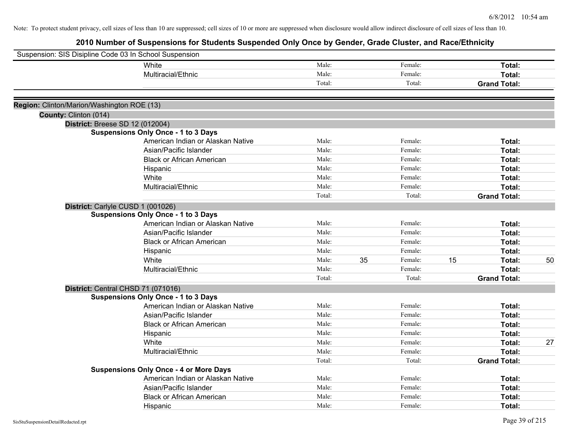| Suspension: SIS Disipline Code 03 In School Suspension |                                               |        |    |         |    |                     |    |
|--------------------------------------------------------|-----------------------------------------------|--------|----|---------|----|---------------------|----|
|                                                        | White                                         | Male:  |    | Female: |    | Total:              |    |
|                                                        | Multiracial/Ethnic                            | Male:  |    | Female: |    | Total:              |    |
|                                                        |                                               | Total: |    | Total:  |    | <b>Grand Total:</b> |    |
| Region: Clinton/Marion/Washington ROE (13)             |                                               |        |    |         |    |                     |    |
| County: Clinton (014)                                  |                                               |        |    |         |    |                     |    |
|                                                        | <b>District: Breese SD 12 (012004)</b>        |        |    |         |    |                     |    |
|                                                        | <b>Suspensions Only Once - 1 to 3 Days</b>    |        |    |         |    |                     |    |
|                                                        | American Indian or Alaskan Native             | Male:  |    | Female: |    | Total:              |    |
|                                                        | Asian/Pacific Islander                        | Male:  |    | Female: |    | Total:              |    |
|                                                        | <b>Black or African American</b>              | Male:  |    | Female: |    | Total:              |    |
|                                                        | Hispanic                                      | Male:  |    | Female: |    | Total:              |    |
|                                                        | White                                         | Male:  |    | Female: |    | Total:              |    |
|                                                        | Multiracial/Ethnic                            | Male:  |    | Female: |    | Total:              |    |
|                                                        |                                               | Total: |    | Total:  |    | <b>Grand Total:</b> |    |
|                                                        | District: Carlyle CUSD 1 (001026)             |        |    |         |    |                     |    |
|                                                        | <b>Suspensions Only Once - 1 to 3 Days</b>    |        |    |         |    |                     |    |
|                                                        | American Indian or Alaskan Native             | Male:  |    | Female: |    | Total:              |    |
|                                                        | Asian/Pacific Islander                        | Male:  |    | Female: |    | Total:              |    |
|                                                        | <b>Black or African American</b>              | Male:  |    | Female: |    | Total:              |    |
|                                                        | Hispanic                                      | Male:  |    | Female: |    | Total:              |    |
|                                                        | White                                         | Male:  | 35 | Female: | 15 | Total:              | 50 |
|                                                        | Multiracial/Ethnic                            | Male:  |    | Female: |    | Total:              |    |
|                                                        |                                               | Total: |    | Total:  |    | <b>Grand Total:</b> |    |
|                                                        | District: Central CHSD 71 (071016)            |        |    |         |    |                     |    |
|                                                        | <b>Suspensions Only Once - 1 to 3 Days</b>    |        |    |         |    |                     |    |
|                                                        | American Indian or Alaskan Native             | Male:  |    | Female: |    | Total:              |    |
|                                                        | Asian/Pacific Islander                        | Male:  |    | Female: |    | Total:              |    |
|                                                        | <b>Black or African American</b>              | Male:  |    | Female: |    | Total:              |    |
|                                                        | Hispanic                                      | Male:  |    | Female: |    | Total:              |    |
|                                                        | White                                         | Male:  |    | Female: |    | Total:              | 27 |
|                                                        | Multiracial/Ethnic                            | Male:  |    | Female: |    | Total:              |    |
|                                                        |                                               | Total: |    | Total:  |    | <b>Grand Total:</b> |    |
|                                                        | <b>Suspensions Only Once - 4 or More Days</b> |        |    |         |    |                     |    |
|                                                        | American Indian or Alaskan Native             | Male:  |    | Female: |    | Total:              |    |
|                                                        | Asian/Pacific Islander                        | Male:  |    | Female: |    | Total:              |    |
|                                                        | <b>Black or African American</b>              | Male:  |    | Female: |    | <b>Total:</b>       |    |
|                                                        | Hispanic                                      | Male:  |    | Female: |    | Total:              |    |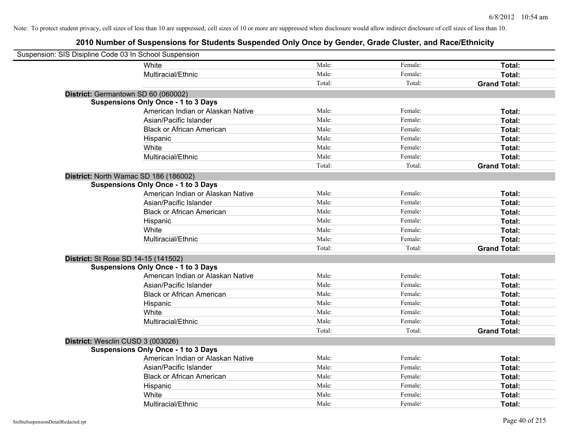| Suspension: SIS Disipline Code 03 In School Suspension |                                            |        |         |                     |
|--------------------------------------------------------|--------------------------------------------|--------|---------|---------------------|
|                                                        | White                                      | Male:  | Female: | Total:              |
|                                                        | Multiracial/Ethnic                         | Male:  | Female: | Total:              |
|                                                        |                                            | Total: | Total:  | <b>Grand Total:</b> |
| District: Germantown SD 60 (060002)                    |                                            |        |         |                     |
|                                                        | <b>Suspensions Only Once - 1 to 3 Days</b> |        |         |                     |
|                                                        | American Indian or Alaskan Native          | Male:  | Female: | Total:              |
|                                                        | Asian/Pacific Islander                     | Male:  | Female: | Total:              |
|                                                        | <b>Black or African American</b>           | Male:  | Female: | Total:              |
|                                                        | Hispanic                                   | Male:  | Female: | Total:              |
|                                                        | White                                      | Male:  | Female: | Total:              |
|                                                        | Multiracial/Ethnic                         | Male:  | Female: | Total:              |
|                                                        |                                            | Total: | Total:  | <b>Grand Total:</b> |
| District: North Wamac SD 186 (186002)                  |                                            |        |         |                     |
|                                                        | <b>Suspensions Only Once - 1 to 3 Days</b> |        |         |                     |
|                                                        | American Indian or Alaskan Native          | Male:  | Female: | Total:              |
|                                                        | Asian/Pacific Islander                     | Male:  | Female: | Total:              |
|                                                        | <b>Black or African American</b>           | Male:  | Female: | Total:              |
|                                                        | Hispanic                                   | Male:  | Female: | Total:              |
|                                                        | White                                      | Male:  | Female: | Total:              |
|                                                        | Multiracial/Ethnic                         | Male:  | Female: | Total:              |
|                                                        |                                            | Total: | Total:  | <b>Grand Total:</b> |
| District: St Rose SD 14-15 (141502)                    |                                            |        |         |                     |
|                                                        | <b>Suspensions Only Once - 1 to 3 Days</b> |        |         |                     |
|                                                        | American Indian or Alaskan Native          | Male:  | Female: | Total:              |
|                                                        | Asian/Pacific Islander                     | Male:  | Female: | Total:              |
|                                                        | <b>Black or African American</b>           | Male:  | Female: | Total:              |
|                                                        | Hispanic                                   | Male:  | Female: | Total:              |
|                                                        | White                                      | Male:  | Female: | Total:              |
|                                                        | Multiracial/Ethnic                         | Male:  | Female: | Total:              |
|                                                        |                                            | Total: | Total:  | <b>Grand Total:</b> |
| District: Wesclin CUSD 3 (003026)                      |                                            |        |         |                     |
|                                                        | <b>Suspensions Only Once - 1 to 3 Days</b> |        |         |                     |
|                                                        | American Indian or Alaskan Native          | Male:  | Female: | Total:              |
|                                                        | Asian/Pacific Islander                     | Male:  | Female: | Total:              |
|                                                        | <b>Black or African American</b>           | Male:  | Female: | Total:              |
|                                                        | Hispanic                                   | Male:  | Female: | Total:              |
|                                                        | White                                      | Male:  | Female: | Total:              |
|                                                        | Multiracial/Ethnic                         | Male:  | Female: | Total:              |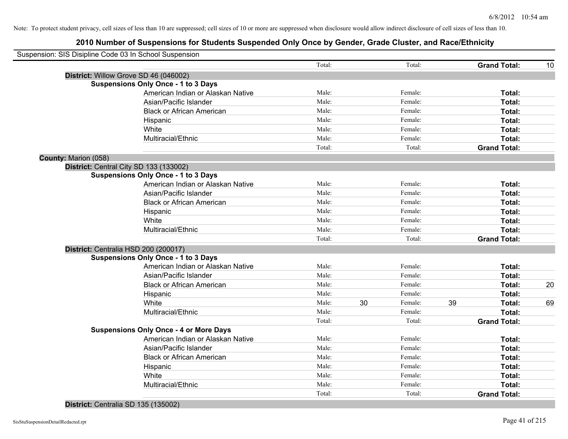|                      | Suspension: SIS Disipline Code 03 In School Suspension |        |    |         |    |                     |    |
|----------------------|--------------------------------------------------------|--------|----|---------|----|---------------------|----|
|                      |                                                        | Total: |    | Total:  |    | <b>Grand Total:</b> | 10 |
|                      | District: Willow Grove SD 46 (046002)                  |        |    |         |    |                     |    |
|                      | <b>Suspensions Only Once - 1 to 3 Days</b>             |        |    |         |    |                     |    |
|                      | American Indian or Alaskan Native                      | Male:  |    | Female: |    | Total:              |    |
|                      | Asian/Pacific Islander                                 | Male:  |    | Female: |    | Total:              |    |
|                      | <b>Black or African American</b>                       | Male:  |    | Female: |    | Total:              |    |
|                      | Hispanic                                               | Male:  |    | Female: |    | Total:              |    |
|                      | White                                                  | Male:  |    | Female: |    | Total:              |    |
|                      | Multiracial/Ethnic                                     | Male:  |    | Female: |    | Total:              |    |
|                      |                                                        | Total: |    | Total:  |    | <b>Grand Total:</b> |    |
| County: Marion (058) |                                                        |        |    |         |    |                     |    |
|                      | District: Central City SD 133 (133002)                 |        |    |         |    |                     |    |
|                      | <b>Suspensions Only Once - 1 to 3 Days</b>             |        |    |         |    |                     |    |
|                      | American Indian or Alaskan Native                      | Male:  |    | Female: |    | Total:              |    |
|                      | Asian/Pacific Islander                                 | Male:  |    | Female: |    | Total:              |    |
|                      | <b>Black or African American</b>                       | Male:  |    | Female: |    | Total:              |    |
|                      | Hispanic                                               | Male:  |    | Female: |    | Total:              |    |
|                      | White                                                  | Male:  |    | Female: |    | Total:              |    |
|                      | Multiracial/Ethnic                                     | Male:  |    | Female: |    | Total:              |    |
|                      |                                                        | Total: |    | Total:  |    | <b>Grand Total:</b> |    |
|                      | District: Centralia HSD 200 (200017)                   |        |    |         |    |                     |    |
|                      | <b>Suspensions Only Once - 1 to 3 Days</b>             |        |    |         |    |                     |    |
|                      | American Indian or Alaskan Native                      | Male:  |    | Female: |    | Total:              |    |
|                      | Asian/Pacific Islander                                 | Male:  |    | Female: |    | Total:              |    |
|                      | <b>Black or African American</b>                       | Male:  |    | Female: |    | Total:              | 20 |
|                      | Hispanic                                               | Male:  |    | Female: |    | Total:              |    |
|                      | White                                                  | Male:  | 30 | Female: | 39 | Total:              | 69 |
|                      | Multiracial/Ethnic                                     | Male:  |    | Female: |    | Total:              |    |
|                      |                                                        | Total: |    | Total:  |    | <b>Grand Total:</b> |    |
|                      | <b>Suspensions Only Once - 4 or More Days</b>          |        |    |         |    |                     |    |
|                      | American Indian or Alaskan Native                      | Male:  |    | Female: |    | Total:              |    |
|                      | Asian/Pacific Islander                                 | Male:  |    | Female: |    | Total:              |    |
|                      | <b>Black or African American</b>                       | Male:  |    | Female: |    | Total:              |    |
|                      | Hispanic                                               | Male:  |    | Female: |    | Total:              |    |
|                      | White                                                  | Male:  |    | Female: |    | Total:              |    |
|                      | Multiracial/Ethnic                                     | Male:  |    | Female: |    | Total:              |    |
|                      |                                                        | Total: |    | Total:  |    | <b>Grand Total:</b> |    |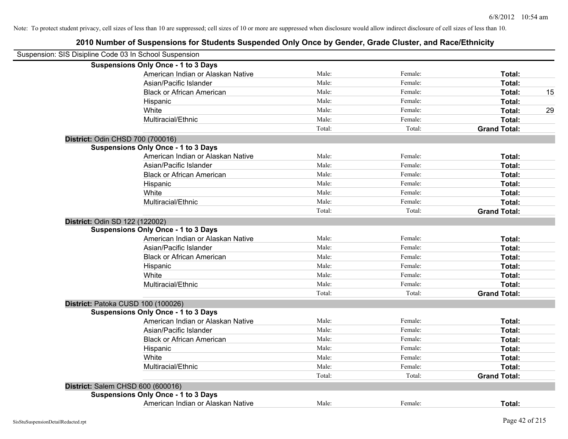| Suspension: SIS Disipline Code 03 In School Suspension |                                            |        |         |                     |    |
|--------------------------------------------------------|--------------------------------------------|--------|---------|---------------------|----|
|                                                        | <b>Suspensions Only Once - 1 to 3 Days</b> |        |         |                     |    |
|                                                        | American Indian or Alaskan Native          | Male:  | Female: | Total:              |    |
|                                                        | Asian/Pacific Islander                     | Male:  | Female: | Total:              |    |
|                                                        | <b>Black or African American</b>           | Male:  | Female: | Total:              | 15 |
|                                                        | Hispanic                                   | Male:  | Female: | Total:              |    |
|                                                        | White                                      | Male:  | Female: | Total:              | 29 |
|                                                        | Multiracial/Ethnic                         | Male:  | Female: | Total:              |    |
|                                                        |                                            | Total: | Total:  | <b>Grand Total:</b> |    |
| District: Odin CHSD 700 (700016)                       |                                            |        |         |                     |    |
|                                                        | <b>Suspensions Only Once - 1 to 3 Days</b> |        |         |                     |    |
|                                                        | American Indian or Alaskan Native          | Male:  | Female: | Total:              |    |
|                                                        | Asian/Pacific Islander                     | Male:  | Female: | Total:              |    |
|                                                        | <b>Black or African American</b>           | Male:  | Female: | Total:              |    |
|                                                        | Hispanic                                   | Male:  | Female: | Total:              |    |
|                                                        | White                                      | Male:  | Female: | Total:              |    |
|                                                        | Multiracial/Ethnic                         | Male:  | Female: | Total:              |    |
|                                                        |                                            | Total: | Total:  | <b>Grand Total:</b> |    |
| District: Odin SD 122 (122002)                         |                                            |        |         |                     |    |
|                                                        | <b>Suspensions Only Once - 1 to 3 Days</b> |        |         |                     |    |
|                                                        | American Indian or Alaskan Native          | Male:  | Female: | Total:              |    |
|                                                        | Asian/Pacific Islander                     | Male:  | Female: | Total:              |    |
|                                                        | <b>Black or African American</b>           | Male:  | Female: | Total:              |    |
|                                                        | Hispanic                                   | Male:  | Female: | Total:              |    |
|                                                        | White                                      | Male:  | Female: | Total:              |    |
|                                                        | Multiracial/Ethnic                         | Male:  | Female: | Total:              |    |
|                                                        |                                            | Total: | Total:  | <b>Grand Total:</b> |    |
|                                                        | District: Patoka CUSD 100 (100026)         |        |         |                     |    |
|                                                        | <b>Suspensions Only Once - 1 to 3 Days</b> |        |         |                     |    |
|                                                        | American Indian or Alaskan Native          | Male:  | Female: | Total:              |    |
|                                                        | Asian/Pacific Islander                     | Male:  | Female: | Total:              |    |
|                                                        | <b>Black or African American</b>           | Male:  | Female: | Total:              |    |
|                                                        | Hispanic                                   | Male:  | Female: | Total:              |    |
|                                                        | White                                      | Male:  | Female: | Total:              |    |
|                                                        | Multiracial/Ethnic                         | Male:  | Female: | Total:              |    |
|                                                        |                                            | Total: | Total:  | <b>Grand Total:</b> |    |
| District: Salem CHSD 600 (600016)                      |                                            |        |         |                     |    |
|                                                        | <b>Suspensions Only Once - 1 to 3 Days</b> |        |         |                     |    |
|                                                        | American Indian or Alaskan Native          | Male:  | Female: | Total:              |    |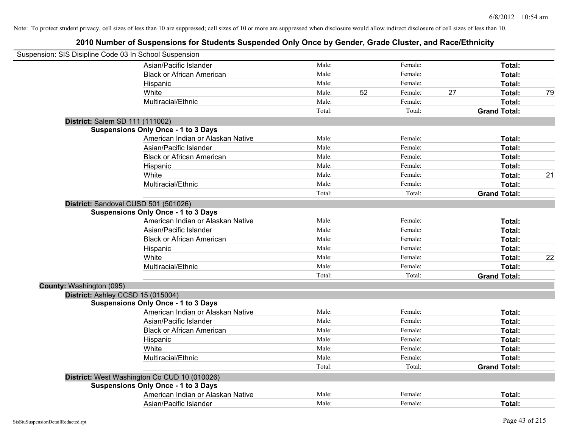| Suspension: SIS Disipline Code 03 In School Suspension |                                              |        |    |         |    |                     |    |
|--------------------------------------------------------|----------------------------------------------|--------|----|---------|----|---------------------|----|
|                                                        | Asian/Pacific Islander                       | Male:  |    | Female: |    | Total:              |    |
|                                                        | <b>Black or African American</b>             | Male:  |    | Female: |    | Total:              |    |
|                                                        | Hispanic                                     | Male:  |    | Female: |    | Total:              |    |
|                                                        | White                                        | Male:  | 52 | Female: | 27 | Total:              | 79 |
|                                                        | Multiracial/Ethnic                           | Male:  |    | Female: |    | Total:              |    |
|                                                        |                                              | Total: |    | Total:  |    | <b>Grand Total:</b> |    |
| District: Salem SD 111 (111002)                        |                                              |        |    |         |    |                     |    |
|                                                        | <b>Suspensions Only Once - 1 to 3 Days</b>   |        |    |         |    |                     |    |
|                                                        | American Indian or Alaskan Native            | Male:  |    | Female: |    | Total:              |    |
|                                                        | Asian/Pacific Islander                       | Male:  |    | Female: |    | Total:              |    |
|                                                        | <b>Black or African American</b>             | Male:  |    | Female: |    | Total:              |    |
|                                                        | Hispanic                                     | Male:  |    | Female: |    | Total:              |    |
|                                                        | White                                        | Male:  |    | Female: |    | Total:              | 21 |
|                                                        | Multiracial/Ethnic                           | Male:  |    | Female: |    | Total:              |    |
|                                                        |                                              | Total: |    | Total:  |    | <b>Grand Total:</b> |    |
| District: Sandoval CUSD 501 (501026)                   |                                              |        |    |         |    |                     |    |
|                                                        | <b>Suspensions Only Once - 1 to 3 Days</b>   |        |    |         |    |                     |    |
|                                                        | American Indian or Alaskan Native            | Male:  |    | Female: |    | Total:              |    |
|                                                        | Asian/Pacific Islander                       | Male:  |    | Female: |    | Total:              |    |
|                                                        | <b>Black or African American</b>             | Male:  |    | Female: |    | Total:              |    |
|                                                        | Hispanic                                     | Male:  |    | Female: |    | Total:              |    |
|                                                        | White                                        | Male:  |    | Female: |    | Total:              | 22 |
|                                                        | Multiracial/Ethnic                           | Male:  |    | Female: |    | Total:              |    |
|                                                        |                                              | Total: |    | Total:  |    | <b>Grand Total:</b> |    |
| County: Washington (095)                               |                                              |        |    |         |    |                     |    |
| District: Ashley CCSD 15 (015004)                      |                                              |        |    |         |    |                     |    |
|                                                        | <b>Suspensions Only Once - 1 to 3 Days</b>   |        |    |         |    |                     |    |
|                                                        | American Indian or Alaskan Native            | Male:  |    | Female: |    | Total:              |    |
|                                                        | Asian/Pacific Islander                       | Male:  |    | Female: |    | Total:              |    |
|                                                        | <b>Black or African American</b>             | Male:  |    | Female: |    | Total:              |    |
|                                                        | Hispanic                                     | Male:  |    | Female: |    | Total:              |    |
|                                                        | White                                        | Male:  |    | Female: |    | Total:              |    |
|                                                        | Multiracial/Ethnic                           | Male:  |    | Female: |    | Total:              |    |
|                                                        |                                              | Total: |    | Total:  |    | <b>Grand Total:</b> |    |
|                                                        | District: West Washington Co CUD 10 (010026) |        |    |         |    |                     |    |
|                                                        | <b>Suspensions Only Once - 1 to 3 Days</b>   |        |    |         |    |                     |    |
|                                                        | American Indian or Alaskan Native            | Male:  |    | Female: |    | <b>Total:</b>       |    |
|                                                        | Asian/Pacific Islander                       | Male:  |    | Female: |    | Total:              |    |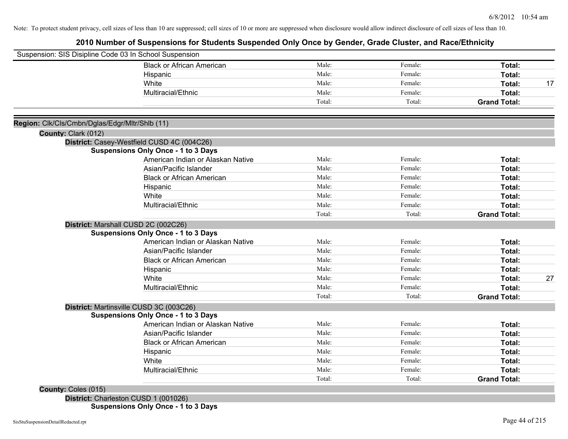# **2010 Number of Suspensions for Students Suspended Only Once by Gender, Grade Cluster, and Race/Ethnicity**

|                                                | Suspension: SIS Disipline Code 03 In School Suspension |        |         |                     |    |
|------------------------------------------------|--------------------------------------------------------|--------|---------|---------------------|----|
|                                                | <b>Black or African American</b>                       | Male:  | Female: | Total:              |    |
|                                                | Hispanic                                               | Male:  | Female: | Total:              |    |
|                                                | White                                                  | Male:  | Female: | Total:              | 17 |
|                                                | Multiracial/Ethnic                                     | Male:  | Female: | Total:              |    |
|                                                |                                                        | Total: | Total:  | <b>Grand Total:</b> |    |
| Region: Clk/Cls/Cmbn/Dglas/Edgr/Mltr/Shlb (11) |                                                        |        |         |                     |    |
| County: Clark (012)                            |                                                        |        |         |                     |    |
|                                                | District: Casey-Westfield CUSD 4C (004C26)             |        |         |                     |    |
|                                                | <b>Suspensions Only Once - 1 to 3 Days</b>             |        |         |                     |    |
|                                                | American Indian or Alaskan Native                      | Male:  | Female: | Total:              |    |
|                                                | Asian/Pacific Islander                                 | Male:  | Female: | Total:              |    |
|                                                | <b>Black or African American</b>                       | Male:  | Female: | Total:              |    |
|                                                | Hispanic                                               | Male:  | Female: | Total:              |    |
|                                                | White                                                  | Male:  | Female: | Total:              |    |
|                                                | Multiracial/Ethnic                                     | Male:  | Female: | Total:              |    |
|                                                |                                                        | Total: | Total:  | <b>Grand Total:</b> |    |
|                                                | District: Marshall CUSD 2C (002C26)                    |        |         |                     |    |
|                                                | <b>Suspensions Only Once - 1 to 3 Days</b>             |        |         |                     |    |
|                                                | American Indian or Alaskan Native                      | Male:  | Female: | Total:              |    |
|                                                | Asian/Pacific Islander                                 | Male:  | Female: | Total:              |    |
|                                                | <b>Black or African American</b>                       | Male:  | Female: | Total:              |    |
|                                                | Hispanic                                               | Male:  | Female: | Total:              |    |
|                                                | White                                                  | Male:  | Female: | Total:              | 27 |
|                                                | Multiracial/Ethnic                                     | Male:  | Female: | Total:              |    |
|                                                |                                                        | Total: | Total:  | <b>Grand Total:</b> |    |
|                                                | District: Martinsville CUSD 3C (003C26)                |        |         |                     |    |
|                                                | <b>Suspensions Only Once - 1 to 3 Days</b>             |        |         |                     |    |
|                                                | American Indian or Alaskan Native                      | Male:  | Female: | Total:              |    |
|                                                | Asian/Pacific Islander                                 | Male:  | Female: | Total:              |    |
|                                                | <b>Black or African American</b>                       | Male:  | Female: | Total:              |    |
|                                                | Hispanic                                               | Male:  | Female: | Total:              |    |
|                                                | White                                                  | Male:  | Female: | Total:              |    |
|                                                | Multiracial/Ethnic                                     | Male:  | Female: | Total:              |    |
|                                                |                                                        | Total: | Total:  | <b>Grand Total:</b> |    |
| County: Coles (015)                            |                                                        |        |         |                     |    |
|                                                | District: Charleston CUSD 1 (001026)                   |        |         |                     |    |

**Suspensions Only Once - 1 to 3 Days**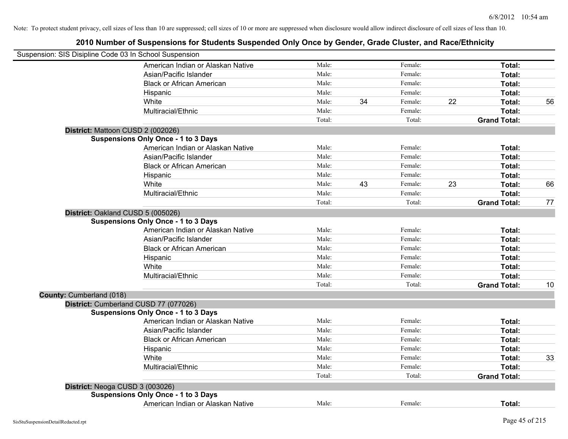|                          | Suspension: SIS Disipline Code 03 In School Suspension |        |    |         |    |                     |    |
|--------------------------|--------------------------------------------------------|--------|----|---------|----|---------------------|----|
|                          | American Indian or Alaskan Native                      | Male:  |    | Female: |    | Total:              |    |
|                          | Asian/Pacific Islander                                 | Male:  |    | Female: |    | Total:              |    |
|                          | <b>Black or African American</b>                       | Male:  |    | Female: |    | Total:              |    |
|                          | Hispanic                                               | Male:  |    | Female: |    | Total:              |    |
|                          | White                                                  | Male:  | 34 | Female: | 22 | Total:              | 56 |
|                          | Multiracial/Ethnic                                     | Male:  |    | Female: |    | Total:              |    |
|                          |                                                        | Total: |    | Total:  |    | <b>Grand Total:</b> |    |
|                          | District: Mattoon CUSD 2 (002026)                      |        |    |         |    |                     |    |
|                          | <b>Suspensions Only Once - 1 to 3 Days</b>             |        |    |         |    |                     |    |
|                          | American Indian or Alaskan Native                      | Male:  |    | Female: |    | Total:              |    |
|                          | Asian/Pacific Islander                                 | Male:  |    | Female: |    | Total:              |    |
|                          | <b>Black or African American</b>                       | Male:  |    | Female: |    | Total:              |    |
|                          | Hispanic                                               | Male:  |    | Female: |    | Total:              |    |
|                          | White                                                  | Male:  | 43 | Female: | 23 | Total:              | 66 |
|                          | Multiracial/Ethnic                                     | Male:  |    | Female: |    | Total:              |    |
|                          |                                                        | Total: |    | Total:  |    | <b>Grand Total:</b> | 77 |
|                          | District: Oakland CUSD 5 (005026)                      |        |    |         |    |                     |    |
|                          | <b>Suspensions Only Once - 1 to 3 Days</b>             |        |    |         |    |                     |    |
|                          | American Indian or Alaskan Native                      | Male:  |    | Female: |    | Total:              |    |
|                          | Asian/Pacific Islander                                 | Male:  |    | Female: |    | Total:              |    |
|                          | <b>Black or African American</b>                       | Male:  |    | Female: |    | Total:              |    |
|                          | Hispanic                                               | Male:  |    | Female: |    | Total:              |    |
|                          | White                                                  | Male:  |    | Female: |    | Total:              |    |
|                          | Multiracial/Ethnic                                     | Male:  |    | Female: |    | Total:              |    |
|                          |                                                        | Total: |    | Total:  |    | <b>Grand Total:</b> | 10 |
| County: Cumberland (018) |                                                        |        |    |         |    |                     |    |
|                          | District: Cumberland CUSD 77 (077026)                  |        |    |         |    |                     |    |
|                          | <b>Suspensions Only Once - 1 to 3 Days</b>             |        |    |         |    |                     |    |
|                          | American Indian or Alaskan Native                      | Male:  |    | Female: |    | Total:              |    |
|                          | Asian/Pacific Islander                                 | Male:  |    | Female: |    | Total:              |    |
|                          | <b>Black or African American</b>                       | Male:  |    | Female: |    | Total:              |    |
|                          | Hispanic                                               | Male:  |    | Female: |    | Total:              |    |
|                          | White                                                  | Male:  |    | Female: |    | Total:              | 33 |
|                          | Multiracial/Ethnic                                     | Male:  |    | Female: |    | Total:              |    |
|                          |                                                        | Total: |    | Total:  |    | <b>Grand Total:</b> |    |
|                          | District: Neoga CUSD 3 (003026)                        |        |    |         |    |                     |    |
|                          | <b>Suspensions Only Once - 1 to 3 Days</b>             |        |    |         |    |                     |    |
|                          | American Indian or Alaskan Native                      | Male:  |    | Female: |    | Total:              |    |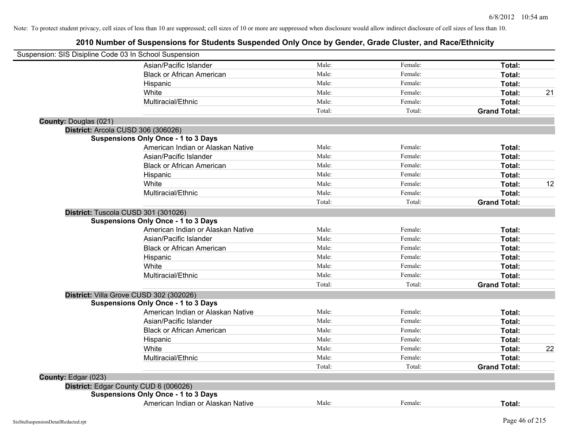| Suspension: SIS Disipline Code 03 In School Suspension |                                            |        |         |                     |    |
|--------------------------------------------------------|--------------------------------------------|--------|---------|---------------------|----|
|                                                        | Asian/Pacific Islander                     | Male:  | Female: | Total:              |    |
|                                                        | <b>Black or African American</b>           | Male:  | Female: | Total:              |    |
|                                                        | Hispanic                                   | Male:  | Female: | Total:              |    |
|                                                        | White                                      | Male:  | Female: | Total:              | 21 |
|                                                        | Multiracial/Ethnic                         | Male:  | Female: | Total:              |    |
|                                                        |                                            | Total: | Total:  | <b>Grand Total:</b> |    |
| <b>County: Douglas (021)</b>                           |                                            |        |         |                     |    |
|                                                        | District: Arcola CUSD 306 (306026)         |        |         |                     |    |
|                                                        | <b>Suspensions Only Once - 1 to 3 Days</b> |        |         |                     |    |
|                                                        | American Indian or Alaskan Native          | Male:  | Female: | Total:              |    |
|                                                        | Asian/Pacific Islander                     | Male:  | Female: | Total:              |    |
|                                                        | <b>Black or African American</b>           | Male:  | Female: | Total:              |    |
|                                                        | Hispanic                                   | Male:  | Female: | Total:              |    |
|                                                        | White                                      | Male:  | Female: | Total:              | 12 |
|                                                        | Multiracial/Ethnic                         | Male:  | Female: | Total:              |    |
|                                                        |                                            | Total: | Total:  | <b>Grand Total:</b> |    |
|                                                        | District: Tuscola CUSD 301 (301026)        |        |         |                     |    |
|                                                        | <b>Suspensions Only Once - 1 to 3 Days</b> |        |         |                     |    |
|                                                        | American Indian or Alaskan Native          | Male:  | Female: | Total:              |    |
|                                                        | Asian/Pacific Islander                     | Male:  | Female: | Total:              |    |
|                                                        | <b>Black or African American</b>           | Male:  | Female: | Total:              |    |
|                                                        | Hispanic                                   | Male:  | Female: | Total:              |    |
|                                                        | White                                      | Male:  | Female: | Total:              |    |
|                                                        | Multiracial/Ethnic                         | Male:  | Female: | Total:              |    |
|                                                        |                                            | Total: | Total:  | <b>Grand Total:</b> |    |
|                                                        | District: Villa Grove CUSD 302 (302026)    |        |         |                     |    |
|                                                        | <b>Suspensions Only Once - 1 to 3 Days</b> |        |         |                     |    |
|                                                        | American Indian or Alaskan Native          | Male:  | Female: | Total:              |    |
|                                                        | Asian/Pacific Islander                     | Male:  | Female: | Total:              |    |
|                                                        | <b>Black or African American</b>           | Male:  | Female: | Total:              |    |
|                                                        | Hispanic                                   | Male:  | Female: | Total:              |    |
|                                                        | White                                      | Male:  | Female: | Total:              | 22 |
|                                                        | Multiracial/Ethnic                         | Male:  | Female: | Total:              |    |
|                                                        |                                            | Total: | Total:  | <b>Grand Total:</b> |    |
| County: Edgar (023)                                    |                                            |        |         |                     |    |
|                                                        | District: Edgar County CUD 6 (006026)      |        |         |                     |    |
|                                                        | <b>Suspensions Only Once - 1 to 3 Days</b> |        |         |                     |    |
|                                                        | American Indian or Alaskan Native          | Male:  | Female: | Total:              |    |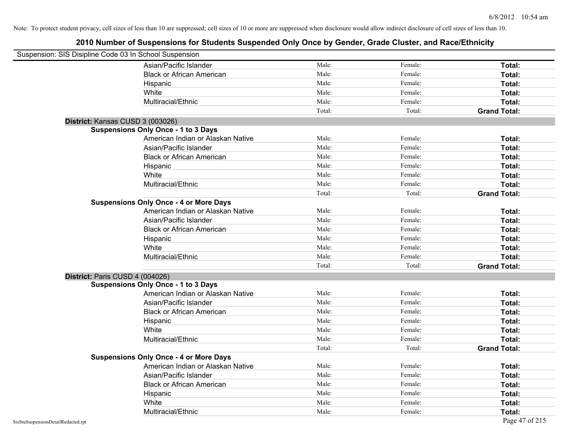| Suspension: SIS Disipline Code 03 In School Suspension |                                               |        |         |                     |
|--------------------------------------------------------|-----------------------------------------------|--------|---------|---------------------|
|                                                        | Asian/Pacific Islander                        | Male:  | Female: | Total:              |
|                                                        | <b>Black or African American</b>              | Male:  | Female: | Total:              |
|                                                        | Hispanic                                      | Male:  | Female: | Total:              |
|                                                        | White                                         | Male:  | Female: | Total:              |
|                                                        | Multiracial/Ethnic                            | Male:  | Female: | Total:              |
|                                                        |                                               | Total: | Total:  | <b>Grand Total:</b> |
| District: Kansas CUSD 3 (003026)                       |                                               |        |         |                     |
|                                                        | <b>Suspensions Only Once - 1 to 3 Days</b>    |        |         |                     |
|                                                        | American Indian or Alaskan Native             | Male:  | Female: | Total:              |
|                                                        | Asian/Pacific Islander                        | Male:  | Female: | Total:              |
|                                                        | <b>Black or African American</b>              | Male:  | Female: | Total:              |
|                                                        | Hispanic                                      | Male:  | Female: | Total:              |
|                                                        | White                                         | Male:  | Female: | Total:              |
|                                                        | Multiracial/Ethnic                            | Male:  | Female: | Total:              |
|                                                        |                                               | Total: | Total:  | <b>Grand Total:</b> |
|                                                        | <b>Suspensions Only Once - 4 or More Days</b> |        |         |                     |
|                                                        | American Indian or Alaskan Native             | Male:  | Female: | Total:              |
|                                                        | Asian/Pacific Islander                        | Male:  | Female: | Total:              |
|                                                        | <b>Black or African American</b>              | Male:  | Female: | Total:              |
|                                                        | Hispanic                                      | Male:  | Female: | Total:              |
|                                                        | White                                         | Male:  | Female: | Total:              |
|                                                        | Multiracial/Ethnic                            | Male:  | Female: | Total:              |
|                                                        |                                               | Total: | Total:  | <b>Grand Total:</b> |
| District: Paris CUSD 4 (004026)                        |                                               |        |         |                     |
|                                                        | <b>Suspensions Only Once - 1 to 3 Days</b>    |        |         |                     |
|                                                        | American Indian or Alaskan Native             | Male:  | Female: | Total:              |
|                                                        | Asian/Pacific Islander                        | Male:  | Female: | Total:              |
|                                                        | <b>Black or African American</b>              | Male:  | Female: | Total:              |
|                                                        | Hispanic                                      | Male:  | Female: | Total:              |
|                                                        | White                                         | Male:  | Female: | Total:              |
|                                                        | Multiracial/Ethnic                            | Male:  | Female: | Total:              |
|                                                        |                                               | Total: | Total:  | <b>Grand Total:</b> |
|                                                        | <b>Suspensions Only Once - 4 or More Days</b> |        |         |                     |
|                                                        | American Indian or Alaskan Native             | Male:  | Female: | Total:              |
|                                                        | Asian/Pacific Islander                        | Male:  | Female: | Total:              |
|                                                        | <b>Black or African American</b>              | Male:  | Female: | Total:              |
|                                                        | Hispanic                                      | Male:  | Female: | Total:              |
|                                                        | White                                         | Male:  | Female: | Total:              |
|                                                        | Multiracial/Ethnic                            | Male:  | Female: | Total:              |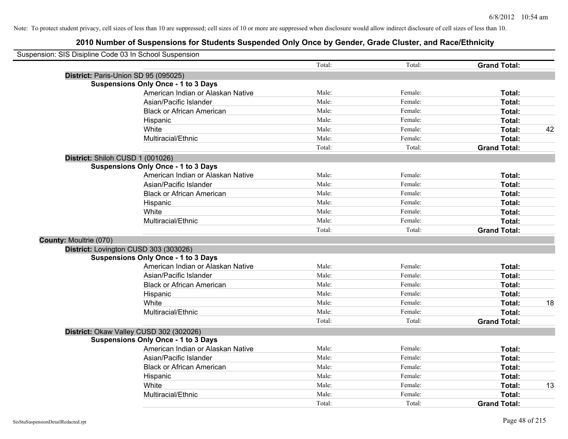|                               | Suspension: SIS Disipline Code 03 In School Suspension |        |         |                     |    |
|-------------------------------|--------------------------------------------------------|--------|---------|---------------------|----|
|                               |                                                        | Total: | Total:  | <b>Grand Total:</b> |    |
|                               | District: Paris-Union SD 95 (095025)                   |        |         |                     |    |
|                               | <b>Suspensions Only Once - 1 to 3 Days</b>             |        |         |                     |    |
|                               | American Indian or Alaskan Native                      | Male:  | Female: | Total:              |    |
|                               | Asian/Pacific Islander                                 | Male:  | Female: | Total:              |    |
|                               | <b>Black or African American</b>                       | Male:  | Female: | Total:              |    |
|                               | Hispanic                                               | Male:  | Female: | Total:              |    |
|                               | White                                                  | Male:  | Female: | Total:              | 42 |
|                               | Multiracial/Ethnic                                     | Male:  | Female: | Total:              |    |
|                               |                                                        | Total: | Total:  | <b>Grand Total:</b> |    |
|                               | District: Shiloh CUSD 1 (001026)                       |        |         |                     |    |
|                               | <b>Suspensions Only Once - 1 to 3 Days</b>             |        |         |                     |    |
|                               | American Indian or Alaskan Native                      | Male:  | Female: | Total:              |    |
|                               | Asian/Pacific Islander                                 | Male:  | Female: | Total:              |    |
|                               | <b>Black or African American</b>                       | Male:  | Female: | Total:              |    |
|                               | Hispanic                                               | Male:  | Female: | Total:              |    |
|                               | White                                                  | Male:  | Female: | Total:              |    |
|                               | Multiracial/Ethnic                                     | Male:  | Female: | Total:              |    |
|                               |                                                        | Total: | Total:  | <b>Grand Total:</b> |    |
| <b>County: Moultrie (070)</b> |                                                        |        |         |                     |    |
|                               | District: Lovington CUSD 303 (303026)                  |        |         |                     |    |
|                               | <b>Suspensions Only Once - 1 to 3 Days</b>             |        |         |                     |    |
|                               | American Indian or Alaskan Native                      | Male:  | Female: | Total:              |    |
|                               | Asian/Pacific Islander                                 | Male:  | Female: | Total:              |    |
|                               | <b>Black or African American</b>                       | Male:  | Female: | Total:              |    |
|                               | Hispanic                                               | Male:  | Female: | Total:              |    |
|                               | White                                                  | Male:  | Female: | Total:              | 18 |
|                               | Multiracial/Ethnic                                     | Male:  | Female: | Total:              |    |
|                               |                                                        | Total: | Total:  | <b>Grand Total:</b> |    |
|                               | District: Okaw Valley CUSD 302 (302026)                |        |         |                     |    |
|                               | <b>Suspensions Only Once - 1 to 3 Days</b>             |        |         |                     |    |
|                               | American Indian or Alaskan Native                      | Male:  | Female: | Total:              |    |
|                               | Asian/Pacific Islander                                 | Male:  | Female: | Total:              |    |
|                               | <b>Black or African American</b>                       | Male:  | Female: | Total:              |    |
|                               | Hispanic                                               | Male:  | Female: | Total:              |    |
|                               | White                                                  | Male:  | Female: | Total:              | 13 |
|                               | Multiracial/Ethnic                                     | Male:  | Female: | Total:              |    |
|                               |                                                        | Total: | Total:  | <b>Grand Total:</b> |    |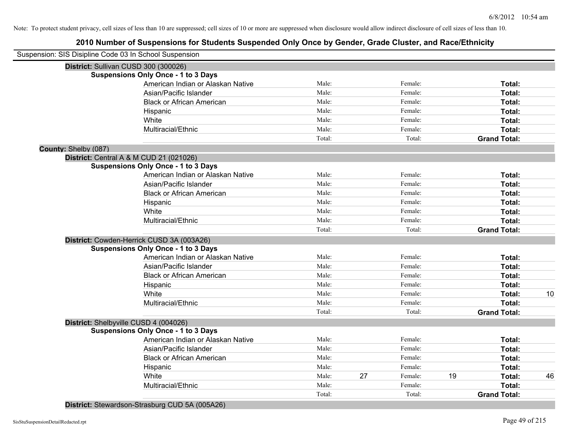# **2010 Number of Suspensions for Students Suspended Only Once by Gender, Grade Cluster, and Race/Ethnicity**

| Suspension: SIS Disipline Code 03 In School Suspension |                                            |        |    |         |    |                     |    |
|--------------------------------------------------------|--------------------------------------------|--------|----|---------|----|---------------------|----|
|                                                        | District: Sullivan CUSD 300 (300026)       |        |    |         |    |                     |    |
|                                                        | <b>Suspensions Only Once - 1 to 3 Days</b> |        |    |         |    |                     |    |
|                                                        | American Indian or Alaskan Native          | Male:  |    | Female: |    | Total:              |    |
|                                                        | Asian/Pacific Islander                     | Male:  |    | Female: |    | Total:              |    |
|                                                        | <b>Black or African American</b>           | Male:  |    | Female: |    | Total:              |    |
|                                                        | Hispanic                                   | Male:  |    | Female: |    | Total:              |    |
|                                                        | White                                      | Male:  |    | Female: |    | Total:              |    |
|                                                        | Multiracial/Ethnic                         | Male:  |    | Female: |    | Total:              |    |
|                                                        |                                            | Total: |    | Total:  |    | <b>Grand Total:</b> |    |
| County: Shelby (087)                                   |                                            |        |    |         |    |                     |    |
|                                                        | District: Central A & M CUD 21 (021026)    |        |    |         |    |                     |    |
|                                                        | <b>Suspensions Only Once - 1 to 3 Days</b> |        |    |         |    |                     |    |
|                                                        | American Indian or Alaskan Native          | Male:  |    | Female: |    | Total:              |    |
|                                                        | Asian/Pacific Islander                     | Male:  |    | Female: |    | Total:              |    |
|                                                        | <b>Black or African American</b>           | Male:  |    | Female: |    | Total:              |    |
|                                                        | Hispanic                                   | Male:  |    | Female: |    | Total:              |    |
|                                                        | White                                      | Male:  |    | Female: |    | Total:              |    |
|                                                        | Multiracial/Ethnic                         | Male:  |    | Female: |    | Total:              |    |
|                                                        |                                            | Total: |    | Total:  |    | <b>Grand Total:</b> |    |
|                                                        | District: Cowden-Herrick CUSD 3A (003A26)  |        |    |         |    |                     |    |
|                                                        | <b>Suspensions Only Once - 1 to 3 Days</b> |        |    |         |    |                     |    |
|                                                        | American Indian or Alaskan Native          | Male:  |    | Female: |    | Total:              |    |
|                                                        | Asian/Pacific Islander                     | Male:  |    | Female: |    | Total:              |    |
|                                                        | <b>Black or African American</b>           | Male:  |    | Female: |    | Total:              |    |
|                                                        | Hispanic                                   | Male:  |    | Female: |    | <b>Total:</b>       |    |
|                                                        | White                                      | Male:  |    | Female: |    | Total:              | 10 |
|                                                        | Multiracial/Ethnic                         | Male:  |    | Female: |    | Total:              |    |
|                                                        |                                            | Total: |    | Total:  |    | <b>Grand Total:</b> |    |
|                                                        | District: Shelbyville CUSD 4 (004026)      |        |    |         |    |                     |    |
|                                                        | <b>Suspensions Only Once - 1 to 3 Days</b> |        |    |         |    |                     |    |
|                                                        | American Indian or Alaskan Native          | Male:  |    | Female: |    | Total:              |    |
|                                                        | Asian/Pacific Islander                     | Male:  |    | Female: |    | Total:              |    |
|                                                        | <b>Black or African American</b>           | Male:  |    | Female: |    | Total:              |    |
|                                                        | Hispanic                                   | Male:  |    | Female: |    | Total:              |    |
|                                                        | White                                      | Male:  | 27 | Female: | 19 | Total:              | 46 |
|                                                        | Multiracial/Ethnic                         | Male:  |    | Female: |    | Total:              |    |
|                                                        |                                            | Total: |    | Total:  |    | <b>Grand Total:</b> |    |
|                                                        |                                            |        |    |         |    |                     |    |

**District:** Stewardson-Strasburg CUD 5A (005A26)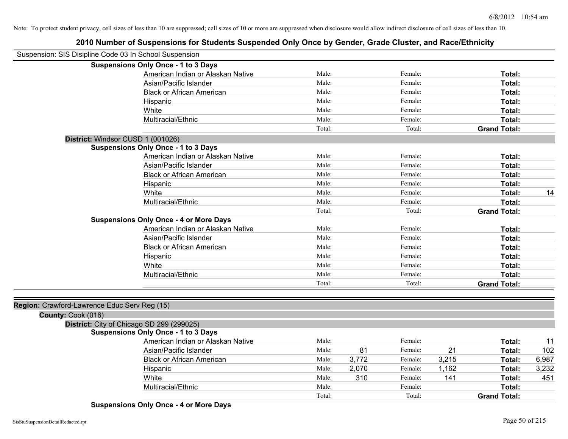# **2010 Number of Suspensions for Students Suspended Only Once by Gender, Grade Cluster, and Race/Ethnicity**

| Suspension: SIS Disipline Code 03 In School Suspension |                                   |        |       |         |       |                     |       |
|--------------------------------------------------------|-----------------------------------|--------|-------|---------|-------|---------------------|-------|
| <b>Suspensions Only Once - 1 to 3 Days</b>             |                                   |        |       |         |       |                     |       |
|                                                        | American Indian or Alaskan Native | Male:  |       | Female: |       | Total:              |       |
|                                                        | Asian/Pacific Islander            | Male:  |       | Female: |       | Total:              |       |
|                                                        | <b>Black or African American</b>  | Male:  |       | Female: |       | Total:              |       |
| Hispanic                                               |                                   | Male:  |       | Female: |       | Total:              |       |
| White                                                  |                                   | Male:  |       | Female: |       | Total:              |       |
|                                                        | Multiracial/Ethnic                | Male:  |       | Female: |       | Total:              |       |
|                                                        |                                   | Total: |       | Total:  |       | <b>Grand Total:</b> |       |
| District: Windsor CUSD 1 (001026)                      |                                   |        |       |         |       |                     |       |
| <b>Suspensions Only Once - 1 to 3 Days</b>             |                                   |        |       |         |       |                     |       |
|                                                        | American Indian or Alaskan Native | Male:  |       | Female: |       | Total:              |       |
|                                                        | Asian/Pacific Islander            | Male:  |       | Female: |       | Total:              |       |
|                                                        | <b>Black or African American</b>  | Male:  |       | Female: |       | Total:              |       |
| Hispanic                                               |                                   | Male:  |       | Female: |       | Total:              |       |
| White                                                  |                                   | Male:  |       | Female: |       | Total:              | 14    |
|                                                        | Multiracial/Ethnic                | Male:  |       | Female: |       | Total:              |       |
|                                                        |                                   | Total: |       | Total:  |       | <b>Grand Total:</b> |       |
| <b>Suspensions Only Once - 4 or More Days</b>          |                                   |        |       |         |       |                     |       |
|                                                        | American Indian or Alaskan Native | Male:  |       | Female: |       | Total:              |       |
|                                                        | Asian/Pacific Islander            | Male:  |       | Female: |       | Total:              |       |
|                                                        | <b>Black or African American</b>  | Male:  |       | Female: |       | Total:              |       |
| Hispanic                                               |                                   | Male:  |       | Female: |       | Total:              |       |
| White                                                  |                                   | Male:  |       | Female: |       | Total:              |       |
|                                                        | Multiracial/Ethnic                | Male:  |       | Female: |       | Total:              |       |
|                                                        |                                   | Total: |       | Total:  |       | <b>Grand Total:</b> |       |
|                                                        |                                   |        |       |         |       |                     |       |
| Region: Crawford-Lawrence Educ Serv Reg (15)           |                                   |        |       |         |       |                     |       |
| County: Cook (016)                                     |                                   |        |       |         |       |                     |       |
| District: City of Chicago SD 299 (299025)              |                                   |        |       |         |       |                     |       |
| <b>Suspensions Only Once - 1 to 3 Days</b>             |                                   |        |       |         |       |                     |       |
|                                                        | American Indian or Alaskan Native | Male:  |       | Female: |       | Total:              | 11    |
|                                                        | Asian/Pacific Islander            | Male:  | 81    | Female: | 21    | Total:              | 102   |
|                                                        | <b>Black or African American</b>  | Male:  | 3,772 | Female: | 3,215 | Total:              | 6,987 |
| Hispanic                                               |                                   | Male:  | 2,070 | Female: | 1,162 | Total:              | 3,232 |
| White                                                  |                                   | Male:  | 310   | Female: | 141   | Total:              | 451   |
|                                                        | Multiracial/Ethnic                | Male:  |       | Female: |       | Total:              |       |
|                                                        |                                   | Total: |       | Total:  |       | <b>Grand Total:</b> |       |

**Suspensions Only Once - 4 or More Days**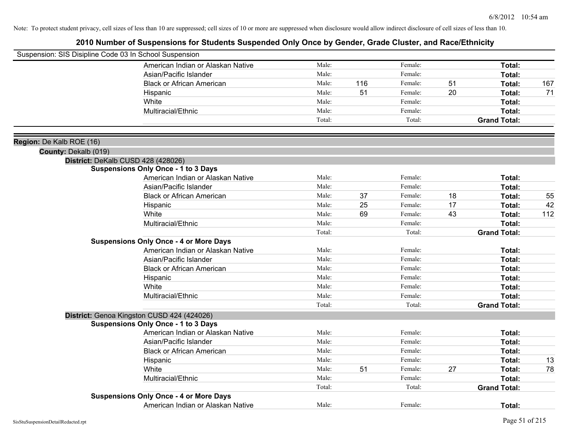|                                                  | Suspension: SIS Disipline Code 03 In School Suspension |        |     |         |    |                     |     |
|--------------------------------------------------|--------------------------------------------------------|--------|-----|---------|----|---------------------|-----|
|                                                  | American Indian or Alaskan Native                      | Male:  |     | Female: |    | Total:              |     |
|                                                  | Asian/Pacific Islander                                 | Male:  |     | Female: |    | Total:              |     |
|                                                  | <b>Black or African American</b>                       | Male:  | 116 | Female: | 51 | Total:              | 167 |
|                                                  | Hispanic                                               | Male:  | 51  | Female: | 20 | Total:              | 71  |
|                                                  | White                                                  | Male:  |     | Female: |    | Total:              |     |
|                                                  | Multiracial/Ethnic                                     | Male:  |     | Female: |    | Total:              |     |
|                                                  |                                                        | Total: |     | Total:  |    | <b>Grand Total:</b> |     |
|                                                  |                                                        |        |     |         |    |                     |     |
| Region: De Kalb ROE (16)<br>County: Dekalb (019) |                                                        |        |     |         |    |                     |     |
|                                                  | District: DeKalb CUSD 428 (428026)                     |        |     |         |    |                     |     |
|                                                  | <b>Suspensions Only Once - 1 to 3 Days</b>             |        |     |         |    |                     |     |
|                                                  | American Indian or Alaskan Native                      | Male:  |     | Female: |    | Total:              |     |
|                                                  | Asian/Pacific Islander                                 | Male:  |     | Female: |    | Total:              |     |
|                                                  | <b>Black or African American</b>                       | Male:  | 37  | Female: | 18 | Total:              | 55  |
|                                                  | Hispanic                                               | Male:  | 25  | Female: | 17 | Total:              | 42  |
|                                                  | White                                                  | Male:  | 69  | Female: | 43 | Total:              | 112 |
|                                                  | Multiracial/Ethnic                                     | Male:  |     | Female: |    | Total:              |     |
|                                                  |                                                        | Total: |     | Total:  |    | <b>Grand Total:</b> |     |
|                                                  | <b>Suspensions Only Once - 4 or More Days</b>          |        |     |         |    |                     |     |
|                                                  | American Indian or Alaskan Native                      | Male:  |     | Female: |    | Total:              |     |
|                                                  | Asian/Pacific Islander                                 | Male:  |     | Female: |    | Total:              |     |
|                                                  | <b>Black or African American</b>                       | Male:  |     | Female: |    | Total:              |     |
|                                                  | Hispanic                                               | Male:  |     | Female: |    | Total:              |     |
|                                                  | White                                                  | Male:  |     | Female: |    | Total:              |     |
|                                                  | Multiracial/Ethnic                                     | Male:  |     | Female: |    | Total:              |     |
|                                                  |                                                        | Total: |     | Total:  |    | <b>Grand Total:</b> |     |
|                                                  | District: Genoa Kingston CUSD 424 (424026)             |        |     |         |    |                     |     |
|                                                  | <b>Suspensions Only Once - 1 to 3 Days</b>             |        |     |         |    |                     |     |
|                                                  | American Indian or Alaskan Native                      | Male:  |     | Female: |    | Total:              |     |
|                                                  | Asian/Pacific Islander                                 | Male:  |     | Female: |    | Total:              |     |
|                                                  | <b>Black or African American</b>                       | Male:  |     | Female: |    | Total:              |     |
|                                                  | Hispanic                                               | Male:  |     | Female: |    | Total:              | 13  |
|                                                  | White                                                  | Male:  | 51  | Female: | 27 | Total:              | 78  |
|                                                  | Multiracial/Ethnic                                     | Male:  |     | Female: |    | Total:              |     |
|                                                  |                                                        | Total: |     | Total:  |    | <b>Grand Total:</b> |     |
|                                                  | <b>Suspensions Only Once - 4 or More Days</b>          |        |     |         |    |                     |     |
|                                                  | American Indian or Alaskan Native                      | Male:  |     | Female: |    | Total:              |     |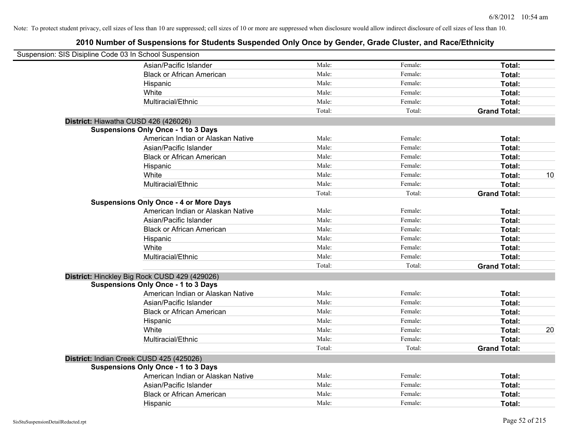| Suspension: SIS Disipline Code 03 In School Suspension |                                               |        |         |                     |    |
|--------------------------------------------------------|-----------------------------------------------|--------|---------|---------------------|----|
|                                                        | Asian/Pacific Islander                        | Male:  | Female: | Total:              |    |
|                                                        | <b>Black or African American</b>              | Male:  | Female: | Total:              |    |
|                                                        | Hispanic                                      | Male:  | Female: | Total:              |    |
|                                                        | White                                         | Male:  | Female: | Total:              |    |
|                                                        | Multiracial/Ethnic                            | Male:  | Female: | Total:              |    |
|                                                        |                                               | Total: | Total:  | <b>Grand Total:</b> |    |
|                                                        | District: Hiawatha CUSD 426 (426026)          |        |         |                     |    |
|                                                        | <b>Suspensions Only Once - 1 to 3 Days</b>    |        |         |                     |    |
|                                                        | American Indian or Alaskan Native             | Male:  | Female: | Total:              |    |
|                                                        | Asian/Pacific Islander                        | Male:  | Female: | Total:              |    |
|                                                        | <b>Black or African American</b>              | Male:  | Female: | Total:              |    |
|                                                        | Hispanic                                      | Male:  | Female: | Total:              |    |
|                                                        | White                                         | Male:  | Female: | Total:              | 10 |
|                                                        | Multiracial/Ethnic                            | Male:  | Female: | Total:              |    |
|                                                        |                                               | Total: | Total:  | <b>Grand Total:</b> |    |
|                                                        | <b>Suspensions Only Once - 4 or More Days</b> |        |         |                     |    |
|                                                        | American Indian or Alaskan Native             | Male:  | Female: | Total:              |    |
|                                                        | Asian/Pacific Islander                        | Male:  | Female: | Total:              |    |
|                                                        | <b>Black or African American</b>              | Male:  | Female: | Total:              |    |
|                                                        | Hispanic                                      | Male:  | Female: | Total:              |    |
|                                                        | White                                         | Male:  | Female: | Total:              |    |
|                                                        | Multiracial/Ethnic                            | Male:  | Female: | Total:              |    |
|                                                        |                                               | Total: | Total:  | <b>Grand Total:</b> |    |
|                                                        | District: Hinckley Big Rock CUSD 429 (429026) |        |         |                     |    |
|                                                        | <b>Suspensions Only Once - 1 to 3 Days</b>    |        |         |                     |    |
|                                                        | American Indian or Alaskan Native             | Male:  | Female: | Total:              |    |
|                                                        | Asian/Pacific Islander                        | Male:  | Female: | Total:              |    |
|                                                        | <b>Black or African American</b>              | Male:  | Female: | Total:              |    |
|                                                        | Hispanic                                      | Male:  | Female: | Total:              |    |
|                                                        | White                                         | Male:  | Female: | Total:              | 20 |
|                                                        | Multiracial/Ethnic                            | Male:  | Female: | Total:              |    |
|                                                        |                                               | Total: | Total:  | <b>Grand Total:</b> |    |
|                                                        | District: Indian Creek CUSD 425 (425026)      |        |         |                     |    |
|                                                        | <b>Suspensions Only Once - 1 to 3 Days</b>    |        |         |                     |    |
|                                                        | American Indian or Alaskan Native             | Male:  | Female: | Total:              |    |
|                                                        | Asian/Pacific Islander                        | Male:  | Female: | Total:              |    |
|                                                        | <b>Black or African American</b>              | Male:  | Female: | Total:              |    |
|                                                        | Hispanic                                      | Male:  | Female: | Total:              |    |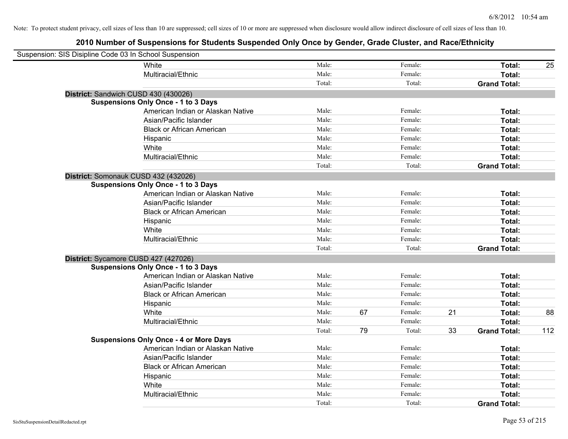| Suspension: SIS Disipline Code 03 In School Suspension |                                               |        |    |         |    |                     |     |
|--------------------------------------------------------|-----------------------------------------------|--------|----|---------|----|---------------------|-----|
|                                                        | White                                         | Male:  |    | Female: |    | Total:              | 25  |
|                                                        | Multiracial/Ethnic                            | Male:  |    | Female: |    | Total:              |     |
|                                                        |                                               | Total: |    | Total:  |    | <b>Grand Total:</b> |     |
| District: Sandwich CUSD 430 (430026)                   |                                               |        |    |         |    |                     |     |
|                                                        | <b>Suspensions Only Once - 1 to 3 Days</b>    |        |    |         |    |                     |     |
|                                                        | American Indian or Alaskan Native             | Male:  |    | Female: |    | Total:              |     |
|                                                        | Asian/Pacific Islander                        | Male:  |    | Female: |    | Total:              |     |
|                                                        | <b>Black or African American</b>              | Male:  |    | Female: |    | Total:              |     |
|                                                        | Hispanic                                      | Male:  |    | Female: |    | Total:              |     |
|                                                        | White                                         | Male:  |    | Female: |    | Total:              |     |
|                                                        | Multiracial/Ethnic                            | Male:  |    | Female: |    | Total:              |     |
|                                                        |                                               | Total: |    | Total:  |    | <b>Grand Total:</b> |     |
| District: Somonauk CUSD 432 (432026)                   |                                               |        |    |         |    |                     |     |
|                                                        | <b>Suspensions Only Once - 1 to 3 Days</b>    |        |    |         |    |                     |     |
|                                                        | American Indian or Alaskan Native             | Male:  |    | Female: |    | Total:              |     |
|                                                        | Asian/Pacific Islander                        | Male:  |    | Female: |    | Total:              |     |
|                                                        | <b>Black or African American</b>              | Male:  |    | Female: |    | Total:              |     |
|                                                        | Hispanic                                      | Male:  |    | Female: |    | Total:              |     |
|                                                        | White                                         | Male:  |    | Female: |    | Total:              |     |
|                                                        | Multiracial/Ethnic                            | Male:  |    | Female: |    | Total:              |     |
|                                                        |                                               | Total: |    | Total:  |    | <b>Grand Total:</b> |     |
| District: Sycamore CUSD 427 (427026)                   |                                               |        |    |         |    |                     |     |
|                                                        | <b>Suspensions Only Once - 1 to 3 Days</b>    |        |    |         |    |                     |     |
|                                                        | American Indian or Alaskan Native             | Male:  |    | Female: |    | Total:              |     |
|                                                        | Asian/Pacific Islander                        | Male:  |    | Female: |    | Total:              |     |
|                                                        | <b>Black or African American</b>              | Male:  |    | Female: |    | Total:              |     |
|                                                        | Hispanic                                      | Male:  |    | Female: |    | Total:              |     |
|                                                        | White                                         | Male:  | 67 | Female: | 21 | Total:              | 88  |
|                                                        | Multiracial/Ethnic                            | Male:  |    | Female: |    | Total:              |     |
|                                                        |                                               | Total: | 79 | Total:  | 33 | <b>Grand Total:</b> | 112 |
|                                                        | <b>Suspensions Only Once - 4 or More Days</b> |        |    |         |    |                     |     |
|                                                        | American Indian or Alaskan Native             | Male:  |    | Female: |    | Total:              |     |
|                                                        | Asian/Pacific Islander                        | Male:  |    | Female: |    | Total:              |     |
|                                                        | <b>Black or African American</b>              | Male:  |    | Female: |    | Total:              |     |
|                                                        | Hispanic                                      | Male:  |    | Female: |    | Total:              |     |
|                                                        | White                                         | Male:  |    | Female: |    | Total:              |     |
|                                                        | Multiracial/Ethnic                            | Male:  |    | Female: |    | Total:              |     |
|                                                        |                                               | Total: |    | Total:  |    | <b>Grand Total:</b> |     |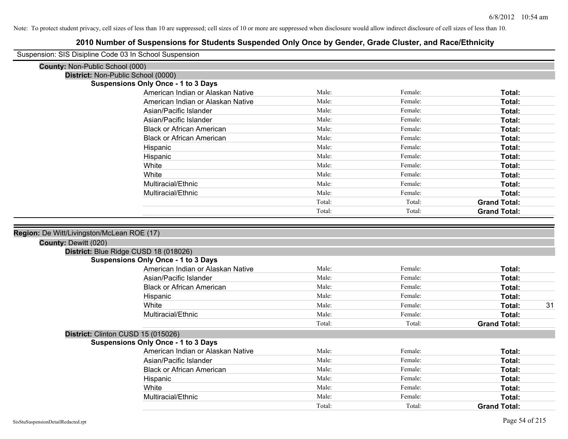| Suspension: SIS Disipline Code 03 In School Suspension |                                            |        |         |                     |    |
|--------------------------------------------------------|--------------------------------------------|--------|---------|---------------------|----|
| County: Non-Public School (000)                        |                                            |        |         |                     |    |
| District: Non-Public School (0000)                     |                                            |        |         |                     |    |
|                                                        | <b>Suspensions Only Once - 1 to 3 Days</b> |        |         |                     |    |
|                                                        | American Indian or Alaskan Native          | Male:  | Female: | Total:              |    |
|                                                        | American Indian or Alaskan Native          | Male:  | Female: | Total:              |    |
|                                                        | Asian/Pacific Islander                     | Male:  | Female: | Total:              |    |
|                                                        | Asian/Pacific Islander                     | Male:  | Female: | Total:              |    |
|                                                        | <b>Black or African American</b>           | Male:  | Female: | Total:              |    |
|                                                        | <b>Black or African American</b>           | Male:  | Female: | Total:              |    |
|                                                        | Hispanic                                   | Male:  | Female: | Total:              |    |
|                                                        | Hispanic                                   | Male:  | Female: | Total:              |    |
|                                                        | White                                      | Male:  | Female: | Total:              |    |
|                                                        | White                                      | Male:  | Female: | Total:              |    |
|                                                        | Multiracial/Ethnic                         | Male:  | Female: | <b>Total:</b>       |    |
|                                                        | Multiracial/Ethnic                         | Male:  | Female: | Total:              |    |
|                                                        |                                            | Total: | Total:  | <b>Grand Total:</b> |    |
|                                                        |                                            | Total: | Total:  | <b>Grand Total:</b> |    |
|                                                        |                                            |        |         |                     |    |
| Region: De Witt/Livingston/McLean ROE (17)             |                                            |        |         |                     |    |
| <b>County: Dewitt (020)</b>                            |                                            |        |         |                     |    |
| District: Blue Ridge CUSD 18 (018026)                  |                                            |        |         |                     |    |
|                                                        | <b>Suspensions Only Once - 1 to 3 Days</b> |        |         |                     |    |
|                                                        | American Indian or Alaskan Native          | Male:  | Female: | Total:              |    |
|                                                        | Asian/Pacific Islander                     | Male:  | Female: | Total:              |    |
|                                                        | <b>Black or African American</b>           | Male:  | Female: | Total:              |    |
|                                                        | Hispanic                                   | Male:  | Female: | Total:              |    |
|                                                        | White                                      | Male:  | Female: | Total:              | 31 |
|                                                        | Multiracial/Ethnic                         | Male:  | Female: | <b>Total:</b>       |    |
|                                                        |                                            | Total: | Total:  | <b>Grand Total:</b> |    |
| District: Clinton CUSD 15 (015026)                     |                                            |        |         |                     |    |
|                                                        |                                            |        |         |                     |    |
|                                                        | <b>Suspensions Only Once - 1 to 3 Days</b> |        |         |                     |    |
|                                                        | American Indian or Alaskan Native          | Male:  | Female: | Total:              |    |
|                                                        | Asian/Pacific Islander                     | Male:  | Female: | Total:              |    |
|                                                        | <b>Black or African American</b>           | Male:  | Female: | Total:              |    |
|                                                        | Hispanic                                   | Male:  | Female: | Total:              |    |
|                                                        | White                                      | Male:  | Female: | Total:              |    |
|                                                        | Multiracial/Ethnic                         | Male:  | Female: | <b>Total:</b>       |    |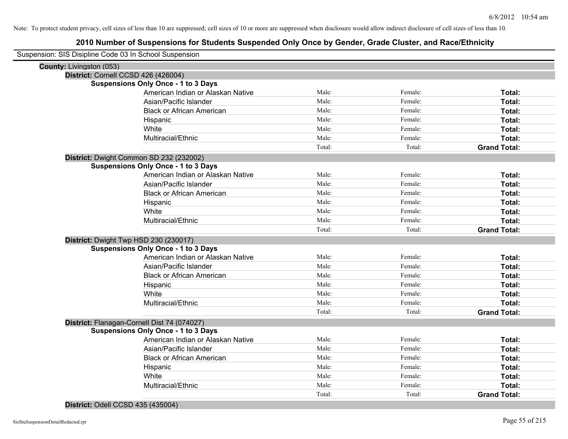# **2010 Number of Suspensions for Students Suspended Only Once by Gender, Grade Cluster, and Race/Ethnicity**

| Suspension: SIS Disipline Code 03 In School Suspension |                                             |        |         |                     |
|--------------------------------------------------------|---------------------------------------------|--------|---------|---------------------|
| County: Livingston (053)                               |                                             |        |         |                     |
| District: Cornell CCSD 426 (426004)                    |                                             |        |         |                     |
|                                                        | <b>Suspensions Only Once - 1 to 3 Days</b>  |        |         |                     |
|                                                        | American Indian or Alaskan Native           | Male:  | Female: | Total:              |
|                                                        | Asian/Pacific Islander                      | Male:  | Female: | Total:              |
|                                                        | <b>Black or African American</b>            | Male:  | Female: | Total:              |
|                                                        | Hispanic                                    | Male:  | Female: | Total:              |
|                                                        | White                                       | Male:  | Female: | Total:              |
|                                                        | Multiracial/Ethnic                          | Male:  | Female: | Total:              |
|                                                        |                                             | Total: | Total:  | <b>Grand Total:</b> |
|                                                        | District: Dwight Common SD 232 (232002)     |        |         |                     |
|                                                        | <b>Suspensions Only Once - 1 to 3 Days</b>  |        |         |                     |
|                                                        | American Indian or Alaskan Native           | Male:  | Female: | Total:              |
|                                                        | Asian/Pacific Islander                      | Male:  | Female: | Total:              |
|                                                        | <b>Black or African American</b>            | Male:  | Female: | Total:              |
|                                                        | Hispanic                                    | Male:  | Female: | Total:              |
|                                                        | White                                       | Male:  | Female: | Total:              |
|                                                        | Multiracial/Ethnic                          | Male:  | Female: | Total:              |
|                                                        |                                             | Total: | Total:  | <b>Grand Total:</b> |
| District: Dwight Twp HSD 230 (230017)                  |                                             |        |         |                     |
|                                                        | <b>Suspensions Only Once - 1 to 3 Days</b>  |        |         |                     |
|                                                        | American Indian or Alaskan Native           | Male:  | Female: | Total:              |
|                                                        | Asian/Pacific Islander                      | Male:  | Female: | Total:              |
|                                                        | <b>Black or African American</b>            | Male:  | Female: | Total:              |
|                                                        | Hispanic                                    | Male:  | Female: | Total:              |
|                                                        | White                                       | Male:  | Female: | Total:              |
|                                                        | Multiracial/Ethnic                          | Male:  | Female: | Total:              |
|                                                        |                                             | Total: | Total:  | <b>Grand Total:</b> |
|                                                        | District: Flanagan-Cornell Dist 74 (074027) |        |         |                     |
|                                                        | <b>Suspensions Only Once - 1 to 3 Days</b>  |        |         |                     |
|                                                        | American Indian or Alaskan Native           | Male:  | Female: | Total:              |
|                                                        | Asian/Pacific Islander                      | Male:  | Female: | Total:              |
|                                                        | <b>Black or African American</b>            | Male:  | Female: | Total:              |
|                                                        | Hispanic                                    | Male:  | Female: | Total:              |
|                                                        | White                                       | Male:  | Female: | Total:              |
|                                                        | Multiracial/Ethnic                          | Male:  | Female: | Total:              |
|                                                        |                                             | Total: | Total:  | <b>Grand Total:</b> |

### **District:** Odell CCSD 435 (435004)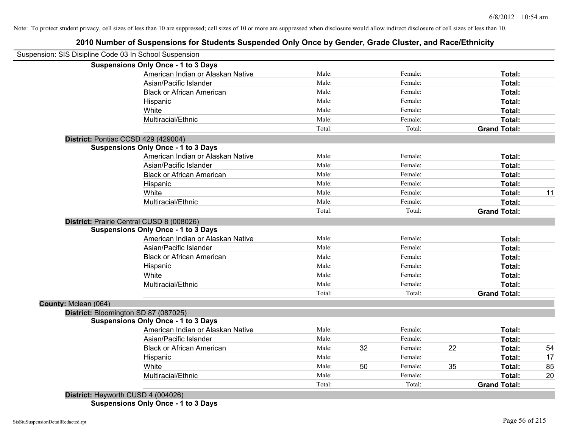# **2010 Number of Suspensions for Students Suspended Only Once by Gender, Grade Cluster, and Race/Ethnicity**

|                      | Suspension: SIS Disipline Code 03 In School Suspension |        |    |         |    |                     |    |
|----------------------|--------------------------------------------------------|--------|----|---------|----|---------------------|----|
|                      | <b>Suspensions Only Once - 1 to 3 Days</b>             |        |    |         |    |                     |    |
|                      | American Indian or Alaskan Native                      | Male:  |    | Female: |    | Total:              |    |
|                      | Asian/Pacific Islander                                 | Male:  |    | Female: |    | Total:              |    |
|                      | <b>Black or African American</b>                       | Male:  |    | Female: |    | Total:              |    |
|                      | Hispanic                                               | Male:  |    | Female: |    | Total:              |    |
|                      | White                                                  | Male:  |    | Female: |    | Total:              |    |
|                      | Multiracial/Ethnic                                     | Male:  |    | Female: |    | Total:              |    |
|                      |                                                        | Total: |    | Total:  |    | <b>Grand Total:</b> |    |
|                      | District: Pontiac CCSD 429 (429004)                    |        |    |         |    |                     |    |
|                      | <b>Suspensions Only Once - 1 to 3 Days</b>             |        |    |         |    |                     |    |
|                      | American Indian or Alaskan Native                      | Male:  |    | Female: |    | Total:              |    |
|                      | Asian/Pacific Islander                                 | Male:  |    | Female: |    | Total:              |    |
|                      | <b>Black or African American</b>                       | Male:  |    | Female: |    | Total:              |    |
|                      | Hispanic                                               | Male:  |    | Female: |    | Total:              |    |
|                      | White                                                  | Male:  |    | Female: |    | Total:              | 11 |
|                      | Multiracial/Ethnic                                     | Male:  |    | Female: |    | Total:              |    |
|                      |                                                        | Total: |    | Total:  |    | <b>Grand Total:</b> |    |
|                      | District: Prairie Central CUSD 8 (008026)              |        |    |         |    |                     |    |
|                      | <b>Suspensions Only Once - 1 to 3 Days</b>             |        |    |         |    |                     |    |
|                      | American Indian or Alaskan Native                      | Male:  |    | Female: |    | Total:              |    |
|                      | Asian/Pacific Islander                                 | Male:  |    | Female: |    | Total:              |    |
|                      | <b>Black or African American</b>                       | Male:  |    | Female: |    | Total:              |    |
|                      | Hispanic                                               | Male:  |    | Female: |    | Total:              |    |
|                      | White                                                  | Male:  |    | Female: |    | Total:              |    |
|                      | Multiracial/Ethnic                                     | Male:  |    | Female: |    | Total:              |    |
|                      |                                                        | Total: |    | Total:  |    | <b>Grand Total:</b> |    |
| County: Mclean (064) |                                                        |        |    |         |    |                     |    |
|                      | District: Bloomington SD 87 (087025)                   |        |    |         |    |                     |    |
|                      | <b>Suspensions Only Once - 1 to 3 Days</b>             |        |    |         |    |                     |    |
|                      | American Indian or Alaskan Native                      | Male:  |    | Female: |    | Total:              |    |
|                      | Asian/Pacific Islander                                 | Male:  |    | Female: |    | Total:              |    |
|                      | <b>Black or African American</b>                       | Male:  | 32 | Female: | 22 | Total:              | 54 |
|                      | Hispanic                                               | Male:  |    | Female: |    | Total:              | 17 |
|                      | White                                                  | Male:  | 50 | Female: | 35 | Total:              | 85 |
|                      | Multiracial/Ethnic                                     | Male:  |    | Female: |    | <b>Total:</b>       | 20 |
|                      |                                                        | Total: |    | Total:  |    | <b>Grand Total:</b> |    |
| .                    |                                                        |        |    |         |    |                     |    |

**District:** Heyworth CUSD 4 (004026) **Suspensions Only Once - 1 to 3 Days**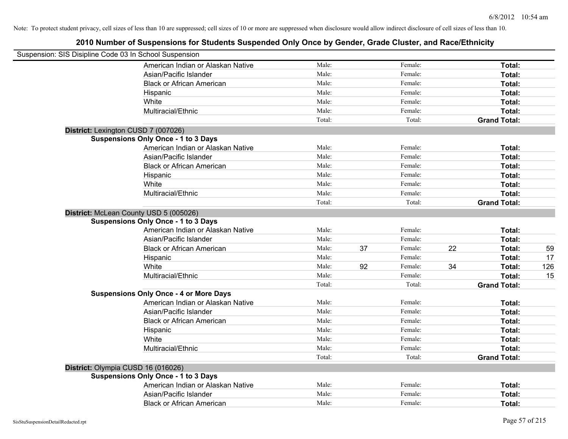| Suspension: SIS Disipline Code 03 In School Suspension |        |    |         |    |                     |     |
|--------------------------------------------------------|--------|----|---------|----|---------------------|-----|
| American Indian or Alaskan Native                      | Male:  |    | Female: |    | Total:              |     |
| Asian/Pacific Islander                                 | Male:  |    | Female: |    | Total:              |     |
| <b>Black or African American</b>                       | Male:  |    | Female: |    | Total:              |     |
| Hispanic                                               | Male:  |    | Female: |    | Total:              |     |
| White                                                  | Male:  |    | Female: |    | Total:              |     |
| Multiracial/Ethnic                                     | Male:  |    | Female: |    | Total:              |     |
|                                                        | Total: |    | Total:  |    | <b>Grand Total:</b> |     |
| District: Lexington CUSD 7 (007026)                    |        |    |         |    |                     |     |
| <b>Suspensions Only Once - 1 to 3 Days</b>             |        |    |         |    |                     |     |
| American Indian or Alaskan Native                      | Male:  |    | Female: |    | Total:              |     |
| Asian/Pacific Islander                                 | Male:  |    | Female: |    | Total:              |     |
| <b>Black or African American</b>                       | Male:  |    | Female: |    | Total:              |     |
| Hispanic                                               | Male:  |    | Female: |    | Total:              |     |
| White                                                  | Male:  |    | Female: |    | Total:              |     |
| Multiracial/Ethnic                                     | Male:  |    | Female: |    | Total:              |     |
|                                                        | Total: |    | Total:  |    | <b>Grand Total:</b> |     |
| District: McLean County USD 5 (005026)                 |        |    |         |    |                     |     |
| <b>Suspensions Only Once - 1 to 3 Days</b>             |        |    |         |    |                     |     |
| American Indian or Alaskan Native                      | Male:  |    | Female: |    | Total:              |     |
| Asian/Pacific Islander                                 | Male:  |    | Female: |    | Total:              |     |
| <b>Black or African American</b>                       | Male:  | 37 | Female: | 22 | Total:              | 59  |
| Hispanic                                               | Male:  |    | Female: |    | Total:              | 17  |
| White                                                  | Male:  | 92 | Female: | 34 | Total:              | 126 |
| Multiracial/Ethnic                                     | Male:  |    | Female: |    | Total:              | 15  |
|                                                        | Total: |    | Total:  |    | <b>Grand Total:</b> |     |
| <b>Suspensions Only Once - 4 or More Days</b>          |        |    |         |    |                     |     |
| American Indian or Alaskan Native                      | Male:  |    | Female: |    | Total:              |     |
| Asian/Pacific Islander                                 | Male:  |    | Female: |    | Total:              |     |
| <b>Black or African American</b>                       | Male:  |    | Female: |    | Total:              |     |
| Hispanic                                               | Male:  |    | Female: |    | Total:              |     |
| White                                                  | Male:  |    | Female: |    | Total:              |     |
| Multiracial/Ethnic                                     | Male:  |    | Female: |    | Total:              |     |
|                                                        | Total: |    | Total:  |    | <b>Grand Total:</b> |     |
| District: Olympia CUSD 16 (016026)                     |        |    |         |    |                     |     |
| <b>Suspensions Only Once - 1 to 3 Days</b>             |        |    |         |    |                     |     |
| American Indian or Alaskan Native                      | Male:  |    | Female: |    | Total:              |     |
| Asian/Pacific Islander                                 | Male:  |    | Female: |    | Total:              |     |
| <b>Black or African American</b>                       | Male:  |    | Female: |    | Total:              |     |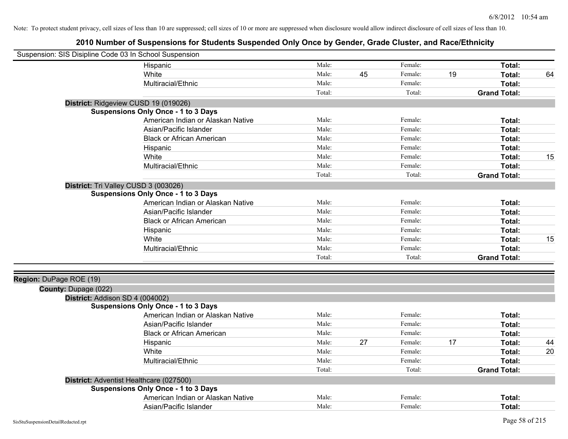| Suspension: SIS Disipline Code 03 In School Suspension |                                            |        |    |         |    |                     |    |
|--------------------------------------------------------|--------------------------------------------|--------|----|---------|----|---------------------|----|
|                                                        | Hispanic                                   | Male:  |    | Female: |    | Total:              |    |
|                                                        | White                                      | Male:  | 45 | Female: | 19 | Total:              | 64 |
|                                                        | Multiracial/Ethnic                         | Male:  |    | Female: |    | Total:              |    |
|                                                        |                                            | Total: |    | Total:  |    | <b>Grand Total:</b> |    |
|                                                        | District: Ridgeview CUSD 19 (019026)       |        |    |         |    |                     |    |
|                                                        | <b>Suspensions Only Once - 1 to 3 Days</b> |        |    |         |    |                     |    |
|                                                        | American Indian or Alaskan Native          | Male:  |    | Female: |    | Total:              |    |
|                                                        | Asian/Pacific Islander                     | Male:  |    | Female: |    | Total:              |    |
|                                                        | <b>Black or African American</b>           | Male:  |    | Female: |    | Total:              |    |
|                                                        | Hispanic                                   | Male:  |    | Female: |    | Total:              |    |
|                                                        | White                                      | Male:  |    | Female: |    | Total:              | 15 |
|                                                        | Multiracial/Ethnic                         | Male:  |    | Female: |    | Total:              |    |
|                                                        |                                            | Total: |    | Total:  |    | <b>Grand Total:</b> |    |
|                                                        | District: Tri Valley CUSD 3 (003026)       |        |    |         |    |                     |    |
|                                                        | <b>Suspensions Only Once - 1 to 3 Days</b> |        |    |         |    |                     |    |
|                                                        | American Indian or Alaskan Native          | Male:  |    | Female: |    | Total:              |    |
|                                                        | Asian/Pacific Islander                     | Male:  |    | Female: |    | Total:              |    |
|                                                        | <b>Black or African American</b>           | Male:  |    | Female: |    | Total:              |    |
|                                                        | Hispanic                                   | Male:  |    | Female: |    | Total:              |    |
|                                                        | White                                      | Male:  |    | Female: |    | Total:              | 15 |
|                                                        | Multiracial/Ethnic                         | Male:  |    | Female: |    | Total:              |    |
|                                                        |                                            | Total: |    | Total:  |    | <b>Grand Total:</b> |    |
|                                                        |                                            |        |    |         |    |                     |    |
| Region: DuPage ROE (19)                                |                                            |        |    |         |    |                     |    |
| County: Dupage (022)                                   |                                            |        |    |         |    |                     |    |
| District: Addison SD 4 (004002)                        |                                            |        |    |         |    |                     |    |
|                                                        | <b>Suspensions Only Once - 1 to 3 Days</b> |        |    |         |    |                     |    |
|                                                        | American Indian or Alaskan Native          | Male:  |    | Female: |    | Total:              |    |
|                                                        | Asian/Pacific Islander                     | Male:  |    | Female: |    | Total:              |    |
|                                                        | <b>Black or African American</b>           | Male:  |    | Female: |    | Total:              |    |
|                                                        | Hispanic                                   | Male:  | 27 | Female: | 17 | Total:              | 44 |
|                                                        | White                                      | Male:  |    | Female: |    | Total:              | 20 |
|                                                        | Multiracial/Ethnic                         | Male:  |    | Female: |    | Total:              |    |
|                                                        |                                            | Total: |    | Total:  |    | <b>Grand Total:</b> |    |
|                                                        | District: Adventist Healthcare (027500)    |        |    |         |    |                     |    |
|                                                        | <b>Suspensions Only Once - 1 to 3 Days</b> |        |    |         |    |                     |    |
|                                                        | American Indian or Alaskan Native          | Male:  |    | Female: |    | Total:              |    |
|                                                        | Asian/Pacific Islander                     | Male:  |    | Female: |    | Total:              |    |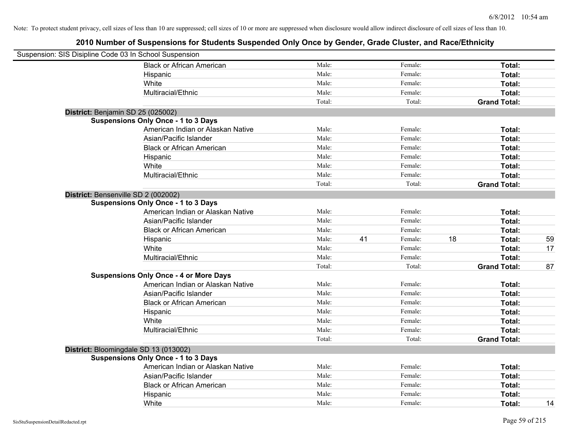| Suspension: SIS Disipline Code 03 In School Suspension |                                               |        |    |         |    |                     |    |
|--------------------------------------------------------|-----------------------------------------------|--------|----|---------|----|---------------------|----|
|                                                        | <b>Black or African American</b>              | Male:  |    | Female: |    | Total:              |    |
|                                                        | Hispanic                                      | Male:  |    | Female: |    | Total:              |    |
|                                                        | White                                         | Male:  |    | Female: |    | Total:              |    |
|                                                        | Multiracial/Ethnic                            | Male:  |    | Female: |    | Total:              |    |
|                                                        |                                               | Total: |    | Total:  |    | <b>Grand Total:</b> |    |
| District: Benjamin SD 25 (025002)                      |                                               |        |    |         |    |                     |    |
|                                                        | <b>Suspensions Only Once - 1 to 3 Days</b>    |        |    |         |    |                     |    |
|                                                        | American Indian or Alaskan Native             | Male:  |    | Female: |    | Total:              |    |
|                                                        | Asian/Pacific Islander                        | Male:  |    | Female: |    | Total:              |    |
|                                                        | <b>Black or African American</b>              | Male:  |    | Female: |    | Total:              |    |
|                                                        | Hispanic                                      | Male:  |    | Female: |    | Total:              |    |
|                                                        | White                                         | Male:  |    | Female: |    | Total:              |    |
|                                                        | Multiracial/Ethnic                            | Male:  |    | Female: |    | Total:              |    |
|                                                        |                                               | Total: |    | Total:  |    | <b>Grand Total:</b> |    |
| District: Bensenville SD 2 (002002)                    |                                               |        |    |         |    |                     |    |
|                                                        | <b>Suspensions Only Once - 1 to 3 Days</b>    |        |    |         |    |                     |    |
|                                                        | American Indian or Alaskan Native             | Male:  |    | Female: |    | Total:              |    |
|                                                        | Asian/Pacific Islander                        | Male:  |    | Female: |    | Total:              |    |
|                                                        | <b>Black or African American</b>              | Male:  |    | Female: |    | Total:              |    |
|                                                        | Hispanic                                      | Male:  | 41 | Female: | 18 | Total:              | 59 |
|                                                        | White                                         | Male:  |    | Female: |    | Total:              | 17 |
|                                                        | Multiracial/Ethnic                            | Male:  |    | Female: |    | Total:              |    |
|                                                        |                                               | Total: |    | Total:  |    | <b>Grand Total:</b> | 87 |
|                                                        | <b>Suspensions Only Once - 4 or More Days</b> |        |    |         |    |                     |    |
|                                                        | American Indian or Alaskan Native             | Male:  |    | Female: |    | Total:              |    |
|                                                        | Asian/Pacific Islander                        | Male:  |    | Female: |    | Total:              |    |
|                                                        | <b>Black or African American</b>              | Male:  |    | Female: |    | Total:              |    |
|                                                        | Hispanic                                      | Male:  |    | Female: |    | Total:              |    |
|                                                        | White                                         | Male:  |    | Female: |    | Total:              |    |
|                                                        | Multiracial/Ethnic                            | Male:  |    | Female: |    | Total:              |    |
|                                                        |                                               | Total: |    | Total:  |    | <b>Grand Total:</b> |    |
| District: Bloomingdale SD 13 (013002)                  |                                               |        |    |         |    |                     |    |
|                                                        | <b>Suspensions Only Once - 1 to 3 Days</b>    |        |    |         |    |                     |    |
|                                                        | American Indian or Alaskan Native             | Male:  |    | Female: |    | Total:              |    |
|                                                        | Asian/Pacific Islander                        | Male:  |    | Female: |    | Total:              |    |
|                                                        | <b>Black or African American</b>              | Male:  |    | Female: |    | Total:              |    |
|                                                        | Hispanic                                      | Male:  |    | Female: |    | Total:              |    |
|                                                        | White                                         | Male:  |    | Female: |    | Total:              | 14 |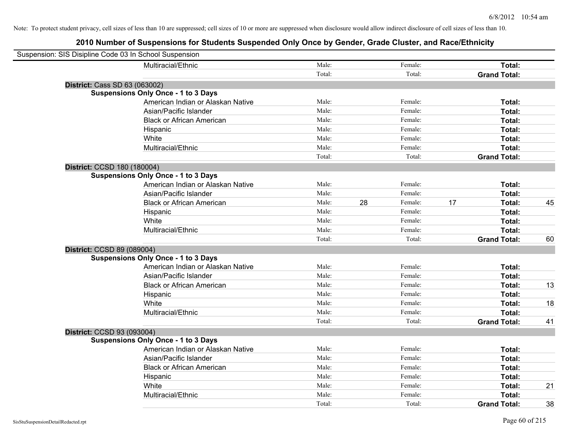| Suspension: SIS Disipline Code 03 In School Suspension |                                            |        |    |         |    |                     |    |
|--------------------------------------------------------|--------------------------------------------|--------|----|---------|----|---------------------|----|
|                                                        | Multiracial/Ethnic                         | Male:  |    | Female: |    | Total:              |    |
|                                                        |                                            | Total: |    | Total:  |    | <b>Grand Total:</b> |    |
| District: Cass SD 63 (063002)                          |                                            |        |    |         |    |                     |    |
|                                                        | <b>Suspensions Only Once - 1 to 3 Days</b> |        |    |         |    |                     |    |
|                                                        | American Indian or Alaskan Native          | Male:  |    | Female: |    | Total:              |    |
|                                                        | Asian/Pacific Islander                     | Male:  |    | Female: |    | Total:              |    |
|                                                        | <b>Black or African American</b>           | Male:  |    | Female: |    | Total:              |    |
|                                                        | Hispanic                                   | Male:  |    | Female: |    | Total:              |    |
|                                                        | White                                      | Male:  |    | Female: |    | Total:              |    |
|                                                        | Multiracial/Ethnic                         | Male:  |    | Female: |    | Total:              |    |
|                                                        |                                            | Total: |    | Total:  |    | <b>Grand Total:</b> |    |
| District: CCSD 180 (180004)                            |                                            |        |    |         |    |                     |    |
|                                                        | <b>Suspensions Only Once - 1 to 3 Days</b> |        |    |         |    |                     |    |
|                                                        | American Indian or Alaskan Native          | Male:  |    | Female: |    | Total:              |    |
|                                                        | Asian/Pacific Islander                     | Male:  |    | Female: |    | Total:              |    |
|                                                        | <b>Black or African American</b>           | Male:  | 28 | Female: | 17 | Total:              | 45 |
|                                                        | Hispanic                                   | Male:  |    | Female: |    | Total:              |    |
|                                                        | White                                      | Male:  |    | Female: |    | Total:              |    |
|                                                        | Multiracial/Ethnic                         | Male:  |    | Female: |    | Total:              |    |
|                                                        |                                            | Total: |    | Total:  |    | <b>Grand Total:</b> | 60 |
| District: CCSD 89 (089004)                             |                                            |        |    |         |    |                     |    |
|                                                        | <b>Suspensions Only Once - 1 to 3 Days</b> |        |    |         |    |                     |    |
|                                                        | American Indian or Alaskan Native          | Male:  |    | Female: |    | Total:              |    |
|                                                        | Asian/Pacific Islander                     | Male:  |    | Female: |    | Total:              |    |
|                                                        | <b>Black or African American</b>           | Male:  |    | Female: |    | Total:              | 13 |
|                                                        | Hispanic                                   | Male:  |    | Female: |    | Total:              |    |
|                                                        | White                                      | Male:  |    | Female: |    | Total:              | 18 |
|                                                        | Multiracial/Ethnic                         | Male:  |    | Female: |    | Total:              |    |
|                                                        |                                            | Total: |    | Total:  |    | <b>Grand Total:</b> | 41 |
| District: CCSD 93 (093004)                             |                                            |        |    |         |    |                     |    |
|                                                        | <b>Suspensions Only Once - 1 to 3 Days</b> |        |    |         |    |                     |    |
|                                                        | American Indian or Alaskan Native          | Male:  |    | Female: |    | Total:              |    |
|                                                        | Asian/Pacific Islander                     | Male:  |    | Female: |    | Total:              |    |
|                                                        | <b>Black or African American</b>           | Male:  |    | Female: |    | Total:              |    |
|                                                        | Hispanic                                   | Male:  |    | Female: |    | Total:              |    |
|                                                        | White                                      | Male:  |    | Female: |    | Total:              | 21 |
|                                                        | Multiracial/Ethnic                         | Male:  |    | Female: |    | Total:              |    |
|                                                        |                                            | Total: |    | Total:  |    | <b>Grand Total:</b> | 38 |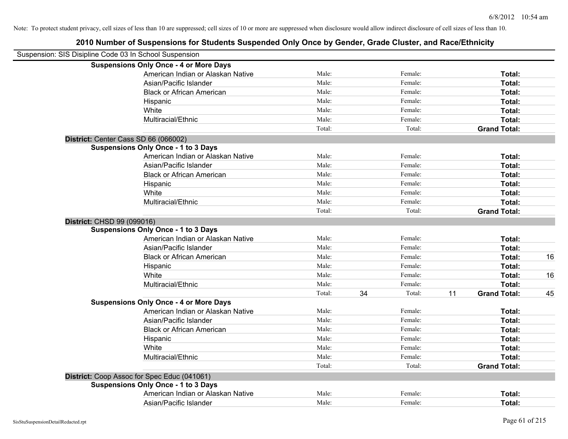|                            | Suspension: SIS Disipline Code 03 In School Suspension |        |    |         |    |                     |    |
|----------------------------|--------------------------------------------------------|--------|----|---------|----|---------------------|----|
|                            | <b>Suspensions Only Once - 4 or More Days</b>          |        |    |         |    |                     |    |
|                            | American Indian or Alaskan Native                      | Male:  |    | Female: |    | Total:              |    |
|                            | Asian/Pacific Islander                                 | Male:  |    | Female: |    | Total:              |    |
|                            | <b>Black or African American</b>                       | Male:  |    | Female: |    | Total:              |    |
|                            | Hispanic                                               | Male:  |    | Female: |    | Total:              |    |
|                            | White                                                  | Male:  |    | Female: |    | Total:              |    |
|                            | Multiracial/Ethnic                                     | Male:  |    | Female: |    | Total:              |    |
|                            |                                                        | Total: |    | Total:  |    | <b>Grand Total:</b> |    |
|                            | District: Center Cass SD 66 (066002)                   |        |    |         |    |                     |    |
|                            | <b>Suspensions Only Once - 1 to 3 Days</b>             |        |    |         |    |                     |    |
|                            | American Indian or Alaskan Native                      | Male:  |    | Female: |    | Total:              |    |
|                            | Asian/Pacific Islander                                 | Male:  |    | Female: |    | Total:              |    |
|                            | <b>Black or African American</b>                       | Male:  |    | Female: |    | Total:              |    |
|                            | Hispanic                                               | Male:  |    | Female: |    | Total:              |    |
|                            | White                                                  | Male:  |    | Female: |    | Total:              |    |
|                            | Multiracial/Ethnic                                     | Male:  |    | Female: |    | Total:              |    |
|                            |                                                        | Total: |    | Total:  |    | <b>Grand Total:</b> |    |
| District: CHSD 99 (099016) |                                                        |        |    |         |    |                     |    |
|                            | <b>Suspensions Only Once - 1 to 3 Days</b>             |        |    |         |    |                     |    |
|                            | American Indian or Alaskan Native                      | Male:  |    | Female: |    | Total:              |    |
|                            | Asian/Pacific Islander                                 | Male:  |    | Female: |    | Total:              |    |
|                            | <b>Black or African American</b>                       | Male:  |    | Female: |    | Total:              | 16 |
|                            | Hispanic                                               | Male:  |    | Female: |    | Total:              |    |
|                            | White                                                  | Male:  |    | Female: |    | Total:              | 16 |
|                            | Multiracial/Ethnic                                     | Male:  |    | Female: |    | Total:              |    |
|                            |                                                        | Total: | 34 | Total:  | 11 | <b>Grand Total:</b> | 45 |
|                            | <b>Suspensions Only Once - 4 or More Days</b>          |        |    |         |    |                     |    |
|                            | American Indian or Alaskan Native                      | Male:  |    | Female: |    | Total:              |    |
|                            | Asian/Pacific Islander                                 | Male:  |    | Female: |    | Total:              |    |
|                            | <b>Black or African American</b>                       | Male:  |    | Female: |    | Total:              |    |
|                            | Hispanic                                               | Male:  |    | Female: |    | Total:              |    |
|                            | White                                                  | Male:  |    | Female: |    | Total:              |    |
|                            | Multiracial/Ethnic                                     | Male:  |    | Female: |    | Total:              |    |
|                            |                                                        | Total: |    | Total:  |    | <b>Grand Total:</b> |    |
|                            | District: Coop Assoc for Spec Educ (041061)            |        |    |         |    |                     |    |
|                            | <b>Suspensions Only Once - 1 to 3 Days</b>             |        |    |         |    |                     |    |
|                            | American Indian or Alaskan Native                      | Male:  |    | Female: |    | Total:              |    |
|                            | Asian/Pacific Islander                                 | Male:  |    | Female: |    | Total:              |    |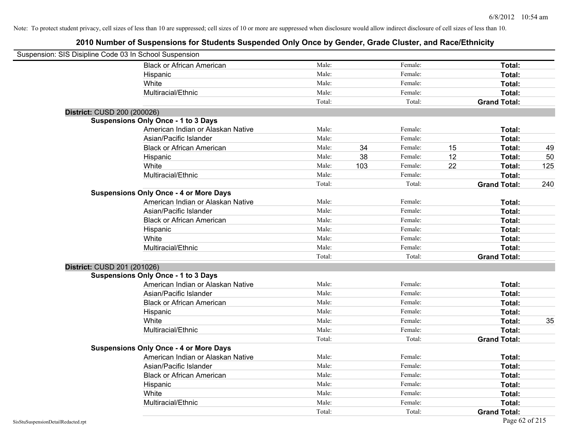| Suspension: SIS Disipline Code 03 In School Suspension |                                               |        |     |         |    |                     |     |
|--------------------------------------------------------|-----------------------------------------------|--------|-----|---------|----|---------------------|-----|
|                                                        | <b>Black or African American</b>              | Male:  |     | Female: |    | Total:              |     |
|                                                        | Hispanic                                      | Male:  |     | Female: |    | Total:              |     |
|                                                        | White                                         | Male:  |     | Female: |    | Total:              |     |
|                                                        | Multiracial/Ethnic                            | Male:  |     | Female: |    | Total:              |     |
|                                                        |                                               | Total: |     | Total:  |    | <b>Grand Total:</b> |     |
| District: CUSD 200 (200026)                            |                                               |        |     |         |    |                     |     |
|                                                        | <b>Suspensions Only Once - 1 to 3 Days</b>    |        |     |         |    |                     |     |
|                                                        | American Indian or Alaskan Native             | Male:  |     | Female: |    | Total:              |     |
|                                                        | Asian/Pacific Islander                        | Male:  |     | Female: |    | Total:              |     |
|                                                        | <b>Black or African American</b>              | Male:  | 34  | Female: | 15 | Total:              | 49  |
|                                                        | Hispanic                                      | Male:  | 38  | Female: | 12 | Total:              | 50  |
|                                                        | White                                         | Male:  | 103 | Female: | 22 | Total:              | 125 |
|                                                        | Multiracial/Ethnic                            | Male:  |     | Female: |    | Total:              |     |
|                                                        |                                               | Total: |     | Total:  |    | <b>Grand Total:</b> | 240 |
|                                                        | <b>Suspensions Only Once - 4 or More Days</b> |        |     |         |    |                     |     |
|                                                        | American Indian or Alaskan Native             | Male:  |     | Female: |    | Total:              |     |
|                                                        | Asian/Pacific Islander                        | Male:  |     | Female: |    | Total:              |     |
|                                                        | <b>Black or African American</b>              | Male:  |     | Female: |    | Total:              |     |
|                                                        | Hispanic                                      | Male:  |     | Female: |    | Total:              |     |
|                                                        | White                                         | Male:  |     | Female: |    | Total:              |     |
|                                                        | Multiracial/Ethnic                            | Male:  |     | Female: |    | Total:              |     |
|                                                        |                                               | Total: |     | Total:  |    | <b>Grand Total:</b> |     |
| District: CUSD 201 (201026)                            |                                               |        |     |         |    |                     |     |
|                                                        | <b>Suspensions Only Once - 1 to 3 Days</b>    |        |     |         |    |                     |     |
|                                                        | American Indian or Alaskan Native             | Male:  |     | Female: |    | Total:              |     |
|                                                        | Asian/Pacific Islander                        | Male:  |     | Female: |    | Total:              |     |
|                                                        | <b>Black or African American</b>              | Male:  |     | Female: |    | Total:              |     |
|                                                        | Hispanic                                      | Male:  |     | Female: |    | Total:              |     |
|                                                        | White                                         | Male:  |     | Female: |    | Total:              | 35  |
|                                                        | Multiracial/Ethnic                            | Male:  |     | Female: |    | Total:              |     |
|                                                        |                                               | Total: |     | Total:  |    | <b>Grand Total:</b> |     |
|                                                        | <b>Suspensions Only Once - 4 or More Days</b> |        |     |         |    |                     |     |
|                                                        | American Indian or Alaskan Native             | Male:  |     | Female: |    | Total:              |     |
|                                                        | Asian/Pacific Islander                        | Male:  |     | Female: |    | Total:              |     |
|                                                        | <b>Black or African American</b>              | Male:  |     | Female: |    | Total:              |     |
|                                                        | Hispanic                                      | Male:  |     | Female: |    | Total:              |     |
|                                                        | White                                         | Male:  |     | Female: |    | Total:              |     |
|                                                        | Multiracial/Ethnic                            | Male:  |     | Female: |    | Total:              |     |
|                                                        |                                               | Total: |     | Total:  |    | <b>Grand Total:</b> |     |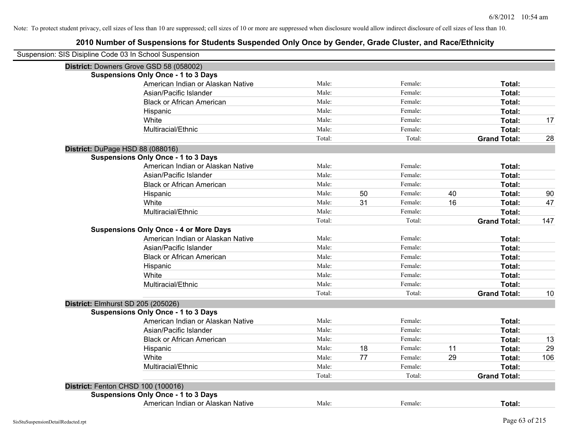| Suspension: SIS Disipline Code 03 In School Suspension |                                               |        |    |         |    |                     |     |
|--------------------------------------------------------|-----------------------------------------------|--------|----|---------|----|---------------------|-----|
|                                                        | District: Downers Grove GSD 58 (058002)       |        |    |         |    |                     |     |
|                                                        | <b>Suspensions Only Once - 1 to 3 Days</b>    |        |    |         |    |                     |     |
|                                                        | American Indian or Alaskan Native             | Male:  |    | Female: |    | Total:              |     |
|                                                        | Asian/Pacific Islander                        | Male:  |    | Female: |    | Total:              |     |
|                                                        | <b>Black or African American</b>              | Male:  |    | Female: |    | <b>Total:</b>       |     |
|                                                        | Hispanic                                      | Male:  |    | Female: |    | Total:              |     |
|                                                        | White                                         | Male:  |    | Female: |    | Total:              | 17  |
|                                                        | Multiracial/Ethnic                            | Male:  |    | Female: |    | Total:              |     |
|                                                        |                                               | Total: |    | Total:  |    | <b>Grand Total:</b> | 28  |
| District: DuPage HSD 88 (088016)                       |                                               |        |    |         |    |                     |     |
|                                                        | <b>Suspensions Only Once - 1 to 3 Days</b>    |        |    |         |    |                     |     |
|                                                        | American Indian or Alaskan Native             | Male:  |    | Female: |    | Total:              |     |
|                                                        | Asian/Pacific Islander                        | Male:  |    | Female: |    | Total:              |     |
|                                                        | <b>Black or African American</b>              | Male:  |    | Female: |    | Total:              |     |
|                                                        | Hispanic                                      | Male:  | 50 | Female: | 40 | Total:              | 90  |
|                                                        | White                                         | Male:  | 31 | Female: | 16 | Total:              | 47  |
|                                                        | Multiracial/Ethnic                            | Male:  |    | Female: |    | Total:              |     |
|                                                        |                                               | Total: |    | Total:  |    | <b>Grand Total:</b> | 147 |
|                                                        | <b>Suspensions Only Once - 4 or More Days</b> |        |    |         |    |                     |     |
|                                                        | American Indian or Alaskan Native             | Male:  |    | Female: |    | Total:              |     |
|                                                        | Asian/Pacific Islander                        | Male:  |    | Female: |    | Total:              |     |
|                                                        | <b>Black or African American</b>              | Male:  |    | Female: |    | Total:              |     |
|                                                        | Hispanic                                      | Male:  |    | Female: |    | Total:              |     |
|                                                        | White                                         | Male:  |    | Female: |    | Total:              |     |
|                                                        | Multiracial/Ethnic                            | Male:  |    | Female: |    | Total:              |     |
|                                                        |                                               | Total: |    | Total:  |    | <b>Grand Total:</b> | 10  |
| District: Elmhurst SD 205 (205026)                     |                                               |        |    |         |    |                     |     |
|                                                        | <b>Suspensions Only Once - 1 to 3 Days</b>    |        |    |         |    |                     |     |
|                                                        | American Indian or Alaskan Native             | Male:  |    | Female: |    | Total:              |     |
|                                                        | Asian/Pacific Islander                        | Male:  |    | Female: |    | Total:              |     |
|                                                        | <b>Black or African American</b>              | Male:  |    | Female: |    | Total:              | 13  |
|                                                        | Hispanic                                      | Male:  | 18 | Female: | 11 | Total:              | 29  |
|                                                        | White                                         | Male:  | 77 | Female: | 29 | Total:              | 106 |
|                                                        | Multiracial/Ethnic                            | Male:  |    | Female: |    | Total:              |     |
|                                                        |                                               | Total: |    | Total:  |    | <b>Grand Total:</b> |     |
|                                                        | District: Fenton CHSD 100 (100016)            |        |    |         |    |                     |     |
|                                                        | <b>Suspensions Only Once - 1 to 3 Days</b>    |        |    |         |    |                     |     |
|                                                        | American Indian or Alaskan Native             | Male:  |    | Female: |    | Total:              |     |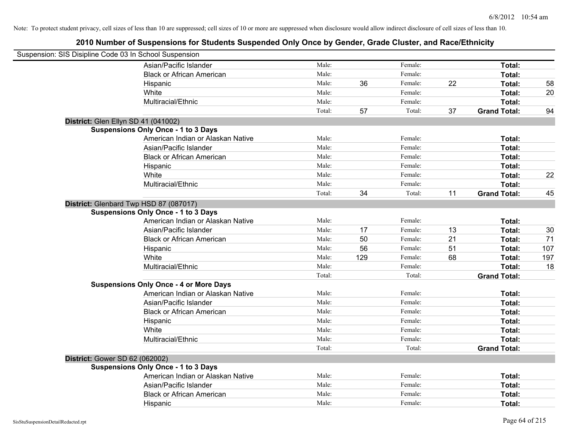| Suspension: SIS Disipline Code 03 In School Suspension |                                               |        |     |         |    |                     |     |
|--------------------------------------------------------|-----------------------------------------------|--------|-----|---------|----|---------------------|-----|
|                                                        | Asian/Pacific Islander                        | Male:  |     | Female: |    | Total:              |     |
|                                                        | <b>Black or African American</b>              | Male:  |     | Female: |    | Total:              |     |
|                                                        | Hispanic                                      | Male:  | 36  | Female: | 22 | Total:              | 58  |
|                                                        | White                                         | Male:  |     | Female: |    | Total:              | 20  |
|                                                        | Multiracial/Ethnic                            | Male:  |     | Female: |    | Total:              |     |
|                                                        |                                               | Total: | 57  | Total:  | 37 | <b>Grand Total:</b> | 94  |
| District: Glen Ellyn SD 41 (041002)                    |                                               |        |     |         |    |                     |     |
|                                                        | <b>Suspensions Only Once - 1 to 3 Days</b>    |        |     |         |    |                     |     |
|                                                        | American Indian or Alaskan Native             | Male:  |     | Female: |    | Total:              |     |
|                                                        | Asian/Pacific Islander                        | Male:  |     | Female: |    | Total:              |     |
|                                                        | <b>Black or African American</b>              | Male:  |     | Female: |    | Total:              |     |
|                                                        | Hispanic                                      | Male:  |     | Female: |    | Total:              |     |
|                                                        | White                                         | Male:  |     | Female: |    | Total:              | 22  |
|                                                        | Multiracial/Ethnic                            | Male:  |     | Female: |    | Total:              |     |
|                                                        |                                               | Total: | 34  | Total:  | 11 | <b>Grand Total:</b> | 45  |
| District: Glenbard Twp HSD 87 (087017)                 |                                               |        |     |         |    |                     |     |
|                                                        | <b>Suspensions Only Once - 1 to 3 Days</b>    |        |     |         |    |                     |     |
|                                                        | American Indian or Alaskan Native             | Male:  |     | Female: |    | Total:              |     |
|                                                        | Asian/Pacific Islander                        | Male:  | 17  | Female: | 13 | Total:              | 30  |
|                                                        | <b>Black or African American</b>              | Male:  | 50  | Female: | 21 | Total:              | 71  |
|                                                        | Hispanic                                      | Male:  | 56  | Female: | 51 | Total:              | 107 |
|                                                        | White                                         | Male:  | 129 | Female: | 68 | Total:              | 197 |
|                                                        | Multiracial/Ethnic                            | Male:  |     | Female: |    | Total:              | 18  |
|                                                        |                                               | Total: |     | Total:  |    | <b>Grand Total:</b> |     |
|                                                        | <b>Suspensions Only Once - 4 or More Days</b> |        |     |         |    |                     |     |
|                                                        | American Indian or Alaskan Native             | Male:  |     | Female: |    | Total:              |     |
|                                                        | Asian/Pacific Islander                        | Male:  |     | Female: |    | Total:              |     |
|                                                        | <b>Black or African American</b>              | Male:  |     | Female: |    | Total:              |     |
|                                                        | Hispanic                                      | Male:  |     | Female: |    | Total:              |     |
|                                                        | White                                         | Male:  |     | Female: |    | Total:              |     |
|                                                        | Multiracial/Ethnic                            | Male:  |     | Female: |    | Total:              |     |
|                                                        |                                               | Total: |     | Total:  |    | <b>Grand Total:</b> |     |
| <b>District: Gower SD 62 (062002)</b>                  |                                               |        |     |         |    |                     |     |
|                                                        | <b>Suspensions Only Once - 1 to 3 Days</b>    |        |     |         |    |                     |     |
|                                                        | American Indian or Alaskan Native             | Male:  |     | Female: |    | Total:              |     |
|                                                        | Asian/Pacific Islander                        | Male:  |     | Female: |    | Total:              |     |
|                                                        | <b>Black or African American</b>              | Male:  |     | Female: |    | Total:              |     |
|                                                        | Hispanic                                      | Male:  |     | Female: |    | Total:              |     |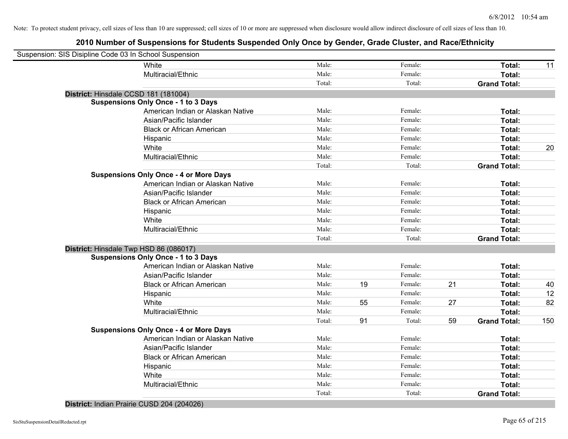# **2010 Number of Suspensions for Students Suspended Only Once by Gender, Grade Cluster, and Race/Ethnicity**

| Suspension: SIS Disipline Code 03 In School Suspension |                                               |        |    |         |    |                     |     |
|--------------------------------------------------------|-----------------------------------------------|--------|----|---------|----|---------------------|-----|
|                                                        | White                                         | Male:  |    | Female: |    | Total:              | 11  |
|                                                        | Multiracial/Ethnic                            | Male:  |    | Female: |    | Total:              |     |
|                                                        |                                               | Total: |    | Total:  |    | <b>Grand Total:</b> |     |
| District: Hinsdale CCSD 181 (181004)                   |                                               |        |    |         |    |                     |     |
|                                                        | <b>Suspensions Only Once - 1 to 3 Days</b>    |        |    |         |    |                     |     |
|                                                        | American Indian or Alaskan Native             | Male:  |    | Female: |    | Total:              |     |
|                                                        | Asian/Pacific Islander                        | Male:  |    | Female: |    | Total:              |     |
|                                                        | <b>Black or African American</b>              | Male:  |    | Female: |    | Total:              |     |
|                                                        | Hispanic                                      | Male:  |    | Female: |    | Total:              |     |
|                                                        | White                                         | Male:  |    | Female: |    | Total:              | 20  |
|                                                        | Multiracial/Ethnic                            | Male:  |    | Female: |    | Total:              |     |
|                                                        |                                               | Total: |    | Total:  |    | <b>Grand Total:</b> |     |
|                                                        | <b>Suspensions Only Once - 4 or More Days</b> |        |    |         |    |                     |     |
|                                                        | American Indian or Alaskan Native             | Male:  |    | Female: |    | Total:              |     |
|                                                        | Asian/Pacific Islander                        | Male:  |    | Female: |    | Total:              |     |
|                                                        | <b>Black or African American</b>              | Male:  |    | Female: |    | Total:              |     |
|                                                        | Hispanic                                      | Male:  |    | Female: |    | Total:              |     |
|                                                        | White                                         | Male:  |    | Female: |    | Total:              |     |
|                                                        | Multiracial/Ethnic                            | Male:  |    | Female: |    | Total:              |     |
|                                                        |                                               | Total: |    | Total:  |    | <b>Grand Total:</b> |     |
| District: Hinsdale Twp HSD 86 (086017)                 |                                               |        |    |         |    |                     |     |
|                                                        | <b>Suspensions Only Once - 1 to 3 Days</b>    |        |    |         |    |                     |     |
|                                                        | American Indian or Alaskan Native             | Male:  |    | Female: |    | Total:              |     |
|                                                        | Asian/Pacific Islander                        | Male:  |    | Female: |    | Total:              |     |
|                                                        | <b>Black or African American</b>              | Male:  | 19 | Female: | 21 | Total:              | 40  |
|                                                        | Hispanic                                      | Male:  |    | Female: |    | Total:              | 12  |
|                                                        | White                                         | Male:  | 55 | Female: | 27 | Total:              | 82  |
|                                                        | Multiracial/Ethnic                            | Male:  |    | Female: |    | Total:              |     |
|                                                        |                                               | Total: | 91 | Total:  | 59 | <b>Grand Total:</b> | 150 |
|                                                        | <b>Suspensions Only Once - 4 or More Days</b> |        |    |         |    |                     |     |
|                                                        | American Indian or Alaskan Native             | Male:  |    | Female: |    | Total:              |     |
|                                                        | Asian/Pacific Islander                        | Male:  |    | Female: |    | Total:              |     |
|                                                        | <b>Black or African American</b>              | Male:  |    | Female: |    | Total:              |     |
|                                                        | Hispanic                                      | Male:  |    | Female: |    | Total:              |     |
|                                                        | White                                         | Male:  |    | Female: |    | Total:              |     |
|                                                        | Multiracial/Ethnic                            | Male:  |    | Female: |    | Total:              |     |
|                                                        |                                               | Total: |    | Total:  |    | <b>Grand Total:</b> |     |

### **District:** Indian Prairie CUSD 204 (204026)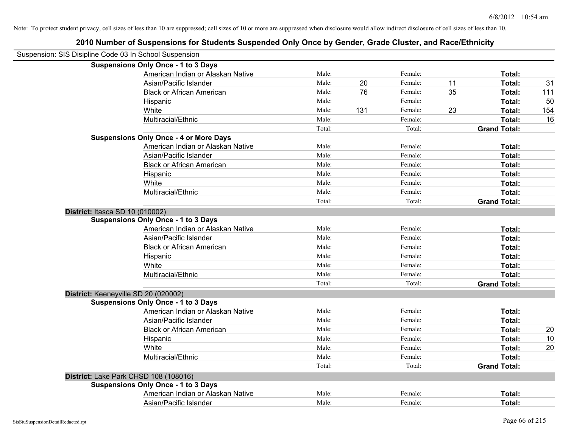| Suspension: SIS Disipline Code 03 In School Suspension |                                               |        |     |         |    |                     |     |
|--------------------------------------------------------|-----------------------------------------------|--------|-----|---------|----|---------------------|-----|
|                                                        | <b>Suspensions Only Once - 1 to 3 Days</b>    |        |     |         |    |                     |     |
|                                                        | American Indian or Alaskan Native             | Male:  |     | Female: |    | Total:              |     |
|                                                        | Asian/Pacific Islander                        | Male:  | 20  | Female: | 11 | Total:              | 31  |
|                                                        | <b>Black or African American</b>              | Male:  | 76  | Female: | 35 | Total:              | 111 |
|                                                        | Hispanic                                      | Male:  |     | Female: |    | Total:              | 50  |
|                                                        | White                                         | Male:  | 131 | Female: | 23 | Total:              | 154 |
|                                                        | Multiracial/Ethnic                            | Male:  |     | Female: |    | Total:              | 16  |
|                                                        |                                               | Total: |     | Total:  |    | <b>Grand Total:</b> |     |
|                                                        | <b>Suspensions Only Once - 4 or More Days</b> |        |     |         |    |                     |     |
|                                                        | American Indian or Alaskan Native             | Male:  |     | Female: |    | Total:              |     |
|                                                        | Asian/Pacific Islander                        | Male:  |     | Female: |    | Total:              |     |
|                                                        | <b>Black or African American</b>              | Male:  |     | Female: |    | Total:              |     |
|                                                        | Hispanic                                      | Male:  |     | Female: |    | Total:              |     |
|                                                        | White                                         | Male:  |     | Female: |    | Total:              |     |
|                                                        | Multiracial/Ethnic                            | Male:  |     | Female: |    | Total:              |     |
|                                                        |                                               | Total: |     | Total:  |    | <b>Grand Total:</b> |     |
| District: Itasca SD 10 (010002)                        |                                               |        |     |         |    |                     |     |
|                                                        | <b>Suspensions Only Once - 1 to 3 Days</b>    |        |     |         |    |                     |     |
|                                                        | American Indian or Alaskan Native             | Male:  |     | Female: |    | Total:              |     |
|                                                        | Asian/Pacific Islander                        | Male:  |     | Female: |    | Total:              |     |
|                                                        | <b>Black or African American</b>              | Male:  |     | Female: |    | Total:              |     |
|                                                        | Hispanic                                      | Male:  |     | Female: |    | Total:              |     |
|                                                        | White                                         | Male:  |     | Female: |    | Total:              |     |
|                                                        | Multiracial/Ethnic                            | Male:  |     | Female: |    | Total:              |     |
|                                                        |                                               | Total: |     | Total:  |    | <b>Grand Total:</b> |     |
| District: Keeneyville SD 20 (020002)                   |                                               |        |     |         |    |                     |     |
|                                                        | <b>Suspensions Only Once - 1 to 3 Days</b>    |        |     |         |    |                     |     |
|                                                        | American Indian or Alaskan Native             | Male:  |     | Female: |    | Total:              |     |
|                                                        | Asian/Pacific Islander                        | Male:  |     | Female: |    | Total:              |     |
|                                                        | <b>Black or African American</b>              | Male:  |     | Female: |    | Total:              | 20  |
|                                                        | Hispanic                                      | Male:  |     | Female: |    | Total:              | 10  |
|                                                        | White                                         | Male:  |     | Female: |    | Total:              | 20  |
|                                                        | Multiracial/Ethnic                            | Male:  |     | Female: |    | Total:              |     |
|                                                        |                                               | Total: |     | Total:  |    | <b>Grand Total:</b> |     |
| District: Lake Park CHSD 108 (108016)                  |                                               |        |     |         |    |                     |     |
|                                                        | <b>Suspensions Only Once - 1 to 3 Days</b>    |        |     |         |    |                     |     |
|                                                        | American Indian or Alaskan Native             | Male:  |     | Female: |    | Total:              |     |
|                                                        | Asian/Pacific Islander                        | Male:  |     | Female: |    | Total:              |     |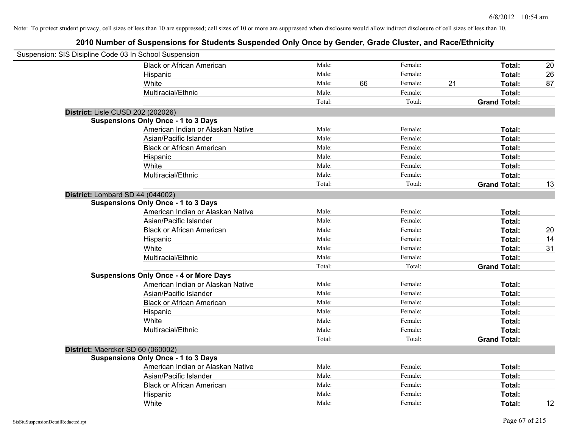| Suspension: SIS Disipline Code 03 In School Suspension |                                               |        |    |         |    |                     |    |
|--------------------------------------------------------|-----------------------------------------------|--------|----|---------|----|---------------------|----|
|                                                        | <b>Black or African American</b>              | Male:  |    | Female: |    | Total:              | 20 |
|                                                        | Hispanic                                      | Male:  |    | Female: |    | Total:              | 26 |
|                                                        | White                                         | Male:  | 66 | Female: | 21 | Total:              | 87 |
|                                                        | Multiracial/Ethnic                            | Male:  |    | Female: |    | Total:              |    |
|                                                        |                                               | Total: |    | Total:  |    | <b>Grand Total:</b> |    |
| District: Lisle CUSD 202 (202026)                      |                                               |        |    |         |    |                     |    |
|                                                        | <b>Suspensions Only Once - 1 to 3 Days</b>    |        |    |         |    |                     |    |
|                                                        | American Indian or Alaskan Native             | Male:  |    | Female: |    | Total:              |    |
|                                                        | Asian/Pacific Islander                        | Male:  |    | Female: |    | Total:              |    |
|                                                        | <b>Black or African American</b>              | Male:  |    | Female: |    | Total:              |    |
|                                                        | Hispanic                                      | Male:  |    | Female: |    | Total:              |    |
|                                                        | White                                         | Male:  |    | Female: |    | Total:              |    |
|                                                        | Multiracial/Ethnic                            | Male:  |    | Female: |    | Total:              |    |
|                                                        |                                               | Total: |    | Total:  |    | <b>Grand Total:</b> | 13 |
| District: Lombard SD 44 (044002)                       |                                               |        |    |         |    |                     |    |
|                                                        | <b>Suspensions Only Once - 1 to 3 Days</b>    |        |    |         |    |                     |    |
|                                                        | American Indian or Alaskan Native             | Male:  |    | Female: |    | Total:              |    |
|                                                        | Asian/Pacific Islander                        | Male:  |    | Female: |    | Total:              |    |
|                                                        | <b>Black or African American</b>              | Male:  |    | Female: |    | Total:              | 20 |
|                                                        | Hispanic                                      | Male:  |    | Female: |    | Total:              | 14 |
|                                                        | White                                         | Male:  |    | Female: |    | Total:              | 31 |
|                                                        | Multiracial/Ethnic                            | Male:  |    | Female: |    | Total:              |    |
|                                                        |                                               | Total: |    | Total:  |    | <b>Grand Total:</b> |    |
|                                                        | <b>Suspensions Only Once - 4 or More Days</b> |        |    |         |    |                     |    |
|                                                        | American Indian or Alaskan Native             | Male:  |    | Female: |    | Total:              |    |
|                                                        | Asian/Pacific Islander                        | Male:  |    | Female: |    | Total:              |    |
|                                                        | <b>Black or African American</b>              | Male:  |    | Female: |    | Total:              |    |
|                                                        | Hispanic                                      | Male:  |    | Female: |    | Total:              |    |
|                                                        | White                                         | Male:  |    | Female: |    | Total:              |    |
|                                                        | Multiracial/Ethnic                            | Male:  |    | Female: |    | Total:              |    |
|                                                        |                                               | Total: |    | Total:  |    | <b>Grand Total:</b> |    |
| District: Maercker SD 60 (060002)                      |                                               |        |    |         |    |                     |    |
|                                                        | <b>Suspensions Only Once - 1 to 3 Days</b>    |        |    |         |    |                     |    |
|                                                        | American Indian or Alaskan Native             | Male:  |    | Female: |    | Total:              |    |
|                                                        | Asian/Pacific Islander                        | Male:  |    | Female: |    | Total:              |    |
|                                                        | <b>Black or African American</b>              | Male:  |    | Female: |    | Total:              |    |
|                                                        | Hispanic                                      | Male:  |    | Female: |    | Total:              |    |
|                                                        | White                                         | Male:  |    | Female: |    | Total:              | 12 |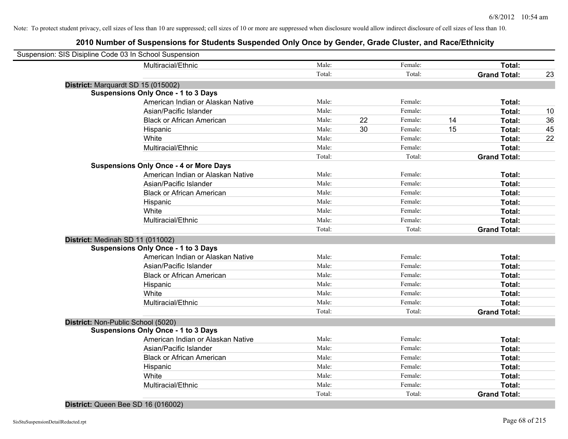# **2010 Number of Suspensions for Students Suspended Only Once by Gender, Grade Cluster, and Race/Ethnicity**

| Suspension: SIS Disipline Code 03 In School Suspension |        |               |    |                     |    |
|--------------------------------------------------------|--------|---------------|----|---------------------|----|
| Multiracial/Ethnic                                     | Male:  | Female:       |    | Total:              |    |
|                                                        | Total: | Total:        |    | <b>Grand Total:</b> | 23 |
| District: Marquardt SD 15 (015002)                     |        |               |    |                     |    |
| <b>Suspensions Only Once - 1 to 3 Days</b>             |        |               |    |                     |    |
| American Indian or Alaskan Native                      | Male:  | Female:       |    | Total:              |    |
| Asian/Pacific Islander                                 | Male:  | Female:       |    | Total:              | 10 |
| <b>Black or African American</b>                       | Male:  | 22<br>Female: | 14 | Total:              | 36 |
| Hispanic                                               | Male:  | 30<br>Female: | 15 | Total:              | 45 |
| White                                                  | Male:  | Female:       |    | Total:              | 22 |
| Multiracial/Ethnic                                     | Male:  | Female:       |    | Total:              |    |
|                                                        | Total: | Total:        |    | <b>Grand Total:</b> |    |
| <b>Suspensions Only Once - 4 or More Days</b>          |        |               |    |                     |    |
| American Indian or Alaskan Native                      | Male:  | Female:       |    | Total:              |    |
| Asian/Pacific Islander                                 | Male:  | Female:       |    | Total:              |    |
| <b>Black or African American</b>                       | Male:  | Female:       |    | Total:              |    |
| Hispanic                                               | Male:  | Female:       |    | Total:              |    |
| White                                                  | Male:  | Female:       |    | Total:              |    |
| Multiracial/Ethnic                                     | Male:  | Female:       |    | Total:              |    |
|                                                        | Total: | Total:        |    | <b>Grand Total:</b> |    |
| District: Medinah SD 11 (011002)                       |        |               |    |                     |    |
| <b>Suspensions Only Once - 1 to 3 Days</b>             |        |               |    |                     |    |
| American Indian or Alaskan Native                      | Male:  | Female:       |    | Total:              |    |
| Asian/Pacific Islander                                 | Male:  | Female:       |    | Total:              |    |
| <b>Black or African American</b>                       | Male:  | Female:       |    | Total:              |    |
| Hispanic                                               | Male:  | Female:       |    | Total:              |    |
| White                                                  | Male:  | Female:       |    | Total:              |    |
| Multiracial/Ethnic                                     | Male:  | Female:       |    | Total:              |    |
|                                                        | Total: | Total:        |    | <b>Grand Total:</b> |    |
| District: Non-Public School (5020)                     |        |               |    |                     |    |
| <b>Suspensions Only Once - 1 to 3 Days</b>             |        |               |    |                     |    |
| American Indian or Alaskan Native                      | Male:  | Female:       |    | Total:              |    |
| Asian/Pacific Islander                                 | Male:  | Female:       |    | Total:              |    |
| <b>Black or African American</b>                       | Male:  | Female:       |    | Total:              |    |
| Hispanic                                               | Male:  | Female:       |    | Total:              |    |
| White                                                  | Male:  | Female:       |    | Total:              |    |
| Multiracial/Ethnic                                     | Male:  | Female:       |    | Total:              |    |
|                                                        | Total: | Total:        |    | <b>Grand Total:</b> |    |

**District:** Queen Bee SD 16 (016002)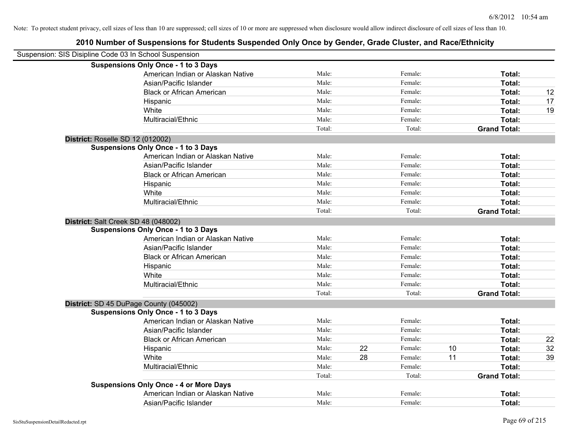| Suspension: SIS Disipline Code 03 In School Suspension |                                               |        |    |         |    |                     |    |
|--------------------------------------------------------|-----------------------------------------------|--------|----|---------|----|---------------------|----|
|                                                        | <b>Suspensions Only Once - 1 to 3 Days</b>    |        |    |         |    |                     |    |
|                                                        | American Indian or Alaskan Native             | Male:  |    | Female: |    | Total:              |    |
|                                                        | Asian/Pacific Islander                        | Male:  |    | Female: |    | Total:              |    |
|                                                        | <b>Black or African American</b>              | Male:  |    | Female: |    | Total:              | 12 |
|                                                        | Hispanic                                      | Male:  |    | Female: |    | Total:              | 17 |
|                                                        | White                                         | Male:  |    | Female: |    | Total:              | 19 |
|                                                        | Multiracial/Ethnic                            | Male:  |    | Female: |    | Total:              |    |
|                                                        |                                               | Total: |    | Total:  |    | <b>Grand Total:</b> |    |
| District: Roselle SD 12 (012002)                       |                                               |        |    |         |    |                     |    |
|                                                        | <b>Suspensions Only Once - 1 to 3 Days</b>    |        |    |         |    |                     |    |
|                                                        | American Indian or Alaskan Native             | Male:  |    | Female: |    | Total:              |    |
|                                                        | Asian/Pacific Islander                        | Male:  |    | Female: |    | Total:              |    |
|                                                        | <b>Black or African American</b>              | Male:  |    | Female: |    | Total:              |    |
|                                                        | Hispanic                                      | Male:  |    | Female: |    | Total:              |    |
|                                                        | White                                         | Male:  |    | Female: |    | Total:              |    |
|                                                        | Multiracial/Ethnic                            | Male:  |    | Female: |    | Total:              |    |
|                                                        |                                               | Total: |    | Total:  |    | <b>Grand Total:</b> |    |
| District: Salt Creek SD 48 (048002)                    |                                               |        |    |         |    |                     |    |
|                                                        | <b>Suspensions Only Once - 1 to 3 Days</b>    |        |    |         |    |                     |    |
|                                                        | American Indian or Alaskan Native             | Male:  |    | Female: |    | Total:              |    |
|                                                        | Asian/Pacific Islander                        | Male:  |    | Female: |    | Total:              |    |
|                                                        | <b>Black or African American</b>              | Male:  |    | Female: |    | Total:              |    |
|                                                        | Hispanic                                      | Male:  |    | Female: |    | Total:              |    |
|                                                        | White                                         | Male:  |    | Female: |    | Total:              |    |
|                                                        | Multiracial/Ethnic                            | Male:  |    | Female: |    | Total:              |    |
|                                                        |                                               | Total: |    | Total:  |    | <b>Grand Total:</b> |    |
|                                                        | District: SD 45 DuPage County (045002)        |        |    |         |    |                     |    |
|                                                        | <b>Suspensions Only Once - 1 to 3 Days</b>    |        |    |         |    |                     |    |
|                                                        | American Indian or Alaskan Native             | Male:  |    | Female: |    | Total:              |    |
|                                                        | Asian/Pacific Islander                        | Male:  |    | Female: |    | Total:              |    |
|                                                        | <b>Black or African American</b>              | Male:  |    | Female: |    | Total:              | 22 |
|                                                        | Hispanic                                      | Male:  | 22 | Female: | 10 | Total:              | 32 |
|                                                        | White                                         | Male:  | 28 | Female: | 11 | Total:              | 39 |
|                                                        | Multiracial/Ethnic                            | Male:  |    | Female: |    | Total:              |    |
|                                                        |                                               | Total: |    | Total:  |    | <b>Grand Total:</b> |    |
|                                                        | <b>Suspensions Only Once - 4 or More Days</b> |        |    |         |    |                     |    |
|                                                        | American Indian or Alaskan Native             | Male:  |    | Female: |    | Total:              |    |
|                                                        | Asian/Pacific Islander                        | Male:  |    | Female: |    | Total:              |    |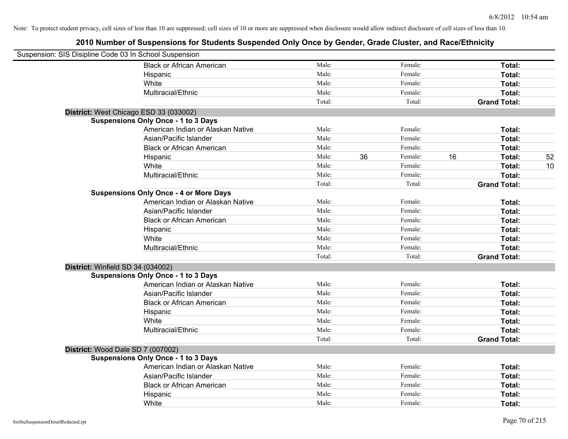| Suspension: SIS Disipline Code 03 In School Suspension |                                               |        |    |         |    |                     |    |
|--------------------------------------------------------|-----------------------------------------------|--------|----|---------|----|---------------------|----|
|                                                        | <b>Black or African American</b>              | Male:  |    | Female: |    | Total:              |    |
|                                                        | Hispanic                                      | Male:  |    | Female: |    | Total:              |    |
|                                                        | White                                         | Male:  |    | Female: |    | Total:              |    |
|                                                        | Multiracial/Ethnic                            | Male:  |    | Female: |    | Total:              |    |
|                                                        |                                               | Total: |    | Total:  |    | <b>Grand Total:</b> |    |
| District: West Chicago ESD 33 (033002)                 |                                               |        |    |         |    |                     |    |
|                                                        | <b>Suspensions Only Once - 1 to 3 Days</b>    |        |    |         |    |                     |    |
|                                                        | American Indian or Alaskan Native             | Male:  |    | Female: |    | Total:              |    |
|                                                        | Asian/Pacific Islander                        | Male:  |    | Female: |    | Total:              |    |
|                                                        | <b>Black or African American</b>              | Male:  |    | Female: |    | Total:              |    |
|                                                        | Hispanic                                      | Male:  | 36 | Female: | 16 | Total:              | 52 |
|                                                        | White                                         | Male:  |    | Female: |    | Total:              | 10 |
|                                                        | Multiracial/Ethnic                            | Male:  |    | Female: |    | Total:              |    |
|                                                        |                                               | Total: |    | Total:  |    | <b>Grand Total:</b> |    |
|                                                        | <b>Suspensions Only Once - 4 or More Days</b> |        |    |         |    |                     |    |
|                                                        | American Indian or Alaskan Native             | Male:  |    | Female: |    | Total:              |    |
|                                                        | Asian/Pacific Islander                        | Male:  |    | Female: |    | Total:              |    |
|                                                        | <b>Black or African American</b>              | Male:  |    | Female: |    | Total:              |    |
|                                                        | Hispanic                                      | Male:  |    | Female: |    | Total:              |    |
|                                                        | White                                         | Male:  |    | Female: |    | Total:              |    |
|                                                        | Multiracial/Ethnic                            | Male:  |    | Female: |    | Total:              |    |
|                                                        |                                               | Total: |    | Total:  |    | <b>Grand Total:</b> |    |
| District: Winfield SD 34 (034002)                      |                                               |        |    |         |    |                     |    |
|                                                        | <b>Suspensions Only Once - 1 to 3 Days</b>    |        |    |         |    |                     |    |
|                                                        | American Indian or Alaskan Native             | Male:  |    | Female: |    | Total:              |    |
|                                                        | Asian/Pacific Islander                        | Male:  |    | Female: |    | Total:              |    |
|                                                        | <b>Black or African American</b>              | Male:  |    | Female: |    | Total:              |    |
|                                                        | Hispanic                                      | Male:  |    | Female: |    | Total:              |    |
|                                                        | White                                         | Male:  |    | Female: |    | Total:              |    |
|                                                        | Multiracial/Ethnic                            | Male:  |    | Female: |    | Total:              |    |
|                                                        |                                               | Total: |    | Total:  |    | <b>Grand Total:</b> |    |
| District: Wood Dale SD 7 (007002)                      |                                               |        |    |         |    |                     |    |
|                                                        | <b>Suspensions Only Once - 1 to 3 Days</b>    |        |    |         |    |                     |    |
|                                                        | American Indian or Alaskan Native             | Male:  |    | Female: |    | Total:              |    |
|                                                        | Asian/Pacific Islander                        | Male:  |    | Female: |    | Total:              |    |
|                                                        | <b>Black or African American</b>              | Male:  |    | Female: |    | Total:              |    |
|                                                        | Hispanic                                      | Male:  |    | Female: |    | Total:              |    |
|                                                        | White                                         | Male:  |    | Female: |    | Total:              |    |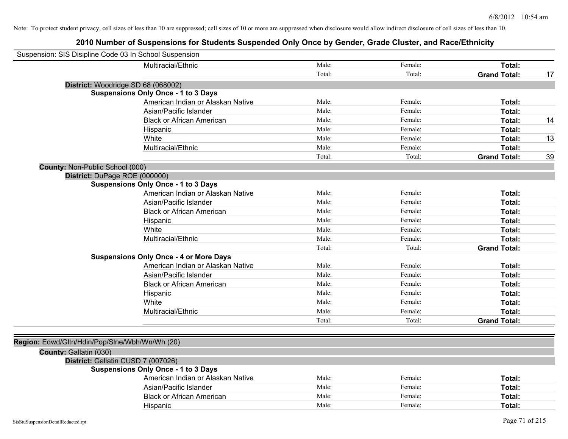|                                                | Suspension: SIS Disipline Code 03 In School Suspension |        |         |                     |    |
|------------------------------------------------|--------------------------------------------------------|--------|---------|---------------------|----|
|                                                | Multiracial/Ethnic                                     | Male:  | Female: | Total:              |    |
|                                                |                                                        | Total: | Total:  | <b>Grand Total:</b> | 17 |
|                                                | District: Woodridge SD 68 (068002)                     |        |         |                     |    |
|                                                | <b>Suspensions Only Once - 1 to 3 Days</b>             |        |         |                     |    |
|                                                | American Indian or Alaskan Native                      | Male:  | Female: | Total:              |    |
|                                                | Asian/Pacific Islander                                 | Male:  | Female: | Total:              |    |
|                                                | <b>Black or African American</b>                       | Male:  | Female: | Total:              | 14 |
|                                                | Hispanic                                               | Male:  | Female: | Total:              |    |
|                                                | White                                                  | Male:  | Female: | Total:              | 13 |
|                                                | Multiracial/Ethnic                                     | Male:  | Female: | Total:              |    |
|                                                |                                                        | Total: | Total:  | <b>Grand Total:</b> | 39 |
| County: Non-Public School (000)                |                                                        |        |         |                     |    |
|                                                | District: DuPage ROE (000000)                          |        |         |                     |    |
|                                                | <b>Suspensions Only Once - 1 to 3 Days</b>             |        |         |                     |    |
|                                                | American Indian or Alaskan Native                      | Male:  | Female: | Total:              |    |
|                                                | Asian/Pacific Islander                                 | Male:  | Female: | Total:              |    |
|                                                | <b>Black or African American</b>                       | Male:  | Female: | Total:              |    |
|                                                | Hispanic                                               | Male:  | Female: | Total:              |    |
|                                                | White                                                  | Male:  | Female: | Total:              |    |
|                                                | Multiracial/Ethnic                                     | Male:  | Female: | Total:              |    |
|                                                |                                                        | Total: | Total:  | <b>Grand Total:</b> |    |
|                                                | <b>Suspensions Only Once - 4 or More Days</b>          |        |         |                     |    |
|                                                | American Indian or Alaskan Native                      | Male:  | Female: | Total:              |    |
|                                                | Asian/Pacific Islander                                 | Male:  | Female: | Total:              |    |
|                                                | <b>Black or African American</b>                       | Male:  | Female: | Total:              |    |
|                                                | Hispanic                                               | Male:  | Female: | Total:              |    |
|                                                | White                                                  | Male:  | Female: | Total:              |    |
|                                                | Multiracial/Ethnic                                     | Male:  | Female: | Total:              |    |
|                                                |                                                        | Total: | Total:  | <b>Grand Total:</b> |    |
|                                                |                                                        |        |         |                     |    |
| Region: Edwd/Gltn/Hdin/Pop/Slne/Wbh/Wn/Wh (20) |                                                        |        |         |                     |    |
| County: Gallatin (030)                         |                                                        |        |         |                     |    |
|                                                | District: Gallatin CUSD 7 (007026)                     |        |         |                     |    |
|                                                | <b>Suspensions Only Once - 1 to 3 Days</b>             |        |         |                     |    |
|                                                | American Indian or Alaskan Native                      | Male:  | Female: | Total:              |    |
|                                                | Asian/Pacific Islander                                 | Male:  | Female: | Total:              |    |
|                                                | <b>Black or African American</b>                       | Male:  | Female: | Total:              |    |
|                                                | Hispanic                                               | Male:  | Female: | Total:              |    |
|                                                |                                                        |        |         |                     |    |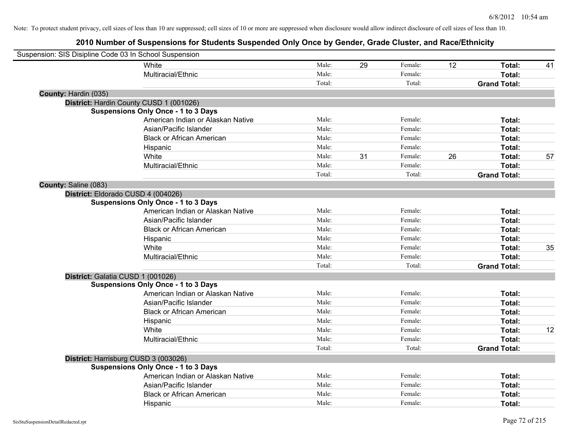| Suspension: SIS Disipline Code 03 In School Suspension |                                            |        |    |         |    |                     |    |
|--------------------------------------------------------|--------------------------------------------|--------|----|---------|----|---------------------|----|
|                                                        | White                                      | Male:  | 29 | Female: | 12 | Total:              | 41 |
|                                                        | Multiracial/Ethnic                         | Male:  |    | Female: |    | <b>Total:</b>       |    |
|                                                        |                                            | Total: |    | Total:  |    | <b>Grand Total:</b> |    |
| County: Hardin (035)                                   |                                            |        |    |         |    |                     |    |
|                                                        | District: Hardin County CUSD 1 (001026)    |        |    |         |    |                     |    |
|                                                        | <b>Suspensions Only Once - 1 to 3 Days</b> |        |    |         |    |                     |    |
|                                                        | American Indian or Alaskan Native          | Male:  |    | Female: |    | Total:              |    |
|                                                        | Asian/Pacific Islander                     | Male:  |    | Female: |    | Total:              |    |
|                                                        | <b>Black or African American</b>           | Male:  |    | Female: |    | Total:              |    |
|                                                        | Hispanic                                   | Male:  |    | Female: |    | Total:              |    |
|                                                        | White                                      | Male:  | 31 | Female: | 26 | Total:              | 57 |
|                                                        | Multiracial/Ethnic                         | Male:  |    | Female: |    | Total:              |    |
|                                                        |                                            | Total: |    | Total:  |    | <b>Grand Total:</b> |    |
| County: Saline (083)                                   |                                            |        |    |         |    |                     |    |
|                                                        | District: Eldorado CUSD 4 (004026)         |        |    |         |    |                     |    |
|                                                        | <b>Suspensions Only Once - 1 to 3 Days</b> |        |    |         |    |                     |    |
|                                                        | American Indian or Alaskan Native          | Male:  |    | Female: |    | Total:              |    |
|                                                        | Asian/Pacific Islander                     | Male:  |    | Female: |    | Total:              |    |
|                                                        | <b>Black or African American</b>           | Male:  |    | Female: |    | Total:              |    |
|                                                        | Hispanic                                   | Male:  |    | Female: |    | Total:              |    |
|                                                        | White                                      | Male:  |    | Female: |    | Total:              | 35 |
|                                                        | Multiracial/Ethnic                         | Male:  |    | Female: |    | Total:              |    |
|                                                        |                                            | Total: |    | Total:  |    | <b>Grand Total:</b> |    |
|                                                        | District: Galatia CUSD 1 (001026)          |        |    |         |    |                     |    |
|                                                        | <b>Suspensions Only Once - 1 to 3 Days</b> |        |    |         |    |                     |    |
|                                                        | American Indian or Alaskan Native          | Male:  |    | Female: |    | Total:              |    |
|                                                        | Asian/Pacific Islander                     | Male:  |    | Female: |    | Total:              |    |
|                                                        | <b>Black or African American</b>           | Male:  |    | Female: |    | Total:              |    |
|                                                        | Hispanic                                   | Male:  |    | Female: |    | Total:              |    |
|                                                        | White                                      | Male:  |    | Female: |    | Total:              | 12 |
|                                                        | Multiracial/Ethnic                         | Male:  |    | Female: |    | Total:              |    |
|                                                        |                                            | Total: |    | Total:  |    | <b>Grand Total:</b> |    |
|                                                        | District: Harrisburg CUSD 3 (003026)       |        |    |         |    |                     |    |
|                                                        | <b>Suspensions Only Once - 1 to 3 Days</b> |        |    |         |    |                     |    |
|                                                        | American Indian or Alaskan Native          | Male:  |    | Female: |    | Total:              |    |
|                                                        | Asian/Pacific Islander                     | Male:  |    | Female: |    | Total:              |    |
|                                                        | <b>Black or African American</b>           | Male:  |    | Female: |    | Total:              |    |
|                                                        | Hispanic                                   | Male:  |    | Female: |    | Total:              |    |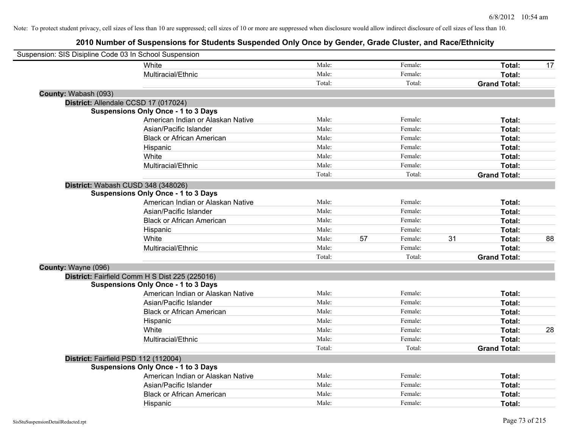| Suspension: SIS Disipline Code 03 In School Suspension |                                                |        |    |         |    |                     |    |
|--------------------------------------------------------|------------------------------------------------|--------|----|---------|----|---------------------|----|
|                                                        | White                                          | Male:  |    | Female: |    | Total:              | 17 |
|                                                        | Multiracial/Ethnic                             | Male:  |    | Female: |    | Total:              |    |
|                                                        |                                                | Total: |    | Total:  |    | <b>Grand Total:</b> |    |
| County: Wabash (093)                                   |                                                |        |    |         |    |                     |    |
|                                                        | District: Allendale CCSD 17 (017024)           |        |    |         |    |                     |    |
|                                                        | <b>Suspensions Only Once - 1 to 3 Days</b>     |        |    |         |    |                     |    |
|                                                        | American Indian or Alaskan Native              | Male:  |    | Female: |    | Total:              |    |
|                                                        | Asian/Pacific Islander                         | Male:  |    | Female: |    | Total:              |    |
|                                                        | <b>Black or African American</b>               | Male:  |    | Female: |    | Total:              |    |
|                                                        | Hispanic                                       | Male:  |    | Female: |    | Total:              |    |
|                                                        | White                                          | Male:  |    | Female: |    | Total:              |    |
|                                                        | Multiracial/Ethnic                             | Male:  |    | Female: |    | Total:              |    |
|                                                        |                                                | Total: |    | Total:  |    | <b>Grand Total:</b> |    |
|                                                        | District: Wabash CUSD 348 (348026)             |        |    |         |    |                     |    |
|                                                        | <b>Suspensions Only Once - 1 to 3 Days</b>     |        |    |         |    |                     |    |
|                                                        | American Indian or Alaskan Native              | Male:  |    | Female: |    | Total:              |    |
|                                                        | Asian/Pacific Islander                         | Male:  |    | Female: |    | Total:              |    |
|                                                        | <b>Black or African American</b>               | Male:  |    | Female: |    | Total:              |    |
|                                                        | Hispanic                                       | Male:  |    | Female: |    | Total:              |    |
|                                                        | White                                          | Male:  | 57 | Female: | 31 | Total:              | 88 |
|                                                        | Multiracial/Ethnic                             | Male:  |    | Female: |    | Total:              |    |
|                                                        |                                                | Total: |    | Total:  |    | <b>Grand Total:</b> |    |
| County: Wayne (096)                                    |                                                |        |    |         |    |                     |    |
|                                                        | District: Fairfield Comm H S Dist 225 (225016) |        |    |         |    |                     |    |
|                                                        | <b>Suspensions Only Once - 1 to 3 Days</b>     |        |    |         |    |                     |    |
|                                                        | American Indian or Alaskan Native              | Male:  |    | Female: |    | Total:              |    |
|                                                        | Asian/Pacific Islander                         | Male:  |    | Female: |    | Total:              |    |
|                                                        | <b>Black or African American</b>               | Male:  |    | Female: |    | Total:              |    |
|                                                        | Hispanic                                       | Male:  |    | Female: |    | Total:              |    |
|                                                        | White                                          | Male:  |    | Female: |    | Total:              | 28 |
|                                                        | Multiracial/Ethnic                             | Male:  |    | Female: |    | Total:              |    |
|                                                        |                                                | Total: |    | Total:  |    | <b>Grand Total:</b> |    |
| District: Fairfield PSD 112 (112004)                   |                                                |        |    |         |    |                     |    |
|                                                        | <b>Suspensions Only Once - 1 to 3 Days</b>     |        |    |         |    |                     |    |
|                                                        | American Indian or Alaskan Native              | Male:  |    | Female: |    | Total:              |    |
|                                                        | Asian/Pacific Islander                         | Male:  |    | Female: |    | Total:              |    |
|                                                        | <b>Black or African American</b>               | Male:  |    | Female: |    | Total:              |    |
|                                                        | Hispanic                                       | Male:  |    | Female: |    | Total:              |    |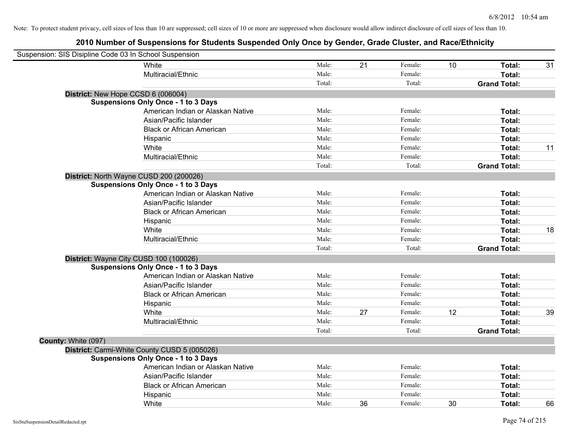| Suspension: SIS Disipline Code 03 In School Suspension |                                              |        |    |         |    |                     |    |
|--------------------------------------------------------|----------------------------------------------|--------|----|---------|----|---------------------|----|
|                                                        | White                                        | Male:  | 21 | Female: | 10 | Total:              | 31 |
|                                                        | Multiracial/Ethnic                           | Male:  |    | Female: |    | Total:              |    |
|                                                        |                                              | Total: |    | Total:  |    | <b>Grand Total:</b> |    |
|                                                        | District: New Hope CCSD 6 (006004)           |        |    |         |    |                     |    |
|                                                        | <b>Suspensions Only Once - 1 to 3 Days</b>   |        |    |         |    |                     |    |
|                                                        | American Indian or Alaskan Native            | Male:  |    | Female: |    | Total:              |    |
|                                                        | Asian/Pacific Islander                       | Male:  |    | Female: |    | Total:              |    |
|                                                        | <b>Black or African American</b>             | Male:  |    | Female: |    | Total:              |    |
|                                                        | Hispanic                                     | Male:  |    | Female: |    | Total:              |    |
|                                                        | White                                        | Male:  |    | Female: |    | Total:              | 11 |
|                                                        | Multiracial/Ethnic                           | Male:  |    | Female: |    | Total:              |    |
|                                                        |                                              | Total: |    | Total:  |    | <b>Grand Total:</b> |    |
|                                                        | District: North Wayne CUSD 200 (200026)      |        |    |         |    |                     |    |
|                                                        | <b>Suspensions Only Once - 1 to 3 Days</b>   |        |    |         |    |                     |    |
|                                                        | American Indian or Alaskan Native            | Male:  |    | Female: |    | Total:              |    |
|                                                        | Asian/Pacific Islander                       | Male:  |    | Female: |    | Total:              |    |
|                                                        | <b>Black or African American</b>             | Male:  |    | Female: |    | Total:              |    |
|                                                        | Hispanic                                     | Male:  |    | Female: |    | Total:              |    |
|                                                        | White                                        | Male:  |    | Female: |    | Total:              | 18 |
|                                                        | Multiracial/Ethnic                           | Male:  |    | Female: |    | Total:              |    |
|                                                        |                                              | Total: |    | Total:  |    | <b>Grand Total:</b> |    |
|                                                        | District: Wayne City CUSD 100 (100026)       |        |    |         |    |                     |    |
|                                                        | <b>Suspensions Only Once - 1 to 3 Days</b>   |        |    |         |    |                     |    |
|                                                        | American Indian or Alaskan Native            | Male:  |    | Female: |    | Total:              |    |
|                                                        | Asian/Pacific Islander                       | Male:  |    | Female: |    | Total:              |    |
|                                                        | <b>Black or African American</b>             | Male:  |    | Female: |    | Total:              |    |
|                                                        | Hispanic                                     | Male:  |    | Female: |    | Total:              |    |
|                                                        | White                                        | Male:  | 27 | Female: | 12 | Total:              | 39 |
|                                                        | Multiracial/Ethnic                           | Male:  |    | Female: |    | Total:              |    |
|                                                        |                                              | Total: |    | Total:  |    | <b>Grand Total:</b> |    |
| County: White (097)                                    |                                              |        |    |         |    |                     |    |
|                                                        | District: Carmi-White County CUSD 5 (005026) |        |    |         |    |                     |    |
|                                                        | <b>Suspensions Only Once - 1 to 3 Days</b>   |        |    |         |    |                     |    |
|                                                        | American Indian or Alaskan Native            | Male:  |    | Female: |    | Total:              |    |
|                                                        | Asian/Pacific Islander                       | Male:  |    | Female: |    | Total:              |    |
|                                                        | <b>Black or African American</b>             | Male:  |    | Female: |    | Total:              |    |
|                                                        | Hispanic                                     | Male:  |    | Female: |    | Total:              |    |
|                                                        | White                                        | Male:  | 36 | Female: | 30 | Total:              | 66 |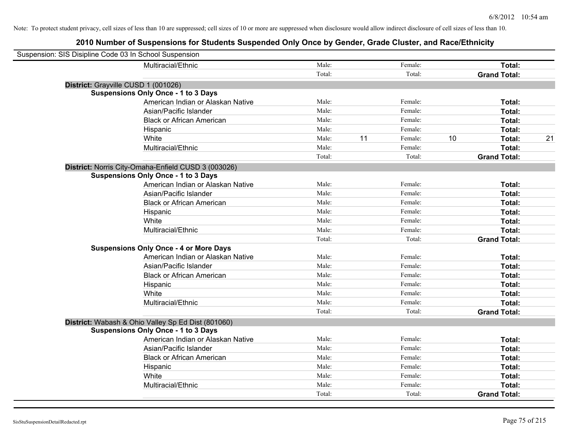| Suspension: SIS Disipline Code 03 In School Suspension |                                                     |        |    |         |    |                     |    |
|--------------------------------------------------------|-----------------------------------------------------|--------|----|---------|----|---------------------|----|
|                                                        | Multiracial/Ethnic                                  | Male:  |    | Female: |    | Total:              |    |
|                                                        |                                                     | Total: |    | Total:  |    | <b>Grand Total:</b> |    |
| District: Grayville CUSD 1 (001026)                    |                                                     |        |    |         |    |                     |    |
|                                                        | <b>Suspensions Only Once - 1 to 3 Days</b>          |        |    |         |    |                     |    |
|                                                        | American Indian or Alaskan Native                   | Male:  |    | Female: |    | Total:              |    |
|                                                        | Asian/Pacific Islander                              | Male:  |    | Female: |    | Total:              |    |
|                                                        | <b>Black or African American</b>                    | Male:  |    | Female: |    | Total:              |    |
|                                                        | Hispanic                                            | Male:  |    | Female: |    | Total:              |    |
|                                                        | White                                               | Male:  | 11 | Female: | 10 | Total:              | 21 |
|                                                        | Multiracial/Ethnic                                  | Male:  |    | Female: |    | Total:              |    |
|                                                        |                                                     | Total: |    | Total:  |    | <b>Grand Total:</b> |    |
|                                                        | District: Norris City-Omaha-Enfield CUSD 3 (003026) |        |    |         |    |                     |    |
|                                                        | <b>Suspensions Only Once - 1 to 3 Days</b>          |        |    |         |    |                     |    |
|                                                        | American Indian or Alaskan Native                   | Male:  |    | Female: |    | Total:              |    |
|                                                        | Asian/Pacific Islander                              | Male:  |    | Female: |    | Total:              |    |
|                                                        | <b>Black or African American</b>                    | Male:  |    | Female: |    | Total:              |    |
|                                                        | Hispanic                                            | Male:  |    | Female: |    | Total:              |    |
|                                                        | White                                               | Male:  |    | Female: |    | Total:              |    |
|                                                        | Multiracial/Ethnic                                  | Male:  |    | Female: |    | Total:              |    |
|                                                        |                                                     | Total: |    | Total:  |    | <b>Grand Total:</b> |    |
|                                                        | <b>Suspensions Only Once - 4 or More Days</b>       |        |    |         |    |                     |    |
|                                                        | American Indian or Alaskan Native                   | Male:  |    | Female: |    | Total:              |    |
|                                                        | Asian/Pacific Islander                              | Male:  |    | Female: |    | Total:              |    |
|                                                        | <b>Black or African American</b>                    | Male:  |    | Female: |    | Total:              |    |
|                                                        | Hispanic                                            | Male:  |    | Female: |    | Total:              |    |
|                                                        | White                                               | Male:  |    | Female: |    | Total:              |    |
|                                                        | Multiracial/Ethnic                                  | Male:  |    | Female: |    | Total:              |    |
|                                                        |                                                     | Total: |    | Total:  |    | <b>Grand Total:</b> |    |
|                                                        | District: Wabash & Ohio Valley Sp Ed Dist (801060)  |        |    |         |    |                     |    |
|                                                        | <b>Suspensions Only Once - 1 to 3 Days</b>          |        |    |         |    |                     |    |
|                                                        | American Indian or Alaskan Native                   | Male:  |    | Female: |    | Total:              |    |
|                                                        | Asian/Pacific Islander                              | Male:  |    | Female: |    | Total:              |    |
|                                                        | <b>Black or African American</b>                    | Male:  |    | Female: |    | Total:              |    |
|                                                        | Hispanic                                            | Male:  |    | Female: |    | Total:              |    |
|                                                        | White                                               | Male:  |    | Female: |    | Total:              |    |
|                                                        | Multiracial/Ethnic                                  | Male:  |    | Female: |    | Total:              |    |
|                                                        |                                                     | Total: |    | Total:  |    | <b>Grand Total:</b> |    |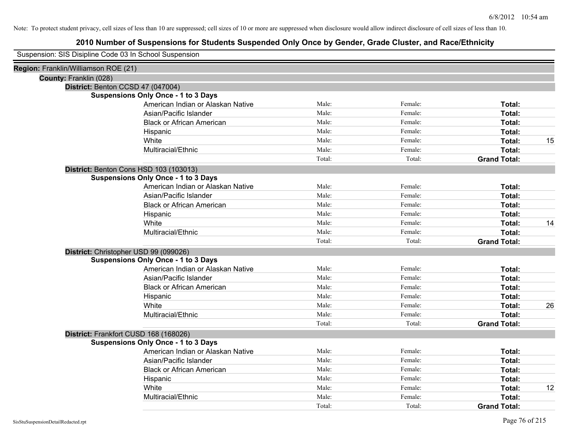| Suspension: SIS Disipline Code 03 In School Suspension |
|--------------------------------------------------------|
|--------------------------------------------------------|

| Region: Franklin/Williamson ROE (21)       |        |         |                     |    |
|--------------------------------------------|--------|---------|---------------------|----|
| County: Franklin (028)                     |        |         |                     |    |
| District: Benton CCSD 47 (047004)          |        |         |                     |    |
| <b>Suspensions Only Once - 1 to 3 Days</b> |        |         |                     |    |
| American Indian or Alaskan Native          | Male:  | Female: | Total:              |    |
| Asian/Pacific Islander                     | Male:  | Female: | Total:              |    |
| <b>Black or African American</b>           | Male:  | Female: | Total:              |    |
| Hispanic                                   | Male:  | Female: | Total:              |    |
| White                                      | Male:  | Female: | Total:              | 15 |
| Multiracial/Ethnic                         | Male:  | Female: | Total:              |    |
|                                            | Total: | Total:  | <b>Grand Total:</b> |    |
| District: Benton Cons HSD 103 (103013)     |        |         |                     |    |
| <b>Suspensions Only Once - 1 to 3 Days</b> |        |         |                     |    |
| American Indian or Alaskan Native          | Male:  | Female: | Total:              |    |
| Asian/Pacific Islander                     | Male:  | Female: | Total:              |    |
| <b>Black or African American</b>           | Male:  | Female: | Total:              |    |
| Hispanic                                   | Male:  | Female: | Total:              |    |
| White                                      | Male:  | Female: | Total:              | 14 |
| Multiracial/Ethnic                         | Male:  | Female: | Total:              |    |
|                                            | Total: | Total:  | <b>Grand Total:</b> |    |
| District: Christopher USD 99 (099026)      |        |         |                     |    |
| <b>Suspensions Only Once - 1 to 3 Days</b> |        |         |                     |    |
| American Indian or Alaskan Native          | Male:  | Female: | Total:              |    |
| Asian/Pacific Islander                     | Male:  | Female: | Total:              |    |
| <b>Black or African American</b>           | Male:  | Female: | Total:              |    |
| Hispanic                                   | Male:  | Female: | Total:              |    |
| White                                      | Male:  | Female: | Total:              | 26 |
| Multiracial/Ethnic                         | Male:  | Female: | Total:              |    |
|                                            | Total: | Total:  | <b>Grand Total:</b> |    |
| District: Frankfort CUSD 168 (168026)      |        |         |                     |    |
| <b>Suspensions Only Once - 1 to 3 Days</b> |        |         |                     |    |
| American Indian or Alaskan Native          | Male:  | Female: | Total:              |    |
| Asian/Pacific Islander                     | Male:  | Female: | Total:              |    |
| <b>Black or African American</b>           | Male:  | Female: | Total:              |    |
| Hispanic                                   | Male:  | Female: | Total:              |    |
| White                                      | Male:  | Female: | Total:              | 12 |
| Multiracial/Ethnic                         | Male:  | Female: | Total:              |    |
|                                            | Total: | Total:  | <b>Grand Total:</b> |    |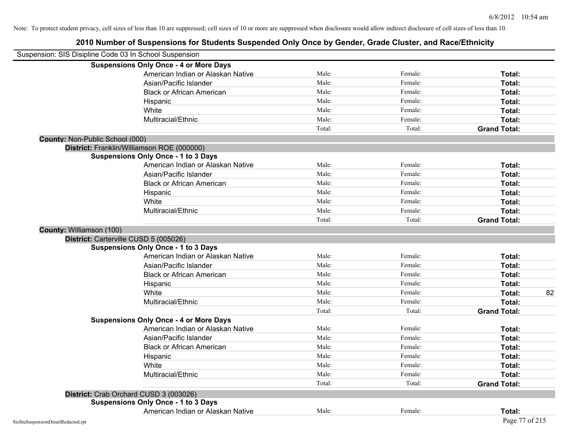| Suspension: SIS Disipline Code 03 In School Suspension |                                               |        |         |                     |
|--------------------------------------------------------|-----------------------------------------------|--------|---------|---------------------|
|                                                        | <b>Suspensions Only Once - 4 or More Days</b> |        |         |                     |
|                                                        | American Indian or Alaskan Native             | Male:  | Female: | Total:              |
|                                                        | Asian/Pacific Islander                        | Male:  | Female: | Total:              |
|                                                        | <b>Black or African American</b>              | Male:  | Female: | Total:              |
|                                                        | Hispanic                                      | Male:  | Female: | Total:              |
|                                                        | White                                         | Male:  | Female: | Total:              |
|                                                        | Multiracial/Ethnic                            | Male:  | Female: | Total:              |
|                                                        |                                               | Total: | Total:  | <b>Grand Total:</b> |
| <b>County: Non-Public School (000)</b>                 |                                               |        |         |                     |
|                                                        | District: Franklin/Williamson ROE (000000)    |        |         |                     |
|                                                        | <b>Suspensions Only Once - 1 to 3 Days</b>    |        |         |                     |
|                                                        | American Indian or Alaskan Native             | Male:  | Female: | Total:              |
|                                                        | Asian/Pacific Islander                        | Male:  | Female: | Total:              |
|                                                        | <b>Black or African American</b>              | Male:  | Female: | Total:              |
|                                                        | Hispanic                                      | Male:  | Female: | Total:              |
|                                                        | White                                         | Male:  | Female: | Total:              |
|                                                        | Multiracial/Ethnic                            | Male:  | Female: | Total:              |
|                                                        |                                               | Total: | Total:  | <b>Grand Total:</b> |
| County: Williamson (100)                               |                                               |        |         |                     |
|                                                        | District: Carterville CUSD 5 (005026)         |        |         |                     |
|                                                        | <b>Suspensions Only Once - 1 to 3 Days</b>    |        |         |                     |
|                                                        | American Indian or Alaskan Native             | Male:  | Female: | Total:              |
|                                                        | Asian/Pacific Islander                        | Male:  | Female: | Total:              |
|                                                        | <b>Black or African American</b>              | Male:  | Female: | Total:              |
|                                                        | Hispanic                                      | Male:  | Female: | Total:              |
|                                                        | White                                         | Male:  | Female: | 82<br>Total:        |
|                                                        | Multiracial/Ethnic                            | Male:  | Female: | Total:              |
|                                                        |                                               | Total: | Total:  | <b>Grand Total:</b> |
|                                                        | <b>Suspensions Only Once - 4 or More Days</b> |        |         |                     |
|                                                        | American Indian or Alaskan Native             | Male:  | Female: | Total:              |
|                                                        | Asian/Pacific Islander                        | Male:  | Female: | Total:              |
|                                                        | <b>Black or African American</b>              | Male:  | Female: | Total:              |
|                                                        | Hispanic                                      | Male:  | Female: | Total:              |
|                                                        | White                                         | Male:  | Female: | Total:              |
|                                                        | Multiracial/Ethnic                            | Male:  | Female: | Total:              |
|                                                        |                                               | Total: | Total:  | <b>Grand Total:</b> |
|                                                        | District: Crab Orchard CUSD 3 (003026)        |        |         |                     |
|                                                        | <b>Suspensions Only Once - 1 to 3 Days</b>    |        |         |                     |
|                                                        | American Indian or Alaskan Native             | Male:  | Female: | Total:              |
| SisStuSuspensionDetailRedacted.rpt                     |                                               |        |         | Page 77 of 215      |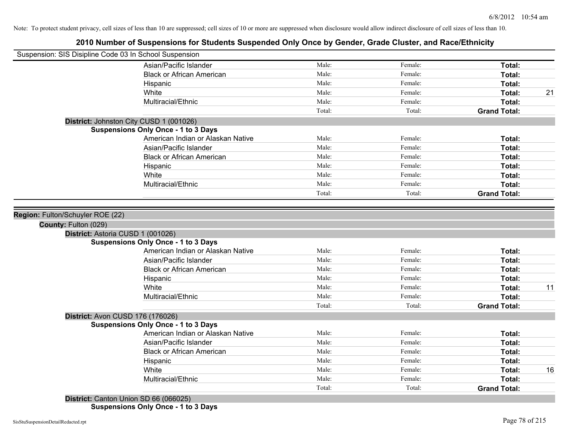# **2010 Number of Suspensions for Students Suspended Only Once by Gender, Grade Cluster, and Race/Ethnicity**

| Suspension: SIS Disipline Code 03 In School Suspension |                                            |        |         |                     |    |
|--------------------------------------------------------|--------------------------------------------|--------|---------|---------------------|----|
|                                                        | Asian/Pacific Islander                     | Male:  | Female: | Total:              |    |
|                                                        | <b>Black or African American</b>           | Male:  | Female: | Total:              |    |
|                                                        | Hispanic                                   | Male:  | Female: | Total:              |    |
|                                                        | White                                      | Male:  | Female: | Total:              | 21 |
|                                                        | Multiracial/Ethnic                         | Male:  | Female: | Total:              |    |
|                                                        |                                            | Total: | Total:  | <b>Grand Total:</b> |    |
| District: Johnston City CUSD 1 (001026)                |                                            |        |         |                     |    |
|                                                        | <b>Suspensions Only Once - 1 to 3 Days</b> |        |         |                     |    |
|                                                        | American Indian or Alaskan Native          | Male:  | Female: | Total:              |    |
|                                                        | Asian/Pacific Islander                     | Male:  | Female: | Total:              |    |
|                                                        | <b>Black or African American</b>           | Male:  | Female: | Total:              |    |
|                                                        | Hispanic                                   | Male:  | Female: | Total:              |    |
|                                                        | White                                      | Male:  | Female: | Total:              |    |
|                                                        | Multiracial/Ethnic                         | Male:  | Female: | Total:              |    |
|                                                        |                                            | Total: | Total:  | <b>Grand Total:</b> |    |
|                                                        |                                            |        |         |                     |    |
| Region: Fulton/Schuyler ROE (22)                       |                                            |        |         |                     |    |
| County: Fulton (029)                                   |                                            |        |         |                     |    |
| District: Astoria CUSD 1 (001026)                      |                                            |        |         |                     |    |
|                                                        | <b>Suspensions Only Once - 1 to 3 Days</b> |        |         |                     |    |
|                                                        | American Indian or Alaskan Native          | Male:  | Female: | Total:              |    |
|                                                        | Asian/Pacific Islander                     | Male:  | Female: | Total:              |    |
|                                                        | <b>Black or African American</b>           | Male:  | Female: | Total:              |    |
|                                                        | Hispanic                                   | Male:  | Female: | Total:              |    |
|                                                        | White                                      | Male:  | Female: | Total:              | 11 |
|                                                        | Multiracial/Ethnic                         | Male:  | Female: | Total:              |    |
|                                                        |                                            | Total: | Total:  | <b>Grand Total:</b> |    |
| District: Avon CUSD 176 (176026)                       |                                            |        |         |                     |    |
|                                                        | <b>Suspensions Only Once - 1 to 3 Days</b> |        |         |                     |    |
|                                                        | American Indian or Alaskan Native          | Male:  | Female: | Total:              |    |
|                                                        | Asian/Pacific Islander                     | Male:  | Female: | Total:              |    |
|                                                        | <b>Black or African American</b>           | Male:  | Female: | Total:              |    |
|                                                        | Hispanic                                   | Male:  | Female: | Total:              |    |
|                                                        | White                                      | Male:  | Female: | Total:              | 16 |
|                                                        | Multiracial/Ethnic                         | Male:  | Female: | <b>Total:</b>       |    |
|                                                        |                                            | Total: | Total:  | <b>Grand Total:</b> |    |
| District: Canton Union SD 66 (066025)                  |                                            |        |         |                     |    |

**Suspensions Only Once - 1 to 3 Days**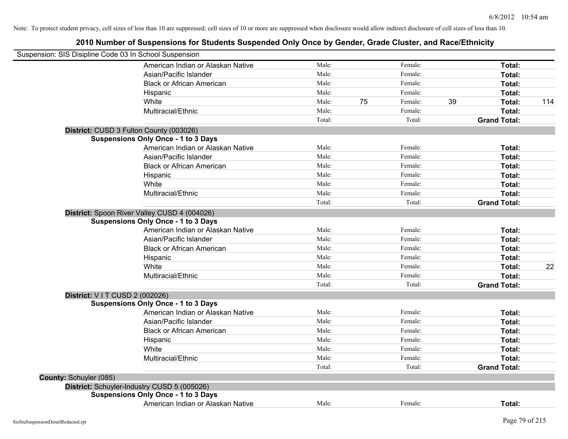|                        | Suspension: SIS Disipline Code 03 In School Suspension |        |    |         |    |                     |     |
|------------------------|--------------------------------------------------------|--------|----|---------|----|---------------------|-----|
|                        | American Indian or Alaskan Native                      | Male:  |    | Female: |    | Total:              |     |
|                        | Asian/Pacific Islander                                 | Male:  |    | Female: |    | Total:              |     |
|                        | <b>Black or African American</b>                       | Male:  |    | Female: |    | Total:              |     |
|                        | Hispanic                                               | Male:  |    | Female: |    | Total:              |     |
|                        | White                                                  | Male:  | 75 | Female: | 39 | Total:              | 114 |
|                        | Multiracial/Ethnic                                     | Male:  |    | Female: |    | Total:              |     |
|                        |                                                        | Total: |    | Total:  |    | <b>Grand Total:</b> |     |
|                        | District: CUSD 3 Fulton County (003026)                |        |    |         |    |                     |     |
|                        | <b>Suspensions Only Once - 1 to 3 Days</b>             |        |    |         |    |                     |     |
|                        | American Indian or Alaskan Native                      | Male:  |    | Female: |    | Total:              |     |
|                        | Asian/Pacific Islander                                 | Male:  |    | Female: |    | Total:              |     |
|                        | <b>Black or African American</b>                       | Male:  |    | Female: |    | Total:              |     |
|                        | Hispanic                                               | Male:  |    | Female: |    | Total:              |     |
|                        | White                                                  | Male:  |    | Female: |    | Total:              |     |
|                        | Multiracial/Ethnic                                     | Male:  |    | Female: |    | Total:              |     |
|                        |                                                        | Total: |    | Total:  |    | <b>Grand Total:</b> |     |
|                        | District: Spoon River Valley CUSD 4 (004026)           |        |    |         |    |                     |     |
|                        | <b>Suspensions Only Once - 1 to 3 Days</b>             |        |    |         |    |                     |     |
|                        | American Indian or Alaskan Native                      | Male:  |    | Female: |    | Total:              |     |
|                        | Asian/Pacific Islander                                 | Male:  |    | Female: |    | Total:              |     |
|                        | <b>Black or African American</b>                       | Male:  |    | Female: |    | Total:              |     |
|                        | Hispanic                                               | Male:  |    | Female: |    | Total:              |     |
|                        | White                                                  | Male:  |    | Female: |    | Total:              | 22  |
|                        | Multiracial/Ethnic                                     | Male:  |    | Female: |    | Total:              |     |
|                        |                                                        | Total: |    | Total:  |    | <b>Grand Total:</b> |     |
|                        | District: V I T CUSD 2 (002026)                        |        |    |         |    |                     |     |
|                        | <b>Suspensions Only Once - 1 to 3 Days</b>             |        |    |         |    |                     |     |
|                        | American Indian or Alaskan Native                      | Male:  |    | Female: |    | Total:              |     |
|                        | Asian/Pacific Islander                                 | Male:  |    | Female: |    | Total:              |     |
|                        | <b>Black or African American</b>                       | Male:  |    | Female: |    | Total:              |     |
|                        | Hispanic                                               | Male:  |    | Female: |    | Total:              |     |
|                        | White                                                  | Male:  |    | Female: |    | Total:              |     |
|                        | Multiracial/Ethnic                                     | Male:  |    | Female: |    | Total:              |     |
|                        |                                                        | Total: |    | Total:  |    | <b>Grand Total:</b> |     |
| County: Schuyler (085) |                                                        |        |    |         |    |                     |     |
|                        | District: Schuyler-Industry CUSD 5 (005026)            |        |    |         |    |                     |     |
|                        | <b>Suspensions Only Once - 1 to 3 Days</b>             |        |    |         |    |                     |     |
|                        | American Indian or Alaskan Native                      | Male:  |    | Female: |    | Total:              |     |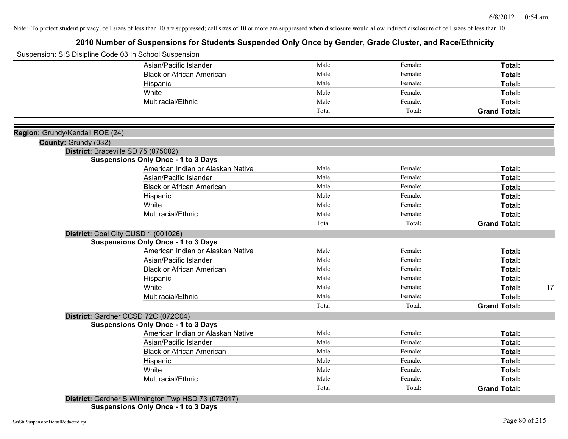# **2010 Number of Suspensions for Students Suspended Only Once by Gender, Grade Cluster, and Race/Ethnicity**

| Suspension: SIS Disipline Code 03 In School Suspension  |                                                    |        |         |                     |
|---------------------------------------------------------|----------------------------------------------------|--------|---------|---------------------|
|                                                         | Asian/Pacific Islander                             | Male:  | Female: | Total:              |
|                                                         | <b>Black or African American</b>                   | Male:  | Female: | Total:              |
|                                                         | Hispanic                                           | Male:  | Female: | Total:              |
|                                                         | White                                              | Male:  | Female: | Total:              |
|                                                         | Multiracial/Ethnic                                 | Male:  | Female: | <b>Total:</b>       |
|                                                         |                                                    | Total: | Total:  | <b>Grand Total:</b> |
|                                                         |                                                    |        |         |                     |
| Region: Grundy/Kendall ROE (24)<br>County: Grundy (032) |                                                    |        |         |                     |
| District: Braceville SD 75 (075002)                     |                                                    |        |         |                     |
|                                                         | <b>Suspensions Only Once - 1 to 3 Days</b>         |        |         |                     |
|                                                         | American Indian or Alaskan Native                  | Male:  | Female: | <b>Total:</b>       |
|                                                         | Asian/Pacific Islander                             | Male:  | Female: | Total:              |
|                                                         | <b>Black or African American</b>                   | Male:  | Female: | Total:              |
|                                                         | Hispanic                                           | Male:  | Female: | Total:              |
|                                                         | White                                              | Male:  | Female: | Total:              |
|                                                         | Multiracial/Ethnic                                 | Male:  | Female: | Total:              |
|                                                         |                                                    | Total: | Total:  | <b>Grand Total:</b> |
| District: Coal City CUSD 1 (001026)                     |                                                    |        |         |                     |
|                                                         | <b>Suspensions Only Once - 1 to 3 Days</b>         |        |         |                     |
|                                                         | American Indian or Alaskan Native                  | Male:  | Female: | Total:              |
|                                                         | Asian/Pacific Islander                             | Male:  | Female: | Total:              |
|                                                         | <b>Black or African American</b>                   | Male:  | Female: | Total:              |
|                                                         | Hispanic                                           | Male:  | Female: | <b>Total:</b>       |
|                                                         | White                                              | Male:  | Female: | 17<br>Total:        |
|                                                         | Multiracial/Ethnic                                 | Male:  | Female: | Total:              |
|                                                         |                                                    | Total: | Total:  | <b>Grand Total:</b> |
|                                                         | District: Gardner CCSD 72C (072C04)                |        |         |                     |
|                                                         | <b>Suspensions Only Once - 1 to 3 Days</b>         |        |         |                     |
|                                                         | American Indian or Alaskan Native                  | Male:  | Female: | Total:              |
|                                                         | Asian/Pacific Islander                             | Male:  | Female: | Total:              |
|                                                         | <b>Black or African American</b>                   | Male:  | Female: | Total:              |
|                                                         | Hispanic                                           | Male:  | Female: | Total:              |
|                                                         | White                                              | Male:  | Female: | Total:              |
|                                                         | Multiracial/Ethnic                                 | Male:  | Female: | Total:              |
|                                                         |                                                    | Total: | Total:  | <b>Grand Total:</b> |
|                                                         | District: Gardner S Wilmington Twp HSD 73 (073017) |        |         |                     |

**Suspensions Only Once - 1 to 3 Days**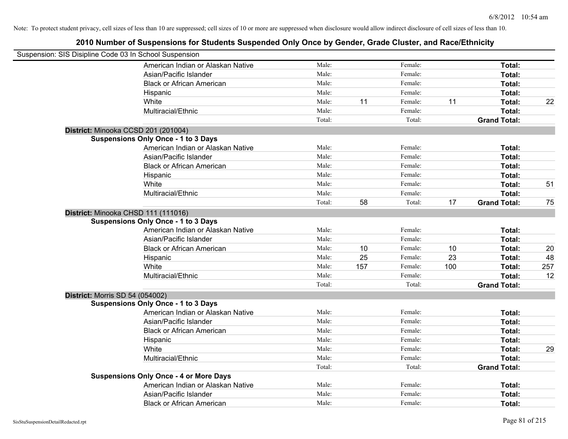| Suspension: SIS Disipline Code 03 In School Suspension |                                               |        |     |         |     |                     |     |
|--------------------------------------------------------|-----------------------------------------------|--------|-----|---------|-----|---------------------|-----|
|                                                        | American Indian or Alaskan Native             | Male:  |     | Female: |     | Total:              |     |
|                                                        | Asian/Pacific Islander                        | Male:  |     | Female: |     | Total:              |     |
|                                                        | <b>Black or African American</b>              | Male:  |     | Female: |     | Total:              |     |
|                                                        | Hispanic                                      | Male:  |     | Female: |     | Total:              |     |
|                                                        | White                                         | Male:  | 11  | Female: | 11  | Total:              | 22  |
|                                                        | Multiracial/Ethnic                            | Male:  |     | Female: |     | Total:              |     |
|                                                        |                                               | Total: |     | Total:  |     | <b>Grand Total:</b> |     |
|                                                        | District: Minooka CCSD 201 (201004)           |        |     |         |     |                     |     |
|                                                        | <b>Suspensions Only Once - 1 to 3 Days</b>    |        |     |         |     |                     |     |
|                                                        | American Indian or Alaskan Native             | Male:  |     | Female: |     | Total:              |     |
|                                                        | Asian/Pacific Islander                        | Male:  |     | Female: |     | Total:              |     |
|                                                        | <b>Black or African American</b>              | Male:  |     | Female: |     | Total:              |     |
|                                                        | Hispanic                                      | Male:  |     | Female: |     | Total:              |     |
|                                                        | White                                         | Male:  |     | Female: |     | Total:              | 51  |
|                                                        | Multiracial/Ethnic                            | Male:  |     | Female: |     | Total:              |     |
|                                                        |                                               | Total: | 58  | Total:  | 17  | <b>Grand Total:</b> | 75  |
|                                                        | District: Minooka CHSD 111 (111016)           |        |     |         |     |                     |     |
|                                                        | <b>Suspensions Only Once - 1 to 3 Days</b>    |        |     |         |     |                     |     |
|                                                        | American Indian or Alaskan Native             | Male:  |     | Female: |     | Total:              |     |
|                                                        | Asian/Pacific Islander                        | Male:  |     | Female: |     | Total:              |     |
|                                                        | <b>Black or African American</b>              | Male:  | 10  | Female: | 10  | Total:              | 20  |
|                                                        | Hispanic                                      | Male:  | 25  | Female: | 23  | Total:              | 48  |
|                                                        | White                                         | Male:  | 157 | Female: | 100 | Total:              | 257 |
|                                                        | Multiracial/Ethnic                            | Male:  |     | Female: |     | Total:              | 12  |
|                                                        |                                               | Total: |     | Total:  |     | <b>Grand Total:</b> |     |
| <b>District: Morris SD 54 (054002)</b>                 |                                               |        |     |         |     |                     |     |
|                                                        | <b>Suspensions Only Once - 1 to 3 Days</b>    |        |     |         |     |                     |     |
|                                                        | American Indian or Alaskan Native             | Male:  |     | Female: |     | Total:              |     |
|                                                        | Asian/Pacific Islander                        | Male:  |     | Female: |     | Total:              |     |
|                                                        | <b>Black or African American</b>              | Male:  |     | Female: |     | Total:              |     |
|                                                        | Hispanic                                      | Male:  |     | Female: |     | Total:              |     |
|                                                        | White                                         | Male:  |     | Female: |     | Total:              | 29  |
|                                                        | Multiracial/Ethnic                            | Male:  |     | Female: |     | Total:              |     |
|                                                        |                                               | Total: |     | Total:  |     | <b>Grand Total:</b> |     |
|                                                        | <b>Suspensions Only Once - 4 or More Days</b> |        |     |         |     |                     |     |
|                                                        | American Indian or Alaskan Native             | Male:  |     | Female: |     | Total:              |     |
|                                                        | Asian/Pacific Islander                        | Male:  |     | Female: |     | Total:              |     |
|                                                        | <b>Black or African American</b>              | Male:  |     | Female: |     | Total:              |     |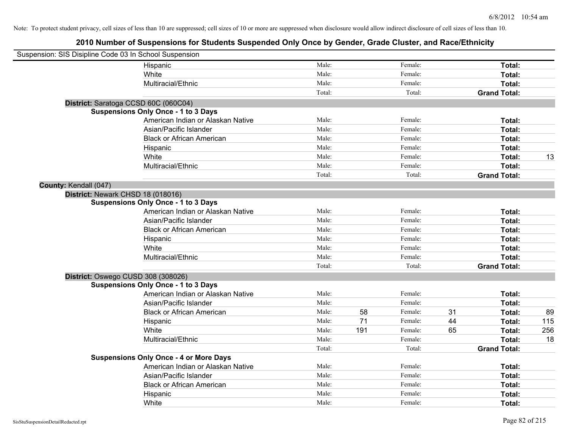| Suspension: SIS Disipline Code 03 In School Suspension |                                               |        |     |         |    |                     |     |
|--------------------------------------------------------|-----------------------------------------------|--------|-----|---------|----|---------------------|-----|
|                                                        | Hispanic                                      | Male:  |     | Female: |    | Total:              |     |
|                                                        | White                                         | Male:  |     | Female: |    | Total:              |     |
|                                                        | Multiracial/Ethnic                            | Male:  |     | Female: |    | Total:              |     |
|                                                        |                                               | Total: |     | Total:  |    | <b>Grand Total:</b> |     |
|                                                        | District: Saratoga CCSD 60C (060C04)          |        |     |         |    |                     |     |
|                                                        | <b>Suspensions Only Once - 1 to 3 Days</b>    |        |     |         |    |                     |     |
|                                                        | American Indian or Alaskan Native             | Male:  |     | Female: |    | Total:              |     |
|                                                        | Asian/Pacific Islander                        | Male:  |     | Female: |    | Total:              |     |
|                                                        | <b>Black or African American</b>              | Male:  |     | Female: |    | Total:              |     |
|                                                        | Hispanic                                      | Male:  |     | Female: |    | Total:              |     |
|                                                        | White                                         | Male:  |     | Female: |    | Total:              | 13  |
|                                                        | Multiracial/Ethnic                            | Male:  |     | Female: |    | Total:              |     |
|                                                        |                                               | Total: |     | Total:  |    | <b>Grand Total:</b> |     |
| County: Kendall (047)                                  |                                               |        |     |         |    |                     |     |
|                                                        | District: Newark CHSD 18 (018016)             |        |     |         |    |                     |     |
|                                                        | <b>Suspensions Only Once - 1 to 3 Days</b>    |        |     |         |    |                     |     |
|                                                        | American Indian or Alaskan Native             | Male:  |     | Female: |    | Total:              |     |
|                                                        | Asian/Pacific Islander                        | Male:  |     | Female: |    | Total:              |     |
|                                                        | <b>Black or African American</b>              | Male:  |     | Female: |    | Total:              |     |
|                                                        | Hispanic                                      | Male:  |     | Female: |    | Total:              |     |
|                                                        | White                                         | Male:  |     | Female: |    | Total:              |     |
|                                                        | Multiracial/Ethnic                            | Male:  |     | Female: |    | Total:              |     |
|                                                        |                                               | Total: |     | Total:  |    | <b>Grand Total:</b> |     |
|                                                        | District: Oswego CUSD 308 (308026)            |        |     |         |    |                     |     |
|                                                        | <b>Suspensions Only Once - 1 to 3 Days</b>    |        |     |         |    |                     |     |
|                                                        | American Indian or Alaskan Native             | Male:  |     | Female: |    | Total:              |     |
|                                                        | Asian/Pacific Islander                        | Male:  |     | Female: |    | Total:              |     |
|                                                        | <b>Black or African American</b>              | Male:  | 58  | Female: | 31 | Total:              | 89  |
|                                                        | Hispanic                                      | Male:  | 71  | Female: | 44 | Total:              | 115 |
|                                                        | White                                         | Male:  | 191 | Female: | 65 | Total:              | 256 |
|                                                        | Multiracial/Ethnic                            | Male:  |     | Female: |    | Total:              | 18  |
|                                                        |                                               | Total: |     | Total:  |    | <b>Grand Total:</b> |     |
|                                                        | <b>Suspensions Only Once - 4 or More Days</b> |        |     |         |    |                     |     |
|                                                        | American Indian or Alaskan Native             | Male:  |     | Female: |    | Total:              |     |
|                                                        | Asian/Pacific Islander                        | Male:  |     | Female: |    | Total:              |     |
|                                                        | <b>Black or African American</b>              | Male:  |     | Female: |    | Total:              |     |
|                                                        | Hispanic                                      | Male:  |     | Female: |    | Total:              |     |
|                                                        | White                                         | Male:  |     | Female: |    | Total:              |     |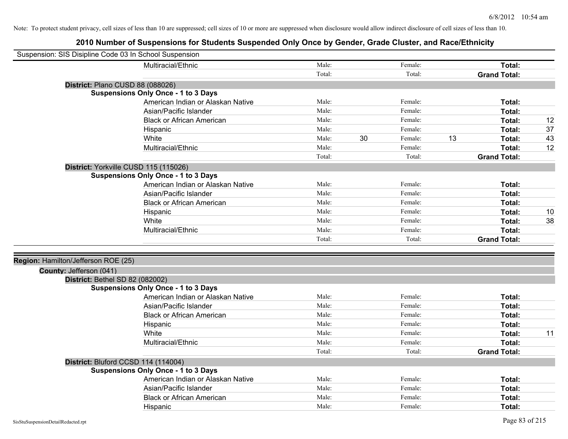| Male:<br>Multiracial/Ethnic<br>Female:<br>Total:<br>Total:<br>Total:<br><b>Grand Total:</b><br>District: Plano CUSD 88 (088026)<br><b>Suspensions Only Once - 1 to 3 Days</b><br>Male:<br>American Indian or Alaskan Native<br>Female:<br>Total:<br>Male:<br>Asian/Pacific Islander<br>Female:<br>Total:<br><b>Black or African American</b><br>Male:<br>12<br>Female:<br>Total:<br>37<br>Hispanic<br>Male:<br>Female:<br>Total:<br>White<br>30<br>13<br>Male:<br>Female:<br>43<br>Total:<br>Multiracial/Ethnic<br>Male:<br>12<br>Female:<br>Total:<br>Total:<br><b>Grand Total:</b><br>Total:<br>District: Yorkville CUSD 115 (115026)<br><b>Suspensions Only Once - 1 to 3 Days</b><br>Male:<br>Female:<br>Total:<br>American Indian or Alaskan Native<br>Male:<br>Female:<br>Total:<br>Asian/Pacific Islander<br>Male:<br><b>Black or African American</b><br>Female:<br>Total:<br>Male:<br>Female:<br>Total:<br>10<br>Hispanic<br>White<br>Male:<br>Female:<br>Total:<br>38<br>Multiracial/Ethnic<br>Male:<br>Female:<br>Total:<br>Total:<br>Total:<br><b>Grand Total:</b><br>Region: Hamilton/Jefferson ROE (25)<br>County: Jefferson (041)<br>District: Bethel SD 82 (082002)<br><b>Suspensions Only Once - 1 to 3 Days</b><br>Male:<br>American Indian or Alaskan Native<br>Female:<br>Total:<br>Male:<br>Female:<br>Asian/Pacific Islander<br>Total:<br>Male:<br>Female:<br><b>Black or African American</b><br>Total:<br>Male:<br>Female:<br>Hispanic<br>Total:<br>Male:<br>White<br>Female:<br>11<br>Total:<br>Male:<br>Multiracial/Ethnic<br>Female:<br>Total:<br>Total:<br>Total:<br><b>Grand Total:</b><br>District: Bluford CCSD 114 (114004)<br><b>Suspensions Only Once - 1 to 3 Days</b><br>American Indian or Alaskan Native<br>Male:<br>Female:<br>Total:<br>Asian/Pacific Islander<br>Male:<br>Female:<br>Total:<br>Male:<br><b>Black or African American</b><br>Female:<br>Total: | Suspension: SIS Disipline Code 03 In School Suspension |          |       |         |        |  |
|--------------------------------------------------------------------------------------------------------------------------------------------------------------------------------------------------------------------------------------------------------------------------------------------------------------------------------------------------------------------------------------------------------------------------------------------------------------------------------------------------------------------------------------------------------------------------------------------------------------------------------------------------------------------------------------------------------------------------------------------------------------------------------------------------------------------------------------------------------------------------------------------------------------------------------------------------------------------------------------------------------------------------------------------------------------------------------------------------------------------------------------------------------------------------------------------------------------------------------------------------------------------------------------------------------------------------------------------------------------------------------------------------------------------------------------------------------------------------------------------------------------------------------------------------------------------------------------------------------------------------------------------------------------------------------------------------------------------------------------------------------------------------------------------------------------------------------------------------------------------------------------------------------|--------------------------------------------------------|----------|-------|---------|--------|--|
|                                                                                                                                                                                                                                                                                                                                                                                                                                                                                                                                                                                                                                                                                                                                                                                                                                                                                                                                                                                                                                                                                                                                                                                                                                                                                                                                                                                                                                                                                                                                                                                                                                                                                                                                                                                                                                                                                                        |                                                        |          |       |         |        |  |
|                                                                                                                                                                                                                                                                                                                                                                                                                                                                                                                                                                                                                                                                                                                                                                                                                                                                                                                                                                                                                                                                                                                                                                                                                                                                                                                                                                                                                                                                                                                                                                                                                                                                                                                                                                                                                                                                                                        |                                                        |          |       |         |        |  |
|                                                                                                                                                                                                                                                                                                                                                                                                                                                                                                                                                                                                                                                                                                                                                                                                                                                                                                                                                                                                                                                                                                                                                                                                                                                                                                                                                                                                                                                                                                                                                                                                                                                                                                                                                                                                                                                                                                        |                                                        |          |       |         |        |  |
|                                                                                                                                                                                                                                                                                                                                                                                                                                                                                                                                                                                                                                                                                                                                                                                                                                                                                                                                                                                                                                                                                                                                                                                                                                                                                                                                                                                                                                                                                                                                                                                                                                                                                                                                                                                                                                                                                                        |                                                        |          |       |         |        |  |
|                                                                                                                                                                                                                                                                                                                                                                                                                                                                                                                                                                                                                                                                                                                                                                                                                                                                                                                                                                                                                                                                                                                                                                                                                                                                                                                                                                                                                                                                                                                                                                                                                                                                                                                                                                                                                                                                                                        |                                                        |          |       |         |        |  |
|                                                                                                                                                                                                                                                                                                                                                                                                                                                                                                                                                                                                                                                                                                                                                                                                                                                                                                                                                                                                                                                                                                                                                                                                                                                                                                                                                                                                                                                                                                                                                                                                                                                                                                                                                                                                                                                                                                        |                                                        |          |       |         |        |  |
|                                                                                                                                                                                                                                                                                                                                                                                                                                                                                                                                                                                                                                                                                                                                                                                                                                                                                                                                                                                                                                                                                                                                                                                                                                                                                                                                                                                                                                                                                                                                                                                                                                                                                                                                                                                                                                                                                                        |                                                        |          |       |         |        |  |
|                                                                                                                                                                                                                                                                                                                                                                                                                                                                                                                                                                                                                                                                                                                                                                                                                                                                                                                                                                                                                                                                                                                                                                                                                                                                                                                                                                                                                                                                                                                                                                                                                                                                                                                                                                                                                                                                                                        |                                                        |          |       |         |        |  |
|                                                                                                                                                                                                                                                                                                                                                                                                                                                                                                                                                                                                                                                                                                                                                                                                                                                                                                                                                                                                                                                                                                                                                                                                                                                                                                                                                                                                                                                                                                                                                                                                                                                                                                                                                                                                                                                                                                        |                                                        |          |       |         |        |  |
|                                                                                                                                                                                                                                                                                                                                                                                                                                                                                                                                                                                                                                                                                                                                                                                                                                                                                                                                                                                                                                                                                                                                                                                                                                                                                                                                                                                                                                                                                                                                                                                                                                                                                                                                                                                                                                                                                                        |                                                        |          |       |         |        |  |
|                                                                                                                                                                                                                                                                                                                                                                                                                                                                                                                                                                                                                                                                                                                                                                                                                                                                                                                                                                                                                                                                                                                                                                                                                                                                                                                                                                                                                                                                                                                                                                                                                                                                                                                                                                                                                                                                                                        |                                                        |          |       |         |        |  |
|                                                                                                                                                                                                                                                                                                                                                                                                                                                                                                                                                                                                                                                                                                                                                                                                                                                                                                                                                                                                                                                                                                                                                                                                                                                                                                                                                                                                                                                                                                                                                                                                                                                                                                                                                                                                                                                                                                        |                                                        |          |       |         |        |  |
|                                                                                                                                                                                                                                                                                                                                                                                                                                                                                                                                                                                                                                                                                                                                                                                                                                                                                                                                                                                                                                                                                                                                                                                                                                                                                                                                                                                                                                                                                                                                                                                                                                                                                                                                                                                                                                                                                                        |                                                        |          |       |         |        |  |
|                                                                                                                                                                                                                                                                                                                                                                                                                                                                                                                                                                                                                                                                                                                                                                                                                                                                                                                                                                                                                                                                                                                                                                                                                                                                                                                                                                                                                                                                                                                                                                                                                                                                                                                                                                                                                                                                                                        |                                                        |          |       |         |        |  |
|                                                                                                                                                                                                                                                                                                                                                                                                                                                                                                                                                                                                                                                                                                                                                                                                                                                                                                                                                                                                                                                                                                                                                                                                                                                                                                                                                                                                                                                                                                                                                                                                                                                                                                                                                                                                                                                                                                        |                                                        |          |       |         |        |  |
|                                                                                                                                                                                                                                                                                                                                                                                                                                                                                                                                                                                                                                                                                                                                                                                                                                                                                                                                                                                                                                                                                                                                                                                                                                                                                                                                                                                                                                                                                                                                                                                                                                                                                                                                                                                                                                                                                                        |                                                        |          |       |         |        |  |
|                                                                                                                                                                                                                                                                                                                                                                                                                                                                                                                                                                                                                                                                                                                                                                                                                                                                                                                                                                                                                                                                                                                                                                                                                                                                                                                                                                                                                                                                                                                                                                                                                                                                                                                                                                                                                                                                                                        |                                                        |          |       |         |        |  |
|                                                                                                                                                                                                                                                                                                                                                                                                                                                                                                                                                                                                                                                                                                                                                                                                                                                                                                                                                                                                                                                                                                                                                                                                                                                                                                                                                                                                                                                                                                                                                                                                                                                                                                                                                                                                                                                                                                        |                                                        |          |       |         |        |  |
|                                                                                                                                                                                                                                                                                                                                                                                                                                                                                                                                                                                                                                                                                                                                                                                                                                                                                                                                                                                                                                                                                                                                                                                                                                                                                                                                                                                                                                                                                                                                                                                                                                                                                                                                                                                                                                                                                                        |                                                        |          |       |         |        |  |
|                                                                                                                                                                                                                                                                                                                                                                                                                                                                                                                                                                                                                                                                                                                                                                                                                                                                                                                                                                                                                                                                                                                                                                                                                                                                                                                                                                                                                                                                                                                                                                                                                                                                                                                                                                                                                                                                                                        |                                                        |          |       |         |        |  |
|                                                                                                                                                                                                                                                                                                                                                                                                                                                                                                                                                                                                                                                                                                                                                                                                                                                                                                                                                                                                                                                                                                                                                                                                                                                                                                                                                                                                                                                                                                                                                                                                                                                                                                                                                                                                                                                                                                        |                                                        |          |       |         |        |  |
|                                                                                                                                                                                                                                                                                                                                                                                                                                                                                                                                                                                                                                                                                                                                                                                                                                                                                                                                                                                                                                                                                                                                                                                                                                                                                                                                                                                                                                                                                                                                                                                                                                                                                                                                                                                                                                                                                                        |                                                        |          |       |         |        |  |
|                                                                                                                                                                                                                                                                                                                                                                                                                                                                                                                                                                                                                                                                                                                                                                                                                                                                                                                                                                                                                                                                                                                                                                                                                                                                                                                                                                                                                                                                                                                                                                                                                                                                                                                                                                                                                                                                                                        |                                                        |          |       |         |        |  |
|                                                                                                                                                                                                                                                                                                                                                                                                                                                                                                                                                                                                                                                                                                                                                                                                                                                                                                                                                                                                                                                                                                                                                                                                                                                                                                                                                                                                                                                                                                                                                                                                                                                                                                                                                                                                                                                                                                        |                                                        |          |       |         |        |  |
|                                                                                                                                                                                                                                                                                                                                                                                                                                                                                                                                                                                                                                                                                                                                                                                                                                                                                                                                                                                                                                                                                                                                                                                                                                                                                                                                                                                                                                                                                                                                                                                                                                                                                                                                                                                                                                                                                                        |                                                        |          |       |         |        |  |
|                                                                                                                                                                                                                                                                                                                                                                                                                                                                                                                                                                                                                                                                                                                                                                                                                                                                                                                                                                                                                                                                                                                                                                                                                                                                                                                                                                                                                                                                                                                                                                                                                                                                                                                                                                                                                                                                                                        |                                                        |          |       |         |        |  |
|                                                                                                                                                                                                                                                                                                                                                                                                                                                                                                                                                                                                                                                                                                                                                                                                                                                                                                                                                                                                                                                                                                                                                                                                                                                                                                                                                                                                                                                                                                                                                                                                                                                                                                                                                                                                                                                                                                        |                                                        |          |       |         |        |  |
|                                                                                                                                                                                                                                                                                                                                                                                                                                                                                                                                                                                                                                                                                                                                                                                                                                                                                                                                                                                                                                                                                                                                                                                                                                                                                                                                                                                                                                                                                                                                                                                                                                                                                                                                                                                                                                                                                                        |                                                        |          |       |         |        |  |
|                                                                                                                                                                                                                                                                                                                                                                                                                                                                                                                                                                                                                                                                                                                                                                                                                                                                                                                                                                                                                                                                                                                                                                                                                                                                                                                                                                                                                                                                                                                                                                                                                                                                                                                                                                                                                                                                                                        |                                                        |          |       |         |        |  |
|                                                                                                                                                                                                                                                                                                                                                                                                                                                                                                                                                                                                                                                                                                                                                                                                                                                                                                                                                                                                                                                                                                                                                                                                                                                                                                                                                                                                                                                                                                                                                                                                                                                                                                                                                                                                                                                                                                        |                                                        |          |       |         |        |  |
|                                                                                                                                                                                                                                                                                                                                                                                                                                                                                                                                                                                                                                                                                                                                                                                                                                                                                                                                                                                                                                                                                                                                                                                                                                                                                                                                                                                                                                                                                                                                                                                                                                                                                                                                                                                                                                                                                                        |                                                        |          |       |         |        |  |
|                                                                                                                                                                                                                                                                                                                                                                                                                                                                                                                                                                                                                                                                                                                                                                                                                                                                                                                                                                                                                                                                                                                                                                                                                                                                                                                                                                                                                                                                                                                                                                                                                                                                                                                                                                                                                                                                                                        |                                                        |          |       |         |        |  |
|                                                                                                                                                                                                                                                                                                                                                                                                                                                                                                                                                                                                                                                                                                                                                                                                                                                                                                                                                                                                                                                                                                                                                                                                                                                                                                                                                                                                                                                                                                                                                                                                                                                                                                                                                                                                                                                                                                        |                                                        |          |       |         |        |  |
|                                                                                                                                                                                                                                                                                                                                                                                                                                                                                                                                                                                                                                                                                                                                                                                                                                                                                                                                                                                                                                                                                                                                                                                                                                                                                                                                                                                                                                                                                                                                                                                                                                                                                                                                                                                                                                                                                                        |                                                        |          |       |         |        |  |
|                                                                                                                                                                                                                                                                                                                                                                                                                                                                                                                                                                                                                                                                                                                                                                                                                                                                                                                                                                                                                                                                                                                                                                                                                                                                                                                                                                                                                                                                                                                                                                                                                                                                                                                                                                                                                                                                                                        |                                                        |          |       |         |        |  |
|                                                                                                                                                                                                                                                                                                                                                                                                                                                                                                                                                                                                                                                                                                                                                                                                                                                                                                                                                                                                                                                                                                                                                                                                                                                                                                                                                                                                                                                                                                                                                                                                                                                                                                                                                                                                                                                                                                        |                                                        |          |       |         |        |  |
|                                                                                                                                                                                                                                                                                                                                                                                                                                                                                                                                                                                                                                                                                                                                                                                                                                                                                                                                                                                                                                                                                                                                                                                                                                                                                                                                                                                                                                                                                                                                                                                                                                                                                                                                                                                                                                                                                                        |                                                        | Hispanic | Male: | Female: | Total: |  |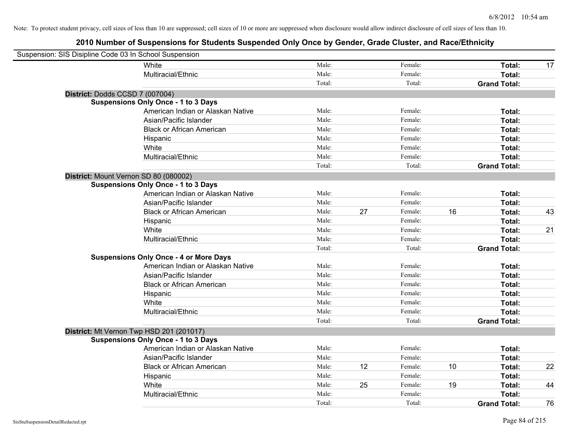| Suspension: SIS Disipline Code 03 In School Suspension |                                               |        |    |         |    |                     |    |
|--------------------------------------------------------|-----------------------------------------------|--------|----|---------|----|---------------------|----|
|                                                        | White                                         | Male:  |    | Female: |    | Total:              | 17 |
|                                                        | Multiracial/Ethnic                            | Male:  |    | Female: |    | Total:              |    |
|                                                        |                                               | Total: |    | Total:  |    | <b>Grand Total:</b> |    |
|                                                        | District: Dodds CCSD 7 (007004)               |        |    |         |    |                     |    |
|                                                        | <b>Suspensions Only Once - 1 to 3 Days</b>    |        |    |         |    |                     |    |
|                                                        | American Indian or Alaskan Native             | Male:  |    | Female: |    | Total:              |    |
|                                                        | Asian/Pacific Islander                        | Male:  |    | Female: |    | Total:              |    |
|                                                        | <b>Black or African American</b>              | Male:  |    | Female: |    | Total:              |    |
|                                                        | Hispanic                                      | Male:  |    | Female: |    | Total:              |    |
|                                                        | White                                         | Male:  |    | Female: |    | Total:              |    |
|                                                        | Multiracial/Ethnic                            | Male:  |    | Female: |    | Total:              |    |
|                                                        |                                               | Total: |    | Total:  |    | <b>Grand Total:</b> |    |
|                                                        | District: Mount Vernon SD 80 (080002)         |        |    |         |    |                     |    |
|                                                        | <b>Suspensions Only Once - 1 to 3 Days</b>    |        |    |         |    |                     |    |
|                                                        | American Indian or Alaskan Native             | Male:  |    | Female: |    | Total:              |    |
|                                                        | Asian/Pacific Islander                        | Male:  |    | Female: |    | Total:              |    |
|                                                        | <b>Black or African American</b>              | Male:  | 27 | Female: | 16 | Total:              | 43 |
|                                                        | Hispanic                                      | Male:  |    | Female: |    | Total:              |    |
|                                                        | White                                         | Male:  |    | Female: |    | Total:              | 21 |
|                                                        | Multiracial/Ethnic                            | Male:  |    | Female: |    | Total:              |    |
|                                                        |                                               | Total: |    | Total:  |    | <b>Grand Total:</b> |    |
|                                                        | <b>Suspensions Only Once - 4 or More Days</b> |        |    |         |    |                     |    |
|                                                        | American Indian or Alaskan Native             | Male:  |    | Female: |    | Total:              |    |
|                                                        | Asian/Pacific Islander                        | Male:  |    | Female: |    | Total:              |    |
|                                                        | <b>Black or African American</b>              | Male:  |    | Female: |    | Total:              |    |
|                                                        | Hispanic                                      | Male:  |    | Female: |    | Total:              |    |
|                                                        | White                                         | Male:  |    | Female: |    | Total:              |    |
|                                                        | Multiracial/Ethnic                            | Male:  |    | Female: |    | Total:              |    |
|                                                        |                                               | Total: |    | Total:  |    | <b>Grand Total:</b> |    |
|                                                        | District: Mt Vernon Twp HSD 201 (201017)      |        |    |         |    |                     |    |
|                                                        | <b>Suspensions Only Once - 1 to 3 Days</b>    |        |    |         |    |                     |    |
|                                                        | American Indian or Alaskan Native             | Male:  |    | Female: |    | Total:              |    |
|                                                        | Asian/Pacific Islander                        | Male:  |    | Female: |    | Total:              |    |
|                                                        | <b>Black or African American</b>              | Male:  | 12 | Female: | 10 | Total:              | 22 |
|                                                        | Hispanic                                      | Male:  |    | Female: |    | Total:              |    |
|                                                        | White                                         | Male:  | 25 | Female: | 19 | Total:              | 44 |
|                                                        | Multiracial/Ethnic                            | Male:  |    | Female: |    | Total:              |    |
|                                                        |                                               | Total: |    | Total:  |    | <b>Grand Total:</b> | 76 |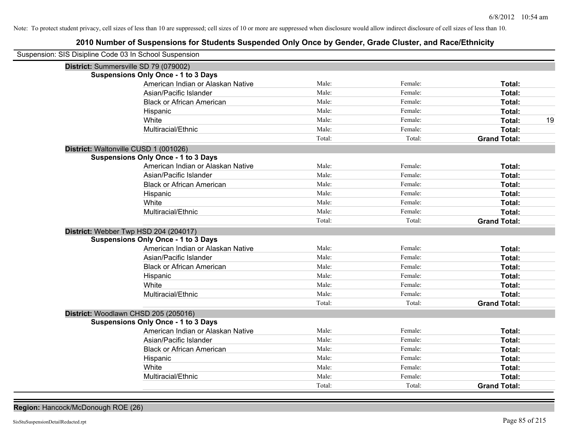# **2010 Number of Suspensions for Students Suspended Only Once by Gender, Grade Cluster, and Race/Ethnicity**

| Suspension: SIS Disipline Code 03 In School Suspension |                                            |        |         |                     |
|--------------------------------------------------------|--------------------------------------------|--------|---------|---------------------|
| District: Summersville SD 79 (079002)                  |                                            |        |         |                     |
|                                                        | <b>Suspensions Only Once - 1 to 3 Days</b> |        |         |                     |
|                                                        | American Indian or Alaskan Native          | Male:  | Female: | Total:              |
|                                                        | Asian/Pacific Islander                     | Male:  | Female: | Total:              |
|                                                        | <b>Black or African American</b>           | Male:  | Female: | Total:              |
|                                                        | Hispanic                                   | Male:  | Female: | Total:              |
|                                                        | White                                      | Male:  | Female: | 19<br>Total:        |
|                                                        | Multiracial/Ethnic                         | Male:  | Female: | Total:              |
|                                                        |                                            | Total: | Total:  | <b>Grand Total:</b> |
| District: Waltonville CUSD 1 (001026)                  |                                            |        |         |                     |
|                                                        | <b>Suspensions Only Once - 1 to 3 Days</b> |        |         |                     |
|                                                        | American Indian or Alaskan Native          | Male:  | Female: | Total:              |
|                                                        | Asian/Pacific Islander                     | Male:  | Female: | Total:              |
|                                                        | <b>Black or African American</b>           | Male:  | Female: | Total:              |
|                                                        | Hispanic                                   | Male:  | Female: | Total:              |
|                                                        | White                                      | Male:  | Female: | Total:              |
|                                                        | Multiracial/Ethnic                         | Male:  | Female: | Total:              |
|                                                        |                                            | Total: | Total:  | <b>Grand Total:</b> |
| District: Webber Twp HSD 204 (204017)                  |                                            |        |         |                     |
|                                                        | <b>Suspensions Only Once - 1 to 3 Days</b> |        |         |                     |
|                                                        | American Indian or Alaskan Native          | Male:  | Female: | Total:              |
|                                                        | Asian/Pacific Islander                     | Male:  | Female: | Total:              |
|                                                        | <b>Black or African American</b>           | Male:  | Female: | Total:              |
|                                                        | Hispanic                                   | Male:  | Female: | Total:              |
|                                                        | White                                      | Male:  | Female: | Total:              |
|                                                        | Multiracial/Ethnic                         | Male:  | Female: | Total:              |
|                                                        |                                            | Total: | Total:  | <b>Grand Total:</b> |
| District: Woodlawn CHSD 205 (205016)                   |                                            |        |         |                     |
|                                                        | <b>Suspensions Only Once - 1 to 3 Days</b> |        |         |                     |
|                                                        | American Indian or Alaskan Native          | Male:  | Female: | Total:              |
|                                                        | Asian/Pacific Islander                     | Male:  | Female: | Total:              |
|                                                        | <b>Black or African American</b>           | Male:  | Female: | Total:              |
|                                                        | Hispanic                                   | Male:  | Female: | Total:              |
|                                                        | White                                      | Male:  | Female: | Total:              |
|                                                        | Multiracial/Ethnic                         | Male:  | Female: | Total:              |
|                                                        |                                            | Total: | Total:  | <b>Grand Total:</b> |

**Region:** Hancock/McDonough ROE (26)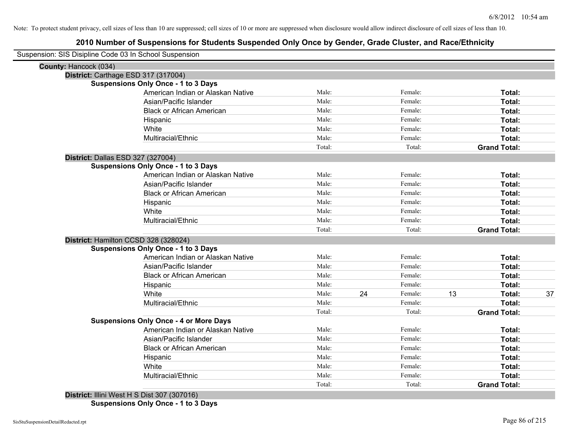| Suspension: SIS Disipline Code 03 In School Suspension |                                               |        |    |         |    |                     |    |
|--------------------------------------------------------|-----------------------------------------------|--------|----|---------|----|---------------------|----|
| County: Hancock (034)                                  |                                               |        |    |         |    |                     |    |
| District: Carthage ESD 317 (317004)                    |                                               |        |    |         |    |                     |    |
|                                                        | <b>Suspensions Only Once - 1 to 3 Days</b>    |        |    |         |    |                     |    |
|                                                        | American Indian or Alaskan Native             | Male:  |    | Female: |    | Total:              |    |
|                                                        | Asian/Pacific Islander                        | Male:  |    | Female: |    | Total:              |    |
|                                                        | <b>Black or African American</b>              | Male:  |    | Female: |    | <b>Total:</b>       |    |
|                                                        | Hispanic                                      | Male:  |    | Female: |    | Total:              |    |
|                                                        | White                                         | Male:  |    | Female: |    | Total:              |    |
|                                                        | Multiracial/Ethnic                            | Male:  |    | Female: |    | Total:              |    |
|                                                        |                                               | Total: |    | Total:  |    | <b>Grand Total:</b> |    |
| District: Dallas ESD 327 (327004)                      |                                               |        |    |         |    |                     |    |
|                                                        | <b>Suspensions Only Once - 1 to 3 Days</b>    |        |    |         |    |                     |    |
|                                                        | American Indian or Alaskan Native             | Male:  |    | Female: |    | Total:              |    |
|                                                        | Asian/Pacific Islander                        | Male:  |    | Female: |    | Total:              |    |
|                                                        | <b>Black or African American</b>              | Male:  |    | Female: |    | Total:              |    |
|                                                        | Hispanic                                      | Male:  |    | Female: |    | Total:              |    |
|                                                        | White                                         | Male:  |    | Female: |    | Total:              |    |
|                                                        | Multiracial/Ethnic                            | Male:  |    | Female: |    | Total:              |    |
|                                                        |                                               | Total: |    | Total:  |    | <b>Grand Total:</b> |    |
|                                                        | District: Hamilton CCSD 328 (328024)          |        |    |         |    |                     |    |
|                                                        | <b>Suspensions Only Once - 1 to 3 Days</b>    |        |    |         |    |                     |    |
|                                                        | American Indian or Alaskan Native             | Male:  |    | Female: |    | Total:              |    |
|                                                        | Asian/Pacific Islander                        | Male:  |    | Female: |    | Total:              |    |
|                                                        | <b>Black or African American</b>              | Male:  |    | Female: |    | Total:              |    |
|                                                        | Hispanic                                      | Male:  |    | Female: |    | Total:              |    |
|                                                        | White                                         | Male:  | 24 | Female: | 13 | Total:              | 37 |
|                                                        | Multiracial/Ethnic                            | Male:  |    | Female: |    | Total:              |    |
|                                                        |                                               | Total: |    | Total:  |    | <b>Grand Total:</b> |    |
|                                                        | <b>Suspensions Only Once - 4 or More Days</b> |        |    |         |    |                     |    |
|                                                        | American Indian or Alaskan Native             | Male:  |    | Female: |    | Total:              |    |
|                                                        | Asian/Pacific Islander                        | Male:  |    | Female: |    | Total:              |    |
|                                                        | <b>Black or African American</b>              | Male:  |    | Female: |    | Total:              |    |
|                                                        | Hispanic                                      | Male:  |    | Female: |    | Total:              |    |
|                                                        | White                                         | Male:  |    | Female: |    | <b>Total:</b>       |    |
|                                                        | Multiracial/Ethnic                            | Male:  |    | Female: |    | <b>Total:</b>       |    |
|                                                        |                                               | Total: |    | Total:  |    | <b>Grand Total:</b> |    |
|                                                        |                                               |        |    |         |    |                     |    |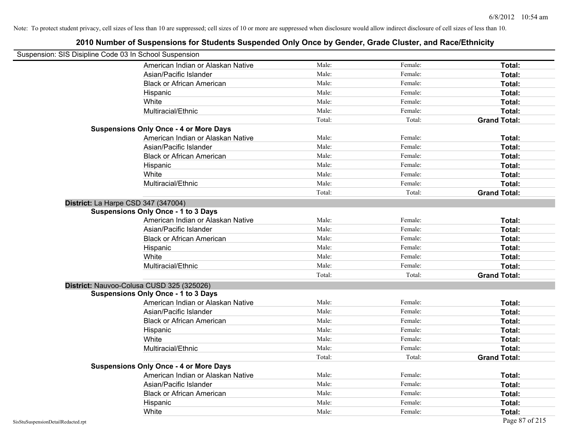| Suspension: SIS Disipline Code 03 In School Suspension |                                               |        |         |                     |
|--------------------------------------------------------|-----------------------------------------------|--------|---------|---------------------|
|                                                        | American Indian or Alaskan Native             | Male:  | Female: | Total:              |
|                                                        | Asian/Pacific Islander                        | Male:  | Female: | Total:              |
|                                                        | <b>Black or African American</b>              | Male:  | Female: | Total:              |
|                                                        | Hispanic                                      | Male:  | Female: | Total:              |
|                                                        | White                                         | Male:  | Female: | Total:              |
|                                                        | Multiracial/Ethnic                            | Male:  | Female: | Total:              |
|                                                        |                                               | Total: | Total:  | <b>Grand Total:</b> |
|                                                        | <b>Suspensions Only Once - 4 or More Days</b> |        |         |                     |
|                                                        | American Indian or Alaskan Native             | Male:  | Female: | Total:              |
|                                                        | Asian/Pacific Islander                        | Male:  | Female: | Total:              |
|                                                        | <b>Black or African American</b>              | Male:  | Female: | Total:              |
|                                                        | Hispanic                                      | Male:  | Female: | Total:              |
|                                                        | White                                         | Male:  | Female: | Total:              |
|                                                        | Multiracial/Ethnic                            | Male:  | Female: | Total:              |
|                                                        |                                               | Total: | Total:  | <b>Grand Total:</b> |
| District: La Harpe CSD 347 (347004)                    |                                               |        |         |                     |
|                                                        | <b>Suspensions Only Once - 1 to 3 Days</b>    |        |         |                     |
|                                                        | American Indian or Alaskan Native             | Male:  | Female: | Total:              |
|                                                        | Asian/Pacific Islander                        | Male:  | Female: | Total:              |
|                                                        | <b>Black or African American</b>              | Male:  | Female: | Total:              |
|                                                        | Hispanic                                      | Male:  | Female: | Total:              |
|                                                        | White                                         | Male:  | Female: | Total:              |
|                                                        | Multiracial/Ethnic                            | Male:  | Female: | Total:              |
|                                                        |                                               | Total: | Total:  | <b>Grand Total:</b> |
|                                                        | District: Nauvoo-Colusa CUSD 325 (325026)     |        |         |                     |
|                                                        | <b>Suspensions Only Once - 1 to 3 Days</b>    |        |         |                     |
|                                                        | American Indian or Alaskan Native             | Male:  | Female: | Total:              |
|                                                        | Asian/Pacific Islander                        | Male:  | Female: | Total:              |
|                                                        | <b>Black or African American</b>              | Male:  | Female: | Total:              |
|                                                        | Hispanic                                      | Male:  | Female: | Total:              |
|                                                        | White                                         | Male:  | Female: | Total:              |
|                                                        | Multiracial/Ethnic                            | Male:  | Female: | Total:              |
|                                                        |                                               | Total: | Total:  | <b>Grand Total:</b> |
|                                                        | <b>Suspensions Only Once - 4 or More Days</b> |        |         |                     |
|                                                        | American Indian or Alaskan Native             | Male:  | Female: | Total:              |
|                                                        | Asian/Pacific Islander                        | Male:  | Female: | Total:              |
|                                                        | <b>Black or African American</b>              | Male:  | Female: | Total:              |
|                                                        | Hispanic                                      | Male:  | Female: | Total:              |
|                                                        | White                                         | Male:  | Female: | Total:              |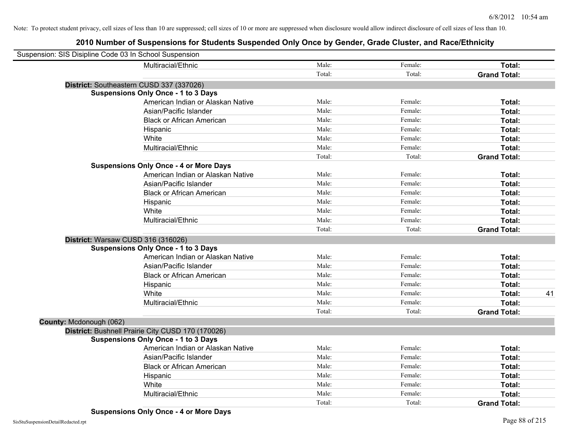| Suspension: SIS Disipline Code 03 In School Suspension |        |         |                     |    |
|--------------------------------------------------------|--------|---------|---------------------|----|
| Multiracial/Ethnic                                     | Male:  | Female: | Total:              |    |
|                                                        | Total: | Total:  | <b>Grand Total:</b> |    |
| District: Southeastern CUSD 337 (337026)               |        |         |                     |    |
| <b>Suspensions Only Once - 1 to 3 Days</b>             |        |         |                     |    |
| American Indian or Alaskan Native                      | Male:  | Female: | Total:              |    |
| Asian/Pacific Islander                                 | Male:  | Female: | Total:              |    |
| <b>Black or African American</b>                       | Male:  | Female: | Total:              |    |
| Hispanic                                               | Male:  | Female: | Total:              |    |
| White                                                  | Male:  | Female: | Total:              |    |
| Multiracial/Ethnic                                     | Male:  | Female: | Total:              |    |
|                                                        | Total: | Total:  | <b>Grand Total:</b> |    |
| <b>Suspensions Only Once - 4 or More Days</b>          |        |         |                     |    |
| American Indian or Alaskan Native                      | Male:  | Female: | Total:              |    |
| Asian/Pacific Islander                                 | Male:  | Female: | Total:              |    |
| <b>Black or African American</b>                       | Male:  | Female: | Total:              |    |
| Hispanic                                               | Male:  | Female: | Total:              |    |
| White                                                  | Male:  | Female: | Total:              |    |
| Multiracial/Ethnic                                     | Male:  | Female: | Total:              |    |
|                                                        | Total: | Total:  | <b>Grand Total:</b> |    |
| District: Warsaw CUSD 316 (316026)                     |        |         |                     |    |
| <b>Suspensions Only Once - 1 to 3 Days</b>             |        |         |                     |    |
| American Indian or Alaskan Native                      | Male:  | Female: | Total:              |    |
| Asian/Pacific Islander                                 | Male:  | Female: | Total:              |    |
| <b>Black or African American</b>                       | Male:  | Female: | Total:              |    |
| Hispanic                                               | Male:  | Female: | Total:              |    |
| White                                                  | Male:  | Female: | Total:              | 41 |
| Multiracial/Ethnic                                     | Male:  | Female: | Total:              |    |
|                                                        | Total: | Total:  | <b>Grand Total:</b> |    |
| County: Mcdonough (062)                                |        |         |                     |    |
| District: Bushnell Prairie City CUSD 170 (170026)      |        |         |                     |    |
| <b>Suspensions Only Once - 1 to 3 Days</b>             |        |         |                     |    |
| American Indian or Alaskan Native                      | Male:  | Female: | Total:              |    |
| Asian/Pacific Islander                                 | Male:  | Female: | Total:              |    |
| <b>Black or African American</b>                       | Male:  | Female: | Total:              |    |
| Hispanic                                               | Male:  | Female: | Total:              |    |
| White                                                  | Male:  | Female: | Total:              |    |
| Multiracial/Ethnic                                     | Male:  | Female: | Total:              |    |
|                                                        | Total: | Total:  | <b>Grand Total:</b> |    |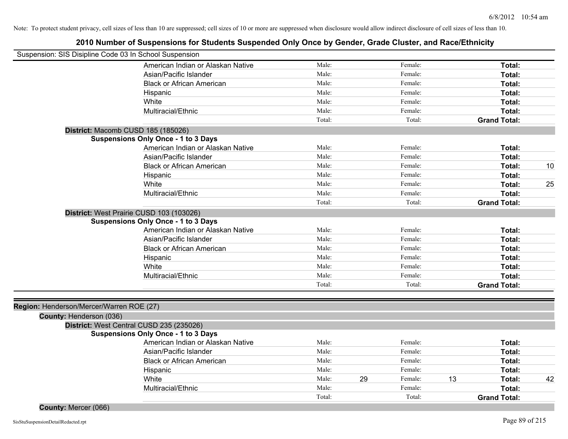|                                          | Suspension: SIS Disipline Code 03 In School Suspension |        |               |                     |    |
|------------------------------------------|--------------------------------------------------------|--------|---------------|---------------------|----|
|                                          | American Indian or Alaskan Native                      | Male:  | Female:       | Total:              |    |
|                                          | Asian/Pacific Islander                                 | Male:  | Female:       | Total:              |    |
|                                          | <b>Black or African American</b>                       | Male:  | Female:       | Total:              |    |
|                                          | Hispanic                                               | Male:  | Female:       | Total:              |    |
|                                          | White                                                  | Male:  | Female:       | Total:              |    |
|                                          | Multiracial/Ethnic                                     | Male:  | Female:       | Total:              |    |
|                                          |                                                        | Total: | Total:        | <b>Grand Total:</b> |    |
|                                          | District: Macomb CUSD 185 (185026)                     |        |               |                     |    |
|                                          | <b>Suspensions Only Once - 1 to 3 Days</b>             |        |               |                     |    |
|                                          | American Indian or Alaskan Native                      | Male:  | Female:       | Total:              |    |
|                                          | Asian/Pacific Islander                                 | Male:  | Female:       | Total:              |    |
|                                          | <b>Black or African American</b>                       | Male:  | Female:       | Total:              | 10 |
|                                          | Hispanic                                               | Male:  | Female:       | Total:              |    |
|                                          | White                                                  | Male:  | Female:       | Total:              | 25 |
|                                          | Multiracial/Ethnic                                     | Male:  | Female:       | Total:              |    |
|                                          |                                                        | Total: | Total:        | <b>Grand Total:</b> |    |
|                                          | District: West Prairie CUSD 103 (103026)               |        |               |                     |    |
|                                          | <b>Suspensions Only Once - 1 to 3 Days</b>             |        |               |                     |    |
|                                          | American Indian or Alaskan Native                      | Male:  | Female:       | Total:              |    |
|                                          | Asian/Pacific Islander                                 | Male:  | Female:       | Total:              |    |
|                                          | <b>Black or African American</b>                       | Male:  | Female:       | Total:              |    |
|                                          | Hispanic                                               | Male:  | Female:       | Total:              |    |
|                                          | White                                                  | Male:  | Female:       | Total:              |    |
|                                          | Multiracial/Ethnic                                     | Male:  | Female:       | Total:              |    |
|                                          |                                                        | Total: | Total:        | <b>Grand Total:</b> |    |
|                                          |                                                        |        |               |                     |    |
| Region: Henderson/Mercer/Warren ROE (27) |                                                        |        |               |                     |    |
| County: Henderson (036)                  |                                                        |        |               |                     |    |
|                                          | District: West Central CUSD 235 (235026)               |        |               |                     |    |
|                                          | <b>Suspensions Only Once - 1 to 3 Days</b>             |        |               |                     |    |
|                                          | American Indian or Alaskan Native                      | Male:  | Female:       | Total:              |    |
|                                          | Asian/Pacific Islander                                 | Male:  | Female:       | Total:              |    |
|                                          | <b>Black or African American</b>                       | Male:  | Female:       | Total:              |    |
|                                          | Hispanic                                               | Male:  | Female:       | Total:              |    |
|                                          | White                                                  | Male:  | 29<br>Female: | 13<br>Total:        | 42 |
|                                          | Multiracial/Ethnic                                     | Male:  | Female:       | Total:              |    |
|                                          |                                                        | Total: | Total:        | <b>Grand Total:</b> |    |
| County: Mercer (066)                     |                                                        |        |               |                     |    |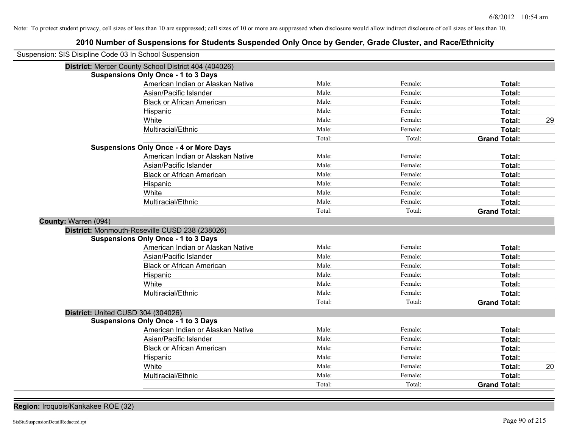| Suspension: SIS Disipline Code 03 In School Suspension | בטוע וזעווווטו טו טעטאָטווסוטוט וטו טנעעטווט טעטאָטוועט טוויץ טווטט אין טטועטו, טועעט טועסנטו, מווע וזעטערבנווווטו |        |         |                     |    |
|--------------------------------------------------------|--------------------------------------------------------------------------------------------------------------------|--------|---------|---------------------|----|
|                                                        | District: Mercer County School District 404 (404026)                                                               |        |         |                     |    |
|                                                        | <b>Suspensions Only Once - 1 to 3 Days</b>                                                                         |        |         |                     |    |
|                                                        | American Indian or Alaskan Native                                                                                  | Male:  | Female: | Total:              |    |
|                                                        | Asian/Pacific Islander                                                                                             | Male:  | Female: | Total:              |    |
|                                                        | <b>Black or African American</b>                                                                                   | Male:  | Female: | Total:              |    |
|                                                        | Hispanic                                                                                                           | Male:  | Female: | Total:              |    |
|                                                        | White                                                                                                              | Male:  | Female: | Total:              | 29 |
|                                                        | Multiracial/Ethnic                                                                                                 | Male:  | Female: | Total:              |    |
|                                                        |                                                                                                                    | Total: | Total:  | <b>Grand Total:</b> |    |
|                                                        | <b>Suspensions Only Once - 4 or More Days</b>                                                                      |        |         |                     |    |
|                                                        | American Indian or Alaskan Native                                                                                  | Male:  | Female: | Total:              |    |
|                                                        | Asian/Pacific Islander                                                                                             | Male:  | Female: | <b>Total:</b>       |    |
|                                                        | <b>Black or African American</b>                                                                                   | Male:  | Female: | Total:              |    |
|                                                        | Hispanic                                                                                                           | Male:  | Female: | Total:              |    |
|                                                        | White                                                                                                              | Male:  | Female: | Total:              |    |
|                                                        | Multiracial/Ethnic                                                                                                 | Male:  | Female: | Total:              |    |
|                                                        |                                                                                                                    | Total: | Total:  | <b>Grand Total:</b> |    |
| County: Warren (094)                                   |                                                                                                                    |        |         |                     |    |
|                                                        | District: Monmouth-Roseville CUSD 238 (238026)                                                                     |        |         |                     |    |
|                                                        | <b>Suspensions Only Once - 1 to 3 Days</b>                                                                         |        |         |                     |    |
|                                                        | American Indian or Alaskan Native                                                                                  | Male:  | Female: | Total:              |    |
|                                                        | Asian/Pacific Islander                                                                                             | Male:  | Female: | Total:              |    |
|                                                        | <b>Black or African American</b>                                                                                   | Male:  | Female: | Total:              |    |
|                                                        | Hispanic                                                                                                           | Male:  | Female: | Total:              |    |
|                                                        | White                                                                                                              | Male:  | Female: | Total:              |    |
|                                                        | Multiracial/Ethnic                                                                                                 | Male:  | Female: | Total:              |    |
|                                                        |                                                                                                                    | Total: | Total:  | <b>Grand Total:</b> |    |
| District: United CUSD 304 (304026)                     |                                                                                                                    |        |         |                     |    |
|                                                        | <b>Suspensions Only Once - 1 to 3 Days</b>                                                                         |        |         |                     |    |
|                                                        | American Indian or Alaskan Native                                                                                  | Male:  | Female: | Total:              |    |
|                                                        | Asian/Pacific Islander                                                                                             | Male:  | Female: | Total:              |    |
|                                                        | <b>Black or African American</b>                                                                                   | Male:  | Female: | Total:              |    |
|                                                        | Hispanic                                                                                                           | Male:  | Female: | Total:              |    |
|                                                        | White                                                                                                              | Male:  | Female: | Total:              | 20 |
|                                                        | Multiracial/Ethnic                                                                                                 | Male:  | Female: | Total:              |    |
|                                                        |                                                                                                                    | Total: | Total:  | <b>Grand Total:</b> |    |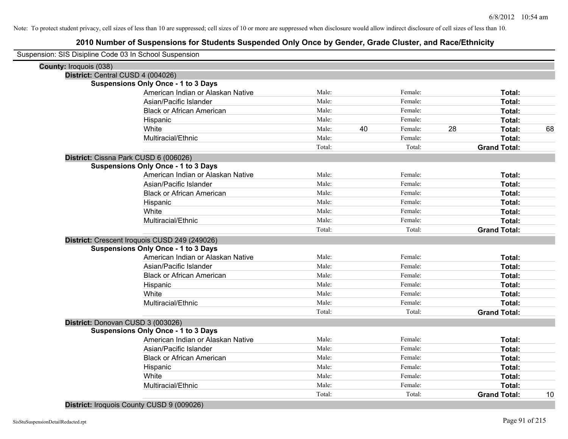| Suspension: SIS Disipline Code 03 In School Suspension |                                               |        |               |        |                     |    |
|--------------------------------------------------------|-----------------------------------------------|--------|---------------|--------|---------------------|----|
| County: Iroquois (038)                                 |                                               |        |               |        |                     |    |
|                                                        | District: Central CUSD 4 (004026)             |        |               |        |                     |    |
|                                                        | <b>Suspensions Only Once - 1 to 3 Days</b>    |        |               |        |                     |    |
|                                                        | American Indian or Alaskan Native             | Male:  | Female:       |        | Total:              |    |
|                                                        | Asian/Pacific Islander                        | Male:  | Female:       |        | Total:              |    |
|                                                        | <b>Black or African American</b>              | Male:  | Female:       |        | Total:              |    |
|                                                        | Hispanic                                      | Male:  | Female:       |        | Total:              |    |
|                                                        | White                                         | Male:  | 40<br>Female: | 28     | Total:              | 68 |
|                                                        | Multiracial/Ethnic                            | Male:  | Female:       |        | Total:              |    |
|                                                        |                                               | Total: |               | Total: | <b>Grand Total:</b> |    |
|                                                        | District: Cissna Park CUSD 6 (006026)         |        |               |        |                     |    |
|                                                        | <b>Suspensions Only Once - 1 to 3 Days</b>    |        |               |        |                     |    |
|                                                        | American Indian or Alaskan Native             | Male:  | Female:       |        | Total:              |    |
|                                                        | Asian/Pacific Islander                        | Male:  | Female:       |        | Total:              |    |
|                                                        | <b>Black or African American</b>              | Male:  | Female:       |        | Total:              |    |
|                                                        | Hispanic                                      | Male:  | Female:       |        | Total:              |    |
|                                                        | White                                         | Male:  | Female:       |        | Total:              |    |
|                                                        | Multiracial/Ethnic                            | Male:  | Female:       |        | Total:              |    |
|                                                        |                                               | Total: |               | Total: | <b>Grand Total:</b> |    |
|                                                        | District: Crescent Iroquois CUSD 249 (249026) |        |               |        |                     |    |
|                                                        | <b>Suspensions Only Once - 1 to 3 Days</b>    |        |               |        |                     |    |
|                                                        | American Indian or Alaskan Native             | Male:  | Female:       |        | Total:              |    |
|                                                        | Asian/Pacific Islander                        | Male:  | Female:       |        | Total:              |    |
|                                                        | <b>Black or African American</b>              | Male:  | Female:       |        | Total:              |    |
|                                                        | Hispanic                                      | Male:  | Female:       |        | Total:              |    |
|                                                        | White                                         | Male:  | Female:       |        | Total:              |    |
|                                                        | Multiracial/Ethnic                            | Male:  | Female:       |        | Total:              |    |
|                                                        |                                               | Total: |               | Total: | <b>Grand Total:</b> |    |
|                                                        | District: Donovan CUSD 3 (003026)             |        |               |        |                     |    |
|                                                        | <b>Suspensions Only Once - 1 to 3 Days</b>    |        |               |        |                     |    |
|                                                        | American Indian or Alaskan Native             | Male:  | Female:       |        | Total:              |    |
|                                                        | Asian/Pacific Islander                        | Male:  | Female:       |        | Total:              |    |
|                                                        | <b>Black or African American</b>              | Male:  | Female:       |        | Total:              |    |
|                                                        | Hispanic                                      | Male:  | Female:       |        | Total:              |    |
|                                                        | White                                         | Male:  | Female:       |        | Total:              |    |
|                                                        | Multiracial/Ethnic                            | Male:  | Female:       |        | Total:              |    |
|                                                        |                                               | Total: |               | Total: | <b>Grand Total:</b> | 10 |
|                                                        |                                               |        |               |        |                     |    |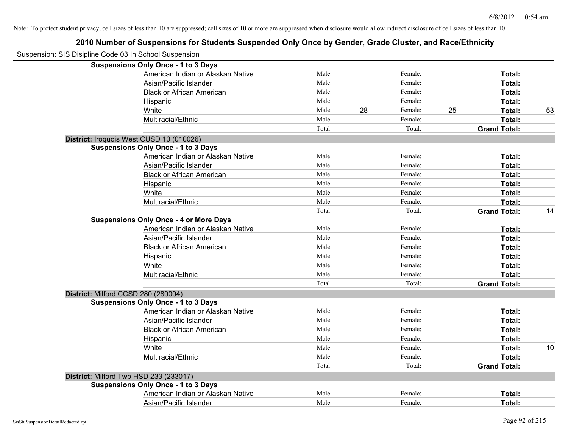| Suspension: SIS Disipline Code 03 In School Suspension |                                               |        |    |         |    |                     |    |
|--------------------------------------------------------|-----------------------------------------------|--------|----|---------|----|---------------------|----|
|                                                        | <b>Suspensions Only Once - 1 to 3 Days</b>    |        |    |         |    |                     |    |
|                                                        | American Indian or Alaskan Native             | Male:  |    | Female: |    | Total:              |    |
|                                                        | Asian/Pacific Islander                        | Male:  |    | Female: |    | Total:              |    |
|                                                        | <b>Black or African American</b>              | Male:  |    | Female: |    | Total:              |    |
|                                                        | Hispanic                                      | Male:  |    | Female: |    | Total:              |    |
|                                                        | White                                         | Male:  | 28 | Female: | 25 | Total:              | 53 |
|                                                        | Multiracial/Ethnic                            | Male:  |    | Female: |    | Total:              |    |
|                                                        |                                               | Total: |    | Total:  |    | <b>Grand Total:</b> |    |
|                                                        | District: Iroquois West CUSD 10 (010026)      |        |    |         |    |                     |    |
|                                                        | <b>Suspensions Only Once - 1 to 3 Days</b>    |        |    |         |    |                     |    |
|                                                        | American Indian or Alaskan Native             | Male:  |    | Female: |    | Total:              |    |
|                                                        | Asian/Pacific Islander                        | Male:  |    | Female: |    | Total:              |    |
|                                                        | <b>Black or African American</b>              | Male:  |    | Female: |    | Total:              |    |
|                                                        | Hispanic                                      | Male:  |    | Female: |    | Total:              |    |
|                                                        | White                                         | Male:  |    | Female: |    | Total:              |    |
|                                                        | Multiracial/Ethnic                            | Male:  |    | Female: |    | Total:              |    |
|                                                        |                                               | Total: |    | Total:  |    | <b>Grand Total:</b> | 14 |
|                                                        | <b>Suspensions Only Once - 4 or More Days</b> |        |    |         |    |                     |    |
|                                                        | American Indian or Alaskan Native             | Male:  |    | Female: |    | Total:              |    |
|                                                        | Asian/Pacific Islander                        | Male:  |    | Female: |    | Total:              |    |
|                                                        | <b>Black or African American</b>              | Male:  |    | Female: |    | Total:              |    |
|                                                        | Hispanic                                      | Male:  |    | Female: |    | Total:              |    |
|                                                        | White                                         | Male:  |    | Female: |    | Total:              |    |
|                                                        | Multiracial/Ethnic                            | Male:  |    | Female: |    | Total:              |    |
|                                                        |                                               | Total: |    | Total:  |    | <b>Grand Total:</b> |    |
|                                                        | District: Milford CCSD 280 (280004)           |        |    |         |    |                     |    |
|                                                        | <b>Suspensions Only Once - 1 to 3 Days</b>    |        |    |         |    |                     |    |
|                                                        | American Indian or Alaskan Native             | Male:  |    | Female: |    | Total:              |    |
|                                                        | Asian/Pacific Islander                        | Male:  |    | Female: |    | Total:              |    |
|                                                        | <b>Black or African American</b>              | Male:  |    | Female: |    | Total:              |    |
|                                                        | Hispanic                                      | Male:  |    | Female: |    | Total:              |    |
|                                                        | White                                         | Male:  |    | Female: |    | Total:              | 10 |
|                                                        | Multiracial/Ethnic                            | Male:  |    | Female: |    | Total:              |    |
|                                                        |                                               | Total: |    | Total:  |    | <b>Grand Total:</b> |    |
|                                                        | District: Milford Twp HSD 233 (233017)        |        |    |         |    |                     |    |
|                                                        | <b>Suspensions Only Once - 1 to 3 Days</b>    |        |    |         |    |                     |    |
|                                                        | American Indian or Alaskan Native             | Male:  |    | Female: |    | Total:              |    |
|                                                        | Asian/Pacific Islander                        | Male:  |    | Female: |    | Total:              |    |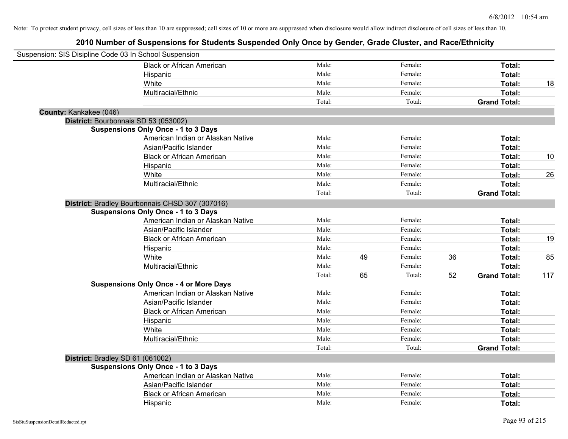| Suspension: SIS Disipline Code 03 In School Suspension |                                                 |        |    |         |    |                     |     |
|--------------------------------------------------------|-------------------------------------------------|--------|----|---------|----|---------------------|-----|
|                                                        | <b>Black or African American</b>                | Male:  |    | Female: |    | Total:              |     |
|                                                        | Hispanic                                        | Male:  |    | Female: |    | Total:              |     |
|                                                        | White                                           | Male:  |    | Female: |    | Total:              | 18  |
|                                                        | Multiracial/Ethnic                              | Male:  |    | Female: |    | Total:              |     |
|                                                        |                                                 | Total: |    | Total:  |    | <b>Grand Total:</b> |     |
| County: Kankakee (046)                                 |                                                 |        |    |         |    |                     |     |
| District: Bourbonnais SD 53 (053002)                   |                                                 |        |    |         |    |                     |     |
|                                                        | <b>Suspensions Only Once - 1 to 3 Days</b>      |        |    |         |    |                     |     |
|                                                        | American Indian or Alaskan Native               | Male:  |    | Female: |    | Total:              |     |
|                                                        | Asian/Pacific Islander                          | Male:  |    | Female: |    | Total:              |     |
|                                                        | <b>Black or African American</b>                | Male:  |    | Female: |    | Total:              | 10  |
|                                                        | Hispanic                                        | Male:  |    | Female: |    | Total:              |     |
|                                                        | White                                           | Male:  |    | Female: |    | Total:              | 26  |
|                                                        | Multiracial/Ethnic                              | Male:  |    | Female: |    | Total:              |     |
|                                                        |                                                 | Total: |    | Total:  |    | <b>Grand Total:</b> |     |
|                                                        | District: Bradley Bourbonnais CHSD 307 (307016) |        |    |         |    |                     |     |
|                                                        | <b>Suspensions Only Once - 1 to 3 Days</b>      |        |    |         |    |                     |     |
|                                                        | American Indian or Alaskan Native               | Male:  |    | Female: |    | Total:              |     |
|                                                        | Asian/Pacific Islander                          | Male:  |    | Female: |    | Total:              |     |
|                                                        | <b>Black or African American</b>                | Male:  |    | Female: |    | Total:              | 19  |
|                                                        | Hispanic                                        | Male:  |    | Female: |    | Total:              |     |
|                                                        | White                                           | Male:  | 49 | Female: | 36 | Total:              | 85  |
|                                                        | Multiracial/Ethnic                              | Male:  |    | Female: |    | Total:              |     |
|                                                        |                                                 | Total: | 65 | Total:  | 52 | <b>Grand Total:</b> | 117 |
|                                                        | <b>Suspensions Only Once - 4 or More Days</b>   |        |    |         |    |                     |     |
|                                                        | American Indian or Alaskan Native               | Male:  |    | Female: |    | Total:              |     |
|                                                        | Asian/Pacific Islander                          | Male:  |    | Female: |    | Total:              |     |
|                                                        | <b>Black or African American</b>                | Male:  |    | Female: |    | Total:              |     |
|                                                        | Hispanic                                        | Male:  |    | Female: |    | Total:              |     |
|                                                        | White                                           | Male:  |    | Female: |    | Total:              |     |
|                                                        | Multiracial/Ethnic                              | Male:  |    | Female: |    | Total:              |     |
|                                                        |                                                 | Total: |    | Total:  |    | <b>Grand Total:</b> |     |
| District: Bradley SD 61 (061002)                       |                                                 |        |    |         |    |                     |     |
|                                                        | <b>Suspensions Only Once - 1 to 3 Days</b>      |        |    |         |    |                     |     |
|                                                        | American Indian or Alaskan Native               | Male:  |    | Female: |    | Total:              |     |
|                                                        | Asian/Pacific Islander                          | Male:  |    | Female: |    | Total:              |     |
|                                                        | <b>Black or African American</b>                | Male:  |    | Female: |    | Total:              |     |
|                                                        | Hispanic                                        | Male:  |    | Female: |    | Total:              |     |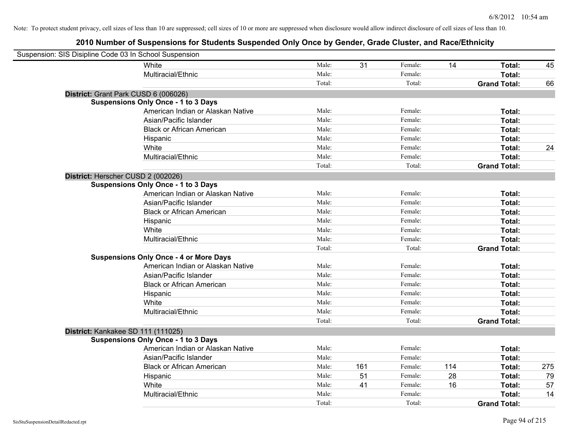| Suspension: SIS Disipline Code 03 In School Suspension |                                               |        |     |         |     |                     |     |
|--------------------------------------------------------|-----------------------------------------------|--------|-----|---------|-----|---------------------|-----|
|                                                        | White                                         | Male:  | 31  | Female: | 14  | Total:              | 45  |
|                                                        | Multiracial/Ethnic                            | Male:  |     | Female: |     | Total:              |     |
|                                                        |                                               | Total: |     | Total:  |     | <b>Grand Total:</b> | 66  |
| District: Grant Park CUSD 6 (006026)                   |                                               |        |     |         |     |                     |     |
|                                                        | <b>Suspensions Only Once - 1 to 3 Days</b>    |        |     |         |     |                     |     |
|                                                        | American Indian or Alaskan Native             | Male:  |     | Female: |     | Total:              |     |
|                                                        | Asian/Pacific Islander                        | Male:  |     | Female: |     | Total:              |     |
|                                                        | <b>Black or African American</b>              | Male:  |     | Female: |     | Total:              |     |
|                                                        | Hispanic                                      | Male:  |     | Female: |     | Total:              |     |
|                                                        | White                                         | Male:  |     | Female: |     | Total:              | 24  |
|                                                        | Multiracial/Ethnic                            | Male:  |     | Female: |     | Total:              |     |
|                                                        |                                               | Total: |     | Total:  |     | <b>Grand Total:</b> |     |
| District: Herscher CUSD 2 (002026)                     |                                               |        |     |         |     |                     |     |
|                                                        | <b>Suspensions Only Once - 1 to 3 Days</b>    |        |     |         |     |                     |     |
|                                                        | American Indian or Alaskan Native             | Male:  |     | Female: |     | Total:              |     |
|                                                        | Asian/Pacific Islander                        | Male:  |     | Female: |     | Total:              |     |
|                                                        | <b>Black or African American</b>              | Male:  |     | Female: |     | Total:              |     |
|                                                        | Hispanic                                      | Male:  |     | Female: |     | Total:              |     |
|                                                        | White                                         | Male:  |     | Female: |     | Total:              |     |
|                                                        | Multiracial/Ethnic                            | Male:  |     | Female: |     | Total:              |     |
|                                                        |                                               | Total: |     | Total:  |     | <b>Grand Total:</b> |     |
|                                                        | <b>Suspensions Only Once - 4 or More Days</b> |        |     |         |     |                     |     |
|                                                        | American Indian or Alaskan Native             | Male:  |     | Female: |     | Total:              |     |
|                                                        | Asian/Pacific Islander                        | Male:  |     | Female: |     | Total:              |     |
|                                                        | <b>Black or African American</b>              | Male:  |     | Female: |     | Total:              |     |
|                                                        | Hispanic                                      | Male:  |     | Female: |     | Total:              |     |
|                                                        | White                                         | Male:  |     | Female: |     | Total:              |     |
|                                                        | Multiracial/Ethnic                            | Male:  |     | Female: |     | Total:              |     |
|                                                        |                                               | Total: |     | Total:  |     | <b>Grand Total:</b> |     |
| District: Kankakee SD 111 (111025)                     |                                               |        |     |         |     |                     |     |
|                                                        | <b>Suspensions Only Once - 1 to 3 Days</b>    |        |     |         |     |                     |     |
|                                                        | American Indian or Alaskan Native             | Male:  |     | Female: |     | Total:              |     |
|                                                        | Asian/Pacific Islander                        | Male:  |     | Female: |     | Total:              |     |
|                                                        | <b>Black or African American</b>              | Male:  | 161 | Female: | 114 | Total:              | 275 |
|                                                        | Hispanic                                      | Male:  | 51  | Female: | 28  | Total:              | 79  |
|                                                        | White                                         | Male:  | 41  | Female: | 16  | Total:              | 57  |
|                                                        | Multiracial/Ethnic                            | Male:  |     | Female: |     | Total:              | 14  |
|                                                        |                                               | Total: |     | Total:  |     | <b>Grand Total:</b> |     |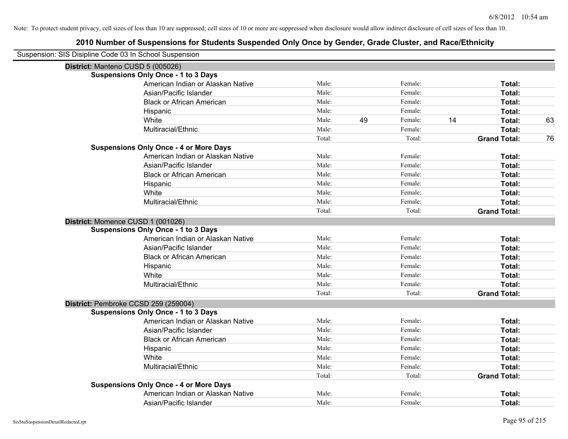| Suspension: SIS Disipline Code 03 In School Suspension |        |    |         |    |                     |    |
|--------------------------------------------------------|--------|----|---------|----|---------------------|----|
| District: Manteno CUSD 5 (005026)                      |        |    |         |    |                     |    |
| <b>Suspensions Only Once - 1 to 3 Days</b>             |        |    |         |    |                     |    |
| American Indian or Alaskan Native                      | Male:  |    | Female: |    | Total:              |    |
| Asian/Pacific Islander                                 | Male:  |    | Female: |    | Total:              |    |
| <b>Black or African American</b>                       | Male:  |    | Female: |    | Total:              |    |
| Hispanic                                               | Male:  |    | Female: |    | Total:              |    |
| White                                                  | Male:  | 49 | Female: | 14 | Total:              | 63 |
| Multiracial/Ethnic                                     | Male:  |    | Female: |    | Total:              |    |
|                                                        | Total: |    | Total:  |    | <b>Grand Total:</b> | 76 |
| <b>Suspensions Only Once - 4 or More Days</b>          |        |    |         |    |                     |    |
| American Indian or Alaskan Native                      | Male:  |    | Female: |    | Total:              |    |
| Asian/Pacific Islander                                 | Male:  |    | Female: |    | Total:              |    |
| <b>Black or African American</b>                       | Male:  |    | Female: |    | Total:              |    |
| Hispanic                                               | Male:  |    | Female: |    | Total:              |    |
| White                                                  | Male:  |    | Female: |    | Total:              |    |
| Multiracial/Ethnic                                     | Male:  |    | Female: |    | Total:              |    |
|                                                        | Total: |    | Total:  |    | <b>Grand Total:</b> |    |
| District: Momence CUSD 1 (001026)                      |        |    |         |    |                     |    |
| <b>Suspensions Only Once - 1 to 3 Days</b>             |        |    |         |    |                     |    |
| American Indian or Alaskan Native                      | Male:  |    | Female: |    | Total:              |    |
| Asian/Pacific Islander                                 | Male:  |    | Female: |    | Total:              |    |
| <b>Black or African American</b>                       | Male:  |    | Female: |    | Total:              |    |
| Hispanic                                               | Male:  |    | Female: |    | Total:              |    |
| White                                                  | Male:  |    | Female: |    | Total:              |    |
| Multiracial/Ethnic                                     | Male:  |    | Female: |    | Total:              |    |
|                                                        | Total: |    | Total:  |    | <b>Grand Total:</b> |    |
| District: Pembroke CCSD 259 (259004)                   |        |    |         |    |                     |    |
| <b>Suspensions Only Once - 1 to 3 Days</b>             |        |    |         |    |                     |    |
| American Indian or Alaskan Native                      | Male:  |    | Female: |    | Total:              |    |
| Asian/Pacific Islander                                 | Male:  |    | Female: |    | Total:              |    |
| <b>Black or African American</b>                       | Male:  |    | Female: |    | Total:              |    |
| Hispanic                                               | Male:  |    | Female: |    | Total:              |    |
| White                                                  | Male:  |    | Female: |    | Total:              |    |
| Multiracial/Ethnic                                     | Male:  |    | Female: |    | Total:              |    |
|                                                        | Total: |    | Total:  |    | <b>Grand Total:</b> |    |
| <b>Suspensions Only Once - 4 or More Days</b>          |        |    |         |    |                     |    |
| American Indian or Alaskan Native                      | Male:  |    | Female: |    | Total:              |    |
| Asian/Pacific Islander                                 | Male:  |    | Female: |    | Total:              |    |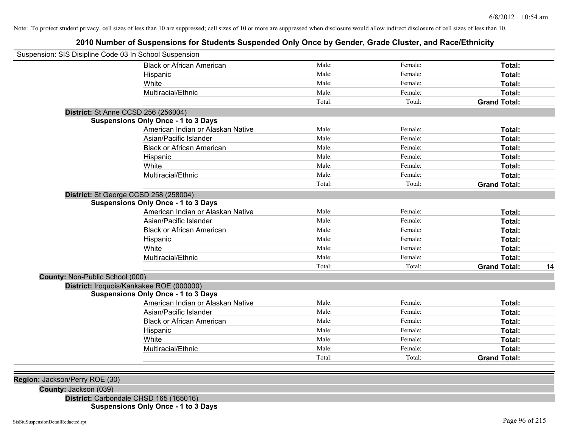# **2010 Number of Suspensions for Students Suspended Only Once by Gender, Grade Cluster, and Race/Ethnicity**

| Suspension: SIS Disipline Code 03 In School Suspension |                                            |        |         |                     |    |
|--------------------------------------------------------|--------------------------------------------|--------|---------|---------------------|----|
|                                                        | <b>Black or African American</b>           | Male:  | Female: | Total:              |    |
|                                                        | Hispanic                                   | Male:  | Female: | Total:              |    |
|                                                        | White                                      | Male:  | Female: | Total:              |    |
|                                                        | Multiracial/Ethnic                         | Male:  | Female: | Total:              |    |
|                                                        |                                            | Total: | Total:  | <b>Grand Total:</b> |    |
| <b>District: St Anne CCSD 256 (256004)</b>             |                                            |        |         |                     |    |
|                                                        | <b>Suspensions Only Once - 1 to 3 Days</b> |        |         |                     |    |
|                                                        | American Indian or Alaskan Native          | Male:  | Female: | Total:              |    |
|                                                        | Asian/Pacific Islander                     | Male:  | Female: | Total:              |    |
|                                                        | <b>Black or African American</b>           | Male:  | Female: | Total:              |    |
|                                                        | Hispanic                                   | Male:  | Female: | Total:              |    |
|                                                        | White                                      | Male:  | Female: | Total:              |    |
|                                                        | Multiracial/Ethnic                         | Male:  | Female: | Total:              |    |
|                                                        |                                            | Total: | Total:  | <b>Grand Total:</b> |    |
| District: St George CCSD 258 (258004)                  |                                            |        |         |                     |    |
|                                                        | <b>Suspensions Only Once - 1 to 3 Days</b> |        |         |                     |    |
|                                                        | American Indian or Alaskan Native          | Male:  | Female: | <b>Total:</b>       |    |
|                                                        | Asian/Pacific Islander                     | Male:  | Female: | Total:              |    |
|                                                        | <b>Black or African American</b>           | Male:  | Female: | Total:              |    |
|                                                        | Hispanic                                   | Male:  | Female: | Total:              |    |
|                                                        | White                                      | Male:  | Female: | <b>Total:</b>       |    |
|                                                        | Multiracial/Ethnic                         | Male:  | Female: | Total:              |    |
|                                                        |                                            | Total: | Total:  | <b>Grand Total:</b> | 14 |
| County: Non-Public School (000)                        |                                            |        |         |                     |    |
|                                                        | District: Iroquois/Kankakee ROE (000000)   |        |         |                     |    |
|                                                        | <b>Suspensions Only Once - 1 to 3 Days</b> |        |         |                     |    |
|                                                        | American Indian or Alaskan Native          | Male:  | Female: | Total:              |    |
|                                                        | Asian/Pacific Islander                     | Male:  | Female: | <b>Total:</b>       |    |
|                                                        | <b>Black or African American</b>           | Male:  | Female: | Total:              |    |
|                                                        | Hispanic                                   | Male:  | Female: | Total:              |    |
|                                                        | White                                      | Male:  | Female: | Total:              |    |
|                                                        | Multiracial/Ethnic                         | Male:  | Female: | Total:              |    |
|                                                        |                                            | Total: | Total:  | <b>Grand Total:</b> |    |
|                                                        |                                            |        |         |                     |    |

**Region:** Jackson/Perry ROE (30)

**County:** Jackson (039)

**District:** Carbondale CHSD 165 (165016)

**Suspensions Only Once - 1 to 3 Days**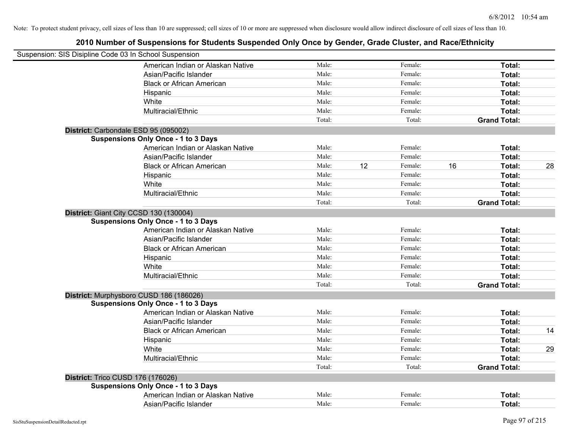| Suspension: SIS Disipline Code 03 In School Suspension |        |    |         |    |                     |    |
|--------------------------------------------------------|--------|----|---------|----|---------------------|----|
| American Indian or Alaskan Native                      | Male:  |    | Female: |    | Total:              |    |
| Asian/Pacific Islander                                 | Male:  |    | Female: |    | Total:              |    |
| <b>Black or African American</b>                       | Male:  |    | Female: |    | Total:              |    |
| Hispanic                                               | Male:  |    | Female: |    | Total:              |    |
| White                                                  | Male:  |    | Female: |    | Total:              |    |
| Multiracial/Ethnic                                     | Male:  |    | Female: |    | Total:              |    |
|                                                        | Total: |    | Total:  |    | <b>Grand Total:</b> |    |
| District: Carbondale ESD 95 (095002)                   |        |    |         |    |                     |    |
| <b>Suspensions Only Once - 1 to 3 Days</b>             |        |    |         |    |                     |    |
| American Indian or Alaskan Native                      | Male:  |    | Female: |    | Total:              |    |
| Asian/Pacific Islander                                 | Male:  |    | Female: |    | Total:              |    |
| <b>Black or African American</b>                       | Male:  | 12 | Female: | 16 | Total:              | 28 |
| Hispanic                                               | Male:  |    | Female: |    | Total:              |    |
| White                                                  | Male:  |    | Female: |    | Total:              |    |
| Multiracial/Ethnic                                     | Male:  |    | Female: |    | Total:              |    |
|                                                        | Total: |    | Total:  |    | <b>Grand Total:</b> |    |
| District: Giant City CCSD 130 (130004)                 |        |    |         |    |                     |    |
| <b>Suspensions Only Once - 1 to 3 Days</b>             |        |    |         |    |                     |    |
| American Indian or Alaskan Native                      | Male:  |    | Female: |    | Total:              |    |
| Asian/Pacific Islander                                 | Male:  |    | Female: |    | Total:              |    |
| <b>Black or African American</b>                       | Male:  |    | Female: |    | Total:              |    |
| Hispanic                                               | Male:  |    | Female: |    | Total:              |    |
| White                                                  | Male:  |    | Female: |    | Total:              |    |
| Multiracial/Ethnic                                     | Male:  |    | Female: |    | Total:              |    |
|                                                        | Total: |    | Total:  |    | <b>Grand Total:</b> |    |
| District: Murphysboro CUSD 186 (186026)                |        |    |         |    |                     |    |
| <b>Suspensions Only Once - 1 to 3 Days</b>             |        |    |         |    |                     |    |
| American Indian or Alaskan Native                      | Male:  |    | Female: |    | Total:              |    |
| Asian/Pacific Islander                                 | Male:  |    | Female: |    | Total:              |    |
| <b>Black or African American</b>                       | Male:  |    | Female: |    | Total:              | 14 |
| Hispanic                                               | Male:  |    | Female: |    | Total:              |    |
| White                                                  | Male:  |    | Female: |    | Total:              | 29 |
| Multiracial/Ethnic                                     | Male:  |    | Female: |    | Total:              |    |
|                                                        | Total: |    | Total:  |    | <b>Grand Total:</b> |    |
| District: Trico CUSD 176 (176026)                      |        |    |         |    |                     |    |
| <b>Suspensions Only Once - 1 to 3 Days</b>             |        |    |         |    |                     |    |
| American Indian or Alaskan Native                      | Male:  |    | Female: |    | Total:              |    |
| Asian/Pacific Islander                                 | Male:  |    | Female: |    | Total:              |    |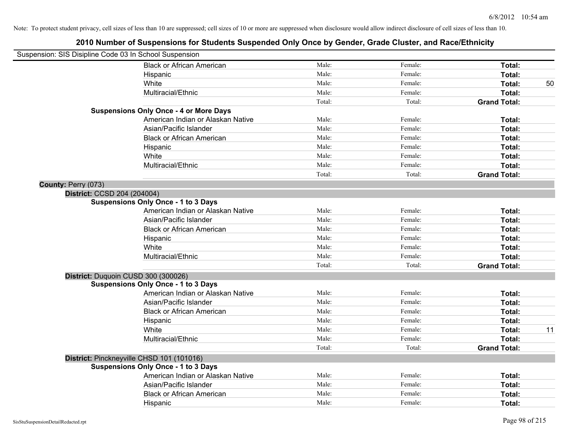| Suspension: SIS Disipline Code 03 In School Suspension |                                               |        |         |                     |    |
|--------------------------------------------------------|-----------------------------------------------|--------|---------|---------------------|----|
|                                                        | <b>Black or African American</b>              | Male:  | Female: | Total:              |    |
|                                                        | Hispanic                                      | Male:  | Female: | Total:              |    |
|                                                        | White                                         | Male:  | Female: | Total:              | 50 |
|                                                        | Multiracial/Ethnic                            | Male:  | Female: | Total:              |    |
|                                                        |                                               | Total: | Total:  | <b>Grand Total:</b> |    |
|                                                        | <b>Suspensions Only Once - 4 or More Days</b> |        |         |                     |    |
|                                                        | American Indian or Alaskan Native             | Male:  | Female: | Total:              |    |
|                                                        | Asian/Pacific Islander                        | Male:  | Female: | Total:              |    |
|                                                        | <b>Black or African American</b>              | Male:  | Female: | Total:              |    |
|                                                        | Hispanic                                      | Male:  | Female: | Total:              |    |
|                                                        | White                                         | Male:  | Female: | Total:              |    |
|                                                        | Multiracial/Ethnic                            | Male:  | Female: | Total:              |    |
|                                                        |                                               | Total: | Total:  | <b>Grand Total:</b> |    |
| County: Perry (073)                                    |                                               |        |         |                     |    |
| District: CCSD 204 (204004)                            |                                               |        |         |                     |    |
|                                                        | <b>Suspensions Only Once - 1 to 3 Days</b>    |        |         |                     |    |
|                                                        | American Indian or Alaskan Native             | Male:  | Female: | Total:              |    |
|                                                        | Asian/Pacific Islander                        | Male:  | Female: | Total:              |    |
|                                                        | <b>Black or African American</b>              | Male:  | Female: | Total:              |    |
|                                                        | Hispanic                                      | Male:  | Female: | Total:              |    |
|                                                        | White                                         | Male:  | Female: | Total:              |    |
|                                                        | Multiracial/Ethnic                            | Male:  | Female: | Total:              |    |
|                                                        |                                               | Total: | Total:  | <b>Grand Total:</b> |    |
|                                                        | District: Duquoin CUSD 300 (300026)           |        |         |                     |    |
|                                                        | <b>Suspensions Only Once - 1 to 3 Days</b>    |        |         |                     |    |
|                                                        | American Indian or Alaskan Native             | Male:  | Female: | Total:              |    |
|                                                        | Asian/Pacific Islander                        | Male:  | Female: | Total:              |    |
|                                                        | <b>Black or African American</b>              | Male:  | Female: | Total:              |    |
|                                                        | Hispanic                                      | Male:  | Female: | Total:              |    |
|                                                        | White                                         | Male:  | Female: | Total:              | 11 |
|                                                        | Multiracial/Ethnic                            | Male:  | Female: | Total:              |    |
|                                                        |                                               | Total: | Total:  | <b>Grand Total:</b> |    |
|                                                        | District: Pinckneyville CHSD 101 (101016)     |        |         |                     |    |
|                                                        | <b>Suspensions Only Once - 1 to 3 Days</b>    |        |         |                     |    |
|                                                        | American Indian or Alaskan Native             | Male:  | Female: | Total:              |    |
|                                                        | Asian/Pacific Islander                        | Male:  | Female: | Total:              |    |
|                                                        | <b>Black or African American</b>              | Male:  | Female: | Total:              |    |
|                                                        | Hispanic                                      | Male:  | Female: | Total:              |    |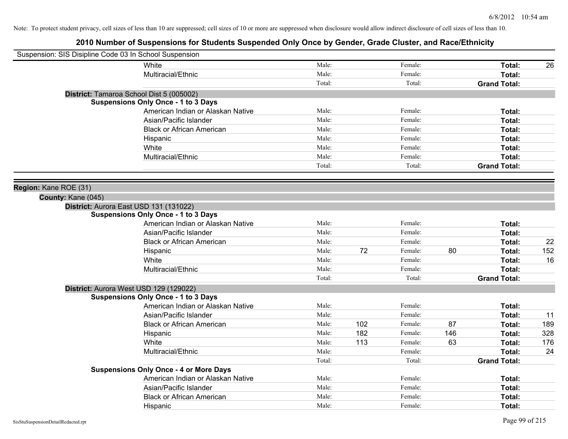| Suspension: SIS Disipline Code 03 In School Suspension |                                               |        |     |         |     |                     |     |
|--------------------------------------------------------|-----------------------------------------------|--------|-----|---------|-----|---------------------|-----|
|                                                        | White                                         | Male:  |     | Female: |     | Total:              | 26  |
|                                                        | Multiracial/Ethnic                            | Male:  |     | Female: |     | Total:              |     |
|                                                        |                                               | Total: |     | Total:  |     | <b>Grand Total:</b> |     |
|                                                        | District: Tamaroa School Dist 5 (005002)      |        |     |         |     |                     |     |
|                                                        | <b>Suspensions Only Once - 1 to 3 Days</b>    |        |     |         |     |                     |     |
|                                                        | American Indian or Alaskan Native             | Male:  |     | Female: |     | Total:              |     |
|                                                        | Asian/Pacific Islander                        | Male:  |     | Female: |     | Total:              |     |
|                                                        | <b>Black or African American</b>              | Male:  |     | Female: |     | Total:              |     |
|                                                        | Hispanic                                      | Male:  |     | Female: |     | Total:              |     |
|                                                        | White                                         | Male:  |     | Female: |     | Total:              |     |
|                                                        | Multiracial/Ethnic                            | Male:  |     | Female: |     | Total:              |     |
|                                                        |                                               | Total: |     | Total:  |     | <b>Grand Total:</b> |     |
|                                                        |                                               |        |     |         |     |                     |     |
| Region: Kane ROE (31)                                  |                                               |        |     |         |     |                     |     |
| County: Kane (045)                                     |                                               |        |     |         |     |                     |     |
|                                                        | District: Aurora East USD 131 (131022)        |        |     |         |     |                     |     |
|                                                        | <b>Suspensions Only Once - 1 to 3 Days</b>    |        |     |         |     |                     |     |
|                                                        | American Indian or Alaskan Native             | Male:  |     | Female: |     | Total:              |     |
|                                                        | Asian/Pacific Islander                        | Male:  |     | Female: |     | Total:              |     |
|                                                        | <b>Black or African American</b>              | Male:  |     | Female: |     | Total:              | 22  |
|                                                        | Hispanic                                      | Male:  | 72  | Female: | 80  | Total:              | 152 |
|                                                        | White                                         | Male:  |     | Female: |     | Total:              | 16  |
|                                                        | Multiracial/Ethnic                            | Male:  |     | Female: |     | Total:              |     |
|                                                        |                                               | Total: |     | Total:  |     | <b>Grand Total:</b> |     |
|                                                        | District: Aurora West USD 129 (129022)        |        |     |         |     |                     |     |
|                                                        | <b>Suspensions Only Once - 1 to 3 Days</b>    |        |     |         |     |                     |     |
|                                                        | American Indian or Alaskan Native             | Male:  |     | Female: |     | Total:              |     |
|                                                        | Asian/Pacific Islander                        | Male:  |     | Female: |     | Total:              | 11  |
|                                                        | <b>Black or African American</b>              | Male:  | 102 | Female: | 87  | Total:              | 189 |
|                                                        | Hispanic                                      | Male:  | 182 | Female: | 146 | Total:              | 328 |
|                                                        | White                                         | Male:  | 113 | Female: | 63  | Total:              | 176 |
|                                                        | Multiracial/Ethnic                            | Male:  |     | Female: |     | Total:              | 24  |
|                                                        |                                               | Total: |     | Total:  |     | <b>Grand Total:</b> |     |
|                                                        | <b>Suspensions Only Once - 4 or More Days</b> |        |     |         |     |                     |     |
|                                                        | American Indian or Alaskan Native             | Male:  |     | Female: |     | Total:              |     |
|                                                        | Asian/Pacific Islander                        | Male:  |     | Female: |     | Total:              |     |
|                                                        | <b>Black or African American</b>              | Male:  |     | Female: |     | <b>Total:</b>       |     |
|                                                        | Hispanic                                      | Male:  |     | Female: |     | Total:              |     |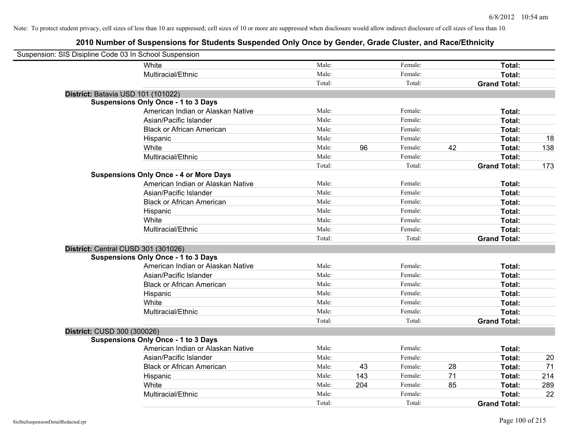| Suspension: SIS Disipline Code 03 In School Suspension |                                               |        |     |         |    |                     |     |
|--------------------------------------------------------|-----------------------------------------------|--------|-----|---------|----|---------------------|-----|
|                                                        | <b>White</b>                                  | Male:  |     | Female: |    | Total:              |     |
|                                                        | Multiracial/Ethnic                            | Male:  |     | Female: |    | Total:              |     |
|                                                        |                                               | Total: |     | Total:  |    | <b>Grand Total:</b> |     |
|                                                        | District: Batavia USD 101 (101022)            |        |     |         |    |                     |     |
|                                                        | <b>Suspensions Only Once - 1 to 3 Days</b>    |        |     |         |    |                     |     |
|                                                        | American Indian or Alaskan Native             | Male:  |     | Female: |    | Total:              |     |
|                                                        | Asian/Pacific Islander                        | Male:  |     | Female: |    | Total:              |     |
|                                                        | <b>Black or African American</b>              | Male:  |     | Female: |    | Total:              |     |
|                                                        | Hispanic                                      | Male:  |     | Female: |    | Total:              | 18  |
|                                                        | White                                         | Male:  | 96  | Female: | 42 | Total:              | 138 |
|                                                        | Multiracial/Ethnic                            | Male:  |     | Female: |    | Total:              |     |
|                                                        |                                               | Total: |     | Total:  |    | <b>Grand Total:</b> | 173 |
|                                                        | <b>Suspensions Only Once - 4 or More Days</b> |        |     |         |    |                     |     |
|                                                        | American Indian or Alaskan Native             | Male:  |     | Female: |    | Total:              |     |
|                                                        | Asian/Pacific Islander                        | Male:  |     | Female: |    | Total:              |     |
|                                                        | <b>Black or African American</b>              | Male:  |     | Female: |    | Total:              |     |
|                                                        | Hispanic                                      | Male:  |     | Female: |    | Total:              |     |
|                                                        | White                                         | Male:  |     | Female: |    | Total:              |     |
|                                                        | Multiracial/Ethnic                            | Male:  |     | Female: |    | Total:              |     |
|                                                        |                                               | Total: |     | Total:  |    | <b>Grand Total:</b> |     |
|                                                        | District: Central CUSD 301 (301026)           |        |     |         |    |                     |     |
|                                                        | <b>Suspensions Only Once - 1 to 3 Days</b>    |        |     |         |    |                     |     |
|                                                        | American Indian or Alaskan Native             | Male:  |     | Female: |    | Total:              |     |
|                                                        | Asian/Pacific Islander                        | Male:  |     | Female: |    | Total:              |     |
|                                                        | <b>Black or African American</b>              | Male:  |     | Female: |    | Total:              |     |
|                                                        | Hispanic                                      | Male:  |     | Female: |    | Total:              |     |
|                                                        | White                                         | Male:  |     | Female: |    | Total:              |     |
|                                                        | Multiracial/Ethnic                            | Male:  |     | Female: |    | Total:              |     |
|                                                        |                                               | Total: |     | Total:  |    | <b>Grand Total:</b> |     |
| District: CUSD 300 (300026)                            |                                               |        |     |         |    |                     |     |
|                                                        | <b>Suspensions Only Once - 1 to 3 Days</b>    |        |     |         |    |                     |     |
|                                                        | American Indian or Alaskan Native             | Male:  |     | Female: |    | Total:              |     |
|                                                        | Asian/Pacific Islander                        | Male:  |     | Female: |    | Total:              | 20  |
|                                                        | <b>Black or African American</b>              | Male:  | 43  | Female: | 28 | Total:              | 71  |
|                                                        | Hispanic                                      | Male:  | 143 | Female: | 71 | Total:              | 214 |
|                                                        | White                                         | Male:  | 204 | Female: | 85 | Total:              | 289 |
|                                                        | Multiracial/Ethnic                            | Male:  |     | Female: |    | Total:              | 22  |
|                                                        |                                               | Total: |     | Total:  |    | <b>Grand Total:</b> |     |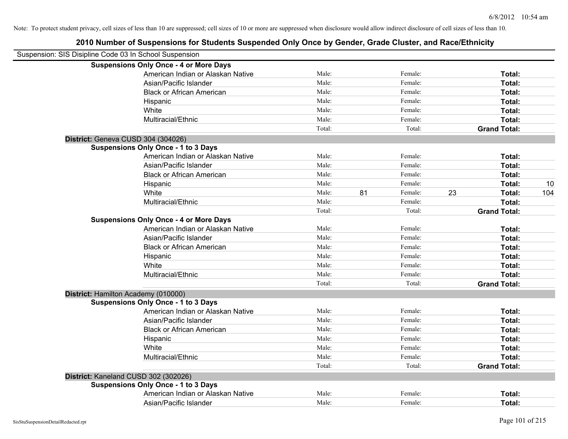| Suspension: SIS Disipline Code 03 In School Suspension |                                               |        |    |         |    |                     |     |
|--------------------------------------------------------|-----------------------------------------------|--------|----|---------|----|---------------------|-----|
|                                                        | <b>Suspensions Only Once - 4 or More Days</b> |        |    |         |    |                     |     |
|                                                        | American Indian or Alaskan Native             | Male:  |    | Female: |    | Total:              |     |
|                                                        | Asian/Pacific Islander                        | Male:  |    | Female: |    | Total:              |     |
|                                                        | <b>Black or African American</b>              | Male:  |    | Female: |    | Total:              |     |
|                                                        | Hispanic                                      | Male:  |    | Female: |    | Total:              |     |
|                                                        | White                                         | Male:  |    | Female: |    | Total:              |     |
|                                                        | Multiracial/Ethnic                            | Male:  |    | Female: |    | Total:              |     |
|                                                        |                                               | Total: |    | Total:  |    | <b>Grand Total:</b> |     |
|                                                        | District: Geneva CUSD 304 (304026)            |        |    |         |    |                     |     |
|                                                        | <b>Suspensions Only Once - 1 to 3 Days</b>    |        |    |         |    |                     |     |
|                                                        | American Indian or Alaskan Native             | Male:  |    | Female: |    | Total:              |     |
|                                                        | Asian/Pacific Islander                        | Male:  |    | Female: |    | Total:              |     |
|                                                        | <b>Black or African American</b>              | Male:  |    | Female: |    | Total:              |     |
|                                                        | Hispanic                                      | Male:  |    | Female: |    | Total:              | 10  |
|                                                        | White                                         | Male:  | 81 | Female: | 23 | Total:              | 104 |
|                                                        | Multiracial/Ethnic                            | Male:  |    | Female: |    | Total:              |     |
|                                                        |                                               | Total: |    | Total:  |    | <b>Grand Total:</b> |     |
|                                                        | <b>Suspensions Only Once - 4 or More Days</b> |        |    |         |    |                     |     |
|                                                        | American Indian or Alaskan Native             | Male:  |    | Female: |    | Total:              |     |
|                                                        | Asian/Pacific Islander                        | Male:  |    | Female: |    | Total:              |     |
|                                                        | <b>Black or African American</b>              | Male:  |    | Female: |    | Total:              |     |
|                                                        | Hispanic                                      | Male:  |    | Female: |    | Total:              |     |
|                                                        | White                                         | Male:  |    | Female: |    | Total:              |     |
|                                                        | Multiracial/Ethnic                            | Male:  |    | Female: |    | Total:              |     |
|                                                        |                                               | Total: |    | Total:  |    | <b>Grand Total:</b> |     |
|                                                        | District: Hamilton Academy (010000)           |        |    |         |    |                     |     |
|                                                        | <b>Suspensions Only Once - 1 to 3 Days</b>    |        |    |         |    |                     |     |
|                                                        | American Indian or Alaskan Native             | Male:  |    | Female: |    | Total:              |     |
|                                                        | Asian/Pacific Islander                        | Male:  |    | Female: |    | Total:              |     |
|                                                        | <b>Black or African American</b>              | Male:  |    | Female: |    | Total:              |     |
|                                                        | Hispanic                                      | Male:  |    | Female: |    | Total:              |     |
|                                                        | White                                         | Male:  |    | Female: |    | Total:              |     |
|                                                        | Multiracial/Ethnic                            | Male:  |    | Female: |    | Total:              |     |
|                                                        |                                               | Total: |    | Total:  |    | <b>Grand Total:</b> |     |
|                                                        | District: Kaneland CUSD 302 (302026)          |        |    |         |    |                     |     |
|                                                        | <b>Suspensions Only Once - 1 to 3 Days</b>    |        |    |         |    |                     |     |
|                                                        | American Indian or Alaskan Native             | Male:  |    | Female: |    | Total:              |     |
|                                                        | Asian/Pacific Islander                        | Male:  |    | Female: |    | Total:              |     |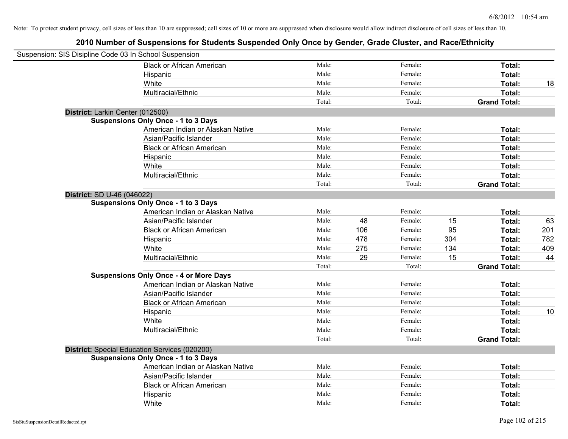| Suspension: SIS Disipline Code 03 In School Suspension |                                               |        |     |         |     |                     |     |
|--------------------------------------------------------|-----------------------------------------------|--------|-----|---------|-----|---------------------|-----|
|                                                        | <b>Black or African American</b>              | Male:  |     | Female: |     | Total:              |     |
|                                                        | Hispanic                                      | Male:  |     | Female: |     | Total:              |     |
|                                                        | White                                         | Male:  |     | Female: |     | Total:              | 18  |
|                                                        | Multiracial/Ethnic                            | Male:  |     | Female: |     | Total:              |     |
|                                                        |                                               | Total: |     | Total:  |     | <b>Grand Total:</b> |     |
| District: Larkin Center (012500)                       |                                               |        |     |         |     |                     |     |
|                                                        | <b>Suspensions Only Once - 1 to 3 Days</b>    |        |     |         |     |                     |     |
|                                                        | American Indian or Alaskan Native             | Male:  |     | Female: |     | Total:              |     |
|                                                        | Asian/Pacific Islander                        | Male:  |     | Female: |     | Total:              |     |
|                                                        | <b>Black or African American</b>              | Male:  |     | Female: |     | Total:              |     |
|                                                        | Hispanic                                      | Male:  |     | Female: |     | Total:              |     |
|                                                        | White                                         | Male:  |     | Female: |     | Total:              |     |
|                                                        | Multiracial/Ethnic                            | Male:  |     | Female: |     | Total:              |     |
|                                                        |                                               | Total: |     | Total:  |     | <b>Grand Total:</b> |     |
| District: SD U-46 (046022)                             |                                               |        |     |         |     |                     |     |
|                                                        | <b>Suspensions Only Once - 1 to 3 Days</b>    |        |     |         |     |                     |     |
|                                                        | American Indian or Alaskan Native             | Male:  |     | Female: |     | Total:              |     |
|                                                        | Asian/Pacific Islander                        | Male:  | 48  | Female: | 15  | Total:              | 63  |
|                                                        | <b>Black or African American</b>              | Male:  | 106 | Female: | 95  | Total:              | 201 |
|                                                        | Hispanic                                      | Male:  | 478 | Female: | 304 | Total:              | 782 |
|                                                        | White                                         | Male:  | 275 | Female: | 134 | Total:              | 409 |
|                                                        | Multiracial/Ethnic                            | Male:  | 29  | Female: | 15  | Total:              | 44  |
|                                                        |                                               | Total: |     | Total:  |     | <b>Grand Total:</b> |     |
|                                                        | <b>Suspensions Only Once - 4 or More Days</b> |        |     |         |     |                     |     |
|                                                        | American Indian or Alaskan Native             | Male:  |     | Female: |     | Total:              |     |
|                                                        | Asian/Pacific Islander                        | Male:  |     | Female: |     | Total:              |     |
|                                                        | <b>Black or African American</b>              | Male:  |     | Female: |     | Total:              |     |
|                                                        | Hispanic                                      | Male:  |     | Female: |     | Total:              | 10  |
|                                                        | White                                         | Male:  |     | Female: |     | Total:              |     |
|                                                        | Multiracial/Ethnic                            | Male:  |     | Female: |     | Total:              |     |
|                                                        |                                               | Total: |     | Total:  |     | <b>Grand Total:</b> |     |
|                                                        | District: Special Education Services (020200) |        |     |         |     |                     |     |
|                                                        | <b>Suspensions Only Once - 1 to 3 Days</b>    |        |     |         |     |                     |     |
|                                                        | American Indian or Alaskan Native             | Male:  |     | Female: |     | Total:              |     |
|                                                        | Asian/Pacific Islander                        | Male:  |     | Female: |     | Total:              |     |
|                                                        | <b>Black or African American</b>              | Male:  |     | Female: |     | Total:              |     |
|                                                        | Hispanic                                      | Male:  |     | Female: |     | Total:              |     |
|                                                        | White                                         | Male:  |     | Female: |     | Total:              |     |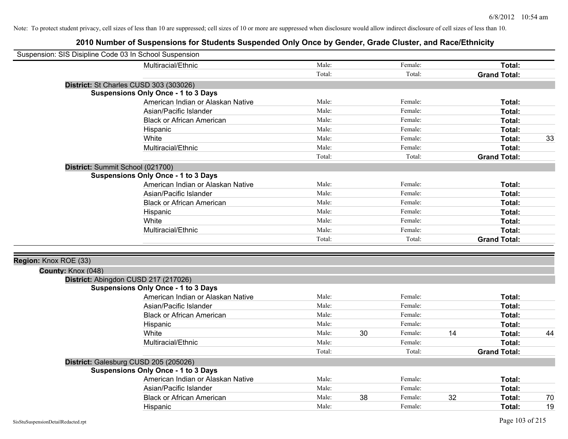| Suspension: SIS Disipline Code 03 In School Suspension |                                            |        |    |         |    |                     |    |
|--------------------------------------------------------|--------------------------------------------|--------|----|---------|----|---------------------|----|
|                                                        | Multiracial/Ethnic                         | Male:  |    | Female: |    | Total:              |    |
|                                                        |                                            | Total: |    | Total:  |    | <b>Grand Total:</b> |    |
|                                                        | District: St Charles CUSD 303 (303026)     |        |    |         |    |                     |    |
|                                                        | <b>Suspensions Only Once - 1 to 3 Days</b> |        |    |         |    |                     |    |
|                                                        | American Indian or Alaskan Native          | Male:  |    | Female: |    | Total:              |    |
|                                                        | Asian/Pacific Islander                     | Male:  |    | Female: |    | Total:              |    |
|                                                        | <b>Black or African American</b>           | Male:  |    | Female: |    | Total:              |    |
|                                                        | Hispanic                                   | Male:  |    | Female: |    | Total:              |    |
|                                                        | White                                      | Male:  |    | Female: |    | Total:              | 33 |
|                                                        | Multiracial/Ethnic                         | Male:  |    | Female: |    | Total:              |    |
|                                                        |                                            | Total: |    | Total:  |    | <b>Grand Total:</b> |    |
|                                                        | District: Summit School (021700)           |        |    |         |    |                     |    |
|                                                        | <b>Suspensions Only Once - 1 to 3 Days</b> |        |    |         |    |                     |    |
|                                                        | American Indian or Alaskan Native          | Male:  |    | Female: |    | Total:              |    |
|                                                        | Asian/Pacific Islander                     | Male:  |    | Female: |    | Total:              |    |
|                                                        | <b>Black or African American</b>           | Male:  |    | Female: |    | Total:              |    |
|                                                        | Hispanic                                   | Male:  |    | Female: |    | Total:              |    |
|                                                        | White                                      | Male:  |    | Female: |    | Total:              |    |
|                                                        | Multiracial/Ethnic                         | Male:  |    | Female: |    | Total:              |    |
|                                                        |                                            | Total: |    | Total:  |    | <b>Grand Total:</b> |    |
|                                                        |                                            |        |    |         |    |                     |    |
| Region: Knox ROE (33)<br>County: Knox (048)            |                                            |        |    |         |    |                     |    |
|                                                        | District: Abingdon CUSD 217 (217026)       |        |    |         |    |                     |    |
|                                                        | <b>Suspensions Only Once - 1 to 3 Days</b> |        |    |         |    |                     |    |
|                                                        | American Indian or Alaskan Native          | Male:  |    | Female: |    | Total:              |    |
|                                                        | Asian/Pacific Islander                     | Male:  |    | Female: |    | Total:              |    |
|                                                        | <b>Black or African American</b>           | Male:  |    | Female: |    | Total:              |    |
|                                                        | Hispanic                                   | Male:  |    | Female: |    | Total:              |    |
|                                                        | White                                      | Male:  | 30 | Female: | 14 | Total:              | 44 |
|                                                        | Multiracial/Ethnic                         | Male:  |    | Female: |    | Total:              |    |
|                                                        |                                            | Total: |    | Total:  |    | <b>Grand Total:</b> |    |
|                                                        | District: Galesburg CUSD 205 (205026)      |        |    |         |    |                     |    |
|                                                        | <b>Suspensions Only Once - 1 to 3 Days</b> |        |    |         |    |                     |    |
|                                                        | American Indian or Alaskan Native          | Male:  |    | Female: |    | Total:              |    |
|                                                        | Asian/Pacific Islander                     | Male:  |    | Female: |    | <b>Total:</b>       |    |
|                                                        | <b>Black or African American</b>           | Male:  | 38 | Female: | 32 | <b>Total:</b>       | 70 |
|                                                        | Hispanic                                   | Male:  |    | Female: |    | Total:              | 19 |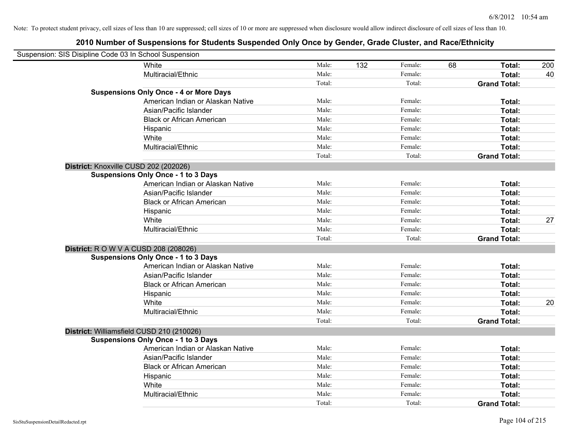| Suspension: SIS Disipline Code 03 In School Suspension |                                               |        |     |         |    |                     |     |
|--------------------------------------------------------|-----------------------------------------------|--------|-----|---------|----|---------------------|-----|
| White                                                  |                                               | Male:  | 132 | Female: | 68 | Total:              | 200 |
|                                                        | Multiracial/Ethnic                            | Male:  |     | Female: |    | Total:              | 40  |
|                                                        |                                               | Total: |     | Total:  |    | <b>Grand Total:</b> |     |
|                                                        | <b>Suspensions Only Once - 4 or More Days</b> |        |     |         |    |                     |     |
|                                                        | American Indian or Alaskan Native             | Male:  |     | Female: |    | Total:              |     |
|                                                        | Asian/Pacific Islander                        | Male:  |     | Female: |    | Total:              |     |
|                                                        | <b>Black or African American</b>              | Male:  |     | Female: |    | Total:              |     |
| Hispanic                                               |                                               | Male:  |     | Female: |    | Total:              |     |
| White                                                  |                                               | Male:  |     | Female: |    | Total:              |     |
|                                                        | Multiracial/Ethnic                            | Male:  |     | Female: |    | Total:              |     |
|                                                        |                                               | Total: |     | Total:  |    | <b>Grand Total:</b> |     |
| District: Knoxville CUSD 202 (202026)                  |                                               |        |     |         |    |                     |     |
| <b>Suspensions Only Once - 1 to 3 Days</b>             |                                               |        |     |         |    |                     |     |
|                                                        | American Indian or Alaskan Native             | Male:  |     | Female: |    | Total:              |     |
|                                                        | Asian/Pacific Islander                        | Male:  |     | Female: |    | Total:              |     |
|                                                        | <b>Black or African American</b>              | Male:  |     | Female: |    | Total:              |     |
| Hispanic                                               |                                               | Male:  |     | Female: |    | Total:              |     |
| White                                                  |                                               | Male:  |     | Female: |    | Total:              | 27  |
|                                                        | Multiracial/Ethnic                            | Male:  |     | Female: |    | Total:              |     |
|                                                        |                                               | Total: |     | Total:  |    | <b>Grand Total:</b> |     |
| District: R O W V A CUSD 208 (208026)                  |                                               |        |     |         |    |                     |     |
| <b>Suspensions Only Once - 1 to 3 Days</b>             |                                               |        |     |         |    |                     |     |
|                                                        | American Indian or Alaskan Native             | Male:  |     | Female: |    | Total:              |     |
|                                                        | Asian/Pacific Islander                        | Male:  |     | Female: |    | Total:              |     |
|                                                        | <b>Black or African American</b>              | Male:  |     | Female: |    | Total:              |     |
| Hispanic                                               |                                               | Male:  |     | Female: |    | Total:              |     |
| White                                                  |                                               | Male:  |     | Female: |    | Total:              | 20  |
|                                                        | Multiracial/Ethnic                            | Male:  |     | Female: |    | Total:              |     |
|                                                        |                                               | Total: |     | Total:  |    | <b>Grand Total:</b> |     |
| District: Williamsfield CUSD 210 (210026)              |                                               |        |     |         |    |                     |     |
| <b>Suspensions Only Once - 1 to 3 Days</b>             |                                               |        |     |         |    |                     |     |
|                                                        | American Indian or Alaskan Native             | Male:  |     | Female: |    | Total:              |     |
|                                                        | Asian/Pacific Islander                        | Male:  |     | Female: |    | Total:              |     |
|                                                        | <b>Black or African American</b>              | Male:  |     | Female: |    | Total:              |     |
| Hispanic                                               |                                               | Male:  |     | Female: |    | Total:              |     |
| White                                                  |                                               | Male:  |     | Female: |    | Total:              |     |
|                                                        | Multiracial/Ethnic                            | Male:  |     | Female: |    | Total:              |     |
|                                                        |                                               | Total: |     | Total:  |    | <b>Grand Total:</b> |     |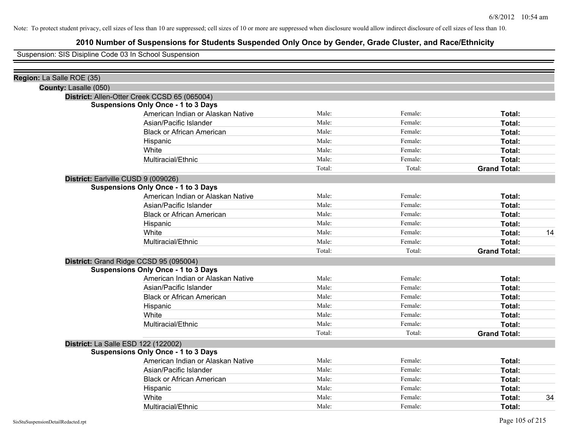# **2010 Number of Suspensions for Students Suspended Only Once by Gender, Grade Cluster, and Race/Ethnicity**

Suspension: SIS Disipline Code 03 In School Suspension

| Male:  | Female:                                                                                                                                          | Total:              |
|--------|--------------------------------------------------------------------------------------------------------------------------------------------------|---------------------|
| Male:  | Female:                                                                                                                                          | Total:              |
| Male:  | Female:                                                                                                                                          | Total:              |
| Male:  | Female:                                                                                                                                          | Total:              |
| Male:  | Female:                                                                                                                                          | Total:              |
| Male:  | Female:                                                                                                                                          | Total:              |
| Total: | Total:                                                                                                                                           | <b>Grand Total:</b> |
|        |                                                                                                                                                  |                     |
|        |                                                                                                                                                  |                     |
| Male:  | Female:                                                                                                                                          | Total:              |
| Male:  | Female:                                                                                                                                          | Total:              |
| Male:  | Female:                                                                                                                                          | Total:              |
| Male:  | Female:                                                                                                                                          | Total:              |
| Male:  | Female:                                                                                                                                          | Total:<br>14        |
| Male:  | Female:                                                                                                                                          | Total:              |
| Total: | Total:                                                                                                                                           | <b>Grand Total:</b> |
|        |                                                                                                                                                  |                     |
|        |                                                                                                                                                  |                     |
| Male:  | Female:                                                                                                                                          | Total:              |
| Male:  | Female:                                                                                                                                          | Total:              |
| Male:  | Female:                                                                                                                                          | Total:              |
| Male:  | Female:                                                                                                                                          | Total:              |
| Male:  | Female:                                                                                                                                          | Total:              |
| Male:  | Female:                                                                                                                                          | Total:              |
| Total: | Total:                                                                                                                                           | <b>Grand Total:</b> |
|        |                                                                                                                                                  |                     |
|        |                                                                                                                                                  |                     |
| Male:  | Female:                                                                                                                                          | Total:              |
| Male:  | Female:                                                                                                                                          | Total:              |
| Male:  | Female:                                                                                                                                          | Total:              |
| Male:  | Female:                                                                                                                                          | Total:              |
| Male:  | Female:                                                                                                                                          | 34<br>Total:        |
| Male:  | Female:                                                                                                                                          | Total:              |
|        | American Indian or Alaskan Native<br>American Indian or Alaskan Native<br>American Indian or Alaskan Native<br>American Indian or Alaskan Native |                     |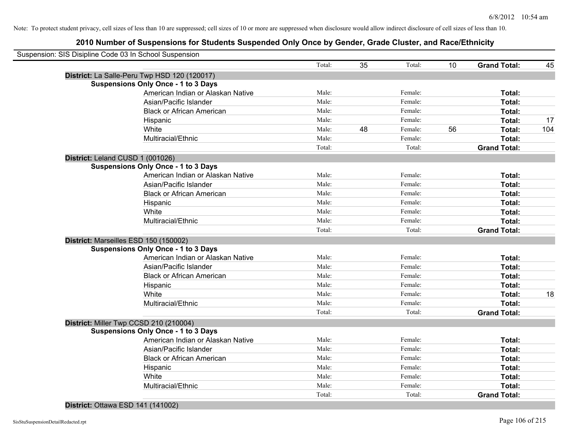# **2010 Number of Suspensions for Students Suspended Only Once by Gender, Grade Cluster, and Race/Ethnicity**

|                                  | Suspension: SIS Disipline Code 03 In School Suspension |        |    |         |                 |                     |     |
|----------------------------------|--------------------------------------------------------|--------|----|---------|-----------------|---------------------|-----|
|                                  |                                                        | Total: | 35 | Total:  | 10 <sup>1</sup> | <b>Grand Total:</b> | 45  |
|                                  | District: La Salle-Peru Twp HSD 120 (120017)           |        |    |         |                 |                     |     |
|                                  | <b>Suspensions Only Once - 1 to 3 Days</b>             |        |    |         |                 |                     |     |
|                                  | American Indian or Alaskan Native                      | Male:  |    | Female: |                 | Total:              |     |
|                                  | Asian/Pacific Islander                                 | Male:  |    | Female: |                 | Total:              |     |
|                                  | <b>Black or African American</b>                       | Male:  |    | Female: |                 | Total:              |     |
|                                  | Hispanic                                               | Male:  |    | Female: |                 | Total:              | 17  |
|                                  | White                                                  | Male:  | 48 | Female: | 56              | Total:              | 104 |
|                                  | Multiracial/Ethnic                                     | Male:  |    | Female: |                 | Total:              |     |
|                                  |                                                        | Total: |    | Total:  |                 | <b>Grand Total:</b> |     |
| District: Leland CUSD 1 (001026) |                                                        |        |    |         |                 |                     |     |
|                                  | <b>Suspensions Only Once - 1 to 3 Days</b>             |        |    |         |                 |                     |     |
|                                  | American Indian or Alaskan Native                      | Male:  |    | Female: |                 | Total:              |     |
|                                  | Asian/Pacific Islander                                 | Male:  |    | Female: |                 | Total:              |     |
|                                  | <b>Black or African American</b>                       | Male:  |    | Female: |                 | Total:              |     |
|                                  | Hispanic                                               | Male:  |    | Female: |                 | Total:              |     |
|                                  | White                                                  | Male:  |    | Female: |                 | Total:              |     |
|                                  | Multiracial/Ethnic                                     | Male:  |    | Female: |                 | Total:              |     |
|                                  |                                                        | Total: |    | Total:  |                 | <b>Grand Total:</b> |     |
|                                  | District: Marseilles ESD 150 (150002)                  |        |    |         |                 |                     |     |
|                                  | <b>Suspensions Only Once - 1 to 3 Days</b>             |        |    |         |                 |                     |     |
|                                  | American Indian or Alaskan Native                      | Male:  |    | Female: |                 | Total:              |     |
|                                  | Asian/Pacific Islander                                 | Male:  |    | Female: |                 | Total:              |     |
|                                  | <b>Black or African American</b>                       | Male:  |    | Female: |                 | Total:              |     |
|                                  | Hispanic                                               | Male:  |    | Female: |                 | Total:              |     |
|                                  | White                                                  | Male:  |    | Female: |                 | Total:              | 18  |
|                                  | Multiracial/Ethnic                                     | Male:  |    | Female: |                 | Total:              |     |
|                                  |                                                        | Total: |    | Total:  |                 | <b>Grand Total:</b> |     |
|                                  | District: Miller Twp CCSD 210 (210004)                 |        |    |         |                 |                     |     |
|                                  | <b>Suspensions Only Once - 1 to 3 Days</b>             |        |    |         |                 |                     |     |
|                                  | American Indian or Alaskan Native                      | Male:  |    | Female: |                 | Total:              |     |
|                                  | Asian/Pacific Islander                                 | Male:  |    | Female: |                 | Total:              |     |
|                                  | <b>Black or African American</b>                       | Male:  |    | Female: |                 | Total:              |     |
|                                  | Hispanic                                               | Male:  |    | Female: |                 | Total:              |     |
|                                  | White                                                  | Male:  |    | Female: |                 | Total:              |     |
|                                  | Multiracial/Ethnic                                     | Male:  |    | Female: |                 | Total:              |     |
|                                  |                                                        | Total: |    | Total:  |                 | <b>Grand Total:</b> |     |

## **District:** Ottawa ESD 141 (141002)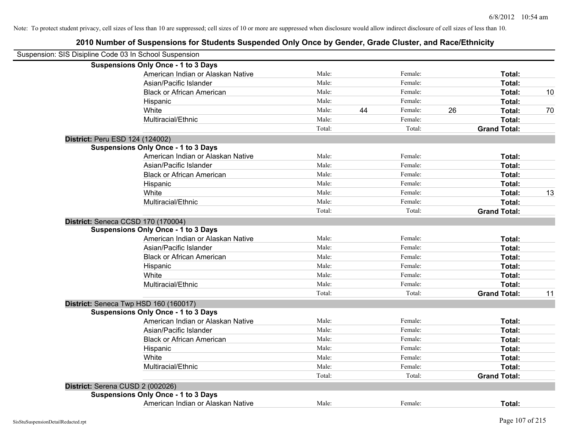| Suspension: SIS Disipline Code 03 In School Suspension |        |    |         |    |                     |    |
|--------------------------------------------------------|--------|----|---------|----|---------------------|----|
| <b>Suspensions Only Once - 1 to 3 Days</b>             |        |    |         |    |                     |    |
| American Indian or Alaskan Native                      | Male:  |    | Female: |    | Total:              |    |
| Asian/Pacific Islander                                 | Male:  |    | Female: |    | Total:              |    |
| <b>Black or African American</b>                       | Male:  |    | Female: |    | Total:              | 10 |
| Hispanic                                               | Male:  |    | Female: |    | Total:              |    |
| White                                                  | Male:  | 44 | Female: | 26 | Total:              | 70 |
| Multiracial/Ethnic                                     | Male:  |    | Female: |    | Total:              |    |
|                                                        | Total: |    | Total:  |    | <b>Grand Total:</b> |    |
| District: Peru ESD 124 (124002)                        |        |    |         |    |                     |    |
| <b>Suspensions Only Once - 1 to 3 Days</b>             |        |    |         |    |                     |    |
| American Indian or Alaskan Native                      | Male:  |    | Female: |    | Total:              |    |
| Asian/Pacific Islander                                 | Male:  |    | Female: |    | Total:              |    |
| <b>Black or African American</b>                       | Male:  |    | Female: |    | Total:              |    |
| Hispanic                                               | Male:  |    | Female: |    | Total:              |    |
| White                                                  | Male:  |    | Female: |    | Total:              | 13 |
| Multiracial/Ethnic                                     | Male:  |    | Female: |    | Total:              |    |
|                                                        | Total: |    | Total:  |    | <b>Grand Total:</b> |    |
| District: Seneca CCSD 170 (170004)                     |        |    |         |    |                     |    |
| <b>Suspensions Only Once - 1 to 3 Days</b>             |        |    |         |    |                     |    |
| American Indian or Alaskan Native                      | Male:  |    | Female: |    | Total:              |    |
| Asian/Pacific Islander                                 | Male:  |    | Female: |    | Total:              |    |
| <b>Black or African American</b>                       | Male:  |    | Female: |    | Total:              |    |
| Hispanic                                               | Male:  |    | Female: |    | Total:              |    |
| White                                                  | Male:  |    | Female: |    | Total:              |    |
| Multiracial/Ethnic                                     | Male:  |    | Female: |    | Total:              |    |
|                                                        | Total: |    | Total:  |    | <b>Grand Total:</b> | 11 |
| District: Seneca Twp HSD 160 (160017)                  |        |    |         |    |                     |    |
| <b>Suspensions Only Once - 1 to 3 Days</b>             |        |    |         |    |                     |    |
| American Indian or Alaskan Native                      | Male:  |    | Female: |    | Total:              |    |
| Asian/Pacific Islander                                 | Male:  |    | Female: |    | Total:              |    |
| <b>Black or African American</b>                       | Male:  |    | Female: |    | Total:              |    |
| Hispanic                                               | Male:  |    | Female: |    | Total:              |    |
| White                                                  | Male:  |    | Female: |    | Total:              |    |
| Multiracial/Ethnic                                     | Male:  |    | Female: |    | Total:              |    |
|                                                        | Total: |    | Total:  |    | <b>Grand Total:</b> |    |
| District: Serena CUSD 2 (002026)                       |        |    |         |    |                     |    |
| <b>Suspensions Only Once - 1 to 3 Days</b>             |        |    |         |    |                     |    |
| American Indian or Alaskan Native                      | Male:  |    | Female: |    | Total:              |    |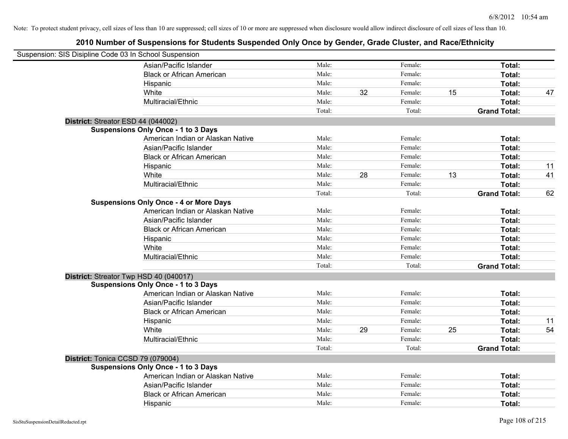| Suspension: SIS Disipline Code 03 In School Suspension |                                               |        |    |         |    |                     |    |
|--------------------------------------------------------|-----------------------------------------------|--------|----|---------|----|---------------------|----|
|                                                        | Asian/Pacific Islander                        | Male:  |    | Female: |    | Total:              |    |
|                                                        | <b>Black or African American</b>              | Male:  |    | Female: |    | <b>Total:</b>       |    |
|                                                        | Hispanic                                      | Male:  |    | Female: |    | <b>Total:</b>       |    |
|                                                        | White                                         | Male:  | 32 | Female: | 15 | Total:              | 47 |
|                                                        | Multiracial/Ethnic                            | Male:  |    | Female: |    | Total:              |    |
|                                                        |                                               | Total: |    | Total:  |    | <b>Grand Total:</b> |    |
| District: Streator ESD 44 (044002)                     |                                               |        |    |         |    |                     |    |
|                                                        | <b>Suspensions Only Once - 1 to 3 Days</b>    |        |    |         |    |                     |    |
|                                                        | American Indian or Alaskan Native             | Male:  |    | Female: |    | Total:              |    |
|                                                        | Asian/Pacific Islander                        | Male:  |    | Female: |    | Total:              |    |
|                                                        | <b>Black or African American</b>              | Male:  |    | Female: |    | Total:              |    |
|                                                        | Hispanic                                      | Male:  |    | Female: |    | Total:              | 11 |
|                                                        | White                                         | Male:  | 28 | Female: | 13 | <b>Total:</b>       | 41 |
|                                                        | Multiracial/Ethnic                            | Male:  |    | Female: |    | Total:              |    |
|                                                        |                                               | Total: |    | Total:  |    | <b>Grand Total:</b> | 62 |
|                                                        | <b>Suspensions Only Once - 4 or More Days</b> |        |    |         |    |                     |    |
|                                                        | American Indian or Alaskan Native             | Male:  |    | Female: |    | Total:              |    |
|                                                        | Asian/Pacific Islander                        | Male:  |    | Female: |    | Total:              |    |
|                                                        | <b>Black or African American</b>              | Male:  |    | Female: |    | Total:              |    |
|                                                        | Hispanic                                      | Male:  |    | Female: |    | Total:              |    |
|                                                        | White                                         | Male:  |    | Female: |    | Total:              |    |
|                                                        | Multiracial/Ethnic                            | Male:  |    | Female: |    | Total:              |    |
|                                                        |                                               | Total: |    | Total:  |    | <b>Grand Total:</b> |    |
| District: Streator Twp HSD 40 (040017)                 |                                               |        |    |         |    |                     |    |
|                                                        | <b>Suspensions Only Once - 1 to 3 Days</b>    |        |    |         |    |                     |    |
|                                                        | American Indian or Alaskan Native             | Male:  |    | Female: |    | <b>Total:</b>       |    |
|                                                        | Asian/Pacific Islander                        | Male:  |    | Female: |    | Total:              |    |
|                                                        | <b>Black or African American</b>              | Male:  |    | Female: |    | Total:              |    |
|                                                        | Hispanic                                      | Male:  |    | Female: |    | Total:              | 11 |
|                                                        | White                                         | Male:  | 29 | Female: | 25 | Total:              | 54 |
|                                                        | Multiracial/Ethnic                            | Male:  |    | Female: |    | Total:              |    |
|                                                        |                                               | Total: |    | Total:  |    | <b>Grand Total:</b> |    |
| District: Tonica CCSD 79 (079004)                      |                                               |        |    |         |    |                     |    |
|                                                        | <b>Suspensions Only Once - 1 to 3 Days</b>    |        |    |         |    |                     |    |
|                                                        | American Indian or Alaskan Native             | Male:  |    | Female: |    | Total:              |    |
|                                                        | Asian/Pacific Islander                        | Male:  |    | Female: |    | Total:              |    |
|                                                        | <b>Black or African American</b>              | Male:  |    | Female: |    | <b>Total:</b>       |    |
|                                                        | Hispanic                                      | Male:  |    | Female: |    | Total:              |    |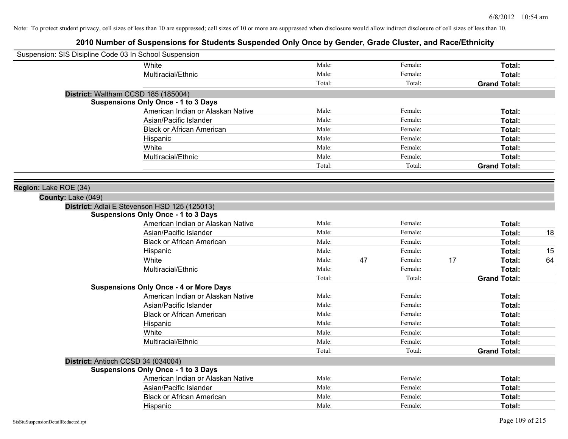| Suspension: SIS Disipline Code 03 In School Suspension |                                               |        |    |         |    |                     |    |
|--------------------------------------------------------|-----------------------------------------------|--------|----|---------|----|---------------------|----|
|                                                        | White                                         | Male:  |    | Female: |    | Total:              |    |
|                                                        | Multiracial/Ethnic                            | Male:  |    | Female: |    | Total:              |    |
|                                                        |                                               | Total: |    | Total:  |    | <b>Grand Total:</b> |    |
|                                                        | District: Waltham CCSD 185 (185004)           |        |    |         |    |                     |    |
|                                                        | <b>Suspensions Only Once - 1 to 3 Days</b>    |        |    |         |    |                     |    |
|                                                        | American Indian or Alaskan Native             | Male:  |    | Female: |    | Total:              |    |
|                                                        | Asian/Pacific Islander                        | Male:  |    | Female: |    | Total:              |    |
|                                                        | <b>Black or African American</b>              | Male:  |    | Female: |    | Total:              |    |
|                                                        | Hispanic                                      | Male:  |    | Female: |    | Total:              |    |
|                                                        | White                                         | Male:  |    | Female: |    | Total:              |    |
|                                                        | Multiracial/Ethnic                            | Male:  |    | Female: |    | Total:              |    |
|                                                        |                                               | Total: |    | Total:  |    | <b>Grand Total:</b> |    |
|                                                        |                                               |        |    |         |    |                     |    |
| Region: Lake ROE (34)                                  |                                               |        |    |         |    |                     |    |
| County: Lake (049)                                     |                                               |        |    |         |    |                     |    |
|                                                        | District: Adlai E Stevenson HSD 125 (125013)  |        |    |         |    |                     |    |
|                                                        | <b>Suspensions Only Once - 1 to 3 Days</b>    |        |    |         |    |                     |    |
|                                                        | American Indian or Alaskan Native             | Male:  |    | Female: |    | Total:              |    |
|                                                        | Asian/Pacific Islander                        | Male:  |    | Female: |    | Total:              | 18 |
|                                                        | <b>Black or African American</b>              | Male:  |    | Female: |    | Total:              |    |
|                                                        | Hispanic                                      | Male:  |    | Female: |    | Total:              | 15 |
|                                                        | White                                         | Male:  | 47 | Female: | 17 | Total:              | 64 |
|                                                        | Multiracial/Ethnic                            | Male:  |    | Female: |    | Total:              |    |
|                                                        |                                               | Total: |    | Total:  |    | <b>Grand Total:</b> |    |
|                                                        | <b>Suspensions Only Once - 4 or More Days</b> |        |    |         |    |                     |    |
|                                                        | American Indian or Alaskan Native             | Male:  |    | Female: |    | Total:              |    |
|                                                        | Asian/Pacific Islander                        | Male:  |    | Female: |    | Total:              |    |
|                                                        | <b>Black or African American</b>              | Male:  |    | Female: |    | Total:              |    |
|                                                        | Hispanic                                      | Male:  |    | Female: |    | Total:              |    |
|                                                        | White                                         | Male:  |    | Female: |    | Total:              |    |
|                                                        | Multiracial/Ethnic                            | Male:  |    | Female: |    | Total:              |    |
|                                                        |                                               | Total: |    | Total:  |    | <b>Grand Total:</b> |    |
|                                                        | District: Antioch CCSD 34 (034004)            |        |    |         |    |                     |    |
|                                                        | <b>Suspensions Only Once - 1 to 3 Days</b>    |        |    |         |    |                     |    |
|                                                        | American Indian or Alaskan Native             | Male:  |    | Female: |    | Total:              |    |
|                                                        | Asian/Pacific Islander                        | Male:  |    | Female: |    | Total:              |    |
|                                                        | <b>Black or African American</b>              | Male:  |    | Female: |    | Total:              |    |
|                                                        | Hispanic                                      | Male:  |    | Female: |    | Total:              |    |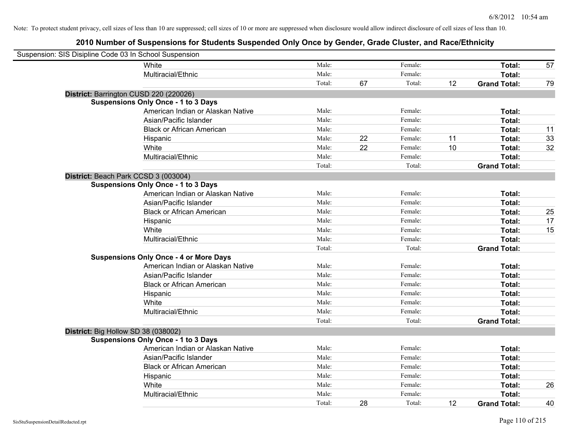| Suspension: SIS Disipline Code 03 In School Suspension |                                               |        |    |         |    |                     |    |
|--------------------------------------------------------|-----------------------------------------------|--------|----|---------|----|---------------------|----|
|                                                        | White                                         | Male:  |    | Female: |    | Total:              | 57 |
|                                                        | Multiracial/Ethnic                            | Male:  |    | Female: |    | Total:              |    |
|                                                        |                                               | Total: | 67 | Total:  | 12 | <b>Grand Total:</b> | 79 |
| District: Barrington CUSD 220 (220026)                 |                                               |        |    |         |    |                     |    |
|                                                        | <b>Suspensions Only Once - 1 to 3 Days</b>    |        |    |         |    |                     |    |
|                                                        | American Indian or Alaskan Native             | Male:  |    | Female: |    | Total:              |    |
|                                                        | Asian/Pacific Islander                        | Male:  |    | Female: |    | Total:              |    |
|                                                        | <b>Black or African American</b>              | Male:  |    | Female: |    | Total:              | 11 |
|                                                        | Hispanic                                      | Male:  | 22 | Female: | 11 | Total:              | 33 |
|                                                        | White                                         | Male:  | 22 | Female: | 10 | Total:              | 32 |
|                                                        | Multiracial/Ethnic                            | Male:  |    | Female: |    | Total:              |    |
|                                                        |                                               | Total: |    | Total:  |    | <b>Grand Total:</b> |    |
| District: Beach Park CCSD 3 (003004)                   |                                               |        |    |         |    |                     |    |
|                                                        | <b>Suspensions Only Once - 1 to 3 Days</b>    |        |    |         |    |                     |    |
|                                                        | American Indian or Alaskan Native             | Male:  |    | Female: |    | Total:              |    |
|                                                        | Asian/Pacific Islander                        | Male:  |    | Female: |    | Total:              |    |
|                                                        | <b>Black or African American</b>              | Male:  |    | Female: |    | Total:              | 25 |
|                                                        | Hispanic                                      | Male:  |    | Female: |    | Total:              | 17 |
|                                                        | White                                         | Male:  |    | Female: |    | Total:              | 15 |
|                                                        | Multiracial/Ethnic                            | Male:  |    | Female: |    | Total:              |    |
|                                                        |                                               | Total: |    | Total:  |    | <b>Grand Total:</b> |    |
|                                                        | <b>Suspensions Only Once - 4 or More Days</b> |        |    |         |    |                     |    |
|                                                        | American Indian or Alaskan Native             | Male:  |    | Female: |    | Total:              |    |
|                                                        | Asian/Pacific Islander                        | Male:  |    | Female: |    | Total:              |    |
|                                                        | <b>Black or African American</b>              | Male:  |    | Female: |    | Total:              |    |
|                                                        | Hispanic                                      | Male:  |    | Female: |    | Total:              |    |
|                                                        | White                                         | Male:  |    | Female: |    | Total:              |    |
|                                                        | Multiracial/Ethnic                            | Male:  |    | Female: |    | Total:              |    |
|                                                        |                                               | Total: |    | Total:  |    | <b>Grand Total:</b> |    |
| District: Big Hollow SD 38 (038002)                    |                                               |        |    |         |    |                     |    |
|                                                        | <b>Suspensions Only Once - 1 to 3 Days</b>    |        |    |         |    |                     |    |
|                                                        | American Indian or Alaskan Native             | Male:  |    | Female: |    | Total:              |    |
|                                                        | Asian/Pacific Islander                        | Male:  |    | Female: |    | Total:              |    |
|                                                        | <b>Black or African American</b>              | Male:  |    | Female: |    | Total:              |    |
|                                                        | Hispanic                                      | Male:  |    | Female: |    | Total:              |    |
|                                                        | White                                         | Male:  |    | Female: |    | Total:              | 26 |
|                                                        | Multiracial/Ethnic                            | Male:  |    | Female: |    | Total:              |    |
|                                                        |                                               | Total: | 28 | Total:  | 12 | <b>Grand Total:</b> | 40 |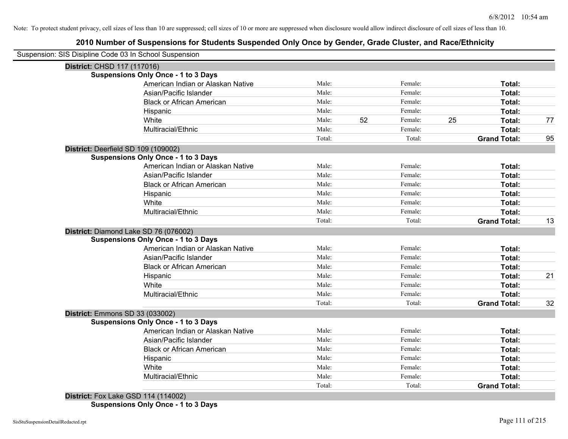# **2010 Number of Suspensions for Students Suspended Only Once by Gender, Grade Cluster, and Race/Ethnicity**

|                             | Suspension: SIS Disipline Code 03 In School Suspension |        |    |         |    |                     |    |
|-----------------------------|--------------------------------------------------------|--------|----|---------|----|---------------------|----|
| District: CHSD 117 (117016) |                                                        |        |    |         |    |                     |    |
|                             | <b>Suspensions Only Once - 1 to 3 Days</b>             |        |    |         |    |                     |    |
|                             | American Indian or Alaskan Native                      | Male:  |    | Female: |    | Total:              |    |
|                             | Asian/Pacific Islander                                 | Male:  |    | Female: |    | Total:              |    |
|                             | <b>Black or African American</b>                       | Male:  |    | Female: |    | Total:              |    |
|                             | Hispanic                                               | Male:  |    | Female: |    | Total:              |    |
|                             | White                                                  | Male:  | 52 | Female: | 25 | Total:              | 77 |
|                             | Multiracial/Ethnic                                     | Male:  |    | Female: |    | Total:              |    |
|                             |                                                        | Total: |    | Total:  |    | <b>Grand Total:</b> | 95 |
|                             | District: Deerfield SD 109 (109002)                    |        |    |         |    |                     |    |
|                             | <b>Suspensions Only Once - 1 to 3 Days</b>             |        |    |         |    |                     |    |
|                             | American Indian or Alaskan Native                      | Male:  |    | Female: |    | Total:              |    |
|                             | Asian/Pacific Islander                                 | Male:  |    | Female: |    | Total:              |    |
|                             | <b>Black or African American</b>                       | Male:  |    | Female: |    | <b>Total:</b>       |    |
|                             | Hispanic                                               | Male:  |    | Female: |    | Total:              |    |
|                             | White                                                  | Male:  |    | Female: |    | Total:              |    |
|                             | Multiracial/Ethnic                                     | Male:  |    | Female: |    | Total:              |    |
|                             |                                                        | Total: |    | Total:  |    | <b>Grand Total:</b> | 13 |
|                             | District: Diamond Lake SD 76 (076002)                  |        |    |         |    |                     |    |
|                             | <b>Suspensions Only Once - 1 to 3 Days</b>             |        |    |         |    |                     |    |
|                             | American Indian or Alaskan Native                      | Male:  |    | Female: |    | Total:              |    |
|                             | Asian/Pacific Islander                                 | Male:  |    | Female: |    | Total:              |    |
|                             | <b>Black or African American</b>                       | Male:  |    | Female: |    | Total:              |    |
|                             | Hispanic                                               | Male:  |    | Female: |    | Total:              | 21 |
|                             | White                                                  | Male:  |    | Female: |    | Total:              |    |
|                             | Multiracial/Ethnic                                     | Male:  |    | Female: |    | Total:              |    |
|                             |                                                        | Total: |    | Total:  |    | <b>Grand Total:</b> | 32 |
|                             | District: Emmons SD 33 (033002)                        |        |    |         |    |                     |    |
|                             | <b>Suspensions Only Once - 1 to 3 Days</b>             |        |    |         |    |                     |    |
|                             | American Indian or Alaskan Native                      | Male:  |    | Female: |    | Total:              |    |
|                             | Asian/Pacific Islander                                 | Male:  |    | Female: |    | <b>Total:</b>       |    |
|                             | <b>Black or African American</b>                       | Male:  |    | Female: |    | Total:              |    |
|                             | Hispanic                                               | Male:  |    | Female: |    | Total:              |    |
|                             | White                                                  | Male:  |    | Female: |    | Total:              |    |
|                             | Multiracial/Ethnic                                     | Male:  |    | Female: |    | Total:              |    |
|                             |                                                        | Total: |    | Total:  |    | <b>Grand Total:</b> |    |
|                             | <b>District:</b> Fox Lake GSD 114 (114002)             |        |    |         |    |                     |    |
|                             |                                                        |        |    |         |    |                     |    |

**Suspensions Only Once - 1 to 3 Days**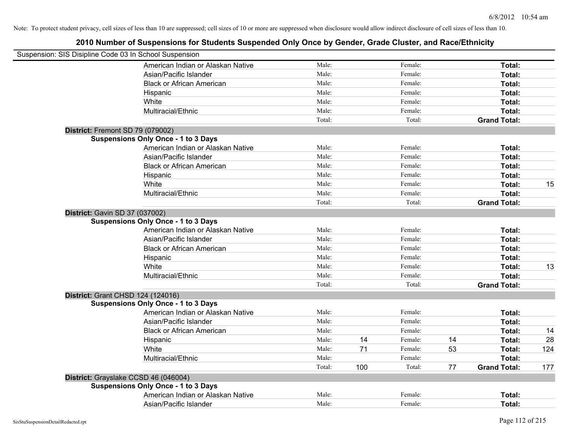| Suspension: SIS Disipline Code 03 In School Suspension |        |     |         |    |                     |     |
|--------------------------------------------------------|--------|-----|---------|----|---------------------|-----|
| American Indian or Alaskan Native                      | Male:  |     | Female: |    | Total:              |     |
| Asian/Pacific Islander                                 | Male:  |     | Female: |    | Total:              |     |
| <b>Black or African American</b>                       | Male:  |     | Female: |    | Total:              |     |
| Hispanic                                               | Male:  |     | Female: |    | Total:              |     |
| White                                                  | Male:  |     | Female: |    | Total:              |     |
| Multiracial/Ethnic                                     | Male:  |     | Female: |    | Total:              |     |
|                                                        | Total: |     | Total:  |    | <b>Grand Total:</b> |     |
| District: Fremont SD 79 (079002)                       |        |     |         |    |                     |     |
| <b>Suspensions Only Once - 1 to 3 Days</b>             |        |     |         |    |                     |     |
| American Indian or Alaskan Native                      | Male:  |     | Female: |    | Total:              |     |
| Asian/Pacific Islander                                 | Male:  |     | Female: |    | Total:              |     |
| <b>Black or African American</b>                       | Male:  |     | Female: |    | Total:              |     |
| Hispanic                                               | Male:  |     | Female: |    | Total:              |     |
| White                                                  | Male:  |     | Female: |    | Total:              | 15  |
| Multiracial/Ethnic                                     | Male:  |     | Female: |    | Total:              |     |
|                                                        | Total: |     | Total:  |    | <b>Grand Total:</b> |     |
| District: Gavin SD 37 (037002)                         |        |     |         |    |                     |     |
| <b>Suspensions Only Once - 1 to 3 Days</b>             |        |     |         |    |                     |     |
| American Indian or Alaskan Native                      | Male:  |     | Female: |    | Total:              |     |
| Asian/Pacific Islander                                 | Male:  |     | Female: |    | Total:              |     |
| <b>Black or African American</b>                       | Male:  |     | Female: |    | Total:              |     |
| Hispanic                                               | Male:  |     | Female: |    | Total:              |     |
| White                                                  | Male:  |     | Female: |    | Total:              | 13  |
| Multiracial/Ethnic                                     | Male:  |     | Female: |    | Total:              |     |
|                                                        | Total: |     | Total:  |    | <b>Grand Total:</b> |     |
| District: Grant CHSD 124 (124016)                      |        |     |         |    |                     |     |
| <b>Suspensions Only Once - 1 to 3 Days</b>             |        |     |         |    |                     |     |
| American Indian or Alaskan Native                      | Male:  |     | Female: |    | Total:              |     |
| Asian/Pacific Islander                                 | Male:  |     | Female: |    | Total:              |     |
| <b>Black or African American</b>                       | Male:  |     | Female: |    | Total:              | 14  |
| Hispanic                                               | Male:  | 14  | Female: | 14 | Total:              | 28  |
| White                                                  | Male:  | 71  | Female: | 53 | Total:              | 124 |
| Multiracial/Ethnic                                     | Male:  |     | Female: |    | Total:              |     |
|                                                        | Total: | 100 | Total:  | 77 | <b>Grand Total:</b> | 177 |
| District: Grayslake CCSD 46 (046004)                   |        |     |         |    |                     |     |
| <b>Suspensions Only Once - 1 to 3 Days</b>             |        |     |         |    |                     |     |
| American Indian or Alaskan Native                      | Male:  |     | Female: |    | <b>Total:</b>       |     |
| Asian/Pacific Islander                                 | Male:  |     | Female: |    | Total:              |     |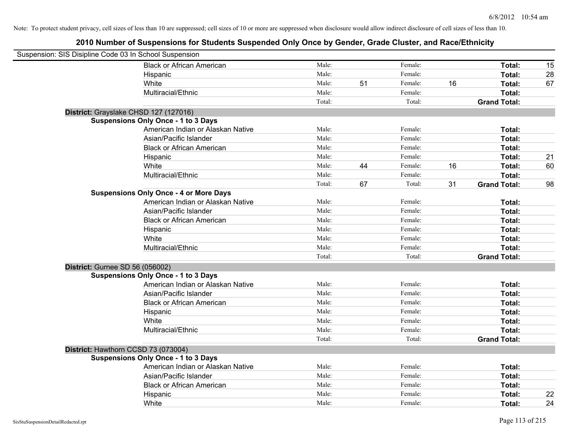| Suspension: SIS Disipline Code 03 In School Suspension |        |    |         |    |                     |    |
|--------------------------------------------------------|--------|----|---------|----|---------------------|----|
| <b>Black or African American</b>                       | Male:  |    | Female: |    | Total:              | 15 |
| Hispanic                                               | Male:  |    | Female: |    | Total:              | 28 |
| White                                                  | Male:  | 51 | Female: | 16 | Total:              | 67 |
| Multiracial/Ethnic                                     | Male:  |    | Female: |    | Total:              |    |
|                                                        | Total: |    | Total:  |    | <b>Grand Total:</b> |    |
| District: Grayslake CHSD 127 (127016)                  |        |    |         |    |                     |    |
| <b>Suspensions Only Once - 1 to 3 Days</b>             |        |    |         |    |                     |    |
| American Indian or Alaskan Native                      | Male:  |    | Female: |    | Total:              |    |
| Asian/Pacific Islander                                 | Male:  |    | Female: |    | Total:              |    |
| <b>Black or African American</b>                       | Male:  |    | Female: |    | Total:              |    |
| Hispanic                                               | Male:  |    | Female: |    | Total:              | 21 |
| White                                                  | Male:  | 44 | Female: | 16 | Total:              | 60 |
| Multiracial/Ethnic                                     | Male:  |    | Female: |    | Total:              |    |
|                                                        | Total: | 67 | Total:  | 31 | <b>Grand Total:</b> | 98 |
| <b>Suspensions Only Once - 4 or More Days</b>          |        |    |         |    |                     |    |
| American Indian or Alaskan Native                      | Male:  |    | Female: |    | Total:              |    |
| Asian/Pacific Islander                                 | Male:  |    | Female: |    | Total:              |    |
| <b>Black or African American</b>                       | Male:  |    | Female: |    | Total:              |    |
| Hispanic                                               | Male:  |    | Female: |    | Total:              |    |
| White                                                  | Male:  |    | Female: |    | Total:              |    |
| Multiracial/Ethnic                                     | Male:  |    | Female: |    | Total:              |    |
|                                                        | Total: |    | Total:  |    | <b>Grand Total:</b> |    |
| <b>District: Gurnee SD 56 (056002)</b>                 |        |    |         |    |                     |    |
| <b>Suspensions Only Once - 1 to 3 Days</b>             |        |    |         |    |                     |    |
| American Indian or Alaskan Native                      | Male:  |    | Female: |    | Total:              |    |
| Asian/Pacific Islander                                 | Male:  |    | Female: |    | Total:              |    |
| <b>Black or African American</b>                       | Male:  |    | Female: |    | Total:              |    |
| Hispanic                                               | Male:  |    | Female: |    | Total:              |    |
| White                                                  | Male:  |    | Female: |    | Total:              |    |
| Multiracial/Ethnic                                     | Male:  |    | Female: |    | Total:              |    |
|                                                        | Total: |    | Total:  |    | <b>Grand Total:</b> |    |
| District: Hawthorn CCSD 73 (073004)                    |        |    |         |    |                     |    |
| <b>Suspensions Only Once - 1 to 3 Days</b>             |        |    |         |    |                     |    |
| American Indian or Alaskan Native                      | Male:  |    | Female: |    | Total:              |    |
| Asian/Pacific Islander                                 | Male:  |    | Female: |    | Total:              |    |
| <b>Black or African American</b>                       | Male:  |    | Female: |    | Total:              |    |
| Hispanic                                               | Male:  |    | Female: |    | Total:              | 22 |
| White                                                  | Male:  |    | Female: |    | Total:              | 24 |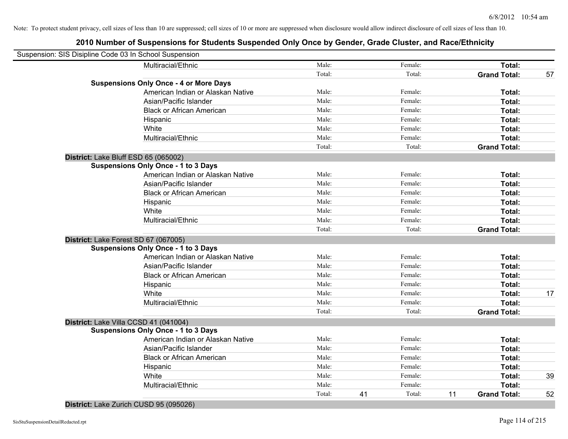# **2010 Number of Suspensions for Students Suspended Only Once by Gender, Grade Cluster, and Race/Ethnicity**

| Suspension: SIS Disipline Code 03 In School Suspension |                                               |        |    |         |    |                     |    |
|--------------------------------------------------------|-----------------------------------------------|--------|----|---------|----|---------------------|----|
|                                                        | Multiracial/Ethnic                            | Male:  |    | Female: |    | Total:              |    |
|                                                        |                                               | Total: |    | Total:  |    | <b>Grand Total:</b> | 57 |
|                                                        | <b>Suspensions Only Once - 4 or More Days</b> |        |    |         |    |                     |    |
|                                                        | American Indian or Alaskan Native             | Male:  |    | Female: |    | Total:              |    |
|                                                        | Asian/Pacific Islander                        | Male:  |    | Female: |    | Total:              |    |
|                                                        | <b>Black or African American</b>              | Male:  |    | Female: |    | Total:              |    |
|                                                        | Hispanic                                      | Male:  |    | Female: |    | Total:              |    |
|                                                        | White                                         | Male:  |    | Female: |    | Total:              |    |
|                                                        | Multiracial/Ethnic                            | Male:  |    | Female: |    | Total:              |    |
|                                                        |                                               | Total: |    | Total:  |    | <b>Grand Total:</b> |    |
| District: Lake Bluff ESD 65 (065002)                   |                                               |        |    |         |    |                     |    |
|                                                        | <b>Suspensions Only Once - 1 to 3 Days</b>    |        |    |         |    |                     |    |
|                                                        | American Indian or Alaskan Native             | Male:  |    | Female: |    | Total:              |    |
|                                                        | Asian/Pacific Islander                        | Male:  |    | Female: |    | Total:              |    |
|                                                        | <b>Black or African American</b>              | Male:  |    | Female: |    | Total:              |    |
|                                                        | Hispanic                                      | Male:  |    | Female: |    | Total:              |    |
|                                                        | White                                         | Male:  |    | Female: |    | Total:              |    |
|                                                        | Multiracial/Ethnic                            | Male:  |    | Female: |    | Total:              |    |
|                                                        |                                               | Total: |    | Total:  |    | <b>Grand Total:</b> |    |
| District: Lake Forest SD 67 (067005)                   |                                               |        |    |         |    |                     |    |
|                                                        | <b>Suspensions Only Once - 1 to 3 Days</b>    |        |    |         |    |                     |    |
|                                                        | American Indian or Alaskan Native             | Male:  |    | Female: |    | Total:              |    |
|                                                        | Asian/Pacific Islander                        | Male:  |    | Female: |    | Total:              |    |
|                                                        | <b>Black or African American</b>              | Male:  |    | Female: |    | Total:              |    |
|                                                        | Hispanic                                      | Male:  |    | Female: |    | Total:              |    |
|                                                        | White                                         | Male:  |    | Female: |    | Total:              | 17 |
|                                                        | Multiracial/Ethnic                            | Male:  |    | Female: |    | <b>Total:</b>       |    |
|                                                        |                                               | Total: |    | Total:  |    | <b>Grand Total:</b> |    |
| District: Lake Villa CCSD 41 (041004)                  |                                               |        |    |         |    |                     |    |
|                                                        | <b>Suspensions Only Once - 1 to 3 Days</b>    |        |    |         |    |                     |    |
|                                                        | American Indian or Alaskan Native             | Male:  |    | Female: |    | Total:              |    |
|                                                        | Asian/Pacific Islander                        | Male:  |    | Female: |    | Total:              |    |
|                                                        | <b>Black or African American</b>              | Male:  |    | Female: |    | Total:              |    |
|                                                        | Hispanic                                      | Male:  |    | Female: |    | Total:              |    |
|                                                        | White                                         | Male:  |    | Female: |    | Total:              | 39 |
|                                                        | Multiracial/Ethnic                            | Male:  |    | Female: |    | Total:              |    |
|                                                        |                                               | Total: | 41 | Total:  | 11 | <b>Grand Total:</b> | 52 |

**District:** Lake Zurich CUSD 95 (095026)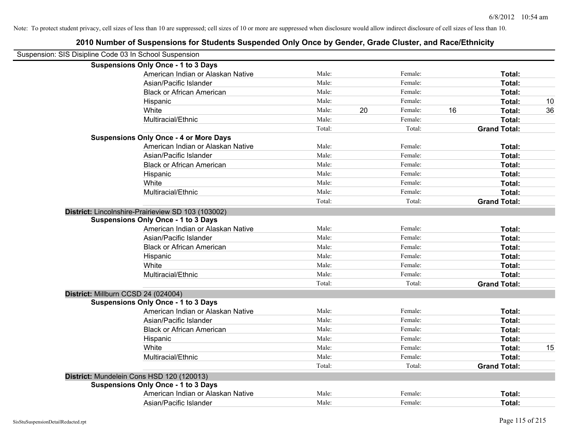| 2010 Number of Suspensions for Students Suspended Only Once by Gender, Grade Cluster, and Race/Ethnicity |        |               |                     |    |
|----------------------------------------------------------------------------------------------------------|--------|---------------|---------------------|----|
| Suspension: SIS Disipline Code 03 In School Suspension                                                   |        |               |                     |    |
| <b>Suspensions Only Once - 1 to 3 Days</b>                                                               |        |               |                     |    |
| American Indian or Alaskan Native                                                                        | Male:  | Female:       | Total:              |    |
| Asian/Pacific Islander                                                                                   | Male:  | Female:       | Total:              |    |
| <b>Black or African American</b>                                                                         | Male:  | Female:       | Total:              |    |
| Hispanic                                                                                                 | Male:  | Female:       | Total:              | 10 |
| White                                                                                                    | Male:  | 20<br>Female: | 16<br>Total:        | 36 |
| Multiracial/Ethnic                                                                                       | Male:  | Female:       | Total:              |    |
|                                                                                                          | Total: | Total:        | <b>Grand Total:</b> |    |
| <b>Suspensions Only Once - 4 or More Days</b>                                                            |        |               |                     |    |
| American Indian or Alaskan Native                                                                        | Male:  | Female:       | Total:              |    |
| Asian/Pacific Islander                                                                                   | Male:  | Female:       | Total:              |    |
| <b>Black or African American</b>                                                                         | Male:  | Female:       | Total:              |    |
| Hispanic                                                                                                 | Male:  | Female:       | Total:              |    |
| White                                                                                                    | Male:  | Female:       | Total:              |    |
| Multiracial/Ethnic                                                                                       | Male:  | Female:       | Total:              |    |
|                                                                                                          | Total: | Total:        | <b>Grand Total:</b> |    |
| District: Lincolnshire-Prairieview SD 103 (103002)                                                       |        |               |                     |    |
| <b>Suspensions Only Once - 1 to 3 Days</b>                                                               |        |               |                     |    |
| American Indian or Alaskan Native                                                                        | Male:  | Female:       | Total:              |    |
| Asian/Pacific Islander                                                                                   | Male:  | Female:       | Total:              |    |
| <b>Black or African American</b>                                                                         | Male:  | Female:       | Total:              |    |
| Hispanic                                                                                                 | Male:  | Female:       | Total:              |    |
| White                                                                                                    | Male:  | Female:       | Total:              |    |
| Multiracial/Ethnic                                                                                       | Male:  | Female:       | Total:              |    |
|                                                                                                          | Total: | Total:        | <b>Grand Total:</b> |    |
| District: Millburn CCSD 24 (024004)                                                                      |        |               |                     |    |
| <b>Suspensions Only Once - 1 to 3 Days</b>                                                               |        |               |                     |    |
| American Indian or Alaskan Native                                                                        | Male:  | Female:       | Total:              |    |
| Asian/Pacific Islander                                                                                   | Male:  | Female:       | Total:              |    |
| <b>Black or African American</b>                                                                         | Male:  | Female:       | Total:              |    |
| Hispanic                                                                                                 | Male:  | Female:       | Total:              |    |
| White                                                                                                    | Male:  | Female:       | Total:              | 15 |
| Multiracial/Ethnic                                                                                       | Male:  | Female:       | Total:              |    |
|                                                                                                          | Total: | Total:        | <b>Grand Total:</b> |    |
| District: Mundelein Cons HSD 120 (120013)                                                                |        |               |                     |    |
| <b>Suspensions Only Once - 1 to 3 Days</b>                                                               |        |               |                     |    |
| American Indian or Alaskan Native                                                                        | Male:  | Female:       | Total:              |    |
| Asian/Pacific Islander                                                                                   | Male:  | Female:       | Total:              |    |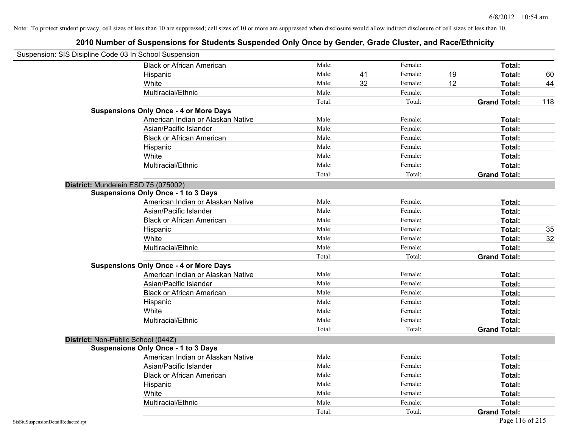| Suspension: SIS Disipline Code 03 In School Suspension |                                               |        |    |         |    |                     |     |
|--------------------------------------------------------|-----------------------------------------------|--------|----|---------|----|---------------------|-----|
|                                                        | <b>Black or African American</b>              | Male:  |    | Female: |    | Total:              |     |
|                                                        | Hispanic                                      | Male:  | 41 | Female: | 19 | Total:              | 60  |
|                                                        | White                                         | Male:  | 32 | Female: | 12 | Total:              | 44  |
|                                                        | Multiracial/Ethnic                            | Male:  |    | Female: |    | Total:              |     |
|                                                        |                                               | Total: |    | Total:  |    | <b>Grand Total:</b> | 118 |
|                                                        | <b>Suspensions Only Once - 4 or More Days</b> |        |    |         |    |                     |     |
|                                                        | American Indian or Alaskan Native             | Male:  |    | Female: |    | Total:              |     |
|                                                        | Asian/Pacific Islander                        | Male:  |    | Female: |    | Total:              |     |
|                                                        | <b>Black or African American</b>              | Male:  |    | Female: |    | Total:              |     |
|                                                        | Hispanic                                      | Male:  |    | Female: |    | Total:              |     |
|                                                        | White                                         | Male:  |    | Female: |    | Total:              |     |
|                                                        | Multiracial/Ethnic                            | Male:  |    | Female: |    | Total:              |     |
|                                                        |                                               | Total: |    | Total:  |    | <b>Grand Total:</b> |     |
|                                                        | District: Mundelein ESD 75 (075002)           |        |    |         |    |                     |     |
|                                                        | <b>Suspensions Only Once - 1 to 3 Days</b>    |        |    |         |    |                     |     |
|                                                        | American Indian or Alaskan Native             | Male:  |    | Female: |    | Total:              |     |
|                                                        | Asian/Pacific Islander                        | Male:  |    | Female: |    | Total:              |     |
|                                                        | <b>Black or African American</b>              | Male:  |    | Female: |    | Total:              |     |
|                                                        | Hispanic                                      | Male:  |    | Female: |    | Total:              | 35  |
|                                                        | White                                         | Male:  |    | Female: |    | Total:              | 32  |
|                                                        | Multiracial/Ethnic                            | Male:  |    | Female: |    | Total:              |     |
|                                                        |                                               | Total: |    | Total:  |    | <b>Grand Total:</b> |     |
|                                                        | <b>Suspensions Only Once - 4 or More Days</b> |        |    |         |    |                     |     |
|                                                        | American Indian or Alaskan Native             | Male:  |    | Female: |    | Total:              |     |
|                                                        | Asian/Pacific Islander                        | Male:  |    | Female: |    | Total:              |     |
|                                                        | <b>Black or African American</b>              | Male:  |    | Female: |    | Total:              |     |
|                                                        | Hispanic                                      | Male:  |    | Female: |    | Total:              |     |
|                                                        | White                                         | Male:  |    | Female: |    | Total:              |     |
|                                                        | Multiracial/Ethnic                            | Male:  |    | Female: |    | Total:              |     |
|                                                        |                                               | Total: |    | Total:  |    | <b>Grand Total:</b> |     |
|                                                        | District: Non-Public School (044Z)            |        |    |         |    |                     |     |
|                                                        | <b>Suspensions Only Once - 1 to 3 Days</b>    |        |    |         |    |                     |     |
|                                                        | American Indian or Alaskan Native             | Male:  |    | Female: |    | Total:              |     |
|                                                        | Asian/Pacific Islander                        | Male:  |    | Female: |    | Total:              |     |
|                                                        | <b>Black or African American</b>              | Male:  |    | Female: |    | Total:              |     |
|                                                        | Hispanic                                      | Male:  |    | Female: |    | Total:              |     |
|                                                        | White                                         | Male:  |    | Female: |    | Total:              |     |
|                                                        | Multiracial/Ethnic                            | Male:  |    | Female: |    | Total:              |     |
|                                                        |                                               | Total: |    | Total:  |    | <b>Grand Total:</b> |     |
| SisStuSuspensionDetailRedacted.rpt                     |                                               |        |    |         |    | Page 116 of 215     |     |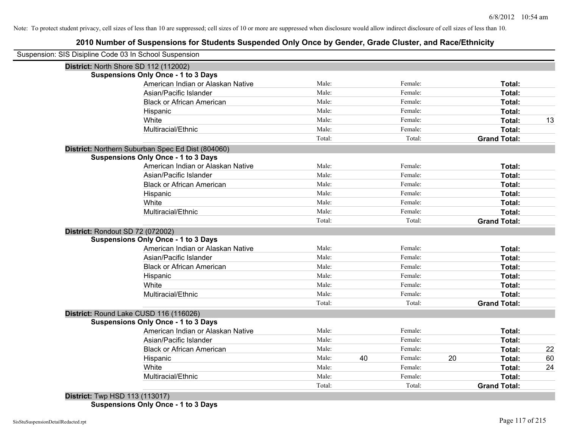# **2010 Number of Suspensions for Students Suspended Only Once by Gender, Grade Cluster, and Race/Ethnicity**

| Suspension: SIS Disipline Code 03 In School Suspension |        |    |         |    |                     |  |
|--------------------------------------------------------|--------|----|---------|----|---------------------|--|
| District: North Shore SD 112 (112002)                  |        |    |         |    |                     |  |
| <b>Suspensions Only Once - 1 to 3 Days</b>             |        |    |         |    |                     |  |
| American Indian or Alaskan Native                      | Male:  |    | Female: |    | Total:              |  |
| Asian/Pacific Islander                                 | Male:  |    | Female: |    | Total:              |  |
| <b>Black or African American</b>                       | Male:  |    | Female: |    | Total:              |  |
| Hispanic                                               | Male:  |    | Female: |    | Total:              |  |
| White                                                  | Male:  |    | Female: |    | Total:              |  |
| Multiracial/Ethnic                                     | Male:  |    | Female: |    | Total:              |  |
|                                                        | Total: |    | Total:  |    | <b>Grand Total:</b> |  |
| District: Northern Suburban Spec Ed Dist (804060)      |        |    |         |    |                     |  |
| <b>Suspensions Only Once - 1 to 3 Days</b>             |        |    |         |    |                     |  |
| American Indian or Alaskan Native                      | Male:  |    | Female: |    | Total:              |  |
| Asian/Pacific Islander                                 | Male:  |    | Female: |    | Total:              |  |
| <b>Black or African American</b>                       | Male:  |    | Female: |    | Total:              |  |
| Hispanic                                               | Male:  |    | Female: |    | Total:              |  |
| White                                                  | Male:  |    | Female: |    | Total:              |  |
| Multiracial/Ethnic                                     | Male:  |    | Female: |    | Total:              |  |
|                                                        | Total: |    | Total:  |    | <b>Grand Total:</b> |  |
| District: Rondout SD 72 (072002)                       |        |    |         |    |                     |  |
| <b>Suspensions Only Once - 1 to 3 Days</b>             |        |    |         |    |                     |  |
| American Indian or Alaskan Native                      | Male:  |    | Female: |    | Total:              |  |
| Asian/Pacific Islander                                 | Male:  |    | Female: |    | Total:              |  |
| <b>Black or African American</b>                       | Male:  |    | Female: |    | Total:              |  |
| Hispanic                                               | Male:  |    | Female: |    | Total:              |  |
| White                                                  | Male:  |    | Female: |    | Total:              |  |
| Multiracial/Ethnic                                     | Male:  |    | Female: |    | Total:              |  |
|                                                        | Total: |    | Total:  |    | <b>Grand Total:</b> |  |
| District: Round Lake CUSD 116 (116026)                 |        |    |         |    |                     |  |
| <b>Suspensions Only Once - 1 to 3 Days</b>             |        |    |         |    |                     |  |
| American Indian or Alaskan Native                      | Male:  |    | Female: |    | Total:              |  |
| Asian/Pacific Islander                                 | Male:  |    | Female: |    | Total:              |  |
| <b>Black or African American</b>                       | Male:  |    | Female: |    | Total:              |  |
| Hispanic                                               | Male:  | 40 | Female: | 20 | Total:              |  |
| White                                                  | Male:  |    | Female: |    | Total:              |  |
| Multiracial/Ethnic                                     | Male:  |    | Female: |    | Total:              |  |
|                                                        | Total: |    | Total:  |    | <b>Grand Total:</b> |  |

**Suspensions Only Once - 1 to 3 Days**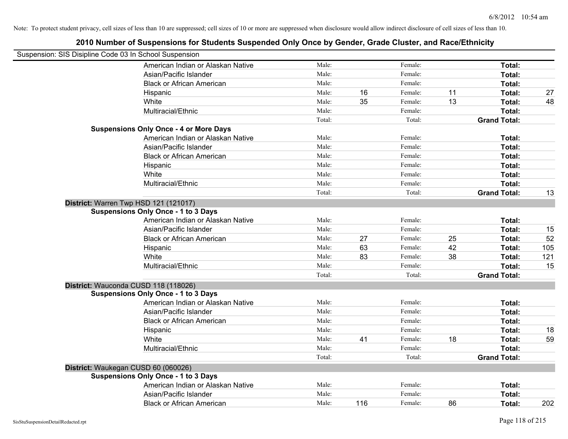| Suspension: SIS Disipline Code 03 In School Suspension |                                               |        |     |         |    |                     |     |
|--------------------------------------------------------|-----------------------------------------------|--------|-----|---------|----|---------------------|-----|
|                                                        | American Indian or Alaskan Native             | Male:  |     | Female: |    | Total:              |     |
|                                                        | Asian/Pacific Islander                        | Male:  |     | Female: |    | Total:              |     |
|                                                        | <b>Black or African American</b>              | Male:  |     | Female: |    | Total:              |     |
|                                                        | Hispanic                                      | Male:  | 16  | Female: | 11 | Total:              | 27  |
|                                                        | White                                         | Male:  | 35  | Female: | 13 | Total:              | 48  |
|                                                        | Multiracial/Ethnic                            | Male:  |     | Female: |    | Total:              |     |
|                                                        |                                               | Total: |     | Total:  |    | <b>Grand Total:</b> |     |
|                                                        | <b>Suspensions Only Once - 4 or More Days</b> |        |     |         |    |                     |     |
|                                                        | American Indian or Alaskan Native             | Male:  |     | Female: |    | Total:              |     |
|                                                        | Asian/Pacific Islander                        | Male:  |     | Female: |    | Total:              |     |
|                                                        | <b>Black or African American</b>              | Male:  |     | Female: |    | Total:              |     |
|                                                        | Hispanic                                      | Male:  |     | Female: |    | Total:              |     |
|                                                        | White                                         | Male:  |     | Female: |    | Total:              |     |
|                                                        | Multiracial/Ethnic                            | Male:  |     | Female: |    | Total:              |     |
|                                                        |                                               | Total: |     | Total:  |    | <b>Grand Total:</b> | 13  |
|                                                        | District: Warren Twp HSD 121 (121017)         |        |     |         |    |                     |     |
|                                                        | <b>Suspensions Only Once - 1 to 3 Days</b>    |        |     |         |    |                     |     |
|                                                        | American Indian or Alaskan Native             | Male:  |     | Female: |    | Total:              |     |
|                                                        | Asian/Pacific Islander                        | Male:  |     | Female: |    | Total:              | 15  |
|                                                        | <b>Black or African American</b>              | Male:  | 27  | Female: | 25 | Total:              | 52  |
|                                                        | Hispanic                                      | Male:  | 63  | Female: | 42 | Total:              | 105 |
|                                                        | White                                         | Male:  | 83  | Female: | 38 | Total:              | 121 |
|                                                        | Multiracial/Ethnic                            | Male:  |     | Female: |    | Total:              | 15  |
|                                                        |                                               | Total: |     | Total:  |    | <b>Grand Total:</b> |     |
|                                                        | District: Wauconda CUSD 118 (118026)          |        |     |         |    |                     |     |
|                                                        | <b>Suspensions Only Once - 1 to 3 Days</b>    |        |     |         |    |                     |     |
|                                                        | American Indian or Alaskan Native             | Male:  |     | Female: |    | Total:              |     |
|                                                        | Asian/Pacific Islander                        | Male:  |     | Female: |    | Total:              |     |
|                                                        | <b>Black or African American</b>              | Male:  |     | Female: |    | Total:              |     |
|                                                        | Hispanic                                      | Male:  |     | Female: |    | Total:              | 18  |
|                                                        | White                                         | Male:  | 41  | Female: | 18 | Total:              | 59  |
|                                                        | Multiracial/Ethnic                            | Male:  |     | Female: |    | Total:              |     |
|                                                        |                                               | Total: |     | Total:  |    | <b>Grand Total:</b> |     |
| District: Waukegan CUSD 60 (060026)                    |                                               |        |     |         |    |                     |     |
|                                                        | <b>Suspensions Only Once - 1 to 3 Days</b>    |        |     |         |    |                     |     |
|                                                        | American Indian or Alaskan Native             | Male:  |     | Female: |    | Total:              |     |
|                                                        | Asian/Pacific Islander                        | Male:  |     | Female: |    | Total:              |     |
|                                                        | <b>Black or African American</b>              | Male:  | 116 | Female: | 86 | Total:              | 202 |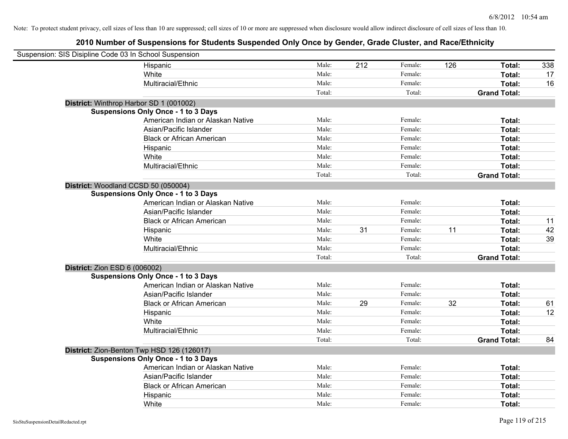| Suspension: SIS Disipline Code 03 In School Suspension |                                            |        |     |         |     |                     |     |
|--------------------------------------------------------|--------------------------------------------|--------|-----|---------|-----|---------------------|-----|
|                                                        | Hispanic                                   | Male:  | 212 | Female: | 126 | Total:              | 338 |
|                                                        | White                                      | Male:  |     | Female: |     | Total:              | 17  |
|                                                        | Multiracial/Ethnic                         | Male:  |     | Female: |     | Total:              | 16  |
|                                                        |                                            | Total: |     | Total:  |     | <b>Grand Total:</b> |     |
| District: Winthrop Harbor SD 1 (001002)                |                                            |        |     |         |     |                     |     |
|                                                        | <b>Suspensions Only Once - 1 to 3 Days</b> |        |     |         |     |                     |     |
|                                                        | American Indian or Alaskan Native          | Male:  |     | Female: |     | Total:              |     |
|                                                        | Asian/Pacific Islander                     | Male:  |     | Female: |     | Total:              |     |
|                                                        | <b>Black or African American</b>           | Male:  |     | Female: |     | Total:              |     |
|                                                        | Hispanic                                   | Male:  |     | Female: |     | Total:              |     |
|                                                        | White                                      | Male:  |     | Female: |     | Total:              |     |
|                                                        | Multiracial/Ethnic                         | Male:  |     | Female: |     | Total:              |     |
|                                                        |                                            | Total: |     | Total:  |     | <b>Grand Total:</b> |     |
| District: Woodland CCSD 50 (050004)                    |                                            |        |     |         |     |                     |     |
|                                                        | <b>Suspensions Only Once - 1 to 3 Days</b> |        |     |         |     |                     |     |
|                                                        | American Indian or Alaskan Native          | Male:  |     | Female: |     | Total:              |     |
|                                                        | Asian/Pacific Islander                     | Male:  |     | Female: |     | Total:              |     |
|                                                        | <b>Black or African American</b>           | Male:  |     | Female: |     | Total:              | 11  |
|                                                        | Hispanic                                   | Male:  | 31  | Female: | 11  | Total:              | 42  |
|                                                        | White                                      | Male:  |     | Female: |     | Total:              | 39  |
|                                                        | Multiracial/Ethnic                         | Male:  |     | Female: |     | Total:              |     |
|                                                        |                                            | Total: |     | Total:  |     | <b>Grand Total:</b> |     |
| <b>District: Zion ESD 6 (006002)</b>                   |                                            |        |     |         |     |                     |     |
|                                                        | <b>Suspensions Only Once - 1 to 3 Days</b> |        |     |         |     |                     |     |
|                                                        | American Indian or Alaskan Native          | Male:  |     | Female: |     | Total:              |     |
|                                                        | Asian/Pacific Islander                     | Male:  |     | Female: |     | Total:              |     |
|                                                        | <b>Black or African American</b>           | Male:  | 29  | Female: | 32  | Total:              | 61  |
|                                                        | Hispanic                                   | Male:  |     | Female: |     | Total:              | 12  |
|                                                        | White                                      | Male:  |     | Female: |     | Total:              |     |
|                                                        | Multiracial/Ethnic                         | Male:  |     | Female: |     | Total:              |     |
|                                                        |                                            | Total: |     | Total:  |     | <b>Grand Total:</b> | 84  |
|                                                        | District: Zion-Benton Twp HSD 126 (126017) |        |     |         |     |                     |     |
|                                                        | <b>Suspensions Only Once - 1 to 3 Days</b> |        |     |         |     |                     |     |
|                                                        | American Indian or Alaskan Native          | Male:  |     | Female: |     | Total:              |     |
|                                                        | Asian/Pacific Islander                     | Male:  |     | Female: |     | Total:              |     |
|                                                        | <b>Black or African American</b>           | Male:  |     | Female: |     | Total:              |     |
|                                                        | Hispanic                                   | Male:  |     | Female: |     | Total:              |     |
|                                                        | White                                      | Male:  |     | Female: |     | Total:              |     |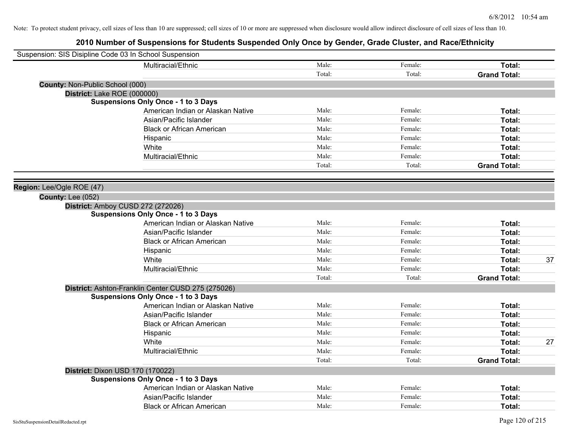|                                 | Suspension: SIS Disipline Code 03 In School Suspension |        |         |                     |    |
|---------------------------------|--------------------------------------------------------|--------|---------|---------------------|----|
|                                 | Multiracial/Ethnic                                     | Male:  | Female: | Total:              |    |
|                                 |                                                        | Total: | Total:  | <b>Grand Total:</b> |    |
| County: Non-Public School (000) |                                                        |        |         |                     |    |
|                                 | District: Lake ROE (000000)                            |        |         |                     |    |
|                                 | <b>Suspensions Only Once - 1 to 3 Days</b>             |        |         |                     |    |
|                                 | American Indian or Alaskan Native                      | Male:  | Female: | Total:              |    |
|                                 | Asian/Pacific Islander                                 | Male:  | Female: | Total:              |    |
|                                 | <b>Black or African American</b>                       | Male:  | Female: | Total:              |    |
|                                 | Hispanic                                               | Male:  | Female: | Total:              |    |
|                                 | White                                                  | Male:  | Female: | Total:              |    |
|                                 | Multiracial/Ethnic                                     | Male:  | Female: | Total:              |    |
|                                 |                                                        | Total: | Total:  | <b>Grand Total:</b> |    |
|                                 |                                                        |        |         |                     |    |
| Region: Lee/Ogle ROE (47)       |                                                        |        |         |                     |    |
| County: Lee (052)               |                                                        |        |         |                     |    |
|                                 | District: Amboy CUSD 272 (272026)                      |        |         |                     |    |
|                                 | <b>Suspensions Only Once - 1 to 3 Days</b>             |        |         |                     |    |
|                                 | American Indian or Alaskan Native                      | Male:  | Female: | Total:              |    |
|                                 | Asian/Pacific Islander                                 | Male:  | Female: | Total:              |    |
|                                 | <b>Black or African American</b>                       | Male:  | Female: | Total:              |    |
|                                 | Hispanic                                               | Male:  | Female: | Total:              |    |
|                                 | White                                                  | Male:  | Female: | Total:              | 37 |
|                                 | Multiracial/Ethnic                                     | Male:  | Female: | Total:              |    |
|                                 |                                                        | Total: | Total:  | <b>Grand Total:</b> |    |
|                                 | District: Ashton-Franklin Center CUSD 275 (275026)     |        |         |                     |    |
|                                 | <b>Suspensions Only Once - 1 to 3 Days</b>             |        |         |                     |    |
|                                 | American Indian or Alaskan Native                      | Male:  | Female: | Total:              |    |
|                                 | Asian/Pacific Islander                                 | Male:  | Female: | Total:              |    |
|                                 | <b>Black or African American</b>                       | Male:  | Female: | Total:              |    |
|                                 | Hispanic                                               | Male:  | Female: | Total:              |    |
|                                 | White                                                  | Male:  | Female: | Total:              | 27 |
|                                 | Multiracial/Ethnic                                     | Male:  | Female: | Total:              |    |
|                                 |                                                        | Total: | Total:  | <b>Grand Total:</b> |    |
|                                 | District: Dixon USD 170 (170022)                       |        |         |                     |    |
|                                 | <b>Suspensions Only Once - 1 to 3 Days</b>             |        |         |                     |    |
|                                 | American Indian or Alaskan Native                      | Male:  | Female: | Total:              |    |
|                                 | Asian/Pacific Islander                                 | Male:  | Female: | Total:              |    |
|                                 | <b>Black or African American</b>                       | Male:  | Female: | Total:              |    |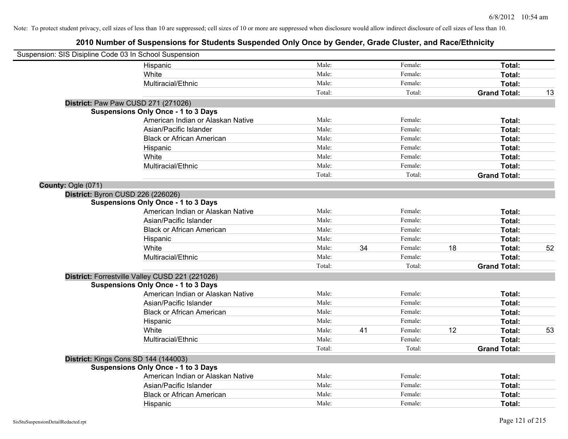| Suspension: SIS Disipline Code 03 In School Suspension |                                                 |        |    |         |    |                     |    |
|--------------------------------------------------------|-------------------------------------------------|--------|----|---------|----|---------------------|----|
|                                                        | Hispanic                                        | Male:  |    | Female: |    | Total:              |    |
|                                                        | White                                           | Male:  |    | Female: |    | Total:              |    |
|                                                        | Multiracial/Ethnic                              | Male:  |    | Female: |    | Total:              |    |
|                                                        |                                                 | Total: |    | Total:  |    | <b>Grand Total:</b> | 13 |
|                                                        | District: Paw Paw CUSD 271 (271026)             |        |    |         |    |                     |    |
|                                                        | <b>Suspensions Only Once - 1 to 3 Days</b>      |        |    |         |    |                     |    |
|                                                        | American Indian or Alaskan Native               | Male:  |    | Female: |    | Total:              |    |
|                                                        | Asian/Pacific Islander                          | Male:  |    | Female: |    | Total:              |    |
|                                                        | <b>Black or African American</b>                | Male:  |    | Female: |    | Total:              |    |
|                                                        | Hispanic                                        | Male:  |    | Female: |    | Total:              |    |
|                                                        | White                                           | Male:  |    | Female: |    | Total:              |    |
|                                                        | Multiracial/Ethnic                              | Male:  |    | Female: |    | Total:              |    |
|                                                        |                                                 | Total: |    | Total:  |    | <b>Grand Total:</b> |    |
| County: Ogle (071)                                     |                                                 |        |    |         |    |                     |    |
|                                                        | District: Byron CUSD 226 (226026)               |        |    |         |    |                     |    |
|                                                        | <b>Suspensions Only Once - 1 to 3 Days</b>      |        |    |         |    |                     |    |
|                                                        | American Indian or Alaskan Native               | Male:  |    | Female: |    | Total:              |    |
|                                                        | Asian/Pacific Islander                          | Male:  |    | Female: |    | Total:              |    |
|                                                        | <b>Black or African American</b>                | Male:  |    | Female: |    | Total:              |    |
|                                                        | Hispanic                                        | Male:  |    | Female: |    | Total:              |    |
|                                                        | White                                           | Male:  | 34 | Female: | 18 | Total:              | 52 |
|                                                        | Multiracial/Ethnic                              | Male:  |    | Female: |    | Total:              |    |
|                                                        |                                                 | Total: |    | Total:  |    | <b>Grand Total:</b> |    |
|                                                        | District: Forrestville Valley CUSD 221 (221026) |        |    |         |    |                     |    |
|                                                        | <b>Suspensions Only Once - 1 to 3 Days</b>      |        |    |         |    |                     |    |
|                                                        | American Indian or Alaskan Native               | Male:  |    | Female: |    | Total:              |    |
|                                                        | Asian/Pacific Islander                          | Male:  |    | Female: |    | Total:              |    |
|                                                        | <b>Black or African American</b>                | Male:  |    | Female: |    | Total:              |    |
|                                                        | Hispanic                                        | Male:  |    | Female: |    | Total:              |    |
|                                                        | White                                           | Male:  | 41 | Female: | 12 | Total:              | 53 |
|                                                        | Multiracial/Ethnic                              | Male:  |    | Female: |    | Total:              |    |
|                                                        |                                                 | Total: |    | Total:  |    | <b>Grand Total:</b> |    |
|                                                        | District: Kings Cons SD 144 (144003)            |        |    |         |    |                     |    |
|                                                        | <b>Suspensions Only Once - 1 to 3 Days</b>      |        |    |         |    |                     |    |
|                                                        | American Indian or Alaskan Native               | Male:  |    | Female: |    | Total:              |    |
|                                                        | Asian/Pacific Islander                          | Male:  |    | Female: |    | Total:              |    |
|                                                        | <b>Black or African American</b>                | Male:  |    | Female: |    | Total:              |    |
|                                                        | Hispanic                                        | Male:  |    | Female: |    | Total:              |    |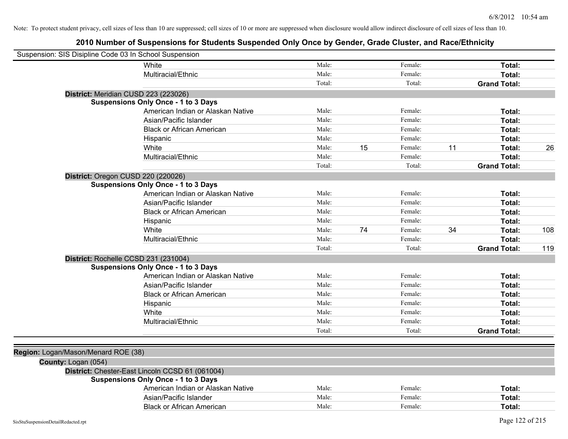| Suspension: SIS Disipline Code 03 In School Suspension |                                   |        |    |         |    |                     |     |
|--------------------------------------------------------|-----------------------------------|--------|----|---------|----|---------------------|-----|
| White                                                  |                                   | Male:  |    | Female: |    | Total:              |     |
| Multiracial/Ethnic                                     |                                   | Male:  |    | Female: |    | Total:              |     |
|                                                        |                                   | Total: |    | Total:  |    | <b>Grand Total:</b> |     |
| District: Meridian CUSD 223 (223026)                   |                                   |        |    |         |    |                     |     |
| <b>Suspensions Only Once - 1 to 3 Days</b>             |                                   |        |    |         |    |                     |     |
|                                                        | American Indian or Alaskan Native | Male:  |    | Female: |    | Total:              |     |
| Asian/Pacific Islander                                 |                                   | Male:  |    | Female: |    | Total:              |     |
|                                                        | <b>Black or African American</b>  | Male:  |    | Female: |    | Total:              |     |
| Hispanic                                               |                                   | Male:  |    | Female: |    | Total:              |     |
| White                                                  |                                   | Male:  | 15 | Female: | 11 | Total:              | 26  |
| Multiracial/Ethnic                                     |                                   | Male:  |    | Female: |    | Total:              |     |
|                                                        |                                   | Total: |    | Total:  |    | <b>Grand Total:</b> |     |
| District: Oregon CUSD 220 (220026)                     |                                   |        |    |         |    |                     |     |
| <b>Suspensions Only Once - 1 to 3 Days</b>             |                                   |        |    |         |    |                     |     |
|                                                        | American Indian or Alaskan Native | Male:  |    | Female: |    | Total:              |     |
| Asian/Pacific Islander                                 |                                   | Male:  |    | Female: |    | Total:              |     |
|                                                        | <b>Black or African American</b>  | Male:  |    | Female: |    | Total:              |     |
| Hispanic                                               |                                   | Male:  |    | Female: |    | Total:              |     |
| White                                                  |                                   | Male:  | 74 | Female: | 34 | Total:              | 108 |
| Multiracial/Ethnic                                     |                                   | Male:  |    | Female: |    | Total:              |     |
|                                                        |                                   | Total: |    | Total:  |    | <b>Grand Total:</b> | 119 |
| District: Rochelle CCSD 231 (231004)                   |                                   |        |    |         |    |                     |     |
| <b>Suspensions Only Once - 1 to 3 Days</b>             |                                   |        |    |         |    |                     |     |
|                                                        | American Indian or Alaskan Native | Male:  |    | Female: |    | Total:              |     |
| Asian/Pacific Islander                                 |                                   | Male:  |    | Female: |    | Total:              |     |
|                                                        | <b>Black or African American</b>  | Male:  |    | Female: |    | Total:              |     |
| Hispanic                                               |                                   | Male:  |    | Female: |    | Total:              |     |
| White                                                  |                                   | Male:  |    | Female: |    | Total:              |     |
| Multiracial/Ethnic                                     |                                   | Male:  |    | Female: |    | Total:              |     |
|                                                        |                                   | Total: |    | Total:  |    | <b>Grand Total:</b> |     |
|                                                        |                                   |        |    |         |    |                     |     |
| Region: Logan/Mason/Menard ROE (38)                    |                                   |        |    |         |    |                     |     |
| County: Logan (054)                                    |                                   |        |    |         |    |                     |     |
| District: Chester-East Lincoln CCSD 61 (061004)        |                                   |        |    |         |    |                     |     |
| <b>Suspensions Only Once - 1 to 3 Days</b>             |                                   |        |    |         |    |                     |     |
|                                                        | American Indian or Alaskan Native | Male:  |    | Female: |    | Total:              |     |
| Asian/Pacific Islander                                 |                                   | Male:  |    | Female: |    | Total:              |     |
|                                                        | <b>Black or African American</b>  | Male:  |    | Female: |    | Total:              |     |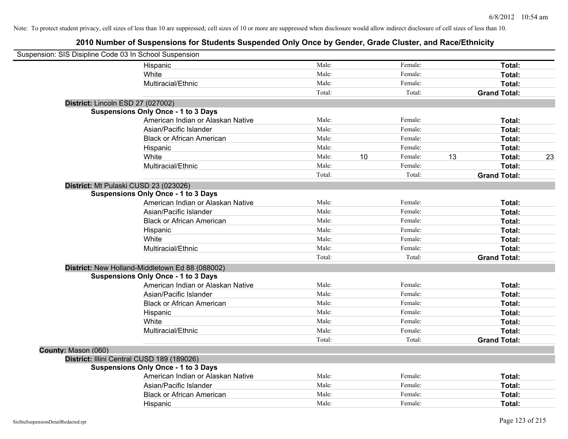| Suspension: SIS Disipline Code 03 In School Suspension |                                                 |        |               |        |                     |    |
|--------------------------------------------------------|-------------------------------------------------|--------|---------------|--------|---------------------|----|
|                                                        | Hispanic                                        | Male:  | Female:       |        | Total:              |    |
|                                                        | White                                           | Male:  | Female:       |        | Total:              |    |
|                                                        | Multiracial/Ethnic                              | Male:  | Female:       |        | Total:              |    |
|                                                        |                                                 | Total: |               | Total: | <b>Grand Total:</b> |    |
| District: Lincoln ESD 27 (027002)                      |                                                 |        |               |        |                     |    |
|                                                        | <b>Suspensions Only Once - 1 to 3 Days</b>      |        |               |        |                     |    |
|                                                        | American Indian or Alaskan Native               | Male:  | Female:       |        | Total:              |    |
|                                                        | Asian/Pacific Islander                          | Male:  | Female:       |        | Total:              |    |
|                                                        | <b>Black or African American</b>                | Male:  | Female:       |        | Total:              |    |
|                                                        | Hispanic                                        | Male:  | Female:       |        | Total:              |    |
|                                                        | White                                           | Male:  | 10<br>Female: | 13     | Total:              | 23 |
|                                                        | Multiracial/Ethnic                              | Male:  | Female:       |        | Total:              |    |
|                                                        |                                                 | Total: |               | Total: | <b>Grand Total:</b> |    |
| District: Mt Pulaski CUSD 23 (023026)                  |                                                 |        |               |        |                     |    |
|                                                        | <b>Suspensions Only Once - 1 to 3 Days</b>      |        |               |        |                     |    |
|                                                        | American Indian or Alaskan Native               | Male:  | Female:       |        | Total:              |    |
|                                                        | Asian/Pacific Islander                          | Male:  | Female:       |        | Total:              |    |
|                                                        | <b>Black or African American</b>                | Male:  | Female:       |        | Total:              |    |
|                                                        | Hispanic                                        | Male:  | Female:       |        | Total:              |    |
|                                                        | White                                           | Male:  | Female:       |        | Total:              |    |
|                                                        | Multiracial/Ethnic                              | Male:  | Female:       |        | Total:              |    |
|                                                        |                                                 | Total: |               | Total: | <b>Grand Total:</b> |    |
|                                                        | District: New Holland-Middletown Ed 88 (088002) |        |               |        |                     |    |
|                                                        | <b>Suspensions Only Once - 1 to 3 Days</b>      |        |               |        |                     |    |
|                                                        | American Indian or Alaskan Native               | Male:  | Female:       |        | Total:              |    |
|                                                        | Asian/Pacific Islander                          | Male:  | Female:       |        | Total:              |    |
|                                                        | <b>Black or African American</b>                | Male:  | Female:       |        | Total:              |    |
|                                                        | Hispanic                                        | Male:  | Female:       |        | Total:              |    |
|                                                        | White                                           | Male:  | Female:       |        | Total:              |    |
|                                                        | Multiracial/Ethnic                              | Male:  | Female:       |        | Total:              |    |
|                                                        |                                                 | Total: |               | Total: | <b>Grand Total:</b> |    |
| County: Mason (060)                                    |                                                 |        |               |        |                     |    |
| District: Illini Central CUSD 189 (189026)             |                                                 |        |               |        |                     |    |
|                                                        | <b>Suspensions Only Once - 1 to 3 Days</b>      |        |               |        |                     |    |
|                                                        | American Indian or Alaskan Native               | Male:  | Female:       |        | Total:              |    |
|                                                        | Asian/Pacific Islander                          | Male:  | Female:       |        | Total:              |    |
|                                                        | <b>Black or African American</b>                | Male:  | Female:       |        | Total:              |    |
|                                                        | Hispanic                                        | Male:  | Female:       |        | Total:              |    |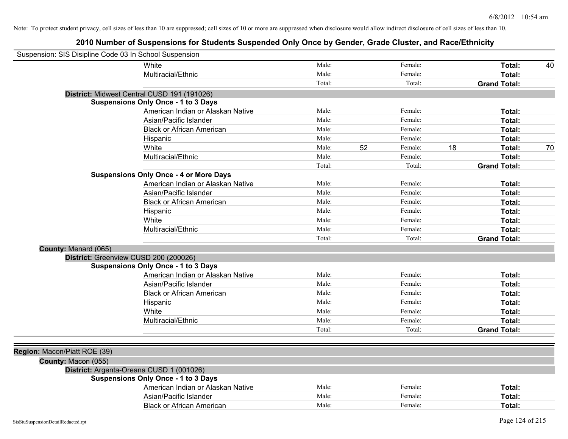| Suspension: SIS Disipline Code 03 In School Suspension |                                               |        |    |         |    |                     |    |
|--------------------------------------------------------|-----------------------------------------------|--------|----|---------|----|---------------------|----|
|                                                        | White                                         | Male:  |    | Female: |    | Total:              | 40 |
|                                                        | Multiracial/Ethnic                            | Male:  |    | Female: |    | Total:              |    |
|                                                        |                                               | Total: |    | Total:  |    | <b>Grand Total:</b> |    |
|                                                        | District: Midwest Central CUSD 191 (191026)   |        |    |         |    |                     |    |
|                                                        | <b>Suspensions Only Once - 1 to 3 Days</b>    |        |    |         |    |                     |    |
|                                                        | American Indian or Alaskan Native             | Male:  |    | Female: |    | Total:              |    |
|                                                        | Asian/Pacific Islander                        | Male:  |    | Female: |    | Total:              |    |
|                                                        | <b>Black or African American</b>              | Male:  |    | Female: |    | Total:              |    |
|                                                        | Hispanic                                      | Male:  |    | Female: |    | Total:              |    |
|                                                        | White                                         | Male:  | 52 | Female: | 18 | Total:              | 70 |
|                                                        | Multiracial/Ethnic                            | Male:  |    | Female: |    | Total:              |    |
|                                                        |                                               | Total: |    | Total:  |    | <b>Grand Total:</b> |    |
|                                                        | <b>Suspensions Only Once - 4 or More Days</b> |        |    |         |    |                     |    |
|                                                        | American Indian or Alaskan Native             | Male:  |    | Female: |    | Total:              |    |
|                                                        | Asian/Pacific Islander                        | Male:  |    | Female: |    | Total:              |    |
|                                                        | <b>Black or African American</b>              | Male:  |    | Female: |    | Total:              |    |
|                                                        | Hispanic                                      | Male:  |    | Female: |    | Total:              |    |
|                                                        | White                                         | Male:  |    | Female: |    | Total:              |    |
|                                                        | Multiracial/Ethnic                            | Male:  |    | Female: |    | Total:              |    |
|                                                        |                                               | Total: |    | Total:  |    | <b>Grand Total:</b> |    |
| County: Menard (065)                                   |                                               |        |    |         |    |                     |    |
| District: Greenview CUSD 200 (200026)                  |                                               |        |    |         |    |                     |    |
|                                                        | <b>Suspensions Only Once - 1 to 3 Days</b>    |        |    |         |    |                     |    |
|                                                        | American Indian or Alaskan Native             | Male:  |    | Female: |    | Total:              |    |
|                                                        | Asian/Pacific Islander                        | Male:  |    | Female: |    | Total:              |    |
|                                                        | <b>Black or African American</b>              | Male:  |    | Female: |    | Total:              |    |
|                                                        | Hispanic                                      | Male:  |    | Female: |    | Total:              |    |
|                                                        | White                                         | Male:  |    | Female: |    | Total:              |    |
|                                                        | Multiracial/Ethnic                            | Male:  |    | Female: |    | Total:              |    |
|                                                        |                                               | Total: |    | Total:  |    | <b>Grand Total:</b> |    |
|                                                        |                                               |        |    |         |    |                     |    |
| Region: Macon/Piatt ROE (39)                           |                                               |        |    |         |    |                     |    |
| County: Macon (055)                                    |                                               |        |    |         |    |                     |    |
|                                                        | District: Argenta-Oreana CUSD 1 (001026)      |        |    |         |    |                     |    |
|                                                        | <b>Suspensions Only Once - 1 to 3 Days</b>    |        |    |         |    |                     |    |
|                                                        | American Indian or Alaskan Native             | Male:  |    | Female: |    | Total:              |    |
|                                                        | Asian/Pacific Islander                        | Male:  |    | Female: |    | Total:              |    |
|                                                        | <b>Black or African American</b>              | Male:  |    | Female: |    | Total:              |    |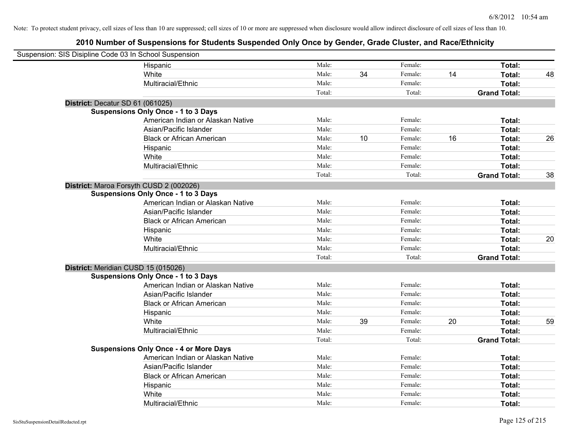| Suspension: SIS Disipline Code 03 In School Suspension |                                               |        |    |         |    |                     |    |
|--------------------------------------------------------|-----------------------------------------------|--------|----|---------|----|---------------------|----|
|                                                        | Hispanic                                      | Male:  |    | Female: |    | Total:              |    |
|                                                        | White                                         | Male:  | 34 | Female: | 14 | <b>Total:</b>       | 48 |
|                                                        | Multiracial/Ethnic                            | Male:  |    | Female: |    | Total:              |    |
|                                                        |                                               | Total: |    | Total:  |    | <b>Grand Total:</b> |    |
| District: Decatur SD 61 (061025)                       |                                               |        |    |         |    |                     |    |
|                                                        | <b>Suspensions Only Once - 1 to 3 Days</b>    |        |    |         |    |                     |    |
|                                                        | American Indian or Alaskan Native             | Male:  |    | Female: |    | Total:              |    |
|                                                        | Asian/Pacific Islander                        | Male:  |    | Female: |    | Total:              |    |
|                                                        | <b>Black or African American</b>              | Male:  | 10 | Female: | 16 | Total:              | 26 |
|                                                        | Hispanic                                      | Male:  |    | Female: |    | Total:              |    |
|                                                        | White                                         | Male:  |    | Female: |    | Total:              |    |
|                                                        | Multiracial/Ethnic                            | Male:  |    | Female: |    | Total:              |    |
|                                                        |                                               | Total: |    | Total:  |    | <b>Grand Total:</b> | 38 |
| District: Maroa Forsyth CUSD 2 (002026)                |                                               |        |    |         |    |                     |    |
|                                                        | <b>Suspensions Only Once - 1 to 3 Days</b>    |        |    |         |    |                     |    |
|                                                        | American Indian or Alaskan Native             | Male:  |    | Female: |    | Total:              |    |
|                                                        | Asian/Pacific Islander                        | Male:  |    | Female: |    | Total:              |    |
|                                                        | <b>Black or African American</b>              | Male:  |    | Female: |    | Total:              |    |
|                                                        | Hispanic                                      | Male:  |    | Female: |    | Total:              |    |
|                                                        | White                                         | Male:  |    | Female: |    | Total:              | 20 |
|                                                        | Multiracial/Ethnic                            | Male:  |    | Female: |    | Total:              |    |
|                                                        |                                               | Total: |    | Total:  |    | <b>Grand Total:</b> |    |
| District: Meridian CUSD 15 (015026)                    |                                               |        |    |         |    |                     |    |
|                                                        | <b>Suspensions Only Once - 1 to 3 Days</b>    |        |    |         |    |                     |    |
|                                                        | American Indian or Alaskan Native             | Male:  |    | Female: |    | Total:              |    |
|                                                        | Asian/Pacific Islander                        | Male:  |    | Female: |    | Total:              |    |
|                                                        | <b>Black or African American</b>              | Male:  |    | Female: |    | Total:              |    |
|                                                        | Hispanic                                      | Male:  |    | Female: |    | Total:              |    |
|                                                        | White                                         | Male:  | 39 | Female: | 20 | Total:              | 59 |
|                                                        | Multiracial/Ethnic                            | Male:  |    | Female: |    | Total:              |    |
|                                                        |                                               | Total: |    | Total:  |    | <b>Grand Total:</b> |    |
|                                                        | <b>Suspensions Only Once - 4 or More Days</b> |        |    |         |    |                     |    |
|                                                        | American Indian or Alaskan Native             | Male:  |    | Female: |    | Total:              |    |
|                                                        | Asian/Pacific Islander                        | Male:  |    | Female: |    | Total:              |    |
|                                                        | <b>Black or African American</b>              | Male:  |    | Female: |    | Total:              |    |
|                                                        | Hispanic                                      | Male:  |    | Female: |    | Total:              |    |
|                                                        | White                                         | Male:  |    | Female: |    | Total:              |    |
|                                                        | Multiracial/Ethnic                            | Male:  |    | Female: |    | Total:              |    |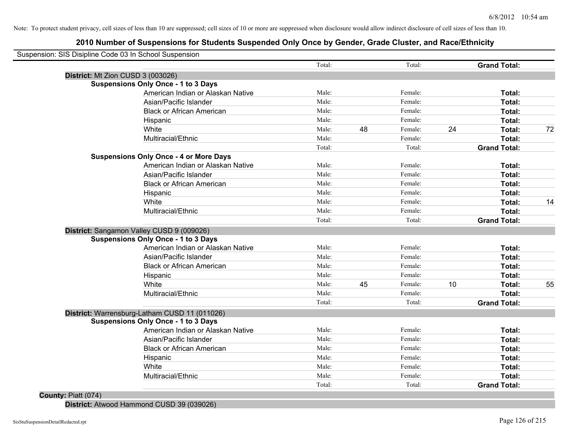# **2010 Number of Suspensions for Students Suspended Only Once by Gender, Grade Cluster, and Race/Ethnicity**

| Suspension: SIS Disipline Code 03 In School Suspension                                      |        |    |         |    |                     |    |
|---------------------------------------------------------------------------------------------|--------|----|---------|----|---------------------|----|
|                                                                                             | Total: |    | Total:  |    | <b>Grand Total:</b> |    |
| District: Mt Zion CUSD 3 (003026)                                                           |        |    |         |    |                     |    |
| <b>Suspensions Only Once - 1 to 3 Days</b>                                                  |        |    |         |    |                     |    |
| American Indian or Alaskan Native                                                           | Male:  |    | Female: |    | Total:              |    |
| Asian/Pacific Islander                                                                      | Male:  |    | Female: |    | Total:              |    |
| <b>Black or African American</b>                                                            | Male:  |    | Female: |    | Total:              |    |
| Hispanic                                                                                    | Male:  |    | Female: |    | Total:              |    |
| White                                                                                       | Male:  | 48 | Female: | 24 | Total:              | 72 |
| Multiracial/Ethnic                                                                          | Male:  |    | Female: |    | Total:              |    |
|                                                                                             | Total: |    | Total:  |    | <b>Grand Total:</b> |    |
| <b>Suspensions Only Once - 4 or More Days</b>                                               |        |    |         |    |                     |    |
| American Indian or Alaskan Native                                                           | Male:  |    | Female: |    | Total:              |    |
| Asian/Pacific Islander                                                                      | Male:  |    | Female: |    | Total:              |    |
| <b>Black or African American</b>                                                            | Male:  |    | Female: |    | Total:              |    |
| Hispanic                                                                                    | Male:  |    | Female: |    | Total:              |    |
| White                                                                                       | Male:  |    | Female: |    | Total:              | 14 |
| Multiracial/Ethnic                                                                          | Male:  |    | Female: |    | <b>Total:</b>       |    |
|                                                                                             | Total: |    | Total:  |    | <b>Grand Total:</b> |    |
|                                                                                             |        |    |         |    |                     |    |
| District: Sangamon Valley CUSD 9 (009026)<br><b>Suspensions Only Once - 1 to 3 Days</b>     |        |    |         |    |                     |    |
| American Indian or Alaskan Native                                                           | Male:  |    | Female: |    | Total:              |    |
| Asian/Pacific Islander                                                                      | Male:  |    | Female: |    | Total:              |    |
| <b>Black or African American</b>                                                            | Male:  |    | Female: |    | Total:              |    |
| Hispanic                                                                                    | Male:  |    | Female: |    | Total:              |    |
| White                                                                                       | Male:  | 45 | Female: | 10 | Total:              | 55 |
| Multiracial/Ethnic                                                                          | Male:  |    | Female: |    | Total:              |    |
|                                                                                             | Total: |    | Total:  |    | <b>Grand Total:</b> |    |
|                                                                                             |        |    |         |    |                     |    |
| District: Warrensburg-Latham CUSD 11 (011026)<br><b>Suspensions Only Once - 1 to 3 Days</b> |        |    |         |    |                     |    |
| American Indian or Alaskan Native                                                           | Male:  |    | Female: |    | Total:              |    |
| Asian/Pacific Islander                                                                      | Male:  |    | Female: |    | Total:              |    |
| <b>Black or African American</b>                                                            | Male:  |    | Female: |    | Total:              |    |
| Hispanic                                                                                    | Male:  |    | Female: |    | Total:              |    |
| White                                                                                       | Male:  |    | Female: |    | Total:              |    |
| Multiracial/Ethnic                                                                          | Male:  |    | Female: |    | Total:              |    |
|                                                                                             | Total: |    | Total:  |    | <b>Grand Total:</b> |    |
| County: Piatt (074)                                                                         |        |    |         |    |                     |    |

**District:** Atwood Hammond CUSD 39 (039026)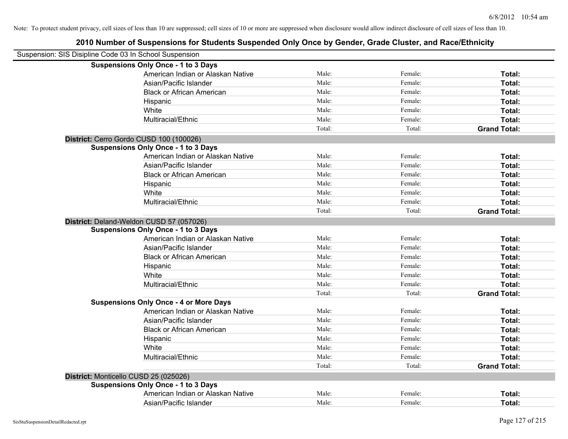| Suspension: SIS Disipline Code 03 In School Suspension |                                               |        |         |                     |
|--------------------------------------------------------|-----------------------------------------------|--------|---------|---------------------|
|                                                        | <b>Suspensions Only Once - 1 to 3 Days</b>    |        |         |                     |
|                                                        | American Indian or Alaskan Native             | Male:  | Female: | Total:              |
|                                                        | Asian/Pacific Islander                        | Male:  | Female: | Total:              |
|                                                        | <b>Black or African American</b>              | Male:  | Female: | Total:              |
|                                                        | Hispanic                                      | Male:  | Female: | Total:              |
|                                                        | White                                         | Male:  | Female: | Total:              |
|                                                        | Multiracial/Ethnic                            | Male:  | Female: | Total:              |
|                                                        |                                               | Total: | Total:  | <b>Grand Total:</b> |
|                                                        | District: Cerro Gordo CUSD 100 (100026)       |        |         |                     |
|                                                        | <b>Suspensions Only Once - 1 to 3 Days</b>    |        |         |                     |
|                                                        | American Indian or Alaskan Native             | Male:  | Female: | Total:              |
|                                                        | Asian/Pacific Islander                        | Male:  | Female: | Total:              |
|                                                        | <b>Black or African American</b>              | Male:  | Female: | Total:              |
|                                                        | Hispanic                                      | Male:  | Female: | Total:              |
|                                                        | White                                         | Male:  | Female: | Total:              |
|                                                        | Multiracial/Ethnic                            | Male:  | Female: | Total:              |
|                                                        |                                               | Total: | Total:  | <b>Grand Total:</b> |
|                                                        | District: Deland-Weldon CUSD 57 (057026)      |        |         |                     |
|                                                        | <b>Suspensions Only Once - 1 to 3 Days</b>    |        |         |                     |
|                                                        | American Indian or Alaskan Native             | Male:  | Female: | Total:              |
|                                                        | Asian/Pacific Islander                        | Male:  | Female: | Total:              |
|                                                        | <b>Black or African American</b>              | Male:  | Female: | Total:              |
|                                                        | Hispanic                                      | Male:  | Female: | Total:              |
|                                                        | White                                         | Male:  | Female: | Total:              |
|                                                        | Multiracial/Ethnic                            | Male:  | Female: | Total:              |
|                                                        |                                               | Total: | Total:  | <b>Grand Total:</b> |
|                                                        | <b>Suspensions Only Once - 4 or More Days</b> |        |         |                     |
|                                                        | American Indian or Alaskan Native             | Male:  | Female: | Total:              |
|                                                        | Asian/Pacific Islander                        | Male:  | Female: | Total:              |
|                                                        | <b>Black or African American</b>              | Male:  | Female: | Total:              |
|                                                        | Hispanic                                      | Male:  | Female: | Total:              |
|                                                        | White                                         | Male:  | Female: | Total:              |
|                                                        | Multiracial/Ethnic                            | Male:  | Female: | Total:              |
|                                                        |                                               | Total: | Total:  | <b>Grand Total:</b> |
| District: Monticello CUSD 25 (025026)                  |                                               |        |         |                     |
|                                                        | <b>Suspensions Only Once - 1 to 3 Days</b>    |        |         |                     |
|                                                        | American Indian or Alaskan Native             | Male:  | Female: | Total:              |
|                                                        | Asian/Pacific Islander                        | Male:  | Female: | Total:              |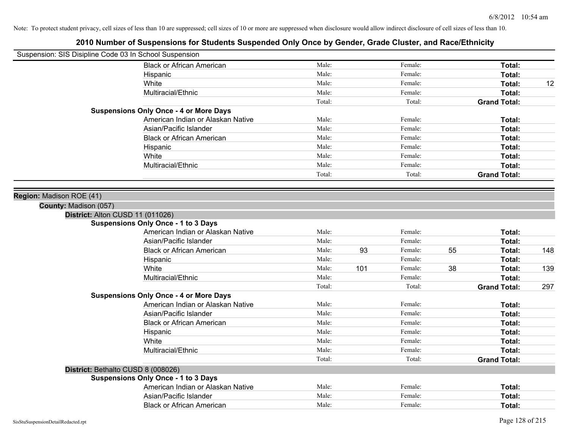| Male:<br>Female:<br>Total:<br><b>Black or African American</b><br>Male:<br>Female:<br>Total:<br>Hispanic<br>Male:<br>White<br>Female:<br>Total:<br>Male:<br>Female:<br>Multiracial/Ethnic<br>Total:<br>Total:<br>Total:<br><b>Grand Total:</b><br><b>Suspensions Only Once - 4 or More Days</b><br>American Indian or Alaskan Native<br>Male:<br>Female:<br>Total: | 12  |
|--------------------------------------------------------------------------------------------------------------------------------------------------------------------------------------------------------------------------------------------------------------------------------------------------------------------------------------------------------------------|-----|
|                                                                                                                                                                                                                                                                                                                                                                    |     |
|                                                                                                                                                                                                                                                                                                                                                                    |     |
|                                                                                                                                                                                                                                                                                                                                                                    |     |
|                                                                                                                                                                                                                                                                                                                                                                    |     |
|                                                                                                                                                                                                                                                                                                                                                                    |     |
|                                                                                                                                                                                                                                                                                                                                                                    |     |
|                                                                                                                                                                                                                                                                                                                                                                    |     |
| Male:<br>Female:<br>Asian/Pacific Islander<br>Total:                                                                                                                                                                                                                                                                                                               |     |
| Male:<br>Female:<br><b>Black or African American</b><br>Total:                                                                                                                                                                                                                                                                                                     |     |
| Male:<br>Female:<br>Total:<br>Hispanic                                                                                                                                                                                                                                                                                                                             |     |
| Male:<br>White<br>Female:<br>Total:                                                                                                                                                                                                                                                                                                                                |     |
| Male:<br>Female:<br>Total:<br>Multiracial/Ethnic                                                                                                                                                                                                                                                                                                                   |     |
| Total:<br>Total:<br><b>Grand Total:</b>                                                                                                                                                                                                                                                                                                                            |     |
|                                                                                                                                                                                                                                                                                                                                                                    |     |
| Region: Madison ROE (41)                                                                                                                                                                                                                                                                                                                                           |     |
| County: Madison (057)                                                                                                                                                                                                                                                                                                                                              |     |
| District: Alton CUSD 11 (011026)                                                                                                                                                                                                                                                                                                                                   |     |
| <b>Suspensions Only Once - 1 to 3 Days</b>                                                                                                                                                                                                                                                                                                                         |     |
| Male:<br>Female:<br>American Indian or Alaskan Native<br>Total:                                                                                                                                                                                                                                                                                                    |     |
| Male:<br>Female:<br>Asian/Pacific Islander<br>Total:                                                                                                                                                                                                                                                                                                               |     |
| Male:<br>93<br>55<br><b>Black or African American</b><br>Female:<br>Total:                                                                                                                                                                                                                                                                                         | 148 |
| Male:<br>Female:<br>Hispanic<br>Total:                                                                                                                                                                                                                                                                                                                             |     |
| Male:<br>White<br>101<br>Female:<br>38<br>Total:                                                                                                                                                                                                                                                                                                                   | 139 |
| Male:<br>Multiracial/Ethnic<br>Female:<br>Total:                                                                                                                                                                                                                                                                                                                   |     |
| Total:<br>Total:<br><b>Grand Total:</b>                                                                                                                                                                                                                                                                                                                            | 297 |
| <b>Suspensions Only Once - 4 or More Days</b>                                                                                                                                                                                                                                                                                                                      |     |
| American Indian or Alaskan Native<br>Male:<br>Female:<br>Total:                                                                                                                                                                                                                                                                                                    |     |
| Male:<br>Asian/Pacific Islander<br>Female:<br>Total:                                                                                                                                                                                                                                                                                                               |     |
| Male:<br>Female:<br><b>Black or African American</b><br>Total:                                                                                                                                                                                                                                                                                                     |     |
| Male:<br>Female:<br>Total:<br>Hispanic                                                                                                                                                                                                                                                                                                                             |     |
| Male:<br>Female:<br>White<br>Total:                                                                                                                                                                                                                                                                                                                                |     |
| Male:<br>Multiracial/Ethnic<br>Female:<br>Total:                                                                                                                                                                                                                                                                                                                   |     |
| Total:<br>Total:<br><b>Grand Total:</b>                                                                                                                                                                                                                                                                                                                            |     |
| District: Bethalto CUSD 8 (008026)                                                                                                                                                                                                                                                                                                                                 |     |
| <b>Suspensions Only Once - 1 to 3 Days</b>                                                                                                                                                                                                                                                                                                                         |     |
| American Indian or Alaskan Native<br>Male:<br>Female:<br>Total:                                                                                                                                                                                                                                                                                                    |     |
| Asian/Pacific Islander<br>Male:<br>Female:<br>Total:                                                                                                                                                                                                                                                                                                               |     |
| Male:<br><b>Black or African American</b><br>Female:<br>Total:                                                                                                                                                                                                                                                                                                     |     |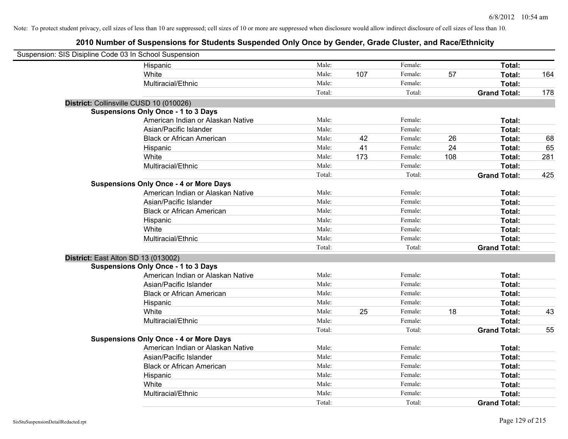| Suspension: SIS Disipline Code 03 In School Suspension |                                               |        |     |         |     |                     |     |
|--------------------------------------------------------|-----------------------------------------------|--------|-----|---------|-----|---------------------|-----|
|                                                        | Hispanic                                      | Male:  |     | Female: |     | Total:              |     |
|                                                        | White                                         | Male:  | 107 | Female: | 57  | Total:              | 164 |
|                                                        | Multiracial/Ethnic                            | Male:  |     | Female: |     | Total:              |     |
|                                                        |                                               | Total: |     | Total:  |     | <b>Grand Total:</b> | 178 |
| District: Collinsville CUSD 10 (010026)                |                                               |        |     |         |     |                     |     |
|                                                        | <b>Suspensions Only Once - 1 to 3 Days</b>    |        |     |         |     |                     |     |
|                                                        | American Indian or Alaskan Native             | Male:  |     | Female: |     | Total:              |     |
|                                                        | Asian/Pacific Islander                        | Male:  |     | Female: |     | Total:              |     |
|                                                        | <b>Black or African American</b>              | Male:  | 42  | Female: | 26  | Total:              | 68  |
|                                                        | Hispanic                                      | Male:  | 41  | Female: | 24  | Total:              | 65  |
|                                                        | White                                         | Male:  | 173 | Female: | 108 | Total:              | 281 |
|                                                        | Multiracial/Ethnic                            | Male:  |     | Female: |     | Total:              |     |
|                                                        |                                               | Total: |     | Total:  |     | <b>Grand Total:</b> | 425 |
|                                                        | <b>Suspensions Only Once - 4 or More Days</b> |        |     |         |     |                     |     |
|                                                        | American Indian or Alaskan Native             | Male:  |     | Female: |     | Total:              |     |
|                                                        | Asian/Pacific Islander                        | Male:  |     | Female: |     | Total:              |     |
|                                                        | <b>Black or African American</b>              | Male:  |     | Female: |     | Total:              |     |
|                                                        | Hispanic                                      | Male:  |     | Female: |     | Total:              |     |
|                                                        | White                                         | Male:  |     | Female: |     | Total:              |     |
|                                                        | Multiracial/Ethnic                            | Male:  |     | Female: |     | Total:              |     |
|                                                        |                                               | Total: |     | Total:  |     | <b>Grand Total:</b> |     |
| District: East Alton SD 13 (013002)                    |                                               |        |     |         |     |                     |     |
|                                                        | <b>Suspensions Only Once - 1 to 3 Days</b>    |        |     |         |     |                     |     |
|                                                        | American Indian or Alaskan Native             | Male:  |     | Female: |     | Total:              |     |
|                                                        | Asian/Pacific Islander                        | Male:  |     | Female: |     | Total:              |     |
|                                                        | <b>Black or African American</b>              | Male:  |     | Female: |     | Total:              |     |
|                                                        | Hispanic                                      | Male:  |     | Female: |     | Total:              |     |
|                                                        | White                                         | Male:  | 25  | Female: | 18  | Total:              | 43  |
|                                                        | Multiracial/Ethnic                            | Male:  |     | Female: |     | Total:              |     |
|                                                        |                                               | Total: |     | Total:  |     | <b>Grand Total:</b> | 55  |
|                                                        | <b>Suspensions Only Once - 4 or More Days</b> |        |     |         |     |                     |     |
|                                                        | American Indian or Alaskan Native             | Male:  |     | Female: |     | Total:              |     |
|                                                        | Asian/Pacific Islander                        | Male:  |     | Female: |     | Total:              |     |
|                                                        | <b>Black or African American</b>              | Male:  |     | Female: |     | Total:              |     |
|                                                        | Hispanic                                      | Male:  |     | Female: |     | Total:              |     |
|                                                        | White                                         | Male:  |     | Female: |     | Total:              |     |
|                                                        | Multiracial/Ethnic                            | Male:  |     | Female: |     | Total:              |     |
|                                                        |                                               | Total: |     | Total:  |     | <b>Grand Total:</b> |     |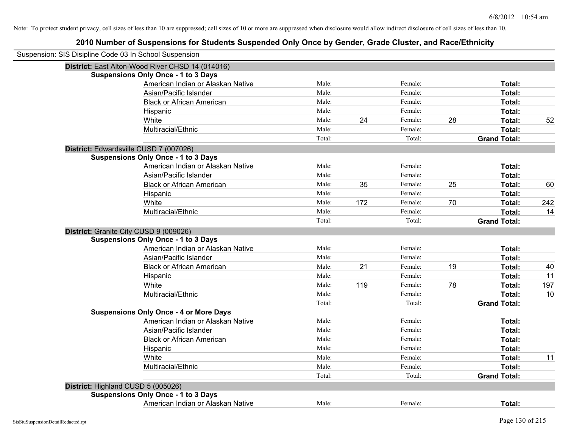| Suspension: SIS Disipline Code 03 In School Suspension |                                                  |        |     |         |    |                     |     |
|--------------------------------------------------------|--------------------------------------------------|--------|-----|---------|----|---------------------|-----|
|                                                        | District: East Alton-Wood River CHSD 14 (014016) |        |     |         |    |                     |     |
|                                                        | <b>Suspensions Only Once - 1 to 3 Days</b>       |        |     |         |    |                     |     |
|                                                        | American Indian or Alaskan Native                | Male:  |     | Female: |    | Total:              |     |
|                                                        | Asian/Pacific Islander                           | Male:  |     | Female: |    | Total:              |     |
|                                                        | <b>Black or African American</b>                 | Male:  |     | Female: |    | Total:              |     |
|                                                        | Hispanic                                         | Male:  |     | Female: |    | Total:              |     |
|                                                        | White                                            | Male:  | 24  | Female: | 28 | Total:              | 52  |
|                                                        | Multiracial/Ethnic                               | Male:  |     | Female: |    | Total:              |     |
|                                                        |                                                  | Total: |     | Total:  |    | <b>Grand Total:</b> |     |
|                                                        | District: Edwardsville CUSD 7 (007026)           |        |     |         |    |                     |     |
|                                                        | <b>Suspensions Only Once - 1 to 3 Days</b>       |        |     |         |    |                     |     |
|                                                        | American Indian or Alaskan Native                | Male:  |     | Female: |    | Total:              |     |
|                                                        | Asian/Pacific Islander                           | Male:  |     | Female: |    | Total:              |     |
|                                                        | <b>Black or African American</b>                 | Male:  | 35  | Female: | 25 | Total:              | 60  |
|                                                        | Hispanic                                         | Male:  |     | Female: |    | Total:              |     |
|                                                        | White                                            | Male:  | 172 | Female: | 70 | Total:              | 242 |
|                                                        | Multiracial/Ethnic                               | Male:  |     | Female: |    | Total:              | 14  |
|                                                        |                                                  | Total: |     | Total:  |    | <b>Grand Total:</b> |     |
|                                                        | District: Granite City CUSD 9 (009026)           |        |     |         |    |                     |     |
|                                                        | <b>Suspensions Only Once - 1 to 3 Days</b>       |        |     |         |    |                     |     |
|                                                        | American Indian or Alaskan Native                | Male:  |     | Female: |    | Total:              |     |
|                                                        | Asian/Pacific Islander                           | Male:  |     | Female: |    | Total:              |     |
|                                                        | <b>Black or African American</b>                 | Male:  | 21  | Female: | 19 | Total:              | 40  |
|                                                        | Hispanic                                         | Male:  |     | Female: |    | Total:              | 11  |
|                                                        | White                                            | Male:  | 119 | Female: | 78 | Total:              | 197 |
|                                                        | Multiracial/Ethnic                               | Male:  |     | Female: |    | Total:              | 10  |
|                                                        |                                                  | Total: |     | Total:  |    | <b>Grand Total:</b> |     |
|                                                        | <b>Suspensions Only Once - 4 or More Days</b>    |        |     |         |    |                     |     |
|                                                        | American Indian or Alaskan Native                | Male:  |     | Female: |    | Total:              |     |
|                                                        | Asian/Pacific Islander                           | Male:  |     | Female: |    | Total:              |     |
|                                                        | <b>Black or African American</b>                 | Male:  |     | Female: |    | Total:              |     |
|                                                        | Hispanic                                         | Male:  |     | Female: |    | Total:              |     |
|                                                        | White                                            | Male:  |     | Female: |    | Total:              | 11  |
|                                                        | Multiracial/Ethnic                               | Male:  |     | Female: |    | Total:              |     |
|                                                        |                                                  | Total: |     | Total:  |    | <b>Grand Total:</b> |     |
|                                                        | District: Highland CUSD 5 (005026)               |        |     |         |    |                     |     |
|                                                        | <b>Suspensions Only Once - 1 to 3 Days</b>       |        |     |         |    |                     |     |
|                                                        | American Indian or Alaskan Native                | Male:  |     | Female: |    | Total:              |     |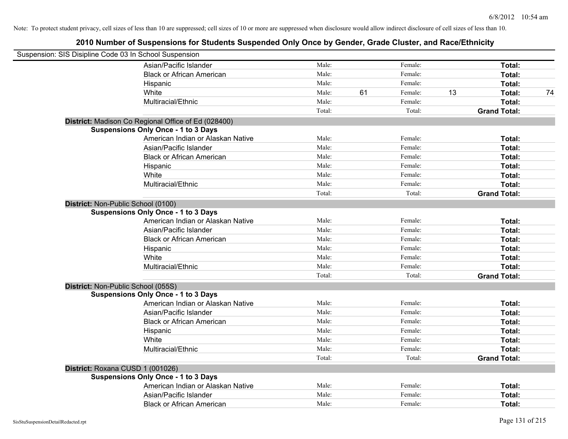| Suspension: SIS Disipline Code 03 In School Suspension |                                                     |        |    |         |    |                     |    |
|--------------------------------------------------------|-----------------------------------------------------|--------|----|---------|----|---------------------|----|
|                                                        | Asian/Pacific Islander                              | Male:  |    | Female: |    | Total:              |    |
|                                                        | <b>Black or African American</b>                    | Male:  |    | Female: |    | Total:              |    |
|                                                        | Hispanic                                            | Male:  |    | Female: |    | Total:              |    |
|                                                        | White                                               | Male:  | 61 | Female: | 13 | Total:              | 74 |
|                                                        | Multiracial/Ethnic                                  | Male:  |    | Female: |    | Total:              |    |
|                                                        |                                                     | Total: |    | Total:  |    | <b>Grand Total:</b> |    |
|                                                        | District: Madison Co Regional Office of Ed (028400) |        |    |         |    |                     |    |
|                                                        | <b>Suspensions Only Once - 1 to 3 Days</b>          |        |    |         |    |                     |    |
|                                                        | American Indian or Alaskan Native                   | Male:  |    | Female: |    | Total:              |    |
|                                                        | Asian/Pacific Islander                              | Male:  |    | Female: |    | Total:              |    |
|                                                        | <b>Black or African American</b>                    | Male:  |    | Female: |    | Total:              |    |
|                                                        | Hispanic                                            | Male:  |    | Female: |    | Total:              |    |
|                                                        | White                                               | Male:  |    | Female: |    | Total:              |    |
|                                                        | Multiracial/Ethnic                                  | Male:  |    | Female: |    | Total:              |    |
|                                                        |                                                     | Total: |    | Total:  |    | <b>Grand Total:</b> |    |
| District: Non-Public School (0100)                     |                                                     |        |    |         |    |                     |    |
|                                                        | <b>Suspensions Only Once - 1 to 3 Days</b>          |        |    |         |    |                     |    |
|                                                        | American Indian or Alaskan Native                   | Male:  |    | Female: |    | Total:              |    |
|                                                        | Asian/Pacific Islander                              | Male:  |    | Female: |    | Total:              |    |
|                                                        | <b>Black or African American</b>                    | Male:  |    | Female: |    | Total:              |    |
|                                                        | Hispanic                                            | Male:  |    | Female: |    | Total:              |    |
|                                                        | White                                               | Male:  |    | Female: |    | Total:              |    |
|                                                        | Multiracial/Ethnic                                  | Male:  |    | Female: |    | Total:              |    |
|                                                        |                                                     | Total: |    | Total:  |    | <b>Grand Total:</b> |    |
| District: Non-Public School (055S)                     |                                                     |        |    |         |    |                     |    |
|                                                        | <b>Suspensions Only Once - 1 to 3 Days</b>          |        |    |         |    |                     |    |
|                                                        | American Indian or Alaskan Native                   | Male:  |    | Female: |    | Total:              |    |
|                                                        | Asian/Pacific Islander                              | Male:  |    | Female: |    | Total:              |    |
|                                                        | <b>Black or African American</b>                    | Male:  |    | Female: |    | Total:              |    |
|                                                        | Hispanic                                            | Male:  |    | Female: |    | Total:              |    |
|                                                        | White                                               | Male:  |    | Female: |    | Total:              |    |
|                                                        | Multiracial/Ethnic                                  | Male:  |    | Female: |    | Total:              |    |
|                                                        |                                                     | Total: |    | Total:  |    | <b>Grand Total:</b> |    |
| District: Roxana CUSD 1 (001026)                       |                                                     |        |    |         |    |                     |    |
|                                                        | <b>Suspensions Only Once - 1 to 3 Days</b>          |        |    |         |    |                     |    |
|                                                        | American Indian or Alaskan Native                   | Male:  |    | Female: |    | Total:              |    |
|                                                        | Asian/Pacific Islander                              | Male:  |    | Female: |    | Total:              |    |
|                                                        | <b>Black or African American</b>                    | Male:  |    | Female: |    | Total:              |    |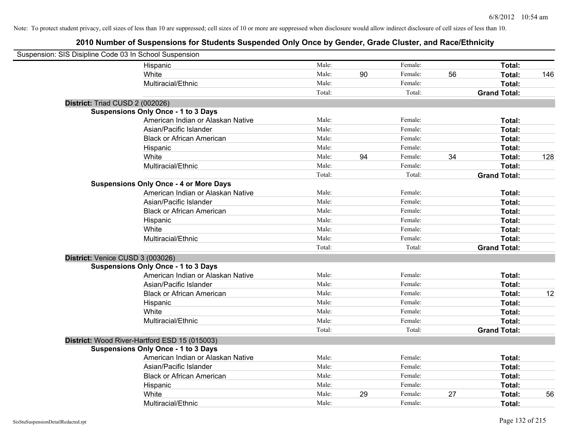| Suspension: SIS Disipline Code 03 In School Suspension |                                               |        |    |         |    |                     |     |
|--------------------------------------------------------|-----------------------------------------------|--------|----|---------|----|---------------------|-----|
|                                                        | Hispanic                                      | Male:  |    | Female: |    | Total:              |     |
|                                                        | White                                         | Male:  | 90 | Female: | 56 | <b>Total:</b>       | 146 |
|                                                        | Multiracial/Ethnic                            | Male:  |    | Female: |    | Total:              |     |
|                                                        |                                               | Total: |    | Total:  |    | <b>Grand Total:</b> |     |
| District: Triad CUSD 2 (002026)                        |                                               |        |    |         |    |                     |     |
|                                                        | <b>Suspensions Only Once - 1 to 3 Days</b>    |        |    |         |    |                     |     |
|                                                        | American Indian or Alaskan Native             | Male:  |    | Female: |    | Total:              |     |
|                                                        | Asian/Pacific Islander                        | Male:  |    | Female: |    | Total:              |     |
|                                                        | <b>Black or African American</b>              | Male:  |    | Female: |    | Total:              |     |
|                                                        | Hispanic                                      | Male:  |    | Female: |    | Total:              |     |
|                                                        | White                                         | Male:  | 94 | Female: | 34 | Total:              | 128 |
|                                                        | Multiracial/Ethnic                            | Male:  |    | Female: |    | Total:              |     |
|                                                        |                                               | Total: |    | Total:  |    | <b>Grand Total:</b> |     |
|                                                        | <b>Suspensions Only Once - 4 or More Days</b> |        |    |         |    |                     |     |
|                                                        | American Indian or Alaskan Native             | Male:  |    | Female: |    | Total:              |     |
|                                                        | Asian/Pacific Islander                        | Male:  |    | Female: |    | Total:              |     |
|                                                        | <b>Black or African American</b>              | Male:  |    | Female: |    | Total:              |     |
|                                                        | Hispanic                                      | Male:  |    | Female: |    | Total:              |     |
|                                                        | White                                         | Male:  |    | Female: |    | Total:              |     |
|                                                        | Multiracial/Ethnic                            | Male:  |    | Female: |    | Total:              |     |
|                                                        |                                               | Total: |    | Total:  |    | <b>Grand Total:</b> |     |
| District: Venice CUSD 3 (003026)                       |                                               |        |    |         |    |                     |     |
|                                                        | <b>Suspensions Only Once - 1 to 3 Days</b>    |        |    |         |    |                     |     |
|                                                        | American Indian or Alaskan Native             | Male:  |    | Female: |    | Total:              |     |
|                                                        | Asian/Pacific Islander                        | Male:  |    | Female: |    | Total:              |     |
|                                                        | <b>Black or African American</b>              | Male:  |    | Female: |    | Total:              | 12  |
|                                                        | Hispanic                                      | Male:  |    | Female: |    | Total:              |     |
|                                                        | White                                         | Male:  |    | Female: |    | Total:              |     |
|                                                        | Multiracial/Ethnic                            | Male:  |    | Female: |    | Total:              |     |
|                                                        |                                               | Total: |    | Total:  |    | <b>Grand Total:</b> |     |
|                                                        | District: Wood River-Hartford ESD 15 (015003) |        |    |         |    |                     |     |
|                                                        | <b>Suspensions Only Once - 1 to 3 Days</b>    |        |    |         |    |                     |     |
|                                                        | American Indian or Alaskan Native             | Male:  |    | Female: |    | Total:              |     |
|                                                        | Asian/Pacific Islander                        | Male:  |    | Female: |    | Total:              |     |
|                                                        | <b>Black or African American</b>              | Male:  |    | Female: |    | Total:              |     |
|                                                        | Hispanic                                      | Male:  |    | Female: |    | Total:              |     |
|                                                        | White                                         | Male:  | 29 | Female: | 27 | Total:              | 56  |
|                                                        | Multiracial/Ethnic                            | Male:  |    | Female: |    | Total:              |     |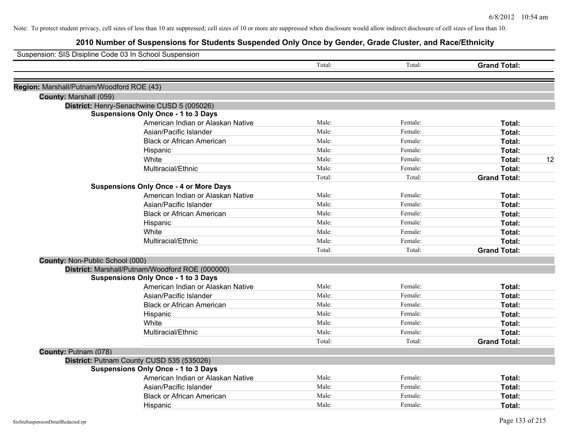| Suspension: SIS Disipline Code 03 In School Suspension |                                                 |        |         |                     |
|--------------------------------------------------------|-------------------------------------------------|--------|---------|---------------------|
|                                                        |                                                 | Total: | Total:  | <b>Grand Total:</b> |
| Region: Marshall/Putnam/Woodford ROE (43)              |                                                 |        |         |                     |
| County: Marshall (059)                                 |                                                 |        |         |                     |
|                                                        | District: Henry-Senachwine CUSD 5 (005026)      |        |         |                     |
|                                                        | <b>Suspensions Only Once - 1 to 3 Days</b>      |        |         |                     |
|                                                        | American Indian or Alaskan Native               | Male:  | Female: | Total:              |
|                                                        | Asian/Pacific Islander                          | Male:  | Female: | Total:              |
|                                                        | <b>Black or African American</b>                | Male:  | Female: | Total:              |
|                                                        | Hispanic                                        | Male:  | Female: | Total:              |
|                                                        | White                                           | Male:  | Female: | Total:<br>12        |
|                                                        | Multiracial/Ethnic                              | Male:  | Female: | Total:              |
|                                                        |                                                 | Total: | Total:  | <b>Grand Total:</b> |
|                                                        | <b>Suspensions Only Once - 4 or More Days</b>   |        |         |                     |
|                                                        | American Indian or Alaskan Native               | Male:  | Female: | Total:              |
|                                                        | Asian/Pacific Islander                          | Male:  | Female: | Total:              |
|                                                        | <b>Black or African American</b>                | Male:  | Female: | Total:              |
|                                                        | Hispanic                                        | Male:  | Female: | Total:              |
|                                                        | White                                           | Male:  | Female: | Total:              |
|                                                        | Multiracial/Ethnic                              | Male:  | Female: | Total:              |
|                                                        |                                                 | Total: | Total:  | <b>Grand Total:</b> |
| County: Non-Public School (000)                        |                                                 |        |         |                     |
|                                                        | District: Marshall/Putnam/Woodford ROE (000000) |        |         |                     |
|                                                        | <b>Suspensions Only Once - 1 to 3 Days</b>      |        |         |                     |
|                                                        | American Indian or Alaskan Native               | Male:  | Female: | Total:              |
|                                                        | Asian/Pacific Islander                          | Male:  | Female: | Total:              |
|                                                        | <b>Black or African American</b>                | Male:  | Female: | Total:              |
|                                                        | Hispanic                                        | Male:  | Female: | Total:              |
|                                                        | White                                           | Male:  | Female: | Total:              |
|                                                        | Multiracial/Ethnic                              | Male:  | Female: | Total:              |
|                                                        |                                                 | Total: | Total:  | <b>Grand Total:</b> |
| County: Putnam (078)                                   |                                                 |        |         |                     |
|                                                        | District: Putnam County CUSD 535 (535026)       |        |         |                     |
|                                                        | <b>Suspensions Only Once - 1 to 3 Days</b>      |        |         |                     |
|                                                        | American Indian or Alaskan Native               | Male:  | Female: | Total:              |
|                                                        | Asian/Pacific Islander                          | Male:  | Female: | Total:              |
|                                                        | <b>Black or African American</b>                | Male:  | Female: | Total:              |
|                                                        | Hispanic                                        | Male:  | Female: | Total:              |
|                                                        |                                                 |        |         |                     |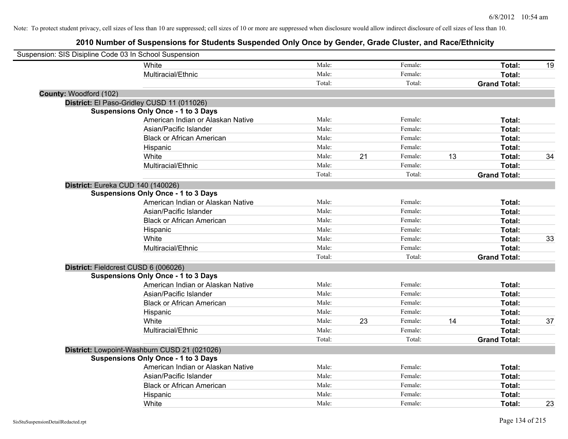| Suspension: SIS Disipline Code 03 In School Suspension |                                              |        |    |         |    |                     |    |
|--------------------------------------------------------|----------------------------------------------|--------|----|---------|----|---------------------|----|
|                                                        | White                                        | Male:  |    | Female: |    | Total:              | 19 |
|                                                        | Multiracial/Ethnic                           | Male:  |    | Female: |    | Total:              |    |
|                                                        |                                              | Total: |    | Total:  |    | <b>Grand Total:</b> |    |
| County: Woodford (102)                                 |                                              |        |    |         |    |                     |    |
|                                                        | District: El Paso-Gridley CUSD 11 (011026)   |        |    |         |    |                     |    |
|                                                        | <b>Suspensions Only Once - 1 to 3 Days</b>   |        |    |         |    |                     |    |
|                                                        | American Indian or Alaskan Native            | Male:  |    | Female: |    | Total:              |    |
|                                                        | Asian/Pacific Islander                       | Male:  |    | Female: |    | Total:              |    |
|                                                        | <b>Black or African American</b>             | Male:  |    | Female: |    | Total:              |    |
|                                                        | Hispanic                                     | Male:  |    | Female: |    | Total:              |    |
|                                                        | White                                        | Male:  | 21 | Female: | 13 | Total:              | 34 |
|                                                        | Multiracial/Ethnic                           | Male:  |    | Female: |    | Total:              |    |
|                                                        |                                              | Total: |    | Total:  |    | <b>Grand Total:</b> |    |
| District: Eureka CUD 140 (140026)                      |                                              |        |    |         |    |                     |    |
|                                                        | <b>Suspensions Only Once - 1 to 3 Days</b>   |        |    |         |    |                     |    |
|                                                        | American Indian or Alaskan Native            | Male:  |    | Female: |    | Total:              |    |
|                                                        | Asian/Pacific Islander                       | Male:  |    | Female: |    | Total:              |    |
|                                                        | <b>Black or African American</b>             | Male:  |    | Female: |    | Total:              |    |
|                                                        | Hispanic                                     | Male:  |    | Female: |    | Total:              |    |
|                                                        | White                                        | Male:  |    | Female: |    | Total:              | 33 |
|                                                        | Multiracial/Ethnic                           | Male:  |    | Female: |    | Total:              |    |
|                                                        |                                              | Total: |    | Total:  |    | <b>Grand Total:</b> |    |
| District: Fieldcrest CUSD 6 (006026)                   |                                              |        |    |         |    |                     |    |
|                                                        | <b>Suspensions Only Once - 1 to 3 Days</b>   |        |    |         |    |                     |    |
|                                                        | American Indian or Alaskan Native            | Male:  |    | Female: |    | Total:              |    |
|                                                        | Asian/Pacific Islander                       | Male:  |    | Female: |    | Total:              |    |
|                                                        | <b>Black or African American</b>             | Male:  |    | Female: |    | Total:              |    |
|                                                        | Hispanic                                     | Male:  |    | Female: |    | Total:              |    |
|                                                        | White                                        | Male:  | 23 | Female: | 14 | Total:              | 37 |
|                                                        | Multiracial/Ethnic                           | Male:  |    | Female: |    | Total:              |    |
|                                                        |                                              | Total: |    | Total:  |    | <b>Grand Total:</b> |    |
|                                                        | District: Lowpoint-Washburn CUSD 21 (021026) |        |    |         |    |                     |    |
|                                                        | <b>Suspensions Only Once - 1 to 3 Days</b>   |        |    |         |    |                     |    |
|                                                        | American Indian or Alaskan Native            | Male:  |    | Female: |    | Total:              |    |
|                                                        | Asian/Pacific Islander                       | Male:  |    | Female: |    | Total:              |    |
|                                                        | <b>Black or African American</b>             | Male:  |    | Female: |    | Total:              |    |
|                                                        | Hispanic                                     | Male:  |    | Female: |    | Total:              |    |
|                                                        | White                                        | Male:  |    | Female: |    | Total:              | 23 |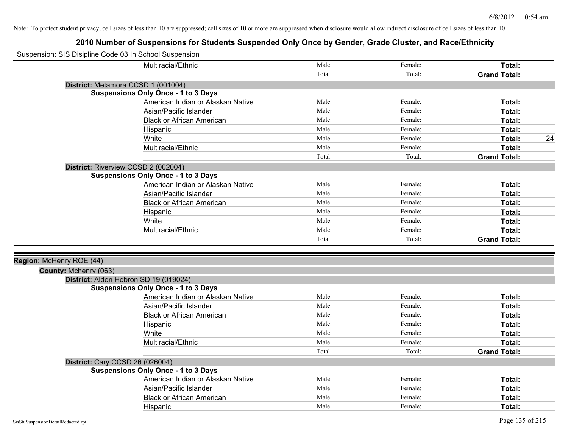| Suspension: SIS Disipline Code 03 In School Suspension |                                            |        |         |                     |
|--------------------------------------------------------|--------------------------------------------|--------|---------|---------------------|
|                                                        | Multiracial/Ethnic                         | Male:  | Female: | Total:              |
|                                                        |                                            | Total: | Total:  | <b>Grand Total:</b> |
|                                                        | District: Metamora CCSD 1 (001004)         |        |         |                     |
|                                                        | <b>Suspensions Only Once - 1 to 3 Days</b> |        |         |                     |
|                                                        | American Indian or Alaskan Native          | Male:  | Female: | Total:              |
|                                                        | Asian/Pacific Islander                     | Male:  | Female: | Total:              |
|                                                        | <b>Black or African American</b>           | Male:  | Female: | Total:              |
|                                                        | Hispanic                                   | Male:  | Female: | Total:              |
|                                                        | White                                      | Male:  | Female: | 24<br>Total:        |
|                                                        | Multiracial/Ethnic                         | Male:  | Female: | Total:              |
|                                                        |                                            | Total: | Total:  | <b>Grand Total:</b> |
|                                                        | District: Riverview CCSD 2 (002004)        |        |         |                     |
|                                                        | <b>Suspensions Only Once - 1 to 3 Days</b> |        |         |                     |
|                                                        | American Indian or Alaskan Native          | Male:  | Female: | Total:              |
|                                                        | Asian/Pacific Islander                     | Male:  | Female: | Total:              |
|                                                        | <b>Black or African American</b>           | Male:  | Female: | Total:              |
|                                                        | Hispanic                                   | Male:  | Female: | Total:              |
|                                                        | White                                      | Male:  | Female: | Total:              |
|                                                        | Multiracial/Ethnic                         | Male:  | Female: | Total:              |
|                                                        |                                            | Total: | Total:  | <b>Grand Total:</b> |
|                                                        |                                            |        |         |                     |
| Region: McHenry ROE (44)                               |                                            |        |         |                     |
| County: Mchenry (063)                                  |                                            |        |         |                     |
|                                                        | District: Alden Hebron SD 19 (019024)      |        |         |                     |
|                                                        | <b>Suspensions Only Once - 1 to 3 Days</b> |        |         |                     |
|                                                        | American Indian or Alaskan Native          | Male:  | Female: | Total:              |
|                                                        | Asian/Pacific Islander                     | Male:  | Female: | Total:              |
|                                                        | <b>Black or African American</b>           | Male:  | Female: | Total:              |
|                                                        | Hispanic                                   | Male:  | Female: | Total:              |
|                                                        | White                                      | Male:  | Female: | Total:              |
|                                                        | Multiracial/Ethnic                         | Male:  | Female: | Total:              |
|                                                        |                                            | Total: | Total:  | <b>Grand Total:</b> |
|                                                        | <b>District: Cary CCSD 26 (026004)</b>     |        |         |                     |
|                                                        | <b>Suspensions Only Once - 1 to 3 Days</b> |        |         |                     |
|                                                        | American Indian or Alaskan Native          | Male:  | Female: | Total:              |
|                                                        | Asian/Pacific Islander                     | Male:  | Female: | Total:              |
|                                                        | <b>Black or African American</b>           | Male:  | Female: | Total:              |
|                                                        | Hispanic                                   | Male:  | Female: | Total:              |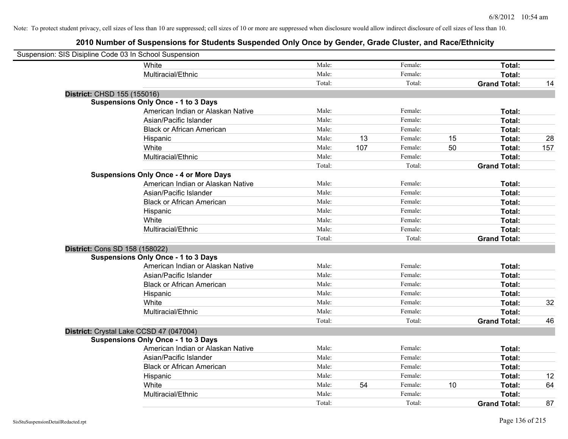| Suspension: SIS Disipline Code 03 In School Suspension |                                               |        |     |         |    |                     |     |
|--------------------------------------------------------|-----------------------------------------------|--------|-----|---------|----|---------------------|-----|
|                                                        | White                                         | Male:  |     | Female: |    | Total:              |     |
|                                                        | Multiracial/Ethnic                            | Male:  |     | Female: |    | Total:              |     |
|                                                        |                                               | Total: |     | Total:  |    | <b>Grand Total:</b> | 14  |
| District: CHSD 155 (155016)                            |                                               |        |     |         |    |                     |     |
|                                                        | <b>Suspensions Only Once - 1 to 3 Days</b>    |        |     |         |    |                     |     |
|                                                        | American Indian or Alaskan Native             | Male:  |     | Female: |    | Total:              |     |
|                                                        | Asian/Pacific Islander                        | Male:  |     | Female: |    | Total:              |     |
|                                                        | <b>Black or African American</b>              | Male:  |     | Female: |    | Total:              |     |
|                                                        | Hispanic                                      | Male:  | 13  | Female: | 15 | Total:              | 28  |
|                                                        | White                                         | Male:  | 107 | Female: | 50 | Total:              | 157 |
|                                                        | Multiracial/Ethnic                            | Male:  |     | Female: |    | Total:              |     |
|                                                        |                                               | Total: |     | Total:  |    | <b>Grand Total:</b> |     |
|                                                        | <b>Suspensions Only Once - 4 or More Days</b> |        |     |         |    |                     |     |
|                                                        | American Indian or Alaskan Native             | Male:  |     | Female: |    | Total:              |     |
|                                                        | Asian/Pacific Islander                        | Male:  |     | Female: |    | Total:              |     |
|                                                        | <b>Black or African American</b>              | Male:  |     | Female: |    | Total:              |     |
|                                                        | Hispanic                                      | Male:  |     | Female: |    | Total:              |     |
|                                                        | White                                         | Male:  |     | Female: |    | Total:              |     |
|                                                        | Multiracial/Ethnic                            | Male:  |     | Female: |    | Total:              |     |
|                                                        |                                               | Total: |     | Total:  |    | <b>Grand Total:</b> |     |
| District: Cons SD 158 (158022)                         |                                               |        |     |         |    |                     |     |
|                                                        | <b>Suspensions Only Once - 1 to 3 Days</b>    |        |     |         |    |                     |     |
|                                                        | American Indian or Alaskan Native             | Male:  |     | Female: |    | Total:              |     |
|                                                        | Asian/Pacific Islander                        | Male:  |     | Female: |    | Total:              |     |
|                                                        | <b>Black or African American</b>              | Male:  |     | Female: |    | Total:              |     |
|                                                        | Hispanic                                      | Male:  |     | Female: |    | Total:              |     |
|                                                        | White                                         | Male:  |     | Female: |    | Total:              | 32  |
|                                                        | Multiracial/Ethnic                            | Male:  |     | Female: |    | Total:              |     |
|                                                        |                                               | Total: |     | Total:  |    | <b>Grand Total:</b> | 46  |
|                                                        | District: Crystal Lake CCSD 47 (047004)       |        |     |         |    |                     |     |
|                                                        | <b>Suspensions Only Once - 1 to 3 Days</b>    |        |     |         |    |                     |     |
|                                                        | American Indian or Alaskan Native             | Male:  |     | Female: |    | Total:              |     |
|                                                        | Asian/Pacific Islander                        | Male:  |     | Female: |    | Total:              |     |
|                                                        | <b>Black or African American</b>              | Male:  |     | Female: |    | Total:              |     |
|                                                        | Hispanic                                      | Male:  |     | Female: |    | Total:              | 12  |
|                                                        | White                                         | Male:  | 54  | Female: | 10 | Total:              | 64  |
|                                                        | Multiracial/Ethnic                            | Male:  |     | Female: |    | Total:              |     |
|                                                        |                                               | Total: |     | Total:  |    | <b>Grand Total:</b> | 87  |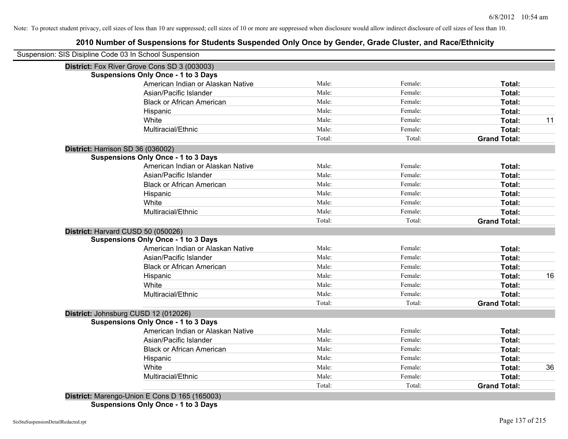| District: Fox River Grove Cons SD 3 (003003) |        |         |                     |
|----------------------------------------------|--------|---------|---------------------|
| <b>Suspensions Only Once - 1 to 3 Days</b>   |        |         |                     |
| American Indian or Alaskan Native            | Male:  | Female: | Total:              |
| Asian/Pacific Islander                       | Male:  | Female: | Total:              |
| <b>Black or African American</b>             | Male:  | Female: | Total:              |
| Hispanic                                     | Male:  | Female: | Total:              |
| White                                        | Male:  | Female: | Total:              |
| Multiracial/Ethnic                           | Male:  | Female: | Total:              |
|                                              | Total: | Total:  | <b>Grand Total:</b> |
| District: Harrison SD 36 (036002)            |        |         |                     |
| <b>Suspensions Only Once - 1 to 3 Days</b>   |        |         |                     |
| American Indian or Alaskan Native            | Male:  | Female: | Total:              |
| Asian/Pacific Islander                       | Male:  | Female: | Total:              |
| <b>Black or African American</b>             | Male:  | Female: | Total:              |
| Hispanic                                     | Male:  | Female: | Total:              |
| White                                        | Male:  | Female: | Total:              |
| Multiracial/Ethnic                           | Male:  | Female: | Total:              |
|                                              | Total: | Total:  | <b>Grand Total:</b> |
| District: Harvard CUSD 50 (050026)           |        |         |                     |
| <b>Suspensions Only Once - 1 to 3 Days</b>   |        |         |                     |
| American Indian or Alaskan Native            | Male:  | Female: | Total:              |
| Asian/Pacific Islander                       | Male:  | Female: | Total:              |
| <b>Black or African American</b>             | Male:  | Female: | Total:              |
| Hispanic                                     | Male:  | Female: | Total:              |
| White                                        | Male:  | Female: | Total:              |
| Multiracial/Ethnic                           | Male:  | Female: | Total:              |
|                                              | Total: | Total:  | <b>Grand Total:</b> |
| District: Johnsburg CUSD 12 (012026)         |        |         |                     |
| <b>Suspensions Only Once - 1 to 3 Days</b>   |        |         |                     |
| American Indian or Alaskan Native            | Male:  | Female: | Total:              |
| Asian/Pacific Islander                       | Male:  | Female: | Total:              |
| <b>Black or African American</b>             | Male:  | Female: | Total:              |
| Hispanic                                     | Male:  | Female: | Total:              |
| White                                        | Male:  | Female: | Total:              |
| Multiracial/Ethnic                           | Male:  | Female: | Total:              |
|                                              | Total: | Total:  | <b>Grand Total:</b> |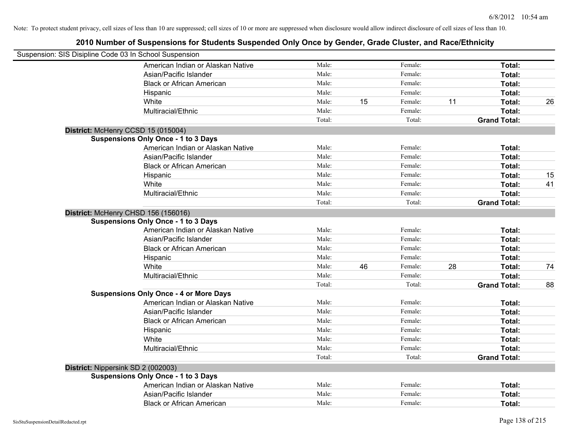| Suspension: SIS Disipline Code 03 In School Suspension |                                               |        |    |         |    |                     |    |
|--------------------------------------------------------|-----------------------------------------------|--------|----|---------|----|---------------------|----|
|                                                        | American Indian or Alaskan Native             | Male:  |    | Female: |    | Total:              |    |
|                                                        | Asian/Pacific Islander                        | Male:  |    | Female: |    | Total:              |    |
|                                                        | <b>Black or African American</b>              | Male:  |    | Female: |    | Total:              |    |
|                                                        | Hispanic                                      | Male:  |    | Female: |    | Total:              |    |
|                                                        | White                                         | Male:  | 15 | Female: | 11 | Total:              | 26 |
|                                                        | Multiracial/Ethnic                            | Male:  |    | Female: |    | Total:              |    |
|                                                        |                                               | Total: |    | Total:  |    | <b>Grand Total:</b> |    |
|                                                        | District: McHenry CCSD 15 (015004)            |        |    |         |    |                     |    |
|                                                        | <b>Suspensions Only Once - 1 to 3 Days</b>    |        |    |         |    |                     |    |
|                                                        | American Indian or Alaskan Native             | Male:  |    | Female: |    | Total:              |    |
|                                                        | Asian/Pacific Islander                        | Male:  |    | Female: |    | Total:              |    |
|                                                        | <b>Black or African American</b>              | Male:  |    | Female: |    | Total:              |    |
|                                                        | Hispanic                                      | Male:  |    | Female: |    | Total:              | 15 |
|                                                        | White                                         | Male:  |    | Female: |    | Total:              | 41 |
|                                                        | Multiracial/Ethnic                            | Male:  |    | Female: |    | Total:              |    |
|                                                        |                                               | Total: |    | Total:  |    | <b>Grand Total:</b> |    |
|                                                        | District: McHenry CHSD 156 (156016)           |        |    |         |    |                     |    |
|                                                        | <b>Suspensions Only Once - 1 to 3 Days</b>    |        |    |         |    |                     |    |
|                                                        | American Indian or Alaskan Native             | Male:  |    | Female: |    | Total:              |    |
|                                                        | Asian/Pacific Islander                        | Male:  |    | Female: |    | Total:              |    |
|                                                        | <b>Black or African American</b>              | Male:  |    | Female: |    | Total:              |    |
|                                                        | Hispanic                                      | Male:  |    | Female: |    | Total:              |    |
|                                                        | White                                         | Male:  | 46 | Female: | 28 | Total:              | 74 |
|                                                        | Multiracial/Ethnic                            | Male:  |    | Female: |    | Total:              |    |
|                                                        |                                               | Total: |    | Total:  |    | <b>Grand Total:</b> | 88 |
|                                                        | <b>Suspensions Only Once - 4 or More Days</b> |        |    |         |    |                     |    |
|                                                        | American Indian or Alaskan Native             | Male:  |    | Female: |    | Total:              |    |
|                                                        | Asian/Pacific Islander                        | Male:  |    | Female: |    | Total:              |    |
|                                                        | <b>Black or African American</b>              | Male:  |    | Female: |    | Total:              |    |
|                                                        | Hispanic                                      | Male:  |    | Female: |    | Total:              |    |
|                                                        | White                                         | Male:  |    | Female: |    | Total:              |    |
|                                                        | Multiracial/Ethnic                            | Male:  |    | Female: |    | Total:              |    |
|                                                        |                                               | Total: |    | Total:  |    | <b>Grand Total:</b> |    |
|                                                        | District: Nippersink SD 2 (002003)            |        |    |         |    |                     |    |
|                                                        | <b>Suspensions Only Once - 1 to 3 Days</b>    |        |    |         |    |                     |    |
|                                                        | American Indian or Alaskan Native             | Male:  |    | Female: |    | Total:              |    |
|                                                        | Asian/Pacific Islander                        | Male:  |    | Female: |    | Total:              |    |
|                                                        | <b>Black or African American</b>              | Male:  |    | Female: |    | Total:              |    |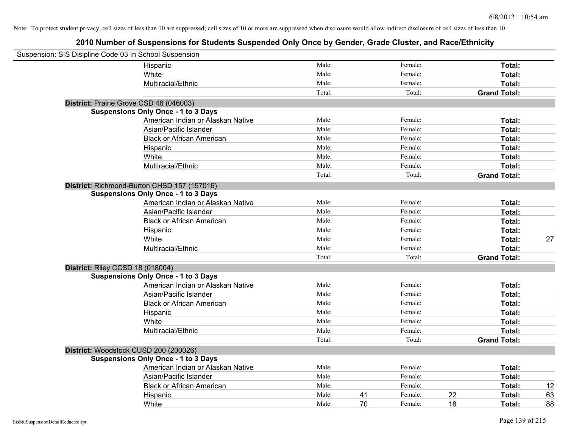| Suspension: SIS Disipline Code 03 In School Suspension |                                             |        |    |         |    |                     |    |
|--------------------------------------------------------|---------------------------------------------|--------|----|---------|----|---------------------|----|
|                                                        | Hispanic                                    | Male:  |    | Female: |    | Total:              |    |
|                                                        | White                                       | Male:  |    | Female: |    | Total:              |    |
|                                                        | Multiracial/Ethnic                          | Male:  |    | Female: |    | Total:              |    |
|                                                        |                                             | Total: |    | Total:  |    | <b>Grand Total:</b> |    |
| District: Prairie Grove CSD 46 (046003)                |                                             |        |    |         |    |                     |    |
|                                                        | <b>Suspensions Only Once - 1 to 3 Days</b>  |        |    |         |    |                     |    |
|                                                        | American Indian or Alaskan Native           | Male:  |    | Female: |    | Total:              |    |
|                                                        | Asian/Pacific Islander                      | Male:  |    | Female: |    | Total:              |    |
|                                                        | <b>Black or African American</b>            | Male:  |    | Female: |    | Total:              |    |
|                                                        | Hispanic                                    | Male:  |    | Female: |    | Total:              |    |
|                                                        | White                                       | Male:  |    | Female: |    | Total:              |    |
|                                                        | Multiracial/Ethnic                          | Male:  |    | Female: |    | Total:              |    |
|                                                        |                                             | Total: |    | Total:  |    | <b>Grand Total:</b> |    |
|                                                        | District: Richmond-Burton CHSD 157 (157016) |        |    |         |    |                     |    |
|                                                        | <b>Suspensions Only Once - 1 to 3 Days</b>  |        |    |         |    |                     |    |
|                                                        | American Indian or Alaskan Native           | Male:  |    | Female: |    | Total:              |    |
|                                                        | Asian/Pacific Islander                      | Male:  |    | Female: |    | Total:              |    |
|                                                        | <b>Black or African American</b>            | Male:  |    | Female: |    | Total:              |    |
|                                                        | Hispanic                                    | Male:  |    | Female: |    | Total:              |    |
|                                                        | White                                       | Male:  |    | Female: |    | Total:              | 27 |
|                                                        | Multiracial/Ethnic                          | Male:  |    | Female: |    | Total:              |    |
|                                                        |                                             | Total: |    | Total:  |    | <b>Grand Total:</b> |    |
| District: Riley CCSD 18 (018004)                       |                                             |        |    |         |    |                     |    |
|                                                        | <b>Suspensions Only Once - 1 to 3 Days</b>  |        |    |         |    |                     |    |
|                                                        | American Indian or Alaskan Native           | Male:  |    | Female: |    | Total:              |    |
|                                                        | Asian/Pacific Islander                      | Male:  |    | Female: |    | Total:              |    |
|                                                        | <b>Black or African American</b>            | Male:  |    | Female: |    | Total:              |    |
|                                                        | Hispanic                                    | Male:  |    | Female: |    | Total:              |    |
|                                                        | White                                       | Male:  |    | Female: |    | Total:              |    |
|                                                        | Multiracial/Ethnic                          | Male:  |    | Female: |    | Total:              |    |
|                                                        |                                             | Total: |    | Total:  |    | <b>Grand Total:</b> |    |
| District: Woodstock CUSD 200 (200026)                  |                                             |        |    |         |    |                     |    |
|                                                        | <b>Suspensions Only Once - 1 to 3 Days</b>  |        |    |         |    |                     |    |
|                                                        | American Indian or Alaskan Native           | Male:  |    | Female: |    | Total:              |    |
|                                                        | Asian/Pacific Islander                      | Male:  |    | Female: |    | Total:              |    |
|                                                        | <b>Black or African American</b>            | Male:  |    | Female: |    | Total:              | 12 |
|                                                        | Hispanic                                    | Male:  | 41 | Female: | 22 | Total:              | 63 |
|                                                        | White                                       | Male:  | 70 | Female: | 18 | Total:              | 88 |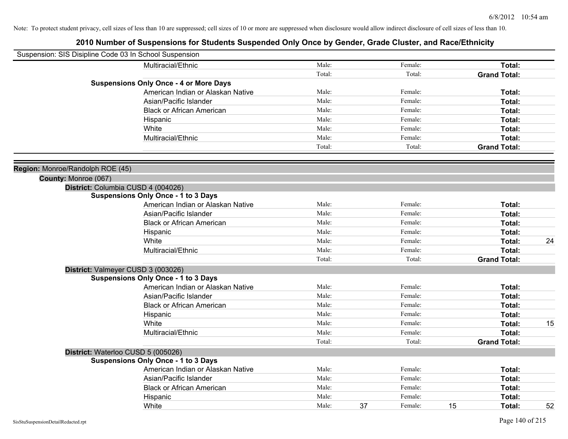| Suspension: SIS Disipline Code 03 In School Suspension   |                                               |        |    |         |    |                     |    |
|----------------------------------------------------------|-----------------------------------------------|--------|----|---------|----|---------------------|----|
|                                                          | Multiracial/Ethnic                            | Male:  |    | Female: |    | Total:              |    |
|                                                          |                                               | Total: |    | Total:  |    | <b>Grand Total:</b> |    |
|                                                          | <b>Suspensions Only Once - 4 or More Days</b> |        |    |         |    |                     |    |
|                                                          | American Indian or Alaskan Native             | Male:  |    | Female: |    | Total:              |    |
|                                                          | Asian/Pacific Islander                        | Male:  |    | Female: |    | Total:              |    |
|                                                          | <b>Black or African American</b>              | Male:  |    | Female: |    | Total:              |    |
|                                                          | Hispanic                                      | Male:  |    | Female: |    | Total:              |    |
|                                                          | White                                         | Male:  |    | Female: |    | Total:              |    |
|                                                          | Multiracial/Ethnic                            | Male:  |    | Female: |    | Total:              |    |
|                                                          |                                               | Total: |    | Total:  |    | <b>Grand Total:</b> |    |
|                                                          |                                               |        |    |         |    |                     |    |
| Region: Monroe/Randolph ROE (45)<br>County: Monroe (067) |                                               |        |    |         |    |                     |    |
|                                                          | District: Columbia CUSD 4 (004026)            |        |    |         |    |                     |    |
|                                                          | <b>Suspensions Only Once - 1 to 3 Days</b>    |        |    |         |    |                     |    |
|                                                          | American Indian or Alaskan Native             | Male:  |    | Female: |    | Total:              |    |
|                                                          | Asian/Pacific Islander                        | Male:  |    | Female: |    | Total:              |    |
|                                                          | <b>Black or African American</b>              | Male:  |    | Female: |    | Total:              |    |
|                                                          | Hispanic                                      | Male:  |    | Female: |    | Total:              |    |
|                                                          | White                                         | Male:  |    | Female: |    | Total:              | 24 |
|                                                          | Multiracial/Ethnic                            | Male:  |    | Female: |    | Total:              |    |
|                                                          |                                               | Total: |    | Total:  |    | <b>Grand Total:</b> |    |
|                                                          | District: Valmeyer CUSD 3 (003026)            |        |    |         |    |                     |    |
|                                                          | <b>Suspensions Only Once - 1 to 3 Days</b>    |        |    |         |    |                     |    |
|                                                          | American Indian or Alaskan Native             | Male:  |    | Female: |    | Total:              |    |
|                                                          | Asian/Pacific Islander                        | Male:  |    | Female: |    | Total:              |    |
|                                                          | <b>Black or African American</b>              | Male:  |    | Female: |    | Total:              |    |
|                                                          | Hispanic                                      | Male:  |    | Female: |    | Total:              |    |
|                                                          | White                                         | Male:  |    | Female: |    | Total:              | 15 |
|                                                          | Multiracial/Ethnic                            | Male:  |    | Female: |    | Total:              |    |
|                                                          |                                               | Total: |    | Total:  |    | <b>Grand Total:</b> |    |
|                                                          | District: Waterloo CUSD 5 (005026)            |        |    |         |    |                     |    |
|                                                          | <b>Suspensions Only Once - 1 to 3 Days</b>    |        |    |         |    |                     |    |
|                                                          | American Indian or Alaskan Native             | Male:  |    | Female: |    | Total:              |    |
|                                                          | Asian/Pacific Islander                        | Male:  |    | Female: |    | Total:              |    |
|                                                          | <b>Black or African American</b>              | Male:  |    | Female: |    | Total:              |    |
|                                                          | Hispanic                                      | Male:  |    | Female: |    | Total:              |    |
|                                                          | White                                         | Male:  | 37 | Female: | 15 | Total:              | 52 |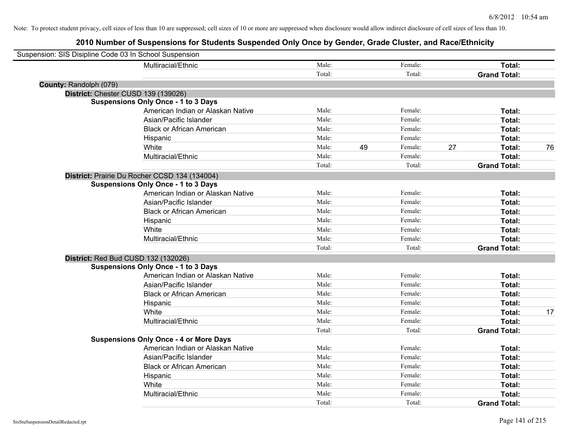| Suspension: SIS Disipline Code 03 In School Suspension |                                               |        |               |                     |    |
|--------------------------------------------------------|-----------------------------------------------|--------|---------------|---------------------|----|
|                                                        | Multiracial/Ethnic                            | Male:  | Female:       | Total:              |    |
|                                                        |                                               | Total: | Total:        | <b>Grand Total:</b> |    |
| County: Randolph (079)                                 |                                               |        |               |                     |    |
| District: Chester CUSD 139 (139026)                    |                                               |        |               |                     |    |
|                                                        | <b>Suspensions Only Once - 1 to 3 Days</b>    |        |               |                     |    |
|                                                        | American Indian or Alaskan Native             | Male:  | Female:       | Total:              |    |
|                                                        | Asian/Pacific Islander                        | Male:  | Female:       | Total:              |    |
|                                                        | <b>Black or African American</b>              | Male:  | Female:       | Total:              |    |
|                                                        | Hispanic                                      | Male:  | Female:       | Total:              |    |
|                                                        | White                                         | Male:  | 49<br>Female: | 27<br>Total:        | 76 |
|                                                        | Multiracial/Ethnic                            | Male:  | Female:       | Total:              |    |
|                                                        |                                               | Total: | Total:        | <b>Grand Total:</b> |    |
|                                                        | District: Prairie Du Rocher CCSD 134 (134004) |        |               |                     |    |
|                                                        | <b>Suspensions Only Once - 1 to 3 Days</b>    |        |               |                     |    |
|                                                        | American Indian or Alaskan Native             | Male:  | Female:       | Total:              |    |
|                                                        | Asian/Pacific Islander                        | Male:  | Female:       | Total:              |    |
|                                                        | <b>Black or African American</b>              | Male:  | Female:       | Total:              |    |
|                                                        | Hispanic                                      | Male:  | Female:       | Total:              |    |
|                                                        | White                                         | Male:  | Female:       | Total:              |    |
|                                                        | Multiracial/Ethnic                            | Male:  | Female:       | Total:              |    |
|                                                        |                                               | Total: | Total:        | <b>Grand Total:</b> |    |
| District: Red Bud CUSD 132 (132026)                    |                                               |        |               |                     |    |
|                                                        | <b>Suspensions Only Once - 1 to 3 Days</b>    |        |               |                     |    |
|                                                        | American Indian or Alaskan Native             | Male:  | Female:       | Total:              |    |
|                                                        | Asian/Pacific Islander                        | Male:  | Female:       | Total:              |    |
|                                                        | <b>Black or African American</b>              | Male:  | Female:       | Total:              |    |
|                                                        | Hispanic                                      | Male:  | Female:       | Total:              |    |
|                                                        | White                                         | Male:  | Female:       | Total:              | 17 |
|                                                        | Multiracial/Ethnic                            | Male:  | Female:       | Total:              |    |
|                                                        |                                               | Total: | Total:        | <b>Grand Total:</b> |    |
|                                                        | <b>Suspensions Only Once - 4 or More Days</b> |        |               |                     |    |
|                                                        | American Indian or Alaskan Native             | Male:  | Female:       | Total:              |    |
|                                                        | Asian/Pacific Islander                        | Male:  | Female:       | Total:              |    |
|                                                        | <b>Black or African American</b>              | Male:  | Female:       | Total:              |    |
|                                                        | Hispanic                                      | Male:  | Female:       | Total:              |    |
|                                                        | White                                         | Male:  | Female:       | Total:              |    |
|                                                        | Multiracial/Ethnic                            | Male:  | Female:       | Total:              |    |
|                                                        |                                               | Total: | Total:        | <b>Grand Total:</b> |    |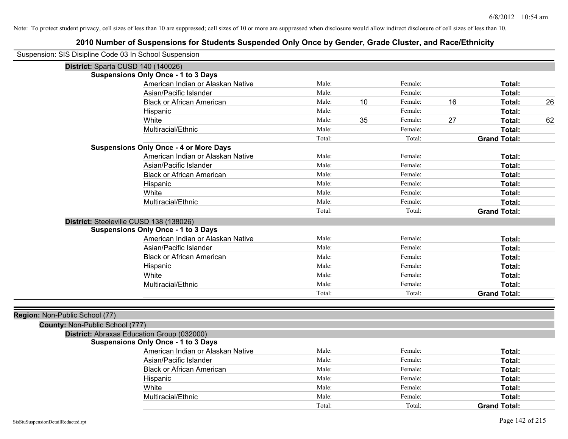| Suspension: SIS Disipline Code 03 In School Suspension |                                               |        |    |         |    |                     |    |
|--------------------------------------------------------|-----------------------------------------------|--------|----|---------|----|---------------------|----|
| District: Sparta CUSD 140 (140026)                     |                                               |        |    |         |    |                     |    |
|                                                        | <b>Suspensions Only Once - 1 to 3 Days</b>    |        |    |         |    |                     |    |
|                                                        | American Indian or Alaskan Native             | Male:  |    | Female: |    | Total:              |    |
|                                                        | Asian/Pacific Islander                        | Male:  |    | Female: |    | Total:              |    |
|                                                        | <b>Black or African American</b>              | Male:  | 10 | Female: | 16 | Total:              | 26 |
|                                                        | Hispanic                                      | Male:  |    | Female: |    | Total:              |    |
|                                                        | White                                         | Male:  | 35 | Female: | 27 | Total:              | 62 |
|                                                        | Multiracial/Ethnic                            | Male:  |    | Female: |    | Total:              |    |
|                                                        |                                               | Total: |    | Total:  |    | <b>Grand Total:</b> |    |
|                                                        | <b>Suspensions Only Once - 4 or More Days</b> |        |    |         |    |                     |    |
|                                                        | American Indian or Alaskan Native             | Male:  |    | Female: |    | Total:              |    |
|                                                        | Asian/Pacific Islander                        | Male:  |    | Female: |    | Total:              |    |
|                                                        | <b>Black or African American</b>              | Male:  |    | Female: |    | Total:              |    |
|                                                        | Hispanic                                      | Male:  |    | Female: |    | Total:              |    |
|                                                        | White                                         | Male:  |    | Female: |    | Total:              |    |
|                                                        | Multiracial/Ethnic                            | Male:  |    | Female: |    | Total:              |    |
|                                                        |                                               | Total: |    | Total:  |    | <b>Grand Total:</b> |    |
| District: Steeleville CUSD 138 (138026)                |                                               |        |    |         |    |                     |    |
|                                                        | <b>Suspensions Only Once - 1 to 3 Days</b>    |        |    |         |    |                     |    |
|                                                        | American Indian or Alaskan Native             | Male:  |    | Female: |    | Total:              |    |
|                                                        | Asian/Pacific Islander                        | Male:  |    | Female: |    | Total:              |    |
|                                                        | <b>Black or African American</b>              | Male:  |    | Female: |    | Total:              |    |
|                                                        | Hispanic                                      | Male:  |    | Female: |    | Total:              |    |
|                                                        | White                                         | Male:  |    | Female: |    | Total:              |    |
|                                                        | Multiracial/Ethnic                            | Male:  |    | Female: |    | Total:              |    |
|                                                        |                                               | Total: |    | Total:  |    | <b>Grand Total:</b> |    |
|                                                        |                                               |        |    |         |    |                     |    |
| Region: Non-Public School (77)                         |                                               |        |    |         |    |                     |    |
| County: Non-Public School (777)                        |                                               |        |    |         |    |                     |    |
| District: Abraxas Education Group (032000)             |                                               |        |    |         |    |                     |    |
|                                                        | <b>Suspensions Only Once - 1 to 3 Days</b>    | Male:  |    |         |    |                     |    |
|                                                        | American Indian or Alaskan Native             |        |    | Female: |    | Total:              |    |
|                                                        | Asian/Pacific Islander                        | Male:  |    | Female: |    | Total:              |    |
|                                                        | <b>Black or African American</b>              | Male:  |    | Female: |    | Total:              |    |
|                                                        | Hispanic                                      | Male:  |    | Female: |    | Total:              |    |
|                                                        | White                                         | Male:  |    | Female: |    | Total:              |    |
|                                                        | Multiracial/Ethnic                            | Male:  |    | Female: |    | Total:              |    |
|                                                        |                                               | Total: |    | Total:  |    | <b>Grand Total:</b> |    |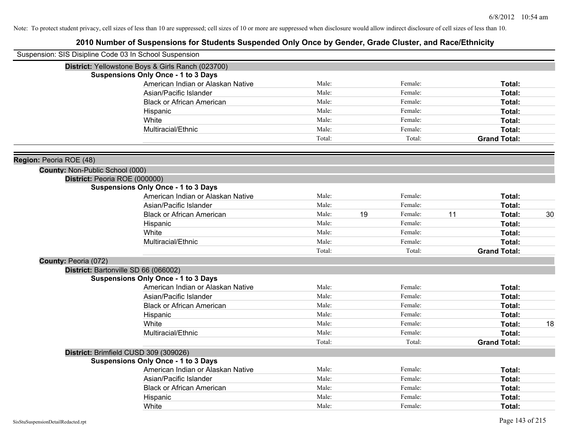| Suspension: SIS Disipline Code 03 In School Suspension |                                                   |        |    |         |    |                     |    |
|--------------------------------------------------------|---------------------------------------------------|--------|----|---------|----|---------------------|----|
|                                                        | District: Yellowstone Boys & Girls Ranch (023700) |        |    |         |    |                     |    |
|                                                        | <b>Suspensions Only Once - 1 to 3 Days</b>        |        |    |         |    |                     |    |
|                                                        | American Indian or Alaskan Native                 | Male:  |    | Female: |    | Total:              |    |
|                                                        | Asian/Pacific Islander                            | Male:  |    | Female: |    | Total:              |    |
|                                                        | <b>Black or African American</b>                  | Male:  |    | Female: |    | Total:              |    |
|                                                        | Hispanic                                          | Male:  |    | Female: |    | Total:              |    |
|                                                        | White                                             | Male:  |    | Female: |    | Total:              |    |
|                                                        | Multiracial/Ethnic                                | Male:  |    | Female: |    | Total:              |    |
|                                                        |                                                   | Total: |    | Total:  |    | <b>Grand Total:</b> |    |
| Region: Peoria ROE (48)                                |                                                   |        |    |         |    |                     |    |
| County: Non-Public School (000)                        |                                                   |        |    |         |    |                     |    |
|                                                        | District: Peoria ROE (000000)                     |        |    |         |    |                     |    |
|                                                        | <b>Suspensions Only Once - 1 to 3 Days</b>        |        |    |         |    |                     |    |
|                                                        | American Indian or Alaskan Native                 | Male:  |    | Female: |    | Total:              |    |
|                                                        | Asian/Pacific Islander                            | Male:  |    | Female: |    | Total:              |    |
|                                                        | <b>Black or African American</b>                  | Male:  | 19 | Female: | 11 | Total:              | 30 |
|                                                        | Hispanic                                          | Male:  |    | Female: |    | Total:              |    |
|                                                        | White                                             | Male:  |    | Female: |    | Total:              |    |
|                                                        | Multiracial/Ethnic                                | Male:  |    | Female: |    | Total:              |    |
|                                                        |                                                   | Total: |    | Total:  |    | <b>Grand Total:</b> |    |
| County: Peoria (072)                                   |                                                   |        |    |         |    |                     |    |
|                                                        | District: Bartonville SD 66 (066002)              |        |    |         |    |                     |    |
|                                                        | <b>Suspensions Only Once - 1 to 3 Days</b>        |        |    |         |    |                     |    |
|                                                        | American Indian or Alaskan Native                 | Male:  |    | Female: |    | Total:              |    |
|                                                        | Asian/Pacific Islander                            | Male:  |    | Female: |    | Total:              |    |
|                                                        | <b>Black or African American</b>                  | Male:  |    | Female: |    | Total:              |    |
|                                                        | Hispanic                                          | Male:  |    | Female: |    | Total:              |    |
|                                                        | White                                             | Male:  |    | Female: |    | Total:              | 18 |
|                                                        | Multiracial/Ethnic                                | Male:  |    | Female: |    | Total:              |    |
|                                                        |                                                   | Total: |    | Total:  |    | <b>Grand Total:</b> |    |
|                                                        | District: Brimfield CUSD 309 (309026)             |        |    |         |    |                     |    |
|                                                        | <b>Suspensions Only Once - 1 to 3 Days</b>        |        |    |         |    |                     |    |
|                                                        | American Indian or Alaskan Native                 | Male:  |    | Female: |    | Total:              |    |
|                                                        | Asian/Pacific Islander                            | Male:  |    | Female: |    | Total:              |    |
|                                                        | <b>Black or African American</b>                  | Male:  |    | Female: |    | Total:              |    |
|                                                        | Hispanic                                          | Male:  |    | Female: |    | Total:              |    |
|                                                        | White                                             | Male:  |    | Female: |    | Total:              |    |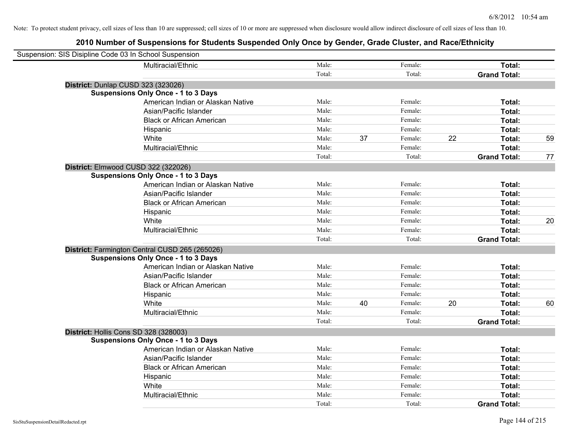| Suspension: SIS Disipline Code 03 In School Suspension |                                                |        |    |         |    |                     |    |
|--------------------------------------------------------|------------------------------------------------|--------|----|---------|----|---------------------|----|
|                                                        | Multiracial/Ethnic                             | Male:  |    | Female: |    | Total:              |    |
|                                                        |                                                | Total: |    | Total:  |    | <b>Grand Total:</b> |    |
| District: Dunlap CUSD 323 (323026)                     |                                                |        |    |         |    |                     |    |
|                                                        | <b>Suspensions Only Once - 1 to 3 Days</b>     |        |    |         |    |                     |    |
|                                                        | American Indian or Alaskan Native              | Male:  |    | Female: |    | Total:              |    |
|                                                        | Asian/Pacific Islander                         | Male:  |    | Female: |    | Total:              |    |
|                                                        | <b>Black or African American</b>               | Male:  |    | Female: |    | Total:              |    |
|                                                        | Hispanic                                       | Male:  |    | Female: |    | Total:              |    |
|                                                        | White                                          | Male:  | 37 | Female: | 22 | Total:              | 59 |
|                                                        | Multiracial/Ethnic                             | Male:  |    | Female: |    | Total:              |    |
|                                                        |                                                | Total: |    | Total:  |    | <b>Grand Total:</b> | 77 |
| District: Elmwood CUSD 322 (322026)                    |                                                |        |    |         |    |                     |    |
|                                                        | <b>Suspensions Only Once - 1 to 3 Days</b>     |        |    |         |    |                     |    |
|                                                        | American Indian or Alaskan Native              | Male:  |    | Female: |    | Total:              |    |
|                                                        | Asian/Pacific Islander                         | Male:  |    | Female: |    | Total:              |    |
|                                                        | <b>Black or African American</b>               | Male:  |    | Female: |    | Total:              |    |
|                                                        | Hispanic                                       | Male:  |    | Female: |    | Total:              |    |
|                                                        | White                                          | Male:  |    | Female: |    | Total:              | 20 |
|                                                        | Multiracial/Ethnic                             | Male:  |    | Female: |    | Total:              |    |
|                                                        |                                                | Total: |    | Total:  |    | <b>Grand Total:</b> |    |
|                                                        | District: Farmington Central CUSD 265 (265026) |        |    |         |    |                     |    |
|                                                        | <b>Suspensions Only Once - 1 to 3 Days</b>     |        |    |         |    |                     |    |
|                                                        | American Indian or Alaskan Native              | Male:  |    | Female: |    | Total:              |    |
|                                                        | Asian/Pacific Islander                         | Male:  |    | Female: |    | Total:              |    |
|                                                        | <b>Black or African American</b>               | Male:  |    | Female: |    | Total:              |    |
|                                                        | Hispanic                                       | Male:  |    | Female: |    | Total:              |    |
|                                                        | White                                          | Male:  | 40 | Female: | 20 | Total:              | 60 |
|                                                        | Multiracial/Ethnic                             | Male:  |    | Female: |    | Total:              |    |
|                                                        |                                                | Total: |    | Total:  |    | <b>Grand Total:</b> |    |
| District: Hollis Cons SD 328 (328003)                  |                                                |        |    |         |    |                     |    |
|                                                        | <b>Suspensions Only Once - 1 to 3 Days</b>     |        |    |         |    |                     |    |
|                                                        | American Indian or Alaskan Native              | Male:  |    | Female: |    | Total:              |    |
|                                                        | Asian/Pacific Islander                         | Male:  |    | Female: |    | Total:              |    |
|                                                        | <b>Black or African American</b>               | Male:  |    | Female: |    | Total:              |    |
|                                                        | Hispanic                                       | Male:  |    | Female: |    | Total:              |    |
|                                                        | White                                          | Male:  |    | Female: |    | Total:              |    |
|                                                        | Multiracial/Ethnic                             | Male:  |    | Female: |    | Total:              |    |
|                                                        |                                                | Total: |    | Total:  |    | <b>Grand Total:</b> |    |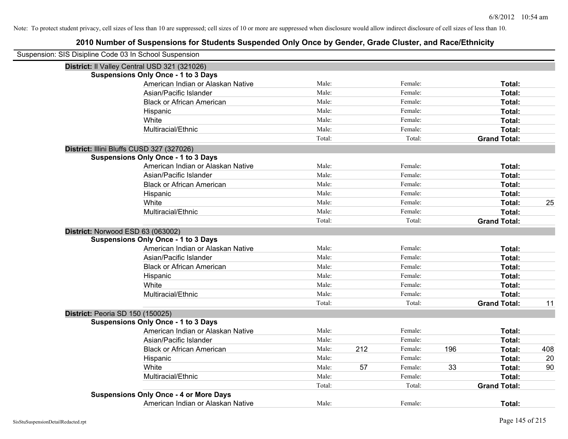| Suspension: SIS Disipline Code 03 In School Suspension |        |     |         |     |                     |     |
|--------------------------------------------------------|--------|-----|---------|-----|---------------------|-----|
| District: Il Valley Central USD 321 (321026)           |        |     |         |     |                     |     |
| <b>Suspensions Only Once - 1 to 3 Days</b>             |        |     |         |     |                     |     |
| American Indian or Alaskan Native                      | Male:  |     | Female: |     | Total:              |     |
| Asian/Pacific Islander                                 | Male:  |     | Female: |     | Total:              |     |
| <b>Black or African American</b>                       | Male:  |     | Female: |     | Total:              |     |
| Hispanic                                               | Male:  |     | Female: |     | Total:              |     |
| White                                                  | Male:  |     | Female: |     | Total:              |     |
| Multiracial/Ethnic                                     | Male:  |     | Female: |     | Total:              |     |
|                                                        | Total: |     | Total:  |     | <b>Grand Total:</b> |     |
| District: Illini Bluffs CUSD 327 (327026)              |        |     |         |     |                     |     |
| <b>Suspensions Only Once - 1 to 3 Days</b>             |        |     |         |     |                     |     |
| American Indian or Alaskan Native                      | Male:  |     | Female: |     | Total:              |     |
| Asian/Pacific Islander                                 | Male:  |     | Female: |     | Total:              |     |
| <b>Black or African American</b>                       | Male:  |     | Female: |     | Total:              |     |
| Hispanic                                               | Male:  |     | Female: |     | Total:              |     |
| White                                                  | Male:  |     | Female: |     | Total:              | 25  |
| Multiracial/Ethnic                                     | Male:  |     | Female: |     | Total:              |     |
|                                                        | Total: |     | Total:  |     | <b>Grand Total:</b> |     |
| District: Norwood ESD 63 (063002)                      |        |     |         |     |                     |     |
| <b>Suspensions Only Once - 1 to 3 Days</b>             |        |     |         |     |                     |     |
| American Indian or Alaskan Native                      | Male:  |     | Female: |     | Total:              |     |
| Asian/Pacific Islander                                 | Male:  |     | Female: |     | Total:              |     |
| <b>Black or African American</b>                       | Male:  |     | Female: |     | Total:              |     |
| Hispanic                                               | Male:  |     | Female: |     | Total:              |     |
| White                                                  | Male:  |     | Female: |     | Total:              |     |
| Multiracial/Ethnic                                     | Male:  |     | Female: |     | Total:              |     |
|                                                        | Total: |     | Total:  |     | <b>Grand Total:</b> | 11  |
| District: Peoria SD 150 (150025)                       |        |     |         |     |                     |     |
| <b>Suspensions Only Once - 1 to 3 Days</b>             |        |     |         |     |                     |     |
| American Indian or Alaskan Native                      | Male:  |     | Female: |     | Total:              |     |
| Asian/Pacific Islander                                 | Male:  |     | Female: |     | Total:              |     |
| <b>Black or African American</b>                       | Male:  | 212 | Female: | 196 | Total:              | 408 |
| Hispanic                                               | Male:  |     | Female: |     | Total:              | 20  |
| White                                                  | Male:  | 57  | Female: | 33  | Total:              | 90  |
| Multiracial/Ethnic                                     | Male:  |     | Female: |     | Total:              |     |
|                                                        | Total: |     | Total:  |     | <b>Grand Total:</b> |     |
| <b>Suspensions Only Once - 4 or More Days</b>          |        |     |         |     |                     |     |
| American Indian or Alaskan Native                      | Male:  |     | Female: |     | Total:              |     |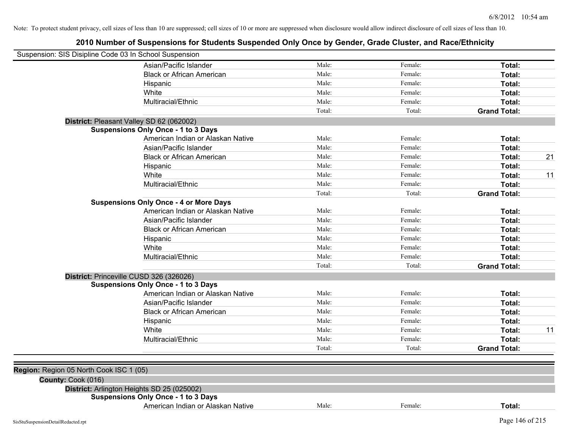| Suspension: SIS Disipline Code 03 In School Suspension |                                               |        |         |                     |
|--------------------------------------------------------|-----------------------------------------------|--------|---------|---------------------|
|                                                        | Asian/Pacific Islander                        | Male:  | Female: | Total:              |
|                                                        | <b>Black or African American</b>              | Male:  | Female: | Total:              |
|                                                        | Hispanic                                      | Male:  | Female: | Total:              |
|                                                        | White                                         | Male:  | Female: | Total:              |
|                                                        | Multiracial/Ethnic                            | Male:  | Female: | Total:              |
|                                                        |                                               | Total: | Total:  | <b>Grand Total:</b> |
|                                                        | District: Pleasant Valley SD 62 (062002)      |        |         |                     |
|                                                        | <b>Suspensions Only Once - 1 to 3 Days</b>    |        |         |                     |
|                                                        | American Indian or Alaskan Native             | Male:  | Female: | Total:              |
|                                                        | Asian/Pacific Islander                        | Male:  | Female: | Total:              |
|                                                        | <b>Black or African American</b>              | Male:  | Female: | 21<br>Total:        |
|                                                        | Hispanic                                      | Male:  | Female: | Total:              |
|                                                        | White                                         | Male:  | Female: | Total:<br>11        |
|                                                        | Multiracial/Ethnic                            | Male:  | Female: | Total:              |
|                                                        |                                               | Total: | Total:  | <b>Grand Total:</b> |
|                                                        | <b>Suspensions Only Once - 4 or More Days</b> |        |         |                     |
|                                                        | American Indian or Alaskan Native             | Male:  | Female: | Total:              |
|                                                        | Asian/Pacific Islander                        | Male:  | Female: | Total:              |
|                                                        | <b>Black or African American</b>              | Male:  | Female: | Total:              |
|                                                        | Hispanic                                      | Male:  | Female: | Total:              |
|                                                        | White                                         | Male:  | Female: | Total:              |
|                                                        | Multiracial/Ethnic                            | Male:  | Female: | Total:              |
|                                                        |                                               | Total: | Total:  | <b>Grand Total:</b> |
|                                                        | District: Princeville CUSD 326 (326026)       |        |         |                     |
|                                                        | <b>Suspensions Only Once - 1 to 3 Days</b>    |        |         |                     |
|                                                        | American Indian or Alaskan Native             | Male:  | Female: | Total:              |
|                                                        | Asian/Pacific Islander                        | Male:  | Female: | Total:              |
|                                                        | <b>Black or African American</b>              | Male:  | Female: | Total:              |
|                                                        | Hispanic                                      | Male:  | Female: | Total:              |
|                                                        | White                                         | Male:  | Female: | Total:<br>11        |
|                                                        | Multiracial/Ethnic                            | Male:  | Female: | Total:              |
|                                                        |                                               | Total: | Total:  | <b>Grand Total:</b> |
|                                                        |                                               |        |         |                     |
| Region: Region 05 North Cook ISC 1 (05)                |                                               |        |         |                     |
| County: Cook (016)                                     |                                               |        |         |                     |
|                                                        | District: Arlington Heights SD 25 (025002)    |        |         |                     |
|                                                        | <b>Suspensions Only Once - 1 to 3 Days</b>    |        |         |                     |
|                                                        | American Indian or Alaskan Native             | Male:  | Female: | Total:              |
| SisStuSuspensionDetailRedacted.rpt                     |                                               |        |         | Page 146 of 215     |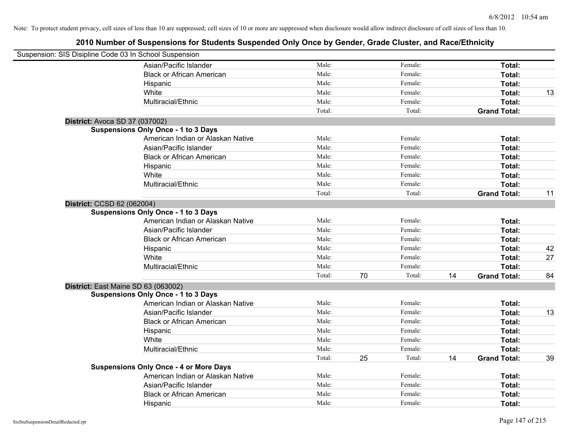| Suspension: SIS Disipline Code 03 In School Suspension |                                               |        |    |         |    |                     |    |
|--------------------------------------------------------|-----------------------------------------------|--------|----|---------|----|---------------------|----|
|                                                        | Asian/Pacific Islander                        | Male:  |    | Female: |    | Total:              |    |
|                                                        | <b>Black or African American</b>              | Male:  |    | Female: |    | Total:              |    |
|                                                        | Hispanic                                      | Male:  |    | Female: |    | Total:              |    |
|                                                        | White                                         | Male:  |    | Female: |    | Total:              | 13 |
|                                                        | Multiracial/Ethnic                            | Male:  |    | Female: |    | Total:              |    |
|                                                        |                                               | Total: |    | Total:  |    | <b>Grand Total:</b> |    |
| District: Avoca SD 37 (037002)                         |                                               |        |    |         |    |                     |    |
|                                                        | <b>Suspensions Only Once - 1 to 3 Days</b>    |        |    |         |    |                     |    |
|                                                        | American Indian or Alaskan Native             | Male:  |    | Female: |    | Total:              |    |
|                                                        | Asian/Pacific Islander                        | Male:  |    | Female: |    | Total:              |    |
|                                                        | <b>Black or African American</b>              | Male:  |    | Female: |    | Total:              |    |
|                                                        | Hispanic                                      | Male:  |    | Female: |    | Total:              |    |
|                                                        | White                                         | Male:  |    | Female: |    | Total:              |    |
|                                                        | Multiracial/Ethnic                            | Male:  |    | Female: |    | Total:              |    |
|                                                        |                                               | Total: |    | Total:  |    | <b>Grand Total:</b> | 11 |
| District: CCSD 62 (062004)                             |                                               |        |    |         |    |                     |    |
|                                                        | <b>Suspensions Only Once - 1 to 3 Days</b>    |        |    |         |    |                     |    |
|                                                        | American Indian or Alaskan Native             | Male:  |    | Female: |    | Total:              |    |
|                                                        | Asian/Pacific Islander                        | Male:  |    | Female: |    | Total:              |    |
|                                                        | <b>Black or African American</b>              | Male:  |    | Female: |    | Total:              |    |
|                                                        | Hispanic                                      | Male:  |    | Female: |    | Total:              | 42 |
|                                                        | White                                         | Male:  |    | Female: |    | Total:              | 27 |
|                                                        | Multiracial/Ethnic                            | Male:  |    | Female: |    | Total:              |    |
|                                                        |                                               | Total: | 70 | Total:  | 14 | <b>Grand Total:</b> | 84 |
| District: East Maine SD 63 (063002)                    |                                               |        |    |         |    |                     |    |
|                                                        | <b>Suspensions Only Once - 1 to 3 Days</b>    |        |    |         |    |                     |    |
|                                                        | American Indian or Alaskan Native             | Male:  |    | Female: |    | Total:              |    |
|                                                        | Asian/Pacific Islander                        | Male:  |    | Female: |    | Total:              | 13 |
|                                                        | <b>Black or African American</b>              | Male:  |    | Female: |    | Total:              |    |
|                                                        | Hispanic                                      | Male:  |    | Female: |    | Total:              |    |
|                                                        | White                                         | Male:  |    | Female: |    | Total:              |    |
|                                                        | Multiracial/Ethnic                            | Male:  |    | Female: |    | Total:              |    |
|                                                        |                                               | Total: | 25 | Total:  | 14 | <b>Grand Total:</b> | 39 |
|                                                        | <b>Suspensions Only Once - 4 or More Days</b> |        |    |         |    |                     |    |
|                                                        | American Indian or Alaskan Native             | Male:  |    | Female: |    | Total:              |    |
|                                                        | Asian/Pacific Islander                        | Male:  |    | Female: |    | Total:              |    |
|                                                        | <b>Black or African American</b>              | Male:  |    | Female: |    | Total:              |    |
|                                                        | Hispanic                                      | Male:  |    | Female: |    | Total:              |    |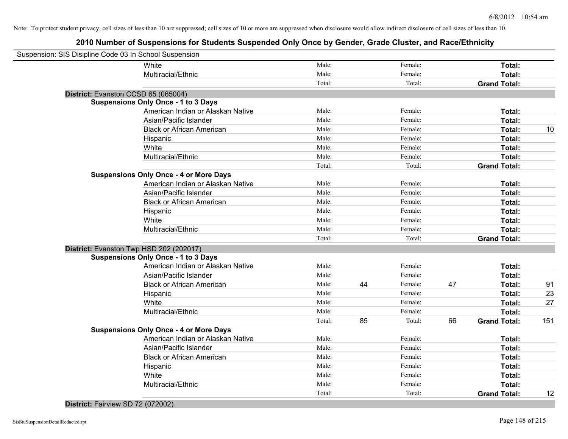# **2010 Number of Suspensions for Students Suspended Only Once by Gender, Grade Cluster, and Race/Ethnicity**

| Suspension: SIS Disipline Code 03 In School Suspension |        |    |         |    |                     |     |
|--------------------------------------------------------|--------|----|---------|----|---------------------|-----|
| White                                                  | Male:  |    | Female: |    | Total:              |     |
| Multiracial/Ethnic                                     | Male:  |    | Female: |    | Total:              |     |
|                                                        | Total: |    | Total:  |    | <b>Grand Total:</b> |     |
| District: Evanston CCSD 65 (065004)                    |        |    |         |    |                     |     |
| <b>Suspensions Only Once - 1 to 3 Days</b>             |        |    |         |    |                     |     |
| American Indian or Alaskan Native                      | Male:  |    | Female: |    | Total:              |     |
| Asian/Pacific Islander                                 | Male:  |    | Female: |    | Total:              |     |
| <b>Black or African American</b>                       | Male:  |    | Female: |    | Total:              | 10  |
| Hispanic                                               | Male:  |    | Female: |    | Total:              |     |
| White                                                  | Male:  |    | Female: |    | Total:              |     |
| Multiracial/Ethnic                                     | Male:  |    | Female: |    | Total:              |     |
|                                                        | Total: |    | Total:  |    | <b>Grand Total:</b> |     |
| <b>Suspensions Only Once - 4 or More Days</b>          |        |    |         |    |                     |     |
| American Indian or Alaskan Native                      | Male:  |    | Female: |    | Total:              |     |
| Asian/Pacific Islander                                 | Male:  |    | Female: |    | Total:              |     |
| <b>Black or African American</b>                       | Male:  |    | Female: |    | Total:              |     |
| Hispanic                                               | Male:  |    | Female: |    | Total:              |     |
| White                                                  | Male:  |    | Female: |    | Total:              |     |
| Multiracial/Ethnic                                     | Male:  |    | Female: |    | Total:              |     |
|                                                        | Total: |    | Total:  |    | <b>Grand Total:</b> |     |
| District: Evanston Twp HSD 202 (202017)                |        |    |         |    |                     |     |
| <b>Suspensions Only Once - 1 to 3 Days</b>             |        |    |         |    |                     |     |
| American Indian or Alaskan Native                      | Male:  |    | Female: |    | Total:              |     |
| Asian/Pacific Islander                                 | Male:  |    | Female: |    | Total:              |     |
| <b>Black or African American</b>                       | Male:  | 44 | Female: | 47 | Total:              | 91  |
| Hispanic                                               | Male:  |    | Female: |    | Total:              | 23  |
| White                                                  | Male:  |    | Female: |    | Total:              | 27  |
| Multiracial/Ethnic                                     | Male:  |    | Female: |    | Total:              |     |
|                                                        | Total: | 85 | Total:  | 66 | <b>Grand Total:</b> | 151 |
| <b>Suspensions Only Once - 4 or More Days</b>          |        |    |         |    |                     |     |
| American Indian or Alaskan Native                      | Male:  |    | Female: |    | Total:              |     |
| Asian/Pacific Islander                                 | Male:  |    | Female: |    | Total:              |     |
| <b>Black or African American</b>                       | Male:  |    | Female: |    | Total:              |     |
| Hispanic                                               | Male:  |    | Female: |    | Total:              |     |
| White                                                  | Male:  |    | Female: |    | Total:              |     |
| Multiracial/Ethnic                                     | Male:  |    | Female: |    | Total:              |     |
|                                                        | Total: |    | Total:  |    | <b>Grand Total:</b> | 12  |

## **District:** Fairview SD 72 (072002)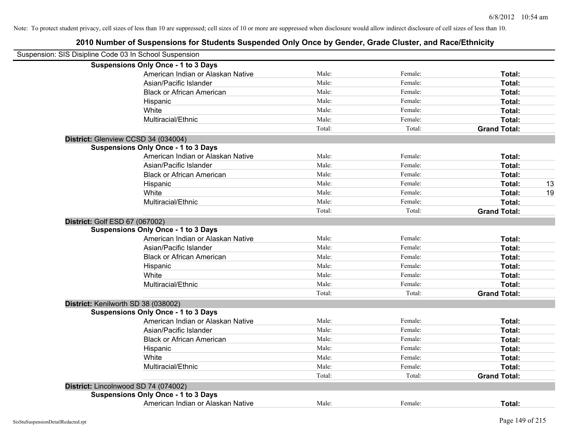| Suspension: SIS Disipline Code 03 In School Suspension |                                            |        |         |                     |    |
|--------------------------------------------------------|--------------------------------------------|--------|---------|---------------------|----|
|                                                        | <b>Suspensions Only Once - 1 to 3 Days</b> |        |         |                     |    |
|                                                        | American Indian or Alaskan Native          | Male:  | Female: | Total:              |    |
|                                                        | Asian/Pacific Islander                     | Male:  | Female: | Total:              |    |
|                                                        | <b>Black or African American</b>           | Male:  | Female: | Total:              |    |
|                                                        | Hispanic                                   | Male:  | Female: | Total:              |    |
|                                                        | White                                      | Male:  | Female: | Total:              |    |
|                                                        | Multiracial/Ethnic                         | Male:  | Female: | Total:              |    |
|                                                        |                                            | Total: | Total:  | <b>Grand Total:</b> |    |
| District: Glenview CCSD 34 (034004)                    |                                            |        |         |                     |    |
|                                                        | <b>Suspensions Only Once - 1 to 3 Days</b> |        |         |                     |    |
|                                                        | American Indian or Alaskan Native          | Male:  | Female: | Total:              |    |
|                                                        | Asian/Pacific Islander                     | Male:  | Female: | Total:              |    |
|                                                        | <b>Black or African American</b>           | Male:  | Female: | Total:              |    |
|                                                        | Hispanic                                   | Male:  | Female: | Total:              | 13 |
|                                                        | White                                      | Male:  | Female: | Total:              | 19 |
|                                                        | Multiracial/Ethnic                         | Male:  | Female: | Total:              |    |
|                                                        |                                            | Total: | Total:  | <b>Grand Total:</b> |    |
| District: Golf ESD 67 (067002)                         |                                            |        |         |                     |    |
|                                                        | <b>Suspensions Only Once - 1 to 3 Days</b> |        |         |                     |    |
|                                                        | American Indian or Alaskan Native          | Male:  | Female: | Total:              |    |
|                                                        | Asian/Pacific Islander                     | Male:  | Female: | Total:              |    |
|                                                        | <b>Black or African American</b>           | Male:  | Female: | Total:              |    |
|                                                        | Hispanic                                   | Male:  | Female: | Total:              |    |
|                                                        | White                                      | Male:  | Female: | Total:              |    |
|                                                        | Multiracial/Ethnic                         | Male:  | Female: | Total:              |    |
|                                                        |                                            | Total: | Total:  | <b>Grand Total:</b> |    |
| District: Kenilworth SD 38 (038002)                    |                                            |        |         |                     |    |
|                                                        | <b>Suspensions Only Once - 1 to 3 Days</b> |        |         |                     |    |
|                                                        | American Indian or Alaskan Native          | Male:  | Female: | Total:              |    |
|                                                        | Asian/Pacific Islander                     | Male:  | Female: | Total:              |    |
|                                                        | <b>Black or African American</b>           | Male:  | Female: | Total:              |    |
|                                                        | Hispanic                                   | Male:  | Female: | Total:              |    |
|                                                        | White                                      | Male:  | Female: | Total:              |    |
|                                                        | Multiracial/Ethnic                         | Male:  | Female: | Total:              |    |
|                                                        |                                            | Total: | Total:  | <b>Grand Total:</b> |    |
| District: Lincolnwood SD 74 (074002)                   |                                            |        |         |                     |    |
|                                                        | <b>Suspensions Only Once - 1 to 3 Days</b> |        |         |                     |    |
|                                                        | American Indian or Alaskan Native          | Male:  | Female: | Total:              |    |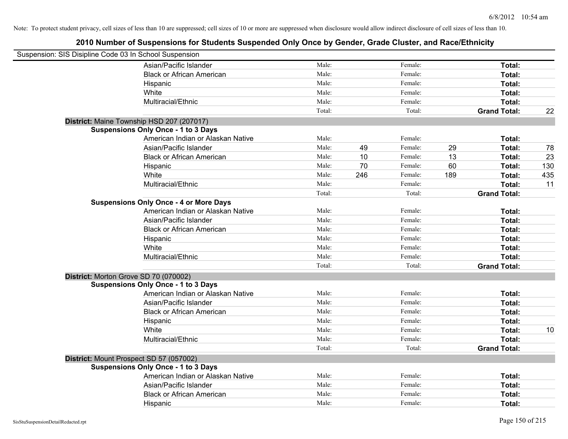| Suspension: SIS Disipline Code 03 In School Suspension |                                               |        |     |         |     |                     |     |
|--------------------------------------------------------|-----------------------------------------------|--------|-----|---------|-----|---------------------|-----|
|                                                        | Asian/Pacific Islander                        | Male:  |     | Female: |     | Total:              |     |
|                                                        | <b>Black or African American</b>              | Male:  |     | Female: |     | Total:              |     |
|                                                        | Hispanic                                      | Male:  |     | Female: |     | Total:              |     |
|                                                        | White                                         | Male:  |     | Female: |     | Total:              |     |
|                                                        | Multiracial/Ethnic                            | Male:  |     | Female: |     | Total:              |     |
|                                                        |                                               | Total: |     | Total:  |     | <b>Grand Total:</b> | 22  |
|                                                        | District: Maine Township HSD 207 (207017)     |        |     |         |     |                     |     |
|                                                        | <b>Suspensions Only Once - 1 to 3 Days</b>    |        |     |         |     |                     |     |
|                                                        | American Indian or Alaskan Native             | Male:  |     | Female: |     | Total:              |     |
|                                                        | Asian/Pacific Islander                        | Male:  | 49  | Female: | 29  | Total:              | 78  |
|                                                        | <b>Black or African American</b>              | Male:  | 10  | Female: | 13  | Total:              | 23  |
|                                                        | Hispanic                                      | Male:  | 70  | Female: | 60  | Total:              | 130 |
|                                                        | White                                         | Male:  | 246 | Female: | 189 | Total:              | 435 |
|                                                        | Multiracial/Ethnic                            | Male:  |     | Female: |     | Total:              | 11  |
|                                                        |                                               | Total: |     | Total:  |     | <b>Grand Total:</b> |     |
|                                                        | <b>Suspensions Only Once - 4 or More Days</b> |        |     |         |     |                     |     |
|                                                        | American Indian or Alaskan Native             | Male:  |     | Female: |     | Total:              |     |
|                                                        | Asian/Pacific Islander                        | Male:  |     | Female: |     | Total:              |     |
|                                                        | <b>Black or African American</b>              | Male:  |     | Female: |     | Total:              |     |
|                                                        | Hispanic                                      | Male:  |     | Female: |     | Total:              |     |
|                                                        | White                                         | Male:  |     | Female: |     | Total:              |     |
|                                                        | Multiracial/Ethnic                            | Male:  |     | Female: |     | Total:              |     |
|                                                        |                                               | Total: |     | Total:  |     | <b>Grand Total:</b> |     |
|                                                        | District: Morton Grove SD 70 (070002)         |        |     |         |     |                     |     |
|                                                        | <b>Suspensions Only Once - 1 to 3 Days</b>    |        |     |         |     |                     |     |
|                                                        | American Indian or Alaskan Native             | Male:  |     | Female: |     | Total:              |     |
|                                                        | Asian/Pacific Islander                        | Male:  |     | Female: |     | Total:              |     |
|                                                        | <b>Black or African American</b>              | Male:  |     | Female: |     | Total:              |     |
|                                                        | Hispanic                                      | Male:  |     | Female: |     | Total:              |     |
|                                                        | White                                         | Male:  |     | Female: |     | Total:              | 10  |
|                                                        | Multiracial/Ethnic                            | Male:  |     | Female: |     | Total:              |     |
|                                                        |                                               | Total: |     | Total:  |     | <b>Grand Total:</b> |     |
|                                                        | District: Mount Prospect SD 57 (057002)       |        |     |         |     |                     |     |
|                                                        | <b>Suspensions Only Once - 1 to 3 Days</b>    |        |     |         |     |                     |     |
|                                                        | American Indian or Alaskan Native             | Male:  |     | Female: |     | Total:              |     |
|                                                        | Asian/Pacific Islander                        | Male:  |     | Female: |     | Total:              |     |
|                                                        | <b>Black or African American</b>              | Male:  |     | Female: |     | Total:              |     |
|                                                        | Hispanic                                      | Male:  |     | Female: |     | Total:              |     |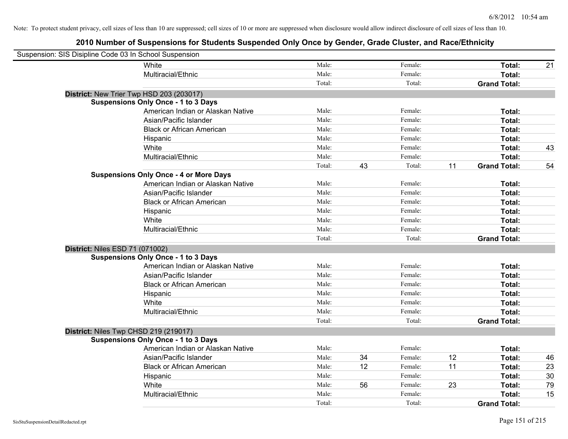| Suspension: SIS Disipline Code 03 In School Suspension |                                               |        |    |         |    |                     |    |
|--------------------------------------------------------|-----------------------------------------------|--------|----|---------|----|---------------------|----|
|                                                        | White                                         | Male:  |    | Female: |    | Total:              | 21 |
|                                                        | Multiracial/Ethnic                            | Male:  |    | Female: |    | Total:              |    |
|                                                        |                                               | Total: |    | Total:  |    | <b>Grand Total:</b> |    |
| District: New Trier Twp HSD 203 (203017)               |                                               |        |    |         |    |                     |    |
|                                                        | <b>Suspensions Only Once - 1 to 3 Days</b>    |        |    |         |    |                     |    |
|                                                        | American Indian or Alaskan Native             | Male:  |    | Female: |    | Total:              |    |
|                                                        | Asian/Pacific Islander                        | Male:  |    | Female: |    | Total:              |    |
|                                                        | <b>Black or African American</b>              | Male:  |    | Female: |    | Total:              |    |
|                                                        | Hispanic                                      | Male:  |    | Female: |    | Total:              |    |
|                                                        | White                                         | Male:  |    | Female: |    | Total:              | 43 |
|                                                        | Multiracial/Ethnic                            | Male:  |    | Female: |    | Total:              |    |
|                                                        |                                               | Total: | 43 | Total:  | 11 | <b>Grand Total:</b> | 54 |
|                                                        | <b>Suspensions Only Once - 4 or More Days</b> |        |    |         |    |                     |    |
|                                                        | American Indian or Alaskan Native             | Male:  |    | Female: |    | Total:              |    |
|                                                        | Asian/Pacific Islander                        | Male:  |    | Female: |    | Total:              |    |
|                                                        | <b>Black or African American</b>              | Male:  |    | Female: |    | Total:              |    |
|                                                        | Hispanic                                      | Male:  |    | Female: |    | Total:              |    |
|                                                        | White                                         | Male:  |    | Female: |    | Total:              |    |
|                                                        | Multiracial/Ethnic                            | Male:  |    | Female: |    | Total:              |    |
|                                                        |                                               | Total: |    | Total:  |    | <b>Grand Total:</b> |    |
| District: Niles ESD 71 (071002)                        |                                               |        |    |         |    |                     |    |
|                                                        | <b>Suspensions Only Once - 1 to 3 Days</b>    |        |    |         |    |                     |    |
|                                                        | American Indian or Alaskan Native             | Male:  |    | Female: |    | Total:              |    |
|                                                        | Asian/Pacific Islander                        | Male:  |    | Female: |    | Total:              |    |
|                                                        | <b>Black or African American</b>              | Male:  |    | Female: |    | Total:              |    |
|                                                        | Hispanic                                      | Male:  |    | Female: |    | Total:              |    |
|                                                        | White                                         | Male:  |    | Female: |    | Total:              |    |
|                                                        | Multiracial/Ethnic                            | Male:  |    | Female: |    | Total:              |    |
|                                                        |                                               | Total: |    | Total:  |    | <b>Grand Total:</b> |    |
| District: Niles Twp CHSD 219 (219017)                  |                                               |        |    |         |    |                     |    |
|                                                        | <b>Suspensions Only Once - 1 to 3 Days</b>    |        |    |         |    |                     |    |
|                                                        | American Indian or Alaskan Native             | Male:  |    | Female: |    | Total:              |    |
|                                                        | Asian/Pacific Islander                        | Male:  | 34 | Female: | 12 | Total:              | 46 |
|                                                        | <b>Black or African American</b>              | Male:  | 12 | Female: | 11 | Total:              | 23 |
|                                                        | Hispanic                                      | Male:  |    | Female: |    | Total:              | 30 |
|                                                        | White                                         | Male:  | 56 | Female: | 23 | Total:              | 79 |
|                                                        | Multiracial/Ethnic                            | Male:  |    | Female: |    | Total:              | 15 |
|                                                        |                                               | Total: |    | Total:  |    | <b>Grand Total:</b> |    |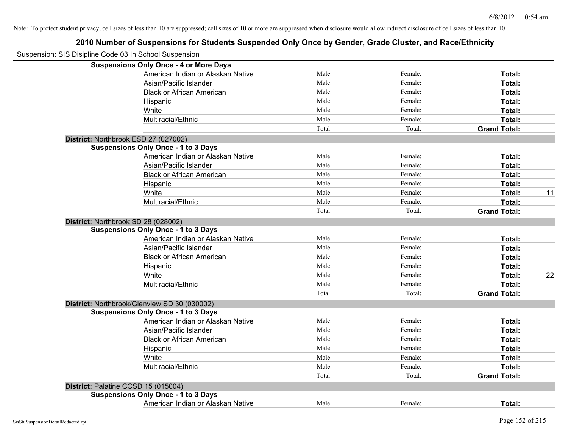| Suspension: SIS Disipline Code 03 In School Suspension |                                               |        |         |                     |    |
|--------------------------------------------------------|-----------------------------------------------|--------|---------|---------------------|----|
|                                                        | <b>Suspensions Only Once - 4 or More Days</b> |        |         |                     |    |
|                                                        | American Indian or Alaskan Native             | Male:  | Female: | Total:              |    |
|                                                        | Asian/Pacific Islander                        | Male:  | Female: | Total:              |    |
|                                                        | <b>Black or African American</b>              | Male:  | Female: | Total:              |    |
|                                                        | Hispanic                                      | Male:  | Female: | Total:              |    |
|                                                        | White                                         | Male:  | Female: | Total:              |    |
|                                                        | Multiracial/Ethnic                            | Male:  | Female: | Total:              |    |
|                                                        |                                               | Total: | Total:  | <b>Grand Total:</b> |    |
| District: Northbrook ESD 27 (027002)                   |                                               |        |         |                     |    |
|                                                        | <b>Suspensions Only Once - 1 to 3 Days</b>    |        |         |                     |    |
|                                                        | American Indian or Alaskan Native             | Male:  | Female: | Total:              |    |
|                                                        | Asian/Pacific Islander                        | Male:  | Female: | Total:              |    |
|                                                        | <b>Black or African American</b>              | Male:  | Female: | Total:              |    |
|                                                        | Hispanic                                      | Male:  | Female: | Total:              |    |
|                                                        | White                                         | Male:  | Female: | Total:              | 11 |
|                                                        | Multiracial/Ethnic                            | Male:  | Female: | Total:              |    |
|                                                        |                                               | Total: | Total:  | <b>Grand Total:</b> |    |
| District: Northbrook SD 28 (028002)                    |                                               |        |         |                     |    |
|                                                        | <b>Suspensions Only Once - 1 to 3 Days</b>    |        |         |                     |    |
|                                                        | American Indian or Alaskan Native             | Male:  | Female: | Total:              |    |
|                                                        | Asian/Pacific Islander                        | Male:  | Female: | Total:              |    |
|                                                        | <b>Black or African American</b>              | Male:  | Female: | Total:              |    |
|                                                        | Hispanic                                      | Male:  | Female: | Total:              |    |
|                                                        | White                                         | Male:  | Female: | Total:              | 22 |
|                                                        | Multiracial/Ethnic                            | Male:  | Female: | Total:              |    |
|                                                        |                                               | Total: | Total:  | <b>Grand Total:</b> |    |
|                                                        | District: Northbrook/Glenview SD 30 (030002)  |        |         |                     |    |
|                                                        | <b>Suspensions Only Once - 1 to 3 Days</b>    |        |         |                     |    |
|                                                        | American Indian or Alaskan Native             | Male:  | Female: | Total:              |    |
|                                                        | Asian/Pacific Islander                        | Male:  | Female: | Total:              |    |
|                                                        | <b>Black or African American</b>              | Male:  | Female: | Total:              |    |
|                                                        | Hispanic                                      | Male:  | Female: | Total:              |    |
|                                                        | White                                         | Male:  | Female: | Total:              |    |
|                                                        | Multiracial/Ethnic                            | Male:  | Female: | Total:              |    |
|                                                        |                                               | Total: | Total:  | <b>Grand Total:</b> |    |
| District: Palatine CCSD 15 (015004)                    |                                               |        |         |                     |    |
|                                                        | <b>Suspensions Only Once - 1 to 3 Days</b>    |        |         |                     |    |
|                                                        | American Indian or Alaskan Native             | Male:  | Female: | Total:              |    |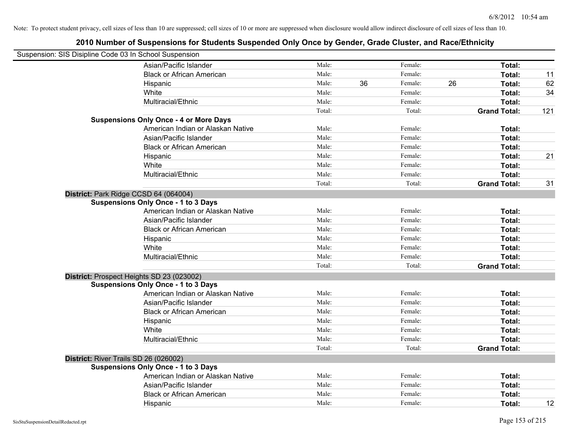| Suspension: SIS Disipline Code 03 In School Suspension |                                               |        |    |         |    |                     |     |
|--------------------------------------------------------|-----------------------------------------------|--------|----|---------|----|---------------------|-----|
|                                                        | Asian/Pacific Islander                        | Male:  |    | Female: |    | Total:              |     |
|                                                        | <b>Black or African American</b>              | Male:  |    | Female: |    | Total:              | 11  |
|                                                        | Hispanic                                      | Male:  | 36 | Female: | 26 | Total:              | 62  |
|                                                        | White                                         | Male:  |    | Female: |    | Total:              | 34  |
|                                                        | Multiracial/Ethnic                            | Male:  |    | Female: |    | Total:              |     |
|                                                        |                                               | Total: |    | Total:  |    | <b>Grand Total:</b> | 121 |
|                                                        | <b>Suspensions Only Once - 4 or More Days</b> |        |    |         |    |                     |     |
|                                                        | American Indian or Alaskan Native             | Male:  |    | Female: |    | Total:              |     |
|                                                        | Asian/Pacific Islander                        | Male:  |    | Female: |    | Total:              |     |
|                                                        | <b>Black or African American</b>              | Male:  |    | Female: |    | Total:              |     |
|                                                        | Hispanic                                      | Male:  |    | Female: |    | Total:              | 21  |
|                                                        | White                                         | Male:  |    | Female: |    | Total:              |     |
|                                                        | Multiracial/Ethnic                            | Male:  |    | Female: |    | Total:              |     |
|                                                        |                                               | Total: |    | Total:  |    | <b>Grand Total:</b> | 31  |
| District: Park Ridge CCSD 64 (064004)                  |                                               |        |    |         |    |                     |     |
|                                                        | <b>Suspensions Only Once - 1 to 3 Days</b>    |        |    |         |    |                     |     |
|                                                        | American Indian or Alaskan Native             | Male:  |    | Female: |    | Total:              |     |
|                                                        | Asian/Pacific Islander                        | Male:  |    | Female: |    | Total:              |     |
|                                                        | <b>Black or African American</b>              | Male:  |    | Female: |    | Total:              |     |
|                                                        | Hispanic                                      | Male:  |    | Female: |    | Total:              |     |
|                                                        | White                                         | Male:  |    | Female: |    | Total:              |     |
|                                                        | Multiracial/Ethnic                            | Male:  |    | Female: |    | Total:              |     |
|                                                        |                                               | Total: |    | Total:  |    | <b>Grand Total:</b> |     |
|                                                        | District: Prospect Heights SD 23 (023002)     |        |    |         |    |                     |     |
|                                                        | <b>Suspensions Only Once - 1 to 3 Days</b>    |        |    |         |    |                     |     |
|                                                        | American Indian or Alaskan Native             | Male:  |    | Female: |    | Total:              |     |
|                                                        | Asian/Pacific Islander                        | Male:  |    | Female: |    | Total:              |     |
|                                                        | <b>Black or African American</b>              | Male:  |    | Female: |    | Total:              |     |
|                                                        | Hispanic                                      | Male:  |    | Female: |    | Total:              |     |
|                                                        | White                                         | Male:  |    | Female: |    | Total:              |     |
|                                                        | Multiracial/Ethnic                            | Male:  |    | Female: |    | Total:              |     |
|                                                        |                                               | Total: |    | Total:  |    | <b>Grand Total:</b> |     |
| District: River Trails SD 26 (026002)                  |                                               |        |    |         |    |                     |     |
|                                                        | <b>Suspensions Only Once - 1 to 3 Days</b>    |        |    |         |    |                     |     |
|                                                        | American Indian or Alaskan Native             | Male:  |    | Female: |    | Total:              |     |
|                                                        | Asian/Pacific Islander                        | Male:  |    | Female: |    | Total:              |     |
|                                                        | <b>Black or African American</b>              | Male:  |    | Female: |    | Total:              |     |
|                                                        | Hispanic                                      | Male:  |    | Female: |    | Total:              | 12  |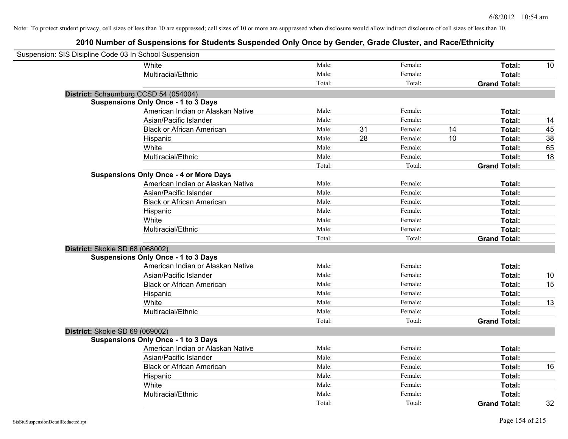| Suspension: SIS Disipline Code 03 In School Suspension |                                               |        |    |         |    |                     |    |
|--------------------------------------------------------|-----------------------------------------------|--------|----|---------|----|---------------------|----|
|                                                        | White                                         | Male:  |    | Female: |    | Total:              | 10 |
|                                                        | Multiracial/Ethnic                            | Male:  |    | Female: |    | Total:              |    |
|                                                        |                                               | Total: |    | Total:  |    | <b>Grand Total:</b> |    |
|                                                        | District: Schaumburg CCSD 54 (054004)         |        |    |         |    |                     |    |
|                                                        | <b>Suspensions Only Once - 1 to 3 Days</b>    |        |    |         |    |                     |    |
|                                                        | American Indian or Alaskan Native             | Male:  |    | Female: |    | Total:              |    |
|                                                        | Asian/Pacific Islander                        | Male:  |    | Female: |    | Total:              | 14 |
|                                                        | <b>Black or African American</b>              | Male:  | 31 | Female: | 14 | Total:              | 45 |
|                                                        | Hispanic                                      | Male:  | 28 | Female: | 10 | Total:              | 38 |
|                                                        | White                                         | Male:  |    | Female: |    | Total:              | 65 |
|                                                        | Multiracial/Ethnic                            | Male:  |    | Female: |    | Total:              | 18 |
|                                                        |                                               | Total: |    | Total:  |    | <b>Grand Total:</b> |    |
|                                                        | <b>Suspensions Only Once - 4 or More Days</b> |        |    |         |    |                     |    |
|                                                        | American Indian or Alaskan Native             | Male:  |    | Female: |    | Total:              |    |
|                                                        | Asian/Pacific Islander                        | Male:  |    | Female: |    | Total:              |    |
|                                                        | <b>Black or African American</b>              | Male:  |    | Female: |    | Total:              |    |
|                                                        | Hispanic                                      | Male:  |    | Female: |    | Total:              |    |
|                                                        | White                                         | Male:  |    | Female: |    | Total:              |    |
|                                                        | Multiracial/Ethnic                            | Male:  |    | Female: |    | Total:              |    |
|                                                        |                                               | Total: |    | Total:  |    | <b>Grand Total:</b> |    |
| District: Skokie SD 68 (068002)                        |                                               |        |    |         |    |                     |    |
|                                                        | <b>Suspensions Only Once - 1 to 3 Days</b>    |        |    |         |    |                     |    |
|                                                        | American Indian or Alaskan Native             | Male:  |    | Female: |    | Total:              |    |
|                                                        | Asian/Pacific Islander                        | Male:  |    | Female: |    | <b>Total:</b>       | 10 |
|                                                        | <b>Black or African American</b>              | Male:  |    | Female: |    | Total:              | 15 |
|                                                        | Hispanic                                      | Male:  |    | Female: |    | Total:              |    |
|                                                        | White                                         | Male:  |    | Female: |    | Total:              | 13 |
|                                                        | Multiracial/Ethnic                            | Male:  |    | Female: |    | Total:              |    |
|                                                        |                                               | Total: |    | Total:  |    | <b>Grand Total:</b> |    |
| District: Skokie SD 69 (069002)                        |                                               |        |    |         |    |                     |    |
|                                                        | <b>Suspensions Only Once - 1 to 3 Days</b>    |        |    |         |    |                     |    |
|                                                        | American Indian or Alaskan Native             | Male:  |    | Female: |    | Total:              |    |
|                                                        | Asian/Pacific Islander                        | Male:  |    | Female: |    | Total:              |    |
|                                                        | <b>Black or African American</b>              | Male:  |    | Female: |    | Total:              | 16 |
|                                                        | Hispanic                                      | Male:  |    | Female: |    | Total:              |    |
|                                                        | White                                         | Male:  |    | Female: |    | Total:              |    |
|                                                        | Multiracial/Ethnic                            | Male:  |    | Female: |    | Total:              |    |
|                                                        |                                               | Total: |    | Total:  |    | <b>Grand Total:</b> | 32 |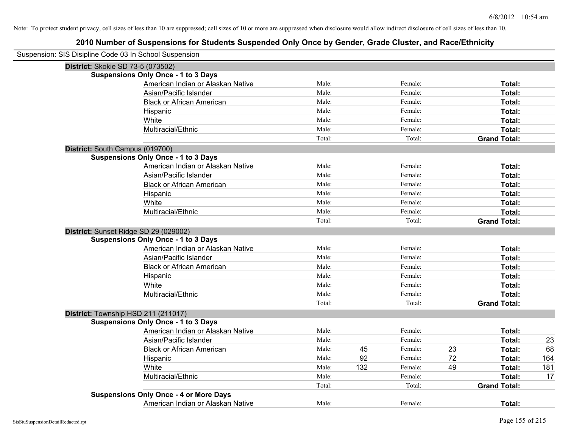| Suspension: SIS Disipline Code 03 In School Suspension |        |     |         |    |                     |     |
|--------------------------------------------------------|--------|-----|---------|----|---------------------|-----|
| District: Skokie SD 73-5 (073502)                      |        |     |         |    |                     |     |
| <b>Suspensions Only Once - 1 to 3 Days</b>             |        |     |         |    |                     |     |
| American Indian or Alaskan Native                      | Male:  |     | Female: |    | Total:              |     |
| Asian/Pacific Islander                                 | Male:  |     | Female: |    | Total:              |     |
| <b>Black or African American</b>                       | Male:  |     | Female: |    | Total:              |     |
| Hispanic                                               | Male:  |     | Female: |    | Total:              |     |
| White                                                  | Male:  |     | Female: |    | Total:              |     |
| Multiracial/Ethnic                                     | Male:  |     | Female: |    | Total:              |     |
|                                                        | Total: |     | Total:  |    | <b>Grand Total:</b> |     |
| District: South Campus (019700)                        |        |     |         |    |                     |     |
| <b>Suspensions Only Once - 1 to 3 Days</b>             |        |     |         |    |                     |     |
| American Indian or Alaskan Native                      | Male:  |     | Female: |    | Total:              |     |
| Asian/Pacific Islander                                 | Male:  |     | Female: |    | Total:              |     |
| <b>Black or African American</b>                       | Male:  |     | Female: |    | Total:              |     |
| Hispanic                                               | Male:  |     | Female: |    | Total:              |     |
| White                                                  | Male:  |     | Female: |    | Total:              |     |
| Multiracial/Ethnic                                     | Male:  |     | Female: |    | Total:              |     |
|                                                        | Total: |     | Total:  |    | <b>Grand Total:</b> |     |
| District: Sunset Ridge SD 29 (029002)                  |        |     |         |    |                     |     |
| <b>Suspensions Only Once - 1 to 3 Days</b>             |        |     |         |    |                     |     |
| American Indian or Alaskan Native                      | Male:  |     | Female: |    | Total:              |     |
| Asian/Pacific Islander                                 | Male:  |     | Female: |    | Total:              |     |
| <b>Black or African American</b>                       | Male:  |     | Female: |    | Total:              |     |
| Hispanic                                               | Male:  |     | Female: |    | Total:              |     |
| White                                                  | Male:  |     | Female: |    | Total:              |     |
| Multiracial/Ethnic                                     | Male:  |     | Female: |    | Total:              |     |
|                                                        | Total: |     | Total:  |    | <b>Grand Total:</b> |     |
| District: Township HSD 211 (211017)                    |        |     |         |    |                     |     |
| <b>Suspensions Only Once - 1 to 3 Days</b>             |        |     |         |    |                     |     |
| American Indian or Alaskan Native                      | Male:  |     | Female: |    | Total:              |     |
| Asian/Pacific Islander                                 | Male:  |     | Female: |    | Total:              | 23  |
| <b>Black or African American</b>                       | Male:  | 45  | Female: | 23 | Total:              | 68  |
| Hispanic                                               | Male:  | 92  | Female: | 72 | Total:              | 164 |
| White                                                  | Male:  | 132 | Female: | 49 | Total:              | 181 |
| Multiracial/Ethnic                                     | Male:  |     | Female: |    | Total:              | 17  |
|                                                        | Total: |     | Total:  |    | <b>Grand Total:</b> |     |
| <b>Suspensions Only Once - 4 or More Days</b>          |        |     |         |    |                     |     |
| American Indian or Alaskan Native                      | Male:  |     | Female: |    | Total:              |     |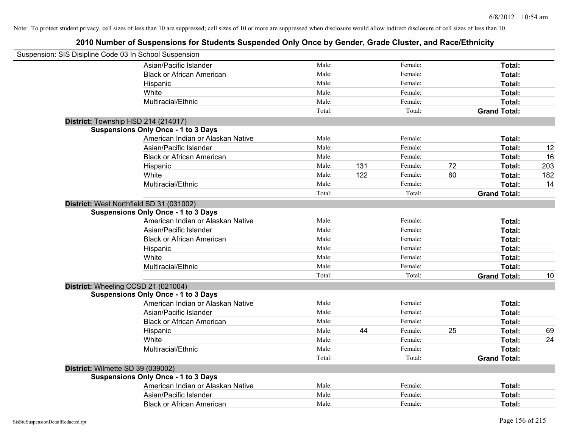| Suspension: SIS Disipline Code 03 In School Suspension |                                            |        |     |         |    |                     |     |
|--------------------------------------------------------|--------------------------------------------|--------|-----|---------|----|---------------------|-----|
|                                                        | Asian/Pacific Islander                     | Male:  |     | Female: |    | Total:              |     |
|                                                        | <b>Black or African American</b>           | Male:  |     | Female: |    | Total:              |     |
|                                                        | Hispanic                                   | Male:  |     | Female: |    | Total:              |     |
|                                                        | White                                      | Male:  |     | Female: |    | Total:              |     |
|                                                        | Multiracial/Ethnic                         | Male:  |     | Female: |    | Total:              |     |
|                                                        |                                            | Total: |     | Total:  |    | <b>Grand Total:</b> |     |
| District: Township HSD 214 (214017)                    |                                            |        |     |         |    |                     |     |
|                                                        | <b>Suspensions Only Once - 1 to 3 Days</b> |        |     |         |    |                     |     |
|                                                        | American Indian or Alaskan Native          | Male:  |     | Female: |    | Total:              |     |
|                                                        | Asian/Pacific Islander                     | Male:  |     | Female: |    | Total:              | 12  |
|                                                        | <b>Black or African American</b>           | Male:  |     | Female: |    | Total:              | 16  |
|                                                        | Hispanic                                   | Male:  | 131 | Female: | 72 | Total:              | 203 |
|                                                        | White                                      | Male:  | 122 | Female: | 60 | Total:              | 182 |
|                                                        | Multiracial/Ethnic                         | Male:  |     | Female: |    | Total:              | 14  |
|                                                        |                                            | Total: |     | Total:  |    | <b>Grand Total:</b> |     |
| District: West Northfield SD 31 (031002)               |                                            |        |     |         |    |                     |     |
|                                                        | <b>Suspensions Only Once - 1 to 3 Days</b> |        |     |         |    |                     |     |
|                                                        | American Indian or Alaskan Native          | Male:  |     | Female: |    | Total:              |     |
|                                                        | Asian/Pacific Islander                     | Male:  |     | Female: |    | Total:              |     |
|                                                        | <b>Black or African American</b>           | Male:  |     | Female: |    | Total:              |     |
|                                                        | Hispanic                                   | Male:  |     | Female: |    | Total:              |     |
|                                                        | White                                      | Male:  |     | Female: |    | Total:              |     |
|                                                        | Multiracial/Ethnic                         | Male:  |     | Female: |    | Total:              |     |
|                                                        |                                            | Total: |     | Total:  |    | <b>Grand Total:</b> | 10  |
| District: Wheeling CCSD 21 (021004)                    |                                            |        |     |         |    |                     |     |
|                                                        | <b>Suspensions Only Once - 1 to 3 Days</b> |        |     |         |    |                     |     |
|                                                        | American Indian or Alaskan Native          | Male:  |     | Female: |    | Total:              |     |
|                                                        | Asian/Pacific Islander                     | Male:  |     | Female: |    | Total:              |     |
|                                                        | <b>Black or African American</b>           | Male:  |     | Female: |    | Total:              |     |
|                                                        | Hispanic                                   | Male:  | 44  | Female: | 25 | Total:              | 69  |
|                                                        | White                                      | Male:  |     | Female: |    | Total:              | 24  |
|                                                        | Multiracial/Ethnic                         | Male:  |     | Female: |    | Total:              |     |
|                                                        |                                            | Total: |     | Total:  |    | <b>Grand Total:</b> |     |
| District: Wilmette SD 39 (039002)                      |                                            |        |     |         |    |                     |     |
|                                                        | <b>Suspensions Only Once - 1 to 3 Days</b> |        |     |         |    |                     |     |
|                                                        | American Indian or Alaskan Native          | Male:  |     | Female: |    | Total:              |     |
|                                                        | Asian/Pacific Islander                     | Male:  |     | Female: |    | Total:              |     |
|                                                        | <b>Black or African American</b>           | Male:  |     | Female: |    | Total:              |     |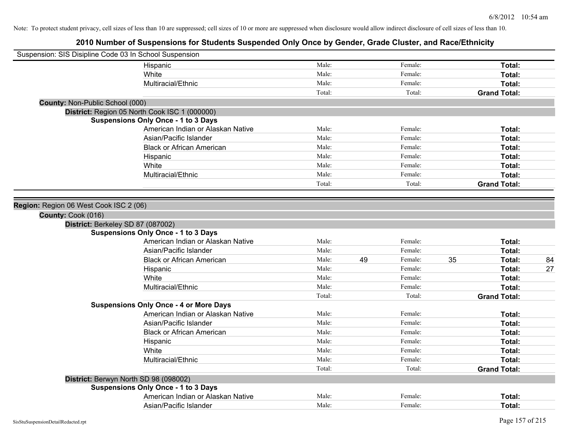| Suspension: SIS Disipline Code 03 In School Suspension |                                               |        |               |    |                     |    |
|--------------------------------------------------------|-----------------------------------------------|--------|---------------|----|---------------------|----|
|                                                        | Hispanic                                      | Male:  | Female:       |    | Total:              |    |
|                                                        | White                                         | Male:  | Female:       |    | Total:              |    |
|                                                        | Multiracial/Ethnic                            | Male:  | Female:       |    | Total:              |    |
|                                                        |                                               | Total: | Total:        |    | <b>Grand Total:</b> |    |
| County: Non-Public School (000)                        |                                               |        |               |    |                     |    |
|                                                        | District: Region 05 North Cook ISC 1 (000000) |        |               |    |                     |    |
|                                                        | <b>Suspensions Only Once - 1 to 3 Days</b>    |        |               |    |                     |    |
|                                                        | American Indian or Alaskan Native             | Male:  | Female:       |    | Total:              |    |
|                                                        | Asian/Pacific Islander                        | Male:  | Female:       |    | Total:              |    |
|                                                        | <b>Black or African American</b>              | Male:  | Female:       |    | Total:              |    |
|                                                        | Hispanic                                      | Male:  | Female:       |    | Total:              |    |
|                                                        | White                                         | Male:  | Female:       |    | Total:              |    |
|                                                        | Multiracial/Ethnic                            | Male:  | Female:       |    | Total:              |    |
|                                                        |                                               | Total: | Total:        |    | <b>Grand Total:</b> |    |
|                                                        |                                               |        |               |    |                     |    |
| Region: Region 06 West Cook ISC 2 (06)                 |                                               |        |               |    |                     |    |
| County: Cook (016)                                     |                                               |        |               |    |                     |    |
| District: Berkeley SD 87 (087002)                      |                                               |        |               |    |                     |    |
|                                                        | <b>Suspensions Only Once - 1 to 3 Days</b>    |        |               |    |                     |    |
|                                                        | American Indian or Alaskan Native             | Male:  | Female:       |    | Total:              |    |
|                                                        | Asian/Pacific Islander                        | Male:  | Female:       |    | Total:              |    |
|                                                        | <b>Black or African American</b>              | Male:  | 49<br>Female: | 35 | Total:              | 84 |
|                                                        | Hispanic                                      | Male:  | Female:       |    | Total:              | 27 |
|                                                        | White                                         | Male:  | Female:       |    | Total:              |    |
|                                                        | Multiracial/Ethnic                            | Male:  | Female:       |    | Total:              |    |
|                                                        |                                               | Total: | Total:        |    | <b>Grand Total:</b> |    |
|                                                        | <b>Suspensions Only Once - 4 or More Days</b> |        |               |    |                     |    |
|                                                        | American Indian or Alaskan Native             | Male:  | Female:       |    | Total:              |    |
|                                                        | Asian/Pacific Islander                        | Male:  | Female:       |    | Total:              |    |
|                                                        | <b>Black or African American</b>              | Male:  | Female:       |    | Total:              |    |
|                                                        | Hispanic                                      | Male:  | Female:       |    | Total:              |    |
|                                                        | White                                         | Male:  | Female:       |    | Total:              |    |
|                                                        | Multiracial/Ethnic                            | Male:  | Female:       |    | Total:              |    |
|                                                        |                                               | Total: | Total:        |    | <b>Grand Total:</b> |    |
| District: Berwyn North SD 98 (098002)                  |                                               |        |               |    |                     |    |
|                                                        | <b>Suspensions Only Once - 1 to 3 Days</b>    |        |               |    |                     |    |
|                                                        | American Indian or Alaskan Native             | Male:  | Female:       |    | Total:              |    |
|                                                        | Asian/Pacific Islander                        | Male:  | Female:       |    | Total:              |    |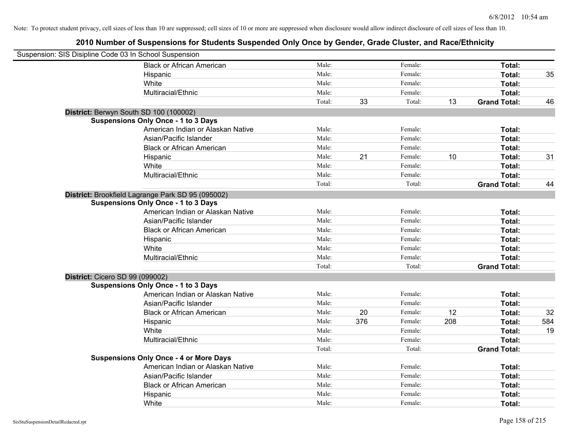| Suspension: SIS Disipline Code 03 In School Suspension |                                               |        |     |         |     |                     |     |
|--------------------------------------------------------|-----------------------------------------------|--------|-----|---------|-----|---------------------|-----|
|                                                        | <b>Black or African American</b>              | Male:  |     | Female: |     | Total:              |     |
|                                                        | Hispanic                                      | Male:  |     | Female: |     | Total:              | 35  |
|                                                        | White                                         | Male:  |     | Female: |     | Total:              |     |
|                                                        | Multiracial/Ethnic                            | Male:  |     | Female: |     | Total:              |     |
|                                                        |                                               | Total: | 33  | Total:  | 13  | <b>Grand Total:</b> | 46  |
| District: Berwyn South SD 100 (100002)                 |                                               |        |     |         |     |                     |     |
|                                                        | <b>Suspensions Only Once - 1 to 3 Days</b>    |        |     |         |     |                     |     |
|                                                        | American Indian or Alaskan Native             | Male:  |     | Female: |     | Total:              |     |
|                                                        | Asian/Pacific Islander                        | Male:  |     | Female: |     | Total:              |     |
|                                                        | <b>Black or African American</b>              | Male:  |     | Female: |     | Total:              |     |
|                                                        | Hispanic                                      | Male:  | 21  | Female: | 10  | Total:              | 31  |
|                                                        | White                                         | Male:  |     | Female: |     | Total:              |     |
|                                                        | Multiracial/Ethnic                            | Male:  |     | Female: |     | Total:              |     |
|                                                        |                                               | Total: |     | Total:  |     | <b>Grand Total:</b> | 44  |
| District: Brookfield Lagrange Park SD 95 (095002)      |                                               |        |     |         |     |                     |     |
|                                                        | <b>Suspensions Only Once - 1 to 3 Days</b>    |        |     |         |     |                     |     |
|                                                        | American Indian or Alaskan Native             | Male:  |     | Female: |     | Total:              |     |
|                                                        | Asian/Pacific Islander                        | Male:  |     | Female: |     | Total:              |     |
|                                                        | <b>Black or African American</b>              | Male:  |     | Female: |     | Total:              |     |
|                                                        | Hispanic                                      | Male:  |     | Female: |     | Total:              |     |
|                                                        | White                                         | Male:  |     | Female: |     | Total:              |     |
|                                                        | Multiracial/Ethnic                            | Male:  |     | Female: |     | Total:              |     |
|                                                        |                                               | Total: |     | Total:  |     | <b>Grand Total:</b> |     |
| District: Cicero SD 99 (099002)                        |                                               |        |     |         |     |                     |     |
|                                                        | <b>Suspensions Only Once - 1 to 3 Days</b>    |        |     |         |     |                     |     |
|                                                        | American Indian or Alaskan Native             | Male:  |     | Female: |     | Total:              |     |
|                                                        | Asian/Pacific Islander                        | Male:  |     | Female: |     | Total:              |     |
|                                                        | <b>Black or African American</b>              | Male:  | 20  | Female: | 12  | Total:              | 32  |
|                                                        | Hispanic                                      | Male:  | 376 | Female: | 208 | Total:              | 584 |
|                                                        | White                                         | Male:  |     | Female: |     | Total:              | 19  |
|                                                        | Multiracial/Ethnic                            | Male:  |     | Female: |     | Total:              |     |
|                                                        |                                               | Total: |     | Total:  |     | <b>Grand Total:</b> |     |
|                                                        | <b>Suspensions Only Once - 4 or More Days</b> |        |     |         |     |                     |     |
|                                                        | American Indian or Alaskan Native             | Male:  |     | Female: |     | Total:              |     |
|                                                        | Asian/Pacific Islander                        | Male:  |     | Female: |     | Total:              |     |
|                                                        | <b>Black or African American</b>              | Male:  |     | Female: |     | Total:              |     |
|                                                        | Hispanic                                      | Male:  |     | Female: |     | Total:              |     |
|                                                        | White                                         | Male:  |     | Female: |     | Total:              |     |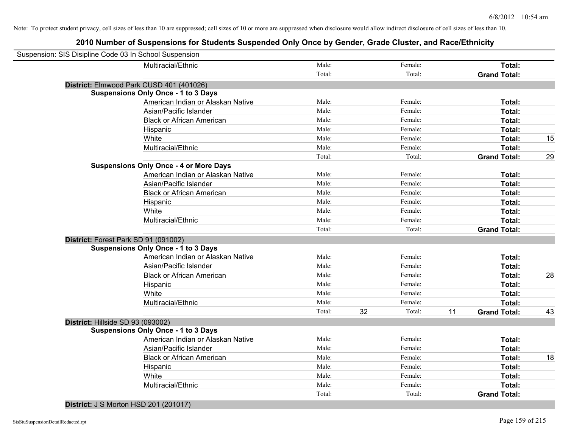| Suspension: SIS Disipline Code 03 In School Suspension |        |    |         |    |                     |    |
|--------------------------------------------------------|--------|----|---------|----|---------------------|----|
| Multiracial/Ethnic                                     | Male:  |    | Female: |    | Total:              |    |
|                                                        | Total: |    | Total:  |    | <b>Grand Total:</b> |    |
| District: Elmwood Park CUSD 401 (401026)               |        |    |         |    |                     |    |
| <b>Suspensions Only Once - 1 to 3 Days</b>             |        |    |         |    |                     |    |
| American Indian or Alaskan Native                      | Male:  |    | Female: |    | Total:              |    |
| Asian/Pacific Islander                                 | Male:  |    | Female: |    | Total:              |    |
| <b>Black or African American</b>                       | Male:  |    | Female: |    | Total:              |    |
| Hispanic                                               | Male:  |    | Female: |    | Total:              |    |
| White                                                  | Male:  |    | Female: |    | Total:              | 15 |
| Multiracial/Ethnic                                     | Male:  |    | Female: |    | <b>Total:</b>       |    |
|                                                        | Total: |    | Total:  |    | <b>Grand Total:</b> | 29 |
| <b>Suspensions Only Once - 4 or More Days</b>          |        |    |         |    |                     |    |
| American Indian or Alaskan Native                      | Male:  |    | Female: |    | Total:              |    |
| Asian/Pacific Islander                                 | Male:  |    | Female: |    | Total:              |    |
| <b>Black or African American</b>                       | Male:  |    | Female: |    | Total:              |    |
| Hispanic                                               | Male:  |    | Female: |    | Total:              |    |
| White                                                  | Male:  |    | Female: |    | Total:              |    |
| Multiracial/Ethnic                                     | Male:  |    | Female: |    | Total:              |    |
|                                                        | Total: |    | Total:  |    | <b>Grand Total:</b> |    |
| District: Forest Park SD 91 (091002)                   |        |    |         |    |                     |    |
| <b>Suspensions Only Once - 1 to 3 Days</b>             |        |    |         |    |                     |    |
| American Indian or Alaskan Native                      | Male:  |    | Female: |    | <b>Total:</b>       |    |
| Asian/Pacific Islander                                 | Male:  |    | Female: |    | Total:              |    |
| <b>Black or African American</b>                       | Male:  |    | Female: |    | Total:              | 28 |
| Hispanic                                               | Male:  |    | Female: |    | Total:              |    |
| White                                                  | Male:  |    | Female: |    | Total:              |    |
| Multiracial/Ethnic                                     | Male:  |    | Female: |    | Total:              |    |
|                                                        | Total: | 32 | Total:  | 11 | <b>Grand Total:</b> | 43 |
| District: Hillside SD 93 (093002)                      |        |    |         |    |                     |    |
| <b>Suspensions Only Once - 1 to 3 Days</b>             |        |    |         |    |                     |    |
| American Indian or Alaskan Native                      | Male:  |    | Female: |    | Total:              |    |
| Asian/Pacific Islander                                 | Male:  |    | Female: |    | Total:              |    |
| <b>Black or African American</b>                       | Male:  |    | Female: |    | Total:              | 18 |
| Hispanic                                               | Male:  |    | Female: |    | Total:              |    |
| White                                                  | Male:  |    | Female: |    | Total:              |    |
| Multiracial/Ethnic                                     | Male:  |    | Female: |    | Total:              |    |
|                                                        | Total: |    | Total:  |    | <b>Grand Total:</b> |    |
|                                                        |        |    |         |    |                     |    |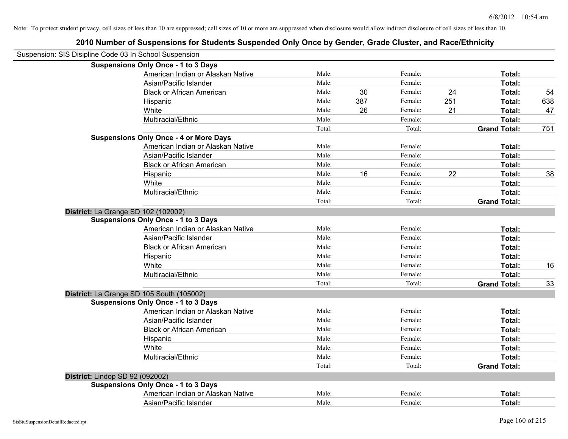|                                 | 2010 Number of Suspensions for Students Suspended Only Once by Gender, Grade Cluster, and Race/Ethnicity |        |     |         |     |                     |     |
|---------------------------------|----------------------------------------------------------------------------------------------------------|--------|-----|---------|-----|---------------------|-----|
|                                 | Suspension: SIS Disipline Code 03 In School Suspension                                                   |        |     |         |     |                     |     |
|                                 | <b>Suspensions Only Once - 1 to 3 Days</b>                                                               |        |     |         |     |                     |     |
|                                 | American Indian or Alaskan Native                                                                        | Male:  |     | Female: |     | Total:              |     |
|                                 | Asian/Pacific Islander                                                                                   | Male:  |     | Female: |     | Total:              |     |
|                                 | <b>Black or African American</b>                                                                         | Male:  | 30  | Female: | 24  | Total:              | 54  |
|                                 | Hispanic                                                                                                 | Male:  | 387 | Female: | 251 | Total:              | 638 |
|                                 | White                                                                                                    | Male:  | 26  | Female: | 21  | Total:              | 47  |
|                                 | Multiracial/Ethnic                                                                                       | Male:  |     | Female: |     | Total:              |     |
|                                 |                                                                                                          | Total: |     | Total:  |     | <b>Grand Total:</b> | 751 |
|                                 | <b>Suspensions Only Once - 4 or More Days</b>                                                            |        |     |         |     |                     |     |
|                                 | American Indian or Alaskan Native                                                                        | Male:  |     | Female: |     | Total:              |     |
|                                 | Asian/Pacific Islander                                                                                   | Male:  |     | Female: |     | Total:              |     |
|                                 | <b>Black or African American</b>                                                                         | Male:  |     | Female: |     | Total:              |     |
|                                 | Hispanic                                                                                                 | Male:  | 16  | Female: | 22  | Total:              | 38  |
|                                 | White                                                                                                    | Male:  |     | Female: |     | Total:              |     |
|                                 | Multiracial/Ethnic                                                                                       | Male:  |     | Female: |     | Total:              |     |
|                                 |                                                                                                          | Total: |     | Total:  |     | <b>Grand Total:</b> |     |
|                                 | District: La Grange SD 102 (102002)                                                                      |        |     |         |     |                     |     |
|                                 | <b>Suspensions Only Once - 1 to 3 Days</b>                                                               |        |     |         |     |                     |     |
|                                 | American Indian or Alaskan Native                                                                        | Male:  |     | Female: |     | Total:              |     |
|                                 | Asian/Pacific Islander                                                                                   | Male:  |     | Female: |     | Total:              |     |
|                                 | <b>Black or African American</b>                                                                         | Male:  |     | Female: |     | Total:              |     |
|                                 | Hispanic                                                                                                 | Male:  |     | Female: |     | Total:              |     |
|                                 | White                                                                                                    | Male:  |     | Female: |     | Total:              | 16  |
|                                 | Multiracial/Ethnic                                                                                       | Male:  |     | Female: |     | Total:              |     |
|                                 |                                                                                                          | Total: |     | Total:  |     | <b>Grand Total:</b> | 33  |
|                                 | District: La Grange SD 105 South (105002)                                                                |        |     |         |     |                     |     |
|                                 | <b>Suspensions Only Once - 1 to 3 Days</b>                                                               |        |     |         |     |                     |     |
|                                 | American Indian or Alaskan Native                                                                        | Male:  |     | Female: |     | Total:              |     |
|                                 | Asian/Pacific Islander                                                                                   | Male:  |     | Female: |     | Total:              |     |
|                                 | <b>Black or African American</b>                                                                         | Male:  |     | Female: |     | Total:              |     |
|                                 | Hispanic                                                                                                 | Male:  |     | Female: |     | Total:              |     |
|                                 | White                                                                                                    | Male:  |     | Female: |     | Total:              |     |
|                                 | Multiracial/Ethnic                                                                                       | Male:  |     | Female: |     | Total:              |     |
|                                 |                                                                                                          | Total: |     | Total:  |     | <b>Grand Total:</b> |     |
| District: Lindop SD 92 (092002) |                                                                                                          |        |     |         |     |                     |     |
|                                 | <b>Suspensions Only Once - 1 to 3 Days</b>                                                               |        |     |         |     |                     |     |
|                                 | American Indian or Alaskan Native                                                                        | Male:  |     | Female: |     | Total:              |     |
|                                 | Asian/Pacific Islander                                                                                   | Male:  |     | Female: |     | Total:              |     |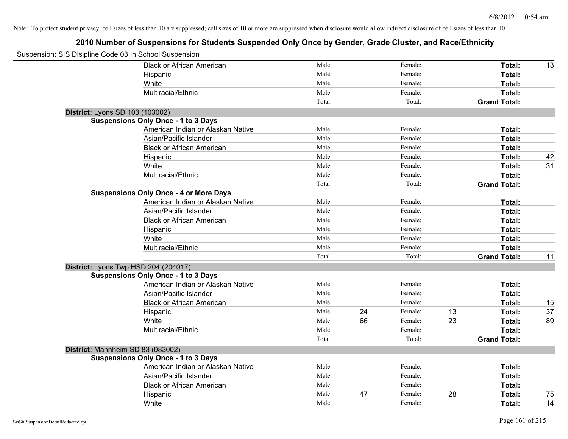| Suspension: SIS Disipline Code 03 In School Suspension |                                               |        |    |         |    |                     |    |
|--------------------------------------------------------|-----------------------------------------------|--------|----|---------|----|---------------------|----|
|                                                        | <b>Black or African American</b>              | Male:  |    | Female: |    | Total:              | 13 |
|                                                        | Hispanic                                      | Male:  |    | Female: |    | Total:              |    |
|                                                        | White                                         | Male:  |    | Female: |    | Total:              |    |
|                                                        | Multiracial/Ethnic                            | Male:  |    | Female: |    | Total:              |    |
|                                                        |                                               | Total: |    | Total:  |    | <b>Grand Total:</b> |    |
| District: Lyons SD 103 (103002)                        |                                               |        |    |         |    |                     |    |
|                                                        | <b>Suspensions Only Once - 1 to 3 Days</b>    |        |    |         |    |                     |    |
|                                                        | American Indian or Alaskan Native             | Male:  |    | Female: |    | Total:              |    |
|                                                        | Asian/Pacific Islander                        | Male:  |    | Female: |    | Total:              |    |
|                                                        | <b>Black or African American</b>              | Male:  |    | Female: |    | Total:              |    |
|                                                        | Hispanic                                      | Male:  |    | Female: |    | Total:              | 42 |
|                                                        | White                                         | Male:  |    | Female: |    | Total:              | 31 |
|                                                        | Multiracial/Ethnic                            | Male:  |    | Female: |    | Total:              |    |
|                                                        |                                               | Total: |    | Total:  |    | <b>Grand Total:</b> |    |
|                                                        | <b>Suspensions Only Once - 4 or More Days</b> |        |    |         |    |                     |    |
|                                                        | American Indian or Alaskan Native             | Male:  |    | Female: |    | Total:              |    |
|                                                        | Asian/Pacific Islander                        | Male:  |    | Female: |    | Total:              |    |
|                                                        | <b>Black or African American</b>              | Male:  |    | Female: |    | Total:              |    |
|                                                        | Hispanic                                      | Male:  |    | Female: |    | Total:              |    |
|                                                        | White                                         | Male:  |    | Female: |    | Total:              |    |
|                                                        | Multiracial/Ethnic                            | Male:  |    | Female: |    | Total:              |    |
|                                                        |                                               | Total: |    | Total:  |    | <b>Grand Total:</b> | 11 |
| District: Lyons Twp HSD 204 (204017)                   |                                               |        |    |         |    |                     |    |
|                                                        | <b>Suspensions Only Once - 1 to 3 Days</b>    |        |    |         |    |                     |    |
|                                                        | American Indian or Alaskan Native             | Male:  |    | Female: |    | Total:              |    |
|                                                        | Asian/Pacific Islander                        | Male:  |    | Female: |    | Total:              |    |
|                                                        | <b>Black or African American</b>              | Male:  |    | Female: |    | Total:              | 15 |
|                                                        | Hispanic                                      | Male:  | 24 | Female: | 13 | Total:              | 37 |
|                                                        | White                                         | Male:  | 66 | Female: | 23 | Total:              | 89 |
|                                                        | Multiracial/Ethnic                            | Male:  |    | Female: |    | Total:              |    |
|                                                        |                                               | Total: |    | Total:  |    | <b>Grand Total:</b> |    |
| District: Mannheim SD 83 (083002)                      |                                               |        |    |         |    |                     |    |
|                                                        | <b>Suspensions Only Once - 1 to 3 Days</b>    |        |    |         |    |                     |    |
|                                                        | American Indian or Alaskan Native             | Male:  |    | Female: |    | Total:              |    |
|                                                        | Asian/Pacific Islander                        | Male:  |    | Female: |    | Total:              |    |
|                                                        | <b>Black or African American</b>              | Male:  |    | Female: |    | Total:              |    |
|                                                        | Hispanic                                      | Male:  | 47 | Female: | 28 | <b>Total:</b>       | 75 |
|                                                        | White                                         | Male:  |    | Female: |    | Total:              | 14 |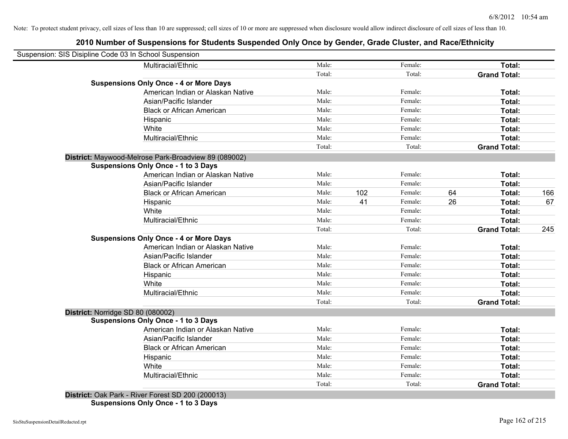# **2010 Number of Suspensions for Students Suspended Only Once by Gender, Grade Cluster, and Race/Ethnicity**

|                                   | Suspension: SIS Disipline Code 03 In School Suspension |        |     |         |    |                     |     |
|-----------------------------------|--------------------------------------------------------|--------|-----|---------|----|---------------------|-----|
|                                   | Multiracial/Ethnic                                     | Male:  |     | Female: |    | Total:              |     |
|                                   |                                                        | Total: |     | Total:  |    | <b>Grand Total:</b> |     |
|                                   | <b>Suspensions Only Once - 4 or More Days</b>          |        |     |         |    |                     |     |
|                                   | American Indian or Alaskan Native                      | Male:  |     | Female: |    | Total:              |     |
|                                   | Asian/Pacific Islander                                 | Male:  |     | Female: |    | Total:              |     |
|                                   | <b>Black or African American</b>                       | Male:  |     | Female: |    | Total:              |     |
|                                   | Hispanic                                               | Male:  |     | Female: |    | Total:              |     |
|                                   | White                                                  | Male:  |     | Female: |    | Total:              |     |
|                                   | Multiracial/Ethnic                                     | Male:  |     | Female: |    | Total:              |     |
|                                   |                                                        | Total: |     | Total:  |    | <b>Grand Total:</b> |     |
|                                   | District: Maywood-Melrose Park-Broadview 89 (089002)   |        |     |         |    |                     |     |
|                                   | <b>Suspensions Only Once - 1 to 3 Days</b>             |        |     |         |    |                     |     |
|                                   | American Indian or Alaskan Native                      | Male:  |     | Female: |    | Total:              |     |
|                                   | Asian/Pacific Islander                                 | Male:  |     | Female: |    | Total:              |     |
|                                   | <b>Black or African American</b>                       | Male:  | 102 | Female: | 64 | Total:              | 166 |
|                                   | Hispanic                                               | Male:  | 41  | Female: | 26 | Total:              | 67  |
|                                   | White                                                  | Male:  |     | Female: |    | Total:              |     |
|                                   | Multiracial/Ethnic                                     | Male:  |     | Female: |    | Total:              |     |
|                                   |                                                        | Total: |     | Total:  |    | <b>Grand Total:</b> | 245 |
|                                   | <b>Suspensions Only Once - 4 or More Days</b>          |        |     |         |    |                     |     |
|                                   | American Indian or Alaskan Native                      | Male:  |     | Female: |    | Total:              |     |
|                                   | Asian/Pacific Islander                                 | Male:  |     | Female: |    | Total:              |     |
|                                   | <b>Black or African American</b>                       | Male:  |     | Female: |    | Total:              |     |
|                                   | Hispanic                                               | Male:  |     | Female: |    | Total:              |     |
|                                   | White                                                  | Male:  |     | Female: |    | Total:              |     |
|                                   | Multiracial/Ethnic                                     | Male:  |     | Female: |    | Total:              |     |
|                                   |                                                        | Total: |     | Total:  |    | <b>Grand Total:</b> |     |
| District: Norridge SD 80 (080002) |                                                        |        |     |         |    |                     |     |
|                                   | <b>Suspensions Only Once - 1 to 3 Days</b>             |        |     |         |    |                     |     |
|                                   | American Indian or Alaskan Native                      | Male:  |     | Female: |    | Total:              |     |
|                                   | Asian/Pacific Islander                                 | Male:  |     | Female: |    | Total:              |     |
|                                   | <b>Black or African American</b>                       | Male:  |     | Female: |    | Total:              |     |
|                                   | Hispanic                                               | Male:  |     | Female: |    | Total:              |     |
|                                   | White                                                  | Male:  |     | Female: |    | Total:              |     |
|                                   | Multiracial/Ethnic                                     | Male:  |     | Female: |    | Total:              |     |
|                                   |                                                        | Total: |     | Total:  |    | <b>Grand Total:</b> |     |

**Suspensions Only Once - 1 to 3 Days**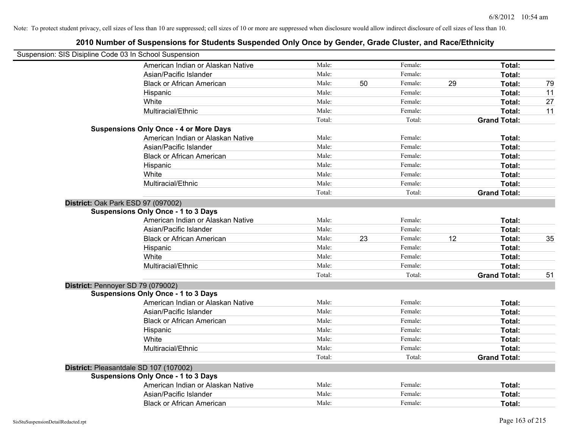| Suspension: SIS Disipline Code 03 In School Suspension |                                               |        |    |         |    |                     |    |
|--------------------------------------------------------|-----------------------------------------------|--------|----|---------|----|---------------------|----|
|                                                        | American Indian or Alaskan Native             | Male:  |    | Female: |    | Total:              |    |
|                                                        | Asian/Pacific Islander                        | Male:  |    | Female: |    | Total:              |    |
|                                                        | <b>Black or African American</b>              | Male:  | 50 | Female: | 29 | Total:              | 79 |
|                                                        | Hispanic                                      | Male:  |    | Female: |    | Total:              | 11 |
|                                                        | White                                         | Male:  |    | Female: |    | Total:              | 27 |
|                                                        | Multiracial/Ethnic                            | Male:  |    | Female: |    | Total:              | 11 |
|                                                        |                                               | Total: |    | Total:  |    | <b>Grand Total:</b> |    |
|                                                        | <b>Suspensions Only Once - 4 or More Days</b> |        |    |         |    |                     |    |
|                                                        | American Indian or Alaskan Native             | Male:  |    | Female: |    | Total:              |    |
|                                                        | Asian/Pacific Islander                        | Male:  |    | Female: |    | Total:              |    |
|                                                        | <b>Black or African American</b>              | Male:  |    | Female: |    | Total:              |    |
|                                                        | Hispanic                                      | Male:  |    | Female: |    | Total:              |    |
|                                                        | White                                         | Male:  |    | Female: |    | Total:              |    |
|                                                        | Multiracial/Ethnic                            | Male:  |    | Female: |    | Total:              |    |
|                                                        |                                               | Total: |    | Total:  |    | <b>Grand Total:</b> |    |
| District: Oak Park ESD 97 (097002)                     |                                               |        |    |         |    |                     |    |
|                                                        | <b>Suspensions Only Once - 1 to 3 Days</b>    |        |    |         |    |                     |    |
|                                                        | American Indian or Alaskan Native             | Male:  |    | Female: |    | Total:              |    |
|                                                        | Asian/Pacific Islander                        | Male:  |    | Female: |    | Total:              |    |
|                                                        | <b>Black or African American</b>              | Male:  | 23 | Female: | 12 | Total:              | 35 |
|                                                        | Hispanic                                      | Male:  |    | Female: |    | Total:              |    |
|                                                        | White                                         | Male:  |    | Female: |    | Total:              |    |
|                                                        | Multiracial/Ethnic                            | Male:  |    | Female: |    | Total:              |    |
|                                                        |                                               | Total: |    | Total:  |    | <b>Grand Total:</b> | 51 |
| District: Pennoyer SD 79 (079002)                      |                                               |        |    |         |    |                     |    |
|                                                        | <b>Suspensions Only Once - 1 to 3 Days</b>    |        |    |         |    |                     |    |
|                                                        | American Indian or Alaskan Native             | Male:  |    | Female: |    | Total:              |    |
|                                                        | Asian/Pacific Islander                        | Male:  |    | Female: |    | Total:              |    |
|                                                        | <b>Black or African American</b>              | Male:  |    | Female: |    | Total:              |    |
|                                                        | Hispanic                                      | Male:  |    | Female: |    | Total:              |    |
|                                                        | White                                         | Male:  |    | Female: |    | Total:              |    |
|                                                        | Multiracial/Ethnic                            | Male:  |    | Female: |    | Total:              |    |
|                                                        |                                               | Total: |    | Total:  |    | <b>Grand Total:</b> |    |
|                                                        | District: Pleasantdale SD 107 (107002)        |        |    |         |    |                     |    |
|                                                        | <b>Suspensions Only Once - 1 to 3 Days</b>    |        |    |         |    |                     |    |
|                                                        | American Indian or Alaskan Native             | Male:  |    | Female: |    | Total:              |    |
|                                                        | Asian/Pacific Islander                        | Male:  |    | Female: |    | Total:              |    |
|                                                        | <b>Black or African American</b>              | Male:  |    | Female: |    | Total:              |    |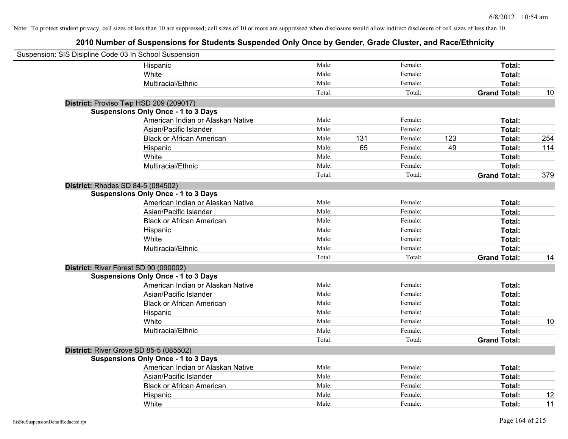| Suspension: SIS Disipline Code 03 In School Suspension |                                            |        |     |         |     |                     |     |
|--------------------------------------------------------|--------------------------------------------|--------|-----|---------|-----|---------------------|-----|
|                                                        | Hispanic                                   | Male:  |     | Female: |     | Total:              |     |
|                                                        | White                                      | Male:  |     | Female: |     | Total:              |     |
|                                                        | Multiracial/Ethnic                         | Male:  |     | Female: |     | Total:              |     |
|                                                        |                                            | Total: |     | Total:  |     | <b>Grand Total:</b> | 10  |
|                                                        | District: Proviso Twp HSD 209 (209017)     |        |     |         |     |                     |     |
|                                                        | <b>Suspensions Only Once - 1 to 3 Days</b> |        |     |         |     |                     |     |
|                                                        | American Indian or Alaskan Native          | Male:  |     | Female: |     | Total:              |     |
|                                                        | Asian/Pacific Islander                     | Male:  |     | Female: |     | Total:              |     |
|                                                        | <b>Black or African American</b>           | Male:  | 131 | Female: | 123 | Total:              | 254 |
|                                                        | Hispanic                                   | Male:  | 65  | Female: | 49  | Total:              | 114 |
|                                                        | White                                      | Male:  |     | Female: |     | Total:              |     |
|                                                        | Multiracial/Ethnic                         | Male:  |     | Female: |     | Total:              |     |
|                                                        |                                            | Total: |     | Total:  |     | <b>Grand Total:</b> | 379 |
|                                                        | <b>District: Rhodes SD 84-5 (084502)</b>   |        |     |         |     |                     |     |
|                                                        | <b>Suspensions Only Once - 1 to 3 Days</b> |        |     |         |     |                     |     |
|                                                        | American Indian or Alaskan Native          | Male:  |     | Female: |     | Total:              |     |
|                                                        | Asian/Pacific Islander                     | Male:  |     | Female: |     | Total:              |     |
|                                                        | <b>Black or African American</b>           | Male:  |     | Female: |     | Total:              |     |
|                                                        | Hispanic                                   | Male:  |     | Female: |     | Total:              |     |
|                                                        | White                                      | Male:  |     | Female: |     | Total:              |     |
|                                                        | Multiracial/Ethnic                         | Male:  |     | Female: |     | Total:              |     |
|                                                        |                                            | Total: |     | Total:  |     | <b>Grand Total:</b> | 14  |
|                                                        | District: River Forest SD 90 (090002)      |        |     |         |     |                     |     |
|                                                        | <b>Suspensions Only Once - 1 to 3 Days</b> |        |     |         |     |                     |     |
|                                                        | American Indian or Alaskan Native          | Male:  |     | Female: |     | Total:              |     |
|                                                        | Asian/Pacific Islander                     | Male:  |     | Female: |     | Total:              |     |
|                                                        | <b>Black or African American</b>           | Male:  |     | Female: |     | Total:              |     |
|                                                        | Hispanic                                   | Male:  |     | Female: |     | Total:              |     |
|                                                        | White                                      | Male:  |     | Female: |     | Total:              | 10  |
|                                                        | Multiracial/Ethnic                         | Male:  |     | Female: |     | Total:              |     |
|                                                        |                                            | Total: |     | Total:  |     | <b>Grand Total:</b> |     |
|                                                        | District: River Grove SD 85-5 (085502)     |        |     |         |     |                     |     |
|                                                        | <b>Suspensions Only Once - 1 to 3 Days</b> |        |     |         |     |                     |     |
|                                                        | American Indian or Alaskan Native          | Male:  |     | Female: |     | Total:              |     |
|                                                        | Asian/Pacific Islander                     | Male:  |     | Female: |     | Total:              |     |
|                                                        | <b>Black or African American</b>           | Male:  |     | Female: |     | Total:              |     |
|                                                        | Hispanic                                   | Male:  |     | Female: |     | Total:              | 12  |
|                                                        | White                                      | Male:  |     | Female: |     | Total:              | 11  |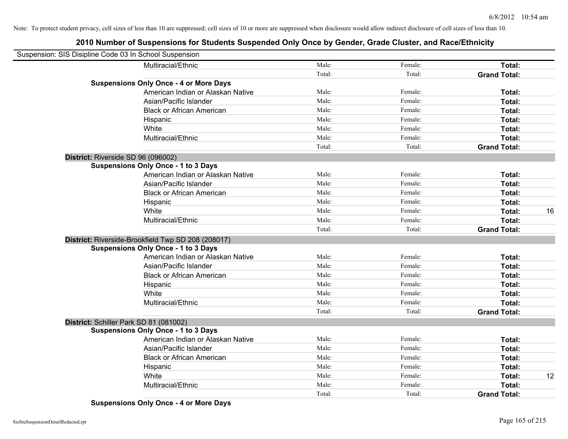# **2010 Number of Suspensions for Students Suspended Only Once by Gender, Grade Cluster, and Race/Ethnicity**

| Suspension: SIS Disipline Code 03 In School Suspension |                                                    |        |         |                     |    |
|--------------------------------------------------------|----------------------------------------------------|--------|---------|---------------------|----|
|                                                        | Multiracial/Ethnic                                 | Male:  | Female: | Total:              |    |
|                                                        |                                                    | Total: | Total:  | <b>Grand Total:</b> |    |
|                                                        | <b>Suspensions Only Once - 4 or More Days</b>      |        |         |                     |    |
|                                                        | American Indian or Alaskan Native                  | Male:  | Female: | Total:              |    |
|                                                        | Asian/Pacific Islander                             | Male:  | Female: | Total:              |    |
|                                                        | <b>Black or African American</b>                   | Male:  | Female: | Total:              |    |
|                                                        | Hispanic                                           | Male:  | Female: | Total:              |    |
|                                                        | White                                              | Male:  | Female: | Total:              |    |
|                                                        | Multiracial/Ethnic                                 | Male:  | Female: | Total:              |    |
|                                                        |                                                    | Total: | Total:  | <b>Grand Total:</b> |    |
| District: Riverside SD 96 (096002)                     |                                                    |        |         |                     |    |
|                                                        | <b>Suspensions Only Once - 1 to 3 Days</b>         |        |         |                     |    |
|                                                        | American Indian or Alaskan Native                  | Male:  | Female: | Total:              |    |
|                                                        | Asian/Pacific Islander                             | Male:  | Female: | Total:              |    |
|                                                        | <b>Black or African American</b>                   | Male:  | Female: | Total:              |    |
|                                                        | Hispanic                                           | Male:  | Female: | Total:              |    |
|                                                        | White                                              | Male:  | Female: | Total:              | 16 |
|                                                        | Multiracial/Ethnic                                 | Male:  | Female: | Total:              |    |
|                                                        |                                                    | Total: | Total:  | <b>Grand Total:</b> |    |
|                                                        | District: Riverside-Brookfield Twp SD 208 (208017) |        |         |                     |    |
|                                                        | <b>Suspensions Only Once - 1 to 3 Days</b>         |        |         |                     |    |
|                                                        | American Indian or Alaskan Native                  | Male:  | Female: | Total:              |    |
|                                                        | Asian/Pacific Islander                             | Male:  | Female: | Total:              |    |
|                                                        | <b>Black or African American</b>                   | Male:  | Female: | Total:              |    |
|                                                        | Hispanic                                           | Male:  | Female: | Total:              |    |
|                                                        | White                                              | Male:  | Female: | Total:              |    |
|                                                        | Multiracial/Ethnic                                 | Male:  | Female: | Total:              |    |
|                                                        |                                                    | Total: | Total:  | <b>Grand Total:</b> |    |
| District: Schiller Park SD 81 (081002)                 |                                                    |        |         |                     |    |
|                                                        | <b>Suspensions Only Once - 1 to 3 Days</b>         |        |         |                     |    |
|                                                        | American Indian or Alaskan Native                  | Male:  | Female: | Total:              |    |
|                                                        | Asian/Pacific Islander                             | Male:  | Female: | Total:              |    |
|                                                        | <b>Black or African American</b>                   | Male:  | Female: | Total:              |    |
|                                                        | Hispanic                                           | Male:  | Female: | Total:              |    |
|                                                        | White                                              | Male:  | Female: | Total:              | 12 |
|                                                        | Multiracial/Ethnic                                 | Male:  | Female: | Total:              |    |
|                                                        |                                                    | Total: | Total:  | <b>Grand Total:</b> |    |

**Suspensions Only Once - 4 or More Days**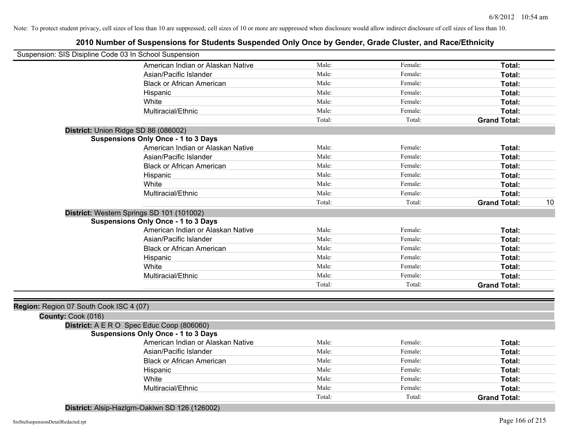| Suspension: SIS Disipline Code 03 In School Suspension |                                                |        |         |                           |
|--------------------------------------------------------|------------------------------------------------|--------|---------|---------------------------|
|                                                        | American Indian or Alaskan Native              | Male:  | Female: | Total:                    |
|                                                        | Asian/Pacific Islander                         | Male:  | Female: | Total:                    |
|                                                        | <b>Black or African American</b>               | Male:  | Female: | Total:                    |
|                                                        | Hispanic                                       | Male:  | Female: | Total:                    |
|                                                        | White                                          | Male:  | Female: | Total:                    |
|                                                        | Multiracial/Ethnic                             | Male:  | Female: | Total:                    |
|                                                        |                                                | Total: | Total:  | <b>Grand Total:</b>       |
|                                                        | District: Union Ridge SD 86 (086002)           |        |         |                           |
|                                                        | <b>Suspensions Only Once - 1 to 3 Days</b>     |        |         |                           |
|                                                        | American Indian or Alaskan Native              | Male:  | Female: | Total:                    |
|                                                        | Asian/Pacific Islander                         | Male:  | Female: | Total:                    |
|                                                        | <b>Black or African American</b>               | Male:  | Female: | Total:                    |
|                                                        | Hispanic                                       | Male:  | Female: | Total:                    |
|                                                        | White                                          | Male:  | Female: | Total:                    |
|                                                        | Multiracial/Ethnic                             | Male:  | Female: | Total:                    |
|                                                        |                                                | Total: | Total:  | <b>Grand Total:</b><br>10 |
|                                                        | District: Western Springs SD 101 (101002)      |        |         |                           |
|                                                        | <b>Suspensions Only Once - 1 to 3 Days</b>     |        |         |                           |
|                                                        | American Indian or Alaskan Native              | Male:  | Female: | Total:                    |
|                                                        | Asian/Pacific Islander                         | Male:  | Female: | Total:                    |
|                                                        | <b>Black or African American</b>               | Male:  | Female: | Total:                    |
|                                                        | Hispanic                                       | Male:  | Female: | Total:                    |
|                                                        | White                                          | Male:  | Female: | Total:                    |
|                                                        | Multiracial/Ethnic                             | Male:  | Female: | Total:                    |
|                                                        |                                                | Total: | Total:  | <b>Grand Total:</b>       |
|                                                        |                                                |        |         |                           |
| Region: Region 07 South Cook ISC 4 (07)                |                                                |        |         |                           |
| County: Cook (016)                                     |                                                |        |         |                           |
|                                                        | District: A E R O Spec Educ Coop (806060)      |        |         |                           |
|                                                        | <b>Suspensions Only Once - 1 to 3 Days</b>     |        |         |                           |
|                                                        | American Indian or Alaskan Native              | Male:  | Female: | Total:                    |
|                                                        | Asian/Pacific Islander                         | Male:  | Female: | Total:                    |
|                                                        | <b>Black or African American</b>               | Male:  | Female: | Total:                    |
|                                                        | Hispanic                                       | Male:  | Female: | Total:                    |
|                                                        | White                                          | Male:  | Female: | Total:                    |
|                                                        | Multiracial/Ethnic                             | Male:  | Female: | Total:                    |
|                                                        |                                                | Total: | Total:  | <b>Grand Total:</b>       |
|                                                        | District: Alsip-Hazlgrn-Oaklwn SD 126 (126002) |        |         |                           |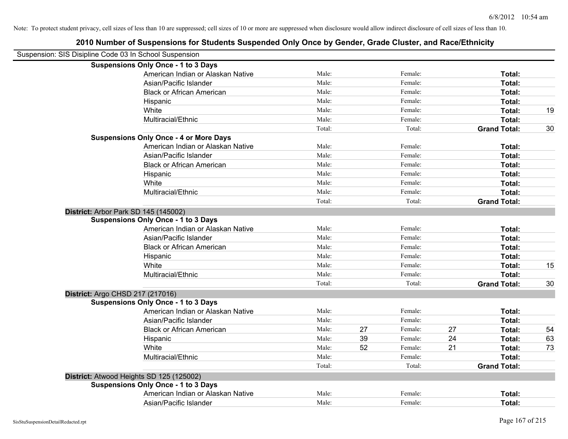|                                                        | 2010 Number of Suspensions for Students Suspended Only Once by Gender, Grade Cluster, and Race/Ethnicity |        |    |         |    |                     |    |
|--------------------------------------------------------|----------------------------------------------------------------------------------------------------------|--------|----|---------|----|---------------------|----|
| Suspension: SIS Disipline Code 03 In School Suspension |                                                                                                          |        |    |         |    |                     |    |
|                                                        | <b>Suspensions Only Once - 1 to 3 Days</b>                                                               |        |    |         |    |                     |    |
|                                                        | American Indian or Alaskan Native                                                                        | Male:  |    | Female: |    | Total:              |    |
|                                                        | Asian/Pacific Islander                                                                                   | Male:  |    | Female: |    | Total:              |    |
|                                                        | <b>Black or African American</b>                                                                         | Male:  |    | Female: |    | Total:              |    |
|                                                        | Hispanic                                                                                                 | Male:  |    | Female: |    | Total:              |    |
|                                                        | White                                                                                                    | Male:  |    | Female: |    | Total:              | 19 |
|                                                        | Multiracial/Ethnic                                                                                       | Male:  |    | Female: |    | Total:              |    |
|                                                        |                                                                                                          | Total: |    | Total:  |    | <b>Grand Total:</b> | 30 |
|                                                        | <b>Suspensions Only Once - 4 or More Days</b>                                                            |        |    |         |    |                     |    |
|                                                        | American Indian or Alaskan Native                                                                        | Male:  |    | Female: |    | Total:              |    |
|                                                        | Asian/Pacific Islander                                                                                   | Male:  |    | Female: |    | Total:              |    |
|                                                        | <b>Black or African American</b>                                                                         | Male:  |    | Female: |    | Total:              |    |
|                                                        | Hispanic                                                                                                 | Male:  |    | Female: |    | Total:              |    |
|                                                        | White                                                                                                    | Male:  |    | Female: |    | Total:              |    |
|                                                        | Multiracial/Ethnic                                                                                       | Male:  |    | Female: |    | Total:              |    |
|                                                        |                                                                                                          | Total: |    | Total:  |    | <b>Grand Total:</b> |    |
| District: Arbor Park SD 145 (145002)                   |                                                                                                          |        |    |         |    |                     |    |
|                                                        | <b>Suspensions Only Once - 1 to 3 Days</b>                                                               |        |    |         |    |                     |    |
|                                                        | American Indian or Alaskan Native                                                                        | Male:  |    | Female: |    | Total:              |    |
|                                                        | Asian/Pacific Islander                                                                                   | Male:  |    | Female: |    | Total:              |    |
|                                                        | <b>Black or African American</b>                                                                         | Male:  |    | Female: |    | Total:              |    |
|                                                        | Hispanic                                                                                                 | Male:  |    | Female: |    | Total:              |    |
|                                                        | White                                                                                                    | Male:  |    | Female: |    | Total:              | 15 |
|                                                        | Multiracial/Ethnic                                                                                       | Male:  |    | Female: |    | Total:              |    |
|                                                        |                                                                                                          | Total: |    | Total:  |    | <b>Grand Total:</b> | 30 |
| District: Argo CHSD 217 (217016)                       |                                                                                                          |        |    |         |    |                     |    |
|                                                        | <b>Suspensions Only Once - 1 to 3 Days</b>                                                               |        |    |         |    |                     |    |
|                                                        | American Indian or Alaskan Native                                                                        | Male:  |    | Female: |    | Total:              |    |
|                                                        | Asian/Pacific Islander                                                                                   | Male:  |    | Female: |    | Total:              |    |
|                                                        | <b>Black or African American</b>                                                                         | Male:  | 27 | Female: | 27 | Total:              | 54 |
|                                                        | Hispanic                                                                                                 | Male:  | 39 | Female: | 24 | Total:              | 63 |
|                                                        | White                                                                                                    | Male:  | 52 | Female: | 21 | Total:              | 73 |
|                                                        | Multiracial/Ethnic                                                                                       | Male:  |    | Female: |    | Total:              |    |
|                                                        |                                                                                                          | Total: |    | Total:  |    | <b>Grand Total:</b> |    |
| District: Atwood Heights SD 125 (125002)               |                                                                                                          |        |    |         |    |                     |    |
|                                                        | <b>Suspensions Only Once - 1 to 3 Days</b>                                                               |        |    |         |    |                     |    |
|                                                        | American Indian or Alaskan Native                                                                        | Male:  |    | Female: |    | Total:              |    |
|                                                        | Asian/Pacific Islander                                                                                   | Male:  |    | Female: |    | Total:              |    |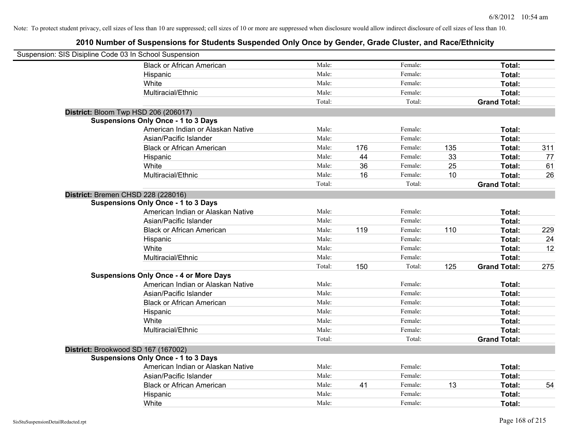| Suspension: SIS Disipline Code 03 In School Suspension |                                               |        |     |         |     |                     |     |
|--------------------------------------------------------|-----------------------------------------------|--------|-----|---------|-----|---------------------|-----|
|                                                        | <b>Black or African American</b>              | Male:  |     | Female: |     | Total:              |     |
|                                                        | Hispanic                                      | Male:  |     | Female: |     | Total:              |     |
|                                                        | White                                         | Male:  |     | Female: |     | Total:              |     |
|                                                        | Multiracial/Ethnic                            | Male:  |     | Female: |     | Total:              |     |
|                                                        |                                               | Total: |     | Total:  |     | <b>Grand Total:</b> |     |
| District: Bloom Twp HSD 206 (206017)                   |                                               |        |     |         |     |                     |     |
|                                                        | <b>Suspensions Only Once - 1 to 3 Days</b>    |        |     |         |     |                     |     |
|                                                        | American Indian or Alaskan Native             | Male:  |     | Female: |     | Total:              |     |
|                                                        | Asian/Pacific Islander                        | Male:  |     | Female: |     | Total:              |     |
|                                                        | <b>Black or African American</b>              | Male:  | 176 | Female: | 135 | Total:              | 311 |
|                                                        | Hispanic                                      | Male:  | 44  | Female: | 33  | Total:              | 77  |
|                                                        | White                                         | Male:  | 36  | Female: | 25  | Total:              | 61  |
|                                                        | Multiracial/Ethnic                            | Male:  | 16  | Female: | 10  | Total:              | 26  |
|                                                        |                                               | Total: |     | Total:  |     | <b>Grand Total:</b> |     |
| District: Bremen CHSD 228 (228016)                     |                                               |        |     |         |     |                     |     |
|                                                        | <b>Suspensions Only Once - 1 to 3 Days</b>    |        |     |         |     |                     |     |
|                                                        | American Indian or Alaskan Native             | Male:  |     | Female: |     | Total:              |     |
|                                                        | Asian/Pacific Islander                        | Male:  |     | Female: |     | Total:              |     |
|                                                        | <b>Black or African American</b>              | Male:  | 119 | Female: | 110 | Total:              | 229 |
|                                                        | Hispanic                                      | Male:  |     | Female: |     | Total:              | 24  |
|                                                        | White                                         | Male:  |     | Female: |     | Total:              | 12  |
|                                                        | Multiracial/Ethnic                            | Male:  |     | Female: |     | Total:              |     |
|                                                        |                                               | Total: | 150 | Total:  | 125 | <b>Grand Total:</b> | 275 |
|                                                        | <b>Suspensions Only Once - 4 or More Days</b> |        |     |         |     |                     |     |
|                                                        | American Indian or Alaskan Native             | Male:  |     | Female: |     | Total:              |     |
|                                                        | Asian/Pacific Islander                        | Male:  |     | Female: |     | Total:              |     |
|                                                        | <b>Black or African American</b>              | Male:  |     | Female: |     | Total:              |     |
|                                                        | Hispanic                                      | Male:  |     | Female: |     | Total:              |     |
|                                                        | White                                         | Male:  |     | Female: |     | Total:              |     |
|                                                        | Multiracial/Ethnic                            | Male:  |     | Female: |     | Total:              |     |
|                                                        |                                               | Total: |     | Total:  |     | <b>Grand Total:</b> |     |
| District: Brookwood SD 167 (167002)                    |                                               |        |     |         |     |                     |     |
|                                                        | <b>Suspensions Only Once - 1 to 3 Days</b>    |        |     |         |     |                     |     |
|                                                        | American Indian or Alaskan Native             | Male:  |     | Female: |     | Total:              |     |
|                                                        | Asian/Pacific Islander                        | Male:  |     | Female: |     | Total:              |     |
|                                                        | <b>Black or African American</b>              | Male:  | 41  | Female: | 13  | Total:              | 54  |
|                                                        | Hispanic                                      | Male:  |     | Female: |     | Total:              |     |
|                                                        | White                                         | Male:  |     | Female: |     | Total:              |     |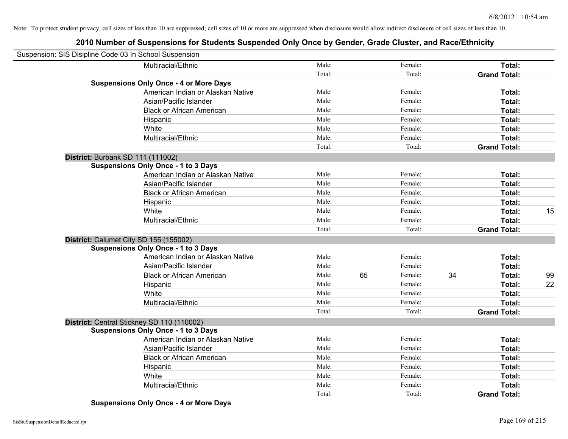# **2010 Number of Suspensions for Students Suspended Only Once by Gender, Grade Cluster, and Race/Ethnicity**

| Suspension: SIS Disipline Code 03 In School Suspension |                                               |        |               |    |                     |    |
|--------------------------------------------------------|-----------------------------------------------|--------|---------------|----|---------------------|----|
|                                                        | Multiracial/Ethnic                            | Male:  | Female:       |    | Total:              |    |
|                                                        |                                               | Total: | Total:        |    | <b>Grand Total:</b> |    |
|                                                        | <b>Suspensions Only Once - 4 or More Days</b> |        |               |    |                     |    |
|                                                        | American Indian or Alaskan Native             | Male:  | Female:       |    | Total:              |    |
|                                                        | Asian/Pacific Islander                        | Male:  | Female:       |    | Total:              |    |
|                                                        | <b>Black or African American</b>              | Male:  | Female:       |    | Total:              |    |
|                                                        | Hispanic                                      | Male:  | Female:       |    | Total:              |    |
|                                                        | White                                         | Male:  | Female:       |    | Total:              |    |
|                                                        | Multiracial/Ethnic                            | Male:  | Female:       |    | Total:              |    |
|                                                        |                                               | Total: | Total:        |    | <b>Grand Total:</b> |    |
| District: Burbank SD 111 (111002)                      |                                               |        |               |    |                     |    |
|                                                        | <b>Suspensions Only Once - 1 to 3 Days</b>    |        |               |    |                     |    |
|                                                        | American Indian or Alaskan Native             | Male:  | Female:       |    | Total:              |    |
|                                                        | Asian/Pacific Islander                        | Male:  | Female:       |    | Total:              |    |
|                                                        | <b>Black or African American</b>              | Male:  | Female:       |    | Total:              |    |
|                                                        | Hispanic                                      | Male:  | Female:       |    | Total:              |    |
|                                                        | White                                         | Male:  | Female:       |    | Total:              | 15 |
|                                                        | Multiracial/Ethnic                            | Male:  | Female:       |    | Total:              |    |
|                                                        |                                               | Total: | Total:        |    | <b>Grand Total:</b> |    |
| District: Calumet City SD 155 (155002)                 |                                               |        |               |    |                     |    |
|                                                        | <b>Suspensions Only Once - 1 to 3 Days</b>    |        |               |    |                     |    |
|                                                        | American Indian or Alaskan Native             | Male:  | Female:       |    | Total:              |    |
|                                                        | Asian/Pacific Islander                        | Male:  | Female:       |    | Total:              |    |
|                                                        | <b>Black or African American</b>              | Male:  | 65<br>Female: | 34 | Total:              | 99 |
|                                                        | Hispanic                                      | Male:  | Female:       |    | Total:              | 22 |
|                                                        | White                                         | Male:  | Female:       |    | Total:              |    |
|                                                        | Multiracial/Ethnic                            | Male:  | Female:       |    | Total:              |    |
|                                                        |                                               | Total: | Total:        |    | <b>Grand Total:</b> |    |
| District: Central Stickney SD 110 (110002)             |                                               |        |               |    |                     |    |
|                                                        | <b>Suspensions Only Once - 1 to 3 Days</b>    |        |               |    |                     |    |
|                                                        | American Indian or Alaskan Native             | Male:  | Female:       |    | Total:              |    |
|                                                        | Asian/Pacific Islander                        | Male:  | Female:       |    | Total:              |    |
|                                                        | <b>Black or African American</b>              | Male:  | Female:       |    | Total:              |    |
|                                                        | Hispanic                                      | Male:  | Female:       |    | Total:              |    |
|                                                        | White                                         | Male:  | Female:       |    | Total:              |    |
|                                                        | Multiracial/Ethnic                            | Male:  | Female:       |    | Total:              |    |
|                                                        |                                               | Total: | Total:        |    | <b>Grand Total:</b> |    |

**Suspensions Only Once - 4 or More Days**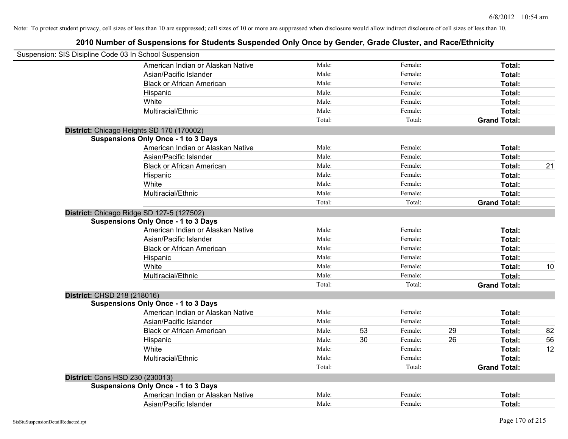|                             | Suspension: SIS Disipline Code 03 In School Suspension |        |    |         |    |                     |    |
|-----------------------------|--------------------------------------------------------|--------|----|---------|----|---------------------|----|
|                             | American Indian or Alaskan Native                      | Male:  |    | Female: |    | Total:              |    |
|                             | Asian/Pacific Islander                                 | Male:  |    | Female: |    | Total:              |    |
|                             | <b>Black or African American</b>                       | Male:  |    | Female: |    | Total:              |    |
|                             | Hispanic                                               | Male:  |    | Female: |    | Total:              |    |
|                             | White                                                  | Male:  |    | Female: |    | Total:              |    |
|                             | Multiracial/Ethnic                                     | Male:  |    | Female: |    | Total:              |    |
|                             |                                                        | Total: |    | Total:  |    | <b>Grand Total:</b> |    |
|                             | District: Chicago Heights SD 170 (170002)              |        |    |         |    |                     |    |
|                             | <b>Suspensions Only Once - 1 to 3 Days</b>             |        |    |         |    |                     |    |
|                             | American Indian or Alaskan Native                      | Male:  |    | Female: |    | Total:              |    |
|                             | Asian/Pacific Islander                                 | Male:  |    | Female: |    | Total:              |    |
|                             | <b>Black or African American</b>                       | Male:  |    | Female: |    | Total:              | 21 |
|                             | Hispanic                                               | Male:  |    | Female: |    | Total:              |    |
|                             | White                                                  | Male:  |    | Female: |    | Total:              |    |
|                             | Multiracial/Ethnic                                     | Male:  |    | Female: |    | Total:              |    |
|                             |                                                        | Total: |    | Total:  |    | <b>Grand Total:</b> |    |
|                             | District: Chicago Ridge SD 127-5 (127502)              |        |    |         |    |                     |    |
|                             | <b>Suspensions Only Once - 1 to 3 Days</b>             |        |    |         |    |                     |    |
|                             | American Indian or Alaskan Native                      | Male:  |    | Female: |    | Total:              |    |
|                             | Asian/Pacific Islander                                 | Male:  |    | Female: |    | Total:              |    |
|                             | <b>Black or African American</b>                       | Male:  |    | Female: |    | Total:              |    |
|                             | Hispanic                                               | Male:  |    | Female: |    | Total:              |    |
|                             | White                                                  | Male:  |    | Female: |    | Total:              | 10 |
|                             | Multiracial/Ethnic                                     | Male:  |    | Female: |    | Total:              |    |
|                             |                                                        | Total: |    | Total:  |    | <b>Grand Total:</b> |    |
| District: CHSD 218 (218016) |                                                        |        |    |         |    |                     |    |
|                             | <b>Suspensions Only Once - 1 to 3 Days</b>             |        |    |         |    |                     |    |
|                             | American Indian or Alaskan Native                      | Male:  |    | Female: |    | Total:              |    |
|                             | Asian/Pacific Islander                                 | Male:  |    | Female: |    | Total:              |    |
|                             | <b>Black or African American</b>                       | Male:  | 53 | Female: | 29 | Total:              | 82 |
|                             | Hispanic                                               | Male:  | 30 | Female: | 26 | Total:              | 56 |
|                             | White                                                  | Male:  |    | Female: |    | Total:              | 12 |
|                             | Multiracial/Ethnic                                     | Male:  |    | Female: |    | Total:              |    |
|                             |                                                        | Total: |    | Total:  |    | <b>Grand Total:</b> |    |
|                             | District: Cons HSD 230 (230013)                        |        |    |         |    |                     |    |
|                             | <b>Suspensions Only Once - 1 to 3 Days</b>             |        |    |         |    |                     |    |
|                             | American Indian or Alaskan Native                      | Male:  |    | Female: |    | <b>Total:</b>       |    |
|                             | Asian/Pacific Islander                                 | Male:  |    | Female: |    | Total:              |    |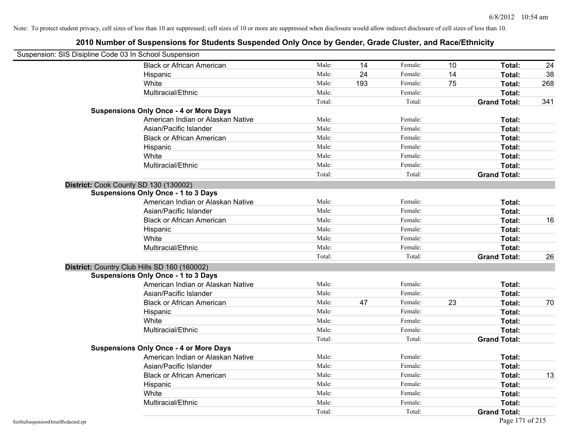| Suspension: SIS Disipline Code 03 In School Suspension |                                               |        |     |         |    |                     |     |
|--------------------------------------------------------|-----------------------------------------------|--------|-----|---------|----|---------------------|-----|
|                                                        | <b>Black or African American</b>              | Male:  | 14  | Female: | 10 | Total:              | 24  |
|                                                        | Hispanic                                      | Male:  | 24  | Female: | 14 | Total:              | 38  |
|                                                        | White                                         | Male:  | 193 | Female: | 75 | Total:              | 268 |
|                                                        | Multiracial/Ethnic                            | Male:  |     | Female: |    | Total:              |     |
|                                                        |                                               | Total: |     | Total:  |    | <b>Grand Total:</b> | 341 |
|                                                        | <b>Suspensions Only Once - 4 or More Days</b> |        |     |         |    |                     |     |
|                                                        | American Indian or Alaskan Native             | Male:  |     | Female: |    | Total:              |     |
|                                                        | Asian/Pacific Islander                        | Male:  |     | Female: |    | Total:              |     |
|                                                        | <b>Black or African American</b>              | Male:  |     | Female: |    | Total:              |     |
|                                                        | Hispanic                                      | Male:  |     | Female: |    | Total:              |     |
|                                                        | White                                         | Male:  |     | Female: |    | Total:              |     |
|                                                        | Multiracial/Ethnic                            | Male:  |     | Female: |    | Total:              |     |
|                                                        |                                               | Total: |     | Total:  |    | <b>Grand Total:</b> |     |
| District: Cook County SD 130 (130002)                  |                                               |        |     |         |    |                     |     |
|                                                        | <b>Suspensions Only Once - 1 to 3 Days</b>    |        |     |         |    |                     |     |
|                                                        | American Indian or Alaskan Native             | Male:  |     | Female: |    | Total:              |     |
|                                                        | Asian/Pacific Islander                        | Male:  |     | Female: |    | Total:              |     |
|                                                        | <b>Black or African American</b>              | Male:  |     | Female: |    | Total:              | 16  |
|                                                        | Hispanic                                      | Male:  |     | Female: |    | Total:              |     |
|                                                        | White                                         | Male:  |     | Female: |    | Total:              |     |
|                                                        | Multiracial/Ethnic                            | Male:  |     | Female: |    | Total:              |     |
|                                                        |                                               | Total: |     | Total:  |    | <b>Grand Total:</b> | 26  |
|                                                        | District: Country Club Hills SD 160 (160002)  |        |     |         |    |                     |     |
|                                                        | <b>Suspensions Only Once - 1 to 3 Days</b>    |        |     |         |    |                     |     |
|                                                        | American Indian or Alaskan Native             | Male:  |     | Female: |    | Total:              |     |
|                                                        | Asian/Pacific Islander                        | Male:  |     | Female: |    | Total:              |     |
|                                                        | <b>Black or African American</b>              | Male:  | 47  | Female: | 23 | Total:              | 70  |
|                                                        | Hispanic                                      | Male:  |     | Female: |    | Total:              |     |
|                                                        | White                                         | Male:  |     | Female: |    | Total:              |     |
|                                                        | Multiracial/Ethnic                            | Male:  |     | Female: |    | Total:              |     |
|                                                        |                                               | Total: |     | Total:  |    | <b>Grand Total:</b> |     |
|                                                        | <b>Suspensions Only Once - 4 or More Days</b> |        |     |         |    |                     |     |
|                                                        | American Indian or Alaskan Native             | Male:  |     | Female: |    | Total:              |     |
|                                                        | Asian/Pacific Islander                        | Male:  |     | Female: |    | Total:              |     |
|                                                        | <b>Black or African American</b>              | Male:  |     | Female: |    | Total:              | 13  |
|                                                        | Hispanic                                      | Male:  |     | Female: |    | Total:              |     |
|                                                        | White                                         | Male:  |     | Female: |    | Total:              |     |
|                                                        | Multiracial/Ethnic                            | Male:  |     | Female: |    | Total:              |     |
|                                                        |                                               | Total: |     | Total:  |    | <b>Grand Total:</b> |     |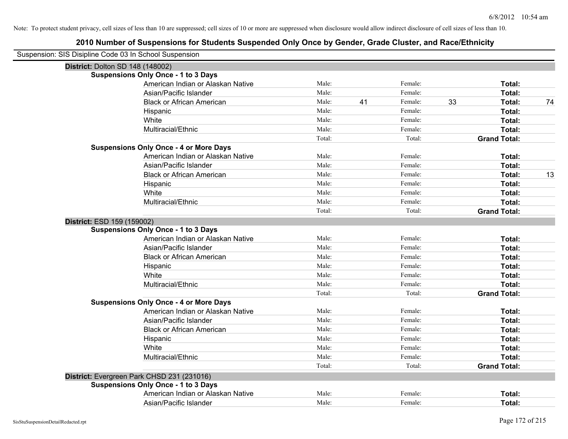| Suspension: SIS Disipline Code 03 In School Suspension |        |    |         |    |                     |    |
|--------------------------------------------------------|--------|----|---------|----|---------------------|----|
| <b>District: Dolton SD 148 (148002)</b>                |        |    |         |    |                     |    |
| <b>Suspensions Only Once - 1 to 3 Days</b>             |        |    |         |    |                     |    |
| American Indian or Alaskan Native                      | Male:  |    | Female: |    | Total:              |    |
| Asian/Pacific Islander                                 | Male:  |    | Female: |    | Total:              |    |
| <b>Black or African American</b>                       | Male:  | 41 | Female: | 33 | Total:              | 74 |
| Hispanic                                               | Male:  |    | Female: |    | Total:              |    |
| White                                                  | Male:  |    | Female: |    | Total:              |    |
| Multiracial/Ethnic                                     | Male:  |    | Female: |    | Total:              |    |
|                                                        | Total: |    | Total:  |    | <b>Grand Total:</b> |    |
| <b>Suspensions Only Once - 4 or More Days</b>          |        |    |         |    |                     |    |
| American Indian or Alaskan Native                      | Male:  |    | Female: |    | Total:              |    |
| Asian/Pacific Islander                                 | Male:  |    | Female: |    | Total:              |    |
| <b>Black or African American</b>                       | Male:  |    | Female: |    | Total:              | 13 |
| Hispanic                                               | Male:  |    | Female: |    | Total:              |    |
| White                                                  | Male:  |    | Female: |    | Total:              |    |
| Multiracial/Ethnic                                     | Male:  |    | Female: |    | Total:              |    |
|                                                        | Total: |    | Total:  |    | <b>Grand Total:</b> |    |
| District: ESD 159 (159002)                             |        |    |         |    |                     |    |
| <b>Suspensions Only Once - 1 to 3 Days</b>             |        |    |         |    |                     |    |
| American Indian or Alaskan Native                      | Male:  |    | Female: |    | Total:              |    |
| Asian/Pacific Islander                                 | Male:  |    | Female: |    | Total:              |    |
| <b>Black or African American</b>                       | Male:  |    | Female: |    | Total:              |    |
| Hispanic                                               | Male:  |    | Female: |    | Total:              |    |
| White                                                  | Male:  |    | Female: |    | Total:              |    |
| Multiracial/Ethnic                                     | Male:  |    | Female: |    | Total:              |    |
|                                                        | Total: |    | Total:  |    | <b>Grand Total:</b> |    |
| <b>Suspensions Only Once - 4 or More Days</b>          |        |    |         |    |                     |    |
| American Indian or Alaskan Native                      | Male:  |    | Female: |    | Total:              |    |
| Asian/Pacific Islander                                 | Male:  |    | Female: |    | Total:              |    |
| <b>Black or African American</b>                       | Male:  |    | Female: |    | Total:              |    |
| Hispanic                                               | Male:  |    | Female: |    | Total:              |    |
| White                                                  | Male:  |    | Female: |    | Total:              |    |
| Multiracial/Ethnic                                     | Male:  |    | Female: |    | Total:              |    |
|                                                        | Total: |    | Total:  |    | <b>Grand Total:</b> |    |
| District: Evergreen Park CHSD 231 (231016)             |        |    |         |    |                     |    |
| <b>Suspensions Only Once - 1 to 3 Days</b>             |        |    |         |    |                     |    |
| American Indian or Alaskan Native                      | Male:  |    | Female: |    | Total:              |    |
| Asian/Pacific Islander                                 | Male:  |    | Female: |    | Total:              |    |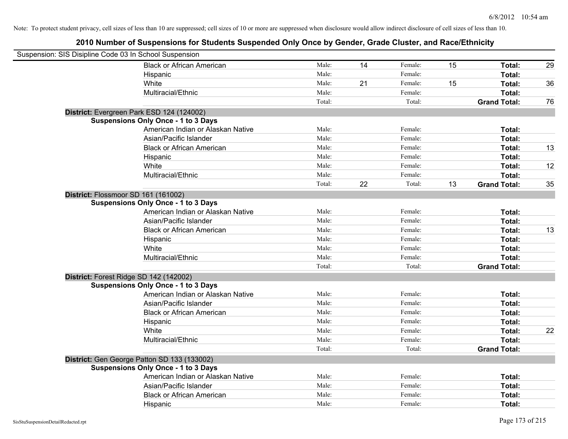| Suspension: SIS Disipline Code 03 In School Suspension |                                             |        |    |         |    |                     |    |
|--------------------------------------------------------|---------------------------------------------|--------|----|---------|----|---------------------|----|
|                                                        | <b>Black or African American</b>            | Male:  | 14 | Female: | 15 | Total:              | 29 |
|                                                        | Hispanic                                    | Male:  |    | Female: |    | Total:              |    |
|                                                        | White                                       | Male:  | 21 | Female: | 15 | Total:              | 36 |
|                                                        | Multiracial/Ethnic                          | Male:  |    | Female: |    | Total:              |    |
|                                                        |                                             | Total: |    | Total:  |    | <b>Grand Total:</b> | 76 |
|                                                        | District: Evergreen Park ESD 124 (124002)   |        |    |         |    |                     |    |
|                                                        | <b>Suspensions Only Once - 1 to 3 Days</b>  |        |    |         |    |                     |    |
|                                                        | American Indian or Alaskan Native           | Male:  |    | Female: |    | Total:              |    |
|                                                        | Asian/Pacific Islander                      | Male:  |    | Female: |    | Total:              |    |
|                                                        | <b>Black or African American</b>            | Male:  |    | Female: |    | Total:              | 13 |
|                                                        | Hispanic                                    | Male:  |    | Female: |    | Total:              |    |
|                                                        | White                                       | Male:  |    | Female: |    | Total:              | 12 |
|                                                        | Multiracial/Ethnic                          | Male:  |    | Female: |    | Total:              |    |
|                                                        |                                             | Total: | 22 | Total:  | 13 | <b>Grand Total:</b> | 35 |
| District: Flossmoor SD 161 (161002)                    |                                             |        |    |         |    |                     |    |
|                                                        | <b>Suspensions Only Once - 1 to 3 Days</b>  |        |    |         |    |                     |    |
|                                                        | American Indian or Alaskan Native           | Male:  |    | Female: |    | Total:              |    |
|                                                        | Asian/Pacific Islander                      | Male:  |    | Female: |    | Total:              |    |
|                                                        | <b>Black or African American</b>            | Male:  |    | Female: |    | Total:              | 13 |
|                                                        | Hispanic                                    | Male:  |    | Female: |    | Total:              |    |
|                                                        | White                                       | Male:  |    | Female: |    | Total:              |    |
|                                                        | Multiracial/Ethnic                          | Male:  |    | Female: |    | Total:              |    |
|                                                        |                                             | Total: |    | Total:  |    | <b>Grand Total:</b> |    |
|                                                        | District: Forest Ridge SD 142 (142002)      |        |    |         |    |                     |    |
|                                                        | <b>Suspensions Only Once - 1 to 3 Days</b>  |        |    |         |    |                     |    |
|                                                        | American Indian or Alaskan Native           | Male:  |    | Female: |    | Total:              |    |
|                                                        | Asian/Pacific Islander                      | Male:  |    | Female: |    | Total:              |    |
|                                                        | <b>Black or African American</b>            | Male:  |    | Female: |    | Total:              |    |
|                                                        | Hispanic                                    | Male:  |    | Female: |    | Total:              |    |
|                                                        | White                                       | Male:  |    | Female: |    | Total:              | 22 |
|                                                        | Multiracial/Ethnic                          | Male:  |    | Female: |    | Total:              |    |
|                                                        |                                             | Total: |    | Total:  |    | <b>Grand Total:</b> |    |
|                                                        | District: Gen George Patton SD 133 (133002) |        |    |         |    |                     |    |
|                                                        | <b>Suspensions Only Once - 1 to 3 Days</b>  |        |    |         |    |                     |    |
|                                                        | American Indian or Alaskan Native           | Male:  |    | Female: |    | Total:              |    |
|                                                        | Asian/Pacific Islander                      | Male:  |    | Female: |    | Total:              |    |
|                                                        | <b>Black or African American</b>            | Male:  |    | Female: |    | Total:              |    |
|                                                        | Hispanic                                    | Male:  |    | Female: |    | Total:              |    |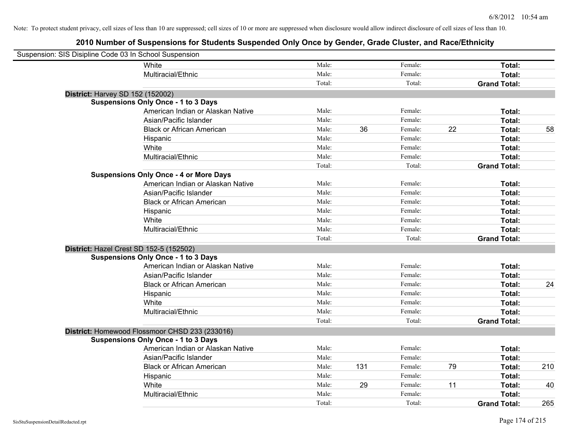| Suspension: SIS Disipline Code 03 In School Suspension |                                                |        |     |         |    |                     |     |
|--------------------------------------------------------|------------------------------------------------|--------|-----|---------|----|---------------------|-----|
|                                                        | White                                          | Male:  |     | Female: |    | Total:              |     |
|                                                        | Multiracial/Ethnic                             | Male:  |     | Female: |    | Total:              |     |
|                                                        |                                                | Total: |     | Total:  |    | <b>Grand Total:</b> |     |
| District: Harvey SD 152 (152002)                       |                                                |        |     |         |    |                     |     |
|                                                        | <b>Suspensions Only Once - 1 to 3 Days</b>     |        |     |         |    |                     |     |
|                                                        | American Indian or Alaskan Native              | Male:  |     | Female: |    | Total:              |     |
|                                                        | Asian/Pacific Islander                         | Male:  |     | Female: |    | Total:              |     |
|                                                        | <b>Black or African American</b>               | Male:  | 36  | Female: | 22 | Total:              | 58  |
|                                                        | Hispanic                                       | Male:  |     | Female: |    | Total:              |     |
|                                                        | White                                          | Male:  |     | Female: |    | Total:              |     |
|                                                        | Multiracial/Ethnic                             | Male:  |     | Female: |    | Total:              |     |
|                                                        |                                                | Total: |     | Total:  |    | <b>Grand Total:</b> |     |
|                                                        | <b>Suspensions Only Once - 4 or More Days</b>  |        |     |         |    |                     |     |
|                                                        | American Indian or Alaskan Native              | Male:  |     | Female: |    | Total:              |     |
|                                                        | Asian/Pacific Islander                         | Male:  |     | Female: |    | Total:              |     |
|                                                        | <b>Black or African American</b>               | Male:  |     | Female: |    | Total:              |     |
|                                                        | Hispanic                                       | Male:  |     | Female: |    | Total:              |     |
|                                                        | White                                          | Male:  |     | Female: |    | Total:              |     |
|                                                        | Multiracial/Ethnic                             | Male:  |     | Female: |    | Total:              |     |
|                                                        |                                                | Total: |     | Total:  |    | <b>Grand Total:</b> |     |
| District: Hazel Crest SD 152-5 (152502)                |                                                |        |     |         |    |                     |     |
|                                                        | <b>Suspensions Only Once - 1 to 3 Days</b>     |        |     |         |    |                     |     |
|                                                        | American Indian or Alaskan Native              | Male:  |     | Female: |    | Total:              |     |
|                                                        | Asian/Pacific Islander                         | Male:  |     | Female: |    | Total:              |     |
|                                                        | <b>Black or African American</b>               | Male:  |     | Female: |    | Total:              | 24  |
|                                                        | Hispanic                                       | Male:  |     | Female: |    | Total:              |     |
|                                                        | White                                          | Male:  |     | Female: |    | Total:              |     |
|                                                        | Multiracial/Ethnic                             | Male:  |     | Female: |    | Total:              |     |
|                                                        |                                                | Total: |     | Total:  |    | <b>Grand Total:</b> |     |
|                                                        | District: Homewood Flossmoor CHSD 233 (233016) |        |     |         |    |                     |     |
|                                                        | <b>Suspensions Only Once - 1 to 3 Days</b>     |        |     |         |    |                     |     |
|                                                        | American Indian or Alaskan Native              | Male:  |     | Female: |    | Total:              |     |
|                                                        | Asian/Pacific Islander                         | Male:  |     | Female: |    | Total:              |     |
|                                                        | <b>Black or African American</b>               | Male:  | 131 | Female: | 79 | Total:              | 210 |
|                                                        | Hispanic                                       | Male:  |     | Female: |    | Total:              |     |
|                                                        | White                                          | Male:  | 29  | Female: | 11 | Total:              | 40  |
|                                                        | Multiracial/Ethnic                             | Male:  |     | Female: |    | Total:              |     |
|                                                        |                                                | Total: |     | Total:  |    | <b>Grand Total:</b> | 265 |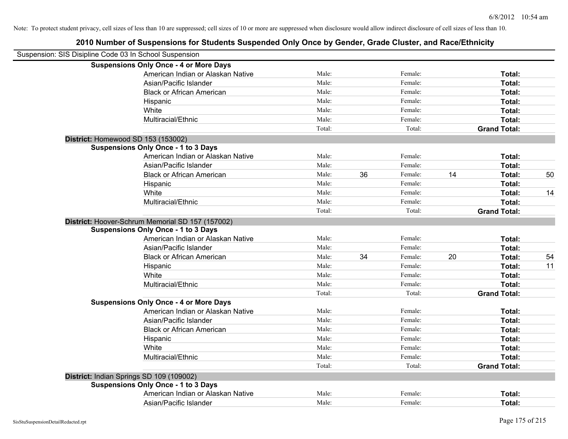| Suspension: SIS Disipline Code 03 In School Suspension |                                                  |        |    |         |    |                     |    |
|--------------------------------------------------------|--------------------------------------------------|--------|----|---------|----|---------------------|----|
|                                                        | <b>Suspensions Only Once - 4 or More Days</b>    |        |    |         |    |                     |    |
|                                                        | American Indian or Alaskan Native                | Male:  |    | Female: |    | Total:              |    |
|                                                        | Asian/Pacific Islander                           | Male:  |    | Female: |    | Total:              |    |
|                                                        | <b>Black or African American</b>                 | Male:  |    | Female: |    | Total:              |    |
|                                                        | Hispanic                                         | Male:  |    | Female: |    | Total:              |    |
|                                                        | White                                            | Male:  |    | Female: |    | Total:              |    |
|                                                        | Multiracial/Ethnic                               | Male:  |    | Female: |    | Total:              |    |
|                                                        |                                                  | Total: |    | Total:  |    | <b>Grand Total:</b> |    |
|                                                        | District: Homewood SD 153 (153002)               |        |    |         |    |                     |    |
|                                                        | <b>Suspensions Only Once - 1 to 3 Days</b>       |        |    |         |    |                     |    |
|                                                        | American Indian or Alaskan Native                | Male:  |    | Female: |    | Total:              |    |
|                                                        | Asian/Pacific Islander                           | Male:  |    | Female: |    | Total:              |    |
|                                                        | <b>Black or African American</b>                 | Male:  | 36 | Female: | 14 | Total:              | 50 |
|                                                        | Hispanic                                         | Male:  |    | Female: |    | Total:              |    |
|                                                        | White                                            | Male:  |    | Female: |    | Total:              | 14 |
|                                                        | Multiracial/Ethnic                               | Male:  |    | Female: |    | Total:              |    |
|                                                        |                                                  | Total: |    | Total:  |    | <b>Grand Total:</b> |    |
|                                                        | District: Hoover-Schrum Memorial SD 157 (157002) |        |    |         |    |                     |    |
|                                                        | <b>Suspensions Only Once - 1 to 3 Days</b>       |        |    |         |    |                     |    |
|                                                        | American Indian or Alaskan Native                | Male:  |    | Female: |    | Total:              |    |
|                                                        | Asian/Pacific Islander                           | Male:  |    | Female: |    | Total:              |    |
|                                                        | <b>Black or African American</b>                 | Male:  | 34 | Female: | 20 | Total:              | 54 |
|                                                        | Hispanic                                         | Male:  |    | Female: |    | Total:              | 11 |
|                                                        | White                                            | Male:  |    | Female: |    | Total:              |    |
|                                                        | Multiracial/Ethnic                               | Male:  |    | Female: |    | Total:              |    |
|                                                        |                                                  | Total: |    | Total:  |    | <b>Grand Total:</b> |    |
|                                                        | <b>Suspensions Only Once - 4 or More Days</b>    |        |    |         |    |                     |    |
|                                                        | American Indian or Alaskan Native                | Male:  |    | Female: |    | Total:              |    |
|                                                        | Asian/Pacific Islander                           | Male:  |    | Female: |    | Total:              |    |
|                                                        | <b>Black or African American</b>                 | Male:  |    | Female: |    | Total:              |    |
|                                                        | Hispanic                                         | Male:  |    | Female: |    | Total:              |    |
|                                                        | White                                            | Male:  |    | Female: |    | Total:              |    |
|                                                        | Multiracial/Ethnic                               | Male:  |    | Female: |    | Total:              |    |
|                                                        |                                                  | Total: |    | Total:  |    | <b>Grand Total:</b> |    |
|                                                        | District: Indian Springs SD 109 (109002)         |        |    |         |    |                     |    |
|                                                        | <b>Suspensions Only Once - 1 to 3 Days</b>       |        |    |         |    |                     |    |
|                                                        | American Indian or Alaskan Native                | Male:  |    | Female: |    | Total:              |    |
|                                                        | Asian/Pacific Islander                           | Male:  |    | Female: |    | Total:              |    |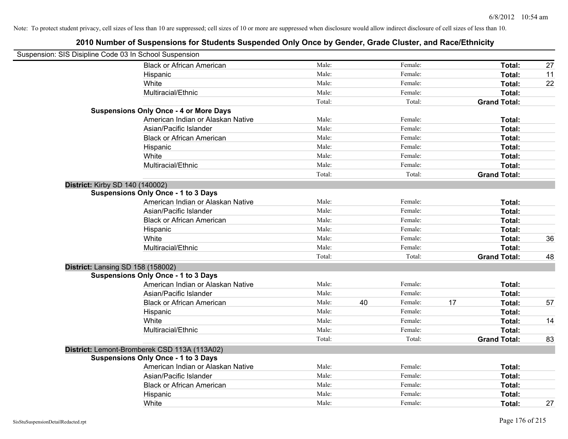| Suspension: SIS Disipline Code 03 In School Suspension |                                               |        |    |         |    |                     |    |
|--------------------------------------------------------|-----------------------------------------------|--------|----|---------|----|---------------------|----|
|                                                        | <b>Black or African American</b>              | Male:  |    | Female: |    | Total:              | 27 |
|                                                        | Hispanic                                      | Male:  |    | Female: |    | Total:              | 11 |
|                                                        | White                                         | Male:  |    | Female: |    | Total:              | 22 |
|                                                        | Multiracial/Ethnic                            | Male:  |    | Female: |    | <b>Total:</b>       |    |
|                                                        |                                               | Total: |    | Total:  |    | <b>Grand Total:</b> |    |
|                                                        | <b>Suspensions Only Once - 4 or More Days</b> |        |    |         |    |                     |    |
|                                                        | American Indian or Alaskan Native             | Male:  |    | Female: |    | Total:              |    |
|                                                        | Asian/Pacific Islander                        | Male:  |    | Female: |    | Total:              |    |
|                                                        | <b>Black or African American</b>              | Male:  |    | Female: |    | Total:              |    |
|                                                        | Hispanic                                      | Male:  |    | Female: |    | Total:              |    |
|                                                        | White                                         | Male:  |    | Female: |    | Total:              |    |
|                                                        | Multiracial/Ethnic                            | Male:  |    | Female: |    | Total:              |    |
|                                                        |                                               | Total: |    | Total:  |    | <b>Grand Total:</b> |    |
| <b>District: Kirby SD 140 (140002)</b>                 |                                               |        |    |         |    |                     |    |
|                                                        | <b>Suspensions Only Once - 1 to 3 Days</b>    |        |    |         |    |                     |    |
|                                                        | American Indian or Alaskan Native             | Male:  |    | Female: |    | Total:              |    |
|                                                        | Asian/Pacific Islander                        | Male:  |    | Female: |    | Total:              |    |
|                                                        | <b>Black or African American</b>              | Male:  |    | Female: |    | Total:              |    |
|                                                        | Hispanic                                      | Male:  |    | Female: |    | Total:              |    |
|                                                        | White                                         | Male:  |    | Female: |    | Total:              | 36 |
|                                                        | Multiracial/Ethnic                            | Male:  |    | Female: |    | Total:              |    |
|                                                        |                                               | Total: |    | Total:  |    | <b>Grand Total:</b> | 48 |
| District: Lansing SD 158 (158002)                      |                                               |        |    |         |    |                     |    |
|                                                        | <b>Suspensions Only Once - 1 to 3 Days</b>    |        |    |         |    |                     |    |
|                                                        | American Indian or Alaskan Native             | Male:  |    | Female: |    | Total:              |    |
|                                                        | Asian/Pacific Islander                        | Male:  |    | Female: |    | Total:              |    |
|                                                        | <b>Black or African American</b>              | Male:  | 40 | Female: | 17 | Total:              | 57 |
|                                                        | Hispanic                                      | Male:  |    | Female: |    | Total:              |    |
|                                                        | White                                         | Male:  |    | Female: |    | Total:              | 14 |
|                                                        | Multiracial/Ethnic                            | Male:  |    | Female: |    | Total:              |    |
|                                                        |                                               | Total: |    | Total:  |    | <b>Grand Total:</b> | 83 |
|                                                        | District: Lemont-Bromberek CSD 113A (113A02)  |        |    |         |    |                     |    |
|                                                        | <b>Suspensions Only Once - 1 to 3 Days</b>    |        |    |         |    |                     |    |
|                                                        | American Indian or Alaskan Native             | Male:  |    | Female: |    | Total:              |    |
|                                                        | Asian/Pacific Islander                        | Male:  |    | Female: |    | Total:              |    |
|                                                        | <b>Black or African American</b>              | Male:  |    | Female: |    | Total:              |    |
|                                                        | Hispanic                                      | Male:  |    | Female: |    | Total:              |    |
|                                                        | White                                         | Male:  |    | Female: |    | Total:              | 27 |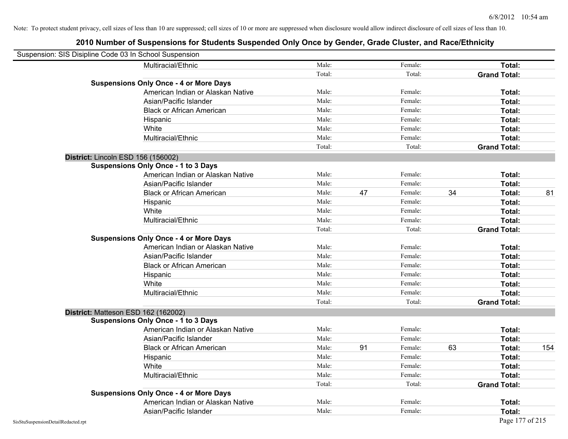| Suspension: SIS Disipline Code 03 In School Suspension |                                               |        |    |         |    |                     |     |
|--------------------------------------------------------|-----------------------------------------------|--------|----|---------|----|---------------------|-----|
|                                                        | Multiracial/Ethnic                            | Male:  |    | Female: |    | Total:              |     |
|                                                        |                                               | Total: |    | Total:  |    | <b>Grand Total:</b> |     |
|                                                        | <b>Suspensions Only Once - 4 or More Days</b> |        |    |         |    |                     |     |
|                                                        | American Indian or Alaskan Native             | Male:  |    | Female: |    | Total:              |     |
|                                                        | Asian/Pacific Islander                        | Male:  |    | Female: |    | Total:              |     |
|                                                        | <b>Black or African American</b>              | Male:  |    | Female: |    | Total:              |     |
|                                                        | Hispanic                                      | Male:  |    | Female: |    | Total:              |     |
|                                                        | White                                         | Male:  |    | Female: |    | Total:              |     |
|                                                        | Multiracial/Ethnic                            | Male:  |    | Female: |    | Total:              |     |
|                                                        |                                               | Total: |    | Total:  |    | <b>Grand Total:</b> |     |
| District: Lincoln ESD 156 (156002)                     |                                               |        |    |         |    |                     |     |
|                                                        | <b>Suspensions Only Once - 1 to 3 Days</b>    |        |    |         |    |                     |     |
|                                                        | American Indian or Alaskan Native             | Male:  |    | Female: |    | Total:              |     |
|                                                        | Asian/Pacific Islander                        | Male:  |    | Female: |    | Total:              |     |
|                                                        | <b>Black or African American</b>              | Male:  | 47 | Female: | 34 | Total:              | 81  |
|                                                        | Hispanic                                      | Male:  |    | Female: |    | Total:              |     |
|                                                        | White                                         | Male:  |    | Female: |    | Total:              |     |
|                                                        | Multiracial/Ethnic                            | Male:  |    | Female: |    | Total:              |     |
|                                                        |                                               | Total: |    | Total:  |    | <b>Grand Total:</b> |     |
|                                                        | <b>Suspensions Only Once - 4 or More Days</b> |        |    |         |    |                     |     |
|                                                        | American Indian or Alaskan Native             | Male:  |    | Female: |    | Total:              |     |
|                                                        | Asian/Pacific Islander                        | Male:  |    | Female: |    | Total:              |     |
|                                                        | <b>Black or African American</b>              | Male:  |    | Female: |    | Total:              |     |
|                                                        | Hispanic                                      | Male:  |    | Female: |    | Total:              |     |
|                                                        | White                                         | Male:  |    | Female: |    | Total:              |     |
|                                                        | Multiracial/Ethnic                            | Male:  |    | Female: |    | Total:              |     |
|                                                        |                                               | Total: |    | Total:  |    | <b>Grand Total:</b> |     |
| District: Matteson ESD 162 (162002)                    |                                               |        |    |         |    |                     |     |
|                                                        | <b>Suspensions Only Once - 1 to 3 Days</b>    |        |    |         |    |                     |     |
|                                                        | American Indian or Alaskan Native             | Male:  |    | Female: |    | Total:              |     |
|                                                        | Asian/Pacific Islander                        | Male:  |    | Female: |    | Total:              |     |
|                                                        | <b>Black or African American</b>              | Male:  | 91 | Female: | 63 | Total:              | 154 |
|                                                        | Hispanic                                      | Male:  |    | Female: |    | Total:              |     |
|                                                        | White                                         | Male:  |    | Female: |    | Total:              |     |
|                                                        | Multiracial/Ethnic                            | Male:  |    | Female: |    | Total:              |     |
|                                                        |                                               | Total: |    | Total:  |    | <b>Grand Total:</b> |     |
|                                                        | <b>Suspensions Only Once - 4 or More Days</b> |        |    |         |    |                     |     |
|                                                        | American Indian or Alaskan Native             | Male:  |    | Female: |    | Total:              |     |
|                                                        | Asian/Pacific Islander                        | Male:  |    | Female: |    | Total:              |     |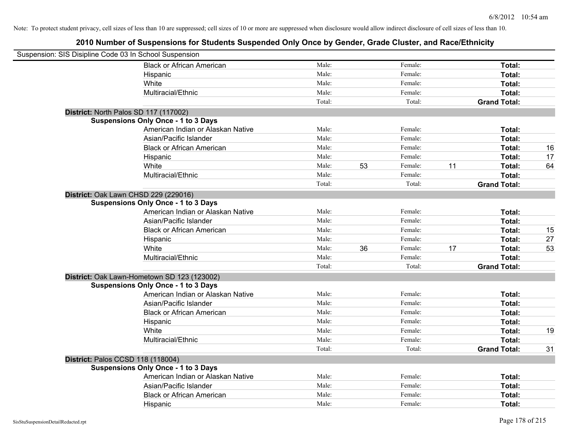| Suspension: SIS Disipline Code 03 In School Suspension |        |    |         |    |                     |    |
|--------------------------------------------------------|--------|----|---------|----|---------------------|----|
| <b>Black or African American</b>                       | Male:  |    | Female: |    | Total:              |    |
| Hispanic                                               | Male:  |    | Female: |    | Total:              |    |
| White                                                  | Male:  |    | Female: |    | Total:              |    |
| Multiracial/Ethnic                                     | Male:  |    | Female: |    | Total:              |    |
|                                                        | Total: |    | Total:  |    | <b>Grand Total:</b> |    |
| District: North Palos SD 117 (117002)                  |        |    |         |    |                     |    |
| <b>Suspensions Only Once - 1 to 3 Days</b>             |        |    |         |    |                     |    |
| American Indian or Alaskan Native                      | Male:  |    | Female: |    | Total:              |    |
| Asian/Pacific Islander                                 | Male:  |    | Female: |    | Total:              |    |
| <b>Black or African American</b>                       | Male:  |    | Female: |    | Total:              | 16 |
| Hispanic                                               | Male:  |    | Female: |    | Total:              | 17 |
| White                                                  | Male:  | 53 | Female: | 11 | Total:              | 64 |
| Multiracial/Ethnic                                     | Male:  |    | Female: |    | Total:              |    |
|                                                        | Total: |    | Total:  |    | <b>Grand Total:</b> |    |
| District: Oak Lawn CHSD 229 (229016)                   |        |    |         |    |                     |    |
| <b>Suspensions Only Once - 1 to 3 Days</b>             |        |    |         |    |                     |    |
| American Indian or Alaskan Native                      | Male:  |    | Female: |    | Total:              |    |
| Asian/Pacific Islander                                 | Male:  |    | Female: |    | Total:              |    |
| <b>Black or African American</b>                       | Male:  |    | Female: |    | Total:              | 15 |
| Hispanic                                               | Male:  |    | Female: |    | Total:              | 27 |
| White                                                  | Male:  | 36 | Female: | 17 | Total:              | 53 |
| Multiracial/Ethnic                                     | Male:  |    | Female: |    | Total:              |    |
|                                                        | Total: |    | Total:  |    | <b>Grand Total:</b> |    |
| District: Oak Lawn-Hometown SD 123 (123002)            |        |    |         |    |                     |    |
| <b>Suspensions Only Once - 1 to 3 Days</b>             |        |    |         |    |                     |    |
| American Indian or Alaskan Native                      | Male:  |    | Female: |    | Total:              |    |
| Asian/Pacific Islander                                 | Male:  |    | Female: |    | Total:              |    |
| <b>Black or African American</b>                       | Male:  |    | Female: |    | Total:              |    |
| Hispanic                                               | Male:  |    | Female: |    | Total:              |    |
| White                                                  | Male:  |    | Female: |    | Total:              | 19 |
| Multiracial/Ethnic                                     | Male:  |    | Female: |    | Total:              |    |
|                                                        | Total: |    | Total:  |    | <b>Grand Total:</b> | 31 |
| District: Palos CCSD 118 (118004)                      |        |    |         |    |                     |    |
| <b>Suspensions Only Once - 1 to 3 Days</b>             |        |    |         |    |                     |    |
| American Indian or Alaskan Native                      | Male:  |    | Female: |    | Total:              |    |
| Asian/Pacific Islander                                 | Male:  |    | Female: |    | Total:              |    |
| <b>Black or African American</b>                       | Male:  |    | Female: |    | Total:              |    |
| Hispanic                                               | Male:  |    | Female: |    | Total:              |    |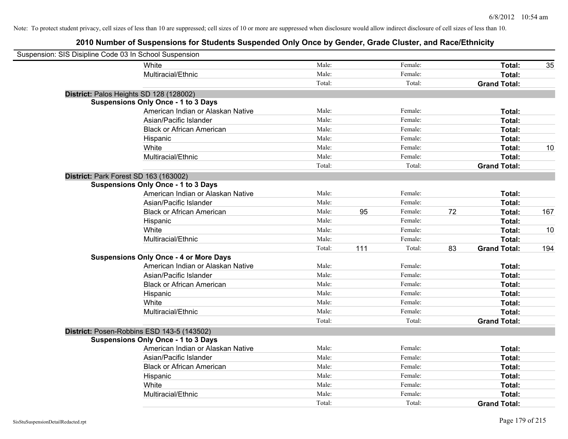| Suspension: SIS Disipline Code 03 In School Suspension |                                               |        |     |         |    |                     |     |
|--------------------------------------------------------|-----------------------------------------------|--------|-----|---------|----|---------------------|-----|
|                                                        | White                                         | Male:  |     | Female: |    | Total:              | 35  |
|                                                        | Multiracial/Ethnic                            | Male:  |     | Female: |    | Total:              |     |
|                                                        |                                               | Total: |     | Total:  |    | <b>Grand Total:</b> |     |
| District: Palos Heights SD 128 (128002)                |                                               |        |     |         |    |                     |     |
|                                                        | <b>Suspensions Only Once - 1 to 3 Days</b>    |        |     |         |    |                     |     |
|                                                        | American Indian or Alaskan Native             | Male:  |     | Female: |    | Total:              |     |
|                                                        | Asian/Pacific Islander                        | Male:  |     | Female: |    | Total:              |     |
|                                                        | <b>Black or African American</b>              | Male:  |     | Female: |    | Total:              |     |
|                                                        | Hispanic                                      | Male:  |     | Female: |    | Total:              |     |
|                                                        | White                                         | Male:  |     | Female: |    | Total:              | 10  |
|                                                        | Multiracial/Ethnic                            | Male:  |     | Female: |    | Total:              |     |
|                                                        |                                               | Total: |     | Total:  |    | <b>Grand Total:</b> |     |
| District: Park Forest SD 163 (163002)                  |                                               |        |     |         |    |                     |     |
|                                                        | <b>Suspensions Only Once - 1 to 3 Days</b>    |        |     |         |    |                     |     |
|                                                        | American Indian or Alaskan Native             | Male:  |     | Female: |    | Total:              |     |
|                                                        | Asian/Pacific Islander                        | Male:  |     | Female: |    | Total:              |     |
|                                                        | <b>Black or African American</b>              | Male:  | 95  | Female: | 72 | Total:              | 167 |
|                                                        | Hispanic                                      | Male:  |     | Female: |    | Total:              |     |
|                                                        | White                                         | Male:  |     | Female: |    | Total:              | 10  |
|                                                        | Multiracial/Ethnic                            | Male:  |     | Female: |    | Total:              |     |
|                                                        |                                               | Total: | 111 | Total:  | 83 | <b>Grand Total:</b> | 194 |
|                                                        | <b>Suspensions Only Once - 4 or More Days</b> |        |     |         |    |                     |     |
|                                                        | American Indian or Alaskan Native             | Male:  |     | Female: |    | Total:              |     |
|                                                        | Asian/Pacific Islander                        | Male:  |     | Female: |    | Total:              |     |
|                                                        | <b>Black or African American</b>              | Male:  |     | Female: |    | Total:              |     |
|                                                        | Hispanic                                      | Male:  |     | Female: |    | Total:              |     |
|                                                        | White                                         | Male:  |     | Female: |    | Total:              |     |
|                                                        | Multiracial/Ethnic                            | Male:  |     | Female: |    | Total:              |     |
|                                                        |                                               | Total: |     | Total:  |    | <b>Grand Total:</b> |     |
|                                                        | District: Posen-Robbins ESD 143-5 (143502)    |        |     |         |    |                     |     |
|                                                        | <b>Suspensions Only Once - 1 to 3 Days</b>    |        |     |         |    |                     |     |
|                                                        | American Indian or Alaskan Native             | Male:  |     | Female: |    | Total:              |     |
|                                                        | Asian/Pacific Islander                        | Male:  |     | Female: |    | Total:              |     |
|                                                        | <b>Black or African American</b>              | Male:  |     | Female: |    | Total:              |     |
|                                                        | Hispanic                                      | Male:  |     | Female: |    | Total:              |     |
|                                                        | White                                         | Male:  |     | Female: |    | Total:              |     |
|                                                        | Multiracial/Ethnic                            | Male:  |     | Female: |    | Total:              |     |
|                                                        |                                               | Total: |     | Total:  |    | <b>Grand Total:</b> |     |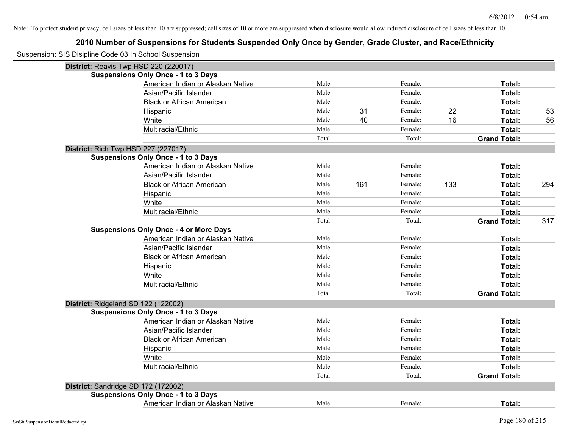| Suspension: SIS Disipline Code 03 In School Suspension |                                               |        |     |         |     |                     |     |
|--------------------------------------------------------|-----------------------------------------------|--------|-----|---------|-----|---------------------|-----|
| District: Reavis Twp HSD 220 (220017)                  |                                               |        |     |         |     |                     |     |
|                                                        | <b>Suspensions Only Once - 1 to 3 Days</b>    |        |     |         |     |                     |     |
|                                                        | American Indian or Alaskan Native             | Male:  |     | Female: |     | Total:              |     |
|                                                        | Asian/Pacific Islander                        | Male:  |     | Female: |     | Total:              |     |
|                                                        | <b>Black or African American</b>              | Male:  |     | Female: |     | Total:              |     |
|                                                        | Hispanic                                      | Male:  | 31  | Female: | 22  | Total:              | 53  |
|                                                        | White                                         | Male:  | 40  | Female: | 16  | Total:              | 56  |
|                                                        | Multiracial/Ethnic                            | Male:  |     | Female: |     | Total:              |     |
|                                                        |                                               | Total: |     | Total:  |     | <b>Grand Total:</b> |     |
| <b>District: Rich Twp HSD 227 (227017)</b>             |                                               |        |     |         |     |                     |     |
|                                                        | <b>Suspensions Only Once - 1 to 3 Days</b>    |        |     |         |     |                     |     |
|                                                        | American Indian or Alaskan Native             | Male:  |     | Female: |     | Total:              |     |
|                                                        | Asian/Pacific Islander                        | Male:  |     | Female: |     | Total:              |     |
|                                                        | <b>Black or African American</b>              | Male:  | 161 | Female: | 133 | Total:              | 294 |
|                                                        | Hispanic                                      | Male:  |     | Female: |     | Total:              |     |
|                                                        | White                                         | Male:  |     | Female: |     | Total:              |     |
|                                                        | Multiracial/Ethnic                            | Male:  |     | Female: |     | Total:              |     |
|                                                        |                                               | Total: |     | Total:  |     | <b>Grand Total:</b> | 317 |
|                                                        | <b>Suspensions Only Once - 4 or More Days</b> |        |     |         |     |                     |     |
|                                                        | American Indian or Alaskan Native             | Male:  |     | Female: |     | Total:              |     |
|                                                        | Asian/Pacific Islander                        | Male:  |     | Female: |     | Total:              |     |
|                                                        | <b>Black or African American</b>              | Male:  |     | Female: |     | Total:              |     |
|                                                        | Hispanic                                      | Male:  |     | Female: |     | Total:              |     |
|                                                        | White                                         | Male:  |     | Female: |     | Total:              |     |
|                                                        | Multiracial/Ethnic                            | Male:  |     | Female: |     | Total:              |     |
|                                                        |                                               | Total: |     | Total:  |     | <b>Grand Total:</b> |     |
| District: Ridgeland SD 122 (122002)                    |                                               |        |     |         |     |                     |     |
|                                                        | <b>Suspensions Only Once - 1 to 3 Days</b>    |        |     |         |     |                     |     |
|                                                        | American Indian or Alaskan Native             | Male:  |     | Female: |     | Total:              |     |
|                                                        | Asian/Pacific Islander                        | Male:  |     | Female: |     | Total:              |     |
|                                                        | <b>Black or African American</b>              | Male:  |     | Female: |     | Total:              |     |
|                                                        | Hispanic                                      | Male:  |     | Female: |     | Total:              |     |
|                                                        | White                                         | Male:  |     | Female: |     | Total:              |     |
|                                                        | Multiracial/Ethnic                            | Male:  |     | Female: |     | Total:              |     |
|                                                        |                                               | Total: |     | Total:  |     | <b>Grand Total:</b> |     |
| District: Sandridge SD 172 (172002)                    |                                               |        |     |         |     |                     |     |
|                                                        | <b>Suspensions Only Once - 1 to 3 Days</b>    |        |     |         |     |                     |     |
|                                                        | American Indian or Alaskan Native             | Male:  |     | Female: |     | Total:              |     |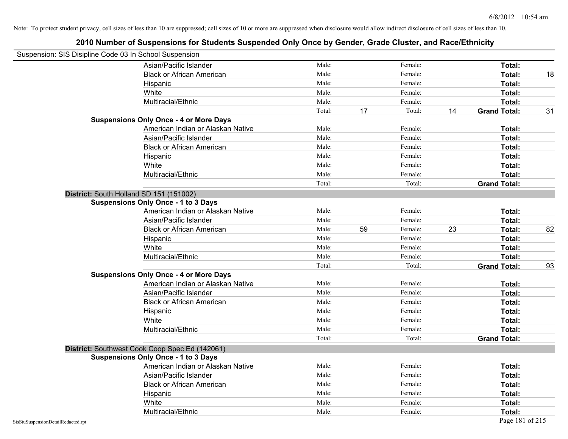| Suspension: SIS Disipline Code 03 In School Suspension |                                                |        |    |         |    |                     |    |
|--------------------------------------------------------|------------------------------------------------|--------|----|---------|----|---------------------|----|
|                                                        | Asian/Pacific Islander                         | Male:  |    | Female: |    | Total:              |    |
|                                                        | <b>Black or African American</b>               | Male:  |    | Female: |    | Total:              | 18 |
|                                                        | Hispanic                                       | Male:  |    | Female: |    | Total:              |    |
|                                                        | White                                          | Male:  |    | Female: |    | Total:              |    |
|                                                        | Multiracial/Ethnic                             | Male:  |    | Female: |    | Total:              |    |
|                                                        |                                                | Total: | 17 | Total:  | 14 | <b>Grand Total:</b> | 31 |
|                                                        | <b>Suspensions Only Once - 4 or More Days</b>  |        |    |         |    |                     |    |
|                                                        | American Indian or Alaskan Native              | Male:  |    | Female: |    | Total:              |    |
|                                                        | Asian/Pacific Islander                         | Male:  |    | Female: |    | Total:              |    |
|                                                        | <b>Black or African American</b>               | Male:  |    | Female: |    | Total:              |    |
|                                                        | Hispanic                                       | Male:  |    | Female: |    | Total:              |    |
|                                                        | White                                          | Male:  |    | Female: |    | Total:              |    |
|                                                        | Multiracial/Ethnic                             | Male:  |    | Female: |    | Total:              |    |
|                                                        |                                                | Total: |    | Total:  |    | <b>Grand Total:</b> |    |
| District: South Holland SD 151 (151002)                |                                                |        |    |         |    |                     |    |
|                                                        | <b>Suspensions Only Once - 1 to 3 Days</b>     |        |    |         |    |                     |    |
|                                                        | American Indian or Alaskan Native              | Male:  |    | Female: |    | Total:              |    |
|                                                        | Asian/Pacific Islander                         | Male:  |    | Female: |    | Total:              |    |
|                                                        | <b>Black or African American</b>               | Male:  | 59 | Female: | 23 | Total:              | 82 |
|                                                        | Hispanic                                       | Male:  |    | Female: |    | Total:              |    |
|                                                        | White                                          | Male:  |    | Female: |    | Total:              |    |
|                                                        | Multiracial/Ethnic                             | Male:  |    | Female: |    | Total:              |    |
|                                                        |                                                | Total: |    | Total:  |    | <b>Grand Total:</b> | 93 |
|                                                        | <b>Suspensions Only Once - 4 or More Days</b>  |        |    |         |    |                     |    |
|                                                        | American Indian or Alaskan Native              | Male:  |    | Female: |    | Total:              |    |
|                                                        | Asian/Pacific Islander                         | Male:  |    | Female: |    | Total:              |    |
|                                                        | <b>Black or African American</b>               | Male:  |    | Female: |    | Total:              |    |
|                                                        | Hispanic                                       | Male:  |    | Female: |    | Total:              |    |
|                                                        | White                                          | Male:  |    | Female: |    | Total:              |    |
|                                                        | Multiracial/Ethnic                             | Male:  |    | Female: |    | Total:              |    |
|                                                        |                                                | Total: |    | Total:  |    | <b>Grand Total:</b> |    |
|                                                        | District: Southwest Cook Coop Spec Ed (142061) |        |    |         |    |                     |    |
|                                                        | <b>Suspensions Only Once - 1 to 3 Days</b>     |        |    |         |    |                     |    |
|                                                        | American Indian or Alaskan Native              | Male:  |    | Female: |    | Total:              |    |
|                                                        | Asian/Pacific Islander                         | Male:  |    | Female: |    | Total:              |    |
|                                                        | <b>Black or African American</b>               | Male:  |    | Female: |    | Total:              |    |
|                                                        | Hispanic                                       | Male:  |    | Female: |    | Total:              |    |
|                                                        | White                                          | Male:  |    | Female: |    | Total:              |    |
|                                                        | Multiracial/Ethnic                             | Male:  |    | Female: |    | Total:              |    |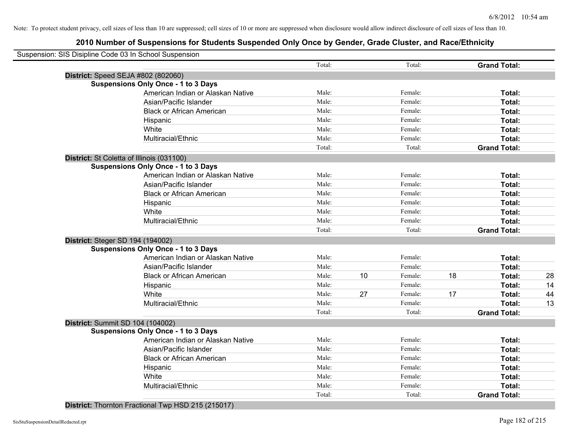|                                         | Suspension: SIS Disipline Code 03 In School Suspension |        |    |         |    |                     |    |
|-----------------------------------------|--------------------------------------------------------|--------|----|---------|----|---------------------|----|
|                                         |                                                        | Total: |    | Total:  |    | <b>Grand Total:</b> |    |
|                                         | District: Speed SEJA #802 (802060)                     |        |    |         |    |                     |    |
|                                         | <b>Suspensions Only Once - 1 to 3 Days</b>             |        |    |         |    |                     |    |
|                                         | American Indian or Alaskan Native                      | Male:  |    | Female: |    | Total:              |    |
|                                         | Asian/Pacific Islander                                 | Male:  |    | Female: |    | Total:              |    |
|                                         | <b>Black or African American</b>                       | Male:  |    | Female: |    | Total:              |    |
|                                         | Hispanic                                               | Male:  |    | Female: |    | Total:              |    |
|                                         | White                                                  | Male:  |    | Female: |    | Total:              |    |
|                                         | Multiracial/Ethnic                                     | Male:  |    | Female: |    | Total:              |    |
|                                         |                                                        | Total: |    | Total:  |    | <b>Grand Total:</b> |    |
|                                         | District: St Coletta of Illinois (031100)              |        |    |         |    |                     |    |
|                                         | <b>Suspensions Only Once - 1 to 3 Days</b>             |        |    |         |    |                     |    |
|                                         | American Indian or Alaskan Native                      | Male:  |    | Female: |    | <b>Total:</b>       |    |
|                                         | Asian/Pacific Islander                                 | Male:  |    | Female: |    | Total:              |    |
|                                         | <b>Black or African American</b>                       | Male:  |    | Female: |    | Total:              |    |
|                                         | Hispanic                                               | Male:  |    | Female: |    | Total:              |    |
|                                         | White                                                  | Male:  |    | Female: |    | Total:              |    |
|                                         | Multiracial/Ethnic                                     | Male:  |    | Female: |    | Total:              |    |
|                                         |                                                        | Total: |    | Total:  |    | <b>Grand Total:</b> |    |
| <b>District: Steger SD 194 (194002)</b> |                                                        |        |    |         |    |                     |    |
|                                         | <b>Suspensions Only Once - 1 to 3 Days</b>             |        |    |         |    |                     |    |
|                                         | American Indian or Alaskan Native                      | Male:  |    | Female: |    | Total:              |    |
|                                         | Asian/Pacific Islander                                 | Male:  |    | Female: |    | <b>Total:</b>       |    |
|                                         | <b>Black or African American</b>                       | Male:  | 10 | Female: | 18 | Total:              | 28 |
|                                         | Hispanic                                               | Male:  |    | Female: |    | Total:              | 14 |
|                                         | White                                                  | Male:  | 27 | Female: | 17 | Total:              | 44 |
|                                         | Multiracial/Ethnic                                     | Male:  |    | Female: |    | Total:              | 13 |
|                                         |                                                        | Total: |    | Total:  |    | <b>Grand Total:</b> |    |
|                                         | District: Summit SD 104 (104002)                       |        |    |         |    |                     |    |
|                                         | <b>Suspensions Only Once - 1 to 3 Days</b>             |        |    |         |    |                     |    |
|                                         | American Indian or Alaskan Native                      | Male:  |    | Female: |    | Total:              |    |
|                                         | Asian/Pacific Islander                                 | Male:  |    | Female: |    | Total:              |    |
|                                         | <b>Black or African American</b>                       | Male:  |    | Female: |    | Total:              |    |
|                                         | Hispanic                                               | Male:  |    | Female: |    | Total:              |    |
|                                         | White                                                  | Male:  |    | Female: |    | Total:              |    |
|                                         | Multiracial/Ethnic                                     | Male:  |    | Female: |    | Total:              |    |
|                                         |                                                        | Total: |    | Total:  |    | <b>Grand Total:</b> |    |
|                                         |                                                        |        |    |         |    |                     |    |

**District:** Thornton Fractional Twp HSD 215 (215017)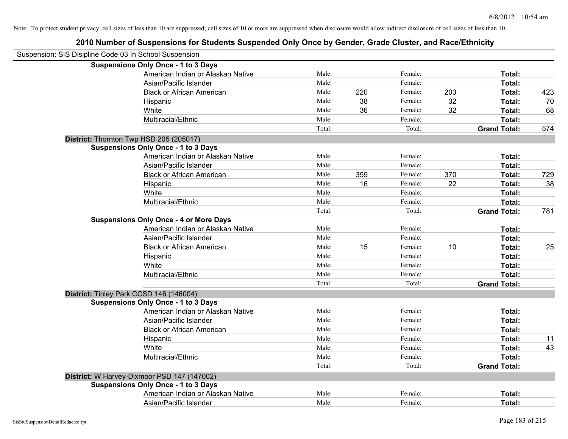| Suspension: SIS Disipline Code 03 In School Suspension |                                               |        |     |         |     |                     |     |
|--------------------------------------------------------|-----------------------------------------------|--------|-----|---------|-----|---------------------|-----|
|                                                        | <b>Suspensions Only Once - 1 to 3 Days</b>    |        |     |         |     |                     |     |
|                                                        | American Indian or Alaskan Native             | Male:  |     | Female: |     | Total:              |     |
|                                                        | Asian/Pacific Islander                        | Male:  |     | Female: |     | Total:              |     |
|                                                        | <b>Black or African American</b>              | Male:  | 220 | Female: | 203 | Total:              | 423 |
|                                                        | Hispanic                                      | Male:  | 38  | Female: | 32  | Total:              | 70  |
|                                                        | White                                         | Male:  | 36  | Female: | 32  | Total:              | 68  |
|                                                        | Multiracial/Ethnic                            | Male:  |     | Female: |     | Total:              |     |
|                                                        |                                               | Total: |     | Total:  |     | <b>Grand Total:</b> | 574 |
|                                                        | District: Thornton Twp HSD 205 (205017)       |        |     |         |     |                     |     |
|                                                        | <b>Suspensions Only Once - 1 to 3 Days</b>    |        |     |         |     |                     |     |
|                                                        | American Indian or Alaskan Native             | Male:  |     | Female: |     | Total:              |     |
|                                                        | Asian/Pacific Islander                        | Male:  |     | Female: |     | Total:              |     |
|                                                        | <b>Black or African American</b>              | Male:  | 359 | Female: | 370 | Total:              | 729 |
|                                                        | Hispanic                                      | Male:  | 16  | Female: | 22  | Total:              | 38  |
|                                                        | White                                         | Male:  |     | Female: |     | Total:              |     |
|                                                        | Multiracial/Ethnic                            | Male:  |     | Female: |     | Total:              |     |
|                                                        |                                               | Total: |     | Total:  |     | <b>Grand Total:</b> | 781 |
|                                                        | <b>Suspensions Only Once - 4 or More Days</b> |        |     |         |     |                     |     |
|                                                        | American Indian or Alaskan Native             | Male:  |     | Female: |     | Total:              |     |
|                                                        | Asian/Pacific Islander                        | Male:  |     | Female: |     | Total:              |     |
|                                                        | <b>Black or African American</b>              | Male:  | 15  | Female: | 10  | Total:              | 25  |
|                                                        | Hispanic                                      | Male:  |     | Female: |     | Total:              |     |
|                                                        | White                                         | Male:  |     | Female: |     | Total:              |     |
|                                                        | Multiracial/Ethnic                            | Male:  |     | Female: |     | Total:              |     |
|                                                        |                                               | Total: |     | Total:  |     | <b>Grand Total:</b> |     |
|                                                        | District: Tinley Park CCSD 146 (146004)       |        |     |         |     |                     |     |
|                                                        | <b>Suspensions Only Once - 1 to 3 Days</b>    |        |     |         |     |                     |     |
|                                                        | American Indian or Alaskan Native             | Male:  |     | Female: |     | Total:              |     |
|                                                        | Asian/Pacific Islander                        | Male:  |     | Female: |     | Total:              |     |
|                                                        | <b>Black or African American</b>              | Male:  |     | Female: |     | Total:              |     |
|                                                        | Hispanic                                      | Male:  |     | Female: |     | Total:              | 11  |
|                                                        | White                                         | Male:  |     | Female: |     | Total:              | 43  |
|                                                        | Multiracial/Ethnic                            | Male:  |     | Female: |     | Total:              |     |
|                                                        |                                               | Total: |     | Total:  |     | <b>Grand Total:</b> |     |
|                                                        | District: W Harvey-Dixmoor PSD 147 (147002)   |        |     |         |     |                     |     |
|                                                        | <b>Suspensions Only Once - 1 to 3 Days</b>    |        |     |         |     |                     |     |
|                                                        | American Indian or Alaskan Native             | Male:  |     | Female: |     | Total:              |     |
|                                                        | Asian/Pacific Islander                        | Male:  |     | Female: |     | Total:              |     |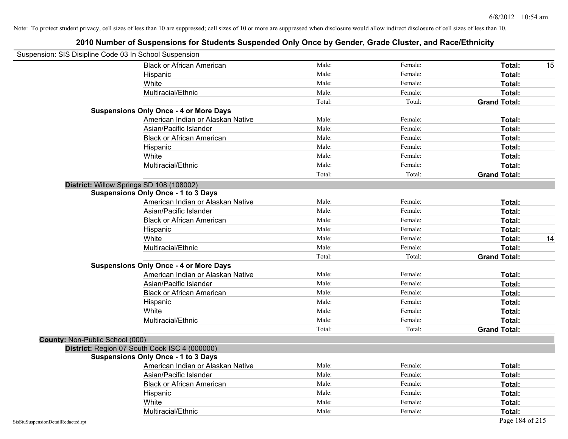| Suspension: SIS Disipline Code 03 In School Suspension |                                               |        |         |                     |    |
|--------------------------------------------------------|-----------------------------------------------|--------|---------|---------------------|----|
|                                                        | <b>Black or African American</b>              | Male:  | Female: | Total:              | 15 |
|                                                        | Hispanic                                      | Male:  | Female: | Total:              |    |
|                                                        | White                                         | Male:  | Female: | Total:              |    |
|                                                        | Multiracial/Ethnic                            | Male:  | Female: | Total:              |    |
|                                                        |                                               | Total: | Total:  | <b>Grand Total:</b> |    |
|                                                        | <b>Suspensions Only Once - 4 or More Days</b> |        |         |                     |    |
|                                                        | American Indian or Alaskan Native             | Male:  | Female: | Total:              |    |
|                                                        | Asian/Pacific Islander                        | Male:  | Female: | Total:              |    |
|                                                        | <b>Black or African American</b>              | Male:  | Female: | Total:              |    |
|                                                        | Hispanic                                      | Male:  | Female: | Total:              |    |
|                                                        | White                                         | Male:  | Female: | Total:              |    |
|                                                        | Multiracial/Ethnic                            | Male:  | Female: | Total:              |    |
|                                                        |                                               | Total: | Total:  | <b>Grand Total:</b> |    |
|                                                        | District: Willow Springs SD 108 (108002)      |        |         |                     |    |
|                                                        | <b>Suspensions Only Once - 1 to 3 Days</b>    |        |         |                     |    |
|                                                        | American Indian or Alaskan Native             | Male:  | Female: | Total:              |    |
|                                                        | Asian/Pacific Islander                        | Male:  | Female: | Total:              |    |
|                                                        | <b>Black or African American</b>              | Male:  | Female: | Total:              |    |
|                                                        | Hispanic                                      | Male:  | Female: | Total:              |    |
|                                                        | White                                         | Male:  | Female: | Total:              | 14 |
|                                                        | Multiracial/Ethnic                            | Male:  | Female: | Total:              |    |
|                                                        |                                               | Total: | Total:  | <b>Grand Total:</b> |    |
|                                                        | <b>Suspensions Only Once - 4 or More Days</b> |        |         |                     |    |
|                                                        | American Indian or Alaskan Native             | Male:  | Female: | Total:              |    |
|                                                        | Asian/Pacific Islander                        | Male:  | Female: | Total:              |    |
|                                                        | <b>Black or African American</b>              | Male:  | Female: | Total:              |    |
|                                                        | Hispanic                                      | Male:  | Female: | Total:              |    |
|                                                        | White                                         | Male:  | Female: | Total:              |    |
|                                                        | Multiracial/Ethnic                            | Male:  | Female: | Total:              |    |
|                                                        |                                               | Total: | Total:  | <b>Grand Total:</b> |    |
| County: Non-Public School (000)                        |                                               |        |         |                     |    |
|                                                        | District: Region 07 South Cook ISC 4 (000000) |        |         |                     |    |
|                                                        | <b>Suspensions Only Once - 1 to 3 Days</b>    |        |         |                     |    |
|                                                        | American Indian or Alaskan Native             | Male:  | Female: | Total:              |    |
|                                                        | Asian/Pacific Islander                        | Male:  | Female: | Total:              |    |
|                                                        | <b>Black or African American</b>              | Male:  | Female: | Total:              |    |
|                                                        | Hispanic                                      | Male:  | Female: | Total:              |    |
|                                                        | White                                         | Male:  | Female: | Total:              |    |
|                                                        | Multiracial/Ethnic                            | Male:  | Female: | Total:              |    |
| SisStuSuspensionDetailRedacted.rpt                     |                                               |        |         | Page 184 of 215     |    |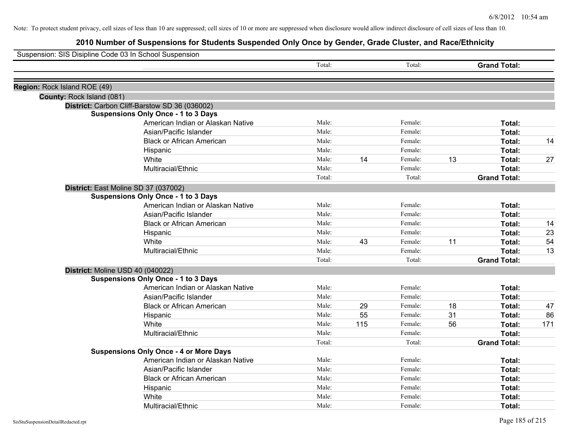| Suspension: SIS Disipline Code 03 In School Suspension |                                               |        |     |         |    |                     |     |
|--------------------------------------------------------|-----------------------------------------------|--------|-----|---------|----|---------------------|-----|
|                                                        |                                               | Total: |     | Total:  |    | <b>Grand Total:</b> |     |
| Region: Rock Island ROE (49)                           |                                               |        |     |         |    |                     |     |
| County: Rock Island (081)                              |                                               |        |     |         |    |                     |     |
|                                                        | District: Carbon Cliff-Barstow SD 36 (036002) |        |     |         |    |                     |     |
|                                                        | <b>Suspensions Only Once - 1 to 3 Days</b>    |        |     |         |    |                     |     |
|                                                        | American Indian or Alaskan Native             | Male:  |     | Female: |    | Total:              |     |
|                                                        | Asian/Pacific Islander                        | Male:  |     | Female: |    | Total:              |     |
|                                                        | <b>Black or African American</b>              | Male:  |     | Female: |    | Total:              | 14  |
|                                                        | Hispanic                                      | Male:  |     | Female: |    | Total:              |     |
|                                                        | White                                         | Male:  | 14  | Female: | 13 | Total:              | 27  |
|                                                        | Multiracial/Ethnic                            | Male:  |     | Female: |    | Total:              |     |
|                                                        |                                               | Total: |     | Total:  |    | <b>Grand Total:</b> |     |
|                                                        | District: East Moline SD 37 (037002)          |        |     |         |    |                     |     |
|                                                        | <b>Suspensions Only Once - 1 to 3 Days</b>    |        |     |         |    |                     |     |
|                                                        | American Indian or Alaskan Native             | Male:  |     | Female: |    | Total:              |     |
|                                                        | Asian/Pacific Islander                        | Male:  |     | Female: |    | Total:              |     |
|                                                        | <b>Black or African American</b>              | Male:  |     | Female: |    | Total:              | 14  |
|                                                        | Hispanic                                      | Male:  |     | Female: |    | Total:              | 23  |
|                                                        | White                                         | Male:  | 43  | Female: | 11 | Total:              | 54  |
|                                                        | Multiracial/Ethnic                            | Male:  |     | Female: |    | Total:              | 13  |
|                                                        |                                               | Total: |     | Total:  |    | <b>Grand Total:</b> |     |
|                                                        | District: Moline USD 40 (040022)              |        |     |         |    |                     |     |
|                                                        | <b>Suspensions Only Once - 1 to 3 Days</b>    |        |     |         |    |                     |     |
|                                                        | American Indian or Alaskan Native             | Male:  |     | Female: |    | Total:              |     |
|                                                        | Asian/Pacific Islander                        | Male:  |     | Female: |    | Total:              |     |
|                                                        | <b>Black or African American</b>              | Male:  | 29  | Female: | 18 | Total:              | 47  |
|                                                        | Hispanic                                      | Male:  | 55  | Female: | 31 | Total:              | 86  |
|                                                        | White                                         | Male:  | 115 | Female: | 56 | Total:              | 171 |
|                                                        | Multiracial/Ethnic                            | Male:  |     | Female: |    | Total:              |     |
|                                                        |                                               | Total: |     | Total:  |    | <b>Grand Total:</b> |     |
|                                                        | <b>Suspensions Only Once - 4 or More Days</b> |        |     |         |    |                     |     |
|                                                        | American Indian or Alaskan Native             | Male:  |     | Female: |    | Total:              |     |
|                                                        | Asian/Pacific Islander                        | Male:  |     | Female: |    | Total:              |     |
|                                                        | <b>Black or African American</b>              | Male:  |     | Female: |    | Total:              |     |
|                                                        | Hispanic                                      | Male:  |     | Female: |    | Total:              |     |
|                                                        | White                                         | Male:  |     | Female: |    | <b>Total:</b>       |     |
|                                                        | Multiracial/Ethnic                            | Male:  |     | Female: |    | Total:              |     |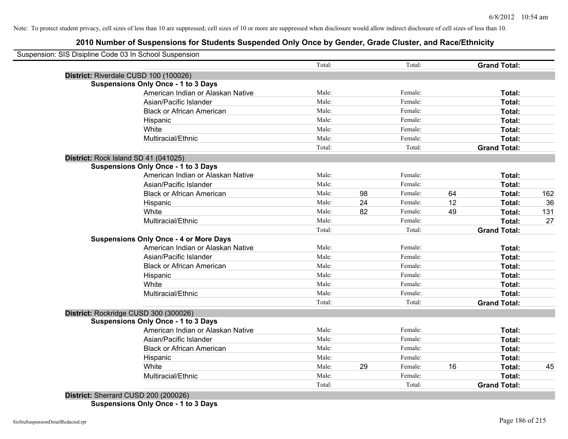## **2010 Number of Suspensions for Students Suspended Only Once by Gender, Grade Cluster, and Race/Ethnicity**

| Suspension: SIS Disipline Code 03 In School Suspension |        |    |         |    |                     |     |
|--------------------------------------------------------|--------|----|---------|----|---------------------|-----|
|                                                        | Total: |    | Total:  |    | <b>Grand Total:</b> |     |
| District: Riverdale CUSD 100 (100026)                  |        |    |         |    |                     |     |
| <b>Suspensions Only Once - 1 to 3 Days</b>             |        |    |         |    |                     |     |
| American Indian or Alaskan Native                      | Male:  |    | Female: |    | Total:              |     |
| Asian/Pacific Islander                                 | Male:  |    | Female: |    | Total:              |     |
| <b>Black or African American</b>                       | Male:  |    | Female: |    | Total:              |     |
| Hispanic                                               | Male:  |    | Female: |    | Total:              |     |
| White                                                  | Male:  |    | Female: |    | Total:              |     |
| Multiracial/Ethnic                                     | Male:  |    | Female: |    | Total:              |     |
|                                                        | Total: |    | Total:  |    | <b>Grand Total:</b> |     |
| District: Rock Island SD 41 (041025)                   |        |    |         |    |                     |     |
| <b>Suspensions Only Once - 1 to 3 Days</b>             |        |    |         |    |                     |     |
| American Indian or Alaskan Native                      | Male:  |    | Female: |    | Total:              |     |
| Asian/Pacific Islander                                 | Male:  |    | Female: |    | Total:              |     |
| <b>Black or African American</b>                       | Male:  | 98 | Female: | 64 | Total:              | 162 |
| Hispanic                                               | Male:  | 24 | Female: | 12 | Total:              | 36  |
| White                                                  | Male:  | 82 | Female: | 49 | Total:              | 131 |
| Multiracial/Ethnic                                     | Male:  |    | Female: |    | Total:              | 27  |
|                                                        | Total: |    | Total:  |    | <b>Grand Total:</b> |     |
| <b>Suspensions Only Once - 4 or More Days</b>          |        |    |         |    |                     |     |
| American Indian or Alaskan Native                      | Male:  |    | Female: |    | Total:              |     |
| Asian/Pacific Islander                                 | Male:  |    | Female: |    | Total:              |     |
| <b>Black or African American</b>                       | Male:  |    | Female: |    | Total:              |     |
| Hispanic                                               | Male:  |    | Female: |    | Total:              |     |
| White                                                  | Male:  |    | Female: |    | Total:              |     |
| Multiracial/Ethnic                                     | Male:  |    | Female: |    | Total:              |     |
|                                                        | Total: |    | Total:  |    | <b>Grand Total:</b> |     |
| District: Rockridge CUSD 300 (300026)                  |        |    |         |    |                     |     |
| <b>Suspensions Only Once - 1 to 3 Days</b>             |        |    |         |    |                     |     |
| American Indian or Alaskan Native                      | Male:  |    | Female: |    | Total:              |     |
| Asian/Pacific Islander                                 | Male:  |    | Female: |    | Total:              |     |
| <b>Black or African American</b>                       | Male:  |    | Female: |    | Total:              |     |
| Hispanic                                               | Male:  |    | Female: |    | Total:              |     |
| White                                                  | Male:  | 29 | Female: | 16 | Total:              | 45  |
| Multiracial/Ethnic                                     | Male:  |    | Female: |    | Total:              |     |
|                                                        | Total: |    | Total:  |    | <b>Grand Total:</b> |     |

**Suspensions Only Once - 1 to 3 Days**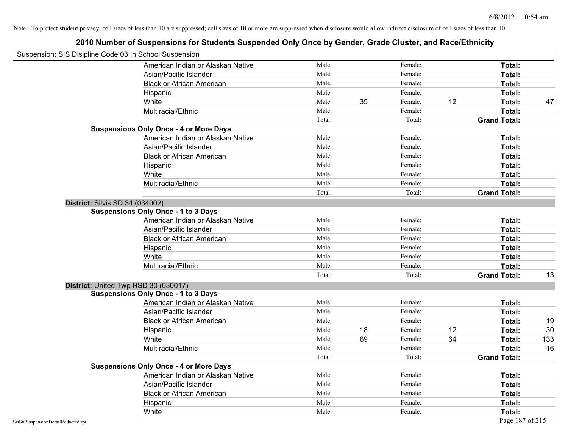| Suspension: SIS Disipline Code 03 In School Suspension |                                               |        |    |         |    |                     |     |
|--------------------------------------------------------|-----------------------------------------------|--------|----|---------|----|---------------------|-----|
|                                                        | American Indian or Alaskan Native             | Male:  |    | Female: |    | Total:              |     |
|                                                        | Asian/Pacific Islander                        | Male:  |    | Female: |    | Total:              |     |
|                                                        | <b>Black or African American</b>              | Male:  |    | Female: |    | <b>Total:</b>       |     |
|                                                        | Hispanic                                      | Male:  |    | Female: |    | Total:              |     |
|                                                        | White                                         | Male:  | 35 | Female: | 12 | Total:              | 47  |
|                                                        | Multiracial/Ethnic                            | Male:  |    | Female: |    | Total:              |     |
|                                                        |                                               | Total: |    | Total:  |    | <b>Grand Total:</b> |     |
|                                                        | <b>Suspensions Only Once - 4 or More Days</b> |        |    |         |    |                     |     |
|                                                        | American Indian or Alaskan Native             | Male:  |    | Female: |    | Total:              |     |
|                                                        | Asian/Pacific Islander                        | Male:  |    | Female: |    | Total:              |     |
|                                                        | <b>Black or African American</b>              | Male:  |    | Female: |    | Total:              |     |
|                                                        | Hispanic                                      | Male:  |    | Female: |    | Total:              |     |
|                                                        | White                                         | Male:  |    | Female: |    | Total:              |     |
|                                                        | Multiracial/Ethnic                            | Male:  |    | Female: |    | Total:              |     |
|                                                        |                                               | Total: |    | Total:  |    | <b>Grand Total:</b> |     |
| <b>District: Silvis SD 34 (034002)</b>                 |                                               |        |    |         |    |                     |     |
|                                                        | <b>Suspensions Only Once - 1 to 3 Days</b>    |        |    |         |    |                     |     |
|                                                        | American Indian or Alaskan Native             | Male:  |    | Female: |    | Total:              |     |
|                                                        | Asian/Pacific Islander                        | Male:  |    | Female: |    | Total:              |     |
|                                                        | <b>Black or African American</b>              | Male:  |    | Female: |    | Total:              |     |
|                                                        | Hispanic                                      | Male:  |    | Female: |    | Total:              |     |
|                                                        | White                                         | Male:  |    | Female: |    | Total:              |     |
|                                                        | Multiracial/Ethnic                            | Male:  |    | Female: |    | Total:              |     |
|                                                        |                                               | Total: |    | Total:  |    | <b>Grand Total:</b> | 13  |
|                                                        | District: United Twp HSD 30 (030017)          |        |    |         |    |                     |     |
|                                                        | <b>Suspensions Only Once - 1 to 3 Days</b>    |        |    |         |    |                     |     |
|                                                        | American Indian or Alaskan Native             | Male:  |    | Female: |    | Total:              |     |
|                                                        | Asian/Pacific Islander                        | Male:  |    | Female: |    | Total:              |     |
|                                                        | <b>Black or African American</b>              | Male:  |    | Female: |    | Total:              | 19  |
|                                                        | Hispanic                                      | Male:  | 18 | Female: | 12 | Total:              | 30  |
|                                                        | White                                         | Male:  | 69 | Female: | 64 | Total:              | 133 |
|                                                        | Multiracial/Ethnic                            | Male:  |    | Female: |    | Total:              | 16  |
|                                                        |                                               | Total: |    | Total:  |    | <b>Grand Total:</b> |     |
|                                                        | <b>Suspensions Only Once - 4 or More Days</b> |        |    |         |    |                     |     |
|                                                        | American Indian or Alaskan Native             | Male:  |    | Female: |    | Total:              |     |
|                                                        | Asian/Pacific Islander                        | Male:  |    | Female: |    | Total:              |     |
|                                                        | <b>Black or African American</b>              | Male:  |    | Female: |    | Total:              |     |
|                                                        | Hispanic                                      | Male:  |    | Female: |    | Total:              |     |
|                                                        | White                                         | Male:  |    | Female: |    | Total:              |     |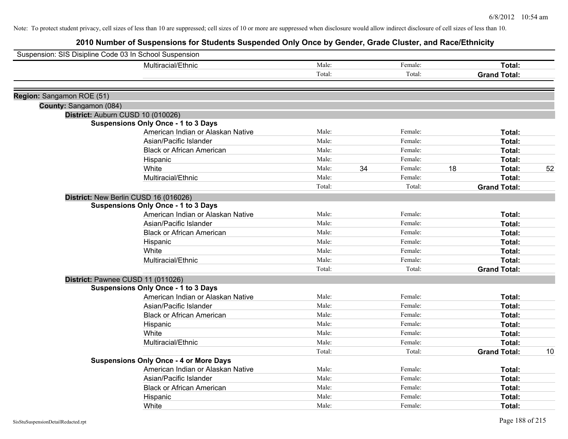| Suspension: SIS Disipline Code 03 In School Suspension |                                               |        |    |         |    |                     |    |
|--------------------------------------------------------|-----------------------------------------------|--------|----|---------|----|---------------------|----|
|                                                        | Multiracial/Ethnic                            | Male:  |    | Female: |    | Total:              |    |
|                                                        |                                               | Total: |    | Total:  |    | <b>Grand Total:</b> |    |
|                                                        |                                               |        |    |         |    |                     |    |
| Region: Sangamon ROE (51)                              |                                               |        |    |         |    |                     |    |
| County: Sangamon (084)                                 |                                               |        |    |         |    |                     |    |
|                                                        | District: Auburn CUSD 10 (010026)             |        |    |         |    |                     |    |
|                                                        | <b>Suspensions Only Once - 1 to 3 Days</b>    | Male:  |    | Female: |    |                     |    |
|                                                        | American Indian or Alaskan Native             | Male:  |    | Female: |    | Total:              |    |
|                                                        | Asian/Pacific Islander                        |        |    |         |    | Total:              |    |
|                                                        | <b>Black or African American</b>              | Male:  |    | Female: |    | Total:              |    |
|                                                        | Hispanic                                      | Male:  |    | Female: |    | Total:              |    |
|                                                        | White                                         | Male:  | 34 | Female: | 18 | Total:              | 52 |
|                                                        | Multiracial/Ethnic                            | Male:  |    | Female: |    | Total:              |    |
|                                                        |                                               | Total: |    | Total:  |    | <b>Grand Total:</b> |    |
|                                                        | District: New Berlin CUSD 16 (016026)         |        |    |         |    |                     |    |
|                                                        | <b>Suspensions Only Once - 1 to 3 Days</b>    |        |    |         |    |                     |    |
|                                                        | American Indian or Alaskan Native             | Male:  |    | Female: |    | Total:              |    |
|                                                        | Asian/Pacific Islander                        | Male:  |    | Female: |    | Total:              |    |
|                                                        | <b>Black or African American</b>              | Male:  |    | Female: |    | Total:              |    |
|                                                        | Hispanic                                      | Male:  |    | Female: |    | Total:              |    |
|                                                        | White                                         | Male:  |    | Female: |    | Total:              |    |
|                                                        | Multiracial/Ethnic                            | Male:  |    | Female: |    | Total:              |    |
|                                                        |                                               | Total: |    | Total:  |    | <b>Grand Total:</b> |    |
|                                                        | District: Pawnee CUSD 11 (011026)             |        |    |         |    |                     |    |
|                                                        | <b>Suspensions Only Once - 1 to 3 Days</b>    |        |    |         |    |                     |    |
|                                                        | American Indian or Alaskan Native             | Male:  |    | Female: |    | Total:              |    |
|                                                        | Asian/Pacific Islander                        | Male:  |    | Female: |    | Total:              |    |
|                                                        | <b>Black or African American</b>              | Male:  |    | Female: |    | Total:              |    |
|                                                        | Hispanic                                      | Male:  |    | Female: |    | Total:              |    |
|                                                        | White                                         | Male:  |    | Female: |    | Total:              |    |
|                                                        | Multiracial/Ethnic                            | Male:  |    | Female: |    | <b>Total:</b>       |    |
|                                                        |                                               | Total: |    | Total:  |    | <b>Grand Total:</b> | 10 |
|                                                        | <b>Suspensions Only Once - 4 or More Days</b> |        |    |         |    |                     |    |
|                                                        | American Indian or Alaskan Native             | Male:  |    | Female: |    | Total:              |    |
|                                                        | Asian/Pacific Islander                        | Male:  |    | Female: |    | Total:              |    |
|                                                        | <b>Black or African American</b>              | Male:  |    | Female: |    | Total:              |    |
|                                                        | Hispanic                                      | Male:  |    | Female: |    | <b>Total:</b>       |    |
|                                                        | White                                         | Male:  |    | Female: |    | Total:              |    |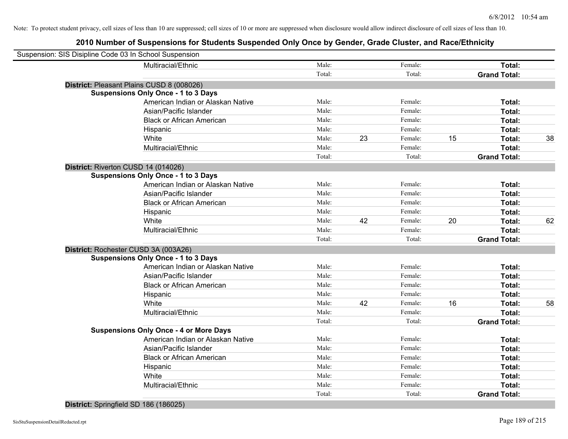| Suspension: SIS Disipline Code 03 In School Suspension |        |    |         |    |                     |    |
|--------------------------------------------------------|--------|----|---------|----|---------------------|----|
| Multiracial/Ethnic                                     | Male:  |    | Female: |    | Total:              |    |
|                                                        | Total: |    | Total:  |    | <b>Grand Total:</b> |    |
| District: Pleasant Plains CUSD 8 (008026)              |        |    |         |    |                     |    |
| <b>Suspensions Only Once - 1 to 3 Days</b>             |        |    |         |    |                     |    |
| American Indian or Alaskan Native                      | Male:  |    | Female: |    | Total:              |    |
| Asian/Pacific Islander                                 | Male:  |    | Female: |    | Total:              |    |
| <b>Black or African American</b>                       | Male:  |    | Female: |    | Total:              |    |
| Hispanic                                               | Male:  |    | Female: |    | Total:              |    |
| White                                                  | Male:  | 23 | Female: | 15 | Total:              | 38 |
| Multiracial/Ethnic                                     | Male:  |    | Female: |    | Total:              |    |
|                                                        | Total: |    | Total:  |    | <b>Grand Total:</b> |    |
| District: Riverton CUSD 14 (014026)                    |        |    |         |    |                     |    |
| <b>Suspensions Only Once - 1 to 3 Days</b>             |        |    |         |    |                     |    |
| American Indian or Alaskan Native                      | Male:  |    | Female: |    | Total:              |    |
| Asian/Pacific Islander                                 | Male:  |    | Female: |    | Total:              |    |
| <b>Black or African American</b>                       | Male:  |    | Female: |    | Total:              |    |
| Hispanic                                               | Male:  |    | Female: |    | Total:              |    |
| White                                                  | Male:  | 42 | Female: | 20 | Total:              | 62 |
| Multiracial/Ethnic                                     | Male:  |    | Female: |    | Total:              |    |
|                                                        | Total: |    | Total:  |    | <b>Grand Total:</b> |    |
| District: Rochester CUSD 3A (003A26)                   |        |    |         |    |                     |    |
| <b>Suspensions Only Once - 1 to 3 Days</b>             |        |    |         |    |                     |    |
| American Indian or Alaskan Native                      | Male:  |    | Female: |    | Total:              |    |
| Asian/Pacific Islander                                 | Male:  |    | Female: |    | Total:              |    |
| <b>Black or African American</b>                       | Male:  |    | Female: |    | Total:              |    |
| Hispanic                                               | Male:  |    | Female: |    | Total:              |    |
| White                                                  | Male:  | 42 | Female: | 16 | Total:              | 58 |
| Multiracial/Ethnic                                     | Male:  |    | Female: |    | Total:              |    |
|                                                        | Total: |    | Total:  |    | <b>Grand Total:</b> |    |
| <b>Suspensions Only Once - 4 or More Days</b>          |        |    |         |    |                     |    |
| American Indian or Alaskan Native                      | Male:  |    | Female: |    | Total:              |    |
| Asian/Pacific Islander                                 | Male:  |    | Female: |    | Total:              |    |
| <b>Black or African American</b>                       | Male:  |    | Female: |    | Total:              |    |
| Hispanic                                               | Male:  |    | Female: |    | Total:              |    |
| White                                                  | Male:  |    | Female: |    | <b>Total:</b>       |    |
| Multiracial/Ethnic                                     | Male:  |    | Female: |    | Total:              |    |
|                                                        | Total: |    | Total:  |    | <b>Grand Total:</b> |    |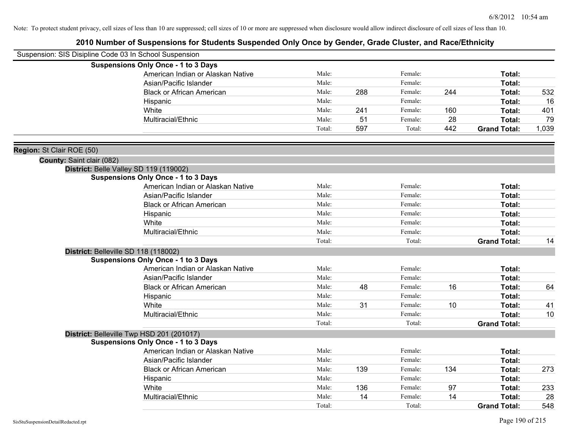| Suspension: SIS Disipline Code 03 In School Suspension |                                            |        |     |         |     |                     |       |
|--------------------------------------------------------|--------------------------------------------|--------|-----|---------|-----|---------------------|-------|
|                                                        | <b>Suspensions Only Once - 1 to 3 Days</b> |        |     |         |     |                     |       |
|                                                        | American Indian or Alaskan Native          | Male:  |     | Female: |     | Total:              |       |
|                                                        | Asian/Pacific Islander                     | Male:  |     | Female: |     | Total:              |       |
|                                                        | <b>Black or African American</b>           | Male:  | 288 | Female: | 244 | Total:              | 532   |
|                                                        | Hispanic                                   | Male:  |     | Female: |     | Total:              | 16    |
|                                                        | White                                      | Male:  | 241 | Female: | 160 | Total:              | 401   |
|                                                        | Multiracial/Ethnic                         | Male:  | 51  | Female: | 28  | Total:              | 79    |
|                                                        |                                            | Total: | 597 | Total:  | 442 | <b>Grand Total:</b> | 1,039 |
| Region: St Clair ROE (50)                              |                                            |        |     |         |     |                     |       |
| County: Saint clair (082)                              |                                            |        |     |         |     |                     |       |
|                                                        | District: Belle Valley SD 119 (119002)     |        |     |         |     |                     |       |
|                                                        | <b>Suspensions Only Once - 1 to 3 Days</b> |        |     |         |     |                     |       |
|                                                        | American Indian or Alaskan Native          | Male:  |     | Female: |     | Total:              |       |
|                                                        | Asian/Pacific Islander                     | Male:  |     | Female: |     | Total:              |       |
|                                                        | <b>Black or African American</b>           | Male:  |     | Female: |     | Total:              |       |
|                                                        | Hispanic                                   | Male:  |     | Female: |     | Total:              |       |
|                                                        | White                                      | Male:  |     | Female: |     | Total:              |       |
|                                                        | Multiracial/Ethnic                         | Male:  |     | Female: |     | Total:              |       |
|                                                        |                                            | Total: |     | Total:  |     | <b>Grand Total:</b> | 14    |
|                                                        | District: Belleville SD 118 (118002)       |        |     |         |     |                     |       |
|                                                        | <b>Suspensions Only Once - 1 to 3 Days</b> |        |     |         |     |                     |       |
|                                                        | American Indian or Alaskan Native          | Male:  |     | Female: |     | Total:              |       |
|                                                        | Asian/Pacific Islander                     | Male:  |     | Female: |     | Total:              |       |
|                                                        | <b>Black or African American</b>           | Male:  | 48  | Female: | 16  | Total:              | 64    |
|                                                        | Hispanic                                   | Male:  |     | Female: |     | Total:              |       |
|                                                        | White                                      | Male:  | 31  | Female: | 10  | Total:              | 41    |
|                                                        | Multiracial/Ethnic                         | Male:  |     | Female: |     | Total:              | 10    |
|                                                        |                                            | Total: |     | Total:  |     | <b>Grand Total:</b> |       |
|                                                        | District: Belleville Twp HSD 201 (201017)  |        |     |         |     |                     |       |
|                                                        | <b>Suspensions Only Once - 1 to 3 Days</b> |        |     |         |     |                     |       |
|                                                        | American Indian or Alaskan Native          | Male:  |     | Female: |     | Total:              |       |
|                                                        | Asian/Pacific Islander                     | Male:  |     | Female: |     | Total:              |       |
|                                                        | <b>Black or African American</b>           | Male:  | 139 | Female: | 134 | Total:              | 273   |
|                                                        | Hispanic                                   | Male:  |     | Female: |     | Total:              |       |
|                                                        | White                                      | Male:  | 136 | Female: | 97  | Total:              | 233   |
|                                                        | Multiracial/Ethnic                         | Male:  | 14  | Female: | 14  | Total:              | 28    |
|                                                        |                                            | Total: |     | Total:  |     | <b>Grand Total:</b> | 548   |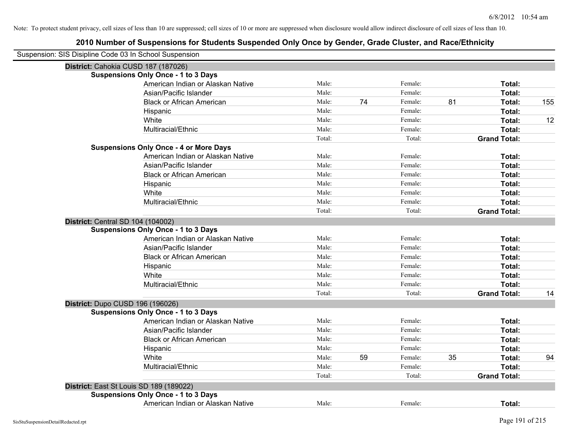| Suspension: SIS Disipline Code 03 In School Suspension |                                               |        |    |         |    |                     |     |
|--------------------------------------------------------|-----------------------------------------------|--------|----|---------|----|---------------------|-----|
| District: Cahokia CUSD 187 (187026)                    |                                               |        |    |         |    |                     |     |
|                                                        | <b>Suspensions Only Once - 1 to 3 Days</b>    |        |    |         |    |                     |     |
|                                                        | American Indian or Alaskan Native             | Male:  |    | Female: |    | Total:              |     |
|                                                        | Asian/Pacific Islander                        | Male:  |    | Female: |    | Total:              |     |
|                                                        | <b>Black or African American</b>              | Male:  | 74 | Female: | 81 | Total:              | 155 |
|                                                        | Hispanic                                      | Male:  |    | Female: |    | Total:              |     |
|                                                        | White                                         | Male:  |    | Female: |    | Total:              | 12  |
|                                                        | Multiracial/Ethnic                            | Male:  |    | Female: |    | Total:              |     |
|                                                        |                                               | Total: |    | Total:  |    | <b>Grand Total:</b> |     |
|                                                        | <b>Suspensions Only Once - 4 or More Days</b> |        |    |         |    |                     |     |
|                                                        | American Indian or Alaskan Native             | Male:  |    | Female: |    | Total:              |     |
|                                                        | Asian/Pacific Islander                        | Male:  |    | Female: |    | Total:              |     |
|                                                        | <b>Black or African American</b>              | Male:  |    | Female: |    | Total:              |     |
|                                                        | Hispanic                                      | Male:  |    | Female: |    | Total:              |     |
|                                                        | White                                         | Male:  |    | Female: |    | Total:              |     |
|                                                        | Multiracial/Ethnic                            | Male:  |    | Female: |    | Total:              |     |
|                                                        |                                               | Total: |    | Total:  |    | <b>Grand Total:</b> |     |
| District: Central SD 104 (104002)                      |                                               |        |    |         |    |                     |     |
|                                                        | <b>Suspensions Only Once - 1 to 3 Days</b>    |        |    |         |    |                     |     |
|                                                        | American Indian or Alaskan Native             | Male:  |    | Female: |    | Total:              |     |
|                                                        | Asian/Pacific Islander                        | Male:  |    | Female: |    | Total:              |     |
|                                                        | <b>Black or African American</b>              | Male:  |    | Female: |    | Total:              |     |
|                                                        | Hispanic                                      | Male:  |    | Female: |    | Total:              |     |
|                                                        | White                                         | Male:  |    | Female: |    | Total:              |     |
|                                                        | Multiracial/Ethnic                            | Male:  |    | Female: |    | Total:              |     |
|                                                        |                                               | Total: |    | Total:  |    | <b>Grand Total:</b> | 14  |
| District: Dupo CUSD 196 (196026)                       |                                               |        |    |         |    |                     |     |
|                                                        | <b>Suspensions Only Once - 1 to 3 Days</b>    |        |    |         |    |                     |     |
|                                                        | American Indian or Alaskan Native             | Male:  |    | Female: |    | Total:              |     |
|                                                        | Asian/Pacific Islander                        | Male:  |    | Female: |    | Total:              |     |
|                                                        | <b>Black or African American</b>              | Male:  |    | Female: |    | Total:              |     |
|                                                        | Hispanic                                      | Male:  |    | Female: |    | Total:              |     |
|                                                        | White                                         | Male:  | 59 | Female: | 35 | Total:              | 94  |
|                                                        | Multiracial/Ethnic                            | Male:  |    | Female: |    | Total:              |     |
|                                                        |                                               | Total: |    | Total:  |    | <b>Grand Total:</b> |     |
|                                                        | District: East St Louis SD 189 (189022)       |        |    |         |    |                     |     |
|                                                        | <b>Suspensions Only Once - 1 to 3 Days</b>    |        |    |         |    |                     |     |
|                                                        | American Indian or Alaskan Native             | Male:  |    | Female: |    | Total:              |     |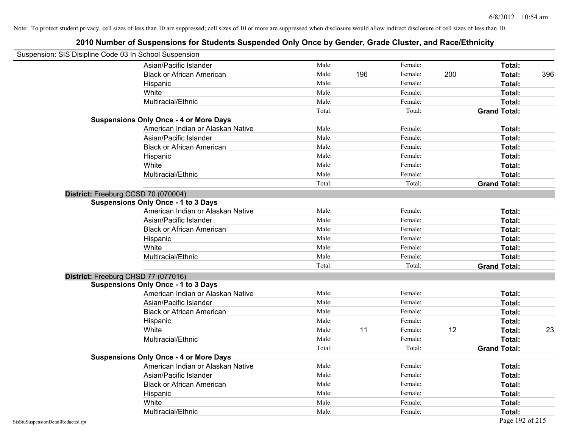| Suspension: SIS Disipline Code 03 In School Suspension |                                               |        |     |         |     |                     |     |
|--------------------------------------------------------|-----------------------------------------------|--------|-----|---------|-----|---------------------|-----|
|                                                        | Asian/Pacific Islander                        | Male:  |     | Female: |     | Total:              |     |
|                                                        | <b>Black or African American</b>              | Male:  | 196 | Female: | 200 | Total:              | 396 |
|                                                        | Hispanic                                      | Male:  |     | Female: |     | Total:              |     |
|                                                        | White                                         | Male:  |     | Female: |     | Total:              |     |
|                                                        | Multiracial/Ethnic                            | Male:  |     | Female: |     | Total:              |     |
|                                                        |                                               | Total: |     | Total:  |     | <b>Grand Total:</b> |     |
|                                                        | <b>Suspensions Only Once - 4 or More Days</b> |        |     |         |     |                     |     |
|                                                        | American Indian or Alaskan Native             | Male:  |     | Female: |     | Total:              |     |
|                                                        | Asian/Pacific Islander                        | Male:  |     | Female: |     | Total:              |     |
|                                                        | <b>Black or African American</b>              | Male:  |     | Female: |     | Total:              |     |
|                                                        | Hispanic                                      | Male:  |     | Female: |     | Total:              |     |
|                                                        | White                                         | Male:  |     | Female: |     | Total:              |     |
|                                                        | Multiracial/Ethnic                            | Male:  |     | Female: |     | Total:              |     |
|                                                        |                                               | Total: |     | Total:  |     | <b>Grand Total:</b> |     |
|                                                        | District: Freeburg CCSD 70 (070004)           |        |     |         |     |                     |     |
|                                                        | <b>Suspensions Only Once - 1 to 3 Days</b>    |        |     |         |     |                     |     |
|                                                        | American Indian or Alaskan Native             | Male:  |     | Female: |     | Total:              |     |
|                                                        | Asian/Pacific Islander                        | Male:  |     | Female: |     | Total:              |     |
|                                                        | <b>Black or African American</b>              | Male:  |     | Female: |     | Total:              |     |
|                                                        | Hispanic                                      | Male:  |     | Female: |     | Total:              |     |
|                                                        | White                                         | Male:  |     | Female: |     | Total:              |     |
|                                                        | Multiracial/Ethnic                            | Male:  |     | Female: |     | Total:              |     |
|                                                        |                                               | Total: |     | Total:  |     | <b>Grand Total:</b> |     |
|                                                        | District: Freeburg CHSD 77 (077016)           |        |     |         |     |                     |     |
|                                                        | <b>Suspensions Only Once - 1 to 3 Days</b>    |        |     |         |     |                     |     |
|                                                        | American Indian or Alaskan Native             | Male:  |     | Female: |     | Total:              |     |
|                                                        | Asian/Pacific Islander                        | Male:  |     | Female: |     | Total:              |     |
|                                                        | <b>Black or African American</b>              | Male:  |     | Female: |     | Total:              |     |
|                                                        | Hispanic                                      | Male:  |     | Female: |     | Total:              |     |
|                                                        | White                                         | Male:  | 11  | Female: | 12  | Total:              | 23  |
|                                                        | Multiracial/Ethnic                            | Male:  |     | Female: |     | Total:              |     |
|                                                        |                                               | Total: |     | Total:  |     | <b>Grand Total:</b> |     |
|                                                        | <b>Suspensions Only Once - 4 or More Days</b> |        |     |         |     |                     |     |
|                                                        | American Indian or Alaskan Native             | Male:  |     | Female: |     | Total:              |     |
|                                                        | Asian/Pacific Islander                        | Male:  |     | Female: |     | Total:              |     |
|                                                        | <b>Black or African American</b>              | Male:  |     | Female: |     | Total:              |     |
|                                                        | Hispanic                                      | Male:  |     | Female: |     | Total:              |     |
|                                                        | White                                         | Male:  |     | Female: |     | Total:              |     |
|                                                        | Multiracial/Ethnic                            | Male:  |     | Female: |     | Total:              |     |
| SisStuSuspensionDetailRedacted.rpt                     |                                               |        |     |         |     | Page 192 of 215     |     |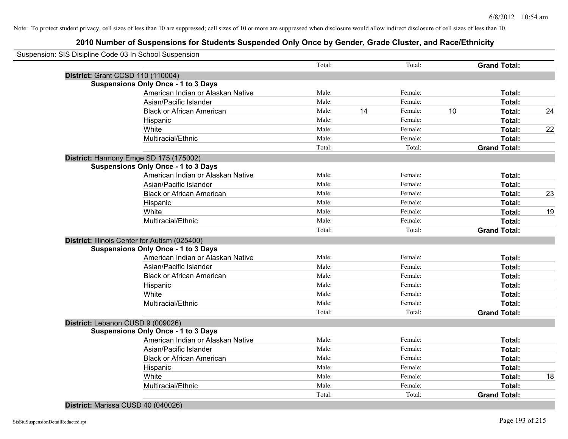| Suspension: SIS Disipline Code 03 In School Suspension |                                            |        |    |         |    |                     |    |
|--------------------------------------------------------|--------------------------------------------|--------|----|---------|----|---------------------|----|
|                                                        |                                            | Total: |    | Total:  |    | <b>Grand Total:</b> |    |
| District: Grant CCSD 110 (110004)                      |                                            |        |    |         |    |                     |    |
|                                                        | <b>Suspensions Only Once - 1 to 3 Days</b> |        |    |         |    |                     |    |
|                                                        | American Indian or Alaskan Native          | Male:  |    | Female: |    | Total:              |    |
|                                                        | Asian/Pacific Islander                     | Male:  |    | Female: |    | Total:              |    |
|                                                        | <b>Black or African American</b>           | Male:  | 14 | Female: | 10 | Total:              | 24 |
|                                                        | Hispanic                                   | Male:  |    | Female: |    | Total:              |    |
|                                                        | White                                      | Male:  |    | Female: |    | Total:              | 22 |
|                                                        | Multiracial/Ethnic                         | Male:  |    | Female: |    | Total:              |    |
|                                                        |                                            | Total: |    | Total:  |    | <b>Grand Total:</b> |    |
| District: Harmony Emge SD 175 (175002)                 |                                            |        |    |         |    |                     |    |
|                                                        | <b>Suspensions Only Once - 1 to 3 Days</b> |        |    |         |    |                     |    |
|                                                        | American Indian or Alaskan Native          | Male:  |    | Female: |    | Total:              |    |
|                                                        | Asian/Pacific Islander                     | Male:  |    | Female: |    | Total:              |    |
|                                                        | <b>Black or African American</b>           | Male:  |    | Female: |    | Total:              | 23 |
|                                                        | Hispanic                                   | Male:  |    | Female: |    | Total:              |    |
|                                                        | White                                      | Male:  |    | Female: |    | Total:              | 19 |
|                                                        | Multiracial/Ethnic                         | Male:  |    | Female: |    | Total:              |    |
|                                                        |                                            | Total: |    | Total:  |    | <b>Grand Total:</b> |    |
| District: Illinois Center for Autism (025400)          |                                            |        |    |         |    |                     |    |
|                                                        | <b>Suspensions Only Once - 1 to 3 Days</b> |        |    |         |    |                     |    |
|                                                        | American Indian or Alaskan Native          | Male:  |    | Female: |    | Total:              |    |
|                                                        | Asian/Pacific Islander                     | Male:  |    | Female: |    | Total:              |    |
|                                                        | <b>Black or African American</b>           | Male:  |    | Female: |    | Total:              |    |
|                                                        | Hispanic                                   | Male:  |    | Female: |    | Total:              |    |
|                                                        | White                                      | Male:  |    | Female: |    | Total:              |    |
|                                                        | Multiracial/Ethnic                         | Male:  |    | Female: |    | Total:              |    |
|                                                        |                                            | Total: |    | Total:  |    | <b>Grand Total:</b> |    |
| District: Lebanon CUSD 9 (009026)                      |                                            |        |    |         |    |                     |    |
|                                                        | <b>Suspensions Only Once - 1 to 3 Days</b> |        |    |         |    |                     |    |
|                                                        | American Indian or Alaskan Native          | Male:  |    | Female: |    | Total:              |    |
|                                                        | Asian/Pacific Islander                     | Male:  |    | Female: |    | Total:              |    |
|                                                        | <b>Black or African American</b>           | Male:  |    | Female: |    | Total:              |    |
|                                                        | Hispanic                                   | Male:  |    | Female: |    | Total:              |    |
|                                                        | White                                      | Male:  |    | Female: |    | Total:              | 18 |
|                                                        | Multiracial/Ethnic                         | Male:  |    | Female: |    | Total:              |    |
|                                                        |                                            | Total: |    | Total:  |    | <b>Grand Total:</b> |    |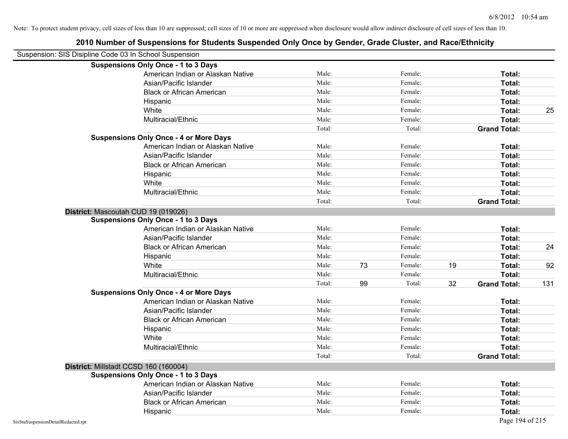|                                                        | 2010 Number of Suspensions for Students Suspended Only Once by Gender, Grade Cluster, and Race/Ethnicity |        |    |         |    |                     |     |
|--------------------------------------------------------|----------------------------------------------------------------------------------------------------------|--------|----|---------|----|---------------------|-----|
| Suspension: SIS Disipline Code 03 In School Suspension |                                                                                                          |        |    |         |    |                     |     |
|                                                        | <b>Suspensions Only Once - 1 to 3 Days</b>                                                               |        |    |         |    |                     |     |
|                                                        | American Indian or Alaskan Native                                                                        | Male:  |    | Female: |    | Total:              |     |
|                                                        | Asian/Pacific Islander                                                                                   | Male:  |    | Female: |    | Total:              |     |
|                                                        | <b>Black or African American</b>                                                                         | Male:  |    | Female: |    | Total:              |     |
|                                                        | Hispanic                                                                                                 | Male:  |    | Female: |    | Total:              |     |
|                                                        | White                                                                                                    | Male:  |    | Female: |    | Total:              | 25  |
|                                                        | Multiracial/Ethnic                                                                                       | Male:  |    | Female: |    | Total:              |     |
|                                                        |                                                                                                          | Total: |    | Total:  |    | <b>Grand Total:</b> |     |
|                                                        | <b>Suspensions Only Once - 4 or More Days</b>                                                            |        |    |         |    |                     |     |
|                                                        | American Indian or Alaskan Native                                                                        | Male:  |    | Female: |    | Total:              |     |
|                                                        | Asian/Pacific Islander                                                                                   | Male:  |    | Female: |    | Total:              |     |
|                                                        | <b>Black or African American</b>                                                                         | Male:  |    | Female: |    | Total:              |     |
|                                                        | Hispanic                                                                                                 | Male:  |    | Female: |    | Total:              |     |
|                                                        | White                                                                                                    | Male:  |    | Female: |    | Total:              |     |
|                                                        | Multiracial/Ethnic                                                                                       | Male:  |    | Female: |    | Total:              |     |
|                                                        |                                                                                                          | Total: |    | Total:  |    | <b>Grand Total:</b> |     |
|                                                        | District: Mascoutah CUD 19 (019026)                                                                      |        |    |         |    |                     |     |
|                                                        | <b>Suspensions Only Once - 1 to 3 Days</b>                                                               |        |    |         |    |                     |     |
|                                                        | American Indian or Alaskan Native                                                                        | Male:  |    | Female: |    | Total:              |     |
|                                                        | Asian/Pacific Islander                                                                                   | Male:  |    | Female: |    | Total:              |     |
|                                                        | <b>Black or African American</b>                                                                         | Male:  |    | Female: |    | Total:              | 24  |
|                                                        | Hispanic                                                                                                 | Male:  |    | Female: |    | Total:              |     |
|                                                        | White                                                                                                    | Male:  | 73 | Female: | 19 | Total:              | 92  |
|                                                        | Multiracial/Ethnic                                                                                       | Male:  |    | Female: |    | Total:              |     |
|                                                        |                                                                                                          | Total: | 99 | Total:  | 32 | <b>Grand Total:</b> | 131 |
|                                                        | <b>Suspensions Only Once - 4 or More Days</b>                                                            |        |    |         |    |                     |     |
|                                                        | American Indian or Alaskan Native                                                                        | Male:  |    | Female: |    | Total:              |     |
|                                                        | Asian/Pacific Islander                                                                                   | Male:  |    | Female: |    | Total:              |     |
|                                                        | <b>Black or African American</b>                                                                         | Male:  |    | Female: |    | Total:              |     |
|                                                        | Hispanic                                                                                                 | Male:  |    | Female: |    | Total:              |     |
|                                                        | White                                                                                                    | Male:  |    | Female: |    | Total:              |     |
|                                                        | Multiracial/Ethnic                                                                                       | Male:  |    | Female: |    | Total:              |     |
|                                                        |                                                                                                          | Total: |    | Total:  |    | <b>Grand Total:</b> |     |
|                                                        | District: Millstadt CCSD 160 (160004)                                                                    |        |    |         |    |                     |     |
|                                                        | <b>Suspensions Only Once - 1 to 3 Days</b>                                                               |        |    |         |    |                     |     |
|                                                        | American Indian or Alaskan Native                                                                        | Male:  |    | Female: |    | Total:              |     |
|                                                        | Asian/Pacific Islander                                                                                   | Male:  |    | Female: |    | Total:              |     |
|                                                        | <b>Black or African American</b>                                                                         | Male:  |    | Female: |    | Total:              |     |
|                                                        | Hispanic                                                                                                 | Male:  |    | Female: |    | Total:              |     |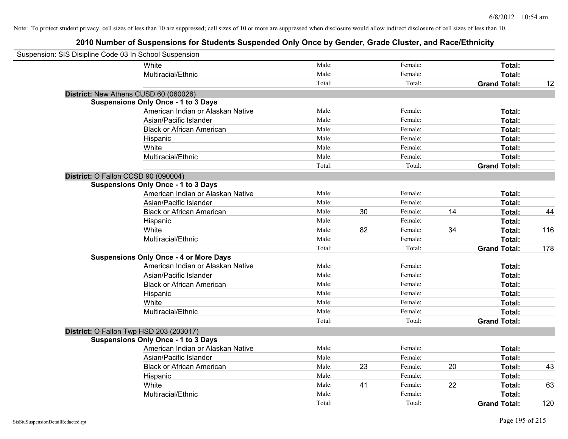| Suspension: SIS Disipline Code 03 In School Suspension |                                               |        |    |         |    |                     |     |
|--------------------------------------------------------|-----------------------------------------------|--------|----|---------|----|---------------------|-----|
|                                                        | White                                         | Male:  |    | Female: |    | Total:              |     |
|                                                        | Multiracial/Ethnic                            | Male:  |    | Female: |    | Total:              |     |
|                                                        |                                               | Total: |    | Total:  |    | <b>Grand Total:</b> | 12  |
| District: New Athens CUSD 60 (060026)                  |                                               |        |    |         |    |                     |     |
|                                                        | <b>Suspensions Only Once - 1 to 3 Days</b>    |        |    |         |    |                     |     |
|                                                        | American Indian or Alaskan Native             | Male:  |    | Female: |    | Total:              |     |
|                                                        | Asian/Pacific Islander                        | Male:  |    | Female: |    | Total:              |     |
|                                                        | <b>Black or African American</b>              | Male:  |    | Female: |    | Total:              |     |
|                                                        | Hispanic                                      | Male:  |    | Female: |    | Total:              |     |
|                                                        | White                                         | Male:  |    | Female: |    | Total:              |     |
|                                                        | Multiracial/Ethnic                            | Male:  |    | Female: |    | Total:              |     |
|                                                        |                                               | Total: |    | Total:  |    | <b>Grand Total:</b> |     |
| District: O Fallon CCSD 90 (090004)                    |                                               |        |    |         |    |                     |     |
|                                                        | <b>Suspensions Only Once - 1 to 3 Days</b>    |        |    |         |    |                     |     |
|                                                        | American Indian or Alaskan Native             | Male:  |    | Female: |    | Total:              |     |
|                                                        | Asian/Pacific Islander                        | Male:  |    | Female: |    | Total:              |     |
|                                                        | <b>Black or African American</b>              | Male:  | 30 | Female: | 14 | Total:              | 44  |
|                                                        | Hispanic                                      | Male:  |    | Female: |    | Total:              |     |
|                                                        | White                                         | Male:  | 82 | Female: | 34 | Total:              | 116 |
|                                                        | Multiracial/Ethnic                            | Male:  |    | Female: |    | Total:              |     |
|                                                        |                                               | Total: |    | Total:  |    | <b>Grand Total:</b> | 178 |
|                                                        | <b>Suspensions Only Once - 4 or More Days</b> |        |    |         |    |                     |     |
|                                                        | American Indian or Alaskan Native             | Male:  |    | Female: |    | Total:              |     |
|                                                        | Asian/Pacific Islander                        | Male:  |    | Female: |    | Total:              |     |
|                                                        | <b>Black or African American</b>              | Male:  |    | Female: |    | Total:              |     |
|                                                        | Hispanic                                      | Male:  |    | Female: |    | Total:              |     |
|                                                        | White                                         | Male:  |    | Female: |    | Total:              |     |
|                                                        | Multiracial/Ethnic                            | Male:  |    | Female: |    | Total:              |     |
|                                                        |                                               | Total: |    | Total:  |    | <b>Grand Total:</b> |     |
| District: O Fallon Twp HSD 203 (203017)                |                                               |        |    |         |    |                     |     |
|                                                        | <b>Suspensions Only Once - 1 to 3 Days</b>    |        |    |         |    |                     |     |
|                                                        | American Indian or Alaskan Native             | Male:  |    | Female: |    | Total:              |     |
|                                                        | Asian/Pacific Islander                        | Male:  |    | Female: |    | Total:              |     |
|                                                        | <b>Black or African American</b>              | Male:  | 23 | Female: | 20 | Total:              | 43  |
|                                                        | Hispanic                                      | Male:  |    | Female: |    | Total:              |     |
|                                                        | White                                         | Male:  | 41 | Female: | 22 | Total:              | 63  |
|                                                        | Multiracial/Ethnic                            | Male:  |    | Female: |    | Total:              |     |
|                                                        |                                               | Total: |    | Total:  |    | <b>Grand Total:</b> | 120 |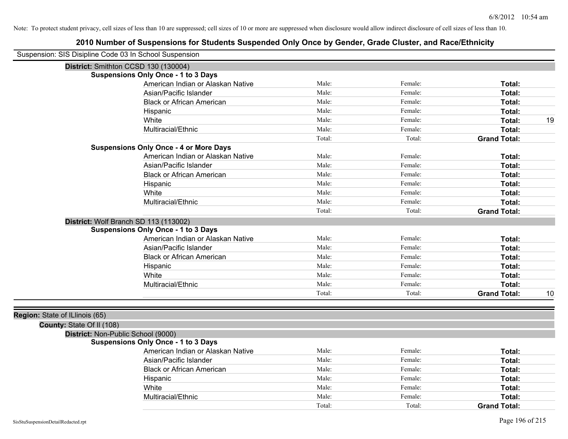| Suspension: SIS Disipline Code 03 In School Suspension      |                                               |        |         |                     |    |
|-------------------------------------------------------------|-----------------------------------------------|--------|---------|---------------------|----|
|                                                             | District: Smithton CCSD 130 (130004)          |        |         |                     |    |
|                                                             | <b>Suspensions Only Once - 1 to 3 Days</b>    |        |         |                     |    |
|                                                             | American Indian or Alaskan Native             | Male:  | Female: | Total:              |    |
|                                                             | Asian/Pacific Islander                        | Male:  | Female: | Total:              |    |
|                                                             | <b>Black or African American</b>              | Male:  | Female: | Total:              |    |
|                                                             | Hispanic                                      | Male:  | Female: | Total:              |    |
|                                                             | White                                         | Male:  | Female: | Total:              | 19 |
|                                                             | Multiracial/Ethnic                            | Male:  | Female: | Total:              |    |
|                                                             |                                               | Total: | Total:  | <b>Grand Total:</b> |    |
|                                                             | <b>Suspensions Only Once - 4 or More Days</b> |        |         |                     |    |
|                                                             | American Indian or Alaskan Native             | Male:  | Female: | Total:              |    |
|                                                             | Asian/Pacific Islander                        | Male:  | Female: | Total:              |    |
|                                                             | <b>Black or African American</b>              | Male:  | Female: | Total:              |    |
|                                                             | Hispanic                                      | Male:  | Female: | Total:              |    |
|                                                             | White                                         | Male:  | Female: | Total:              |    |
|                                                             | Multiracial/Ethnic                            | Male:  | Female: | Total:              |    |
|                                                             |                                               | Total: | Total:  | <b>Grand Total:</b> |    |
|                                                             | District: Wolf Branch SD 113 (113002)         |        |         |                     |    |
|                                                             | <b>Suspensions Only Once - 1 to 3 Days</b>    |        |         |                     |    |
|                                                             | American Indian or Alaskan Native             | Male:  | Female: | Total:              |    |
|                                                             | Asian/Pacific Islander                        | Male:  | Female: | Total:              |    |
|                                                             | <b>Black or African American</b>              | Male:  | Female: | Total:              |    |
|                                                             | Hispanic                                      | Male:  | Female: | <b>Total:</b>       |    |
|                                                             | White                                         | Male:  | Female: | Total:              |    |
|                                                             | Multiracial/Ethnic                            | Male:  | Female: | Total:              |    |
|                                                             |                                               | Total: | Total:  | <b>Grand Total:</b> | 10 |
|                                                             |                                               |        |         |                     |    |
| Region: State of ILlinois (65)<br>County: State Of II (108) |                                               |        |         |                     |    |
| District: Non-Public School (9000)                          |                                               |        |         |                     |    |
|                                                             | <b>Suspensions Only Once - 1 to 3 Days</b>    |        |         |                     |    |
|                                                             | American Indian or Alaskan Native             | Male:  | Female: | Total:              |    |
|                                                             | Asian/Pacific Islander                        | Male:  | Female: | Total:              |    |
|                                                             | Black or African American                     | Male:  | Female: | Total:              |    |
|                                                             | Hispanic                                      | Male:  | Female: | Total:              |    |
|                                                             | White                                         | Male:  | Female: | Total:              |    |
|                                                             | Multiracial/Ethnic                            | Male:  | Female: | Total:              |    |
|                                                             |                                               | Total: | Total:  | <b>Grand Total:</b> |    |
|                                                             |                                               |        |         |                     |    |
| SisStuSuspensionDetailRedacted.rpt                          |                                               |        |         | Page 196 of 215     |    |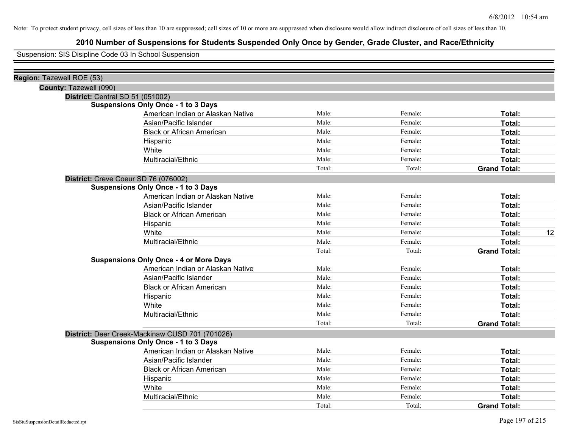## **2010 Number of Suspensions for Students Suspended Only Once by Gender, Grade Cluster, and Race/Ethnicity**

Suspension: SIS Disipline Code 03 In School Suspension

| Region: Tazewell ROE (53)                       |        |         |                     |    |
|-------------------------------------------------|--------|---------|---------------------|----|
| County: Tazewell (090)                          |        |         |                     |    |
| District: Central SD 51 (051002)                |        |         |                     |    |
| <b>Suspensions Only Once - 1 to 3 Days</b>      |        |         |                     |    |
| American Indian or Alaskan Native               | Male:  | Female: | Total:              |    |
| Asian/Pacific Islander                          | Male:  | Female: | Total:              |    |
| <b>Black or African American</b>                | Male:  | Female: | Total:              |    |
| Hispanic                                        | Male:  | Female: | Total:              |    |
| White                                           | Male:  | Female: | Total:              |    |
| Multiracial/Ethnic                              | Male:  | Female: | Total:              |    |
|                                                 | Total: | Total:  | <b>Grand Total:</b> |    |
| District: Creve Coeur SD 76 (076002)            |        |         |                     |    |
| <b>Suspensions Only Once - 1 to 3 Days</b>      |        |         |                     |    |
| American Indian or Alaskan Native               | Male:  | Female: | Total:              |    |
| Asian/Pacific Islander                          | Male:  | Female: | Total:              |    |
| <b>Black or African American</b>                | Male:  | Female: | Total:              |    |
| Hispanic                                        | Male:  | Female: | Total:              |    |
| White                                           | Male:  | Female: | Total:              | 12 |
| Multiracial/Ethnic                              | Male:  | Female: | Total:              |    |
|                                                 | Total: | Total:  | <b>Grand Total:</b> |    |
| <b>Suspensions Only Once - 4 or More Days</b>   |        |         |                     |    |
| American Indian or Alaskan Native               | Male:  | Female: | Total:              |    |
| Asian/Pacific Islander                          | Male:  | Female: | Total:              |    |
| <b>Black or African American</b>                | Male:  | Female: | Total:              |    |
| Hispanic                                        | Male:  | Female: | Total:              |    |
| White                                           | Male:  | Female: | Total:              |    |
| Multiracial/Ethnic                              | Male:  | Female: | Total:              |    |
|                                                 | Total: | Total:  | <b>Grand Total:</b> |    |
| District: Deer Creek-Mackinaw CUSD 701 (701026) |        |         |                     |    |
| <b>Suspensions Only Once - 1 to 3 Days</b>      |        |         |                     |    |
| American Indian or Alaskan Native               | Male:  | Female: | Total:              |    |
| Asian/Pacific Islander                          | Male:  | Female: | Total:              |    |
| <b>Black or African American</b>                | Male:  | Female: | Total:              |    |
| Hispanic                                        | Male:  | Female: | Total:              |    |
| White                                           | Male:  | Female: | Total:              |    |
| Multiracial/Ethnic                              | Male:  | Female: | Total:              |    |
|                                                 | Total: | Total:  | <b>Grand Total:</b> |    |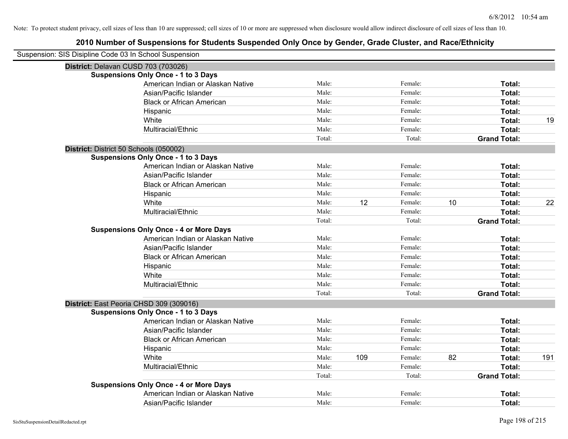| Suspension: SIS Disipline Code 03 In School Suspension |                                               |        |     |         |    |                     |     |
|--------------------------------------------------------|-----------------------------------------------|--------|-----|---------|----|---------------------|-----|
| District: Delavan CUSD 703 (703026)                    |                                               |        |     |         |    |                     |     |
|                                                        | <b>Suspensions Only Once - 1 to 3 Days</b>    |        |     |         |    |                     |     |
|                                                        | American Indian or Alaskan Native             | Male:  |     | Female: |    | Total:              |     |
|                                                        | Asian/Pacific Islander                        | Male:  |     | Female: |    | Total:              |     |
|                                                        | <b>Black or African American</b>              | Male:  |     | Female: |    | Total:              |     |
|                                                        | Hispanic                                      | Male:  |     | Female: |    | Total:              |     |
|                                                        | White                                         | Male:  |     | Female: |    | Total:              | 19  |
|                                                        | Multiracial/Ethnic                            | Male:  |     | Female: |    | Total:              |     |
|                                                        |                                               | Total: |     | Total:  |    | <b>Grand Total:</b> |     |
| District: District 50 Schools (050002)                 |                                               |        |     |         |    |                     |     |
|                                                        | <b>Suspensions Only Once - 1 to 3 Days</b>    |        |     |         |    |                     |     |
|                                                        | American Indian or Alaskan Native             | Male:  |     | Female: |    | Total:              |     |
|                                                        | Asian/Pacific Islander                        | Male:  |     | Female: |    | Total:              |     |
|                                                        | <b>Black or African American</b>              | Male:  |     | Female: |    | Total:              |     |
|                                                        | Hispanic                                      | Male:  |     | Female: |    | Total:              |     |
|                                                        | White                                         | Male:  | 12  | Female: | 10 | Total:              | 22  |
|                                                        | Multiracial/Ethnic                            | Male:  |     | Female: |    | Total:              |     |
|                                                        |                                               | Total: |     | Total:  |    | <b>Grand Total:</b> |     |
|                                                        | <b>Suspensions Only Once - 4 or More Days</b> |        |     |         |    |                     |     |
|                                                        | American Indian or Alaskan Native             | Male:  |     | Female: |    | Total:              |     |
|                                                        | Asian/Pacific Islander                        | Male:  |     | Female: |    | Total:              |     |
|                                                        | <b>Black or African American</b>              | Male:  |     | Female: |    | Total:              |     |
|                                                        | Hispanic                                      | Male:  |     | Female: |    | Total:              |     |
|                                                        | White                                         | Male:  |     | Female: |    | Total:              |     |
|                                                        | Multiracial/Ethnic                            | Male:  |     | Female: |    | Total:              |     |
|                                                        |                                               | Total: |     | Total:  |    | <b>Grand Total:</b> |     |
|                                                        | District: East Peoria CHSD 309 (309016)       |        |     |         |    |                     |     |
|                                                        | <b>Suspensions Only Once - 1 to 3 Days</b>    |        |     |         |    |                     |     |
|                                                        | American Indian or Alaskan Native             | Male:  |     | Female: |    | Total:              |     |
|                                                        | Asian/Pacific Islander                        | Male:  |     | Female: |    | Total:              |     |
|                                                        | <b>Black or African American</b>              | Male:  |     | Female: |    | Total:              |     |
|                                                        | Hispanic                                      | Male:  |     | Female: |    | Total:              |     |
|                                                        | White                                         | Male:  | 109 | Female: | 82 | Total:              | 191 |
|                                                        | Multiracial/Ethnic                            | Male:  |     | Female: |    | Total:              |     |
|                                                        |                                               | Total: |     | Total:  |    | <b>Grand Total:</b> |     |
|                                                        | <b>Suspensions Only Once - 4 or More Days</b> |        |     |         |    |                     |     |
|                                                        | American Indian or Alaskan Native             | Male:  |     | Female: |    | <b>Total:</b>       |     |
|                                                        | Asian/Pacific Islander                        | Male:  |     | Female: |    | Total:              |     |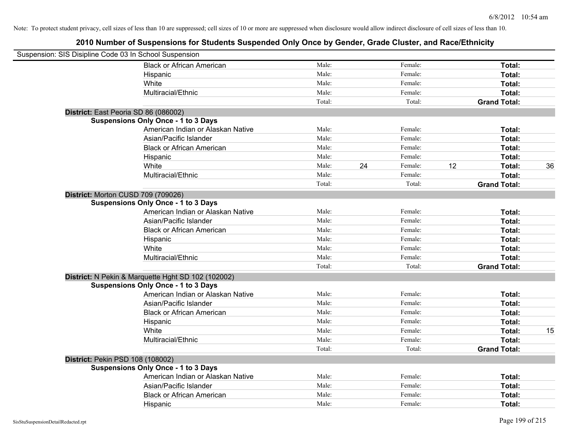| Suspension: SIS Disipline Code 03 In School Suspension |                                                    |        |    |         |    |                     |    |
|--------------------------------------------------------|----------------------------------------------------|--------|----|---------|----|---------------------|----|
|                                                        | <b>Black or African American</b>                   | Male:  |    | Female: |    | Total:              |    |
|                                                        | Hispanic                                           | Male:  |    | Female: |    | Total:              |    |
|                                                        | White                                              | Male:  |    | Female: |    | Total:              |    |
|                                                        | Multiracial/Ethnic                                 | Male:  |    | Female: |    | Total:              |    |
|                                                        |                                                    | Total: |    | Total:  |    | <b>Grand Total:</b> |    |
| District: East Peoria SD 86 (086002)                   |                                                    |        |    |         |    |                     |    |
|                                                        | <b>Suspensions Only Once - 1 to 3 Days</b>         |        |    |         |    |                     |    |
|                                                        | American Indian or Alaskan Native                  | Male:  |    | Female: |    | Total:              |    |
|                                                        | Asian/Pacific Islander                             | Male:  |    | Female: |    | Total:              |    |
|                                                        | <b>Black or African American</b>                   | Male:  |    | Female: |    | Total:              |    |
|                                                        | Hispanic                                           | Male:  |    | Female: |    | Total:              |    |
|                                                        | White                                              | Male:  | 24 | Female: | 12 | Total:              | 36 |
|                                                        | Multiracial/Ethnic                                 | Male:  |    | Female: |    | Total:              |    |
|                                                        |                                                    | Total: |    | Total:  |    | <b>Grand Total:</b> |    |
| District: Morton CUSD 709 (709026)                     |                                                    |        |    |         |    |                     |    |
|                                                        | <b>Suspensions Only Once - 1 to 3 Days</b>         |        |    |         |    |                     |    |
|                                                        | American Indian or Alaskan Native                  | Male:  |    | Female: |    | Total:              |    |
|                                                        | Asian/Pacific Islander                             | Male:  |    | Female: |    | Total:              |    |
|                                                        | <b>Black or African American</b>                   | Male:  |    | Female: |    | Total:              |    |
|                                                        | Hispanic                                           | Male:  |    | Female: |    | Total:              |    |
|                                                        | White                                              | Male:  |    | Female: |    | Total:              |    |
|                                                        | Multiracial/Ethnic                                 | Male:  |    | Female: |    | Total:              |    |
|                                                        |                                                    | Total: |    | Total:  |    | <b>Grand Total:</b> |    |
|                                                        | District: N Pekin & Marquette Hght SD 102 (102002) |        |    |         |    |                     |    |
|                                                        | <b>Suspensions Only Once - 1 to 3 Days</b>         |        |    |         |    |                     |    |
|                                                        | American Indian or Alaskan Native                  | Male:  |    | Female: |    | Total:              |    |
|                                                        | Asian/Pacific Islander                             | Male:  |    | Female: |    | Total:              |    |
|                                                        | <b>Black or African American</b>                   | Male:  |    | Female: |    | Total:              |    |
|                                                        | Hispanic                                           | Male:  |    | Female: |    | Total:              |    |
|                                                        | White                                              | Male:  |    | Female: |    | Total:              | 15 |
|                                                        | Multiracial/Ethnic                                 | Male:  |    | Female: |    | Total:              |    |
|                                                        |                                                    | Total: |    | Total:  |    | <b>Grand Total:</b> |    |
| District: Pekin PSD 108 (108002)                       |                                                    |        |    |         |    |                     |    |
|                                                        | <b>Suspensions Only Once - 1 to 3 Days</b>         |        |    |         |    |                     |    |
|                                                        | American Indian or Alaskan Native                  | Male:  |    | Female: |    | Total:              |    |
|                                                        | Asian/Pacific Islander                             | Male:  |    | Female: |    | Total:              |    |
|                                                        | <b>Black or African American</b>                   | Male:  |    | Female: |    | Total:              |    |
|                                                        | Hispanic                                           | Male:  |    | Female: |    | Total:              |    |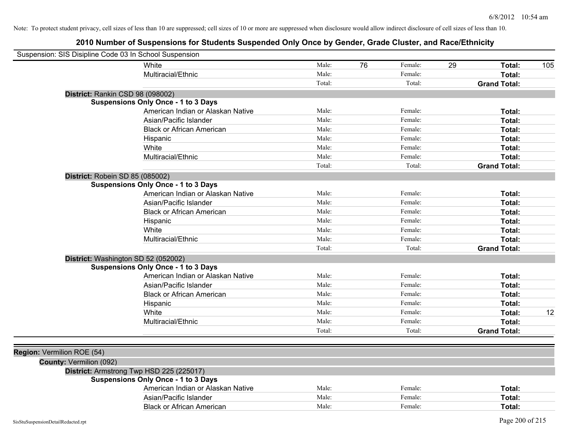| Suspension: SIS Disipline Code 03 In School Suspension |                                            |        |               |        |                     |     |
|--------------------------------------------------------|--------------------------------------------|--------|---------------|--------|---------------------|-----|
|                                                        | White                                      | Male:  | 76<br>Female: | 29     | Total:              | 105 |
|                                                        | Multiracial/Ethnic                         | Male:  | Female:       |        | Total:              |     |
|                                                        |                                            | Total: |               | Total: | <b>Grand Total:</b> |     |
| District: Rankin CSD 98 (098002)                       |                                            |        |               |        |                     |     |
|                                                        | <b>Suspensions Only Once - 1 to 3 Days</b> |        |               |        |                     |     |
|                                                        | American Indian or Alaskan Native          | Male:  | Female:       |        | Total:              |     |
|                                                        | Asian/Pacific Islander                     | Male:  | Female:       |        | Total:              |     |
|                                                        | <b>Black or African American</b>           | Male:  | Female:       |        | Total:              |     |
|                                                        | Hispanic                                   | Male:  | Female:       |        | Total:              |     |
|                                                        | White                                      | Male:  | Female:       |        | Total:              |     |
|                                                        | Multiracial/Ethnic                         | Male:  | Female:       |        | Total:              |     |
|                                                        |                                            | Total: |               | Total: | <b>Grand Total:</b> |     |
| District: Robein SD 85 (085002)                        |                                            |        |               |        |                     |     |
|                                                        | <b>Suspensions Only Once - 1 to 3 Days</b> |        |               |        |                     |     |
|                                                        | American Indian or Alaskan Native          | Male:  | Female:       |        | Total:              |     |
|                                                        | Asian/Pacific Islander                     | Male:  | Female:       |        | Total:              |     |
|                                                        | <b>Black or African American</b>           | Male:  | Female:       |        | Total:              |     |
|                                                        | Hispanic                                   | Male:  | Female:       |        | Total:              |     |
|                                                        | White                                      | Male:  | Female:       |        | Total:              |     |
|                                                        | Multiracial/Ethnic                         | Male:  | Female:       |        | Total:              |     |
|                                                        |                                            | Total: |               | Total: | <b>Grand Total:</b> |     |
| District: Washington SD 52 (052002)                    |                                            |        |               |        |                     |     |
|                                                        | <b>Suspensions Only Once - 1 to 3 Days</b> |        |               |        |                     |     |
|                                                        | American Indian or Alaskan Native          | Male:  | Female:       |        | Total:              |     |
|                                                        | Asian/Pacific Islander                     | Male:  | Female:       |        | Total:              |     |
|                                                        | <b>Black or African American</b>           | Male:  | Female:       |        | Total:              |     |
|                                                        | Hispanic                                   | Male:  | Female:       |        | Total:              |     |
|                                                        | White                                      | Male:  | Female:       |        | Total:              | 12  |
|                                                        | Multiracial/Ethnic                         | Male:  | Female:       |        | Total:              |     |
|                                                        |                                            | Total: |               | Total: | <b>Grand Total:</b> |     |
|                                                        |                                            |        |               |        |                     |     |
| Region: Vermilion ROE (54)                             |                                            |        |               |        |                     |     |
| County: Vermilion (092)                                |                                            |        |               |        |                     |     |
| District: Armstrong Twp HSD 225 (225017)               |                                            |        |               |        |                     |     |
|                                                        | <b>Suspensions Only Once - 1 to 3 Days</b> |        |               |        |                     |     |
|                                                        | American Indian or Alaskan Native          | Male:  | Female:       |        | Total:              |     |
|                                                        | Asian/Pacific Islander                     | Male:  | Female:       |        | Total:              |     |
|                                                        | <b>Black or African American</b>           | Male:  | Female:       |        | Total:              |     |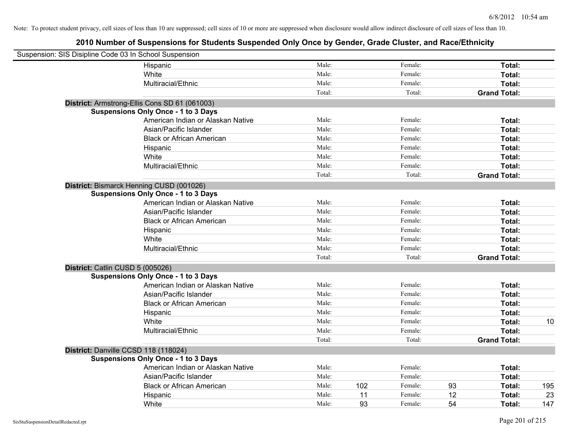| Suspension: SIS Disipline Code 03 In School Suspension |                                               |        |     |         |    |                     |     |
|--------------------------------------------------------|-----------------------------------------------|--------|-----|---------|----|---------------------|-----|
|                                                        | Hispanic                                      | Male:  |     | Female: |    | Total:              |     |
|                                                        | White                                         | Male:  |     | Female: |    | Total:              |     |
|                                                        | Multiracial/Ethnic                            | Male:  |     | Female: |    | Total:              |     |
|                                                        |                                               | Total: |     | Total:  |    | <b>Grand Total:</b> |     |
|                                                        | District: Armstrong-Ellis Cons SD 61 (061003) |        |     |         |    |                     |     |
|                                                        | <b>Suspensions Only Once - 1 to 3 Days</b>    |        |     |         |    |                     |     |
|                                                        | American Indian or Alaskan Native             | Male:  |     | Female: |    | Total:              |     |
|                                                        | Asian/Pacific Islander                        | Male:  |     | Female: |    | Total:              |     |
|                                                        | <b>Black or African American</b>              | Male:  |     | Female: |    | Total:              |     |
|                                                        | Hispanic                                      | Male:  |     | Female: |    | Total:              |     |
|                                                        | White                                         | Male:  |     | Female: |    | Total:              |     |
|                                                        | Multiracial/Ethnic                            | Male:  |     | Female: |    | Total:              |     |
|                                                        |                                               | Total: |     | Total:  |    | <b>Grand Total:</b> |     |
|                                                        | District: Bismarck Henning CUSD (001026)      |        |     |         |    |                     |     |
|                                                        | <b>Suspensions Only Once - 1 to 3 Days</b>    |        |     |         |    |                     |     |
|                                                        | American Indian or Alaskan Native             | Male:  |     | Female: |    | Total:              |     |
|                                                        | Asian/Pacific Islander                        | Male:  |     | Female: |    | Total:              |     |
|                                                        | <b>Black or African American</b>              | Male:  |     | Female: |    | Total:              |     |
|                                                        | Hispanic                                      | Male:  |     | Female: |    | Total:              |     |
|                                                        | White                                         | Male:  |     | Female: |    | Total:              |     |
|                                                        | Multiracial/Ethnic                            | Male:  |     | Female: |    | Total:              |     |
|                                                        |                                               | Total: |     | Total:  |    | <b>Grand Total:</b> |     |
| District: Catlin CUSD 5 (005026)                       |                                               |        |     |         |    |                     |     |
|                                                        | <b>Suspensions Only Once - 1 to 3 Days</b>    |        |     |         |    |                     |     |
|                                                        | American Indian or Alaskan Native             | Male:  |     | Female: |    | Total:              |     |
|                                                        | Asian/Pacific Islander                        | Male:  |     | Female: |    | Total:              |     |
|                                                        | <b>Black or African American</b>              | Male:  |     | Female: |    | Total:              |     |
|                                                        | Hispanic                                      | Male:  |     | Female: |    | Total:              |     |
|                                                        | White                                         | Male:  |     | Female: |    | Total:              | 10  |
|                                                        | Multiracial/Ethnic                            | Male:  |     | Female: |    | Total:              |     |
|                                                        |                                               | Total: |     | Total:  |    | <b>Grand Total:</b> |     |
| District: Danville CCSD 118 (118024)                   |                                               |        |     |         |    |                     |     |
|                                                        | <b>Suspensions Only Once - 1 to 3 Days</b>    |        |     |         |    |                     |     |
|                                                        | American Indian or Alaskan Native             | Male:  |     | Female: |    | Total:              |     |
|                                                        | Asian/Pacific Islander                        | Male:  |     | Female: |    | Total:              |     |
|                                                        | <b>Black or African American</b>              | Male:  | 102 | Female: | 93 | Total:              | 195 |
|                                                        | Hispanic                                      | Male:  | 11  | Female: | 12 | Total:              | 23  |
|                                                        | White                                         | Male:  | 93  | Female: | 54 | Total:              | 147 |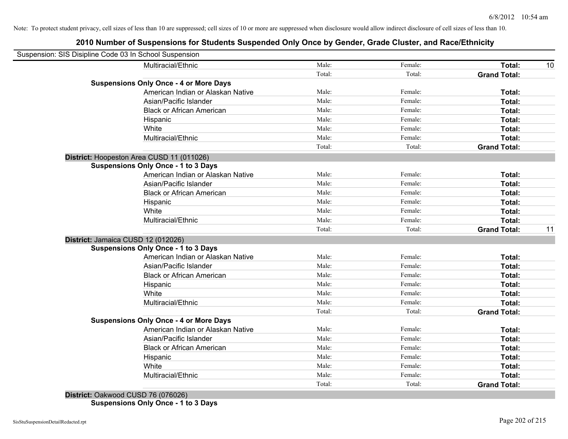## **2010 Number of Suspensions for Students Suspended Only Once by Gender, Grade Cluster, and Race/Ethnicity**

| Suspension: SIS Disipline Code 03 In School Suspension |                                               |        |         |                     |    |
|--------------------------------------------------------|-----------------------------------------------|--------|---------|---------------------|----|
|                                                        | Multiracial/Ethnic                            | Male:  | Female: | Total:              | 10 |
|                                                        |                                               | Total: | Total:  | <b>Grand Total:</b> |    |
|                                                        | <b>Suspensions Only Once - 4 or More Days</b> |        |         |                     |    |
|                                                        | American Indian or Alaskan Native             | Male:  | Female: | Total:              |    |
|                                                        | Asian/Pacific Islander                        | Male:  | Female: | Total:              |    |
|                                                        | <b>Black or African American</b>              | Male:  | Female: | Total:              |    |
|                                                        | Hispanic                                      | Male:  | Female: | Total:              |    |
|                                                        | White                                         | Male:  | Female: | Total:              |    |
|                                                        | Multiracial/Ethnic                            | Male:  | Female: | Total:              |    |
|                                                        |                                               | Total: | Total:  | <b>Grand Total:</b> |    |
| District: Hoopeston Area CUSD 11 (011026)              |                                               |        |         |                     |    |
|                                                        | <b>Suspensions Only Once - 1 to 3 Days</b>    |        |         |                     |    |
|                                                        | American Indian or Alaskan Native             | Male:  | Female: | Total:              |    |
|                                                        | Asian/Pacific Islander                        | Male:  | Female: | Total:              |    |
|                                                        | <b>Black or African American</b>              | Male:  | Female: | Total:              |    |
|                                                        | Hispanic                                      | Male:  | Female: | Total:              |    |
|                                                        | White                                         | Male:  | Female: | Total:              |    |
|                                                        | Multiracial/Ethnic                            | Male:  | Female: | Total:              |    |
|                                                        |                                               | Total: | Total:  | <b>Grand Total:</b> | 11 |
| District: Jamaica CUSD 12 (012026)                     |                                               |        |         |                     |    |
|                                                        | <b>Suspensions Only Once - 1 to 3 Days</b>    |        |         |                     |    |
|                                                        | American Indian or Alaskan Native             | Male:  | Female: | Total:              |    |
|                                                        | Asian/Pacific Islander                        | Male:  | Female: | Total:              |    |
|                                                        | <b>Black or African American</b>              | Male:  | Female: | Total:              |    |
|                                                        | Hispanic                                      | Male:  | Female: | Total:              |    |
|                                                        | White                                         | Male:  | Female: | Total:              |    |
|                                                        | Multiracial/Ethnic                            | Male:  | Female: | Total:              |    |
|                                                        |                                               | Total: | Total:  | <b>Grand Total:</b> |    |
|                                                        | <b>Suspensions Only Once - 4 or More Days</b> |        |         |                     |    |
|                                                        | American Indian or Alaskan Native             | Male:  | Female: | Total:              |    |
|                                                        | Asian/Pacific Islander                        | Male:  | Female: | Total:              |    |
|                                                        | <b>Black or African American</b>              | Male:  | Female: | Total:              |    |
|                                                        | Hispanic                                      | Male:  | Female: | Total:              |    |
|                                                        | White                                         | Male:  | Female: | Total:              |    |
|                                                        | Multiracial/Ethnic                            | Male:  | Female: | <b>Total:</b>       |    |
|                                                        |                                               | Total: | Total:  | <b>Grand Total:</b> |    |

**District:** Oakwood CUSD 76 (076026) **Suspensions Only Once - 1 to 3 Days**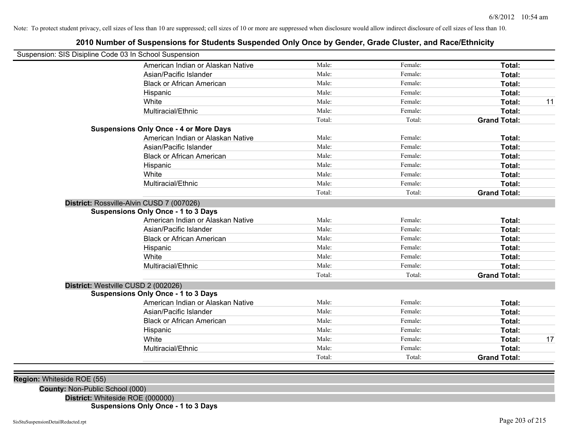# **2010 Number of Suspensions for Students Suspended Only Once by Gender, Grade Cluster, and Race/Ethnicity** Suspension: SIS Disipline Code 03 In School Suspension

|                                                                                         | Total:          | Total:            | <b>Grand Total:</b>           |
|-----------------------------------------------------------------------------------------|-----------------|-------------------|-------------------------------|
| Multiracial/Ethnic                                                                      | Male:           | Female:           | Total:                        |
| White                                                                                   | Male:           | Female:           | Total:                        |
| Hispanic                                                                                | Male:           | Female:           | Total:                        |
| <b>Black or African American</b>                                                        | Male:           | Female:           | Total:                        |
| Asian/Pacific Islander                                                                  | Male:           | Female:           | Total:                        |
| American Indian or Alaskan Native                                                       | Male:           | Female:           | Total:                        |
| <b>Suspensions Only Once - 1 to 3 Days</b>                                              |                 |                   |                               |
| District: Westville CUSD 2 (002026)                                                     |                 |                   |                               |
|                                                                                         | Total:          | Total:            | <b>Grand Total:</b>           |
| Multiracial/Ethnic                                                                      | Male:           | Female:           | Total:                        |
| White                                                                                   | Male:           | Female:           | Total:                        |
| Hispanic                                                                                | Male:           | Female:           | Total:                        |
| <b>Black or African American</b>                                                        | Male:           | Female:           | Total:                        |
| Asian/Pacific Islander                                                                  | Male:           | Female:           | Total:                        |
| American Indian or Alaskan Native                                                       | Male:           | Female:           | Total:                        |
| District: Rossville-Alvin CUSD 7 (007026)<br><b>Suspensions Only Once - 1 to 3 Days</b> |                 |                   |                               |
|                                                                                         |                 |                   |                               |
| Multiracial/Ethnic                                                                      | Male:<br>Total: | Female:<br>Total: | Total:<br><b>Grand Total:</b> |
| White                                                                                   | Male:           | Female:           | Total:                        |
| Hispanic                                                                                | Male:           | Female:           | Total:                        |
| <b>Black or African American</b>                                                        | Male:           | Female:           | Total:                        |
| Asian/Pacific Islander                                                                  | Male:           | Female:           | Total:                        |
| American Indian or Alaskan Native                                                       | Male:           | Female:           | Total:                        |
| <b>Suspensions Only Once - 4 or More Days</b>                                           |                 |                   |                               |
|                                                                                         | Total:          | Total:            | <b>Grand Total:</b>           |
| Multiracial/Ethnic                                                                      | Male:           | Female:           | Total:                        |
| White                                                                                   | Male:           | Female:           | Total:                        |
| Hispanic                                                                                | Male:           | Female:           | Total:                        |
| <b>Black or African American</b>                                                        | Male:           | Female:           | Total:                        |
| Asian/Pacific Islander                                                                  | Male:           | Female:           | Total:                        |
| American Indian or Alaskan Native                                                       | Male:           | Female:           | Total:                        |

|  | <b>Region:</b> Whiteside ROE (55) |  |  |  |
|--|-----------------------------------|--|--|--|
|--|-----------------------------------|--|--|--|

**County:** Non-Public School (000)

**District:** Whiteside ROE (000000) **Suspensions Only Once - 1 to 3 Days**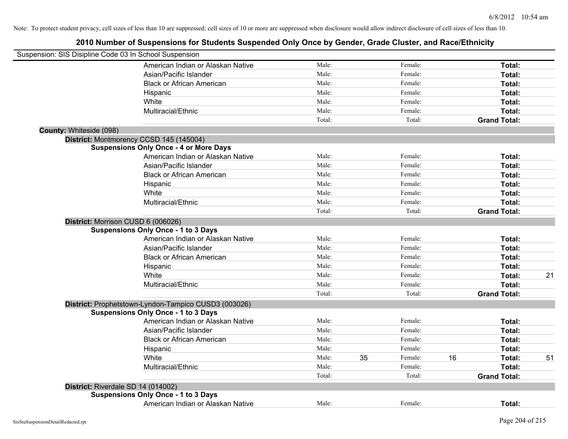| Suspension: SIS Disipline Code 03 In School Suspension |                                                      |        |               |    |                     |    |
|--------------------------------------------------------|------------------------------------------------------|--------|---------------|----|---------------------|----|
|                                                        | American Indian or Alaskan Native                    | Male:  | Female:       |    | Total:              |    |
|                                                        | Asian/Pacific Islander                               | Male:  | Female:       |    | Total:              |    |
|                                                        | <b>Black or African American</b>                     | Male:  | Female:       |    | Total:              |    |
|                                                        | Hispanic                                             | Male:  | Female:       |    | Total:              |    |
|                                                        | White                                                | Male:  | Female:       |    | Total:              |    |
|                                                        | Multiracial/Ethnic                                   | Male:  | Female:       |    | Total:              |    |
|                                                        |                                                      | Total: | Total:        |    | <b>Grand Total:</b> |    |
| County: Whiteside (098)                                |                                                      |        |               |    |                     |    |
|                                                        | District: Montmorency CCSD 145 (145004)              |        |               |    |                     |    |
|                                                        | <b>Suspensions Only Once - 4 or More Days</b>        |        |               |    |                     |    |
|                                                        | American Indian or Alaskan Native                    | Male:  | Female:       |    | Total:              |    |
|                                                        | Asian/Pacific Islander                               | Male:  | Female:       |    | Total:              |    |
|                                                        | <b>Black or African American</b>                     | Male:  | Female:       |    | Total:              |    |
|                                                        | Hispanic                                             | Male:  | Female:       |    | Total:              |    |
|                                                        | White                                                | Male:  | Female:       |    | Total:              |    |
|                                                        | Multiracial/Ethnic                                   | Male:  | Female:       |    | Total:              |    |
|                                                        |                                                      | Total: | Total:        |    | <b>Grand Total:</b> |    |
| District: Morrison CUSD 6 (006026)                     |                                                      |        |               |    |                     |    |
|                                                        | <b>Suspensions Only Once - 1 to 3 Days</b>           |        |               |    |                     |    |
|                                                        | American Indian or Alaskan Native                    | Male:  | Female:       |    | Total:              |    |
|                                                        | Asian/Pacific Islander                               | Male:  | Female:       |    | Total:              |    |
|                                                        | <b>Black or African American</b>                     | Male:  | Female:       |    | Total:              |    |
|                                                        | Hispanic                                             | Male:  | Female:       |    | Total:              |    |
|                                                        | White                                                | Male:  | Female:       |    | Total:              | 21 |
|                                                        | Multiracial/Ethnic                                   | Male:  | Female:       |    | Total:              |    |
|                                                        |                                                      | Total: | Total:        |    | <b>Grand Total:</b> |    |
|                                                        | District: Prophetstown-Lyndon-Tampico CUSD3 (003026) |        |               |    |                     |    |
|                                                        | <b>Suspensions Only Once - 1 to 3 Days</b>           |        |               |    |                     |    |
|                                                        | American Indian or Alaskan Native                    | Male:  | Female:       |    | Total:              |    |
|                                                        | Asian/Pacific Islander                               | Male:  | Female:       |    | Total:              |    |
|                                                        | <b>Black or African American</b>                     | Male:  | Female:       |    | Total:              |    |
|                                                        | Hispanic                                             | Male:  | Female:       |    | Total:              |    |
|                                                        | White                                                | Male:  | 35<br>Female: | 16 | Total:              | 51 |
|                                                        | Multiracial/Ethnic                                   | Male:  | Female:       |    | Total:              |    |
|                                                        |                                                      | Total: | Total:        |    | <b>Grand Total:</b> |    |
| District: Riverdale SD 14 (014002)                     |                                                      |        |               |    |                     |    |
|                                                        | <b>Suspensions Only Once - 1 to 3 Days</b>           |        |               |    |                     |    |
|                                                        | American Indian or Alaskan Native                    | Male:  | Female:       |    | Total:              |    |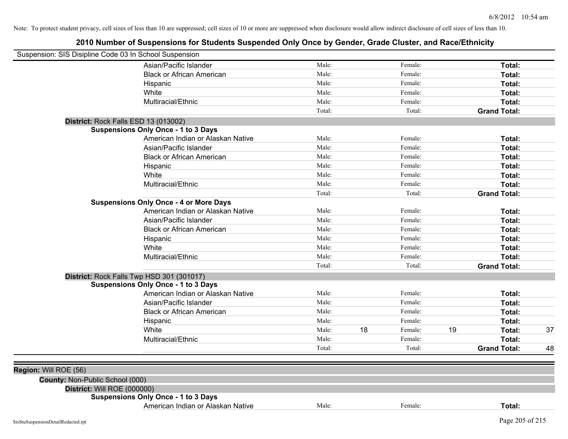| Suspension: SIS Disipline Code 03 In School Suspension |                                               |        |    |         |    |                     |    |
|--------------------------------------------------------|-----------------------------------------------|--------|----|---------|----|---------------------|----|
|                                                        | Asian/Pacific Islander                        | Male:  |    | Female: |    | Total:              |    |
|                                                        | <b>Black or African American</b>              | Male:  |    | Female: |    | Total:              |    |
|                                                        | Hispanic                                      | Male:  |    | Female: |    | Total:              |    |
|                                                        | White                                         | Male:  |    | Female: |    | Total:              |    |
|                                                        | Multiracial/Ethnic                            | Male:  |    | Female: |    | Total:              |    |
|                                                        |                                               | Total: |    | Total:  |    | <b>Grand Total:</b> |    |
| District: Rock Falls ESD 13 (013002)                   |                                               |        |    |         |    |                     |    |
|                                                        | <b>Suspensions Only Once - 1 to 3 Days</b>    |        |    |         |    |                     |    |
|                                                        | American Indian or Alaskan Native             | Male:  |    | Female: |    | Total:              |    |
|                                                        | Asian/Pacific Islander                        | Male:  |    | Female: |    | Total:              |    |
|                                                        | <b>Black or African American</b>              | Male:  |    | Female: |    | Total:              |    |
|                                                        | Hispanic                                      | Male:  |    | Female: |    | Total:              |    |
|                                                        | White                                         | Male:  |    | Female: |    | Total:              |    |
|                                                        | Multiracial/Ethnic                            | Male:  |    | Female: |    | Total:              |    |
|                                                        |                                               | Total: |    | Total:  |    | <b>Grand Total:</b> |    |
|                                                        | <b>Suspensions Only Once - 4 or More Days</b> |        |    |         |    |                     |    |
|                                                        | American Indian or Alaskan Native             | Male:  |    | Female: |    | Total:              |    |
|                                                        | Asian/Pacific Islander                        | Male:  |    | Female: |    | Total:              |    |
|                                                        | <b>Black or African American</b>              | Male:  |    | Female: |    | Total:              |    |
|                                                        | Hispanic                                      | Male:  |    | Female: |    | Total:              |    |
|                                                        | White                                         | Male:  |    | Female: |    | Total:              |    |
|                                                        | Multiracial/Ethnic                            | Male:  |    | Female: |    | Total:              |    |
|                                                        |                                               | Total: |    | Total:  |    | <b>Grand Total:</b> |    |
|                                                        | District: Rock Falls Twp HSD 301 (301017)     |        |    |         |    |                     |    |
|                                                        | <b>Suspensions Only Once - 1 to 3 Days</b>    |        |    |         |    |                     |    |
|                                                        | American Indian or Alaskan Native             | Male:  |    | Female: |    | Total:              |    |
|                                                        | Asian/Pacific Islander                        | Male:  |    | Female: |    | Total:              |    |
|                                                        | <b>Black or African American</b>              | Male:  |    | Female: |    | Total:              |    |
|                                                        | Hispanic                                      | Male:  |    | Female: |    | Total:              |    |
|                                                        | White                                         | Male:  | 18 | Female: | 19 | Total:              | 37 |
|                                                        | Multiracial/Ethnic                            | Male:  |    | Female: |    | Total:              |    |
|                                                        |                                               | Total: |    | Total:  |    | <b>Grand Total:</b> | 48 |
|                                                        |                                               |        |    |         |    |                     |    |
| Region: Will ROE (56)                                  |                                               |        |    |         |    |                     |    |
| County: Non-Public School (000)                        |                                               |        |    |         |    |                     |    |
| District: Will ROE (000000)                            |                                               |        |    |         |    |                     |    |
|                                                        | <b>Suspensions Only Once - 1 to 3 Days</b>    |        |    |         |    |                     |    |
|                                                        | American Indian or Alaskan Native             | Male:  |    | Female: |    | Total:              |    |
| SisStuSuspensionDetailRedacted.rpt                     |                                               |        |    |         |    | Page 205 of 215     |    |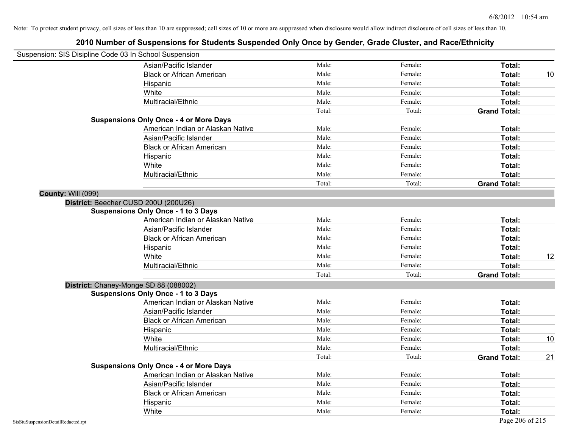|                           | Suspension: SIS Disipline Code 03 In School Suspension |        |         |                     |    |
|---------------------------|--------------------------------------------------------|--------|---------|---------------------|----|
|                           | Asian/Pacific Islander                                 | Male:  | Female: | Total:              |    |
|                           | <b>Black or African American</b>                       | Male:  | Female: | Total:              | 10 |
|                           | Hispanic                                               | Male:  | Female: | Total:              |    |
|                           | White                                                  | Male:  | Female: | Total:              |    |
|                           | Multiracial/Ethnic                                     | Male:  | Female: | Total:              |    |
|                           |                                                        | Total: | Total:  | <b>Grand Total:</b> |    |
|                           | <b>Suspensions Only Once - 4 or More Days</b>          |        |         |                     |    |
|                           | American Indian or Alaskan Native                      | Male:  | Female: | Total:              |    |
|                           | Asian/Pacific Islander                                 | Male:  | Female: | Total:              |    |
|                           | <b>Black or African American</b>                       | Male:  | Female: | Total:              |    |
|                           | Hispanic                                               | Male:  | Female: | Total:              |    |
|                           | White                                                  | Male:  | Female: | Total:              |    |
|                           | Multiracial/Ethnic                                     | Male:  | Female: | Total:              |    |
|                           |                                                        | Total: | Total:  | <b>Grand Total:</b> |    |
| <b>County: Will (099)</b> |                                                        |        |         |                     |    |
|                           | District: Beecher CUSD 200U (200U26)                   |        |         |                     |    |
|                           | <b>Suspensions Only Once - 1 to 3 Days</b>             |        |         |                     |    |
|                           | American Indian or Alaskan Native                      | Male:  | Female: | Total:              |    |
|                           | Asian/Pacific Islander                                 | Male:  | Female: | Total:              |    |
|                           | <b>Black or African American</b>                       | Male:  | Female: | Total:              |    |
|                           | Hispanic                                               | Male:  | Female: | Total:              |    |
|                           | White                                                  | Male:  | Female: | Total:              | 12 |
|                           | Multiracial/Ethnic                                     | Male:  | Female: | Total:              |    |
|                           |                                                        | Total: | Total:  | <b>Grand Total:</b> |    |
|                           | District: Chaney-Monge SD 88 (088002)                  |        |         |                     |    |
|                           | <b>Suspensions Only Once - 1 to 3 Days</b>             |        |         |                     |    |
|                           | American Indian or Alaskan Native                      | Male:  | Female: | Total:              |    |
|                           | Asian/Pacific Islander                                 | Male:  | Female: | Total:              |    |
|                           | <b>Black or African American</b>                       | Male:  | Female: | Total:              |    |
|                           | Hispanic                                               | Male:  | Female: | Total:              |    |
|                           | White                                                  | Male:  | Female: | Total:              | 10 |
|                           | Multiracial/Ethnic                                     | Male:  | Female: | Total:              |    |
|                           |                                                        | Total: | Total:  | <b>Grand Total:</b> | 21 |
|                           | <b>Suspensions Only Once - 4 or More Days</b>          |        |         |                     |    |
|                           | American Indian or Alaskan Native                      | Male:  | Female: | Total:              |    |
|                           | Asian/Pacific Islander                                 | Male:  | Female: | Total:              |    |
|                           | <b>Black or African American</b>                       | Male:  | Female: | Total:              |    |
|                           | Hispanic                                               | Male:  | Female: | Total:              |    |
|                           | White                                                  | Male:  | Female: | Total:              |    |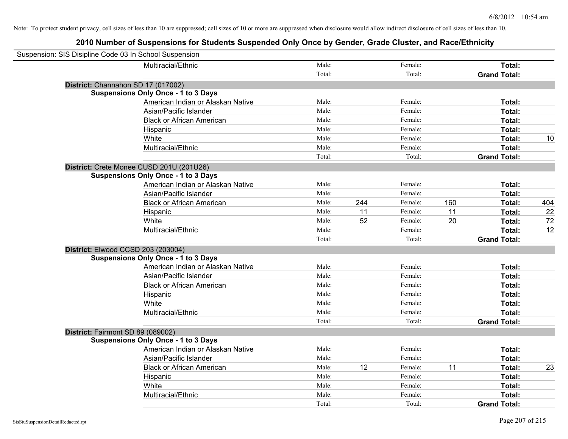| Suspension: SIS Disipline Code 03 In School Suspension |                                            |        |     |         |     |                     |     |
|--------------------------------------------------------|--------------------------------------------|--------|-----|---------|-----|---------------------|-----|
|                                                        | Multiracial/Ethnic                         | Male:  |     | Female: |     | Total:              |     |
|                                                        |                                            | Total: |     | Total:  |     | <b>Grand Total:</b> |     |
| District: Channahon SD 17 (017002)                     |                                            |        |     |         |     |                     |     |
|                                                        | <b>Suspensions Only Once - 1 to 3 Days</b> |        |     |         |     |                     |     |
|                                                        | American Indian or Alaskan Native          | Male:  |     | Female: |     | Total:              |     |
|                                                        | Asian/Pacific Islander                     | Male:  |     | Female: |     | Total:              |     |
|                                                        | <b>Black or African American</b>           | Male:  |     | Female: |     | Total:              |     |
|                                                        | Hispanic                                   | Male:  |     | Female: |     | Total:              |     |
|                                                        | White                                      | Male:  |     | Female: |     | Total:              | 10  |
|                                                        | Multiracial/Ethnic                         | Male:  |     | Female: |     | Total:              |     |
|                                                        |                                            | Total: |     | Total:  |     | <b>Grand Total:</b> |     |
|                                                        | District: Crete Monee CUSD 201U (201U26)   |        |     |         |     |                     |     |
|                                                        | <b>Suspensions Only Once - 1 to 3 Days</b> |        |     |         |     |                     |     |
|                                                        | American Indian or Alaskan Native          | Male:  |     | Female: |     | Total:              |     |
|                                                        | Asian/Pacific Islander                     | Male:  |     | Female: |     | Total:              |     |
|                                                        | <b>Black or African American</b>           | Male:  | 244 | Female: | 160 | Total:              | 404 |
|                                                        | Hispanic                                   | Male:  | 11  | Female: | 11  | Total:              | 22  |
|                                                        | White                                      | Male:  | 52  | Female: | 20  | Total:              | 72  |
|                                                        | Multiracial/Ethnic                         | Male:  |     | Female: |     | Total:              | 12  |
|                                                        |                                            | Total: |     | Total:  |     | <b>Grand Total:</b> |     |
| District: Elwood CCSD 203 (203004)                     |                                            |        |     |         |     |                     |     |
|                                                        | <b>Suspensions Only Once - 1 to 3 Days</b> |        |     |         |     |                     |     |
|                                                        | American Indian or Alaskan Native          | Male:  |     | Female: |     | Total:              |     |
|                                                        | Asian/Pacific Islander                     | Male:  |     | Female: |     | Total:              |     |
|                                                        | <b>Black or African American</b>           | Male:  |     | Female: |     | Total:              |     |
|                                                        | Hispanic                                   | Male:  |     | Female: |     | Total:              |     |
|                                                        | White                                      | Male:  |     | Female: |     | Total:              |     |
|                                                        | Multiracial/Ethnic                         | Male:  |     | Female: |     | Total:              |     |
|                                                        |                                            | Total: |     | Total:  |     | <b>Grand Total:</b> |     |
| District: Fairmont SD 89 (089002)                      |                                            |        |     |         |     |                     |     |
|                                                        | <b>Suspensions Only Once - 1 to 3 Days</b> |        |     |         |     |                     |     |
|                                                        | American Indian or Alaskan Native          | Male:  |     | Female: |     | Total:              |     |
|                                                        | Asian/Pacific Islander                     | Male:  |     | Female: |     | Total:              |     |
|                                                        | <b>Black or African American</b>           | Male:  | 12  | Female: | 11  | Total:              | 23  |
|                                                        | Hispanic                                   | Male:  |     | Female: |     | Total:              |     |
|                                                        | White                                      | Male:  |     | Female: |     | Total:              |     |
|                                                        | Multiracial/Ethnic                         | Male:  |     | Female: |     | Total:              |     |
|                                                        |                                            | Total: |     | Total:  |     | <b>Grand Total:</b> |     |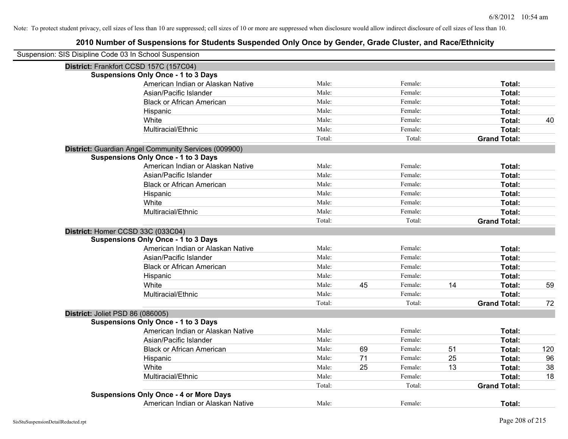| Suspension: SIS Disipline Code 03 In School Suspension |        |    |         |    |                     |     |
|--------------------------------------------------------|--------|----|---------|----|---------------------|-----|
| District: Frankfort CCSD 157C (157C04)                 |        |    |         |    |                     |     |
| <b>Suspensions Only Once - 1 to 3 Days</b>             |        |    |         |    |                     |     |
| American Indian or Alaskan Native                      | Male:  |    | Female: |    | Total:              |     |
| Asian/Pacific Islander                                 | Male:  |    | Female: |    | Total:              |     |
| <b>Black or African American</b>                       | Male:  |    | Female: |    | Total:              |     |
| Hispanic                                               | Male:  |    | Female: |    | Total:              |     |
| White                                                  | Male:  |    | Female: |    | Total:              | 40  |
| Multiracial/Ethnic                                     | Male:  |    | Female: |    | Total:              |     |
|                                                        | Total: |    | Total:  |    | <b>Grand Total:</b> |     |
| District: Guardian Angel Community Services (009900)   |        |    |         |    |                     |     |
| <b>Suspensions Only Once - 1 to 3 Days</b>             |        |    |         |    |                     |     |
| American Indian or Alaskan Native                      | Male:  |    | Female: |    | Total:              |     |
| Asian/Pacific Islander                                 | Male:  |    | Female: |    | Total:              |     |
| <b>Black or African American</b>                       | Male:  |    | Female: |    | Total:              |     |
| Hispanic                                               | Male:  |    | Female: |    | Total:              |     |
| White                                                  | Male:  |    | Female: |    | Total:              |     |
| Multiracial/Ethnic                                     | Male:  |    | Female: |    | Total:              |     |
|                                                        | Total: |    | Total:  |    | <b>Grand Total:</b> |     |
| District: Homer CCSD 33C (033C04)                      |        |    |         |    |                     |     |
| <b>Suspensions Only Once - 1 to 3 Days</b>             |        |    |         |    |                     |     |
| American Indian or Alaskan Native                      | Male:  |    | Female: |    | Total:              |     |
| Asian/Pacific Islander                                 | Male:  |    | Female: |    | Total:              |     |
| <b>Black or African American</b>                       | Male:  |    | Female: |    | Total:              |     |
| Hispanic                                               | Male:  |    | Female: |    | Total:              |     |
| White                                                  | Male:  | 45 | Female: | 14 | Total:              | 59  |
| Multiracial/Ethnic                                     | Male:  |    | Female: |    | Total:              |     |
|                                                        | Total: |    | Total:  |    | <b>Grand Total:</b> | 72  |
| District: Joliet PSD 86 (086005)                       |        |    |         |    |                     |     |
| <b>Suspensions Only Once - 1 to 3 Days</b>             |        |    |         |    |                     |     |
| American Indian or Alaskan Native                      | Male:  |    | Female: |    | Total:              |     |
| Asian/Pacific Islander                                 | Male:  |    | Female: |    | Total:              |     |
| <b>Black or African American</b>                       | Male:  | 69 | Female: | 51 | Total:              | 120 |
| Hispanic                                               | Male:  | 71 | Female: | 25 | Total:              | 96  |
| White                                                  | Male:  | 25 | Female: | 13 | Total:              | 38  |
| Multiracial/Ethnic                                     | Male:  |    | Female: |    | Total:              | 18  |
|                                                        | Total: |    | Total:  |    | <b>Grand Total:</b> |     |
| <b>Suspensions Only Once - 4 or More Days</b>          |        |    |         |    |                     |     |
| American Indian or Alaskan Native                      | Male:  |    | Female: |    | Total:              |     |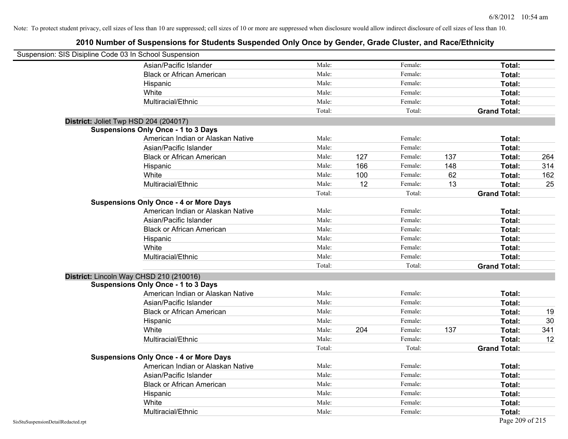| Suspension: SIS Disipline Code 03 In School Suspension |                                               |        |     |         |     |                     |     |
|--------------------------------------------------------|-----------------------------------------------|--------|-----|---------|-----|---------------------|-----|
|                                                        | Asian/Pacific Islander                        | Male:  |     | Female: |     | Total:              |     |
|                                                        | <b>Black or African American</b>              | Male:  |     | Female: |     | Total:              |     |
|                                                        | Hispanic                                      | Male:  |     | Female: |     | Total:              |     |
|                                                        | White                                         | Male:  |     | Female: |     | Total:              |     |
|                                                        | Multiracial/Ethnic                            | Male:  |     | Female: |     | Total:              |     |
|                                                        |                                               | Total: |     | Total:  |     | <b>Grand Total:</b> |     |
| District: Joliet Twp HSD 204 (204017)                  |                                               |        |     |         |     |                     |     |
|                                                        | <b>Suspensions Only Once - 1 to 3 Days</b>    |        |     |         |     |                     |     |
|                                                        | American Indian or Alaskan Native             | Male:  |     | Female: |     | Total:              |     |
|                                                        | Asian/Pacific Islander                        | Male:  |     | Female: |     | Total:              |     |
|                                                        | <b>Black or African American</b>              | Male:  | 127 | Female: | 137 | Total:              | 264 |
|                                                        | Hispanic                                      | Male:  | 166 | Female: | 148 | Total:              | 314 |
|                                                        | White                                         | Male:  | 100 | Female: | 62  | Total:              | 162 |
|                                                        | Multiracial/Ethnic                            | Male:  | 12  | Female: | 13  | Total:              | 25  |
|                                                        |                                               | Total: |     | Total:  |     | <b>Grand Total:</b> |     |
|                                                        | <b>Suspensions Only Once - 4 or More Days</b> |        |     |         |     |                     |     |
|                                                        | American Indian or Alaskan Native             | Male:  |     | Female: |     | Total:              |     |
|                                                        | Asian/Pacific Islander                        | Male:  |     | Female: |     | Total:              |     |
|                                                        | <b>Black or African American</b>              | Male:  |     | Female: |     | Total:              |     |
|                                                        | Hispanic                                      | Male:  |     | Female: |     | Total:              |     |
|                                                        | White                                         | Male:  |     | Female: |     | Total:              |     |
|                                                        | Multiracial/Ethnic                            | Male:  |     | Female: |     | Total:              |     |
|                                                        |                                               | Total: |     | Total:  |     | <b>Grand Total:</b> |     |
|                                                        | District: Lincoln Way CHSD 210 (210016)       |        |     |         |     |                     |     |
|                                                        | <b>Suspensions Only Once - 1 to 3 Days</b>    |        |     |         |     |                     |     |
|                                                        | American Indian or Alaskan Native             | Male:  |     | Female: |     | Total:              |     |
|                                                        | Asian/Pacific Islander                        | Male:  |     | Female: |     | Total:              |     |
|                                                        | <b>Black or African American</b>              | Male:  |     | Female: |     | Total:              | 19  |
|                                                        | Hispanic                                      | Male:  |     | Female: |     | Total:              | 30  |
|                                                        | White                                         | Male:  | 204 | Female: | 137 | Total:              | 341 |
|                                                        | Multiracial/Ethnic                            | Male:  |     | Female: |     | Total:              | 12  |
|                                                        |                                               | Total: |     | Total:  |     | <b>Grand Total:</b> |     |
|                                                        | <b>Suspensions Only Once - 4 or More Days</b> |        |     |         |     |                     |     |
|                                                        | American Indian or Alaskan Native             | Male:  |     | Female: |     | Total:              |     |
|                                                        | Asian/Pacific Islander                        | Male:  |     | Female: |     | Total:              |     |
|                                                        | <b>Black or African American</b>              | Male:  |     | Female: |     | Total:              |     |
|                                                        | Hispanic                                      | Male:  |     | Female: |     | Total:              |     |
|                                                        | White                                         | Male:  |     | Female: |     | Total:              |     |
|                                                        | Multiracial/Ethnic                            | Male:  |     | Female: |     | Total:              |     |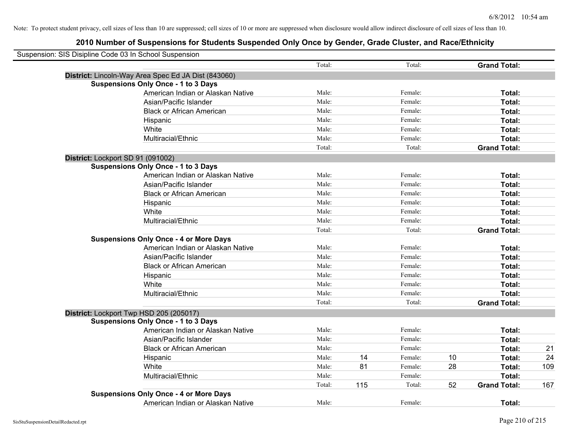| Suspension: SIS Disipline Code 03 In School Suspension |                                                     |        |     |         |    |                     |     |
|--------------------------------------------------------|-----------------------------------------------------|--------|-----|---------|----|---------------------|-----|
|                                                        |                                                     | Total: |     | Total:  |    | <b>Grand Total:</b> |     |
|                                                        | District: Lincoln-Way Area Spec Ed JA Dist (843060) |        |     |         |    |                     |     |
|                                                        | <b>Suspensions Only Once - 1 to 3 Days</b>          |        |     |         |    |                     |     |
|                                                        | American Indian or Alaskan Native                   | Male:  |     | Female: |    | Total:              |     |
|                                                        | Asian/Pacific Islander                              | Male:  |     | Female: |    | Total:              |     |
|                                                        | <b>Black or African American</b>                    | Male:  |     | Female: |    | Total:              |     |
|                                                        | Hispanic                                            | Male:  |     | Female: |    | Total:              |     |
|                                                        | White                                               | Male:  |     | Female: |    | Total:              |     |
|                                                        | Multiracial/Ethnic                                  | Male:  |     | Female: |    | Total:              |     |
|                                                        |                                                     | Total: |     | Total:  |    | <b>Grand Total:</b> |     |
|                                                        | District: Lockport SD 91 (091002)                   |        |     |         |    |                     |     |
|                                                        | <b>Suspensions Only Once - 1 to 3 Days</b>          |        |     |         |    |                     |     |
|                                                        | American Indian or Alaskan Native                   | Male:  |     | Female: |    | Total:              |     |
|                                                        | Asian/Pacific Islander                              | Male:  |     | Female: |    | Total:              |     |
|                                                        | <b>Black or African American</b>                    | Male:  |     | Female: |    | Total:              |     |
|                                                        | Hispanic                                            | Male:  |     | Female: |    | Total:              |     |
|                                                        | White                                               | Male:  |     | Female: |    | Total:              |     |
|                                                        | Multiracial/Ethnic                                  | Male:  |     | Female: |    | Total:              |     |
|                                                        |                                                     | Total: |     | Total:  |    | <b>Grand Total:</b> |     |
|                                                        | <b>Suspensions Only Once - 4 or More Days</b>       |        |     |         |    |                     |     |
|                                                        | American Indian or Alaskan Native                   | Male:  |     | Female: |    | Total:              |     |
|                                                        | Asian/Pacific Islander                              | Male:  |     | Female: |    | Total:              |     |
|                                                        | <b>Black or African American</b>                    | Male:  |     | Female: |    | Total:              |     |
|                                                        | Hispanic                                            | Male:  |     | Female: |    | Total:              |     |
|                                                        | White                                               | Male:  |     | Female: |    | Total:              |     |
|                                                        | Multiracial/Ethnic                                  | Male:  |     | Female: |    | Total:              |     |
|                                                        |                                                     | Total: |     | Total:  |    | <b>Grand Total:</b> |     |
|                                                        | District: Lockport Twp HSD 205 (205017)             |        |     |         |    |                     |     |
|                                                        | <b>Suspensions Only Once - 1 to 3 Days</b>          |        |     |         |    |                     |     |
|                                                        | American Indian or Alaskan Native                   | Male:  |     | Female: |    | Total:              |     |
|                                                        | Asian/Pacific Islander                              | Male:  |     | Female: |    | Total:              |     |
|                                                        | <b>Black or African American</b>                    | Male:  |     | Female: |    | Total:              | 21  |
|                                                        | Hispanic                                            | Male:  | 14  | Female: | 10 | Total:              | 24  |
|                                                        | White                                               | Male:  | 81  | Female: | 28 | Total:              | 109 |
|                                                        | Multiracial/Ethnic                                  | Male:  |     | Female: |    | Total:              |     |
|                                                        |                                                     | Total: | 115 | Total:  | 52 | <b>Grand Total:</b> | 167 |
|                                                        | <b>Suspensions Only Once - 4 or More Days</b>       |        |     |         |    |                     |     |
|                                                        | American Indian or Alaskan Native                   | Male:  |     | Female: |    | Total:              |     |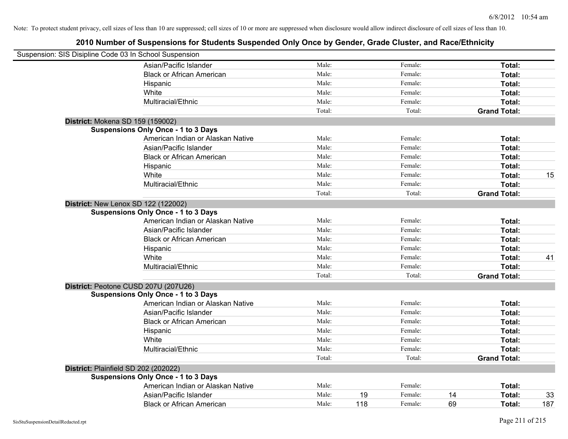| Suspension: SIS Disipline Code 03 In School Suspension |                                            |        |     |         |    |                     |     |
|--------------------------------------------------------|--------------------------------------------|--------|-----|---------|----|---------------------|-----|
|                                                        | Asian/Pacific Islander                     | Male:  |     | Female: |    | Total:              |     |
|                                                        | <b>Black or African American</b>           | Male:  |     | Female: |    | Total:              |     |
|                                                        | Hispanic                                   | Male:  |     | Female: |    | Total:              |     |
|                                                        | White                                      | Male:  |     | Female: |    | Total:              |     |
|                                                        | Multiracial/Ethnic                         | Male:  |     | Female: |    | Total:              |     |
|                                                        |                                            | Total: |     | Total:  |    | <b>Grand Total:</b> |     |
| District: Mokena SD 159 (159002)                       |                                            |        |     |         |    |                     |     |
|                                                        | <b>Suspensions Only Once - 1 to 3 Days</b> |        |     |         |    |                     |     |
|                                                        | American Indian or Alaskan Native          | Male:  |     | Female: |    | Total:              |     |
|                                                        | Asian/Pacific Islander                     | Male:  |     | Female: |    | Total:              |     |
|                                                        | <b>Black or African American</b>           | Male:  |     | Female: |    | Total:              |     |
|                                                        | Hispanic                                   | Male:  |     | Female: |    | Total:              |     |
|                                                        | White                                      | Male:  |     | Female: |    | Total:              | 15  |
|                                                        | Multiracial/Ethnic                         | Male:  |     | Female: |    | Total:              |     |
|                                                        |                                            | Total: |     | Total:  |    | <b>Grand Total:</b> |     |
| District: New Lenox SD 122 (122002)                    |                                            |        |     |         |    |                     |     |
|                                                        | <b>Suspensions Only Once - 1 to 3 Days</b> |        |     |         |    |                     |     |
|                                                        | American Indian or Alaskan Native          | Male:  |     | Female: |    | Total:              |     |
|                                                        | Asian/Pacific Islander                     | Male:  |     | Female: |    | Total:              |     |
|                                                        | <b>Black or African American</b>           | Male:  |     | Female: |    | Total:              |     |
|                                                        | Hispanic                                   | Male:  |     | Female: |    | Total:              |     |
|                                                        | White                                      | Male:  |     | Female: |    | Total:              | 41  |
|                                                        | Multiracial/Ethnic                         | Male:  |     | Female: |    | Total:              |     |
|                                                        |                                            | Total: |     | Total:  |    | <b>Grand Total:</b> |     |
| District: Peotone CUSD 207U (207U26)                   |                                            |        |     |         |    |                     |     |
|                                                        | <b>Suspensions Only Once - 1 to 3 Days</b> |        |     |         |    |                     |     |
|                                                        | American Indian or Alaskan Native          | Male:  |     | Female: |    | Total:              |     |
|                                                        | Asian/Pacific Islander                     | Male:  |     | Female: |    | Total:              |     |
|                                                        | <b>Black or African American</b>           | Male:  |     | Female: |    | Total:              |     |
|                                                        | Hispanic                                   | Male:  |     | Female: |    | Total:              |     |
|                                                        | White                                      | Male:  |     | Female: |    | Total:              |     |
|                                                        | Multiracial/Ethnic                         | Male:  |     | Female: |    | Total:              |     |
|                                                        |                                            | Total: |     | Total:  |    | <b>Grand Total:</b> |     |
| District: Plainfield SD 202 (202022)                   |                                            |        |     |         |    |                     |     |
|                                                        | <b>Suspensions Only Once - 1 to 3 Days</b> |        |     |         |    |                     |     |
|                                                        | American Indian or Alaskan Native          | Male:  |     | Female: |    | Total:              |     |
|                                                        | Asian/Pacific Islander                     | Male:  | 19  | Female: | 14 | Total:              | 33  |
|                                                        | <b>Black or African American</b>           | Male:  | 118 | Female: | 69 | Total:              | 187 |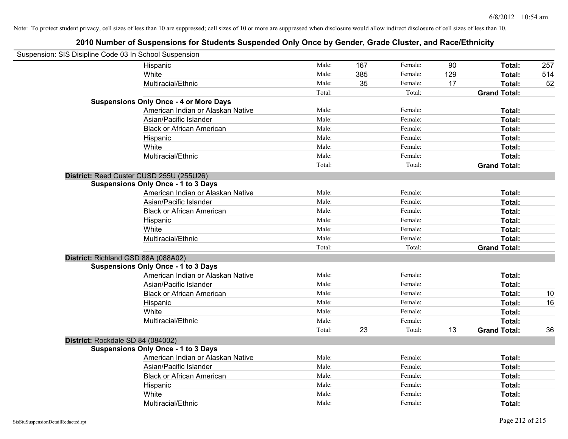| Suspension: SIS Disipline Code 03 In School Suspension |                                               |        |     |         |     |                     |     |
|--------------------------------------------------------|-----------------------------------------------|--------|-----|---------|-----|---------------------|-----|
|                                                        | Hispanic                                      | Male:  | 167 | Female: | 90  | Total:              | 257 |
|                                                        | White                                         | Male:  | 385 | Female: | 129 | Total:              | 514 |
|                                                        | Multiracial/Ethnic                            | Male:  | 35  | Female: | 17  | Total:              | 52  |
|                                                        |                                               | Total: |     | Total:  |     | <b>Grand Total:</b> |     |
|                                                        | <b>Suspensions Only Once - 4 or More Days</b> |        |     |         |     |                     |     |
|                                                        | American Indian or Alaskan Native             | Male:  |     | Female: |     | Total:              |     |
|                                                        | Asian/Pacific Islander                        | Male:  |     | Female: |     | Total:              |     |
|                                                        | <b>Black or African American</b>              | Male:  |     | Female: |     | Total:              |     |
|                                                        | Hispanic                                      | Male:  |     | Female: |     | Total:              |     |
|                                                        | White                                         | Male:  |     | Female: |     | Total:              |     |
|                                                        | Multiracial/Ethnic                            | Male:  |     | Female: |     | Total:              |     |
|                                                        |                                               | Total: |     | Total:  |     | <b>Grand Total:</b> |     |
|                                                        | District: Reed Custer CUSD 255U (255U26)      |        |     |         |     |                     |     |
|                                                        | <b>Suspensions Only Once - 1 to 3 Days</b>    |        |     |         |     |                     |     |
|                                                        | American Indian or Alaskan Native             | Male:  |     | Female: |     | Total:              |     |
|                                                        | Asian/Pacific Islander                        | Male:  |     | Female: |     | Total:              |     |
|                                                        | <b>Black or African American</b>              | Male:  |     | Female: |     | Total:              |     |
|                                                        | Hispanic                                      | Male:  |     | Female: |     | Total:              |     |
|                                                        | White                                         | Male:  |     | Female: |     | Total:              |     |
|                                                        | Multiracial/Ethnic                            | Male:  |     | Female: |     | Total:              |     |
|                                                        |                                               | Total: |     | Total:  |     | <b>Grand Total:</b> |     |
|                                                        | District: Richland GSD 88A (088A02)           |        |     |         |     |                     |     |
|                                                        | <b>Suspensions Only Once - 1 to 3 Days</b>    |        |     |         |     |                     |     |
|                                                        | American Indian or Alaskan Native             | Male:  |     | Female: |     | Total:              |     |
|                                                        | Asian/Pacific Islander                        | Male:  |     | Female: |     | Total:              |     |
|                                                        | <b>Black or African American</b>              | Male:  |     | Female: |     | Total:              | 10  |
|                                                        | Hispanic                                      | Male:  |     | Female: |     | Total:              | 16  |
|                                                        | White                                         | Male:  |     | Female: |     | Total:              |     |
|                                                        | Multiracial/Ethnic                            | Male:  |     | Female: |     | Total:              |     |
|                                                        |                                               | Total: | 23  | Total:  | 13  | <b>Grand Total:</b> | 36  |
| District: Rockdale SD 84 (084002)                      |                                               |        |     |         |     |                     |     |
|                                                        | <b>Suspensions Only Once - 1 to 3 Days</b>    |        |     |         |     |                     |     |
|                                                        | American Indian or Alaskan Native             | Male:  |     | Female: |     | Total:              |     |
|                                                        | Asian/Pacific Islander                        | Male:  |     | Female: |     | Total:              |     |
|                                                        | <b>Black or African American</b>              | Male:  |     | Female: |     | Total:              |     |
|                                                        | Hispanic                                      | Male:  |     | Female: |     | Total:              |     |
|                                                        | White                                         | Male:  |     | Female: |     | Total:              |     |
|                                                        | Multiracial/Ethnic                            | Male:  |     | Female: |     | Total:              |     |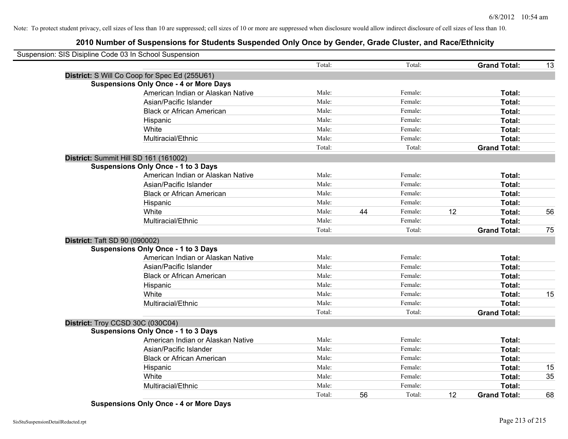## **2010 Number of Suspensions for Students Suspended Only Once by Gender, Grade Cluster, and Race/Ethnicity**

| Suspension: SIS Disipline Code 03 In School Suspension |        |    |         |    |                     |    |
|--------------------------------------------------------|--------|----|---------|----|---------------------|----|
|                                                        | Total: |    | Total:  |    | <b>Grand Total:</b> | 13 |
| District: S Will Co Coop for Spec Ed (255U61)          |        |    |         |    |                     |    |
| <b>Suspensions Only Once - 4 or More Days</b>          |        |    |         |    |                     |    |
| American Indian or Alaskan Native                      | Male:  |    | Female: |    | Total:              |    |
| Asian/Pacific Islander                                 | Male:  |    | Female: |    | Total:              |    |
| <b>Black or African American</b>                       | Male:  |    | Female: |    | Total:              |    |
| Hispanic                                               | Male:  |    | Female: |    | Total:              |    |
| White                                                  | Male:  |    | Female: |    | Total:              |    |
| Multiracial/Ethnic                                     | Male:  |    | Female: |    | Total:              |    |
|                                                        | Total: |    | Total:  |    | <b>Grand Total:</b> |    |
| District: Summit Hill SD 161 (161002)                  |        |    |         |    |                     |    |
| <b>Suspensions Only Once - 1 to 3 Days</b>             |        |    |         |    |                     |    |
| American Indian or Alaskan Native                      | Male:  |    | Female: |    | Total:              |    |
| Asian/Pacific Islander                                 | Male:  |    | Female: |    | Total:              |    |
| <b>Black or African American</b>                       | Male:  |    | Female: |    | Total:              |    |
| Hispanic                                               | Male:  |    | Female: |    | Total:              |    |
| White                                                  | Male:  | 44 | Female: | 12 | Total:              | 56 |
| Multiracial/Ethnic                                     | Male:  |    | Female: |    | Total:              |    |
|                                                        | Total: |    | Total:  |    | <b>Grand Total:</b> | 75 |
| <b>District: Taft SD 90 (090002)</b>                   |        |    |         |    |                     |    |
| <b>Suspensions Only Once - 1 to 3 Days</b>             |        |    |         |    |                     |    |
| American Indian or Alaskan Native                      | Male:  |    | Female: |    | Total:              |    |
| Asian/Pacific Islander                                 | Male:  |    | Female: |    | Total:              |    |
| <b>Black or African American</b>                       | Male:  |    | Female: |    | Total:              |    |
| Hispanic                                               | Male:  |    | Female: |    | Total:              |    |
| White                                                  | Male:  |    | Female: |    | Total:              | 15 |
| Multiracial/Ethnic                                     | Male:  |    | Female: |    | Total:              |    |
|                                                        | Total: |    | Total:  |    | <b>Grand Total:</b> |    |
| District: Troy CCSD 30C (030C04)                       |        |    |         |    |                     |    |
| Suspensions Only Once - 1 to 3 Days                    |        |    |         |    |                     |    |
| American Indian or Alaskan Native                      | Male:  |    | Female: |    | Total:              |    |
| Asian/Pacific Islander                                 | Male:  |    | Female: |    | Total:              |    |
| <b>Black or African American</b>                       | Male:  |    | Female: |    | Total:              |    |
| Hispanic                                               | Male:  |    | Female: |    | Total:              | 15 |
| White                                                  | Male:  |    | Female: |    | Total:              | 35 |
| Multiracial/Ethnic                                     | Male:  |    | Female: |    | Total:              |    |
|                                                        | Total: | 56 | Total:  | 12 | <b>Grand Total:</b> | 68 |

**Suspensions Only Once - 4 or More Days**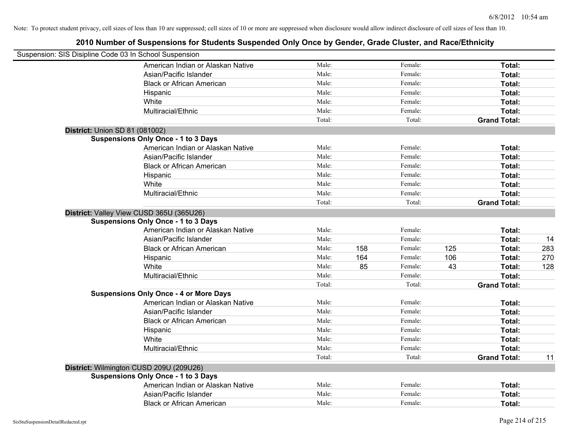| Suspension: SIS Disipline Code 03 In School Suspension |                                               |        |     |         |     |                     |     |
|--------------------------------------------------------|-----------------------------------------------|--------|-----|---------|-----|---------------------|-----|
|                                                        | American Indian or Alaskan Native             | Male:  |     | Female: |     | Total:              |     |
|                                                        | Asian/Pacific Islander                        | Male:  |     | Female: |     | Total:              |     |
|                                                        | <b>Black or African American</b>              | Male:  |     | Female: |     | Total:              |     |
|                                                        | Hispanic                                      | Male:  |     | Female: |     | Total:              |     |
|                                                        | White                                         | Male:  |     | Female: |     | Total:              |     |
|                                                        | Multiracial/Ethnic                            | Male:  |     | Female: |     | Total:              |     |
|                                                        |                                               | Total: |     | Total:  |     | <b>Grand Total:</b> |     |
|                                                        | <b>District: Union SD 81 (081002)</b>         |        |     |         |     |                     |     |
|                                                        | <b>Suspensions Only Once - 1 to 3 Days</b>    |        |     |         |     |                     |     |
|                                                        | American Indian or Alaskan Native             | Male:  |     | Female: |     | Total:              |     |
|                                                        | Asian/Pacific Islander                        | Male:  |     | Female: |     | Total:              |     |
|                                                        | <b>Black or African American</b>              | Male:  |     | Female: |     | Total:              |     |
|                                                        | Hispanic                                      | Male:  |     | Female: |     | Total:              |     |
|                                                        | White                                         | Male:  |     | Female: |     | Total:              |     |
|                                                        | Multiracial/Ethnic                            | Male:  |     | Female: |     | Total:              |     |
|                                                        |                                               | Total: |     | Total:  |     | <b>Grand Total:</b> |     |
|                                                        | District: Valley View CUSD 365U (365U26)      |        |     |         |     |                     |     |
|                                                        | <b>Suspensions Only Once - 1 to 3 Days</b>    |        |     |         |     |                     |     |
|                                                        | American Indian or Alaskan Native             | Male:  |     | Female: |     | Total:              |     |
|                                                        | Asian/Pacific Islander                        | Male:  |     | Female: |     | Total:              | 14  |
|                                                        | <b>Black or African American</b>              | Male:  | 158 | Female: | 125 | Total:              | 283 |
|                                                        | Hispanic                                      | Male:  | 164 | Female: | 106 | Total:              | 270 |
|                                                        | White                                         | Male:  | 85  | Female: | 43  | Total:              | 128 |
|                                                        | Multiracial/Ethnic                            | Male:  |     | Female: |     | Total:              |     |
|                                                        |                                               | Total: |     | Total:  |     | <b>Grand Total:</b> |     |
|                                                        | <b>Suspensions Only Once - 4 or More Days</b> |        |     |         |     |                     |     |
|                                                        | American Indian or Alaskan Native             | Male:  |     | Female: |     | Total:              |     |
|                                                        | Asian/Pacific Islander                        | Male:  |     | Female: |     | Total:              |     |
|                                                        | <b>Black or African American</b>              | Male:  |     | Female: |     | Total:              |     |
|                                                        | Hispanic                                      | Male:  |     | Female: |     | Total:              |     |
|                                                        | White                                         | Male:  |     | Female: |     | Total:              |     |
|                                                        | Multiracial/Ethnic                            | Male:  |     | Female: |     | Total:              |     |
|                                                        |                                               | Total: |     | Total:  |     | <b>Grand Total:</b> | 11  |
|                                                        | District: Wilmington CUSD 209U (209U26)       |        |     |         |     |                     |     |
|                                                        | <b>Suspensions Only Once - 1 to 3 Days</b>    |        |     |         |     |                     |     |
|                                                        | American Indian or Alaskan Native             | Male:  |     | Female: |     | Total:              |     |
|                                                        | Asian/Pacific Islander                        | Male:  |     | Female: |     | Total:              |     |
|                                                        | <b>Black or African American</b>              | Male:  |     | Female: |     | Total:              |     |